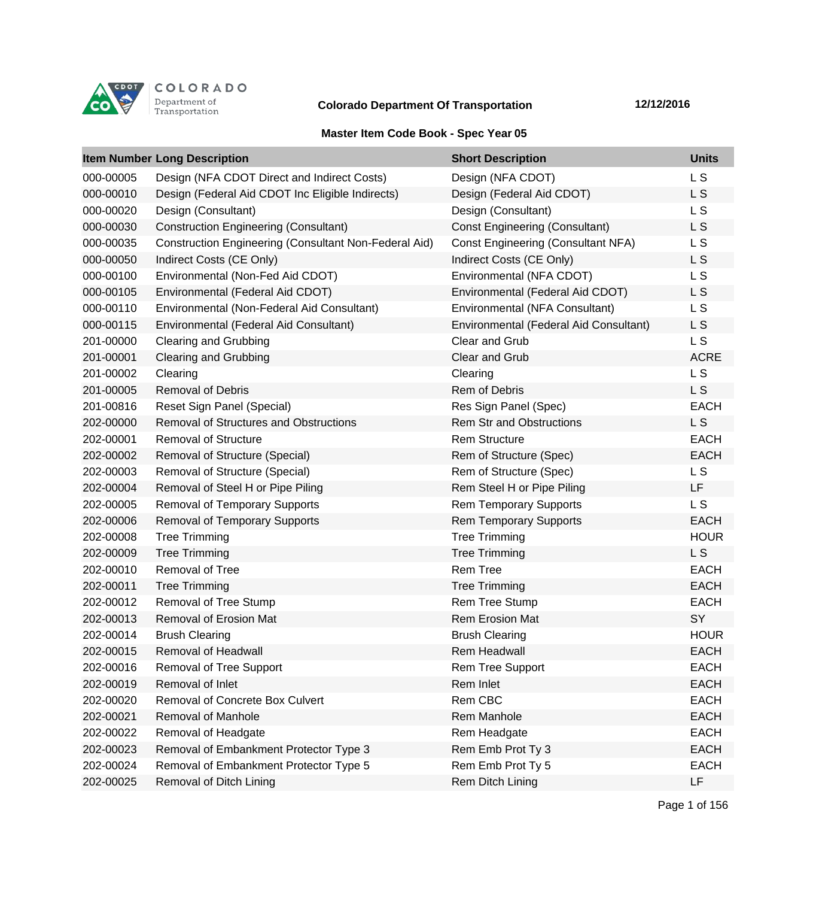

## **Colorado Department Of Transportation 12/12/2016**

## **Master Item Code Book - Spec Year 05**

|           | <b>Item Number Long Description</b>                          | <b>Short Description</b>                  | <b>Units</b>   |
|-----------|--------------------------------------------------------------|-------------------------------------------|----------------|
| 000-00005 | Design (NFA CDOT Direct and Indirect Costs)                  | Design (NFA CDOT)                         | L <sub>S</sub> |
| 000-00010 | Design (Federal Aid CDOT Inc Eligible Indirects)             | Design (Federal Aid CDOT)                 | L <sub>S</sub> |
| 000-00020 | Design (Consultant)                                          | Design (Consultant)                       | L S            |
| 000-00030 | <b>Construction Engineering (Consultant)</b>                 | <b>Const Engineering (Consultant)</b>     | L S            |
| 000-00035 | <b>Construction Engineering (Consultant Non-Federal Aid)</b> | <b>Const Engineering (Consultant NFA)</b> | L S            |
| 000-00050 | Indirect Costs (CE Only)                                     | Indirect Costs (CE Only)                  | L S            |
| 000-00100 | Environmental (Non-Fed Aid CDOT)                             | Environmental (NFA CDOT)                  | L <sub>S</sub> |
| 000-00105 | Environmental (Federal Aid CDOT)                             | Environmental (Federal Aid CDOT)          | L S            |
| 000-00110 | Environmental (Non-Federal Aid Consultant)                   | Environmental (NFA Consultant)            | L S            |
| 000-00115 | Environmental (Federal Aid Consultant)                       | Environmental (Federal Aid Consultant)    | L <sub>S</sub> |
| 201-00000 | <b>Clearing and Grubbing</b>                                 | <b>Clear and Grub</b>                     | L <sub>S</sub> |
| 201-00001 | <b>Clearing and Grubbing</b>                                 | Clear and Grub                            | <b>ACRE</b>    |
| 201-00002 | Clearing                                                     | Clearing                                  | L <sub>S</sub> |
| 201-00005 | <b>Removal of Debris</b>                                     | <b>Rem of Debris</b>                      | L S            |
| 201-00816 | Reset Sign Panel (Special)                                   | Res Sign Panel (Spec)                     | <b>EACH</b>    |
| 202-00000 | <b>Removal of Structures and Obstructions</b>                | <b>Rem Str and Obstructions</b>           | L S            |
| 202-00001 | <b>Removal of Structure</b>                                  | <b>Rem Structure</b>                      | <b>EACH</b>    |
| 202-00002 | Removal of Structure (Special)                               | Rem of Structure (Spec)                   | <b>EACH</b>    |
| 202-00003 | Removal of Structure (Special)                               | Rem of Structure (Spec)                   | L S            |
| 202-00004 | Removal of Steel H or Pipe Piling                            | Rem Steel H or Pipe Piling                | LF             |
| 202-00005 | <b>Removal of Temporary Supports</b>                         | <b>Rem Temporary Supports</b>             | L S            |
| 202-00006 | <b>Removal of Temporary Supports</b>                         | <b>Rem Temporary Supports</b>             | <b>EACH</b>    |
| 202-00008 | <b>Tree Trimming</b>                                         | <b>Tree Trimming</b>                      | <b>HOUR</b>    |
| 202-00009 | <b>Tree Trimming</b>                                         | <b>Tree Trimming</b>                      | L <sub>S</sub> |
| 202-00010 | Removal of Tree                                              | <b>Rem Tree</b>                           | <b>EACH</b>    |
| 202-00011 | <b>Tree Trimming</b>                                         | <b>Tree Trimming</b>                      | <b>EACH</b>    |
| 202-00012 | Removal of Tree Stump                                        | Rem Tree Stump                            | <b>EACH</b>    |
| 202-00013 | <b>Removal of Erosion Mat</b>                                | <b>Rem Erosion Mat</b>                    | SY             |
| 202-00014 | <b>Brush Clearing</b>                                        | <b>Brush Clearing</b>                     | <b>HOUR</b>    |
| 202-00015 | Removal of Headwall                                          | <b>Rem Headwall</b>                       | <b>EACH</b>    |
| 202-00016 | Removal of Tree Support                                      | Rem Tree Support                          | <b>EACH</b>    |
| 202-00019 | Removal of Inlet                                             | Rem Inlet                                 | <b>EACH</b>    |
| 202-00020 | Removal of Concrete Box Culvert                              | Rem CBC                                   | <b>EACH</b>    |
| 202-00021 | Removal of Manhole                                           | Rem Manhole                               | <b>EACH</b>    |
| 202-00022 | Removal of Headgate                                          | Rem Headgate                              | <b>EACH</b>    |
| 202-00023 | Removal of Embankment Protector Type 3                       | Rem Emb Prot Ty 3                         | <b>EACH</b>    |
| 202-00024 | Removal of Embankment Protector Type 5                       | Rem Emb Prot Ty 5                         | <b>EACH</b>    |
| 202-00025 | Removal of Ditch Lining                                      | Rem Ditch Lining                          | LF             |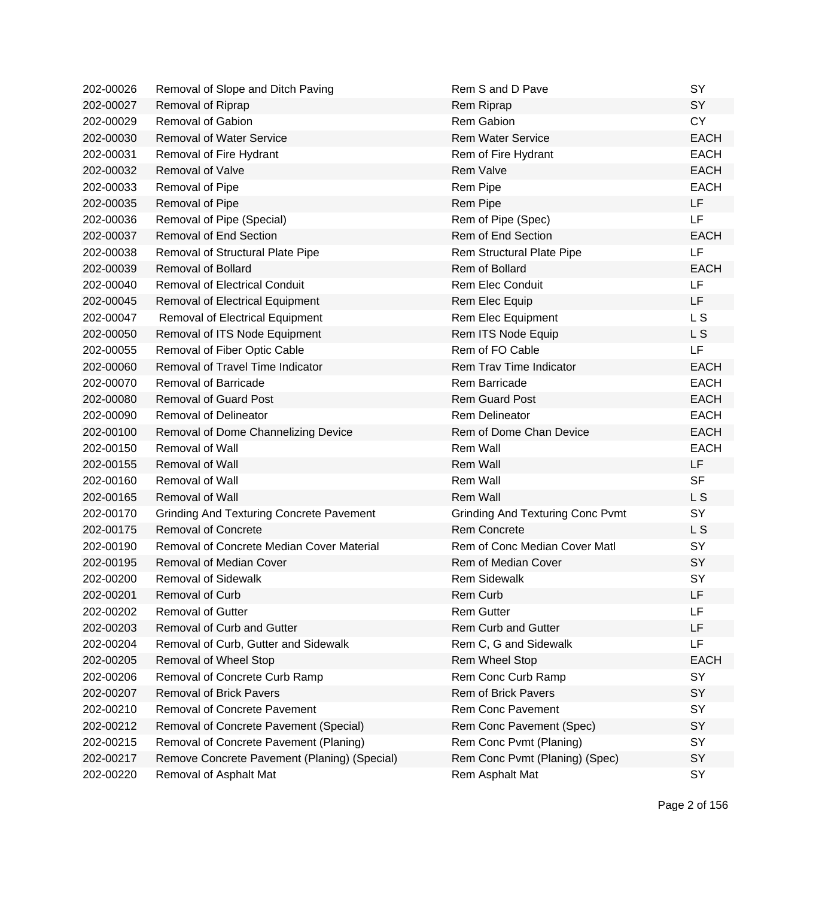| 202-00026 | Removal of Slope and Ditch Paving               | Rem S and D Pave                        | SY             |
|-----------|-------------------------------------------------|-----------------------------------------|----------------|
| 202-00027 | Removal of Riprap                               | Rem Riprap                              | <b>SY</b>      |
| 202-00029 | Removal of Gabion                               | Rem Gabion                              | <b>CY</b>      |
| 202-00030 | <b>Removal of Water Service</b>                 | <b>Rem Water Service</b>                | <b>EACH</b>    |
| 202-00031 | Removal of Fire Hydrant                         | Rem of Fire Hydrant                     | <b>EACH</b>    |
| 202-00032 | Removal of Valve                                | <b>Rem Valve</b>                        | <b>EACH</b>    |
| 202-00033 | Removal of Pipe                                 | Rem Pipe                                | <b>EACH</b>    |
| 202-00035 | Removal of Pipe                                 | Rem Pipe                                | LF             |
| 202-00036 | Removal of Pipe (Special)                       | Rem of Pipe (Spec)                      | <b>LF</b>      |
| 202-00037 | Removal of End Section                          | Rem of End Section                      | <b>EACH</b>    |
| 202-00038 | Removal of Structural Plate Pipe                | Rem Structural Plate Pipe               | LF             |
| 202-00039 | <b>Removal of Bollard</b>                       | Rem of Bollard                          | <b>EACH</b>    |
| 202-00040 | <b>Removal of Electrical Conduit</b>            | <b>Rem Elec Conduit</b>                 | LF             |
| 202-00045 | <b>Removal of Electrical Equipment</b>          | Rem Elec Equip                          | <b>LF</b>      |
| 202-00047 | <b>Removal of Electrical Equipment</b>          | Rem Elec Equipment                      | L S            |
| 202-00050 | Removal of ITS Node Equipment                   | Rem ITS Node Equip                      | L S            |
| 202-00055 | Removal of Fiber Optic Cable                    | Rem of FO Cable                         | <b>LF</b>      |
| 202-00060 | Removal of Travel Time Indicator                | Rem Trav Time Indicator                 | <b>EACH</b>    |
| 202-00070 | <b>Removal of Barricade</b>                     | Rem Barricade                           | <b>EACH</b>    |
| 202-00080 | <b>Removal of Guard Post</b>                    | <b>Rem Guard Post</b>                   | <b>EACH</b>    |
| 202-00090 | <b>Removal of Delineator</b>                    | <b>Rem Delineator</b>                   | <b>EACH</b>    |
| 202-00100 | Removal of Dome Channelizing Device             | Rem of Dome Chan Device                 | <b>EACH</b>    |
| 202-00150 | Removal of Wall                                 | Rem Wall                                | <b>EACH</b>    |
| 202-00155 | <b>Removal of Wall</b>                          | Rem Wall                                | <b>LF</b>      |
| 202-00160 | <b>Removal of Wall</b>                          | Rem Wall                                | <b>SF</b>      |
| 202-00165 | <b>Removal of Wall</b>                          | <b>Rem Wall</b>                         | L S            |
| 202-00170 | <b>Grinding And Texturing Concrete Pavement</b> | <b>Grinding And Texturing Conc Pvmt</b> | SY             |
| 202-00175 | <b>Removal of Concrete</b>                      | <b>Rem Concrete</b>                     | L <sub>S</sub> |
| 202-00190 | Removal of Concrete Median Cover Material       | Rem of Conc Median Cover Matl           | SY             |
| 202-00195 | Removal of Median Cover                         | Rem of Median Cover                     | SY             |
| 202-00200 | <b>Removal of Sidewalk</b>                      | <b>Rem Sidewalk</b>                     | SY             |
| 202-00201 | <b>Removal of Curb</b>                          | Rem Curb                                | LF             |
| 202-00202 | <b>Removal of Gutter</b>                        | <b>Rem Gutter</b>                       | LF             |
| 202-00203 | Removal of Curb and Gutter                      | Rem Curb and Gutter                     | LF             |
| 202-00204 | Removal of Curb, Gutter and Sidewalk            | Rem C, G and Sidewalk                   | <b>LF</b>      |
| 202-00205 | Removal of Wheel Stop                           | <b>Rem Wheel Stop</b>                   | <b>EACH</b>    |
| 202-00206 | Removal of Concrete Curb Ramp                   | Rem Conc Curb Ramp                      | SY             |
| 202-00207 | <b>Removal of Brick Pavers</b>                  | Rem of Brick Pavers                     | SY             |
| 202-00210 | <b>Removal of Concrete Pavement</b>             | <b>Rem Conc Pavement</b>                | SY             |
| 202-00212 | Removal of Concrete Pavement (Special)          | Rem Conc Pavement (Spec)                | SY             |
| 202-00215 | Removal of Concrete Pavement (Planing)          | Rem Conc Pvmt (Planing)                 | <b>SY</b>      |
| 202-00217 | Remove Concrete Pavement (Planing) (Special)    | Rem Conc Pvmt (Planing) (Spec)          | SY             |
| 202-00220 | Removal of Asphalt Mat                          | Rem Asphalt Mat                         | SY             |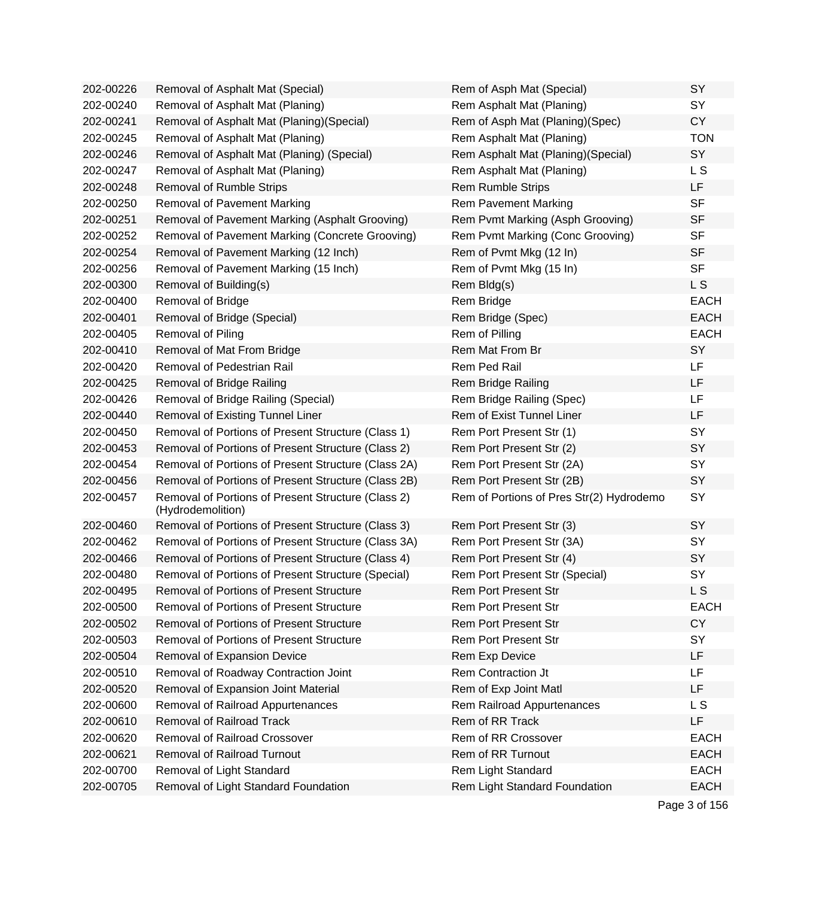| 202-00226 | Removal of Asphalt Mat (Special)                                        | Rem of Asph Mat (Special)                | <b>SY</b>      |
|-----------|-------------------------------------------------------------------------|------------------------------------------|----------------|
| 202-00240 | Removal of Asphalt Mat (Planing)                                        | Rem Asphalt Mat (Planing)                | SY             |
| 202-00241 | Removal of Asphalt Mat (Planing) (Special)                              | Rem of Asph Mat (Planing)(Spec)          | <b>CY</b>      |
| 202-00245 | Removal of Asphalt Mat (Planing)                                        | Rem Asphalt Mat (Planing)                | <b>TON</b>     |
| 202-00246 | Removal of Asphalt Mat (Planing) (Special)                              | Rem Asphalt Mat (Planing) (Special)      | SY             |
| 202-00247 | Removal of Asphalt Mat (Planing)                                        | Rem Asphalt Mat (Planing)                | L S            |
| 202-00248 | <b>Removal of Rumble Strips</b>                                         | <b>Rem Rumble Strips</b>                 | LF             |
| 202-00250 | <b>Removal of Pavement Marking</b>                                      | <b>Rem Pavement Marking</b>              | <b>SF</b>      |
| 202-00251 | Removal of Pavement Marking (Asphalt Grooving)                          | Rem Pvmt Marking (Asph Grooving)         | <b>SF</b>      |
| 202-00252 | Removal of Pavement Marking (Concrete Grooving)                         | Rem Pvmt Marking (Conc Grooving)         | <b>SF</b>      |
| 202-00254 | Removal of Pavement Marking (12 Inch)                                   | Rem of Pvmt Mkg (12 In)                  | <b>SF</b>      |
| 202-00256 | Removal of Pavement Marking (15 Inch)                                   | Rem of Pvmt Mkg (15 In)                  | <b>SF</b>      |
| 202-00300 | Removal of Building(s)                                                  | Rem Bldg(s)                              | L S            |
| 202-00400 | Removal of Bridge                                                       | Rem Bridge                               | <b>EACH</b>    |
| 202-00401 | Removal of Bridge (Special)                                             | Rem Bridge (Spec)                        | <b>EACH</b>    |
| 202-00405 | Removal of Piling                                                       | Rem of Pilling                           | <b>EACH</b>    |
| 202-00410 | Removal of Mat From Bridge                                              | Rem Mat From Br                          | SY             |
| 202-00420 | Removal of Pedestrian Rail                                              | Rem Ped Rail                             | LF             |
| 202-00425 | Removal of Bridge Railing                                               | Rem Bridge Railing                       | LF             |
| 202-00426 | Removal of Bridge Railing (Special)                                     | Rem Bridge Railing (Spec)                | LF             |
| 202-00440 | Removal of Existing Tunnel Liner                                        | Rem of Exist Tunnel Liner                | LF             |
| 202-00450 | Removal of Portions of Present Structure (Class 1)                      | Rem Port Present Str (1)                 | SY             |
| 202-00453 | Removal of Portions of Present Structure (Class 2)                      | Rem Port Present Str (2)                 | SY             |
| 202-00454 | Removal of Portions of Present Structure (Class 2A)                     | Rem Port Present Str (2A)                | SY             |
| 202-00456 | Removal of Portions of Present Structure (Class 2B)                     | Rem Port Present Str (2B)                | SY             |
| 202-00457 | Removal of Portions of Present Structure (Class 2)<br>(Hydrodemolition) | Rem of Portions of Pres Str(2) Hydrodemo | SY             |
| 202-00460 | Removal of Portions of Present Structure (Class 3)                      | Rem Port Present Str (3)                 | SY             |
| 202-00462 | Removal of Portions of Present Structure (Class 3A)                     | Rem Port Present Str (3A)                | SY             |
| 202-00466 | Removal of Portions of Present Structure (Class 4)                      | Rem Port Present Str (4)                 | SY             |
| 202-00480 | Removal of Portions of Present Structure (Special)                      | Rem Port Present Str (Special)           | SY             |
| 202-00495 | Removal of Portions of Present Structure                                | Rem Port Present Str                     | L <sub>S</sub> |
| 202-00500 | <b>Removal of Portions of Present Structure</b>                         | Rem Port Present Str                     | <b>EACH</b>    |
| 202-00502 | Removal of Portions of Present Structure                                | <b>Rem Port Present Str</b>              | <b>CY</b>      |
| 202-00503 | Removal of Portions of Present Structure                                | <b>Rem Port Present Str</b>              | SY             |
| 202-00504 | Removal of Expansion Device                                             | Rem Exp Device                           | LF             |
| 202-00510 | Removal of Roadway Contraction Joint                                    | Rem Contraction Jt                       | LF             |
| 202-00520 | Removal of Expansion Joint Material                                     | Rem of Exp Joint Matl                    | LF             |
| 202-00600 | Removal of Railroad Appurtenances                                       | Rem Railroad Appurtenances               | L S            |
| 202-00610 | Removal of Railroad Track                                               | Rem of RR Track                          | LF             |
| 202-00620 | Removal of Railroad Crossover                                           | Rem of RR Crossover                      | <b>EACH</b>    |
| 202-00621 | <b>Removal of Railroad Turnout</b>                                      | Rem of RR Turnout                        | <b>EACH</b>    |
| 202-00700 | Removal of Light Standard                                               | Rem Light Standard                       | <b>EACH</b>    |
| 202-00705 | Removal of Light Standard Foundation                                    | Rem Light Standard Foundation            | <b>EACH</b>    |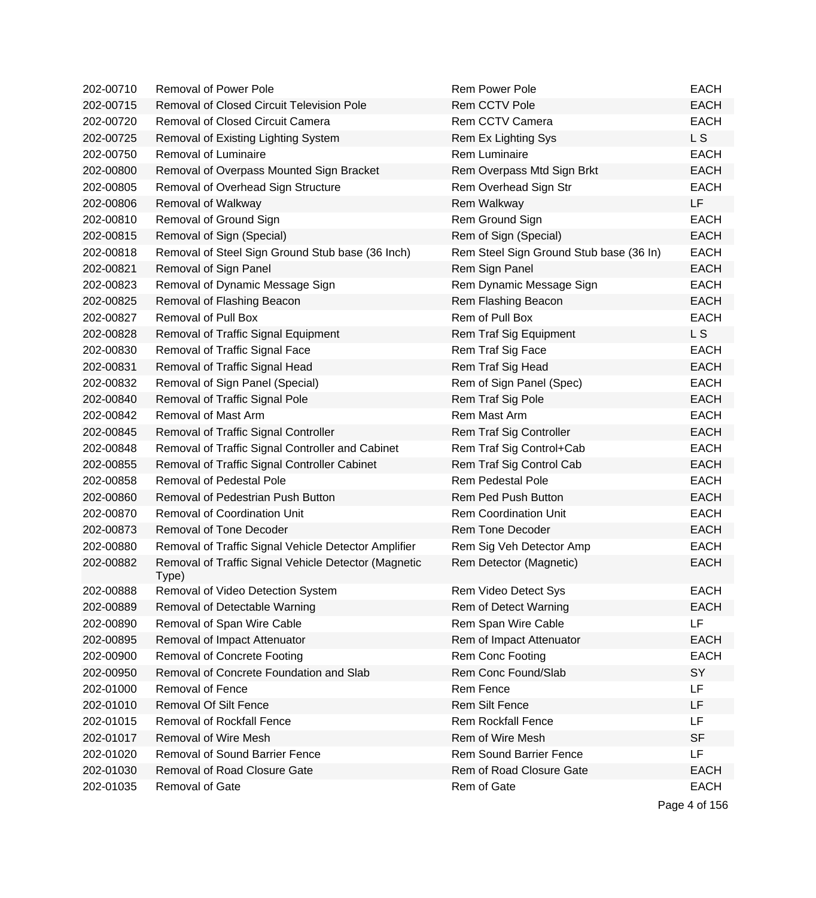| 202-00710 | <b>Removal of Power Pole</b>                                  | <b>Rem Power Pole</b>                   | <b>EACH</b>    |
|-----------|---------------------------------------------------------------|-----------------------------------------|----------------|
| 202-00715 | <b>Removal of Closed Circuit Television Pole</b>              | <b>Rem CCTV Pole</b>                    | <b>EACH</b>    |
| 202-00720 | Removal of Closed Circuit Camera                              | Rem CCTV Camera                         | <b>EACH</b>    |
| 202-00725 | Removal of Existing Lighting System                           | Rem Ex Lighting Sys                     | L S            |
| 202-00750 | Removal of Luminaire                                          | Rem Luminaire                           | <b>EACH</b>    |
| 202-00800 | Removal of Overpass Mounted Sign Bracket                      | Rem Overpass Mtd Sign Brkt              | <b>EACH</b>    |
| 202-00805 | Removal of Overhead Sign Structure                            | Rem Overhead Sign Str                   | <b>EACH</b>    |
| 202-00806 | Removal of Walkway                                            | Rem Walkway                             | LF             |
| 202-00810 | Removal of Ground Sign                                        | Rem Ground Sign                         | <b>EACH</b>    |
| 202-00815 | Removal of Sign (Special)                                     | Rem of Sign (Special)                   | <b>EACH</b>    |
| 202-00818 | Removal of Steel Sign Ground Stub base (36 Inch)              | Rem Steel Sign Ground Stub base (36 In) | <b>EACH</b>    |
| 202-00821 | Removal of Sign Panel                                         | Rem Sign Panel                          | <b>EACH</b>    |
| 202-00823 | Removal of Dynamic Message Sign                               | Rem Dynamic Message Sign                | <b>EACH</b>    |
| 202-00825 | Removal of Flashing Beacon                                    | Rem Flashing Beacon                     | <b>EACH</b>    |
| 202-00827 | <b>Removal of Pull Box</b>                                    | Rem of Pull Box                         | <b>EACH</b>    |
| 202-00828 | Removal of Traffic Signal Equipment                           | Rem Traf Sig Equipment                  | L <sub>S</sub> |
| 202-00830 | Removal of Traffic Signal Face                                | Rem Traf Sig Face                       | <b>EACH</b>    |
| 202-00831 | Removal of Traffic Signal Head                                | Rem Traf Sig Head                       | <b>EACH</b>    |
| 202-00832 | Removal of Sign Panel (Special)                               | Rem of Sign Panel (Spec)                | <b>EACH</b>    |
| 202-00840 | Removal of Traffic Signal Pole                                | Rem Traf Sig Pole                       | <b>EACH</b>    |
| 202-00842 | Removal of Mast Arm                                           | Rem Mast Arm                            | <b>EACH</b>    |
| 202-00845 | Removal of Traffic Signal Controller                          | Rem Traf Sig Controller                 | <b>EACH</b>    |
| 202-00848 | Removal of Traffic Signal Controller and Cabinet              | Rem Traf Sig Control+Cab                | <b>EACH</b>    |
| 202-00855 | Removal of Traffic Signal Controller Cabinet                  | Rem Traf Sig Control Cab                | <b>EACH</b>    |
| 202-00858 | <b>Removal of Pedestal Pole</b>                               | <b>Rem Pedestal Pole</b>                | <b>EACH</b>    |
| 202-00860 | Removal of Pedestrian Push Button                             | Rem Ped Push Button                     | <b>EACH</b>    |
| 202-00870 | <b>Removal of Coordination Unit</b>                           | <b>Rem Coordination Unit</b>            | <b>EACH</b>    |
| 202-00873 | Removal of Tone Decoder                                       | Rem Tone Decoder                        | <b>EACH</b>    |
| 202-00880 | Removal of Traffic Signal Vehicle Detector Amplifier          | Rem Sig Veh Detector Amp                | <b>EACH</b>    |
| 202-00882 | Removal of Traffic Signal Vehicle Detector (Magnetic<br>Type) | Rem Detector (Magnetic)                 | <b>EACH</b>    |
| 202-00888 | Removal of Video Detection System                             | <b>Rem Video Detect Sys</b>             | <b>EACH</b>    |
| 202-00889 | Removal of Detectable Warning                                 | Rem of Detect Warning                   | <b>EACH</b>    |
| 202-00890 | Removal of Span Wire Cable                                    | Rem Span Wire Cable                     | LF             |
| 202-00895 | Removal of Impact Attenuator                                  | Rem of Impact Attenuator                | <b>EACH</b>    |
| 202-00900 | <b>Removal of Concrete Footing</b>                            | Rem Conc Footing                        | <b>EACH</b>    |
| 202-00950 | Removal of Concrete Foundation and Slab                       | Rem Conc Found/Slab                     | SY             |
| 202-01000 | <b>Removal of Fence</b>                                       | Rem Fence                               | LF             |
| 202-01010 | <b>Removal Of Silt Fence</b>                                  | <b>Rem Silt Fence</b>                   | LF             |
| 202-01015 | <b>Removal of Rockfall Fence</b>                              | <b>Rem Rockfall Fence</b>               | LF             |
| 202-01017 | Removal of Wire Mesh                                          | Rem of Wire Mesh                        | <b>SF</b>      |
| 202-01020 | <b>Removal of Sound Barrier Fence</b>                         | <b>Rem Sound Barrier Fence</b>          | LF             |
| 202-01030 | <b>Removal of Road Closure Gate</b>                           | Rem of Road Closure Gate                | <b>EACH</b>    |
| 202-01035 | Removal of Gate                                               | Rem of Gate                             | <b>EACH</b>    |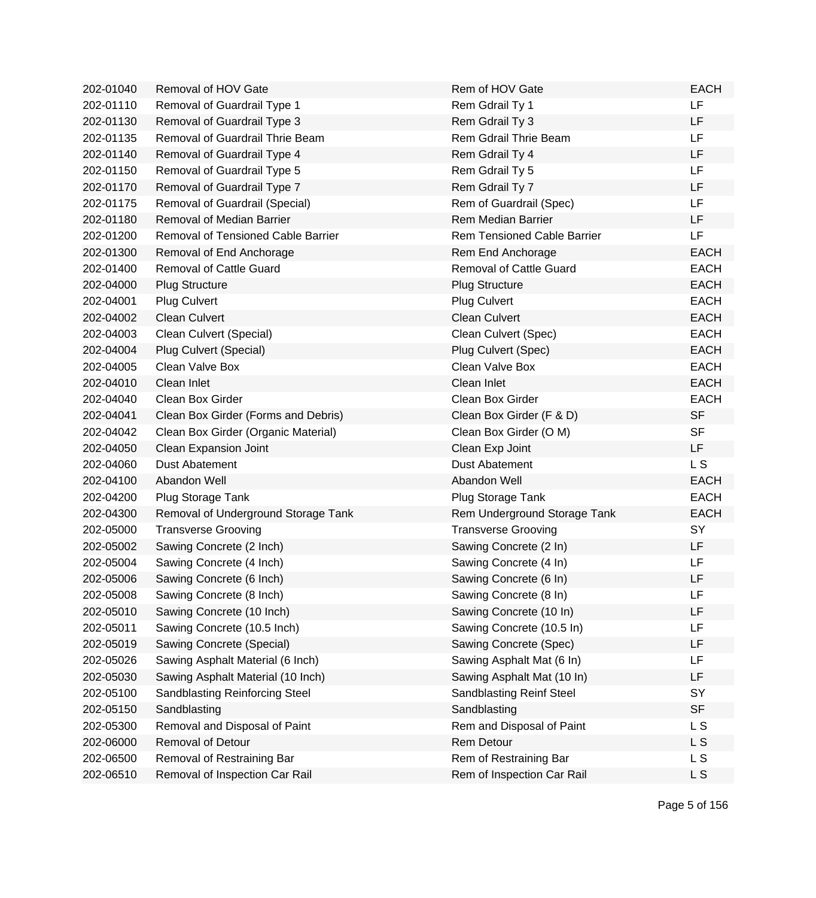| 202-01040 | Removal of HOV Gate                   | Rem of HOV Gate                    | <b>EACH</b>    |
|-----------|---------------------------------------|------------------------------------|----------------|
| 202-01110 | Removal of Guardrail Type 1           | Rem Gdrail Ty 1                    | LF             |
| 202-01130 | Removal of Guardrail Type 3           | Rem Gdrail Ty 3                    | LF             |
| 202-01135 | Removal of Guardrail Thrie Beam       | Rem Gdrail Thrie Beam              | <b>LF</b>      |
| 202-01140 | Removal of Guardrail Type 4           | Rem Gdrail Ty 4                    | LF             |
| 202-01150 | Removal of Guardrail Type 5           | Rem Gdrail Ty 5                    | LF             |
| 202-01170 | Removal of Guardrail Type 7           | Rem Gdrail Ty 7                    | LF             |
| 202-01175 | Removal of Guardrail (Special)        | Rem of Guardrail (Spec)            | LF             |
| 202-01180 | Removal of Median Barrier             | <b>Rem Median Barrier</b>          | LF             |
| 202-01200 | Removal of Tensioned Cable Barrier    | <b>Rem Tensioned Cable Barrier</b> | LF             |
| 202-01300 | Removal of End Anchorage              | Rem End Anchorage                  | <b>EACH</b>    |
| 202-01400 | <b>Removal of Cattle Guard</b>        | <b>Removal of Cattle Guard</b>     | <b>EACH</b>    |
| 202-04000 | <b>Plug Structure</b>                 | <b>Plug Structure</b>              | <b>EACH</b>    |
| 202-04001 | <b>Plug Culvert</b>                   | <b>Plug Culvert</b>                | <b>EACH</b>    |
| 202-04002 | <b>Clean Culvert</b>                  | <b>Clean Culvert</b>               | <b>EACH</b>    |
| 202-04003 | Clean Culvert (Special)               | Clean Culvert (Spec)               | <b>EACH</b>    |
| 202-04004 | Plug Culvert (Special)                | Plug Culvert (Spec)                | <b>EACH</b>    |
| 202-04005 | Clean Valve Box                       | Clean Valve Box                    | <b>EACH</b>    |
| 202-04010 | Clean Inlet                           | Clean Inlet                        | <b>EACH</b>    |
| 202-04040 | Clean Box Girder                      | Clean Box Girder                   | <b>EACH</b>    |
| 202-04041 | Clean Box Girder (Forms and Debris)   | Clean Box Girder (F & D)           | <b>SF</b>      |
| 202-04042 | Clean Box Girder (Organic Material)   | Clean Box Girder (O M)             | <b>SF</b>      |
| 202-04050 | Clean Expansion Joint                 | Clean Exp Joint                    | LF             |
| 202-04060 | <b>Dust Abatement</b>                 | <b>Dust Abatement</b>              | L <sub>S</sub> |
| 202-04100 | Abandon Well                          | Abandon Well                       | <b>EACH</b>    |
| 202-04200 | Plug Storage Tank                     | Plug Storage Tank                  | <b>EACH</b>    |
| 202-04300 | Removal of Underground Storage Tank   | Rem Underground Storage Tank       | <b>EACH</b>    |
| 202-05000 | <b>Transverse Grooving</b>            | <b>Transverse Grooving</b>         | SY             |
| 202-05002 | Sawing Concrete (2 Inch)              | Sawing Concrete (2 In)             | LF             |
| 202-05004 | Sawing Concrete (4 Inch)              | Sawing Concrete (4 In)             | LF             |
| 202-05006 | Sawing Concrete (6 Inch)              | Sawing Concrete (6 In)             | LF             |
| 202-05008 | Sawing Concrete (8 Inch)              | Sawing Concrete (8 In)             | LF             |
| 202-05010 | Sawing Concrete (10 Inch)             | Sawing Concrete (10 In)            | LF             |
| 202-05011 | Sawing Concrete (10.5 Inch)           | Sawing Concrete (10.5 In)          | LF             |
| 202-05019 | Sawing Concrete (Special)             | Sawing Concrete (Spec)             | LF             |
| 202-05026 | Sawing Asphalt Material (6 Inch)      | Sawing Asphalt Mat (6 In)          | LF             |
| 202-05030 | Sawing Asphalt Material (10 Inch)     | Sawing Asphalt Mat (10 In)         | LF             |
| 202-05100 | <b>Sandblasting Reinforcing Steel</b> | Sandblasting Reinf Steel           | SY             |
| 202-05150 | Sandblasting                          | Sandblasting                       | <b>SF</b>      |
| 202-05300 | Removal and Disposal of Paint         | Rem and Disposal of Paint          | L S            |
| 202-06000 | <b>Removal of Detour</b>              | Rem Detour                         | L S            |
| 202-06500 | Removal of Restraining Bar            | Rem of Restraining Bar             | L S            |
| 202-06510 | Removal of Inspection Car Rail        | Rem of Inspection Car Rail         | L S            |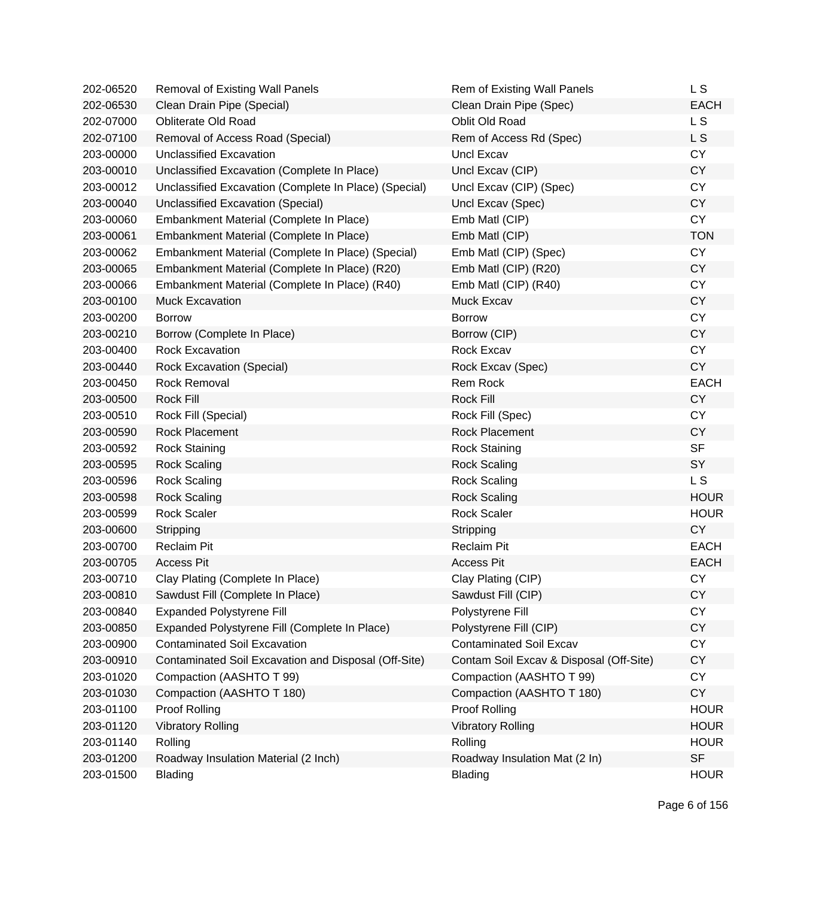| 202-06520 | <b>Removal of Existing Wall Panels</b>                | Rem of Existing Wall Panels             | L S            |
|-----------|-------------------------------------------------------|-----------------------------------------|----------------|
| 202-06530 | Clean Drain Pipe (Special)                            | Clean Drain Pipe (Spec)                 | <b>EACH</b>    |
| 202-07000 | <b>Obliterate Old Road</b>                            | Oblit Old Road                          | L <sub>S</sub> |
| 202-07100 | Removal of Access Road (Special)                      | Rem of Access Rd (Spec)                 | L S            |
| 203-00000 | Unclassified Excavation                               | Uncl Excav                              | <b>CY</b>      |
| 203-00010 | Unclassified Excavation (Complete In Place)           | Uncl Excav (CIP)                        | <b>CY</b>      |
| 203-00012 | Unclassified Excavation (Complete In Place) (Special) | Uncl Excav (CIP) (Spec)                 | <b>CY</b>      |
| 203-00040 | Unclassified Excavation (Special)                     | Uncl Excav (Spec)                       | <b>CY</b>      |
| 203-00060 | Embankment Material (Complete In Place)               | Emb Matl (CIP)                          | <b>CY</b>      |
| 203-00061 | Embankment Material (Complete In Place)               | Emb Matl (CIP)                          | <b>TON</b>     |
| 203-00062 | Embankment Material (Complete In Place) (Special)     | Emb Matl (CIP) (Spec)                   | <b>CY</b>      |
| 203-00065 | Embankment Material (Complete In Place) (R20)         | Emb Matl (CIP) (R20)                    | <b>CY</b>      |
| 203-00066 | Embankment Material (Complete In Place) (R40)         | Emb Matl (CIP) (R40)                    | <b>CY</b>      |
| 203-00100 | <b>Muck Excavation</b>                                | Muck Excav                              | <b>CY</b>      |
| 203-00200 | <b>Borrow</b>                                         | <b>Borrow</b>                           | <b>CY</b>      |
| 203-00210 | Borrow (Complete In Place)                            | Borrow (CIP)                            | <b>CY</b>      |
| 203-00400 | <b>Rock Excavation</b>                                | <b>Rock Excav</b>                       | <b>CY</b>      |
| 203-00440 | <b>Rock Excavation (Special)</b>                      | Rock Excav (Spec)                       | <b>CY</b>      |
| 203-00450 | <b>Rock Removal</b>                                   | Rem Rock                                | <b>EACH</b>    |
| 203-00500 | <b>Rock Fill</b>                                      | <b>Rock Fill</b>                        | <b>CY</b>      |
| 203-00510 | Rock Fill (Special)                                   | Rock Fill (Spec)                        | <b>CY</b>      |
| 203-00590 | <b>Rock Placement</b>                                 | <b>Rock Placement</b>                   | <b>CY</b>      |
| 203-00592 | <b>Rock Staining</b>                                  | <b>Rock Staining</b>                    | <b>SF</b>      |
| 203-00595 | <b>Rock Scaling</b>                                   | <b>Rock Scaling</b>                     | SY             |
| 203-00596 | <b>Rock Scaling</b>                                   | <b>Rock Scaling</b>                     | L <sub>S</sub> |
| 203-00598 | <b>Rock Scaling</b>                                   | <b>Rock Scaling</b>                     | <b>HOUR</b>    |
| 203-00599 | <b>Rock Scaler</b>                                    | <b>Rock Scaler</b>                      | <b>HOUR</b>    |
| 203-00600 | Stripping                                             | Stripping                               | <b>CY</b>      |
| 203-00700 | <b>Reclaim Pit</b>                                    | <b>Reclaim Pit</b>                      | <b>EACH</b>    |
| 203-00705 | <b>Access Pit</b>                                     | <b>Access Pit</b>                       | <b>EACH</b>    |
| 203-00710 | Clay Plating (Complete In Place)                      | Clay Plating (CIP)                      | <b>CY</b>      |
| 203-00810 | Sawdust Fill (Complete In Place)                      | Sawdust Fill (CIP)                      | <b>CY</b>      |
| 203-00840 | <b>Expanded Polystyrene Fill</b>                      | Polystyrene Fill                        | <b>CY</b>      |
| 203-00850 | Expanded Polystyrene Fill (Complete In Place)         | Polystyrene Fill (CIP)                  | <b>CY</b>      |
| 203-00900 | <b>Contaminated Soil Excavation</b>                   | <b>Contaminated Soil Excav</b>          | <b>CY</b>      |
| 203-00910 | Contaminated Soil Excavation and Disposal (Off-Site)  | Contam Soil Excav & Disposal (Off-Site) | <b>CY</b>      |
| 203-01020 | Compaction (AASHTO T 99)                              | Compaction (AASHTO T 99)                | <b>CY</b>      |
| 203-01030 | Compaction (AASHTO T 180)                             | Compaction (AASHTO T 180)               | <b>CY</b>      |
| 203-01100 | Proof Rolling                                         | <b>Proof Rolling</b>                    | <b>HOUR</b>    |
| 203-01120 | <b>Vibratory Rolling</b>                              | <b>Vibratory Rolling</b>                | <b>HOUR</b>    |
| 203-01140 | Rolling                                               | Rolling                                 | <b>HOUR</b>    |
| 203-01200 | Roadway Insulation Material (2 Inch)                  | Roadway Insulation Mat (2 In)           | <b>SF</b>      |
| 203-01500 | <b>Blading</b>                                        | Blading                                 | <b>HOUR</b>    |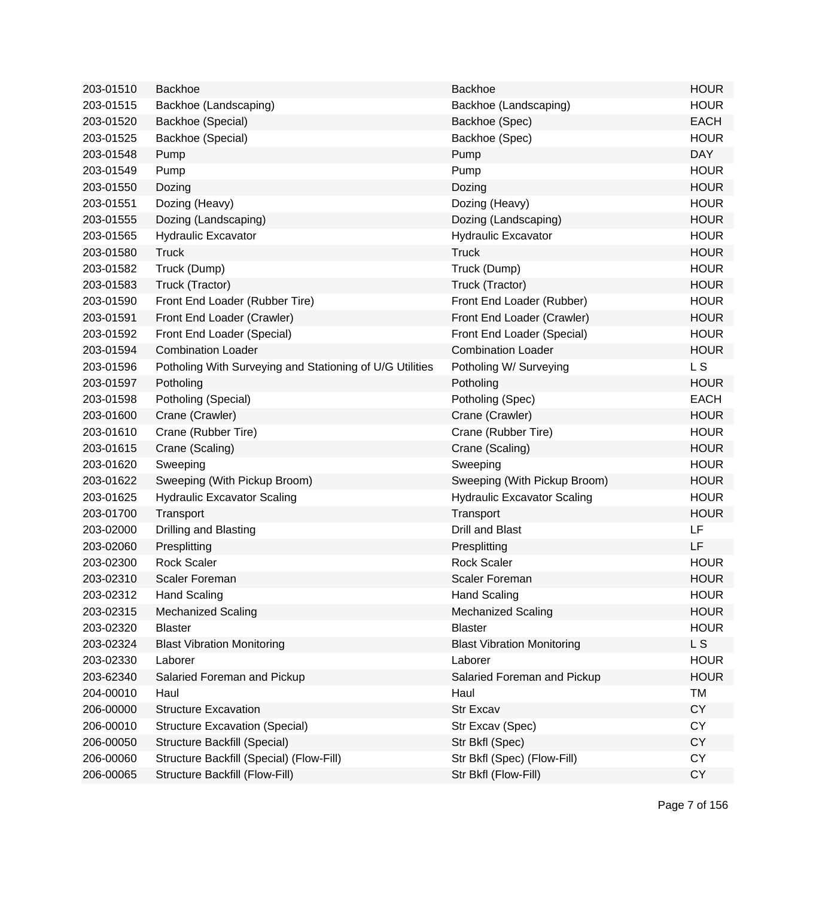| 203-01510 | <b>Backhoe</b>                                           | <b>Backhoe</b>                     | <b>HOUR</b>    |
|-----------|----------------------------------------------------------|------------------------------------|----------------|
| 203-01515 | Backhoe (Landscaping)                                    | Backhoe (Landscaping)              | <b>HOUR</b>    |
| 203-01520 | Backhoe (Special)                                        | Backhoe (Spec)                     | <b>EACH</b>    |
| 203-01525 | Backhoe (Special)                                        | Backhoe (Spec)                     | <b>HOUR</b>    |
| 203-01548 | Pump                                                     | Pump                               | <b>DAY</b>     |
| 203-01549 | Pump                                                     | Pump                               | <b>HOUR</b>    |
| 203-01550 | Dozing                                                   | Dozing                             | <b>HOUR</b>    |
| 203-01551 | Dozing (Heavy)                                           | Dozing (Heavy)                     | <b>HOUR</b>    |
| 203-01555 | Dozing (Landscaping)                                     | Dozing (Landscaping)               | <b>HOUR</b>    |
| 203-01565 | <b>Hydraulic Excavator</b>                               | <b>Hydraulic Excavator</b>         | <b>HOUR</b>    |
| 203-01580 | <b>Truck</b>                                             | <b>Truck</b>                       | <b>HOUR</b>    |
| 203-01582 | Truck (Dump)                                             | Truck (Dump)                       | <b>HOUR</b>    |
| 203-01583 | Truck (Tractor)                                          | Truck (Tractor)                    | <b>HOUR</b>    |
| 203-01590 | Front End Loader (Rubber Tire)                           | Front End Loader (Rubber)          | <b>HOUR</b>    |
| 203-01591 | Front End Loader (Crawler)                               | Front End Loader (Crawler)         | <b>HOUR</b>    |
| 203-01592 | Front End Loader (Special)                               | Front End Loader (Special)         | <b>HOUR</b>    |
| 203-01594 | <b>Combination Loader</b>                                | <b>Combination Loader</b>          | <b>HOUR</b>    |
| 203-01596 | Potholing With Surveying and Stationing of U/G Utilities | Potholing W/ Surveying             | L <sub>S</sub> |
| 203-01597 | Potholing                                                | Potholing                          | <b>HOUR</b>    |
| 203-01598 | Potholing (Special)                                      | Potholing (Spec)                   | <b>EACH</b>    |
| 203-01600 | Crane (Crawler)                                          | Crane (Crawler)                    | <b>HOUR</b>    |
| 203-01610 | Crane (Rubber Tire)                                      | Crane (Rubber Tire)                | <b>HOUR</b>    |
| 203-01615 | Crane (Scaling)                                          | Crane (Scaling)                    | <b>HOUR</b>    |
| 203-01620 | Sweeping                                                 | Sweeping                           | <b>HOUR</b>    |
| 203-01622 | Sweeping (With Pickup Broom)                             | Sweeping (With Pickup Broom)       | <b>HOUR</b>    |
| 203-01625 | <b>Hydraulic Excavator Scaling</b>                       | <b>Hydraulic Excavator Scaling</b> | <b>HOUR</b>    |
| 203-01700 | Transport                                                | Transport                          | <b>HOUR</b>    |
| 203-02000 | Drilling and Blasting                                    | <b>Drill and Blast</b>             | LF             |
| 203-02060 | Presplitting                                             | Presplitting                       | LF             |
| 203-02300 | <b>Rock Scaler</b>                                       | <b>Rock Scaler</b>                 | <b>HOUR</b>    |
| 203-02310 | <b>Scaler Foreman</b>                                    | <b>Scaler Foreman</b>              | <b>HOUR</b>    |
| 203-02312 | <b>Hand Scaling</b>                                      | <b>Hand Scaling</b>                | <b>HOUR</b>    |
| 203-02315 | <b>Mechanized Scaling</b>                                | <b>Mechanized Scaling</b>          | <b>HOUR</b>    |
| 203-02320 | <b>Blaster</b>                                           | <b>Blaster</b>                     | <b>HOUR</b>    |
| 203-02324 | <b>Blast Vibration Monitoring</b>                        | <b>Blast Vibration Monitoring</b>  | L <sub>S</sub> |
| 203-02330 | Laborer                                                  | Laborer                            | <b>HOUR</b>    |
| 203-62340 | Salaried Foreman and Pickup                              | Salaried Foreman and Pickup        | <b>HOUR</b>    |
| 204-00010 | Haul                                                     | Haul                               | <b>TM</b>      |
| 206-00000 | <b>Structure Excavation</b>                              | Str Excav                          | <b>CY</b>      |
| 206-00010 | <b>Structure Excavation (Special)</b>                    | Str Excav (Spec)                   | <b>CY</b>      |
| 206-00050 | Structure Backfill (Special)                             | Str Bkfl (Spec)                    | <b>CY</b>      |
| 206-00060 | Structure Backfill (Special) (Flow-Fill)                 | Str Bkfl (Spec) (Flow-Fill)        | CY             |
| 206-00065 | Structure Backfill (Flow-Fill)                           | Str Bkfl (Flow-Fill)               | <b>CY</b>      |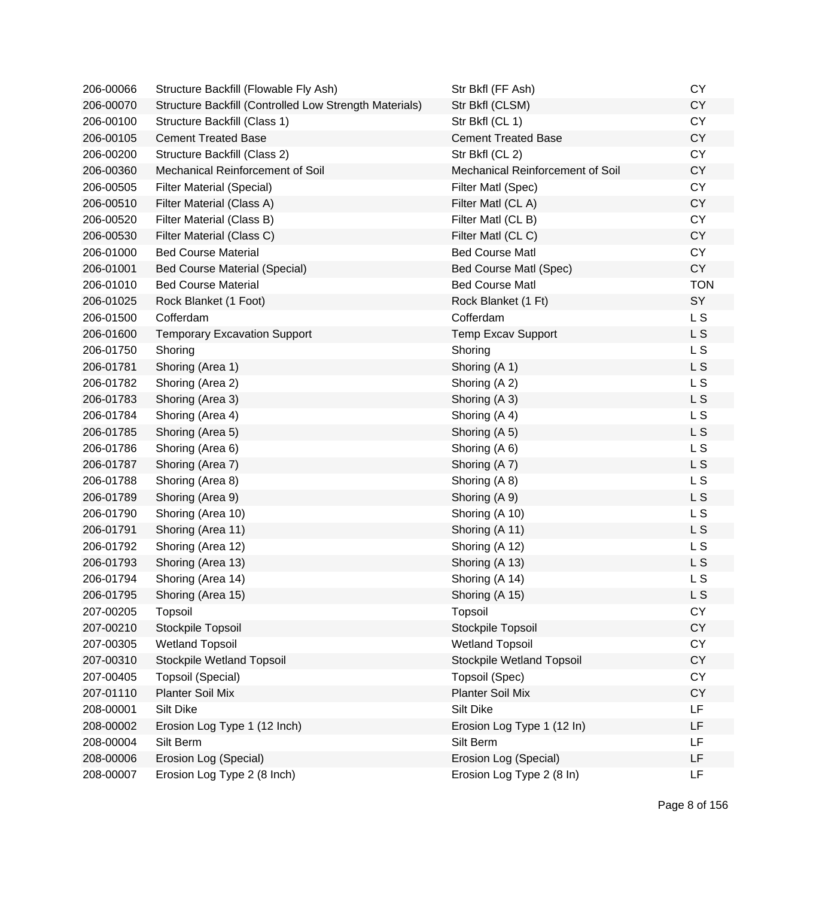| 206-00066 | Structure Backfill (Flowable Fly Ash)                  | Str Bkfl (FF Ash)                | <b>CY</b>      |
|-----------|--------------------------------------------------------|----------------------------------|----------------|
| 206-00070 | Structure Backfill (Controlled Low Strength Materials) | Str Bkfl (CLSM)                  | <b>CY</b>      |
| 206-00100 | Structure Backfill (Class 1)                           | Str Bkfl (CL 1)                  | <b>CY</b>      |
| 206-00105 | <b>Cement Treated Base</b>                             | <b>Cement Treated Base</b>       | <b>CY</b>      |
| 206-00200 | Structure Backfill (Class 2)                           | Str Bkfl (CL 2)                  | <b>CY</b>      |
| 206-00360 | Mechanical Reinforcement of Soil                       | Mechanical Reinforcement of Soil | <b>CY</b>      |
| 206-00505 | <b>Filter Material (Special)</b>                       | Filter Matl (Spec)               | <b>CY</b>      |
| 206-00510 | Filter Material (Class A)                              | Filter Matl (CL A)               | <b>CY</b>      |
| 206-00520 | Filter Material (Class B)                              | Filter Matl (CL B)               | <b>CY</b>      |
| 206-00530 | Filter Material (Class C)                              | Filter Matl (CLC)                | <b>CY</b>      |
| 206-01000 | <b>Bed Course Material</b>                             | <b>Bed Course Matl</b>           | <b>CY</b>      |
| 206-01001 | <b>Bed Course Material (Special)</b>                   | Bed Course Matl (Spec)           | <b>CY</b>      |
| 206-01010 | <b>Bed Course Material</b>                             | <b>Bed Course Matl</b>           | <b>TON</b>     |
| 206-01025 | Rock Blanket (1 Foot)                                  | Rock Blanket (1 Ft)              | SY             |
| 206-01500 | Cofferdam                                              | Cofferdam                        | L S            |
| 206-01600 | <b>Temporary Excavation Support</b>                    | <b>Temp Excav Support</b>        | L S            |
| 206-01750 | Shoring                                                | Shoring                          | L S            |
| 206-01781 | Shoring (Area 1)                                       | Shoring (A 1)                    | L <sub>S</sub> |
| 206-01782 | Shoring (Area 2)                                       | Shoring (A 2)                    | L S            |
| 206-01783 | Shoring (Area 3)                                       | Shoring (A 3)                    | L <sub>S</sub> |
| 206-01784 | Shoring (Area 4)                                       | Shoring (A 4)                    | L S            |
| 206-01785 | Shoring (Area 5)                                       | Shoring (A 5)                    | L S            |
| 206-01786 | Shoring (Area 6)                                       | Shoring (A 6)                    | L S            |
| 206-01787 | Shoring (Area 7)                                       | Shoring (A 7)                    | L S            |
| 206-01788 | Shoring (Area 8)                                       | Shoring (A 8)                    | L S            |
| 206-01789 | Shoring (Area 9)                                       | Shoring (A 9)                    | L S            |
| 206-01790 | Shoring (Area 10)                                      | Shoring (A 10)                   | L S            |
| 206-01791 | Shoring (Area 11)                                      | Shoring (A 11)                   | L <sub>S</sub> |
| 206-01792 | Shoring (Area 12)                                      | Shoring (A 12)                   | L S            |
| 206-01793 | Shoring (Area 13)                                      | Shoring (A 13)                   | L S            |
| 206-01794 | Shoring (Area 14)                                      | Shoring (A 14)                   | L S            |
| 206-01795 | Shoring (Area 15)                                      | Shoring (A 15)                   | L S            |
| 207-00205 | Topsoil                                                | Topsoil                          | <b>CY</b>      |
| 207-00210 | Stockpile Topsoil                                      | Stockpile Topsoil                | <b>CY</b>      |
| 207-00305 | <b>Wetland Topsoil</b>                                 | <b>Wetland Topsoil</b>           | <b>CY</b>      |
| 207-00310 | Stockpile Wetland Topsoil                              | Stockpile Wetland Topsoil        | <b>CY</b>      |
| 207-00405 | <b>Topsoil (Special)</b>                               | Topsoil (Spec)                   | <b>CY</b>      |
| 207-01110 | <b>Planter Soil Mix</b>                                | Planter Soil Mix                 | <b>CY</b>      |
| 208-00001 | Silt Dike                                              | Silt Dike                        | LF             |
| 208-00002 | Erosion Log Type 1 (12 Inch)                           | Erosion Log Type 1 (12 In)       | LF             |
| 208-00004 | Silt Berm                                              | Silt Berm                        | LF             |
| 208-00006 | Erosion Log (Special)                                  | Erosion Log (Special)            | LF             |
| 208-00007 | Erosion Log Type 2 (8 Inch)                            | Erosion Log Type 2 (8 In)        | LF             |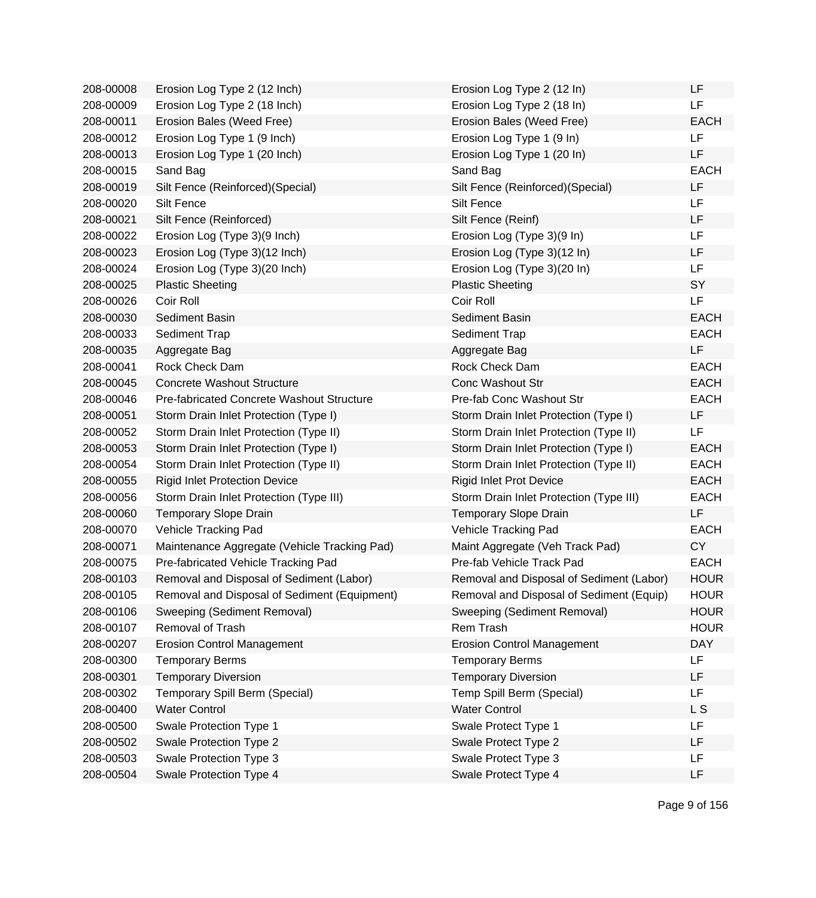| 208-00008 | Erosion Log Type 2 (12 Inch)                 | Erosion Log Type 2 (12 In)               | LF          |
|-----------|----------------------------------------------|------------------------------------------|-------------|
| 208-00009 | Erosion Log Type 2 (18 Inch)                 | Erosion Log Type 2 (18 In)               | LF          |
| 208-00011 | Erosion Bales (Weed Free)                    | Erosion Bales (Weed Free)                | <b>EACH</b> |
| 208-00012 | Erosion Log Type 1 (9 Inch)                  | Erosion Log Type 1 (9 In)                | LF          |
| 208-00013 | Erosion Log Type 1 (20 Inch)                 | Erosion Log Type 1 (20 In)               | LF          |
| 208-00015 | Sand Bag                                     | Sand Bag                                 | <b>EACH</b> |
| 208-00019 | Silt Fence (Reinforced) (Special)            | Silt Fence (Reinforced)(Special)         | LF          |
| 208-00020 | Silt Fence                                   | Silt Fence                               | LF          |
| 208-00021 | Silt Fence (Reinforced)                      | Silt Fence (Reinf)                       | LF          |
| 208-00022 | Erosion Log (Type 3)(9 Inch)                 | Erosion Log (Type 3)(9 In)               | LF          |
| 208-00023 | Erosion Log (Type 3)(12 Inch)                | Erosion Log (Type 3)(12 In)              | LF          |
| 208-00024 | Erosion Log (Type 3)(20 Inch)                | Erosion Log (Type 3)(20 In)              | LF          |
| 208-00025 | <b>Plastic Sheeting</b>                      | <b>Plastic Sheeting</b>                  | SY          |
| 208-00026 | Coir Roll                                    | Coir Roll                                | LF          |
| 208-00030 | Sediment Basin                               | Sediment Basin                           | <b>EACH</b> |
| 208-00033 | Sediment Trap                                | Sediment Trap                            | <b>EACH</b> |
| 208-00035 | Aggregate Bag                                | Aggregate Bag                            | LF          |
| 208-00041 | Rock Check Dam                               | Rock Check Dam                           | <b>EACH</b> |
| 208-00045 | <b>Concrete Washout Structure</b>            | <b>Conc Washout Str</b>                  | <b>EACH</b> |
| 208-00046 | Pre-fabricated Concrete Washout Structure    | Pre-fab Conc Washout Str                 | <b>EACH</b> |
| 208-00051 | Storm Drain Inlet Protection (Type I)        | Storm Drain Inlet Protection (Type I)    | LF          |
| 208-00052 | Storm Drain Inlet Protection (Type II)       | Storm Drain Inlet Protection (Type II)   | LF          |
| 208-00053 | Storm Drain Inlet Protection (Type I)        | Storm Drain Inlet Protection (Type I)    | <b>EACH</b> |
| 208-00054 | Storm Drain Inlet Protection (Type II)       | Storm Drain Inlet Protection (Type II)   | <b>EACH</b> |
| 208-00055 | <b>Rigid Inlet Protection Device</b>         | <b>Rigid Inlet Prot Device</b>           | <b>EACH</b> |
| 208-00056 | Storm Drain Inlet Protection (Type III)      | Storm Drain Inlet Protection (Type III)  | <b>EACH</b> |
| 208-00060 | <b>Temporary Slope Drain</b>                 | <b>Temporary Slope Drain</b>             | LF          |
| 208-00070 | Vehicle Tracking Pad                         | Vehicle Tracking Pad                     | <b>EACH</b> |
| 208-00071 | Maintenance Aggregate (Vehicle Tracking Pad) | Maint Aggregate (Veh Track Pad)          | <b>CY</b>   |
| 208-00075 | Pre-fabricated Vehicle Tracking Pad          | Pre-fab Vehicle Track Pad                | <b>EACH</b> |
| 208-00103 | Removal and Disposal of Sediment (Labor)     | Removal and Disposal of Sediment (Labor) | <b>HOUR</b> |
| 208-00105 | Removal and Disposal of Sediment (Equipment) | Removal and Disposal of Sediment (Equip) | HOUR        |
| 208-00106 | Sweeping (Sediment Removal)                  | Sweeping (Sediment Removal)              | <b>HOUR</b> |
| 208-00107 | Removal of Trash                             | Rem Trash                                | <b>HOUR</b> |
| 208-00207 | <b>Erosion Control Management</b>            | <b>Erosion Control Management</b>        | <b>DAY</b>  |
| 208-00300 | <b>Temporary Berms</b>                       | <b>Temporary Berms</b>                   | LF          |
| 208-00301 | <b>Temporary Diversion</b>                   | <b>Temporary Diversion</b>               | LF          |
| 208-00302 | Temporary Spill Berm (Special)               | Temp Spill Berm (Special)                | LF          |
| 208-00400 | <b>Water Control</b>                         | <b>Water Control</b>                     | L S         |
| 208-00500 | Swale Protection Type 1                      | Swale Protect Type 1                     | LF          |
| 208-00502 | Swale Protection Type 2                      | Swale Protect Type 2                     | LF          |
| 208-00503 | Swale Protection Type 3                      | Swale Protect Type 3                     | LF          |
| 208-00504 | Swale Protection Type 4                      | Swale Protect Type 4                     | LF          |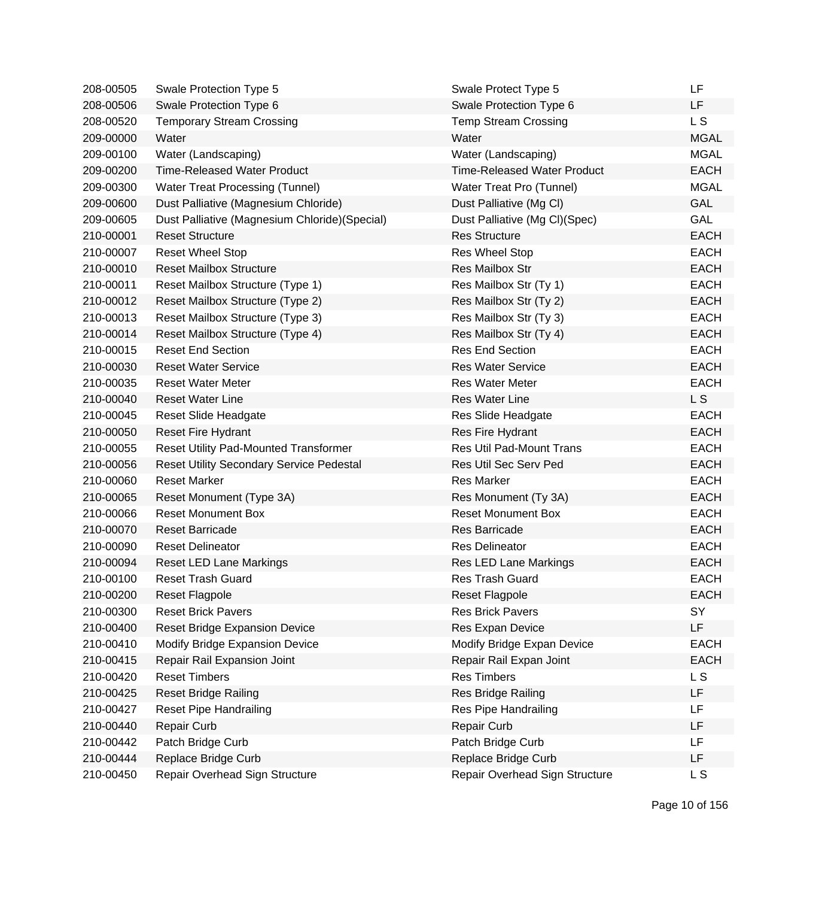| 208-00505 | Swale Protection Type 5                        | Swale Protect Type 5               | LF          |
|-----------|------------------------------------------------|------------------------------------|-------------|
| 208-00506 | Swale Protection Type 6                        | Swale Protection Type 6            | LF          |
| 208-00520 | <b>Temporary Stream Crossing</b>               | <b>Temp Stream Crossing</b>        | L S         |
| 209-00000 | Water                                          | Water                              | <b>MGAL</b> |
| 209-00100 | Water (Landscaping)                            | Water (Landscaping)                | <b>MGAL</b> |
| 209-00200 | <b>Time-Released Water Product</b>             | <b>Time-Released Water Product</b> | <b>EACH</b> |
| 209-00300 | Water Treat Processing (Tunnel)                | Water Treat Pro (Tunnel)           | <b>MGAL</b> |
| 209-00600 | Dust Palliative (Magnesium Chloride)           | Dust Palliative (Mg Cl)            | <b>GAL</b>  |
| 209-00605 | Dust Palliative (Magnesium Chloride) (Special) | Dust Palliative (Mg Cl)(Spec)      | <b>GAL</b>  |
| 210-00001 | <b>Reset Structure</b>                         | <b>Res Structure</b>               | <b>EACH</b> |
| 210-00007 | <b>Reset Wheel Stop</b>                        | <b>Res Wheel Stop</b>              | <b>EACH</b> |
| 210-00010 | <b>Reset Mailbox Structure</b>                 | <b>Res Mailbox Str</b>             | <b>EACH</b> |
| 210-00011 | Reset Mailbox Structure (Type 1)               | Res Mailbox Str (Ty 1)             | <b>EACH</b> |
| 210-00012 | Reset Mailbox Structure (Type 2)               | Res Mailbox Str (Ty 2)             | <b>EACH</b> |
| 210-00013 | Reset Mailbox Structure (Type 3)               | Res Mailbox Str (Ty 3)             | <b>EACH</b> |
| 210-00014 | Reset Mailbox Structure (Type 4)               | Res Mailbox Str (Ty 4)             | <b>EACH</b> |
| 210-00015 | <b>Reset End Section</b>                       | <b>Res End Section</b>             | <b>EACH</b> |
| 210-00030 | <b>Reset Water Service</b>                     | <b>Res Water Service</b>           | <b>EACH</b> |
| 210-00035 | <b>Reset Water Meter</b>                       | <b>Res Water Meter</b>             | <b>EACH</b> |
| 210-00040 | <b>Reset Water Line</b>                        | <b>Res Water Line</b>              | L S         |
| 210-00045 | <b>Reset Slide Headgate</b>                    | Res Slide Headgate                 | <b>EACH</b> |
| 210-00050 | <b>Reset Fire Hydrant</b>                      | Res Fire Hydrant                   | <b>EACH</b> |
| 210-00055 | <b>Reset Utility Pad-Mounted Transformer</b>   | <b>Res Util Pad-Mount Trans</b>    | <b>EACH</b> |
| 210-00056 | Reset Utility Secondary Service Pedestal       | Res Util Sec Serv Ped              | <b>EACH</b> |
| 210-00060 | <b>Reset Marker</b>                            | <b>Res Marker</b>                  | <b>EACH</b> |
| 210-00065 | Reset Monument (Type 3A)                       | Res Monument (Ty 3A)               | <b>EACH</b> |
| 210-00066 | <b>Reset Monument Box</b>                      | <b>Reset Monument Box</b>          | <b>EACH</b> |
| 210-00070 | <b>Reset Barricade</b>                         | <b>Res Barricade</b>               | <b>EACH</b> |
| 210-00090 | <b>Reset Delineator</b>                        | <b>Res Delineator</b>              | <b>EACH</b> |
| 210-00094 | Reset LED Lane Markings                        | Res LED Lane Markings              | <b>EACH</b> |
| 210-00100 | <b>Reset Trash Guard</b>                       | Res Trash Guard                    | <b>EACH</b> |
| 210-00200 | <b>Reset Flagpole</b>                          | <b>Reset Flagpole</b>              | <b>EACH</b> |
| 210-00300 | <b>Reset Brick Pavers</b>                      | <b>Res Brick Pavers</b>            | SY          |
| 210-00400 | Reset Bridge Expansion Device                  | Res Expan Device                   | LF          |
| 210-00410 | Modify Bridge Expansion Device                 | Modify Bridge Expan Device         | <b>EACH</b> |
| 210-00415 | Repair Rail Expansion Joint                    | Repair Rail Expan Joint            | <b>EACH</b> |
| 210-00420 | <b>Reset Timbers</b>                           | <b>Res Timbers</b>                 | L S         |
| 210-00425 | Reset Bridge Railing                           | Res Bridge Railing                 | LF          |
| 210-00427 | <b>Reset Pipe Handrailing</b>                  | Res Pipe Handrailing               | LF          |
| 210-00440 | <b>Repair Curb</b>                             | <b>Repair Curb</b>                 | LF          |
| 210-00442 | Patch Bridge Curb                              | Patch Bridge Curb                  | <b>LF</b>   |
| 210-00444 | Replace Bridge Curb                            | Replace Bridge Curb                | LF          |
| 210-00450 | Repair Overhead Sign Structure                 | Repair Overhead Sign Structure     | L S         |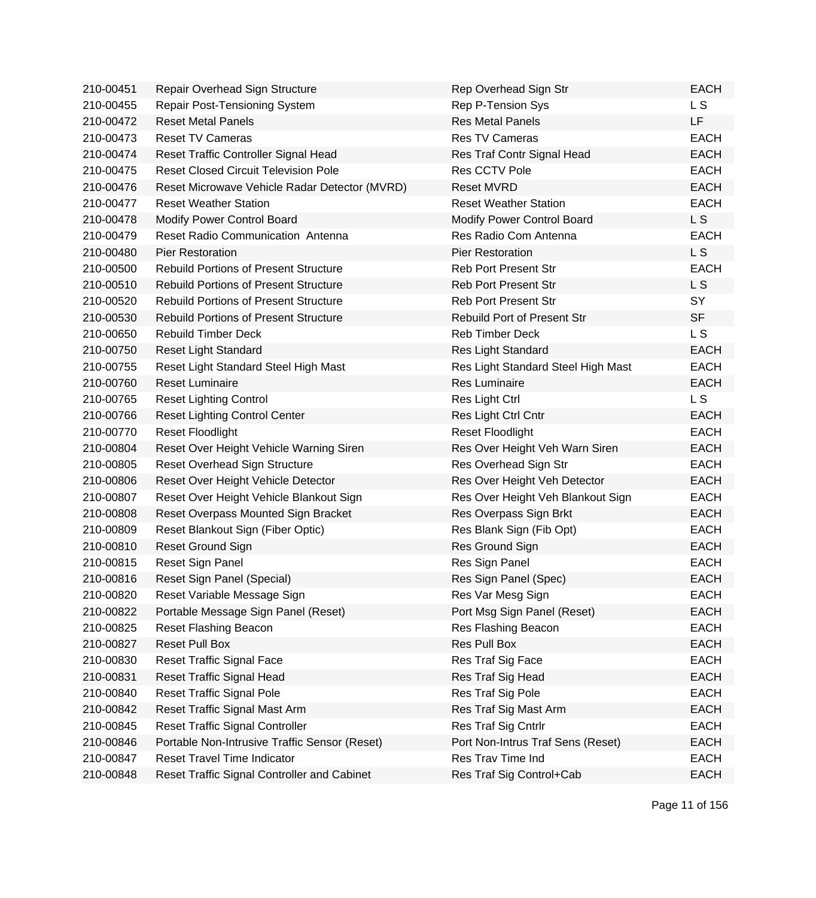| 210-00451 | Repair Overhead Sign Structure                | Rep Overhead Sign Str              | <b>EACH</b>    |
|-----------|-----------------------------------------------|------------------------------------|----------------|
| 210-00455 | Repair Post-Tensioning System                 | Rep P-Tension Sys                  | L S            |
| 210-00472 | <b>Reset Metal Panels</b>                     | <b>Res Metal Panels</b>            | <b>LF</b>      |
| 210-00473 | <b>Reset TV Cameras</b>                       | <b>Res TV Cameras</b>              | <b>EACH</b>    |
| 210-00474 | Reset Traffic Controller Signal Head          | Res Traf Contr Signal Head         | <b>EACH</b>    |
| 210-00475 | <b>Reset Closed Circuit Television Pole</b>   | Res CCTV Pole                      | <b>EACH</b>    |
| 210-00476 | Reset Microwave Vehicle Radar Detector (MVRD) | <b>Reset MVRD</b>                  | <b>EACH</b>    |
| 210-00477 | <b>Reset Weather Station</b>                  | <b>Reset Weather Station</b>       | <b>EACH</b>    |
| 210-00478 | Modify Power Control Board                    | Modify Power Control Board         | L S            |
| 210-00479 | Reset Radio Communication Antenna             | Res Radio Com Antenna              | <b>EACH</b>    |
| 210-00480 | <b>Pier Restoration</b>                       | <b>Pier Restoration</b>            | <b>LS</b>      |
| 210-00500 | <b>Rebuild Portions of Present Structure</b>  | <b>Reb Port Present Str</b>        | <b>EACH</b>    |
| 210-00510 | <b>Rebuild Portions of Present Structure</b>  | <b>Reb Port Present Str</b>        | L <sub>S</sub> |
| 210-00520 | <b>Rebuild Portions of Present Structure</b>  | <b>Reb Port Present Str</b>        | SY             |
| 210-00530 | <b>Rebuild Portions of Present Structure</b>  | <b>Rebuild Port of Present Str</b> | <b>SF</b>      |
| 210-00650 | <b>Rebuild Timber Deck</b>                    | <b>Reb Timber Deck</b>             | L <sub>S</sub> |
| 210-00750 | <b>Reset Light Standard</b>                   | Res Light Standard                 | <b>EACH</b>    |
| 210-00755 | Reset Light Standard Steel High Mast          | Res Light Standard Steel High Mast | <b>EACH</b>    |
| 210-00760 | <b>Reset Luminaire</b>                        | Res Luminaire                      | <b>EACH</b>    |
| 210-00765 | <b>Reset Lighting Control</b>                 | Res Light Ctrl                     | L S            |
| 210-00766 | <b>Reset Lighting Control Center</b>          | Res Light Ctrl Cntr                | <b>EACH</b>    |
| 210-00770 | <b>Reset Floodlight</b>                       | <b>Reset Floodlight</b>            | <b>EACH</b>    |
| 210-00804 | Reset Over Height Vehicle Warning Siren       | Res Over Height Veh Warn Siren     | <b>EACH</b>    |
| 210-00805 | Reset Overhead Sign Structure                 | Res Overhead Sign Str              | <b>EACH</b>    |
| 210-00806 | Reset Over Height Vehicle Detector            | Res Over Height Veh Detector       | <b>EACH</b>    |
| 210-00807 | Reset Over Height Vehicle Blankout Sign       | Res Over Height Veh Blankout Sign  | <b>EACH</b>    |
| 210-00808 | Reset Overpass Mounted Sign Bracket           | Res Overpass Sign Brkt             | <b>EACH</b>    |
| 210-00809 | Reset Blankout Sign (Fiber Optic)             | Res Blank Sign (Fib Opt)           | <b>EACH</b>    |
| 210-00810 | Reset Ground Sign                             | Res Ground Sign                    | <b>EACH</b>    |
| 210-00815 | Reset Sign Panel                              | Res Sign Panel                     | <b>EACH</b>    |
| 210-00816 | Reset Sign Panel (Special)                    | Res Sign Panel (Spec)              | <b>EACH</b>    |
| 210-00820 | Reset Variable Message Sign                   | Res Var Mesg Sign                  | <b>EACH</b>    |
| 210-00822 | Portable Message Sign Panel (Reset)           | Port Msg Sign Panel (Reset)        | <b>EACH</b>    |
| 210-00825 | Reset Flashing Beacon                         | Res Flashing Beacon                | <b>EACH</b>    |
| 210-00827 | <b>Reset Pull Box</b>                         | Res Pull Box                       | <b>EACH</b>    |
| 210-00830 | <b>Reset Traffic Signal Face</b>              | Res Traf Sig Face                  | <b>EACH</b>    |
| 210-00831 | Reset Traffic Signal Head                     | Res Traf Sig Head                  | <b>EACH</b>    |
| 210-00840 | <b>Reset Traffic Signal Pole</b>              | Res Traf Sig Pole                  | <b>EACH</b>    |
| 210-00842 | Reset Traffic Signal Mast Arm                 | Res Traf Sig Mast Arm              | <b>EACH</b>    |
| 210-00845 | <b>Reset Traffic Signal Controller</b>        | Res Traf Sig Cntrlr                | <b>EACH</b>    |
| 210-00846 | Portable Non-Intrusive Traffic Sensor (Reset) | Port Non-Intrus Traf Sens (Reset)  | <b>EACH</b>    |
| 210-00847 | <b>Reset Travel Time Indicator</b>            | Res Trav Time Ind                  | <b>EACH</b>    |
| 210-00848 | Reset Traffic Signal Controller and Cabinet   | Res Traf Sig Control+Cab           | <b>EACH</b>    |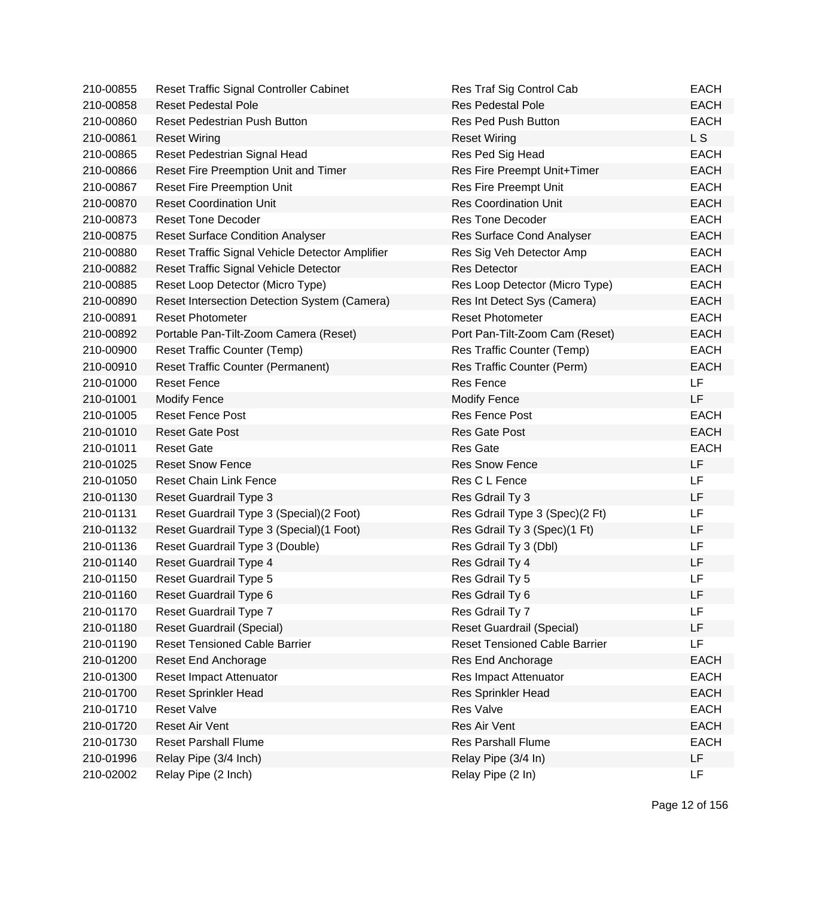| 210-00855 | Reset Traffic Signal Controller Cabinet         | Res Traf Sig Control Cab             | <b>EACH</b> |
|-----------|-------------------------------------------------|--------------------------------------|-------------|
| 210-00858 | <b>Reset Pedestal Pole</b>                      | <b>Res Pedestal Pole</b>             | <b>EACH</b> |
| 210-00860 | <b>Reset Pedestrian Push Button</b>             | Res Ped Push Button                  | <b>EACH</b> |
| 210-00861 | <b>Reset Wiring</b>                             | <b>Reset Wiring</b>                  | L S         |
| 210-00865 | Reset Pedestrian Signal Head                    | Res Ped Sig Head                     | <b>EACH</b> |
| 210-00866 | Reset Fire Preemption Unit and Timer            | Res Fire Preempt Unit+Timer          | <b>EACH</b> |
| 210-00867 | <b>Reset Fire Preemption Unit</b>               | Res Fire Preempt Unit                | <b>EACH</b> |
| 210-00870 | <b>Reset Coordination Unit</b>                  | <b>Res Coordination Unit</b>         | <b>EACH</b> |
| 210-00873 | <b>Reset Tone Decoder</b>                       | <b>Res Tone Decoder</b>              | <b>EACH</b> |
| 210-00875 | <b>Reset Surface Condition Analyser</b>         | Res Surface Cond Analyser            | <b>EACH</b> |
| 210-00880 | Reset Traffic Signal Vehicle Detector Amplifier | Res Sig Veh Detector Amp             | <b>EACH</b> |
| 210-00882 | Reset Traffic Signal Vehicle Detector           | <b>Res Detector</b>                  | <b>EACH</b> |
| 210-00885 | Reset Loop Detector (Micro Type)                | Res Loop Detector (Micro Type)       | <b>EACH</b> |
| 210-00890 | Reset Intersection Detection System (Camera)    | Res Int Detect Sys (Camera)          | <b>EACH</b> |
| 210-00891 | <b>Reset Photometer</b>                         | <b>Reset Photometer</b>              | <b>EACH</b> |
| 210-00892 | Portable Pan-Tilt-Zoom Camera (Reset)           | Port Pan-Tilt-Zoom Cam (Reset)       | <b>EACH</b> |
| 210-00900 | <b>Reset Traffic Counter (Temp)</b>             | Res Traffic Counter (Temp)           | <b>EACH</b> |
| 210-00910 | <b>Reset Traffic Counter (Permanent)</b>        | Res Traffic Counter (Perm)           | <b>EACH</b> |
| 210-01000 | <b>Reset Fence</b>                              | <b>Res Fence</b>                     | LF          |
| 210-01001 | <b>Modify Fence</b>                             | <b>Modify Fence</b>                  | LF          |
| 210-01005 | <b>Reset Fence Post</b>                         | Res Fence Post                       | <b>EACH</b> |
| 210-01010 | <b>Reset Gate Post</b>                          | <b>Res Gate Post</b>                 | <b>EACH</b> |
| 210-01011 | <b>Reset Gate</b>                               | <b>Res Gate</b>                      | <b>EACH</b> |
| 210-01025 | <b>Reset Snow Fence</b>                         | <b>Res Snow Fence</b>                | LF          |
| 210-01050 | <b>Reset Chain Link Fence</b>                   | Res C L Fence                        | LF          |
| 210-01130 | Reset Guardrail Type 3                          | Res Gdrail Ty 3                      | LF          |
| 210-01131 | Reset Guardrail Type 3 (Special) (2 Foot)       | Res Gdrail Type 3 (Spec)(2 Ft)       | LF          |
| 210-01132 | Reset Guardrail Type 3 (Special) (1 Foot)       | Res Gdrail Ty 3 (Spec)(1 Ft)         | LF          |
| 210-01136 | Reset Guardrail Type 3 (Double)                 | Res Gdrail Ty 3 (Dbl)                | LF          |
| 210-01140 | Reset Guardrail Type 4                          | Res Gdrail Ty 4                      | LF          |
| 210-01150 | Reset Guardrail Type 5                          | Res Gdrail Ty 5                      | LF          |
| 210-01160 | Reset Guardrail Type 6                          | Res Gdrail Ty 6                      | LF          |
| 210-01170 | Reset Guardrail Type 7                          | Res Gdrail Ty 7                      | LF          |
| 210-01180 | Reset Guardrail (Special)                       | <b>Reset Guardrail (Special)</b>     | LF          |
| 210-01190 | <b>Reset Tensioned Cable Barrier</b>            | <b>Reset Tensioned Cable Barrier</b> | LF          |
| 210-01200 | Reset End Anchorage                             | Res End Anchorage                    | <b>EACH</b> |
| 210-01300 | Reset Impact Attenuator                         | Res Impact Attenuator                | <b>EACH</b> |
| 210-01700 | <b>Reset Sprinkler Head</b>                     | <b>Res Sprinkler Head</b>            | <b>EACH</b> |
| 210-01710 | <b>Reset Valve</b>                              | <b>Res Valve</b>                     | <b>EACH</b> |
| 210-01720 | <b>Reset Air Vent</b>                           | Res Air Vent                         | <b>EACH</b> |
| 210-01730 | <b>Reset Parshall Flume</b>                     | <b>Res Parshall Flume</b>            | <b>EACH</b> |
| 210-01996 | Relay Pipe (3/4 Inch)                           | Relay Pipe (3/4 In)                  | <b>LF</b>   |
| 210-02002 | Relay Pipe (2 Inch)                             | Relay Pipe (2 In)                    | LF          |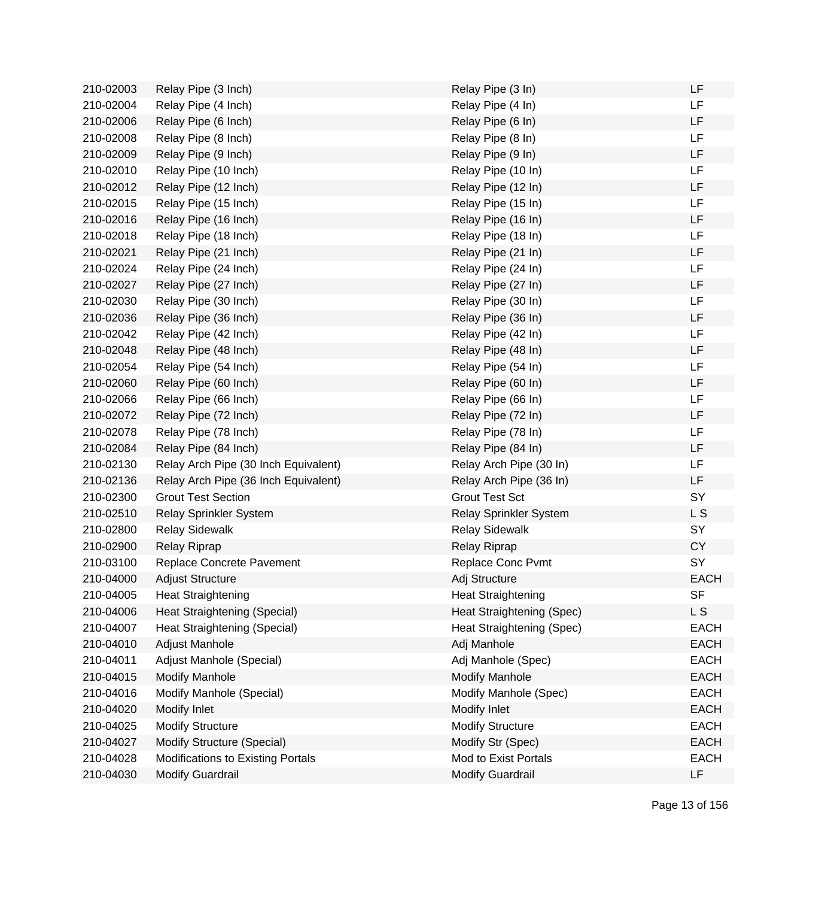| 210-02003 | Relay Pipe (3 Inch)                  | Relay Pipe (3 In)         | LF          |
|-----------|--------------------------------------|---------------------------|-------------|
| 210-02004 | Relay Pipe (4 Inch)                  | Relay Pipe (4 In)         | LF          |
| 210-02006 | Relay Pipe (6 Inch)                  | Relay Pipe (6 In)         | LF          |
| 210-02008 | Relay Pipe (8 Inch)                  | Relay Pipe (8 In)         | LF          |
| 210-02009 | Relay Pipe (9 Inch)                  | Relay Pipe (9 In)         | LF          |
| 210-02010 | Relay Pipe (10 Inch)                 | Relay Pipe (10 In)        | <b>LF</b>   |
| 210-02012 | Relay Pipe (12 Inch)                 | Relay Pipe (12 In)        | LF          |
| 210-02015 | Relay Pipe (15 Inch)                 | Relay Pipe (15 In)        | LF          |
| 210-02016 | Relay Pipe (16 Inch)                 | Relay Pipe (16 In)        | LF          |
| 210-02018 | Relay Pipe (18 Inch)                 | Relay Pipe (18 In)        | LF          |
| 210-02021 | Relay Pipe (21 Inch)                 | Relay Pipe (21 In)        | LF          |
| 210-02024 | Relay Pipe (24 Inch)                 | Relay Pipe (24 In)        | LF          |
| 210-02027 | Relay Pipe (27 Inch)                 | Relay Pipe (27 In)        | LF          |
| 210-02030 | Relay Pipe (30 Inch)                 | Relay Pipe (30 In)        | LF          |
| 210-02036 | Relay Pipe (36 Inch)                 | Relay Pipe (36 In)        | LF          |
| 210-02042 | Relay Pipe (42 Inch)                 | Relay Pipe (42 In)        | LF          |
| 210-02048 | Relay Pipe (48 Inch)                 | Relay Pipe (48 In)        | LF          |
| 210-02054 | Relay Pipe (54 Inch)                 | Relay Pipe (54 In)        | LF          |
| 210-02060 | Relay Pipe (60 Inch)                 | Relay Pipe (60 In)        | LF          |
| 210-02066 | Relay Pipe (66 Inch)                 | Relay Pipe (66 In)        | LF          |
| 210-02072 | Relay Pipe (72 Inch)                 | Relay Pipe (72 In)        | LF          |
| 210-02078 | Relay Pipe (78 Inch)                 | Relay Pipe (78 In)        | LF          |
| 210-02084 | Relay Pipe (84 Inch)                 | Relay Pipe (84 In)        | LF          |
| 210-02130 | Relay Arch Pipe (30 Inch Equivalent) | Relay Arch Pipe (30 In)   | LF          |
| 210-02136 | Relay Arch Pipe (36 Inch Equivalent) | Relay Arch Pipe (36 In)   | LF          |
| 210-02300 | <b>Grout Test Section</b>            | <b>Grout Test Sct</b>     | SY          |
| 210-02510 | Relay Sprinkler System               | Relay Sprinkler System    | L S         |
| 210-02800 | <b>Relay Sidewalk</b>                | <b>Relay Sidewalk</b>     | SY          |
| 210-02900 | Relay Riprap                         | <b>Relay Riprap</b>       | <b>CY</b>   |
| 210-03100 | Replace Concrete Pavement            | Replace Conc Pvmt         | SY          |
| 210-04000 | <b>Adjust Structure</b>              | Adj Structure             | <b>EACH</b> |
| 210-04005 | <b>Heat Straightening</b>            | <b>Heat Straightening</b> | SF          |
| 210-04006 | Heat Straightening (Special)         | Heat Straightening (Spec) | L S         |
| 210-04007 | Heat Straightening (Special)         | Heat Straightening (Spec) | <b>EACH</b> |
| 210-04010 | Adjust Manhole                       | Adj Manhole               | <b>EACH</b> |
| 210-04011 | Adjust Manhole (Special)             | Adj Manhole (Spec)        | <b>EACH</b> |
| 210-04015 | <b>Modify Manhole</b>                | <b>Modify Manhole</b>     | <b>EACH</b> |
| 210-04016 | Modify Manhole (Special)             | Modify Manhole (Spec)     | <b>EACH</b> |
| 210-04020 | Modify Inlet                         | Modify Inlet              | <b>EACH</b> |
| 210-04025 | <b>Modify Structure</b>              | <b>Modify Structure</b>   | <b>EACH</b> |
| 210-04027 | Modify Structure (Special)           | Modify Str (Spec)         | <b>EACH</b> |
| 210-04028 | Modifications to Existing Portals    | Mod to Exist Portals      | <b>EACH</b> |
| 210-04030 | <b>Modify Guardrail</b>              | <b>Modify Guardrail</b>   | LF          |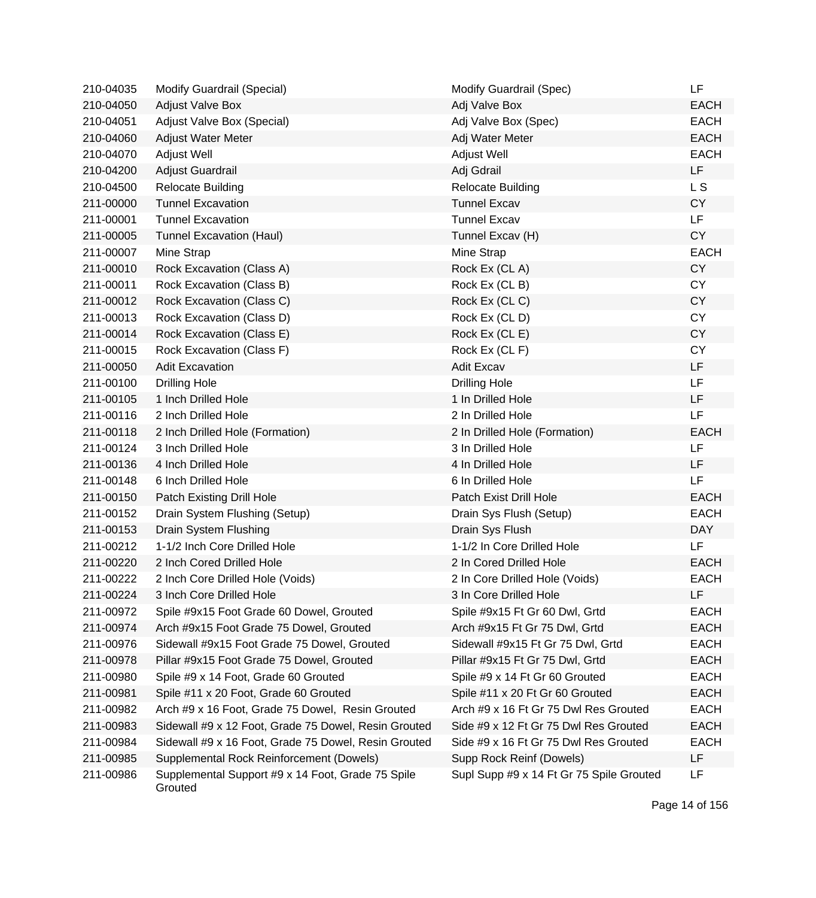| 210-04035 | <b>Modify Guardrail (Special)</b>                            | Modify Guardrail (Spec)                  | LF          |
|-----------|--------------------------------------------------------------|------------------------------------------|-------------|
| 210-04050 | <b>Adjust Valve Box</b>                                      | Adj Valve Box                            | <b>EACH</b> |
| 210-04051 | Adjust Valve Box (Special)                                   | Adj Valve Box (Spec)                     | <b>EACH</b> |
| 210-04060 | Adjust Water Meter                                           | Adj Water Meter                          | <b>EACH</b> |
| 210-04070 | Adjust Well                                                  | <b>Adjust Well</b>                       | <b>EACH</b> |
| 210-04200 | Adjust Guardrail                                             | Adj Gdrail                               | <b>LF</b>   |
| 210-04500 | <b>Relocate Building</b>                                     | <b>Relocate Building</b>                 | L S         |
| 211-00000 | <b>Tunnel Excavation</b>                                     | <b>Tunnel Excav</b>                      | <b>CY</b>   |
| 211-00001 | <b>Tunnel Excavation</b>                                     | <b>Tunnel Excav</b>                      | LF          |
| 211-00005 | <b>Tunnel Excavation (Haul)</b>                              | Tunnel Excav (H)                         | <b>CY</b>   |
| 211-00007 | Mine Strap                                                   | Mine Strap                               | <b>EACH</b> |
| 211-00010 | Rock Excavation (Class A)                                    | Rock Ex (CLA)                            | <b>CY</b>   |
| 211-00011 | Rock Excavation (Class B)                                    | Rock Ex (CL B)                           | <b>CY</b>   |
| 211-00012 | Rock Excavation (Class C)                                    | Rock Ex (CLC)                            | CY          |
| 211-00013 | Rock Excavation (Class D)                                    | Rock Ex (CLD)                            | <b>CY</b>   |
| 211-00014 | Rock Excavation (Class E)                                    | Rock Ex (CL E)                           | <b>CY</b>   |
| 211-00015 | Rock Excavation (Class F)                                    | Rock Ex (CL F)                           | <b>CY</b>   |
| 211-00050 | <b>Adit Excavation</b>                                       | <b>Adit Excav</b>                        | <b>LF</b>   |
| 211-00100 | <b>Drilling Hole</b>                                         | <b>Drilling Hole</b>                     | <b>LF</b>   |
| 211-00105 | 1 Inch Drilled Hole                                          | 1 In Drilled Hole                        | LF          |
| 211-00116 | 2 Inch Drilled Hole                                          | 2 In Drilled Hole                        | LF          |
| 211-00118 | 2 Inch Drilled Hole (Formation)                              | 2 In Drilled Hole (Formation)            | <b>EACH</b> |
| 211-00124 | 3 Inch Drilled Hole                                          | 3 In Drilled Hole                        | LF          |
| 211-00136 | 4 Inch Drilled Hole                                          | 4 In Drilled Hole                        | LF.         |
| 211-00148 | 6 Inch Drilled Hole                                          | 6 In Drilled Hole                        | LF          |
| 211-00150 | Patch Existing Drill Hole                                    | Patch Exist Drill Hole                   | <b>EACH</b> |
| 211-00152 | Drain System Flushing (Setup)                                | Drain Sys Flush (Setup)                  | <b>EACH</b> |
| 211-00153 | Drain System Flushing                                        | Drain Sys Flush                          | <b>DAY</b>  |
| 211-00212 | 1-1/2 Inch Core Drilled Hole                                 | 1-1/2 In Core Drilled Hole               | LF          |
| 211-00220 | 2 Inch Cored Drilled Hole                                    | 2 In Cored Drilled Hole                  | <b>EACH</b> |
| 211-00222 | 2 Inch Core Drilled Hole (Voids)                             | 2 In Core Drilled Hole (Voids)           | <b>EACH</b> |
| 211-00224 | 3 Inch Core Drilled Hole                                     | 3 In Core Drilled Hole                   | LF          |
| 211-00972 | Spile #9x15 Foot Grade 60 Dowel, Grouted                     | Spile #9x15 Ft Gr 60 Dwl, Grtd           | <b>EACH</b> |
| 211-00974 | Arch #9x15 Foot Grade 75 Dowel, Grouted                      | Arch #9x15 Ft Gr 75 Dwl, Grtd            | <b>EACH</b> |
| 211-00976 | Sidewall #9x15 Foot Grade 75 Dowel, Grouted                  | Sidewall #9x15 Ft Gr 75 Dwl, Grtd        | <b>EACH</b> |
| 211-00978 | Pillar #9x15 Foot Grade 75 Dowel, Grouted                    | Pillar #9x15 Ft Gr 75 Dwl, Grtd          | <b>EACH</b> |
| 211-00980 | Spile #9 x 14 Foot, Grade 60 Grouted                         | Spile #9 x 14 Ft Gr 60 Grouted           | <b>EACH</b> |
| 211-00981 | Spile #11 x 20 Foot, Grade 60 Grouted                        | Spile #11 x 20 Ft Gr 60 Grouted          | <b>EACH</b> |
| 211-00982 | Arch #9 x 16 Foot, Grade 75 Dowel, Resin Grouted             | Arch #9 x 16 Ft Gr 75 Dwl Res Grouted    | <b>EACH</b> |
| 211-00983 | Sidewall #9 x 12 Foot, Grade 75 Dowel, Resin Grouted         | Side #9 x 12 Ft Gr 75 Dwl Res Grouted    | <b>EACH</b> |
| 211-00984 | Sidewall #9 x 16 Foot, Grade 75 Dowel, Resin Grouted         | Side #9 x 16 Ft Gr 75 Dwl Res Grouted    | <b>EACH</b> |
| 211-00985 | Supplemental Rock Reinforcement (Dowels)                     | Supp Rock Reinf (Dowels)                 | LF          |
| 211-00986 | Supplemental Support #9 x 14 Foot, Grade 75 Spile<br>Grouted | Supl Supp #9 x 14 Ft Gr 75 Spile Grouted | LF          |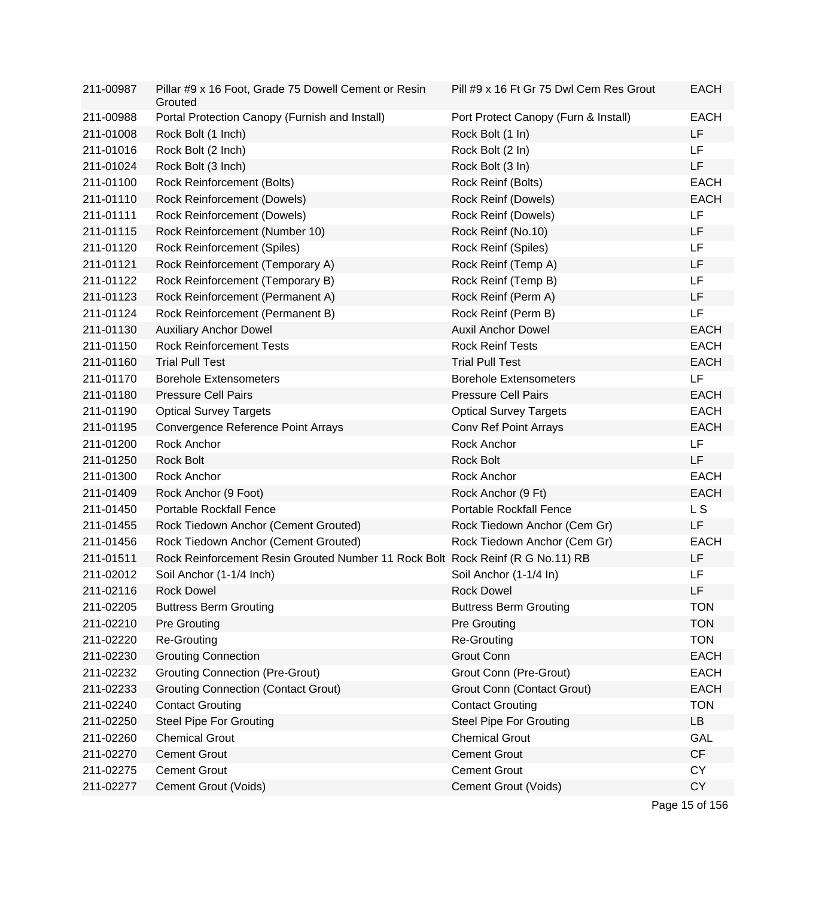| 211-00987 | Pillar #9 x 16 Foot, Grade 75 Dowell Cement or Resin<br>Grouted                | Pill #9 x 16 Ft Gr 75 Dwl Cem Res Grout | <b>EACH</b> |
|-----------|--------------------------------------------------------------------------------|-----------------------------------------|-------------|
| 211-00988 | Portal Protection Canopy (Furnish and Install)                                 | Port Protect Canopy (Furn & Install)    | <b>EACH</b> |
| 211-01008 | Rock Bolt (1 Inch)                                                             | Rock Bolt (1 In)                        | <b>LF</b>   |
| 211-01016 | Rock Bolt (2 Inch)                                                             | Rock Bolt (2 In)                        | LF          |
| 211-01024 | Rock Bolt (3 Inch)                                                             | Rock Bolt (3 In)                        | LF          |
| 211-01100 | Rock Reinforcement (Bolts)                                                     | Rock Reinf (Bolts)                      | <b>EACH</b> |
| 211-01110 | Rock Reinforcement (Dowels)                                                    | Rock Reinf (Dowels)                     | <b>EACH</b> |
| 211-01111 | <b>Rock Reinforcement (Dowels)</b>                                             | Rock Reinf (Dowels)                     | LF          |
| 211-01115 | Rock Reinforcement (Number 10)                                                 | Rock Reinf (No.10)                      | LF          |
| 211-01120 | <b>Rock Reinforcement (Spiles)</b>                                             | Rock Reinf (Spiles)                     | LF          |
| 211-01121 | Rock Reinforcement (Temporary A)                                               | Rock Reinf (Temp A)                     | LF          |
| 211-01122 | Rock Reinforcement (Temporary B)                                               | Rock Reinf (Temp B)                     | LF          |
| 211-01123 | Rock Reinforcement (Permanent A)                                               | Rock Reinf (Perm A)                     | LF          |
| 211-01124 | Rock Reinforcement (Permanent B)                                               | Rock Reinf (Perm B)                     | LF          |
| 211-01130 | <b>Auxiliary Anchor Dowel</b>                                                  | <b>Auxil Anchor Dowel</b>               | <b>EACH</b> |
| 211-01150 | <b>Rock Reinforcement Tests</b>                                                | <b>Rock Reinf Tests</b>                 | <b>EACH</b> |
| 211-01160 | <b>Trial Pull Test</b>                                                         | <b>Trial Pull Test</b>                  | <b>EACH</b> |
| 211-01170 | <b>Borehole Extensometers</b>                                                  | <b>Borehole Extensometers</b>           | <b>LF</b>   |
| 211-01180 | <b>Pressure Cell Pairs</b>                                                     | <b>Pressure Cell Pairs</b>              | <b>EACH</b> |
| 211-01190 | <b>Optical Survey Targets</b>                                                  | <b>Optical Survey Targets</b>           | <b>EACH</b> |
| 211-01195 | Convergence Reference Point Arrays                                             | Conv Ref Point Arrays                   | <b>EACH</b> |
| 211-01200 | Rock Anchor                                                                    | Rock Anchor                             | <b>LF</b>   |
| 211-01250 | <b>Rock Bolt</b>                                                               | <b>Rock Bolt</b>                        | <b>LF</b>   |
| 211-01300 | Rock Anchor                                                                    | Rock Anchor                             | <b>EACH</b> |
| 211-01409 | Rock Anchor (9 Foot)                                                           | Rock Anchor (9 Ft)                      | <b>EACH</b> |
| 211-01450 | Portable Rockfall Fence                                                        | <b>Portable Rockfall Fence</b>          | L S         |
| 211-01455 | Rock Tiedown Anchor (Cement Grouted)                                           | Rock Tiedown Anchor (Cem Gr)            | LF          |
| 211-01456 | Rock Tiedown Anchor (Cement Grouted)                                           | Rock Tiedown Anchor (Cem Gr)            | <b>EACH</b> |
| 211-01511 | Rock Reinforcement Resin Grouted Number 11 Rock Bolt Rock Reinf (R G No.11) RB |                                         | LF          |
| 211-02012 | Soil Anchor (1-1/4 Inch)                                                       | Soil Anchor (1-1/4 In)                  | LF          |
| 211-02116 | <b>Rock Dowel</b>                                                              | <b>Rock Dowel</b>                       | LF          |
| 211-02205 | <b>Buttress Berm Grouting</b>                                                  | <b>Buttress Berm Grouting</b>           | <b>TON</b>  |
| 211-02210 | <b>Pre Grouting</b>                                                            | <b>Pre Grouting</b>                     | <b>TON</b>  |
| 211-02220 | Re-Grouting                                                                    | Re-Grouting                             | <b>TON</b>  |
| 211-02230 | <b>Grouting Connection</b>                                                     | <b>Grout Conn</b>                       | <b>EACH</b> |
| 211-02232 | <b>Grouting Connection (Pre-Grout)</b>                                         | Grout Conn (Pre-Grout)                  | <b>EACH</b> |
| 211-02233 | <b>Grouting Connection (Contact Grout)</b>                                     | <b>Grout Conn (Contact Grout)</b>       | <b>EACH</b> |
| 211-02240 | <b>Contact Grouting</b>                                                        | <b>Contact Grouting</b>                 | <b>TON</b>  |
| 211-02250 | <b>Steel Pipe For Grouting</b>                                                 | <b>Steel Pipe For Grouting</b>          | LB          |
| 211-02260 | <b>Chemical Grout</b>                                                          | <b>Chemical Grout</b>                   | GAL         |
| 211-02270 | <b>Cement Grout</b>                                                            | <b>Cement Grout</b>                     | CF          |
| 211-02275 | <b>Cement Grout</b>                                                            | <b>Cement Grout</b>                     | <b>CY</b>   |
| 211-02277 | Cement Grout (Voids)                                                           | Cement Grout (Voids)                    | <b>CY</b>   |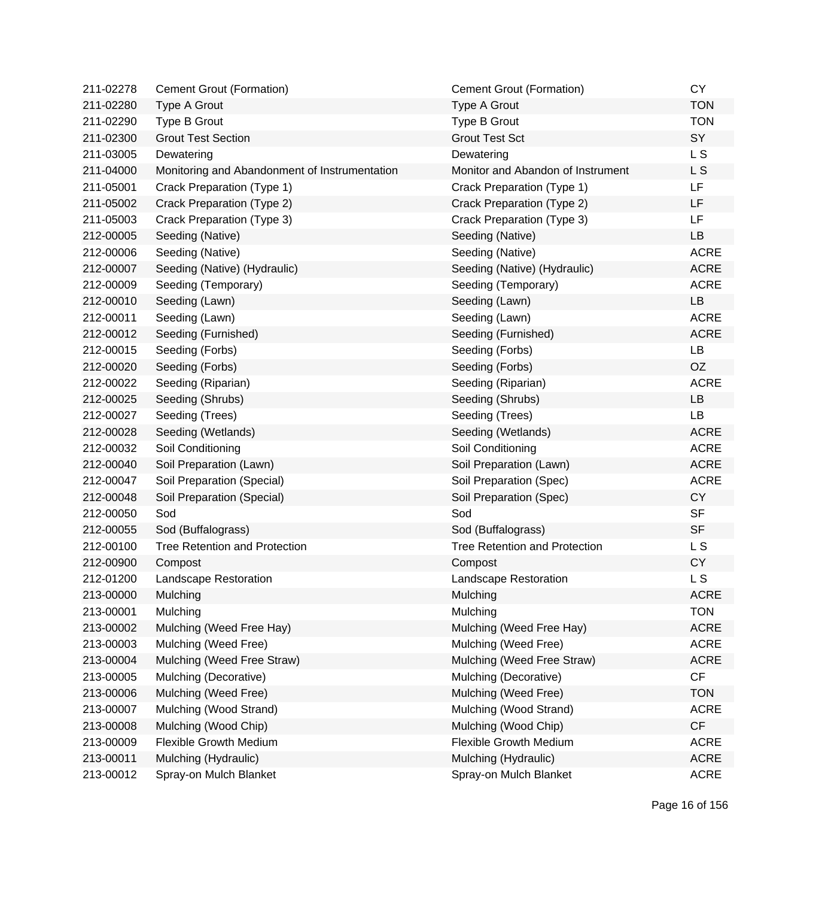| 211-02278 | Cement Grout (Formation)                      | <b>Cement Grout (Formation)</b>      | <b>CY</b>   |
|-----------|-----------------------------------------------|--------------------------------------|-------------|
| 211-02280 | Type A Grout                                  | Type A Grout                         | <b>TON</b>  |
| 211-02290 | Type B Grout                                  | Type B Grout                         | <b>TON</b>  |
| 211-02300 | <b>Grout Test Section</b>                     | <b>Grout Test Sct</b>                | SY          |
| 211-03005 | Dewatering                                    | Dewatering                           | L S         |
| 211-04000 | Monitoring and Abandonment of Instrumentation | Monitor and Abandon of Instrument    | L S         |
| 211-05001 | Crack Preparation (Type 1)                    | Crack Preparation (Type 1)           | LF          |
| 211-05002 | Crack Preparation (Type 2)                    | Crack Preparation (Type 2)           | <b>LF</b>   |
| 211-05003 | Crack Preparation (Type 3)                    | Crack Preparation (Type 3)           | LF.         |
| 212-00005 | Seeding (Native)                              | Seeding (Native)                     | LB          |
| 212-00006 | Seeding (Native)                              | Seeding (Native)                     | <b>ACRE</b> |
| 212-00007 | Seeding (Native) (Hydraulic)                  | Seeding (Native) (Hydraulic)         | <b>ACRE</b> |
| 212-00009 | Seeding (Temporary)                           | Seeding (Temporary)                  | <b>ACRE</b> |
| 212-00010 | Seeding (Lawn)                                | Seeding (Lawn)                       | LB          |
| 212-00011 | Seeding (Lawn)                                | Seeding (Lawn)                       | <b>ACRE</b> |
| 212-00012 | Seeding (Furnished)                           | Seeding (Furnished)                  | <b>ACRE</b> |
| 212-00015 | Seeding (Forbs)                               | Seeding (Forbs)                      | LB          |
| 212-00020 | Seeding (Forbs)                               | Seeding (Forbs)                      | <b>OZ</b>   |
| 212-00022 | Seeding (Riparian)                            | Seeding (Riparian)                   | <b>ACRE</b> |
| 212-00025 | Seeding (Shrubs)                              | Seeding (Shrubs)                     | LB          |
| 212-00027 | Seeding (Trees)                               | Seeding (Trees)                      | LB          |
| 212-00028 | Seeding (Wetlands)                            | Seeding (Wetlands)                   | <b>ACRE</b> |
| 212-00032 | Soil Conditioning                             | Soil Conditioning                    | <b>ACRE</b> |
| 212-00040 | Soil Preparation (Lawn)                       | Soil Preparation (Lawn)              | <b>ACRE</b> |
| 212-00047 | Soil Preparation (Special)                    | Soil Preparation (Spec)              | <b>ACRE</b> |
| 212-00048 | Soil Preparation (Special)                    | Soil Preparation (Spec)              | <b>CY</b>   |
| 212-00050 | Sod                                           | Sod                                  | <b>SF</b>   |
| 212-00055 | Sod (Buffalograss)                            | Sod (Buffalograss)                   | <b>SF</b>   |
| 212-00100 | <b>Tree Retention and Protection</b>          | <b>Tree Retention and Protection</b> | L S         |
| 212-00900 | Compost                                       | Compost                              | <b>CY</b>   |
| 212-01200 | Landscape Restoration                         | Landscape Restoration                | L S         |
| 213-00000 | Mulching                                      | Mulching                             | <b>ACRE</b> |
| 213-00001 | Mulching                                      | Mulching                             | <b>TON</b>  |
| 213-00002 | Mulching (Weed Free Hay)                      | Mulching (Weed Free Hay)             | <b>ACRE</b> |
| 213-00003 | Mulching (Weed Free)                          | Mulching (Weed Free)                 | <b>ACRE</b> |
| 213-00004 | Mulching (Weed Free Straw)                    | Mulching (Weed Free Straw)           | <b>ACRE</b> |
| 213-00005 | Mulching (Decorative)                         | Mulching (Decorative)                | CF          |
| 213-00006 | Mulching (Weed Free)                          | Mulching (Weed Free)                 | <b>TON</b>  |
| 213-00007 | Mulching (Wood Strand)                        | Mulching (Wood Strand)               | <b>ACRE</b> |
| 213-00008 | Mulching (Wood Chip)                          | Mulching (Wood Chip)                 | CF          |
| 213-00009 | <b>Flexible Growth Medium</b>                 | <b>Flexible Growth Medium</b>        | <b>ACRE</b> |
| 213-00011 | Mulching (Hydraulic)                          | Mulching (Hydraulic)                 | <b>ACRE</b> |
| 213-00012 | Spray-on Mulch Blanket                        | Spray-on Mulch Blanket               | <b>ACRE</b> |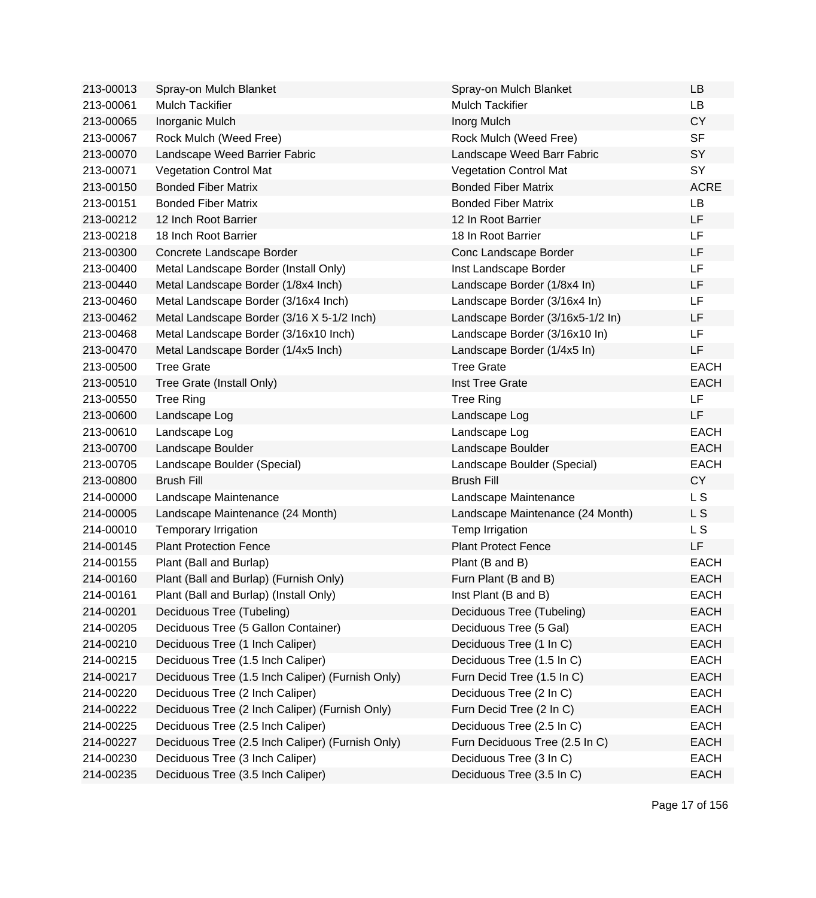| 213-00013 | Spray-on Mulch Blanket                           | Spray-on Mulch Blanket           | <b>LB</b>   |
|-----------|--------------------------------------------------|----------------------------------|-------------|
| 213-00061 | <b>Mulch Tackifier</b>                           | <b>Mulch Tackifier</b>           | <b>LB</b>   |
| 213-00065 | Inorganic Mulch                                  | Inorg Mulch                      | <b>CY</b>   |
| 213-00067 | Rock Mulch (Weed Free)                           | Rock Mulch (Weed Free)           | <b>SF</b>   |
| 213-00070 | Landscape Weed Barrier Fabric                    | Landscape Weed Barr Fabric       | SY          |
| 213-00071 | <b>Vegetation Control Mat</b>                    | <b>Vegetation Control Mat</b>    | SY          |
| 213-00150 | <b>Bonded Fiber Matrix</b>                       | <b>Bonded Fiber Matrix</b>       | <b>ACRE</b> |
| 213-00151 | <b>Bonded Fiber Matrix</b>                       | <b>Bonded Fiber Matrix</b>       | LB          |
| 213-00212 | 12 Inch Root Barrier                             | 12 In Root Barrier               | LF          |
| 213-00218 | 18 Inch Root Barrier                             | 18 In Root Barrier               | LF          |
| 213-00300 | Concrete Landscape Border                        | Conc Landscape Border            | LF          |
| 213-00400 | Metal Landscape Border (Install Only)            | Inst Landscape Border            | LF          |
| 213-00440 | Metal Landscape Border (1/8x4 Inch)              | Landscape Border (1/8x4 In)      | LF          |
| 213-00460 | Metal Landscape Border (3/16x4 Inch)             | Landscape Border (3/16x4 In)     | LF          |
| 213-00462 | Metal Landscape Border (3/16 X 5-1/2 Inch)       | Landscape Border (3/16x5-1/2 In) | LF          |
| 213-00468 | Metal Landscape Border (3/16x10 Inch)            | Landscape Border (3/16x10 In)    | LF          |
| 213-00470 | Metal Landscape Border (1/4x5 Inch)              | Landscape Border (1/4x5 In)      | LF          |
| 213-00500 | <b>Tree Grate</b>                                | <b>Tree Grate</b>                | <b>EACH</b> |
| 213-00510 | Tree Grate (Install Only)                        | Inst Tree Grate                  | <b>EACH</b> |
| 213-00550 | <b>Tree Ring</b>                                 | <b>Tree Ring</b>                 | LF          |
| 213-00600 | Landscape Log                                    | Landscape Log                    | LF          |
| 213-00610 | Landscape Log                                    | Landscape Log                    | <b>EACH</b> |
| 213-00700 | Landscape Boulder                                | Landscape Boulder                | <b>EACH</b> |
| 213-00705 | Landscape Boulder (Special)                      | Landscape Boulder (Special)      | <b>EACH</b> |
| 213-00800 | <b>Brush Fill</b>                                | <b>Brush Fill</b>                | <b>CY</b>   |
| 214-00000 | Landscape Maintenance                            | Landscape Maintenance            | L S         |
| 214-00005 | Landscape Maintenance (24 Month)                 | Landscape Maintenance (24 Month) | L S         |
| 214-00010 | Temporary Irrigation                             | Temp Irrigation                  | L S         |
| 214-00145 | <b>Plant Protection Fence</b>                    | <b>Plant Protect Fence</b>       | LF          |
| 214-00155 | Plant (Ball and Burlap)                          | Plant (B and B)                  | <b>EACH</b> |
| 214-00160 | Plant (Ball and Burlap) (Furnish Only)           | Furn Plant (B and B)             | <b>EACH</b> |
| 214-00161 | Plant (Ball and Burlap) (Install Only)           | Inst Plant (B and B)             | EACH        |
| 214-00201 | Deciduous Tree (Tubeling)                        | Deciduous Tree (Tubeling)        | <b>EACH</b> |
| 214-00205 | Deciduous Tree (5 Gallon Container)              | Deciduous Tree (5 Gal)           | <b>EACH</b> |
| 214-00210 | Deciduous Tree (1 Inch Caliper)                  | Deciduous Tree (1 In C)          | <b>EACH</b> |
| 214-00215 | Deciduous Tree (1.5 Inch Caliper)                | Deciduous Tree (1.5 In C)        | <b>EACH</b> |
| 214-00217 | Deciduous Tree (1.5 Inch Caliper) (Furnish Only) | Furn Decid Tree (1.5 In C)       | <b>EACH</b> |
| 214-00220 | Deciduous Tree (2 Inch Caliper)                  | Deciduous Tree (2 In C)          | <b>EACH</b> |
| 214-00222 | Deciduous Tree (2 Inch Caliper) (Furnish Only)   | Furn Decid Tree (2 In C)         | <b>EACH</b> |
| 214-00225 | Deciduous Tree (2.5 Inch Caliper)                | Deciduous Tree (2.5 In C)        | <b>EACH</b> |
| 214-00227 | Deciduous Tree (2.5 Inch Caliper) (Furnish Only) | Furn Deciduous Tree (2.5 In C)   | <b>EACH</b> |
| 214-00230 | Deciduous Tree (3 Inch Caliper)                  | Deciduous Tree (3 In C)          | <b>EACH</b> |
| 214-00235 | Deciduous Tree (3.5 Inch Caliper)                | Deciduous Tree (3.5 In C)        | <b>EACH</b> |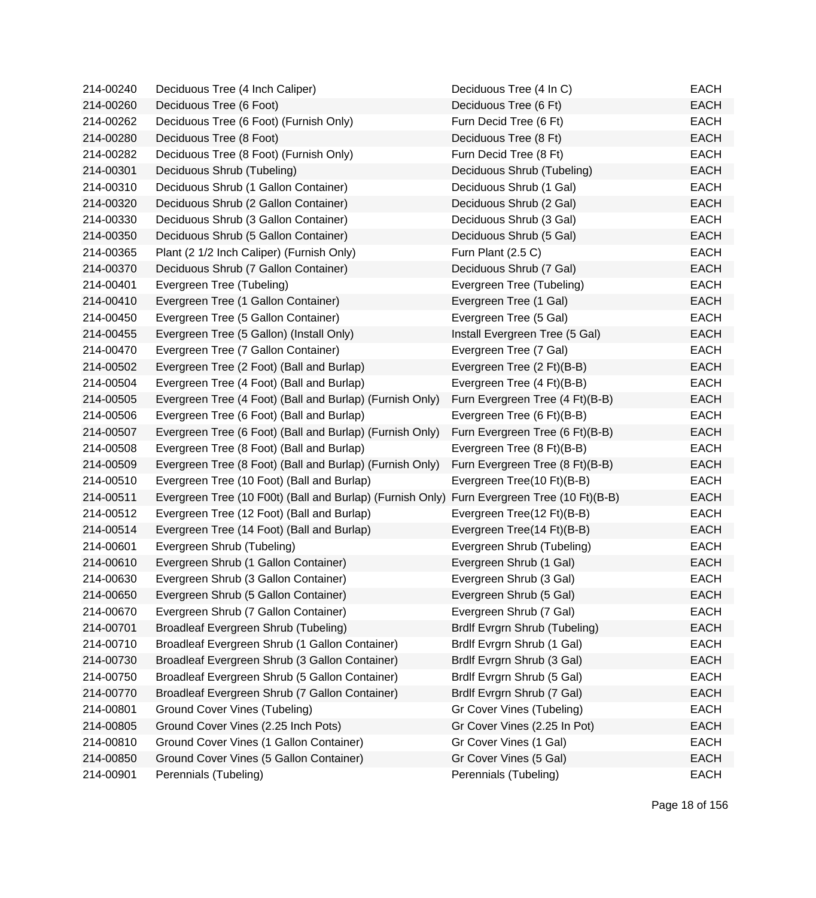| 214-00240 | Deciduous Tree (4 Inch Caliper)                                                            | Deciduous Tree (4 In C)         | EACH        |
|-----------|--------------------------------------------------------------------------------------------|---------------------------------|-------------|
| 214-00260 | Deciduous Tree (6 Foot)                                                                    | Deciduous Tree (6 Ft)           | <b>EACH</b> |
| 214-00262 | Deciduous Tree (6 Foot) (Furnish Only)                                                     | Furn Decid Tree (6 Ft)          | <b>EACH</b> |
| 214-00280 | Deciduous Tree (8 Foot)                                                                    | Deciduous Tree (8 Ft)           | <b>EACH</b> |
| 214-00282 | Deciduous Tree (8 Foot) (Furnish Only)                                                     | Furn Decid Tree (8 Ft)          | <b>EACH</b> |
| 214-00301 | Deciduous Shrub (Tubeling)                                                                 | Deciduous Shrub (Tubeling)      | <b>EACH</b> |
| 214-00310 | Deciduous Shrub (1 Gallon Container)                                                       | Deciduous Shrub (1 Gal)         | <b>EACH</b> |
| 214-00320 | Deciduous Shrub (2 Gallon Container)                                                       | Deciduous Shrub (2 Gal)         | <b>EACH</b> |
| 214-00330 | Deciduous Shrub (3 Gallon Container)                                                       | Deciduous Shrub (3 Gal)         | <b>EACH</b> |
| 214-00350 | Deciduous Shrub (5 Gallon Container)                                                       | Deciduous Shrub (5 Gal)         | <b>EACH</b> |
| 214-00365 | Plant (2 1/2 Inch Caliper) (Furnish Only)                                                  | Furn Plant (2.5 C)              | <b>EACH</b> |
| 214-00370 | Deciduous Shrub (7 Gallon Container)                                                       | Deciduous Shrub (7 Gal)         | <b>EACH</b> |
| 214-00401 | Evergreen Tree (Tubeling)                                                                  | Evergreen Tree (Tubeling)       | <b>EACH</b> |
| 214-00410 | Evergreen Tree (1 Gallon Container)                                                        | Evergreen Tree (1 Gal)          | <b>EACH</b> |
| 214-00450 | Evergreen Tree (5 Gallon Container)                                                        | Evergreen Tree (5 Gal)          | <b>EACH</b> |
| 214-00455 | Evergreen Tree (5 Gallon) (Install Only)                                                   | Install Evergreen Tree (5 Gal)  | <b>EACH</b> |
| 214-00470 | Evergreen Tree (7 Gallon Container)                                                        | Evergreen Tree (7 Gal)          | <b>EACH</b> |
| 214-00502 | Evergreen Tree (2 Foot) (Ball and Burlap)                                                  | Evergreen Tree (2 Ft)(B-B)      | <b>EACH</b> |
| 214-00504 | Evergreen Tree (4 Foot) (Ball and Burlap)                                                  | Evergreen Tree (4 Ft)(B-B)      | <b>EACH</b> |
| 214-00505 | Evergreen Tree (4 Foot) (Ball and Burlap) (Furnish Only)                                   | Furn Evergreen Tree (4 Ft)(B-B) | <b>EACH</b> |
| 214-00506 | Evergreen Tree (6 Foot) (Ball and Burlap)                                                  | Evergreen Tree (6 Ft)(B-B)      | <b>EACH</b> |
| 214-00507 | Evergreen Tree (6 Foot) (Ball and Burlap) (Furnish Only)                                   | Furn Evergreen Tree (6 Ft)(B-B) | <b>EACH</b> |
| 214-00508 | Evergreen Tree (8 Foot) (Ball and Burlap)                                                  | Evergreen Tree (8 Ft)(B-B)      | <b>EACH</b> |
| 214-00509 | Evergreen Tree (8 Foot) (Ball and Burlap) (Furnish Only)                                   | Furn Evergreen Tree (8 Ft)(B-B) | <b>EACH</b> |
| 214-00510 | Evergreen Tree (10 Foot) (Ball and Burlap)                                                 | Evergreen Tree(10 Ft)(B-B)      | <b>EACH</b> |
| 214-00511 | Evergreen Tree (10 F00t) (Ball and Burlap) (Furnish Only) Furn Evergreen Tree (10 Ft)(B-B) |                                 | <b>EACH</b> |
| 214-00512 | Evergreen Tree (12 Foot) (Ball and Burlap)                                                 | Evergreen Tree(12 Ft)(B-B)      | <b>EACH</b> |
| 214-00514 | Evergreen Tree (14 Foot) (Ball and Burlap)                                                 | Evergreen Tree(14 Ft)(B-B)      | <b>EACH</b> |
| 214-00601 | Evergreen Shrub (Tubeling)                                                                 | Evergreen Shrub (Tubeling)      | <b>EACH</b> |
| 214-00610 | Evergreen Shrub (1 Gallon Container)                                                       | Evergreen Shrub (1 Gal)         | <b>EACH</b> |
| 214-00630 | Evergreen Shrub (3 Gallon Container)                                                       | Evergreen Shrub (3 Gal)         | <b>EACH</b> |
| 214-00650 | Evergreen Shrub (5 Gallon Container)                                                       | Evergreen Shrub (5 Gal)         | <b>EACH</b> |
| 214-00670 | Evergreen Shrub (7 Gallon Container)                                                       | Evergreen Shrub (7 Gal)         | <b>EACH</b> |
| 214-00701 | Broadleaf Evergreen Shrub (Tubeling)                                                       | Brdlf Evrgrn Shrub (Tubeling)   | <b>EACH</b> |
| 214-00710 | Broadleaf Evergreen Shrub (1 Gallon Container)                                             | Brdlf Evrgrn Shrub (1 Gal)      | <b>EACH</b> |
| 214-00730 | Broadleaf Evergreen Shrub (3 Gallon Container)                                             | Brdlf Evrgrn Shrub (3 Gal)      | <b>EACH</b> |
| 214-00750 | Broadleaf Evergreen Shrub (5 Gallon Container)                                             | Brdlf Evrgrn Shrub (5 Gal)      | <b>EACH</b> |
| 214-00770 | Broadleaf Evergreen Shrub (7 Gallon Container)                                             | Brdlf Evrgrn Shrub (7 Gal)      | <b>EACH</b> |
| 214-00801 | <b>Ground Cover Vines (Tubeling)</b>                                                       | Gr Cover Vines (Tubeling)       | <b>EACH</b> |
| 214-00805 | Ground Cover Vines (2.25 Inch Pots)                                                        | Gr Cover Vines (2.25 In Pot)    | <b>EACH</b> |
| 214-00810 | Ground Cover Vines (1 Gallon Container)                                                    | Gr Cover Vines (1 Gal)          | <b>EACH</b> |
| 214-00850 | Ground Cover Vines (5 Gallon Container)                                                    | Gr Cover Vines (5 Gal)          | <b>EACH</b> |
| 214-00901 | Perennials (Tubeling)                                                                      | Perennials (Tubeling)           | <b>EACH</b> |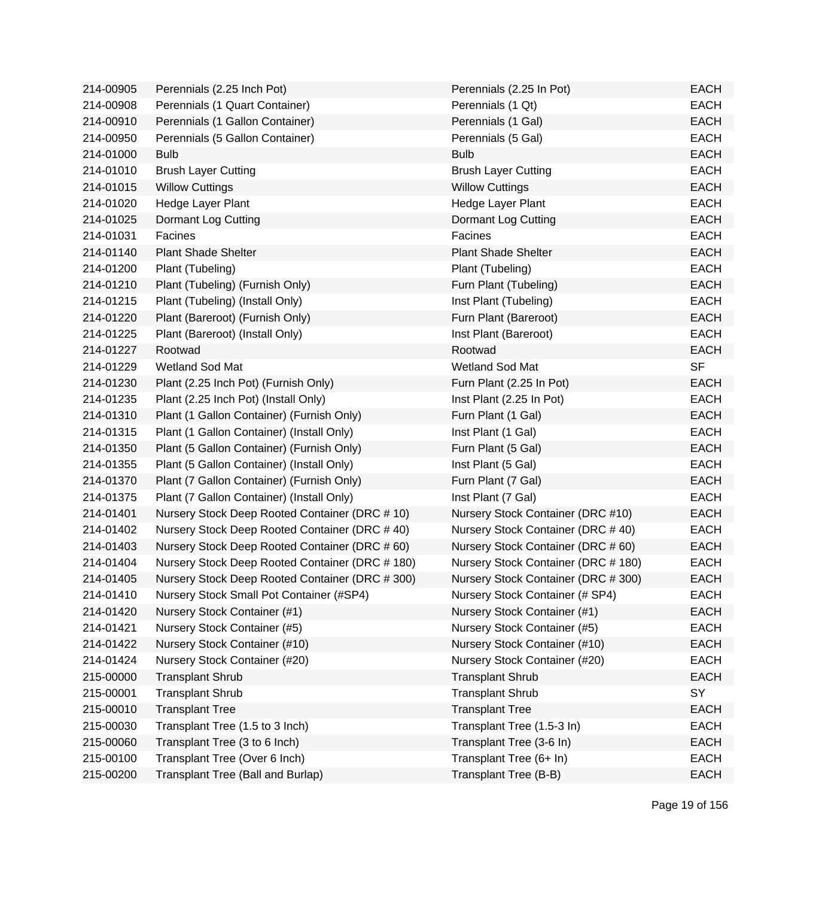| 214-00905 | Perennials (2.25 Inch Pot)                      | Perennials (2.25 In Pot)            | <b>EACH</b> |
|-----------|-------------------------------------------------|-------------------------------------|-------------|
| 214-00908 | Perennials (1 Quart Container)                  | Perennials (1 Qt)                   | <b>EACH</b> |
| 214-00910 | Perennials (1 Gallon Container)                 | Perennials (1 Gal)                  | <b>EACH</b> |
| 214-00950 | Perennials (5 Gallon Container)                 | Perennials (5 Gal)                  | <b>EACH</b> |
| 214-01000 | <b>Bulb</b>                                     | <b>Bulb</b>                         | <b>EACH</b> |
| 214-01010 | <b>Brush Layer Cutting</b>                      | <b>Brush Layer Cutting</b>          | <b>EACH</b> |
| 214-01015 | <b>Willow Cuttings</b>                          | <b>Willow Cuttings</b>              | <b>EACH</b> |
| 214-01020 | Hedge Layer Plant                               | Hedge Layer Plant                   | <b>EACH</b> |
| 214-01025 | Dormant Log Cutting                             | Dormant Log Cutting                 | <b>EACH</b> |
| 214-01031 | Facines                                         | Facines                             | <b>EACH</b> |
| 214-01140 | <b>Plant Shade Shelter</b>                      | <b>Plant Shade Shelter</b>          | <b>EACH</b> |
| 214-01200 | Plant (Tubeling)                                | Plant (Tubeling)                    | <b>EACH</b> |
| 214-01210 | Plant (Tubeling) (Furnish Only)                 | Furn Plant (Tubeling)               | <b>EACH</b> |
| 214-01215 | Plant (Tubeling) (Install Only)                 | Inst Plant (Tubeling)               | <b>EACH</b> |
| 214-01220 | Plant (Bareroot) (Furnish Only)                 | Furn Plant (Bareroot)               | <b>EACH</b> |
| 214-01225 | Plant (Bareroot) (Install Only)                 | Inst Plant (Bareroot)               | <b>EACH</b> |
| 214-01227 | Rootwad                                         | Rootwad                             | <b>EACH</b> |
| 214-01229 | Wetland Sod Mat                                 | Wetland Sod Mat                     | <b>SF</b>   |
| 214-01230 | Plant (2.25 Inch Pot) (Furnish Only)            | Furn Plant (2.25 In Pot)            | <b>EACH</b> |
| 214-01235 | Plant (2.25 Inch Pot) (Install Only)            | Inst Plant (2.25 In Pot)            | <b>EACH</b> |
| 214-01310 | Plant (1 Gallon Container) (Furnish Only)       | Furn Plant (1 Gal)                  | <b>EACH</b> |
| 214-01315 | Plant (1 Gallon Container) (Install Only)       | Inst Plant (1 Gal)                  | <b>EACH</b> |
| 214-01350 | Plant (5 Gallon Container) (Furnish Only)       | Furn Plant (5 Gal)                  | <b>EACH</b> |
| 214-01355 | Plant (5 Gallon Container) (Install Only)       | Inst Plant (5 Gal)                  | <b>EACH</b> |
| 214-01370 | Plant (7 Gallon Container) (Furnish Only)       | Furn Plant (7 Gal)                  | <b>EACH</b> |
| 214-01375 | Plant (7 Gallon Container) (Install Only)       | Inst Plant (7 Gal)                  | <b>EACH</b> |
| 214-01401 | Nursery Stock Deep Rooted Container (DRC # 10)  | Nursery Stock Container (DRC #10)   | <b>EACH</b> |
| 214-01402 | Nursery Stock Deep Rooted Container (DRC #40)   | Nursery Stock Container (DRC #40)   | <b>EACH</b> |
| 214-01403 | Nursery Stock Deep Rooted Container (DRC # 60)  | Nursery Stock Container (DRC # 60)  | <b>EACH</b> |
| 214-01404 | Nursery Stock Deep Rooted Container (DRC # 180) | Nursery Stock Container (DRC # 180) | <b>EACH</b> |
| 214-01405 | Nursery Stock Deep Rooted Container (DRC # 300) | Nursery Stock Container (DRC # 300) | <b>EACH</b> |
| 214-01410 | Nursery Stock Small Pot Container (#SP4)        | Nursery Stock Container (# SP4)     | <b>EACH</b> |
| 214-01420 | Nursery Stock Container (#1)                    | Nursery Stock Container (#1)        | <b>EACH</b> |
| 214-01421 | Nursery Stock Container (#5)                    | Nursery Stock Container (#5)        | <b>EACH</b> |
| 214-01422 | Nursery Stock Container (#10)                   | Nursery Stock Container (#10)       | <b>EACH</b> |
| 214-01424 | Nursery Stock Container (#20)                   | Nursery Stock Container (#20)       | <b>EACH</b> |
| 215-00000 | <b>Transplant Shrub</b>                         | <b>Transplant Shrub</b>             | <b>EACH</b> |
| 215-00001 | <b>Transplant Shrub</b>                         | <b>Transplant Shrub</b>             | SY          |
| 215-00010 | <b>Transplant Tree</b>                          | <b>Transplant Tree</b>              | <b>EACH</b> |
| 215-00030 | Transplant Tree (1.5 to 3 Inch)                 | Transplant Tree (1.5-3 In)          | EACH        |
| 215-00060 | Transplant Tree (3 to 6 Inch)                   | Transplant Tree (3-6 In)            | <b>EACH</b> |
| 215-00100 | Transplant Tree (Over 6 Inch)                   | Transplant Tree (6+ In)             | <b>EACH</b> |
| 215-00200 | Transplant Tree (Ball and Burlap)               | Transplant Tree (B-B)               | <b>EACH</b> |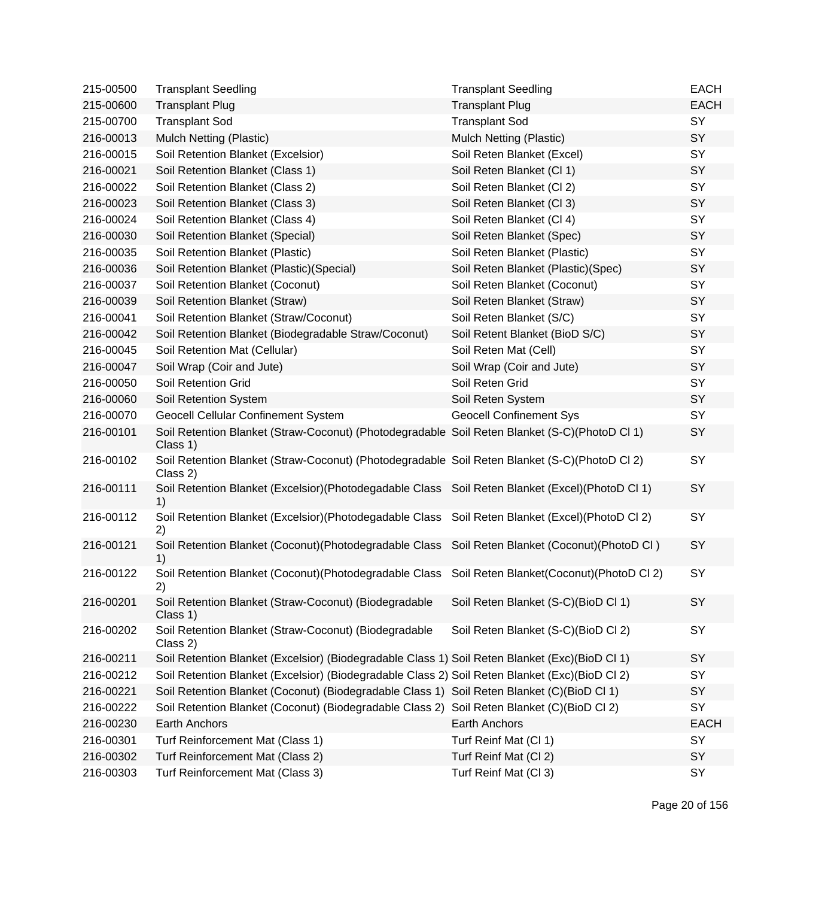| 215-00500 | <b>Transplant Seedling</b>                                                                                | <b>Transplant Seedling</b>               | <b>EACH</b> |
|-----------|-----------------------------------------------------------------------------------------------------------|------------------------------------------|-------------|
| 215-00600 | <b>Transplant Plug</b>                                                                                    | <b>Transplant Plug</b>                   | <b>EACH</b> |
| 215-00700 | <b>Transplant Sod</b>                                                                                     | <b>Transplant Sod</b>                    | SY          |
| 216-00013 | Mulch Netting (Plastic)                                                                                   | Mulch Netting (Plastic)                  | SY          |
| 216-00015 | Soil Retention Blanket (Excelsior)                                                                        | Soil Reten Blanket (Excel)               | SY          |
| 216-00021 | Soil Retention Blanket (Class 1)                                                                          | Soil Reten Blanket (Cl 1)                | SY          |
| 216-00022 | Soil Retention Blanket (Class 2)                                                                          | Soil Reten Blanket (Cl 2)                | SY          |
| 216-00023 | Soil Retention Blanket (Class 3)                                                                          | Soil Reten Blanket (Cl 3)                | SY          |
| 216-00024 | Soil Retention Blanket (Class 4)                                                                          | Soil Reten Blanket (Cl 4)                | SY          |
| 216-00030 | Soil Retention Blanket (Special)                                                                          | Soil Reten Blanket (Spec)                | SY          |
| 216-00035 | Soil Retention Blanket (Plastic)                                                                          | Soil Reten Blanket (Plastic)             | SY          |
| 216-00036 | Soil Retention Blanket (Plastic) (Special)                                                                | Soil Reten Blanket (Plastic)(Spec)       | SY          |
| 216-00037 | Soil Retention Blanket (Coconut)                                                                          | Soil Reten Blanket (Coconut)             | SY          |
| 216-00039 | Soil Retention Blanket (Straw)                                                                            | Soil Reten Blanket (Straw)               | SY          |
| 216-00041 | Soil Retention Blanket (Straw/Coconut)                                                                    | Soil Reten Blanket (S/C)                 | SY          |
| 216-00042 | Soil Retention Blanket (Biodegradable Straw/Coconut)                                                      | Soil Retent Blanket (BioD S/C)           | SY          |
| 216-00045 | Soil Retention Mat (Cellular)                                                                             | Soil Reten Mat (Cell)                    | SY          |
| 216-00047 | Soil Wrap (Coir and Jute)                                                                                 | Soil Wrap (Coir and Jute)                | SY          |
| 216-00050 | Soil Retention Grid                                                                                       | Soil Reten Grid                          | SY          |
| 216-00060 | Soil Retention System                                                                                     | Soil Reten System                        | SY          |
| 216-00070 | <b>Geocell Cellular Confinement System</b>                                                                | <b>Geocell Confinement Sys</b>           | SY          |
| 216-00101 | Soil Retention Blanket (Straw-Coconut) (Photodegradable Soil Reten Blanket (S-C)(PhotoD Cl 1)<br>Class 1) |                                          | <b>SY</b>   |
| 216-00102 | Soil Retention Blanket (Straw-Coconut) (Photodegradable Soil Reten Blanket (S-C)(PhotoD Cl 2)<br>Class 2) |                                          | SY          |
| 216-00111 | Soil Retention Blanket (Excelsior)(Photodegadable Class Soil Reten Blanket (Excel)(PhotoD Cl 1)<br>1)     |                                          | SY          |
| 216-00112 | Soil Retention Blanket (Excelsior)(Photodegadable Class Soil Reten Blanket (Excel)(PhotoD Cl 2)<br>2)     |                                          | SY          |
| 216-00121 | Soil Retention Blanket (Coconut) (Photodegradable Class<br>1)                                             | Soil Reten Blanket (Coconut) (PhotoD CI) | <b>SY</b>   |
| 216-00122 | Soil Retention Blanket (Coconut)(Photodegradable Class Soil Reten Blanket(Coconut)(PhotoD Cl 2)<br>2)     |                                          | SY          |
| 216-00201 | Soil Retention Blanket (Straw-Coconut) (Biodegradable<br>Class 1)                                         | Soil Reten Blanket (S-C)(BioD Cl 1)      | SY          |
| 216-00202 | Soil Retention Blanket (Straw-Coconut) (Biodegradable<br>Class 2)                                         | Soil Reten Blanket (S-C)(BioD Cl 2)      | SY          |
| 216-00211 | Soil Retention Blanket (Excelsior) (Biodegradable Class 1) Soil Reten Blanket (Exc)(BioD Cl 1)            |                                          | SY          |
| 216-00212 | Soil Retention Blanket (Excelsior) (Biodegradable Class 2) Soil Reten Blanket (Exc)(BioD Cl 2)            |                                          | SY          |
| 216-00221 | Soil Retention Blanket (Coconut) (Biodegradable Class 1) Soil Reten Blanket (C)(BioD Cl 1)                |                                          | SY          |
| 216-00222 | Soil Retention Blanket (Coconut) (Biodegradable Class 2) Soil Reten Blanket (C)(BioD Cl 2)                |                                          | SY          |
| 216-00230 | <b>Earth Anchors</b>                                                                                      | Earth Anchors                            | <b>EACH</b> |
| 216-00301 | Turf Reinforcement Mat (Class 1)                                                                          | Turf Reinf Mat (Cl 1)                    | SY          |
| 216-00302 | Turf Reinforcement Mat (Class 2)                                                                          | Turf Reinf Mat (Cl 2)                    | SY          |
| 216-00303 | Turf Reinforcement Mat (Class 3)                                                                          | Turf Reinf Mat (CI 3)                    | SY          |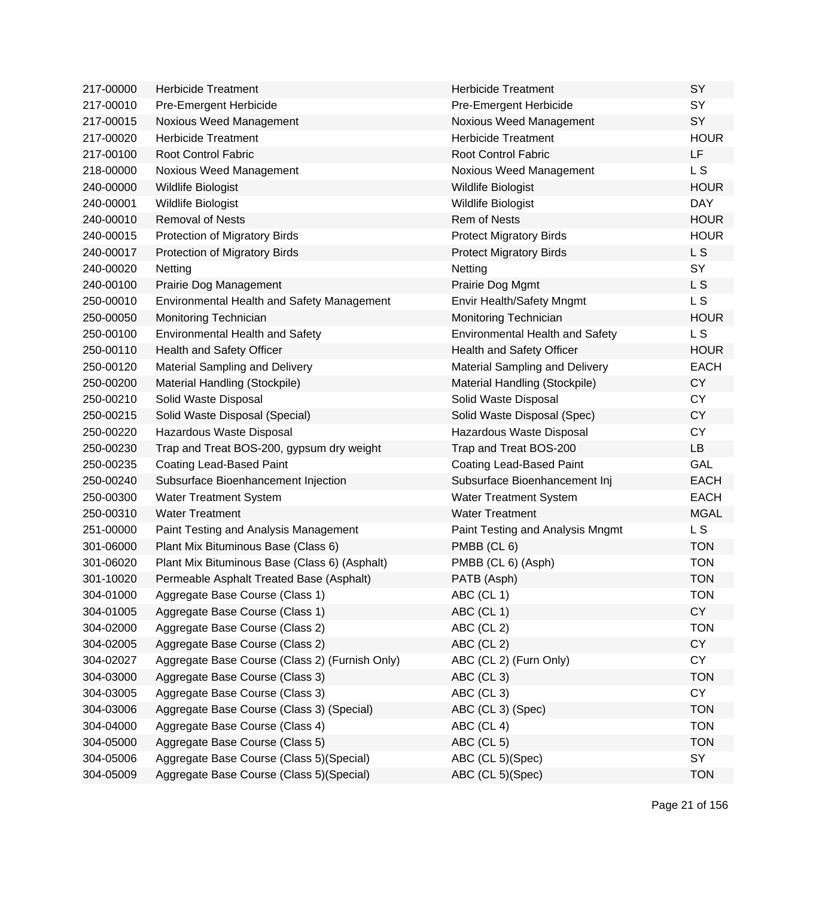| 217-00000 | <b>Herbicide Treatment</b>                     | <b>Herbicide Treatment</b>             | SY             |
|-----------|------------------------------------------------|----------------------------------------|----------------|
| 217-00010 | Pre-Emergent Herbicide                         | Pre-Emergent Herbicide                 | SY             |
| 217-00015 | Noxious Weed Management                        | Noxious Weed Management                | <b>SY</b>      |
| 217-00020 | <b>Herbicide Treatment</b>                     | <b>Herbicide Treatment</b>             | <b>HOUR</b>    |
| 217-00100 | <b>Root Control Fabric</b>                     | <b>Root Control Fabric</b>             | LF             |
| 218-00000 | Noxious Weed Management                        | Noxious Weed Management                | L S            |
| 240-00000 | Wildlife Biologist                             | Wildlife Biologist                     | <b>HOUR</b>    |
| 240-00001 | Wildlife Biologist                             | Wildlife Biologist                     | <b>DAY</b>     |
| 240-00010 | <b>Removal of Nests</b>                        | <b>Rem of Nests</b>                    | <b>HOUR</b>    |
| 240-00015 | Protection of Migratory Birds                  | <b>Protect Migratory Birds</b>         | <b>HOUR</b>    |
| 240-00017 | Protection of Migratory Birds                  | <b>Protect Migratory Birds</b>         | L <sub>S</sub> |
| 240-00020 | Netting                                        | Netting                                | SY             |
| 240-00100 | Prairie Dog Management                         | Prairie Dog Mgmt                       | L S            |
| 250-00010 | Environmental Health and Safety Management     | Envir Health/Safety Mngmt              | L S            |
| 250-00050 | Monitoring Technician                          | Monitoring Technician                  | <b>HOUR</b>    |
| 250-00100 | <b>Environmental Health and Safety</b>         | <b>Environmental Health and Safety</b> | L <sub>S</sub> |
| 250-00110 | Health and Safety Officer                      | Health and Safety Officer              | <b>HOUR</b>    |
| 250-00120 | Material Sampling and Delivery                 | <b>Material Sampling and Delivery</b>  | <b>EACH</b>    |
| 250-00200 | Material Handling (Stockpile)                  | Material Handling (Stockpile)          | <b>CY</b>      |
| 250-00210 | Solid Waste Disposal                           | Solid Waste Disposal                   | <b>CY</b>      |
| 250-00215 | Solid Waste Disposal (Special)                 | Solid Waste Disposal (Spec)            | <b>CY</b>      |
| 250-00220 | Hazardous Waste Disposal                       | Hazardous Waste Disposal               | <b>CY</b>      |
| 250-00230 | Trap and Treat BOS-200, gypsum dry weight      | Trap and Treat BOS-200                 | <b>LB</b>      |
| 250-00235 | Coating Lead-Based Paint                       | Coating Lead-Based Paint               | <b>GAL</b>     |
| 250-00240 | Subsurface Bioenhancement Injection            | Subsurface Bioenhancement Inj          | <b>EACH</b>    |
| 250-00300 | Water Treatment System                         | <b>Water Treatment System</b>          | <b>EACH</b>    |
| 250-00310 | <b>Water Treatment</b>                         | <b>Water Treatment</b>                 | <b>MGAL</b>    |
| 251-00000 | Paint Testing and Analysis Management          | Paint Testing and Analysis Mngmt       | L S            |
| 301-06000 | Plant Mix Bituminous Base (Class 6)            | PMBB (CL 6)                            | <b>TON</b>     |
| 301-06020 | Plant Mix Bituminous Base (Class 6) (Asphalt)  | PMBB (CL 6) (Asph)                     | <b>TON</b>     |
| 301-10020 | Permeable Asphalt Treated Base (Asphalt)       | PATB (Asph)                            | <b>TON</b>     |
| 304-01000 | Aggregate Base Course (Class 1)                | ABC (CL 1)                             | TON            |
| 304-01005 | Aggregate Base Course (Class 1)                | ABC (CL 1)                             | <b>CY</b>      |
| 304-02000 | Aggregate Base Course (Class 2)                | ABC (CL 2)                             | <b>TON</b>     |
| 304-02005 | Aggregate Base Course (Class 2)                | ABC (CL 2)                             | <b>CY</b>      |
| 304-02027 | Aggregate Base Course (Class 2) (Furnish Only) | ABC (CL 2) (Furn Only)                 | <b>CY</b>      |
| 304-03000 | Aggregate Base Course (Class 3)                | ABC (CL 3)                             | <b>TON</b>     |
| 304-03005 | Aggregate Base Course (Class 3)                | ABC (CL 3)                             | <b>CY</b>      |
| 304-03006 | Aggregate Base Course (Class 3) (Special)      | ABC (CL 3) (Spec)                      | <b>TON</b>     |
| 304-04000 | Aggregate Base Course (Class 4)                | ABC (CL 4)                             | <b>TON</b>     |
| 304-05000 | Aggregate Base Course (Class 5)                | ABC (CL 5)                             | <b>TON</b>     |
| 304-05006 | Aggregate Base Course (Class 5) (Special)      | ABC (CL 5)(Spec)                       | SY             |
| 304-05009 | Aggregate Base Course (Class 5) (Special)      | ABC (CL 5)(Spec)                       | <b>TON</b>     |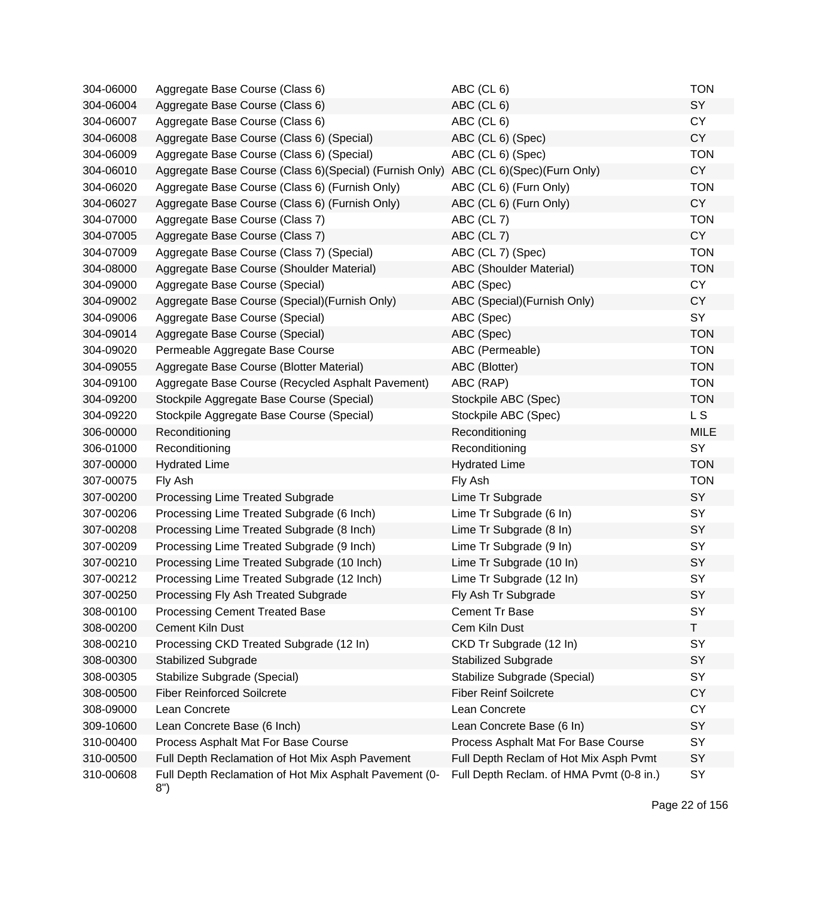| 304-06000 | Aggregate Base Course (Class 6)                                                     | ABC (CL 6)                               | <b>TON</b>  |
|-----------|-------------------------------------------------------------------------------------|------------------------------------------|-------------|
| 304-06004 | Aggregate Base Course (Class 6)                                                     | ABC (CL 6)                               | SY          |
| 304-06007 | Aggregate Base Course (Class 6)                                                     | ABC (CL 6)                               | <b>CY</b>   |
| 304-06008 | Aggregate Base Course (Class 6) (Special)                                           | ABC (CL 6) (Spec)                        | <b>CY</b>   |
| 304-06009 | Aggregate Base Course (Class 6) (Special)                                           | ABC (CL 6) (Spec)                        | <b>TON</b>  |
| 304-06010 | Aggregate Base Course (Class 6)(Special) (Furnish Only) ABC (CL 6)(Spec)(Furn Only) |                                          | <b>CY</b>   |
| 304-06020 | Aggregate Base Course (Class 6) (Furnish Only)                                      | ABC (CL 6) (Furn Only)                   | <b>TON</b>  |
| 304-06027 | Aggregate Base Course (Class 6) (Furnish Only)                                      | ABC (CL 6) (Furn Only)                   | <b>CY</b>   |
| 304-07000 | Aggregate Base Course (Class 7)                                                     | ABC (CL 7)                               | <b>TON</b>  |
| 304-07005 | Aggregate Base Course (Class 7)                                                     | ABC (CL 7)                               | <b>CY</b>   |
| 304-07009 | Aggregate Base Course (Class 7) (Special)                                           | ABC (CL 7) (Spec)                        | <b>TON</b>  |
| 304-08000 | Aggregate Base Course (Shoulder Material)                                           | ABC (Shoulder Material)                  | <b>TON</b>  |
| 304-09000 | Aggregate Base Course (Special)                                                     | ABC (Spec)                               | <b>CY</b>   |
| 304-09002 | Aggregate Base Course (Special) (Furnish Only)                                      | ABC (Special) (Furnish Only)             | <b>CY</b>   |
| 304-09006 | Aggregate Base Course (Special)                                                     | ABC (Spec)                               | SY          |
| 304-09014 | Aggregate Base Course (Special)                                                     | ABC (Spec)                               | <b>TON</b>  |
| 304-09020 | Permeable Aggregate Base Course                                                     | ABC (Permeable)                          | <b>TON</b>  |
| 304-09055 | Aggregate Base Course (Blotter Material)                                            | ABC (Blotter)                            | <b>TON</b>  |
| 304-09100 | Aggregate Base Course (Recycled Asphalt Pavement)                                   | ABC (RAP)                                | <b>TON</b>  |
| 304-09200 | Stockpile Aggregate Base Course (Special)                                           | Stockpile ABC (Spec)                     | <b>TON</b>  |
| 304-09220 | Stockpile Aggregate Base Course (Special)                                           | Stockpile ABC (Spec)                     | L S         |
| 306-00000 | Reconditioning                                                                      | Reconditioning                           | <b>MILE</b> |
| 306-01000 | Reconditioning                                                                      | Reconditioning                           | SY          |
| 307-00000 | <b>Hydrated Lime</b>                                                                | <b>Hydrated Lime</b>                     | <b>TON</b>  |
| 307-00075 | Fly Ash                                                                             | Fly Ash                                  | <b>TON</b>  |
| 307-00200 | Processing Lime Treated Subgrade                                                    | Lime Tr Subgrade                         | SY          |
| 307-00206 | Processing Lime Treated Subgrade (6 Inch)                                           | Lime Tr Subgrade (6 In)                  | SY          |
| 307-00208 | Processing Lime Treated Subgrade (8 Inch)                                           | Lime Tr Subgrade (8 In)                  | SY          |
| 307-00209 | Processing Lime Treated Subgrade (9 Inch)                                           | Lime Tr Subgrade (9 In)                  | SY          |
| 307-00210 | Processing Lime Treated Subgrade (10 Inch)                                          | Lime Tr Subgrade (10 In)                 | SY          |
| 307-00212 | Processing Lime Treated Subgrade (12 Inch)                                          | Lime Tr Subgrade (12 In)                 | SY          |
| 307-00250 | Processing Fly Ash Treated Subgrade                                                 | Fly Ash Tr Subgrade                      | <b>SY</b>   |
| 308-00100 | <b>Processing Cement Treated Base</b>                                               | <b>Cement Tr Base</b>                    | SY          |
| 308-00200 | <b>Cement Kiln Dust</b>                                                             | Cem Kiln Dust                            | Τ           |
| 308-00210 | Processing CKD Treated Subgrade (12 In)                                             | CKD Tr Subgrade (12 In)                  | SY          |
| 308-00300 | <b>Stabilized Subgrade</b>                                                          | <b>Stabilized Subgrade</b>               | <b>SY</b>   |
| 308-00305 | Stabilize Subgrade (Special)                                                        | Stabilize Subgrade (Special)             | SY          |
| 308-00500 | <b>Fiber Reinforced Soilcrete</b>                                                   | <b>Fiber Reinf Soilcrete</b>             | <b>CY</b>   |
| 308-09000 | Lean Concrete                                                                       | Lean Concrete                            | <b>CY</b>   |
| 309-10600 | Lean Concrete Base (6 Inch)                                                         | Lean Concrete Base (6 In)                | SY          |
| 310-00400 | Process Asphalt Mat For Base Course                                                 | Process Asphalt Mat For Base Course      | SY          |
| 310-00500 | Full Depth Reclamation of Hot Mix Asph Pavement                                     | Full Depth Reclam of Hot Mix Asph Pvmt   | SY          |
| 310-00608 | Full Depth Reclamation of Hot Mix Asphalt Pavement (0-<br>8")                       | Full Depth Reclam. of HMA Pvmt (0-8 in.) | SY          |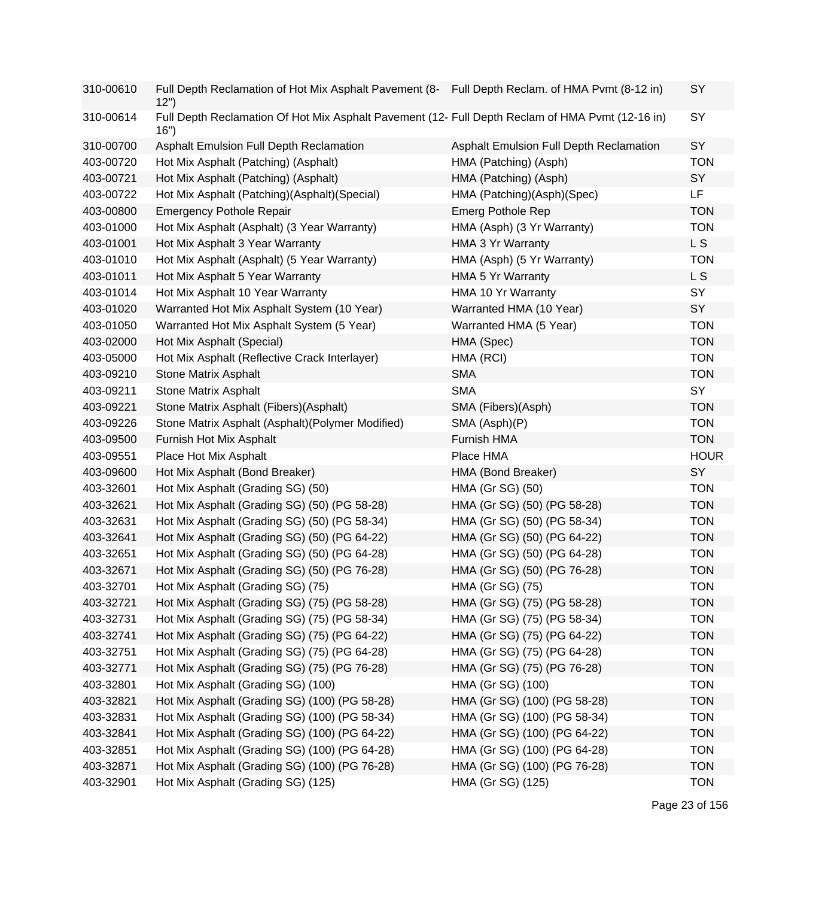| 310-00610 | Full Depth Reclamation of Hot Mix Asphalt Pavement (8- Full Depth Reclam. of HMA Pvmt (8-12 in)<br>12")  |                                         | <b>SY</b>   |
|-----------|----------------------------------------------------------------------------------------------------------|-----------------------------------------|-------------|
| 310-00614 | Full Depth Reclamation Of Hot Mix Asphalt Pavement (12- Full Depth Reclam of HMA Pvmt (12-16 in)<br>16") |                                         | SY          |
| 310-00700 | Asphalt Emulsion Full Depth Reclamation                                                                  | Asphalt Emulsion Full Depth Reclamation | SY          |
| 403-00720 | Hot Mix Asphalt (Patching) (Asphalt)                                                                     | HMA (Patching) (Asph)                   | <b>TON</b>  |
| 403-00721 | Hot Mix Asphalt (Patching) (Asphalt)                                                                     | HMA (Patching) (Asph)                   | SY          |
| 403-00722 | Hot Mix Asphalt (Patching)(Asphalt)(Special)                                                             | HMA (Patching)(Asph)(Spec)              | LF          |
| 403-00800 | <b>Emergency Pothole Repair</b>                                                                          | <b>Emerg Pothole Rep</b>                | <b>TON</b>  |
| 403-01000 | Hot Mix Asphalt (Asphalt) (3 Year Warranty)                                                              | HMA (Asph) (3 Yr Warranty)              | <b>TON</b>  |
| 403-01001 | Hot Mix Asphalt 3 Year Warranty                                                                          | HMA 3 Yr Warranty                       | L S         |
| 403-01010 | Hot Mix Asphalt (Asphalt) (5 Year Warranty)                                                              | HMA (Asph) (5 Yr Warranty)              | <b>TON</b>  |
| 403-01011 | Hot Mix Asphalt 5 Year Warranty                                                                          | HMA 5 Yr Warranty                       | L S         |
| 403-01014 | Hot Mix Asphalt 10 Year Warranty                                                                         | HMA 10 Yr Warranty                      | SY          |
| 403-01020 | Warranted Hot Mix Asphalt System (10 Year)                                                               | Warranted HMA (10 Year)                 | SY          |
| 403-01050 | Warranted Hot Mix Asphalt System (5 Year)                                                                | Warranted HMA (5 Year)                  | <b>TON</b>  |
| 403-02000 | Hot Mix Asphalt (Special)                                                                                | HMA (Spec)                              | <b>TON</b>  |
| 403-05000 | Hot Mix Asphalt (Reflective Crack Interlayer)                                                            | HMA (RCI)                               | <b>TON</b>  |
| 403-09210 | <b>Stone Matrix Asphalt</b>                                                                              | <b>SMA</b>                              | <b>TON</b>  |
| 403-09211 | Stone Matrix Asphalt                                                                                     | <b>SMA</b>                              | SY          |
| 403-09221 | Stone Matrix Asphalt (Fibers)(Asphalt)                                                                   | SMA (Fibers)(Asph)                      | <b>TON</b>  |
| 403-09226 | Stone Matrix Asphalt (Asphalt) (Polymer Modified)                                                        | SMA (Asph)(P)                           | <b>TON</b>  |
| 403-09500 | Furnish Hot Mix Asphalt                                                                                  | Furnish HMA                             | <b>TON</b>  |
| 403-09551 | Place Hot Mix Asphalt                                                                                    | Place HMA                               | <b>HOUR</b> |
| 403-09600 | Hot Mix Asphalt (Bond Breaker)                                                                           | HMA (Bond Breaker)                      | SY          |
| 403-32601 | Hot Mix Asphalt (Grading SG) (50)                                                                        | HMA (Gr SG) (50)                        | <b>TON</b>  |
| 403-32621 | Hot Mix Asphalt (Grading SG) (50) (PG 58-28)                                                             | HMA (Gr SG) (50) (PG 58-28)             | <b>TON</b>  |
| 403-32631 | Hot Mix Asphalt (Grading SG) (50) (PG 58-34)                                                             | HMA (Gr SG) (50) (PG 58-34)             | <b>TON</b>  |
| 403-32641 | Hot Mix Asphalt (Grading SG) (50) (PG 64-22)                                                             | HMA (Gr SG) (50) (PG 64-22)             | <b>TON</b>  |
| 403-32651 | Hot Mix Asphalt (Grading SG) (50) (PG 64-28)                                                             | HMA (Gr SG) (50) (PG 64-28)             | <b>TON</b>  |
| 403-32671 | Hot Mix Asphalt (Grading SG) (50) (PG 76-28)                                                             | HMA (Gr SG) (50) (PG 76-28)             | <b>TON</b>  |
| 403-32701 | Hot Mix Asphalt (Grading SG) (75)                                                                        | HMA (Gr SG) (75)                        | <b>TON</b>  |
| 403-32721 | Hot Mix Asphalt (Grading SG) (75) (PG 58-28)                                                             | HMA (Gr SG) (75) (PG 58-28)             | <b>TON</b>  |
| 403-32731 | Hot Mix Asphalt (Grading SG) (75) (PG 58-34)                                                             | HMA (Gr SG) (75) (PG 58-34)             | <b>TON</b>  |
| 403-32741 | Hot Mix Asphalt (Grading SG) (75) (PG 64-22)                                                             | HMA (Gr SG) (75) (PG 64-22)             | <b>TON</b>  |
| 403-32751 | Hot Mix Asphalt (Grading SG) (75) (PG 64-28)                                                             | HMA (Gr SG) (75) (PG 64-28)             | <b>TON</b>  |
| 403-32771 | Hot Mix Asphalt (Grading SG) (75) (PG 76-28)                                                             | HMA (Gr SG) (75) (PG 76-28)             | <b>TON</b>  |
| 403-32801 | Hot Mix Asphalt (Grading SG) (100)                                                                       | HMA (Gr SG) (100)                       | <b>TON</b>  |
| 403-32821 | Hot Mix Asphalt (Grading SG) (100) (PG 58-28)                                                            | HMA (Gr SG) (100) (PG 58-28)            | <b>TON</b>  |
| 403-32831 | Hot Mix Asphalt (Grading SG) (100) (PG 58-34)                                                            | HMA (Gr SG) (100) (PG 58-34)            | <b>TON</b>  |
| 403-32841 | Hot Mix Asphalt (Grading SG) (100) (PG 64-22)                                                            | HMA (Gr SG) (100) (PG 64-22)            | <b>TON</b>  |
| 403-32851 | Hot Mix Asphalt (Grading SG) (100) (PG 64-28)                                                            | HMA (Gr SG) (100) (PG 64-28)            | <b>TON</b>  |
| 403-32871 | Hot Mix Asphalt (Grading SG) (100) (PG 76-28)                                                            | HMA (Gr SG) (100) (PG 76-28)            | <b>TON</b>  |
| 403-32901 | Hot Mix Asphalt (Grading SG) (125)                                                                       | HMA (Gr SG) (125)                       | <b>TON</b>  |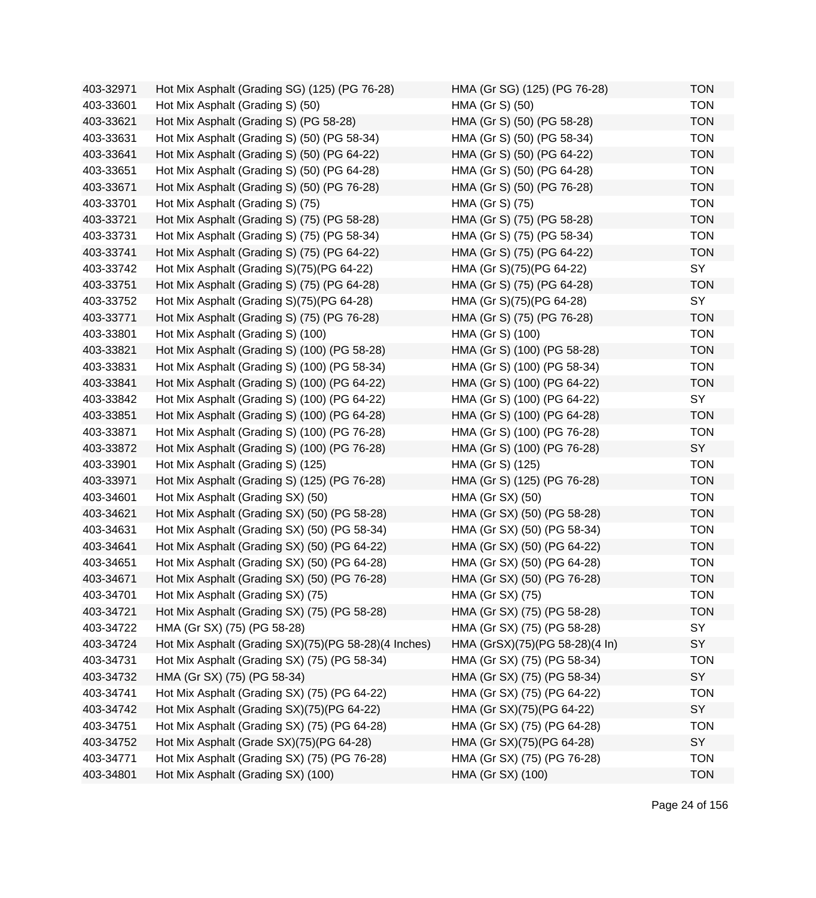| 403-32971 | Hot Mix Asphalt (Grading SG) (125) (PG 76-28)        | HMA (Gr SG) (125) (PG 76-28)   | <b>TON</b> |
|-----------|------------------------------------------------------|--------------------------------|------------|
| 403-33601 | Hot Mix Asphalt (Grading S) (50)                     | HMA (Gr S) (50)                | <b>TON</b> |
| 403-33621 | Hot Mix Asphalt (Grading S) (PG 58-28)               | HMA (Gr S) (50) (PG 58-28)     | <b>TON</b> |
| 403-33631 | Hot Mix Asphalt (Grading S) (50) (PG 58-34)          | HMA (Gr S) (50) (PG 58-34)     | <b>TON</b> |
| 403-33641 | Hot Mix Asphalt (Grading S) (50) (PG 64-22)          | HMA (Gr S) (50) (PG 64-22)     | <b>TON</b> |
| 403-33651 | Hot Mix Asphalt (Grading S) (50) (PG 64-28)          | HMA (Gr S) (50) (PG 64-28)     | <b>TON</b> |
| 403-33671 | Hot Mix Asphalt (Grading S) (50) (PG 76-28)          | HMA (Gr S) (50) (PG 76-28)     | <b>TON</b> |
| 403-33701 | Hot Mix Asphalt (Grading S) (75)                     | HMA (Gr S) (75)                | <b>TON</b> |
| 403-33721 | Hot Mix Asphalt (Grading S) (75) (PG 58-28)          | HMA (Gr S) (75) (PG 58-28)     | <b>TON</b> |
| 403-33731 | Hot Mix Asphalt (Grading S) (75) (PG 58-34)          | HMA (Gr S) (75) (PG 58-34)     | <b>TON</b> |
| 403-33741 | Hot Mix Asphalt (Grading S) (75) (PG 64-22)          | HMA (Gr S) (75) (PG 64-22)     | <b>TON</b> |
| 403-33742 | Hot Mix Asphalt (Grading S)(75)(PG 64-22)            | HMA (Gr S)(75)(PG 64-22)       | SY         |
| 403-33751 | Hot Mix Asphalt (Grading S) (75) (PG 64-28)          | HMA (Gr S) (75) (PG 64-28)     | <b>TON</b> |
| 403-33752 | Hot Mix Asphalt (Grading S)(75)(PG 64-28)            | HMA (Gr S)(75)(PG 64-28)       | SY         |
| 403-33771 | Hot Mix Asphalt (Grading S) (75) (PG 76-28)          | HMA (Gr S) (75) (PG 76-28)     | <b>TON</b> |
| 403-33801 | Hot Mix Asphalt (Grading S) (100)                    | HMA (Gr S) (100)               | <b>TON</b> |
| 403-33821 | Hot Mix Asphalt (Grading S) (100) (PG 58-28)         | HMA (Gr S) (100) (PG 58-28)    | <b>TON</b> |
| 403-33831 | Hot Mix Asphalt (Grading S) (100) (PG 58-34)         | HMA (Gr S) (100) (PG 58-34)    | <b>TON</b> |
| 403-33841 | Hot Mix Asphalt (Grading S) (100) (PG 64-22)         | HMA (Gr S) (100) (PG 64-22)    | <b>TON</b> |
| 403-33842 | Hot Mix Asphalt (Grading S) (100) (PG 64-22)         | HMA (Gr S) (100) (PG 64-22)    | SY         |
| 403-33851 | Hot Mix Asphalt (Grading S) (100) (PG 64-28)         | HMA (Gr S) (100) (PG 64-28)    | <b>TON</b> |
| 403-33871 | Hot Mix Asphalt (Grading S) (100) (PG 76-28)         | HMA (Gr S) (100) (PG 76-28)    | <b>TON</b> |
| 403-33872 | Hot Mix Asphalt (Grading S) (100) (PG 76-28)         | HMA (Gr S) (100) (PG 76-28)    | SY         |
| 403-33901 | Hot Mix Asphalt (Grading S) (125)                    | HMA (Gr S) (125)               | <b>TON</b> |
| 403-33971 | Hot Mix Asphalt (Grading S) (125) (PG 76-28)         | HMA (Gr S) (125) (PG 76-28)    | <b>TON</b> |
| 403-34601 | Hot Mix Asphalt (Grading SX) (50)                    | HMA (Gr SX) (50)               | <b>TON</b> |
| 403-34621 | Hot Mix Asphalt (Grading SX) (50) (PG 58-28)         | HMA (Gr SX) (50) (PG 58-28)    | <b>TON</b> |
| 403-34631 | Hot Mix Asphalt (Grading SX) (50) (PG 58-34)         | HMA (Gr SX) (50) (PG 58-34)    | <b>TON</b> |
| 403-34641 | Hot Mix Asphalt (Grading SX) (50) (PG 64-22)         | HMA (Gr SX) (50) (PG 64-22)    | <b>TON</b> |
| 403-34651 | Hot Mix Asphalt (Grading SX) (50) (PG 64-28)         | HMA (Gr SX) (50) (PG 64-28)    | <b>TON</b> |
| 403-34671 | Hot Mix Asphalt (Grading SX) (50) (PG 76-28)         | HMA (Gr SX) (50) (PG 76-28)    | <b>TON</b> |
| 403-34701 | Hot Mix Asphalt (Grading SX) (75)                    | HMA (Gr SX) (75)               | TON        |
| 403-34721 | Hot Mix Asphalt (Grading SX) (75) (PG 58-28)         | HMA (Gr SX) (75) (PG 58-28)    | <b>TON</b> |
| 403-34722 | HMA (Gr SX) (75) (PG 58-28)                          | HMA (Gr SX) (75) (PG 58-28)    | SY         |
| 403-34724 | Hot Mix Asphalt (Grading SX)(75)(PG 58-28)(4 Inches) | HMA (GrSX)(75)(PG 58-28)(4 In) | SY         |
| 403-34731 | Hot Mix Asphalt (Grading SX) (75) (PG 58-34)         | HMA (Gr SX) (75) (PG 58-34)    | <b>TON</b> |
| 403-34732 | HMA (Gr SX) (75) (PG 58-34)                          | HMA (Gr SX) (75) (PG 58-34)    | SY         |
| 403-34741 | Hot Mix Asphalt (Grading SX) (75) (PG 64-22)         | HMA (Gr SX) (75) (PG 64-22)    | <b>TON</b> |
| 403-34742 | Hot Mix Asphalt (Grading SX)(75)(PG 64-22)           | HMA (Gr SX)(75)(PG 64-22)      | SY         |
| 403-34751 | Hot Mix Asphalt (Grading SX) (75) (PG 64-28)         | HMA (Gr SX) (75) (PG 64-28)    | <b>TON</b> |
| 403-34752 | Hot Mix Asphalt (Grade SX)(75)(PG 64-28)             | HMA (Gr SX)(75)(PG 64-28)      | SY         |
| 403-34771 | Hot Mix Asphalt (Grading SX) (75) (PG 76-28)         | HMA (Gr SX) (75) (PG 76-28)    | <b>TON</b> |
| 403-34801 | Hot Mix Asphalt (Grading SX) (100)                   | HMA (Gr SX) (100)              | <b>TON</b> |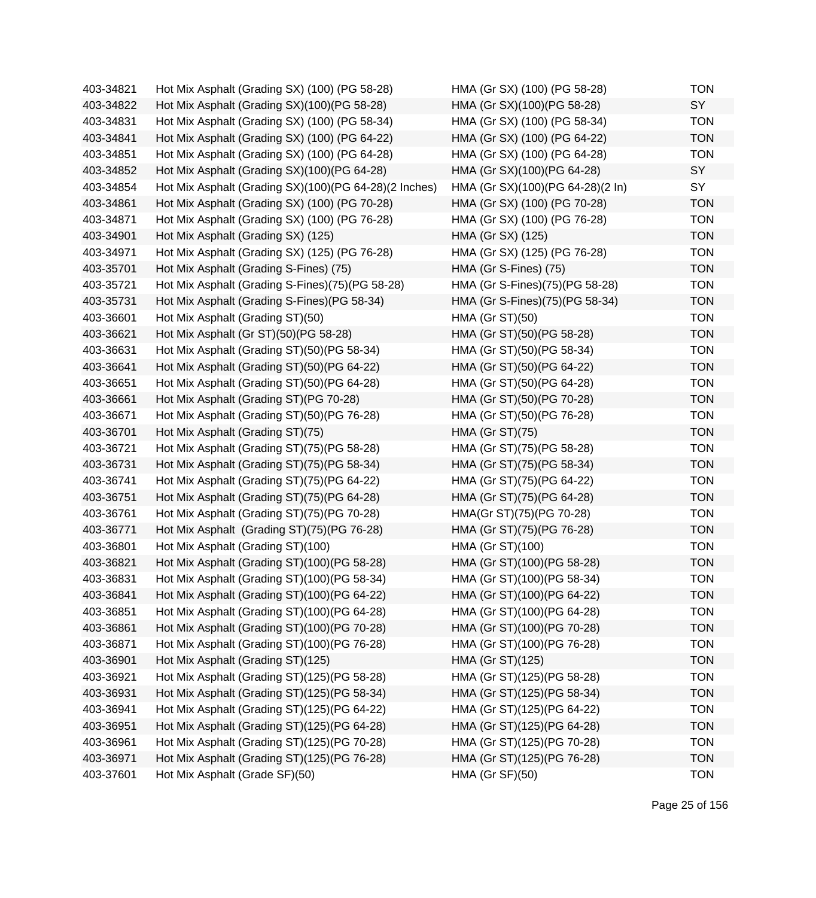| 403-34821 | Hot Mix Asphalt (Grading SX) (100) (PG 58-28)         | HMA (Gr SX) (100) (PG 58-28)     | <b>TON</b> |
|-----------|-------------------------------------------------------|----------------------------------|------------|
| 403-34822 | Hot Mix Asphalt (Grading SX)(100)(PG 58-28)           | HMA (Gr SX)(100)(PG 58-28)       | SY         |
| 403-34831 | Hot Mix Asphalt (Grading SX) (100) (PG 58-34)         | HMA (Gr SX) (100) (PG 58-34)     | <b>TON</b> |
| 403-34841 | Hot Mix Asphalt (Grading SX) (100) (PG 64-22)         | HMA (Gr SX) (100) (PG 64-22)     | <b>TON</b> |
| 403-34851 | Hot Mix Asphalt (Grading SX) (100) (PG 64-28)         | HMA (Gr SX) (100) (PG 64-28)     | <b>TON</b> |
| 403-34852 | Hot Mix Asphalt (Grading SX)(100)(PG 64-28)           | HMA (Gr SX)(100)(PG 64-28)       | SY         |
| 403-34854 | Hot Mix Asphalt (Grading SX)(100)(PG 64-28)(2 Inches) | HMA (Gr SX)(100)(PG 64-28)(2 In) | SY         |
| 403-34861 | Hot Mix Asphalt (Grading SX) (100) (PG 70-28)         | HMA (Gr SX) (100) (PG 70-28)     | <b>TON</b> |
| 403-34871 | Hot Mix Asphalt (Grading SX) (100) (PG 76-28)         | HMA (Gr SX) (100) (PG 76-28)     | <b>TON</b> |
| 403-34901 | Hot Mix Asphalt (Grading SX) (125)                    | HMA (Gr SX) (125)                | <b>TON</b> |
| 403-34971 | Hot Mix Asphalt (Grading SX) (125) (PG 76-28)         | HMA (Gr SX) (125) (PG 76-28)     | <b>TON</b> |
| 403-35701 | Hot Mix Asphalt (Grading S-Fines) (75)                | HMA (Gr S-Fines) (75)            | <b>TON</b> |
| 403-35721 | Hot Mix Asphalt (Grading S-Fines)(75)(PG 58-28)       | HMA (Gr S-Fines)(75)(PG 58-28)   | <b>TON</b> |
| 403-35731 | Hot Mix Asphalt (Grading S-Fines) (PG 58-34)          | HMA (Gr S-Fines)(75)(PG 58-34)   | <b>TON</b> |
| 403-36601 | Hot Mix Asphalt (Grading ST)(50)                      | HMA (Gr ST)(50)                  | <b>TON</b> |
| 403-36621 | Hot Mix Asphalt (Gr ST)(50)(PG 58-28)                 | HMA (Gr ST)(50)(PG 58-28)        | <b>TON</b> |
| 403-36631 | Hot Mix Asphalt (Grading ST)(50)(PG 58-34)            | HMA (Gr ST)(50)(PG 58-34)        | <b>TON</b> |
| 403-36641 | Hot Mix Asphalt (Grading ST)(50)(PG 64-22)            | HMA (Gr ST)(50)(PG 64-22)        | <b>TON</b> |
| 403-36651 | Hot Mix Asphalt (Grading ST)(50)(PG 64-28)            | HMA (Gr ST)(50)(PG 64-28)        | <b>TON</b> |
| 403-36661 | Hot Mix Asphalt (Grading ST)(PG 70-28)                | HMA (Gr ST)(50)(PG 70-28)        | <b>TON</b> |
| 403-36671 | Hot Mix Asphalt (Grading ST)(50)(PG 76-28)            | HMA (Gr ST)(50)(PG 76-28)        | <b>TON</b> |
| 403-36701 | Hot Mix Asphalt (Grading ST)(75)                      | HMA (Gr ST)(75)                  | <b>TON</b> |
| 403-36721 | Hot Mix Asphalt (Grading ST)(75)(PG 58-28)            | HMA (Gr ST)(75)(PG 58-28)        | <b>TON</b> |
| 403-36731 | Hot Mix Asphalt (Grading ST)(75)(PG 58-34)            | HMA (Gr ST)(75)(PG 58-34)        | <b>TON</b> |
| 403-36741 | Hot Mix Asphalt (Grading ST)(75)(PG 64-22)            | HMA (Gr ST)(75)(PG 64-22)        | <b>TON</b> |
| 403-36751 | Hot Mix Asphalt (Grading ST)(75)(PG 64-28)            | HMA (Gr ST)(75)(PG 64-28)        | <b>TON</b> |
| 403-36761 | Hot Mix Asphalt (Grading ST)(75)(PG 70-28)            | HMA(Gr ST)(75)(PG 70-28)         | <b>TON</b> |
| 403-36771 | Hot Mix Asphalt (Grading ST)(75)(PG 76-28)            | HMA (Gr ST)(75)(PG 76-28)        | <b>TON</b> |
| 403-36801 | Hot Mix Asphalt (Grading ST)(100)                     | HMA (Gr ST)(100)                 | <b>TON</b> |
| 403-36821 | Hot Mix Asphalt (Grading ST)(100)(PG 58-28)           | HMA (Gr ST)(100)(PG 58-28)       | <b>TON</b> |
| 403-36831 | Hot Mix Asphalt (Grading ST)(100)(PG 58-34)           | HMA (Gr ST)(100)(PG 58-34)       | <b>TON</b> |
| 403-36841 | Hot Mix Asphalt (Grading ST)(100)(PG 64-22)           | HMA (Gr ST)(100)(PG 64-22)       | TON        |
| 403-36851 | Hot Mix Asphalt (Grading ST)(100)(PG 64-28)           | HMA (Gr ST)(100)(PG 64-28)       | <b>TON</b> |
| 403-36861 | Hot Mix Asphalt (Grading ST)(100)(PG 70-28)           | HMA (Gr ST)(100)(PG 70-28)       | <b>TON</b> |
| 403-36871 | Hot Mix Asphalt (Grading ST)(100)(PG 76-28)           | HMA (Gr ST)(100)(PG 76-28)       | <b>TON</b> |
| 403-36901 | Hot Mix Asphalt (Grading ST)(125)                     | HMA (Gr ST)(125)                 | <b>TON</b> |
| 403-36921 | Hot Mix Asphalt (Grading ST)(125)(PG 58-28)           | HMA (Gr ST)(125)(PG 58-28)       | <b>TON</b> |
| 403-36931 | Hot Mix Asphalt (Grading ST)(125)(PG 58-34)           | HMA (Gr ST)(125)(PG 58-34)       | <b>TON</b> |
| 403-36941 | Hot Mix Asphalt (Grading ST)(125)(PG 64-22)           | HMA (Gr ST)(125)(PG 64-22)       | <b>TON</b> |
| 403-36951 | Hot Mix Asphalt (Grading ST)(125)(PG 64-28)           | HMA (Gr ST)(125)(PG 64-28)       | <b>TON</b> |
| 403-36961 | Hot Mix Asphalt (Grading ST)(125)(PG 70-28)           | HMA (Gr ST)(125)(PG 70-28)       | <b>TON</b> |
| 403-36971 | Hot Mix Asphalt (Grading ST)(125)(PG 76-28)           | HMA (Gr ST)(125)(PG 76-28)       | <b>TON</b> |
| 403-37601 | Hot Mix Asphalt (Grade SF)(50)                        | <b>HMA (Gr SF)(50)</b>           | <b>TON</b> |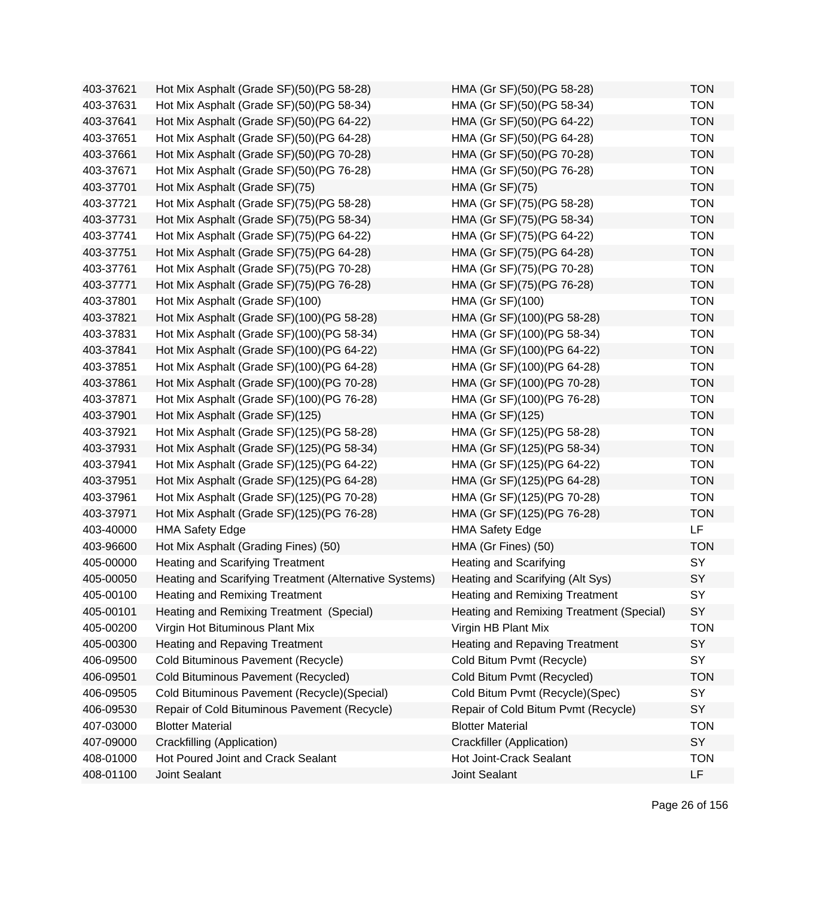| 403-37621 | Hot Mix Asphalt (Grade SF)(50)(PG 58-28)               | HMA (Gr SF)(50)(PG 58-28)                | <b>TON</b> |
|-----------|--------------------------------------------------------|------------------------------------------|------------|
| 403-37631 | Hot Mix Asphalt (Grade SF)(50)(PG 58-34)               | HMA (Gr SF)(50)(PG 58-34)                | <b>TON</b> |
| 403-37641 | Hot Mix Asphalt (Grade SF)(50)(PG 64-22)               | HMA (Gr SF)(50)(PG 64-22)                | <b>TON</b> |
| 403-37651 | Hot Mix Asphalt (Grade SF)(50)(PG 64-28)               | HMA (Gr SF)(50)(PG 64-28)                | <b>TON</b> |
| 403-37661 | Hot Mix Asphalt (Grade SF)(50)(PG 70-28)               | HMA (Gr SF)(50)(PG 70-28)                | <b>TON</b> |
| 403-37671 | Hot Mix Asphalt (Grade SF)(50)(PG 76-28)               | HMA (Gr SF)(50)(PG 76-28)                | <b>TON</b> |
| 403-37701 | Hot Mix Asphalt (Grade SF)(75)                         | <b>HMA (Gr SF)(75)</b>                   | <b>TON</b> |
| 403-37721 | Hot Mix Asphalt (Grade SF)(75)(PG 58-28)               | HMA (Gr SF)(75)(PG 58-28)                | <b>TON</b> |
| 403-37731 | Hot Mix Asphalt (Grade SF)(75)(PG 58-34)               | HMA (Gr SF)(75)(PG 58-34)                | <b>TON</b> |
| 403-37741 | Hot Mix Asphalt (Grade SF)(75)(PG 64-22)               | HMA (Gr SF)(75)(PG 64-22)                | <b>TON</b> |
| 403-37751 | Hot Mix Asphalt (Grade SF)(75)(PG 64-28)               | HMA (Gr SF)(75)(PG 64-28)                | <b>TON</b> |
| 403-37761 | Hot Mix Asphalt (Grade SF)(75)(PG 70-28)               | HMA (Gr SF)(75)(PG 70-28)                | <b>TON</b> |
| 403-37771 | Hot Mix Asphalt (Grade SF)(75)(PG 76-28)               | HMA (Gr SF)(75)(PG 76-28)                | <b>TON</b> |
| 403-37801 | Hot Mix Asphalt (Grade SF)(100)                        | HMA (Gr SF)(100)                         | <b>TON</b> |
| 403-37821 | Hot Mix Asphalt (Grade SF)(100)(PG 58-28)              | HMA (Gr SF)(100)(PG 58-28)               | <b>TON</b> |
| 403-37831 | Hot Mix Asphalt (Grade SF)(100)(PG 58-34)              | HMA (Gr SF)(100)(PG 58-34)               | <b>TON</b> |
| 403-37841 | Hot Mix Asphalt (Grade SF)(100)(PG 64-22)              | HMA (Gr SF)(100)(PG 64-22)               | <b>TON</b> |
| 403-37851 | Hot Mix Asphalt (Grade SF)(100)(PG 64-28)              | HMA (Gr SF)(100)(PG 64-28)               | <b>TON</b> |
| 403-37861 | Hot Mix Asphalt (Grade SF)(100)(PG 70-28)              | HMA (Gr SF)(100)(PG 70-28)               | <b>TON</b> |
| 403-37871 | Hot Mix Asphalt (Grade SF)(100)(PG 76-28)              | HMA (Gr SF)(100)(PG 76-28)               | <b>TON</b> |
| 403-37901 | Hot Mix Asphalt (Grade SF)(125)                        | HMA (Gr SF)(125)                         | <b>TON</b> |
| 403-37921 | Hot Mix Asphalt (Grade SF)(125)(PG 58-28)              | HMA (Gr SF)(125)(PG 58-28)               | <b>TON</b> |
| 403-37931 | Hot Mix Asphalt (Grade SF)(125)(PG 58-34)              | HMA (Gr SF)(125)(PG 58-34)               | <b>TON</b> |
| 403-37941 | Hot Mix Asphalt (Grade SF)(125)(PG 64-22)              | HMA (Gr SF)(125)(PG 64-22)               | <b>TON</b> |
| 403-37951 | Hot Mix Asphalt (Grade SF)(125)(PG 64-28)              | HMA (Gr SF)(125)(PG 64-28)               | <b>TON</b> |
| 403-37961 | Hot Mix Asphalt (Grade SF)(125)(PG 70-28)              | HMA (Gr SF)(125)(PG 70-28)               | <b>TON</b> |
| 403-37971 | Hot Mix Asphalt (Grade SF)(125)(PG 76-28)              | HMA (Gr SF)(125)(PG 76-28)               | <b>TON</b> |
| 403-40000 | <b>HMA Safety Edge</b>                                 | <b>HMA Safety Edge</b>                   | LF         |
| 403-96600 | Hot Mix Asphalt (Grading Fines) (50)                   | HMA (Gr Fines) (50)                      | <b>TON</b> |
| 405-00000 | <b>Heating and Scarifying Treatment</b>                | <b>Heating and Scarifying</b>            | SY         |
| 405-00050 | Heating and Scarifying Treatment (Alternative Systems) | Heating and Scarifying (Alt Sys)         | SY         |
| 405-00100 | <b>Heating and Remixing Treatment</b>                  | <b>Heating and Remixing Treatment</b>    | SY         |
| 405-00101 | Heating and Remixing Treatment (Special)               | Heating and Remixing Treatment (Special) | SY         |
| 405-00200 | Virgin Hot Bituminous Plant Mix                        | Virgin HB Plant Mix                      | <b>TON</b> |
| 405-00300 | <b>Heating and Repaving Treatment</b>                  | <b>Heating and Repaving Treatment</b>    | SY         |
| 406-09500 | Cold Bituminous Pavement (Recycle)                     | Cold Bitum Pvmt (Recycle)                | SY         |
| 406-09501 | Cold Bituminous Pavement (Recycled)                    | Cold Bitum Pvmt (Recycled)               | <b>TON</b> |
| 406-09505 | Cold Bituminous Pavement (Recycle) (Special)           | Cold Bitum Pvmt (Recycle)(Spec)          | SY         |
| 406-09530 | Repair of Cold Bituminous Pavement (Recycle)           | Repair of Cold Bitum Pvmt (Recycle)      | SY         |
| 407-03000 | <b>Blotter Material</b>                                | <b>Blotter Material</b>                  | <b>TON</b> |
| 407-09000 | Crackfilling (Application)                             | Crackfiller (Application)                | SY         |
| 408-01000 | Hot Poured Joint and Crack Sealant                     | Hot Joint-Crack Sealant                  | <b>TON</b> |
| 408-01100 | Joint Sealant                                          | Joint Sealant                            | LF         |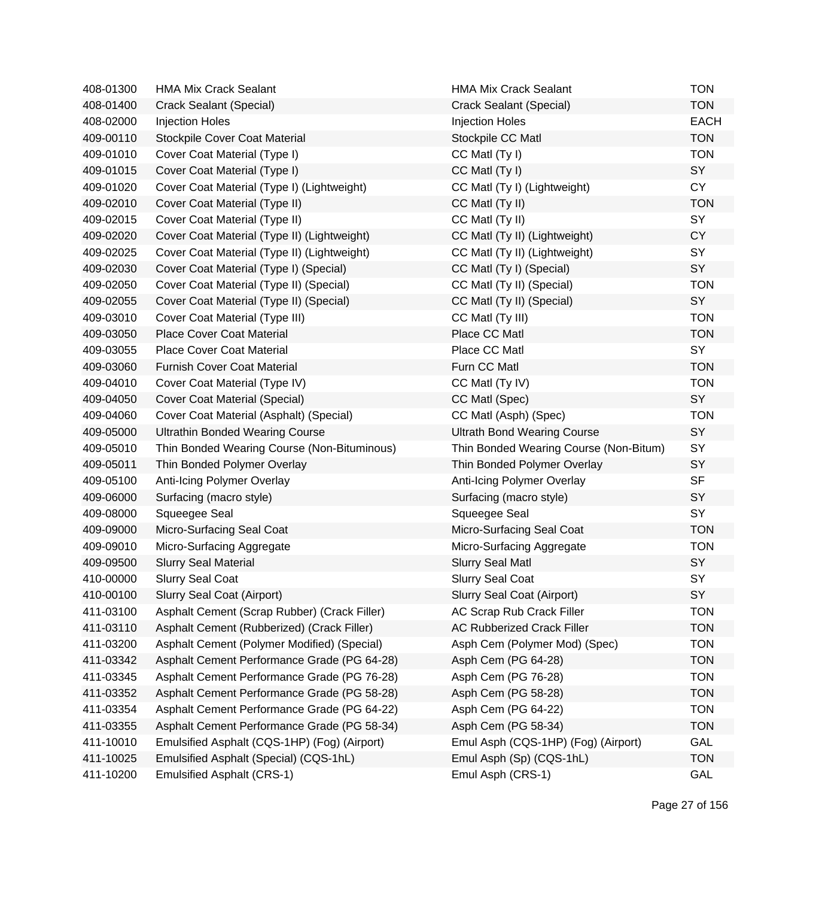| 408-01300 | <b>HMA Mix Crack Sealant</b>                 | <b>HMA Mix Crack Sealant</b>           | <b>TON</b>  |
|-----------|----------------------------------------------|----------------------------------------|-------------|
| 408-01400 | Crack Sealant (Special)                      | Crack Sealant (Special)                | <b>TON</b>  |
| 408-02000 | <b>Injection Holes</b>                       | <b>Injection Holes</b>                 | <b>EACH</b> |
| 409-00110 | <b>Stockpile Cover Coat Material</b>         | Stockpile CC Matl                      | <b>TON</b>  |
| 409-01010 | Cover Coat Material (Type I)                 | CC Matl (Ty I)                         | <b>TON</b>  |
| 409-01015 | Cover Coat Material (Type I)                 | CC Matl (Ty I)                         | SY          |
| 409-01020 | Cover Coat Material (Type I) (Lightweight)   | CC Matl (Ty I) (Lightweight)           | <b>CY</b>   |
| 409-02010 | Cover Coat Material (Type II)                | CC Matl (Ty II)                        | <b>TON</b>  |
| 409-02015 | Cover Coat Material (Type II)                | CC Matl (Ty II)                        | <b>SY</b>   |
| 409-02020 | Cover Coat Material (Type II) (Lightweight)  | CC Matl (Ty II) (Lightweight)          | <b>CY</b>   |
| 409-02025 | Cover Coat Material (Type II) (Lightweight)  | CC Matl (Ty II) (Lightweight)          | <b>SY</b>   |
| 409-02030 | Cover Coat Material (Type I) (Special)       | CC Matl (Ty I) (Special)               | SY          |
| 409-02050 | Cover Coat Material (Type II) (Special)      | CC Matl (Ty II) (Special)              | <b>TON</b>  |
| 409-02055 | Cover Coat Material (Type II) (Special)      | CC Matl (Ty II) (Special)              | SY          |
| 409-03010 | Cover Coat Material (Type III)               | CC Matl (Ty III)                       | <b>TON</b>  |
| 409-03050 | <b>Place Cover Coat Material</b>             | Place CC Matl                          | <b>TON</b>  |
| 409-03055 | <b>Place Cover Coat Material</b>             | Place CC Matl                          | SY          |
| 409-03060 | <b>Furnish Cover Coat Material</b>           | Furn CC Matl                           | <b>TON</b>  |
| 409-04010 | Cover Coat Material (Type IV)                | CC Matl (Ty IV)                        | <b>TON</b>  |
| 409-04050 | <b>Cover Coat Material (Special)</b>         | CC Matl (Spec)                         | SY          |
| 409-04060 | Cover Coat Material (Asphalt) (Special)      | CC Matl (Asph) (Spec)                  | <b>TON</b>  |
| 409-05000 | <b>Ultrathin Bonded Wearing Course</b>       | <b>Ultrath Bond Wearing Course</b>     | SY          |
| 409-05010 | Thin Bonded Wearing Course (Non-Bituminous)  | Thin Bonded Wearing Course (Non-Bitum) | SY          |
| 409-05011 | Thin Bonded Polymer Overlay                  | Thin Bonded Polymer Overlay            | SY          |
| 409-05100 | Anti-Icing Polymer Overlay                   | Anti-Icing Polymer Overlay             | <b>SF</b>   |
| 409-06000 | Surfacing (macro style)                      | Surfacing (macro style)                | SY          |
| 409-08000 | Squeegee Seal                                | Squeegee Seal                          | SY          |
| 409-09000 | Micro-Surfacing Seal Coat                    | Micro-Surfacing Seal Coat              | <b>TON</b>  |
| 409-09010 | Micro-Surfacing Aggregate                    | Micro-Surfacing Aggregate              | <b>TON</b>  |
| 409-09500 | <b>Slurry Seal Material</b>                  | <b>Slurry Seal Matl</b>                | SY          |
| 410-00000 | <b>Slurry Seal Coat</b>                      | <b>Slurry Seal Coat</b>                | SY          |
| 410-00100 | Slurry Seal Coat (Airport)                   | <b>Slurry Seal Coat (Airport)</b>      | SY          |
| 411-03100 | Asphalt Cement (Scrap Rubber) (Crack Filler) | AC Scrap Rub Crack Filler              | <b>TON</b>  |
| 411-03110 | Asphalt Cement (Rubberized) (Crack Filler)   | <b>AC Rubberized Crack Filler</b>      | <b>TON</b>  |
| 411-03200 | Asphalt Cement (Polymer Modified) (Special)  | Asph Cem (Polymer Mod) (Spec)          | <b>TON</b>  |
| 411-03342 | Asphalt Cement Performance Grade (PG 64-28)  | Asph Cem (PG 64-28)                    | <b>TON</b>  |
| 411-03345 | Asphalt Cement Performance Grade (PG 76-28)  | Asph Cem (PG 76-28)                    | <b>TON</b>  |
| 411-03352 | Asphalt Cement Performance Grade (PG 58-28)  | Asph Cem (PG 58-28)                    | <b>TON</b>  |
| 411-03354 | Asphalt Cement Performance Grade (PG 64-22)  | Asph Cem (PG 64-22)                    | <b>TON</b>  |
| 411-03355 | Asphalt Cement Performance Grade (PG 58-34)  | Asph Cem (PG 58-34)                    | <b>TON</b>  |
| 411-10010 | Emulsified Asphalt (CQS-1HP) (Fog) (Airport) | Emul Asph (CQS-1HP) (Fog) (Airport)    | GAL         |
| 411-10025 | Emulsified Asphalt (Special) (CQS-1hL)       | Emul Asph (Sp) (CQS-1hL)               | <b>TON</b>  |
| 411-10200 | <b>Emulsified Asphalt (CRS-1)</b>            | Emul Asph (CRS-1)                      | GAL         |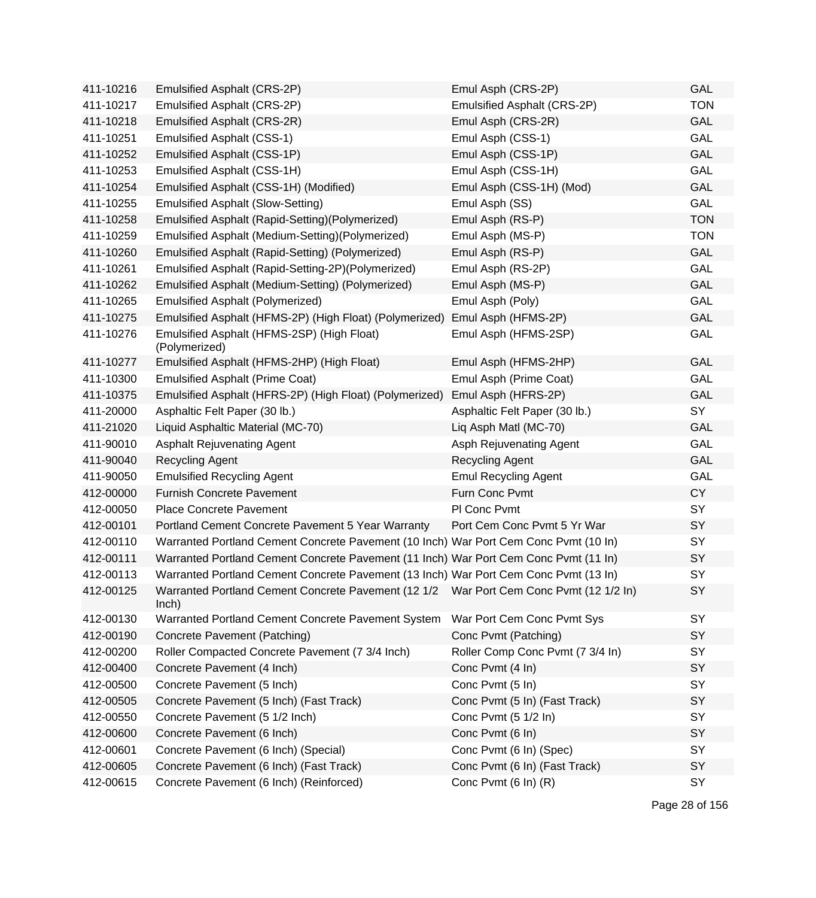| 411-10216 | Emulsified Asphalt (CRS-2P)                                                                     | Emul Asph (CRS-2P)               | GAL        |
|-----------|-------------------------------------------------------------------------------------------------|----------------------------------|------------|
| 411-10217 | Emulsified Asphalt (CRS-2P)                                                                     | Emulsified Asphalt (CRS-2P)      | <b>TON</b> |
| 411-10218 | Emulsified Asphalt (CRS-2R)                                                                     | Emul Asph (CRS-2R)               | <b>GAL</b> |
| 411-10251 | <b>Emulsified Asphalt (CSS-1)</b>                                                               | Emul Asph (CSS-1)                | <b>GAL</b> |
| 411-10252 | Emulsified Asphalt (CSS-1P)                                                                     | Emul Asph (CSS-1P)               | GAL        |
| 411-10253 | Emulsified Asphalt (CSS-1H)                                                                     | Emul Asph (CSS-1H)               | GAL        |
| 411-10254 | Emulsified Asphalt (CSS-1H) (Modified)                                                          | Emul Asph (CSS-1H) (Mod)         | GAL        |
| 411-10255 | <b>Emulsified Asphalt (Slow-Setting)</b>                                                        | Emul Asph (SS)                   | GAL        |
| 411-10258 | Emulsified Asphalt (Rapid-Setting)(Polymerized)                                                 | Emul Asph (RS-P)                 | <b>TON</b> |
| 411-10259 | Emulsified Asphalt (Medium-Setting)(Polymerized)                                                | Emul Asph (MS-P)                 | <b>TON</b> |
| 411-10260 | Emulsified Asphalt (Rapid-Setting) (Polymerized)                                                | Emul Asph (RS-P)                 | GAL        |
| 411-10261 | Emulsified Asphalt (Rapid-Setting-2P)(Polymerized)                                              | Emul Asph (RS-2P)                | GAL        |
| 411-10262 | Emulsified Asphalt (Medium-Setting) (Polymerized)                                               | Emul Asph (MS-P)                 | GAL        |
| 411-10265 | <b>Emulsified Asphalt (Polymerized)</b>                                                         | Emul Asph (Poly)                 | <b>GAL</b> |
| 411-10275 | Emulsified Asphalt (HFMS-2P) (High Float) (Polymerized)                                         | Emul Asph (HFMS-2P)              | GAL        |
| 411-10276 | Emulsified Asphalt (HFMS-2SP) (High Float)<br>(Polymerized)                                     | Emul Asph (HFMS-2SP)             | GAL        |
| 411-10277 | Emulsified Asphalt (HFMS-2HP) (High Float)                                                      | Emul Asph (HFMS-2HP)             | GAL        |
| 411-10300 | <b>Emulsified Asphalt (Prime Coat)</b>                                                          | Emul Asph (Prime Coat)           | GAL        |
| 411-10375 | Emulsified Asphalt (HFRS-2P) (High Float) (Polymerized)                                         | Emul Asph (HFRS-2P)              | GAL        |
| 411-20000 | Asphaltic Felt Paper (30 lb.)                                                                   | Asphaltic Felt Paper (30 lb.)    | SY         |
| 411-21020 | Liquid Asphaltic Material (MC-70)                                                               | Liq Asph Matl (MC-70)            | GAL        |
| 411-90010 | <b>Asphalt Rejuvenating Agent</b>                                                               | Asph Rejuvenating Agent          | GAL        |
| 411-90040 | <b>Recycling Agent</b>                                                                          | <b>Recycling Agent</b>           | GAL        |
| 411-90050 | <b>Emulsified Recycling Agent</b>                                                               | <b>Emul Recycling Agent</b>      | GAL        |
| 412-00000 | <b>Furnish Concrete Pavement</b>                                                                | Furn Conc Pvmt                   | CY         |
| 412-00050 | <b>Place Concrete Pavement</b>                                                                  | PI Conc Pvmt                     | SY         |
| 412-00101 | Portland Cement Concrete Pavement 5 Year Warranty                                               | Port Cem Conc Pvmt 5 Yr War      | SY         |
| 412-00110 | Warranted Portland Cement Concrete Pavement (10 Inch) War Port Cem Conc Pvmt (10 In)            |                                  | SY         |
| 412-00111 | Warranted Portland Cement Concrete Pavement (11 Inch) War Port Cem Conc Pvmt (11 In)            |                                  | SY         |
| 412-00113 | Warranted Portland Cement Concrete Pavement (13 Inch) War Port Cem Conc Pvmt (13 In)            |                                  | SY         |
| 412-00125 | Warranted Portland Cement Concrete Pavement (12 1/2 War Port Cem Conc Pvmt (12 1/2 In)<br>lnch) |                                  | SY         |
| 412-00130 | Warranted Portland Cement Concrete Pavement System                                              | War Port Cem Conc Pvmt Sys       | SY         |
| 412-00190 | Concrete Pavement (Patching)                                                                    | Conc Pvmt (Patching)             | SY         |
| 412-00200 | Roller Compacted Concrete Pavement (7 3/4 Inch)                                                 | Roller Comp Conc Pvmt (7 3/4 In) | SY         |
| 412-00400 | Concrete Pavement (4 Inch)                                                                      | Conc Pvmt (4 In)                 | SY         |
| 412-00500 | Concrete Pavement (5 Inch)                                                                      | Conc Pvmt (5 In)                 | SY         |
| 412-00505 | Concrete Pavement (5 Inch) (Fast Track)                                                         | Conc Pvmt (5 In) (Fast Track)    | SY         |
| 412-00550 | Concrete Pavement (5 1/2 Inch)                                                                  | Conc Pvmt (5 1/2 ln)             | SY         |
| 412-00600 | Concrete Pavement (6 Inch)                                                                      | Conc Pvmt (6 In)                 | SY         |
| 412-00601 | Concrete Pavement (6 Inch) (Special)                                                            | Conc Pvmt (6 In) (Spec)          | SY         |
| 412-00605 | Concrete Pavement (6 Inch) (Fast Track)                                                         | Conc Pvmt (6 In) (Fast Track)    | SY         |
| 412-00615 | Concrete Pavement (6 Inch) (Reinforced)                                                         | Conc Pvmt (6 In) (R)             | SY         |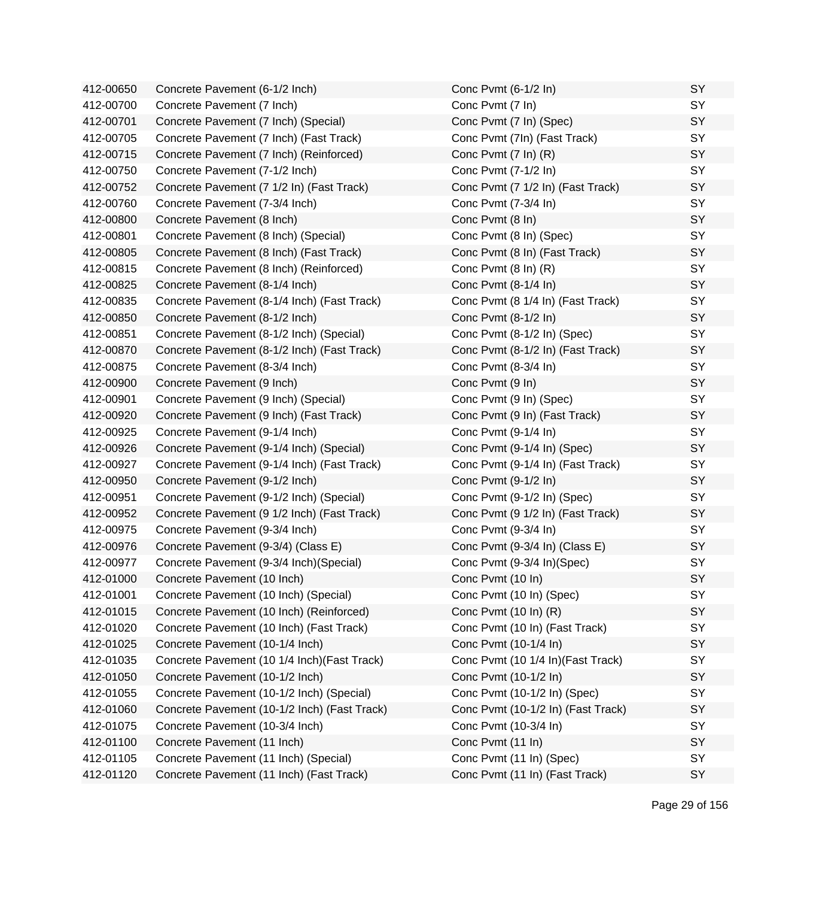| 412-00650 | Concrete Pavement (6-1/2 Inch)               | Conc Pvmt (6-1/2 In)               | SY        |
|-----------|----------------------------------------------|------------------------------------|-----------|
| 412-00700 | Concrete Pavement (7 Inch)                   | Conc Pvmt (7 In)                   | SY        |
| 412-00701 | Concrete Pavement (7 Inch) (Special)         | Conc Pvmt (7 In) (Spec)            | SY        |
| 412-00705 | Concrete Pavement (7 Inch) (Fast Track)      | Conc Pvmt (7In) (Fast Track)       | SY        |
| 412-00715 | Concrete Pavement (7 Inch) (Reinforced)      | Conc Pvmt (7 In) (R)               | SY        |
| 412-00750 | Concrete Pavement (7-1/2 Inch)               | Conc Pvmt (7-1/2 In)               | SY        |
| 412-00752 | Concrete Pavement (7 1/2 In) (Fast Track)    | Conc Pvmt (7 1/2 In) (Fast Track)  | SY        |
| 412-00760 | Concrete Pavement (7-3/4 Inch)               | Conc Pvmt (7-3/4 In)               | SY        |
| 412-00800 | Concrete Pavement (8 Inch)                   | Conc Pvmt (8 In)                   | SY        |
| 412-00801 | Concrete Pavement (8 Inch) (Special)         | Conc Pvmt (8 In) (Spec)            | SY        |
| 412-00805 | Concrete Pavement (8 Inch) (Fast Track)      | Conc Pvmt (8 In) (Fast Track)      | SY        |
| 412-00815 | Concrete Pavement (8 Inch) (Reinforced)      | Conc Pvmt (8 In) (R)               | SY        |
| 412-00825 | Concrete Pavement (8-1/4 Inch)               | Conc Pvmt (8-1/4 In)               | SY        |
| 412-00835 | Concrete Pavement (8-1/4 Inch) (Fast Track)  | Conc Pvmt (8 1/4 In) (Fast Track)  | SY        |
| 412-00850 | Concrete Pavement (8-1/2 Inch)               | Conc Pvmt (8-1/2 In)               | SY        |
| 412-00851 | Concrete Pavement (8-1/2 Inch) (Special)     | Conc Pvmt (8-1/2 In) (Spec)        | SY        |
| 412-00870 | Concrete Pavement (8-1/2 Inch) (Fast Track)  | Conc Pvmt (8-1/2 In) (Fast Track)  | SY        |
| 412-00875 | Concrete Pavement (8-3/4 Inch)               | Conc Pvmt (8-3/4 In)               | SY        |
| 412-00900 | Concrete Pavement (9 Inch)                   | Conc Pvmt (9 In)                   | SY        |
| 412-00901 | Concrete Pavement (9 Inch) (Special)         | Conc Pvmt (9 In) (Spec)            | SY        |
| 412-00920 | Concrete Pavement (9 Inch) (Fast Track)      | Conc Pvmt (9 In) (Fast Track)      | SY        |
| 412-00925 | Concrete Pavement (9-1/4 Inch)               | Conc Pvmt (9-1/4 In)               | SY        |
| 412-00926 | Concrete Pavement (9-1/4 Inch) (Special)     | Conc Pvmt (9-1/4 In) (Spec)        | SY        |
| 412-00927 | Concrete Pavement (9-1/4 Inch) (Fast Track)  | Conc Pvmt (9-1/4 In) (Fast Track)  | SY        |
| 412-00950 | Concrete Pavement (9-1/2 Inch)               | Conc Pvmt (9-1/2 In)               | SY        |
| 412-00951 | Concrete Pavement (9-1/2 Inch) (Special)     | Conc Pvmt (9-1/2 In) (Spec)        | <b>SY</b> |
| 412-00952 | Concrete Pavement (9 1/2 Inch) (Fast Track)  | Conc Pvmt (9 1/2 In) (Fast Track)  | SY        |
| 412-00975 | Concrete Pavement (9-3/4 Inch)               | Conc Pvmt (9-3/4 In)               | SY        |
| 412-00976 | Concrete Pavement (9-3/4) (Class E)          | Conc Pvmt (9-3/4 In) (Class E)     | SY        |
| 412-00977 | Concrete Pavement (9-3/4 Inch)(Special)      | Conc Pvmt (9-3/4 In)(Spec)         | SY        |
| 412-01000 | Concrete Pavement (10 Inch)                  | Conc Pvmt (10 In)                  | SY        |
| 412-01001 | Concrete Pavement (10 Inch) (Special)        | Conc Pvmt (10 In) (Spec)           | SY        |
| 412-01015 | Concrete Pavement (10 Inch) (Reinforced)     | Conc Pvmt (10 In) (R)              | SY        |
| 412-01020 | Concrete Pavement (10 Inch) (Fast Track)     | Conc Pvmt (10 In) (Fast Track)     | SY        |
| 412-01025 | Concrete Pavement (10-1/4 Inch)              | Conc Pvmt (10-1/4 In)              | SY        |
| 412-01035 | Concrete Pavement (10 1/4 Inch) (Fast Track) | Conc Pvmt (10 1/4 In) (Fast Track) | <b>SY</b> |
| 412-01050 | Concrete Pavement (10-1/2 Inch)              | Conc Pvmt (10-1/2 In)              | SY        |
| 412-01055 | Concrete Pavement (10-1/2 Inch) (Special)    | Conc Pvmt (10-1/2 In) (Spec)       | SY        |
| 412-01060 | Concrete Pavement (10-1/2 Inch) (Fast Track) | Conc Pvmt (10-1/2 In) (Fast Track) | SY        |
| 412-01075 | Concrete Pavement (10-3/4 Inch)              | Conc Pvmt (10-3/4 In)              | SY        |
| 412-01100 | Concrete Pavement (11 Inch)                  | Conc Pvmt (11 In)                  | SY        |
| 412-01105 | Concrete Pavement (11 Inch) (Special)        | Conc Pvmt (11 In) (Spec)           | SY        |
| 412-01120 | Concrete Pavement (11 Inch) (Fast Track)     | Conc Pvmt (11 In) (Fast Track)     | SY        |
|           |                                              |                                    |           |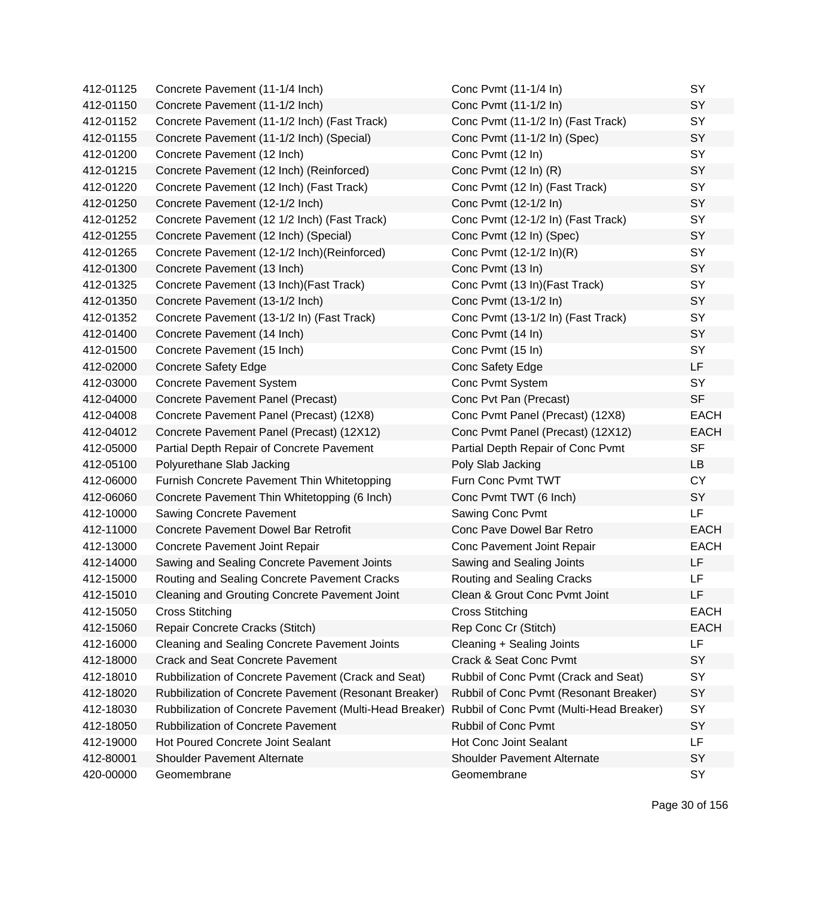| 412-01125 | Concrete Pavement (11-1/4 Inch)                         | Conc Pvmt (11-1/4 In)                    | SY          |
|-----------|---------------------------------------------------------|------------------------------------------|-------------|
| 412-01150 | Concrete Pavement (11-1/2 Inch)                         | Conc Pvmt (11-1/2 In)                    | SY          |
| 412-01152 | Concrete Pavement (11-1/2 Inch) (Fast Track)            | Conc Pvmt (11-1/2 In) (Fast Track)       | SY          |
| 412-01155 | Concrete Pavement (11-1/2 Inch) (Special)               | Conc Pvmt (11-1/2 In) (Spec)             | SY          |
| 412-01200 | Concrete Pavement (12 Inch)                             | Conc Pvmt (12 In)                        | SY          |
| 412-01215 | Concrete Pavement (12 Inch) (Reinforced)                | Conc Pvmt (12 In) (R)                    | SY          |
| 412-01220 | Concrete Pavement (12 Inch) (Fast Track)                | Conc Pvmt (12 In) (Fast Track)           | SY          |
| 412-01250 | Concrete Pavement (12-1/2 Inch)                         | Conc Pvmt (12-1/2 In)                    | SY          |
| 412-01252 | Concrete Pavement (12 1/2 Inch) (Fast Track)            | Conc Pvmt (12-1/2 In) (Fast Track)       | SY          |
| 412-01255 | Concrete Pavement (12 Inch) (Special)                   | Conc Pvmt (12 In) (Spec)                 | SY          |
| 412-01265 | Concrete Pavement (12-1/2 Inch) (Reinforced)            | Conc Pvmt (12-1/2 ln)(R)                 | SY          |
| 412-01300 | Concrete Pavement (13 Inch)                             | Conc Pvmt (13 In)                        | SY          |
| 412-01325 | Concrete Pavement (13 Inch) (Fast Track)                | Conc Pvmt (13 In)(Fast Track)            | SY          |
| 412-01350 | Concrete Pavement (13-1/2 Inch)                         | Conc Pvmt (13-1/2 In)                    | SY          |
| 412-01352 | Concrete Pavement (13-1/2 In) (Fast Track)              | Conc Pvmt (13-1/2 In) (Fast Track)       | SY          |
| 412-01400 | Concrete Pavement (14 Inch)                             | Conc Pvmt (14 In)                        | SY          |
| 412-01500 | Concrete Pavement (15 Inch)                             | Conc Pvmt (15 In)                        | SY          |
| 412-02000 | <b>Concrete Safety Edge</b>                             | Conc Safety Edge                         | LF          |
| 412-03000 | <b>Concrete Pavement System</b>                         | Conc Pvmt System                         | SY          |
| 412-04000 | Concrete Pavement Panel (Precast)                       | Conc Pvt Pan (Precast)                   | <b>SF</b>   |
| 412-04008 | Concrete Pavement Panel (Precast) (12X8)                | Conc Pvmt Panel (Precast) (12X8)         | <b>EACH</b> |
| 412-04012 | Concrete Pavement Panel (Precast) (12X12)               | Conc Pvmt Panel (Precast) (12X12)        | <b>EACH</b> |
| 412-05000 | Partial Depth Repair of Concrete Pavement               | Partial Depth Repair of Conc Pvmt        | <b>SF</b>   |
| 412-05100 | Polyurethane Slab Jacking                               | Poly Slab Jacking                        | <b>LB</b>   |
| 412-06000 | Furnish Concrete Pavement Thin Whitetopping             | Furn Conc Pvmt TWT                       | <b>CY</b>   |
| 412-06060 | Concrete Pavement Thin Whitetopping (6 Inch)            | Conc Pvmt TWT (6 Inch)                   | SY          |
| 412-10000 | Sawing Concrete Pavement                                | Sawing Conc Pvmt                         | LF          |
| 412-11000 | <b>Concrete Pavement Dowel Bar Retrofit</b>             | Conc Pave Dowel Bar Retro                | <b>EACH</b> |
| 412-13000 | Concrete Pavement Joint Repair                          | Conc Pavement Joint Repair               | <b>EACH</b> |
| 412-14000 | Sawing and Sealing Concrete Pavement Joints             | Sawing and Sealing Joints                | LF          |
| 412-15000 | Routing and Sealing Concrete Pavement Cracks            | Routing and Sealing Cracks               | LF          |
| 412-15010 | <b>Cleaning and Grouting Concrete Pavement Joint</b>    | Clean & Grout Conc Pymt Joint            | LF          |
| 412-15050 | <b>Cross Stitching</b>                                  | <b>Cross Stitching</b>                   | <b>EACH</b> |
| 412-15060 | Repair Concrete Cracks (Stitch)                         | Rep Conc Cr (Stitch)                     | <b>EACH</b> |
| 412-16000 | <b>Cleaning and Sealing Concrete Pavement Joints</b>    | Cleaning + Sealing Joints                | LF          |
| 412-18000 | <b>Crack and Seat Concrete Pavement</b>                 | <b>Crack &amp; Seat Conc Pvmt</b>        | SY          |
| 412-18010 | Rubbilization of Concrete Pavement (Crack and Seat)     | Rubbil of Conc Pvmt (Crack and Seat)     | SY          |
| 412-18020 | Rubbilization of Concrete Pavement (Resonant Breaker)   | Rubbil of Conc Pvmt (Resonant Breaker)   | SY          |
| 412-18030 | Rubbilization of Concrete Pavement (Multi-Head Breaker) | Rubbil of Conc Pvmt (Multi-Head Breaker) | SY          |
| 412-18050 | <b>Rubbilization of Concrete Pavement</b>               | <b>Rubbil of Conc Pvmt</b>               | SY          |
| 412-19000 | Hot Poured Concrete Joint Sealant                       | Hot Conc Joint Sealant                   | LF.         |
| 412-80001 | <b>Shoulder Pavement Alternate</b>                      | <b>Shoulder Pavement Alternate</b>       | SY          |
| 420-00000 | Geomembrane                                             | Geomembrane                              | SY          |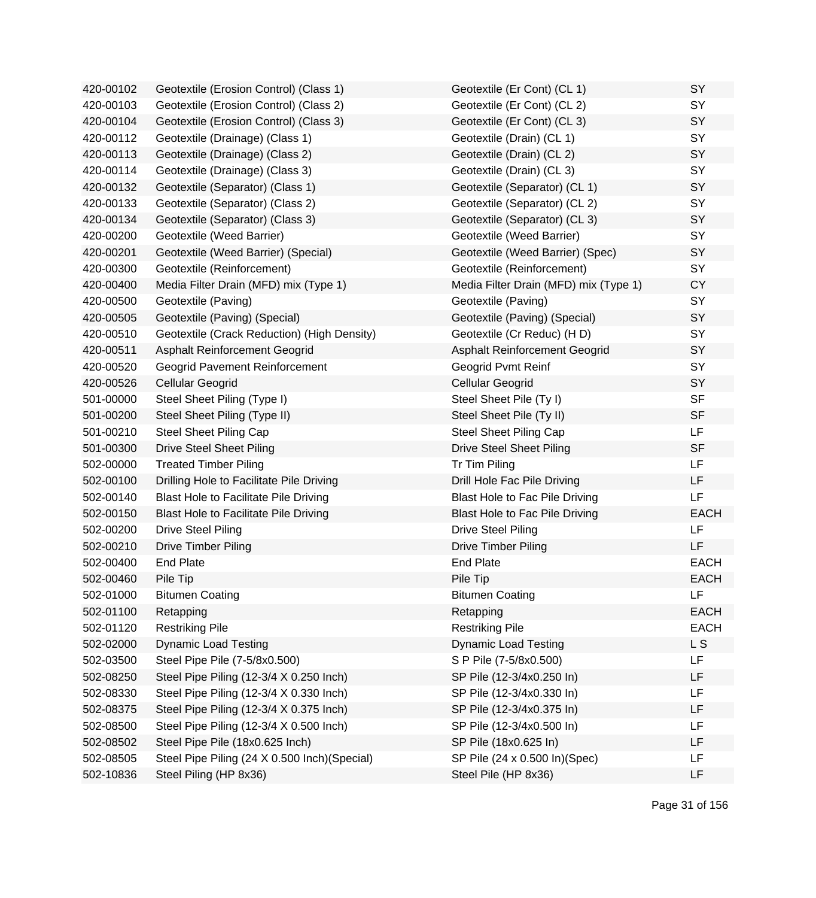| 420-00102 | Geotextile (Erosion Control) (Class 1)        | Geotextile (Er Cont) (CL 1)           | SY          |
|-----------|-----------------------------------------------|---------------------------------------|-------------|
| 420-00103 | Geotextile (Erosion Control) (Class 2)        | Geotextile (Er Cont) (CL 2)           | <b>SY</b>   |
| 420-00104 | Geotextile (Erosion Control) (Class 3)        | Geotextile (Er Cont) (CL 3)           | SY          |
| 420-00112 | Geotextile (Drainage) (Class 1)               | Geotextile (Drain) (CL 1)             | SY          |
| 420-00113 | Geotextile (Drainage) (Class 2)               | Geotextile (Drain) (CL 2)             | SY          |
| 420-00114 | Geotextile (Drainage) (Class 3)               | Geotextile (Drain) (CL 3)             | SY          |
| 420-00132 | Geotextile (Separator) (Class 1)              | Geotextile (Separator) (CL 1)         | SY          |
| 420-00133 | Geotextile (Separator) (Class 2)              | Geotextile (Separator) (CL 2)         | SY          |
| 420-00134 | Geotextile (Separator) (Class 3)              | Geotextile (Separator) (CL 3)         | SY          |
| 420-00200 | Geotextile (Weed Barrier)                     | Geotextile (Weed Barrier)             | SY          |
| 420-00201 | Geotextile (Weed Barrier) (Special)           | Geotextile (Weed Barrier) (Spec)      | SY          |
| 420-00300 | Geotextile (Reinforcement)                    | Geotextile (Reinforcement)            | SY          |
| 420-00400 | Media Filter Drain (MFD) mix (Type 1)         | Media Filter Drain (MFD) mix (Type 1) | <b>CY</b>   |
| 420-00500 | Geotextile (Paving)                           | Geotextile (Paving)                   | SY          |
| 420-00505 | Geotextile (Paving) (Special)                 | Geotextile (Paving) (Special)         | SY          |
| 420-00510 | Geotextile (Crack Reduction) (High Density)   | Geotextile (Cr Reduc) (H D)           | <b>SY</b>   |
| 420-00511 | Asphalt Reinforcement Geogrid                 | <b>Asphalt Reinforcement Geogrid</b>  | SY          |
| 420-00520 | Geogrid Pavement Reinforcement                | <b>Geogrid Pvmt Reinf</b>             | SY          |
| 420-00526 | Cellular Geogrid                              | Cellular Geogrid                      | SY          |
| 501-00000 | Steel Sheet Piling (Type I)                   | Steel Sheet Pile (Ty I)               | <b>SF</b>   |
| 501-00200 | Steel Sheet Piling (Type II)                  | Steel Sheet Pile (Ty II)              | <b>SF</b>   |
| 501-00210 | <b>Steel Sheet Piling Cap</b>                 | Steel Sheet Piling Cap                | LF          |
| 501-00300 | <b>Drive Steel Sheet Piling</b>               | <b>Drive Steel Sheet Piling</b>       | <b>SF</b>   |
| 502-00000 | <b>Treated Timber Piling</b>                  | Tr Tim Piling                         | LF          |
| 502-00100 | Drilling Hole to Facilitate Pile Driving      | Drill Hole Fac Pile Driving           | LF          |
| 502-00140 | Blast Hole to Facilitate Pile Driving         | <b>Blast Hole to Fac Pile Driving</b> | <b>LF</b>   |
| 502-00150 | <b>Blast Hole to Facilitate Pile Driving</b>  | Blast Hole to Fac Pile Driving        | <b>EACH</b> |
| 502-00200 | <b>Drive Steel Piling</b>                     | <b>Drive Steel Piling</b>             | <b>LF</b>   |
| 502-00210 | <b>Drive Timber Piling</b>                    | <b>Drive Timber Piling</b>            | LF          |
| 502-00400 | <b>End Plate</b>                              | <b>End Plate</b>                      | <b>EACH</b> |
| 502-00460 | Pile Tip                                      | Pile Tip                              | <b>EACH</b> |
| 502-01000 | <b>Bitumen Coating</b>                        | <b>Bitumen Coating</b>                | LF          |
| 502-01100 | Retapping                                     | Retapping                             | <b>EACH</b> |
| 502-01120 | <b>Restriking Pile</b>                        | <b>Restriking Pile</b>                | <b>EACH</b> |
| 502-02000 | <b>Dynamic Load Testing</b>                   | <b>Dynamic Load Testing</b>           | L S         |
| 502-03500 | Steel Pipe Pile (7-5/8x0.500)                 | S P Pile (7-5/8x0.500)                | LF          |
| 502-08250 | Steel Pipe Piling (12-3/4 X 0.250 Inch)       | SP Pile (12-3/4x0.250 In)             | LF          |
| 502-08330 | Steel Pipe Piling (12-3/4 X 0.330 Inch)       | SP Pile (12-3/4x0.330 In)             | LF          |
| 502-08375 | Steel Pipe Piling (12-3/4 X 0.375 Inch)       | SP Pile (12-3/4x0.375 In)             | LF          |
| 502-08500 | Steel Pipe Piling (12-3/4 X 0.500 Inch)       | SP Pile (12-3/4x0.500 In)             | LF          |
| 502-08502 | Steel Pipe Pile (18x0.625 Inch)               | SP Pile (18x0.625 In)                 | LF          |
| 502-08505 | Steel Pipe Piling (24 X 0.500 Inch) (Special) | SP Pile (24 x 0.500 ln)(Spec)         | LF          |
| 502-10836 | Steel Piling (HP 8x36)                        | Steel Pile (HP 8x36)                  | LF          |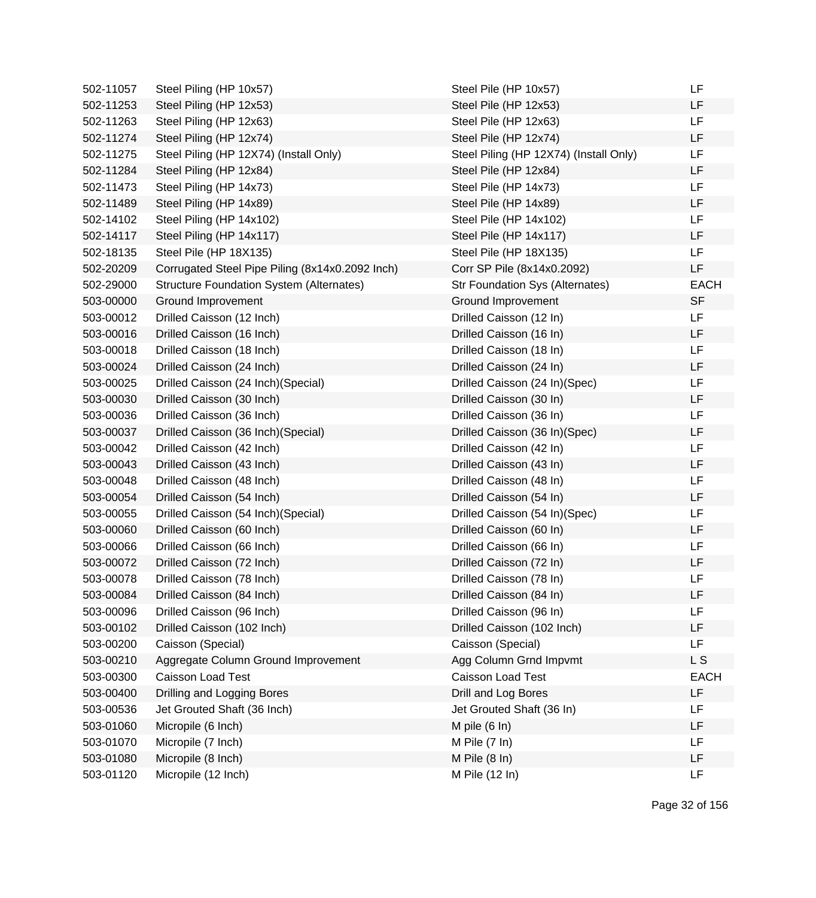| 502-11057 | Steel Piling (HP 10x57)                         | Steel Pile (HP 10x57)                  | LF          |
|-----------|-------------------------------------------------|----------------------------------------|-------------|
| 502-11253 | Steel Piling (HP 12x53)                         | Steel Pile (HP 12x53)                  | LF          |
| 502-11263 | Steel Piling (HP 12x63)                         | Steel Pile (HP 12x63)                  | LF          |
| 502-11274 | Steel Piling (HP 12x74)                         | Steel Pile (HP 12x74)                  | LF          |
| 502-11275 | Steel Piling (HP 12X74) (Install Only)          | Steel Piling (HP 12X74) (Install Only) | LF          |
| 502-11284 | Steel Piling (HP 12x84)                         | Steel Pile (HP 12x84)                  | LF          |
| 502-11473 | Steel Piling (HP 14x73)                         | Steel Pile (HP 14x73)                  | LF          |
| 502-11489 | Steel Piling (HP 14x89)                         | Steel Pile (HP 14x89)                  | LF          |
| 502-14102 | Steel Piling (HP 14x102)                        | Steel Pile (HP 14x102)                 | LF          |
| 502-14117 | Steel Piling (HP 14x117)                        | Steel Pile (HP 14x117)                 | LF          |
| 502-18135 | Steel Pile (HP 18X135)                          | Steel Pile (HP 18X135)                 | LF          |
| 502-20209 | Corrugated Steel Pipe Piling (8x14x0.2092 Inch) | Corr SP Pile (8x14x0.2092)             | LF          |
| 502-29000 | <b>Structure Foundation System (Alternates)</b> | <b>Str Foundation Sys (Alternates)</b> | <b>EACH</b> |
| 503-00000 | Ground Improvement                              | Ground Improvement                     | <b>SF</b>   |
| 503-00012 | Drilled Caisson (12 Inch)                       | Drilled Caisson (12 In)                | LF          |
| 503-00016 | Drilled Caisson (16 Inch)                       | Drilled Caisson (16 In)                | LF          |
| 503-00018 | Drilled Caisson (18 Inch)                       | Drilled Caisson (18 In)                | LF          |
| 503-00024 | Drilled Caisson (24 Inch)                       | Drilled Caisson (24 In)                | LF          |
| 503-00025 | Drilled Caisson (24 Inch) (Special)             | Drilled Caisson (24 In)(Spec)          | LF          |
| 503-00030 | Drilled Caisson (30 Inch)                       | Drilled Caisson (30 In)                | LF          |
| 503-00036 | Drilled Caisson (36 Inch)                       | Drilled Caisson (36 In)                | LF          |
| 503-00037 | Drilled Caisson (36 Inch) (Special)             | Drilled Caisson (36 In) (Spec)         | LF          |
| 503-00042 | Drilled Caisson (42 Inch)                       | Drilled Caisson (42 In)                | LF          |
| 503-00043 | Drilled Caisson (43 Inch)                       | Drilled Caisson (43 In)                | LF          |
| 503-00048 | Drilled Caisson (48 Inch)                       | Drilled Caisson (48 In)                | LF          |
| 503-00054 | Drilled Caisson (54 Inch)                       | Drilled Caisson (54 In)                | LF          |
| 503-00055 | Drilled Caisson (54 Inch) (Special)             | Drilled Caisson (54 In)(Spec)          | LF          |
| 503-00060 | Drilled Caisson (60 Inch)                       | Drilled Caisson (60 In)                | LF          |
| 503-00066 | Drilled Caisson (66 Inch)                       | Drilled Caisson (66 In)                | LF          |
| 503-00072 | Drilled Caisson (72 Inch)                       | Drilled Caisson (72 In)                | LF          |
| 503-00078 | Drilled Caisson (78 Inch)                       | Drilled Caisson (78 In)                | LF          |
| 503-00084 | Drilled Caisson (84 Inch)                       | Drilled Caisson (84 In)                | LF          |
| 503-00096 | Drilled Caisson (96 Inch)                       | Drilled Caisson (96 In)                | LF          |
| 503-00102 | Drilled Caisson (102 Inch)                      | Drilled Caisson (102 Inch)             | LF          |
| 503-00200 | Caisson (Special)                               | Caisson (Special)                      | LF          |
| 503-00210 | Aggregate Column Ground Improvement             | Agg Column Grnd Impvmt                 | L S         |
| 503-00300 | <b>Caisson Load Test</b>                        | <b>Caisson Load Test</b>               | <b>EACH</b> |
| 503-00400 | Drilling and Logging Bores                      | Drill and Log Bores                    | LF          |
| 503-00536 | Jet Grouted Shaft (36 Inch)                     | Jet Grouted Shaft (36 In)              | LF          |
| 503-01060 | Micropile (6 Inch)                              | M pile $(6 \ln)$                       | LF          |
| 503-01070 | Micropile (7 Inch)                              | M Pile $(7 \ln)$                       | LF          |
| 503-01080 | Micropile (8 Inch)                              | M Pile $(8 \ln)$                       | LF          |
| 503-01120 | Micropile (12 Inch)                             | M Pile (12 In)                         | LF          |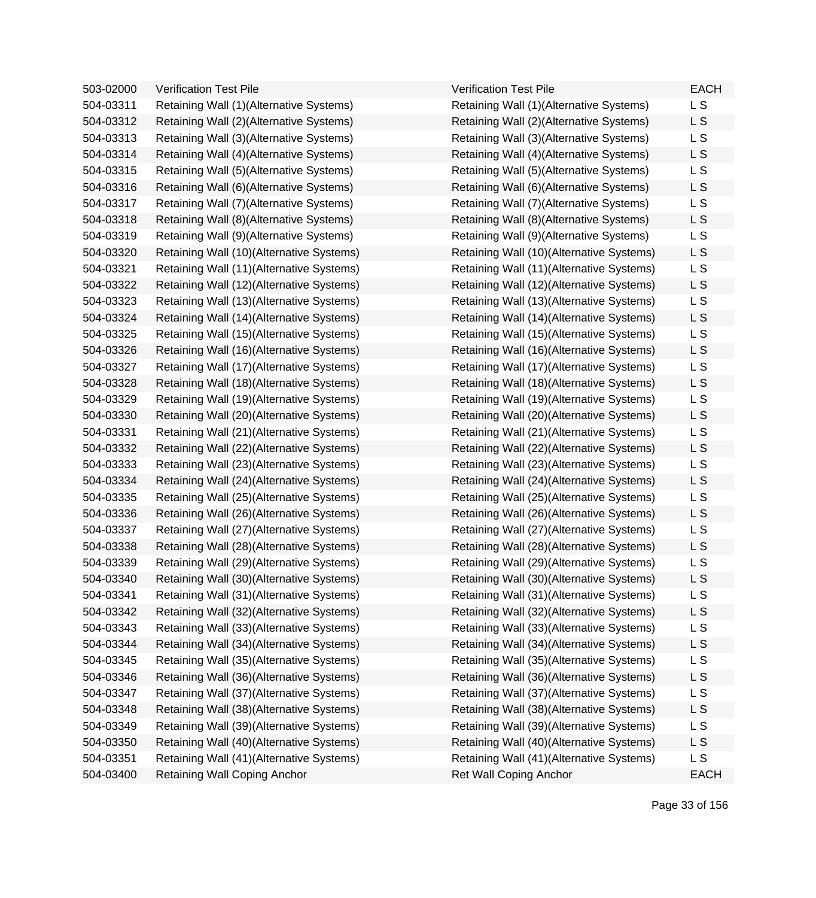| 503-02000 | <b>Verification Test Pile</b>            | <b>Verification Test Pile</b>            | <b>EACH</b>    |
|-----------|------------------------------------------|------------------------------------------|----------------|
| 504-03311 | Retaining Wall (1)(Alternative Systems)  | Retaining Wall (1)(Alternative Systems)  | L <sub>S</sub> |
| 504-03312 | Retaining Wall (2)(Alternative Systems)  | Retaining Wall (2)(Alternative Systems)  | L S            |
| 504-03313 | Retaining Wall (3)(Alternative Systems)  | Retaining Wall (3)(Alternative Systems)  | L <sub>S</sub> |
| 504-03314 | Retaining Wall (4)(Alternative Systems)  | Retaining Wall (4) (Alternative Systems) | L S            |
| 504-03315 | Retaining Wall (5)(Alternative Systems)  | Retaining Wall (5)(Alternative Systems)  | L S            |
| 504-03316 | Retaining Wall (6)(Alternative Systems)  | Retaining Wall (6)(Alternative Systems)  | L S            |
| 504-03317 | Retaining Wall (7)(Alternative Systems)  | Retaining Wall (7)(Alternative Systems)  | L <sub>S</sub> |
| 504-03318 | Retaining Wall (8)(Alternative Systems)  | Retaining Wall (8)(Alternative Systems)  | L S            |
| 504-03319 | Retaining Wall (9)(Alternative Systems)  | Retaining Wall (9)(Alternative Systems)  | L <sub>S</sub> |
| 504-03320 | Retaining Wall (10)(Alternative Systems) | Retaining Wall (10)(Alternative Systems) | L S            |
| 504-03321 | Retaining Wall (11)(Alternative Systems) | Retaining Wall (11)(Alternative Systems) | L <sub>S</sub> |
| 504-03322 | Retaining Wall (12)(Alternative Systems) | Retaining Wall (12)(Alternative Systems) | L S            |
| 504-03323 | Retaining Wall (13)(Alternative Systems) | Retaining Wall (13)(Alternative Systems) | L <sub>S</sub> |
| 504-03324 | Retaining Wall (14)(Alternative Systems) | Retaining Wall (14)(Alternative Systems) | L S            |
| 504-03325 | Retaining Wall (15)(Alternative Systems) | Retaining Wall (15)(Alternative Systems) | L <sub>S</sub> |
| 504-03326 | Retaining Wall (16)(Alternative Systems) | Retaining Wall (16)(Alternative Systems) | L S            |
| 504-03327 | Retaining Wall (17)(Alternative Systems) | Retaining Wall (17)(Alternative Systems) | L <sub>S</sub> |
| 504-03328 | Retaining Wall (18)(Alternative Systems) | Retaining Wall (18)(Alternative Systems) | L S            |
| 504-03329 | Retaining Wall (19)(Alternative Systems) | Retaining Wall (19)(Alternative Systems) | L <sub>S</sub> |
| 504-03330 | Retaining Wall (20)(Alternative Systems) | Retaining Wall (20)(Alternative Systems) | L S            |
| 504-03331 | Retaining Wall (21)(Alternative Systems) | Retaining Wall (21)(Alternative Systems) | L S            |
| 504-03332 | Retaining Wall (22)(Alternative Systems) | Retaining Wall (22)(Alternative Systems) | L S            |
| 504-03333 | Retaining Wall (23)(Alternative Systems) | Retaining Wall (23)(Alternative Systems) | L <sub>S</sub> |
| 504-03334 | Retaining Wall (24)(Alternative Systems) | Retaining Wall (24)(Alternative Systems) | L S            |
| 504-03335 | Retaining Wall (25)(Alternative Systems) | Retaining Wall (25)(Alternative Systems) | L <sub>S</sub> |
| 504-03336 | Retaining Wall (26)(Alternative Systems) | Retaining Wall (26)(Alternative Systems) | L S            |
| 504-03337 | Retaining Wall (27)(Alternative Systems) | Retaining Wall (27)(Alternative Systems) | L <sub>S</sub> |
| 504-03338 | Retaining Wall (28)(Alternative Systems) | Retaining Wall (28)(Alternative Systems) | L S            |
| 504-03339 | Retaining Wall (29)(Alternative Systems) | Retaining Wall (29)(Alternative Systems) | L S            |
| 504-03340 | Retaining Wall (30)(Alternative Systems) | Retaining Wall (30)(Alternative Systems) | L S            |
| 504-03341 | Retaining Wall (31)(Alternative Systems) | Retaining Wall (31)(Alternative Systems) | L <sub>S</sub> |
| 504-03342 | Retaining Wall (32)(Alternative Systems) | Retaining Wall (32)(Alternative Systems) | L S            |
| 504-03343 | Retaining Wall (33)(Alternative Systems) | Retaining Wall (33)(Alternative Systems) | L <sub>S</sub> |
| 504-03344 | Retaining Wall (34)(Alternative Systems) | Retaining Wall (34)(Alternative Systems) | L S            |
| 504-03345 | Retaining Wall (35)(Alternative Systems) | Retaining Wall (35)(Alternative Systems) | L S            |
| 504-03346 | Retaining Wall (36)(Alternative Systems) | Retaining Wall (36)(Alternative Systems) | L S            |
| 504-03347 | Retaining Wall (37)(Alternative Systems) | Retaining Wall (37)(Alternative Systems) | L S            |
| 504-03348 | Retaining Wall (38)(Alternative Systems) | Retaining Wall (38)(Alternative Systems) | L S            |
| 504-03349 | Retaining Wall (39)(Alternative Systems) | Retaining Wall (39)(Alternative Systems) | L S            |
| 504-03350 | Retaining Wall (40)(Alternative Systems) | Retaining Wall (40)(Alternative Systems) | L S            |
| 504-03351 | Retaining Wall (41)(Alternative Systems) | Retaining Wall (41)(Alternative Systems) | L S            |
| 504-03400 | Retaining Wall Coping Anchor             | <b>Ret Wall Coping Anchor</b>            | <b>EACH</b>    |
|           |                                          |                                          |                |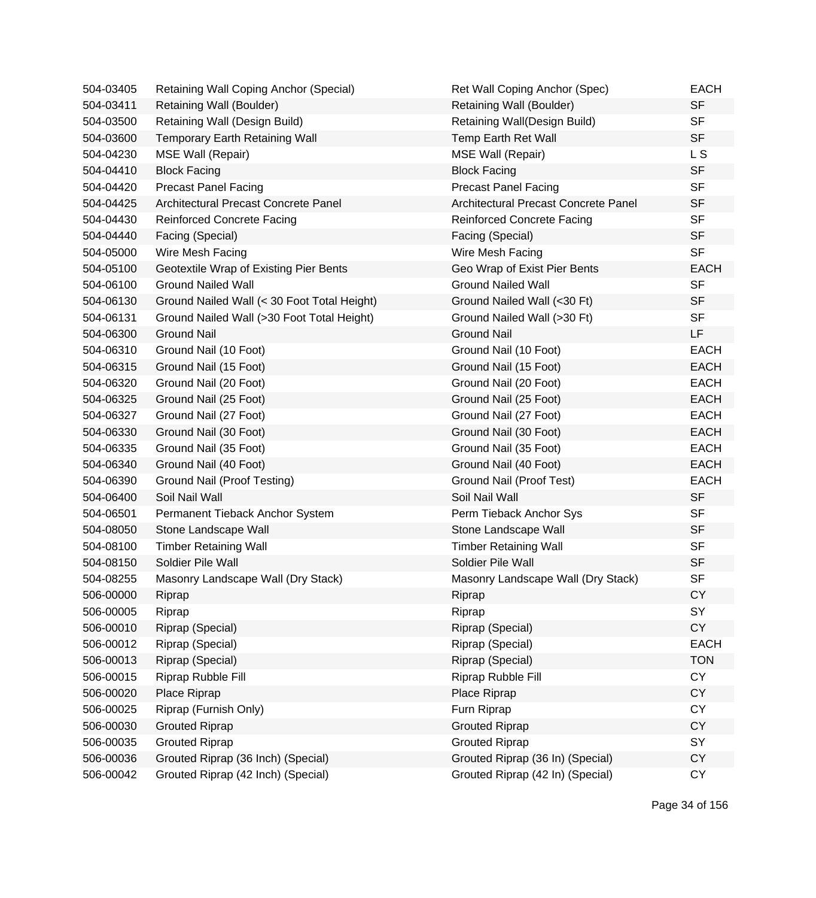| 504-03405 | Retaining Wall Coping Anchor (Special)      | Ret Wall Coping Anchor (Spec)        | <b>EACH</b> |
|-----------|---------------------------------------------|--------------------------------------|-------------|
| 504-03411 | Retaining Wall (Boulder)                    | Retaining Wall (Boulder)             | <b>SF</b>   |
| 504-03500 | Retaining Wall (Design Build)               | Retaining Wall(Design Build)         | <b>SF</b>   |
| 504-03600 | <b>Temporary Earth Retaining Wall</b>       | Temp Earth Ret Wall                  | <b>SF</b>   |
| 504-04230 | <b>MSE Wall (Repair)</b>                    | <b>MSE Wall (Repair)</b>             | L S         |
| 504-04410 | <b>Block Facing</b>                         | <b>Block Facing</b>                  | <b>SF</b>   |
| 504-04420 | <b>Precast Panel Facing</b>                 | <b>Precast Panel Facing</b>          | <b>SF</b>   |
| 504-04425 | Architectural Precast Concrete Panel        | Architectural Precast Concrete Panel | <b>SF</b>   |
| 504-04430 | <b>Reinforced Concrete Facing</b>           | <b>Reinforced Concrete Facing</b>    | <b>SF</b>   |
| 504-04440 | Facing (Special)                            | Facing (Special)                     | <b>SF</b>   |
| 504-05000 | Wire Mesh Facing                            | Wire Mesh Facing                     | <b>SF</b>   |
| 504-05100 | Geotextile Wrap of Existing Pier Bents      | Geo Wrap of Exist Pier Bents         | <b>EACH</b> |
| 504-06100 | <b>Ground Nailed Wall</b>                   | <b>Ground Nailed Wall</b>            | <b>SF</b>   |
| 504-06130 | Ground Nailed Wall (< 30 Foot Total Height) | Ground Nailed Wall (<30 Ft)          | <b>SF</b>   |
| 504-06131 | Ground Nailed Wall (>30 Foot Total Height)  | Ground Nailed Wall (>30 Ft)          | <b>SF</b>   |
| 504-06300 | <b>Ground Nail</b>                          | <b>Ground Nail</b>                   | LF          |
| 504-06310 | Ground Nail (10 Foot)                       | Ground Nail (10 Foot)                | <b>EACH</b> |
| 504-06315 | Ground Nail (15 Foot)                       | Ground Nail (15 Foot)                | <b>EACH</b> |
| 504-06320 | Ground Nail (20 Foot)                       | Ground Nail (20 Foot)                | <b>EACH</b> |
| 504-06325 | Ground Nail (25 Foot)                       | Ground Nail (25 Foot)                | <b>EACH</b> |
| 504-06327 | Ground Nail (27 Foot)                       | Ground Nail (27 Foot)                | <b>EACH</b> |
| 504-06330 | Ground Nail (30 Foot)                       | Ground Nail (30 Foot)                | <b>EACH</b> |
| 504-06335 | Ground Nail (35 Foot)                       | Ground Nail (35 Foot)                | <b>EACH</b> |
| 504-06340 | Ground Nail (40 Foot)                       | Ground Nail (40 Foot)                | <b>EACH</b> |
| 504-06390 | Ground Nail (Proof Testing)                 | Ground Nail (Proof Test)             | <b>EACH</b> |
| 504-06400 | Soil Nail Wall                              | Soil Nail Wall                       | <b>SF</b>   |
| 504-06501 | Permanent Tieback Anchor System             | Perm Tieback Anchor Sys              | <b>SF</b>   |
| 504-08050 | Stone Landscape Wall                        | Stone Landscape Wall                 | <b>SF</b>   |
| 504-08100 | <b>Timber Retaining Wall</b>                | <b>Timber Retaining Wall</b>         | <b>SF</b>   |
| 504-08150 | Soldier Pile Wall                           | Soldier Pile Wall                    | <b>SF</b>   |
| 504-08255 | Masonry Landscape Wall (Dry Stack)          | Masonry Landscape Wall (Dry Stack)   | <b>SF</b>   |
| 506-00000 | Riprap                                      | Riprap                               | CY          |
| 506-00005 | Riprap                                      | Riprap                               | SY          |
| 506-00010 | Riprap (Special)                            | Riprap (Special)                     | <b>CY</b>   |
| 506-00012 | Riprap (Special)                            | Riprap (Special)                     | <b>EACH</b> |
| 506-00013 | Riprap (Special)                            | Riprap (Special)                     | <b>TON</b>  |
| 506-00015 | Riprap Rubble Fill                          | Riprap Rubble Fill                   | <b>CY</b>   |
| 506-00020 | Place Riprap                                | Place Riprap                         | CY          |
| 506-00025 | Riprap (Furnish Only)                       | Furn Riprap                          | <b>CY</b>   |
| 506-00030 | <b>Grouted Riprap</b>                       | <b>Grouted Riprap</b>                | <b>CY</b>   |
| 506-00035 | <b>Grouted Riprap</b>                       | <b>Grouted Riprap</b>                | SY          |
| 506-00036 | Grouted Riprap (36 Inch) (Special)          | Grouted Riprap (36 In) (Special)     | <b>CY</b>   |
| 506-00042 | Grouted Riprap (42 Inch) (Special)          | Grouted Riprap (42 In) (Special)     | CY          |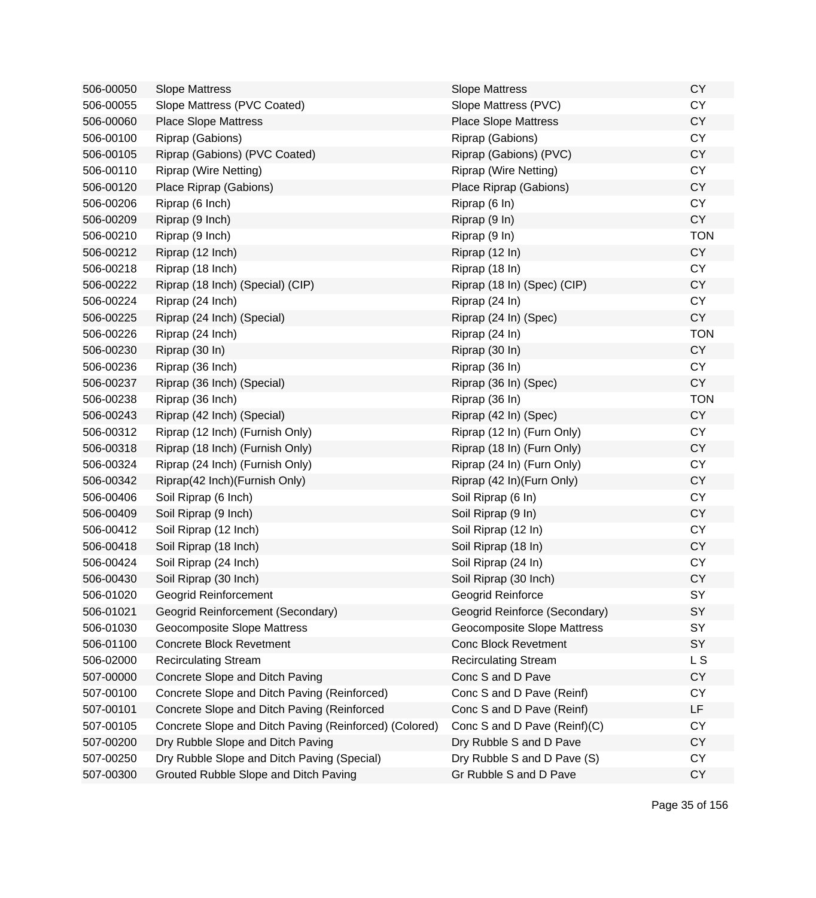| 506-00050 | <b>Slope Mattress</b>                                  | <b>Slope Mattress</b>         | <b>CY</b>  |
|-----------|--------------------------------------------------------|-------------------------------|------------|
| 506-00055 | Slope Mattress (PVC Coated)                            | Slope Mattress (PVC)          | <b>CY</b>  |
| 506-00060 | <b>Place Slope Mattress</b>                            | <b>Place Slope Mattress</b>   | <b>CY</b>  |
| 506-00100 | Riprap (Gabions)                                       | Riprap (Gabions)              | <b>CY</b>  |
| 506-00105 | Riprap (Gabions) (PVC Coated)                          | Riprap (Gabions) (PVC)        | <b>CY</b>  |
| 506-00110 | <b>Riprap (Wire Netting)</b>                           | <b>Riprap (Wire Netting)</b>  | <b>CY</b>  |
| 506-00120 | Place Riprap (Gabions)                                 | Place Riprap (Gabions)        | <b>CY</b>  |
| 506-00206 | Riprap (6 Inch)                                        | Riprap (6 In)                 | <b>CY</b>  |
| 506-00209 | Riprap (9 Inch)                                        | Riprap (9 In)                 | <b>CY</b>  |
| 506-00210 | Riprap (9 Inch)                                        | Riprap (9 In)                 | <b>TON</b> |
| 506-00212 | Riprap (12 Inch)                                       | Riprap (12 In)                | <b>CY</b>  |
| 506-00218 | Riprap (18 Inch)                                       | Riprap (18 In)                | <b>CY</b>  |
| 506-00222 | Riprap (18 Inch) (Special) (CIP)                       | Riprap (18 In) (Spec) (CIP)   | <b>CY</b>  |
| 506-00224 | Riprap (24 Inch)                                       | Riprap (24 In)                | <b>CY</b>  |
| 506-00225 | Riprap (24 Inch) (Special)                             | Riprap (24 In) (Spec)         | <b>CY</b>  |
| 506-00226 | Riprap (24 Inch)                                       | Riprap (24 In)                | <b>TON</b> |
| 506-00230 | Riprap (30 In)                                         | Riprap (30 In)                | <b>CY</b>  |
| 506-00236 | Riprap (36 Inch)                                       | Riprap (36 In)                | CY         |
| 506-00237 | Riprap (36 Inch) (Special)                             | Riprap (36 In) (Spec)         | <b>CY</b>  |
| 506-00238 | Riprap (36 Inch)                                       | Riprap (36 In)                | <b>TON</b> |
| 506-00243 | Riprap (42 Inch) (Special)                             | Riprap (42 In) (Spec)         | <b>CY</b>  |
| 506-00312 | Riprap (12 Inch) (Furnish Only)                        | Riprap (12 In) (Furn Only)    | <b>CY</b>  |
| 506-00318 | Riprap (18 Inch) (Furnish Only)                        | Riprap (18 In) (Furn Only)    | <b>CY</b>  |
| 506-00324 | Riprap (24 Inch) (Furnish Only)                        | Riprap (24 In) (Furn Only)    | <b>CY</b>  |
| 506-00342 | Riprap(42 Inch)(Furnish Only)                          | Riprap (42 In) (Furn Only)    | <b>CY</b>  |
| 506-00406 | Soil Riprap (6 Inch)                                   | Soil Riprap (6 In)            | <b>CY</b>  |
| 506-00409 | Soil Riprap (9 Inch)                                   | Soil Riprap (9 In)            | <b>CY</b>  |
| 506-00412 | Soil Riprap (12 Inch)                                  | Soil Riprap (12 In)           | <b>CY</b>  |
| 506-00418 | Soil Riprap (18 Inch)                                  | Soil Riprap (18 In)           | <b>CY</b>  |
| 506-00424 | Soil Riprap (24 Inch)                                  | Soil Riprap (24 In)           | <b>CY</b>  |
| 506-00430 | Soil Riprap (30 Inch)                                  | Soil Riprap (30 Inch)         | <b>CY</b>  |
| 506-01020 | Geogrid Reinforcement                                  | Geogrid Reinforce             | SY         |
| 506-01021 | Geogrid Reinforcement (Secondary)                      | Geogrid Reinforce (Secondary) | SY         |
| 506-01030 | Geocomposite Slope Mattress                            | Geocomposite Slope Mattress   | SY         |
| 506-01100 | <b>Concrete Block Revetment</b>                        | <b>Conc Block Revetment</b>   | SY         |
| 506-02000 | <b>Recirculating Stream</b>                            | <b>Recirculating Stream</b>   | L S        |
| 507-00000 | Concrete Slope and Ditch Paving                        | Conc S and D Pave             | <b>CY</b>  |
| 507-00100 | Concrete Slope and Ditch Paving (Reinforced)           | Conc S and D Pave (Reinf)     | <b>CY</b>  |
| 507-00101 | Concrete Slope and Ditch Paving (Reinforced            | Conc S and D Pave (Reinf)     | LF         |
| 507-00105 | Concrete Slope and Ditch Paving (Reinforced) (Colored) | Conc S and D Pave (Reinf)(C)  | <b>CY</b>  |
| 507-00200 | Dry Rubble Slope and Ditch Paving                      | Dry Rubble S and D Pave       | <b>CY</b>  |
| 507-00250 | Dry Rubble Slope and Ditch Paving (Special)            | Dry Rubble S and D Pave (S)   | <b>CY</b>  |
| 507-00300 | Grouted Rubble Slope and Ditch Paving                  | Gr Rubble S and D Pave        | <b>CY</b>  |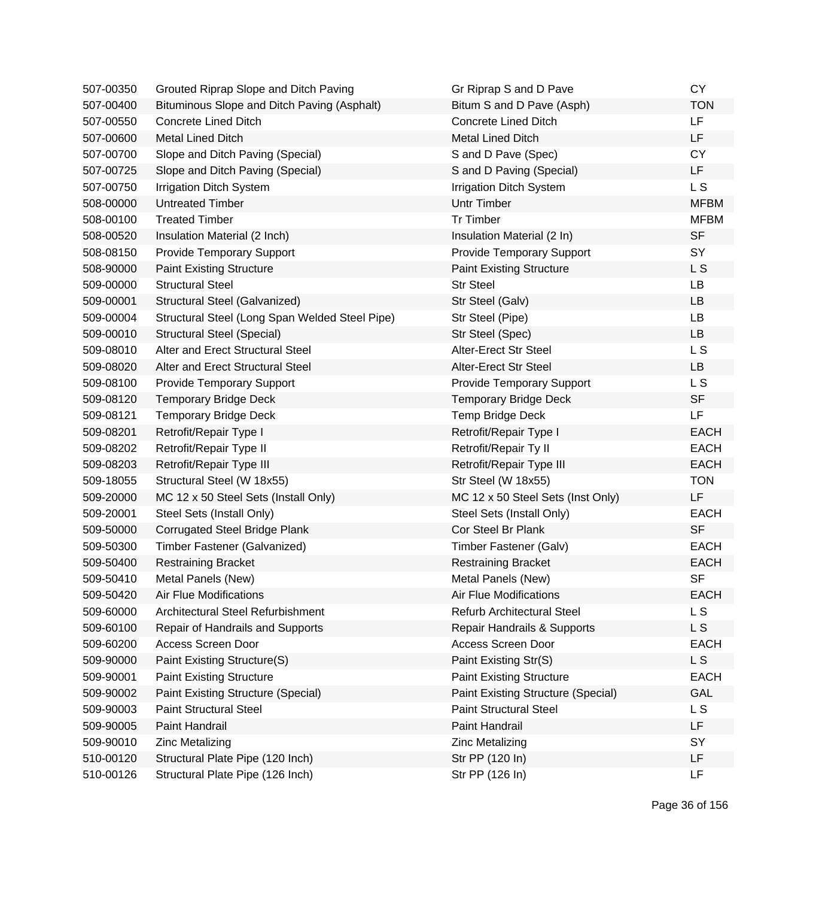| 507-00350 | Grouted Riprap Slope and Ditch Paving          | Gr Riprap S and D Pave                    | <b>CY</b>   |
|-----------|------------------------------------------------|-------------------------------------------|-------------|
| 507-00400 | Bituminous Slope and Ditch Paving (Asphalt)    | Bitum S and D Pave (Asph)                 | <b>TON</b>  |
| 507-00550 | <b>Concrete Lined Ditch</b>                    | <b>Concrete Lined Ditch</b>               | <b>LF</b>   |
| 507-00600 | <b>Metal Lined Ditch</b>                       | <b>Metal Lined Ditch</b>                  | LF          |
| 507-00700 | Slope and Ditch Paving (Special)               | S and D Pave (Spec)                       | <b>CY</b>   |
| 507-00725 | Slope and Ditch Paving (Special)               | S and D Paving (Special)                  | LF          |
| 507-00750 | <b>Irrigation Ditch System</b>                 | <b>Irrigation Ditch System</b>            | L S         |
| 508-00000 | <b>Untreated Timber</b>                        | <b>Untr Timber</b>                        | <b>MFBM</b> |
| 508-00100 | <b>Treated Timber</b>                          | <b>Tr Timber</b>                          | <b>MFBM</b> |
| 508-00520 | Insulation Material (2 Inch)                   | Insulation Material (2 In)                | <b>SF</b>   |
| 508-08150 | <b>Provide Temporary Support</b>               | <b>Provide Temporary Support</b>          | SY          |
| 508-90000 | <b>Paint Existing Structure</b>                | <b>Paint Existing Structure</b>           | L S         |
| 509-00000 | <b>Structural Steel</b>                        | <b>Str Steel</b>                          | <b>LB</b>   |
| 509-00001 | Structural Steel (Galvanized)                  | Str Steel (Galv)                          | LB          |
| 509-00004 | Structural Steel (Long Span Welded Steel Pipe) | Str Steel (Pipe)                          | LB          |
| 509-00010 | <b>Structural Steel (Special)</b>              | Str Steel (Spec)                          | LB          |
| 509-08010 | Alter and Erect Structural Steel               | Alter-Erect Str Steel                     | L S         |
| 509-08020 | Alter and Erect Structural Steel               | Alter-Erect Str Steel                     | <b>LB</b>   |
| 509-08100 | <b>Provide Temporary Support</b>               | <b>Provide Temporary Support</b>          | L S         |
| 509-08120 | <b>Temporary Bridge Deck</b>                   | <b>Temporary Bridge Deck</b>              | <b>SF</b>   |
| 509-08121 | <b>Temporary Bridge Deck</b>                   | Temp Bridge Deck                          | LF          |
| 509-08201 | Retrofit/Repair Type I                         | Retrofit/Repair Type I                    | <b>EACH</b> |
| 509-08202 | Retrofit/Repair Type II                        | Retrofit/Repair Ty II                     | <b>EACH</b> |
| 509-08203 | Retrofit/Repair Type III                       | Retrofit/Repair Type III                  | <b>EACH</b> |
| 509-18055 | Structural Steel (W 18x55)                     | Str Steel (W 18x55)                       | <b>TON</b>  |
| 509-20000 | MC 12 x 50 Steel Sets (Install Only)           | MC 12 x 50 Steel Sets (Inst Only)         | LF          |
| 509-20001 | Steel Sets (Install Only)                      | Steel Sets (Install Only)                 | <b>EACH</b> |
| 509-50000 | <b>Corrugated Steel Bridge Plank</b>           | Cor Steel Br Plank                        | <b>SF</b>   |
| 509-50300 | Timber Fastener (Galvanized)                   | Timber Fastener (Galv)                    | <b>EACH</b> |
| 509-50400 | <b>Restraining Bracket</b>                     | <b>Restraining Bracket</b>                | <b>EACH</b> |
| 509-50410 | Metal Panels (New)                             | Metal Panels (New)                        | <b>SF</b>   |
| 509-50420 | <b>Air Flue Modifications</b>                  | <b>Air Flue Modifications</b>             | <b>EACH</b> |
| 509-60000 | Architectural Steel Refurbishment              | <b>Refurb Architectural Steel</b>         | L S         |
| 509-60100 | Repair of Handrails and Supports               | Repair Handrails & Supports               | L S         |
| 509-60200 | Access Screen Door                             | Access Screen Door                        | <b>EACH</b> |
| 509-90000 | Paint Existing Structure(S)                    | Paint Existing Str(S)                     | L S         |
| 509-90001 | <b>Paint Existing Structure</b>                | <b>Paint Existing Structure</b>           | <b>EACH</b> |
| 509-90002 | <b>Paint Existing Structure (Special)</b>      | <b>Paint Existing Structure (Special)</b> | <b>GAL</b>  |
| 509-90003 | <b>Paint Structural Steel</b>                  | <b>Paint Structural Steel</b>             | L S         |
| 509-90005 | Paint Handrail                                 | Paint Handrail                            | LF          |
| 509-90010 | <b>Zinc Metalizing</b>                         | <b>Zinc Metalizing</b>                    | SY          |
| 510-00120 | Structural Plate Pipe (120 Inch)               | Str PP (120 In)                           | LF          |
| 510-00126 | Structural Plate Pipe (126 Inch)               | Str PP (126 In)                           | LF          |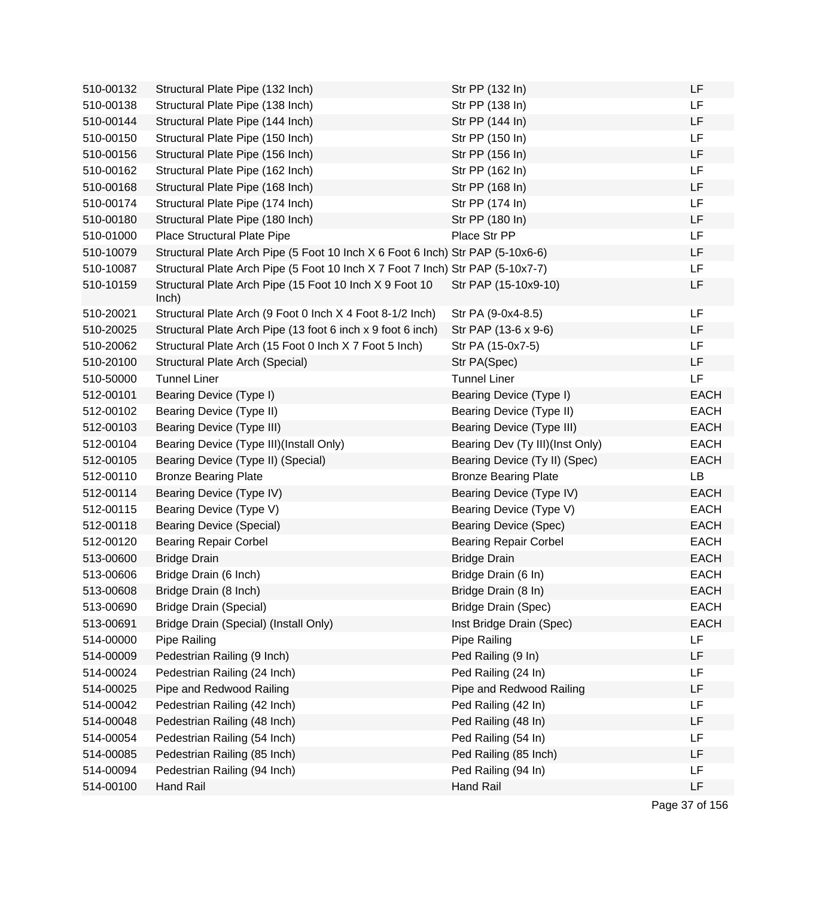| 510-00132 | Structural Plate Pipe (132 Inch)                                               | Str PP (132 In)                 | LF          |
|-----------|--------------------------------------------------------------------------------|---------------------------------|-------------|
| 510-00138 | Structural Plate Pipe (138 Inch)                                               | Str PP (138 In)                 | LF          |
| 510-00144 | Structural Plate Pipe (144 Inch)                                               | Str PP (144 In)                 | LF          |
| 510-00150 | Structural Plate Pipe (150 Inch)                                               | Str PP (150 In)                 | <b>LF</b>   |
| 510-00156 | Structural Plate Pipe (156 Inch)                                               | Str PP (156 In)                 | LF          |
| 510-00162 | Structural Plate Pipe (162 Inch)                                               | Str PP (162 In)                 | LF          |
| 510-00168 | Structural Plate Pipe (168 Inch)                                               | Str PP (168 In)                 | LF          |
| 510-00174 | Structural Plate Pipe (174 Inch)                                               | Str PP (174 In)                 | LF          |
| 510-00180 | Structural Plate Pipe (180 Inch)                                               | Str PP (180 In)                 | LF          |
| 510-01000 | Place Structural Plate Pipe                                                    | Place Str PP                    | LF          |
| 510-10079 | Structural Plate Arch Pipe (5 Foot 10 Inch X 6 Foot 6 Inch) Str PAP (5-10x6-6) |                                 | LF          |
| 510-10087 | Structural Plate Arch Pipe (5 Foot 10 Inch X 7 Foot 7 Inch) Str PAP (5-10x7-7) |                                 | LF          |
| 510-10159 | Structural Plate Arch Pipe (15 Foot 10 Inch X 9 Foot 10<br>lnch)               | Str PAP (15-10x9-10)            | LF          |
| 510-20021 | Structural Plate Arch (9 Foot 0 Inch X 4 Foot 8-1/2 Inch)                      | Str PA (9-0x4-8.5)              | LF          |
| 510-20025 | Structural Plate Arch Pipe (13 foot 6 inch x 9 foot 6 inch)                    | Str PAP (13-6 x 9-6)            | <b>LF</b>   |
| 510-20062 | Structural Plate Arch (15 Foot 0 Inch X 7 Foot 5 Inch)                         | Str PA (15-0x7-5)               | LF          |
| 510-20100 | Structural Plate Arch (Special)                                                | Str PA(Spec)                    | LF          |
| 510-50000 | <b>Tunnel Liner</b>                                                            | <b>Tunnel Liner</b>             | LF          |
| 512-00101 | Bearing Device (Type I)                                                        | Bearing Device (Type I)         | <b>EACH</b> |
| 512-00102 | Bearing Device (Type II)                                                       | Bearing Device (Type II)        | <b>EACH</b> |
| 512-00103 | Bearing Device (Type III)                                                      | Bearing Device (Type III)       | <b>EACH</b> |
| 512-00104 | Bearing Device (Type III)(Install Only)                                        | Bearing Dev (Ty III)(Inst Only) | <b>EACH</b> |
| 512-00105 | Bearing Device (Type II) (Special)                                             | Bearing Device (Ty II) (Spec)   | <b>EACH</b> |
| 512-00110 | <b>Bronze Bearing Plate</b>                                                    | <b>Bronze Bearing Plate</b>     | LB          |
| 512-00114 | Bearing Device (Type IV)                                                       | Bearing Device (Type IV)        | <b>EACH</b> |
| 512-00115 | Bearing Device (Type V)                                                        | Bearing Device (Type V)         | <b>EACH</b> |
| 512-00118 | <b>Bearing Device (Special)</b>                                                | <b>Bearing Device (Spec)</b>    | <b>EACH</b> |
| 512-00120 | <b>Bearing Repair Corbel</b>                                                   | <b>Bearing Repair Corbel</b>    | <b>EACH</b> |
| 513-00600 | <b>Bridge Drain</b>                                                            | <b>Bridge Drain</b>             | <b>EACH</b> |
| 513-00606 | Bridge Drain (6 Inch)                                                          | Bridge Drain (6 In)             | <b>EACH</b> |
| 513-00608 | Bridge Drain (8 Inch)                                                          | Bridge Drain (8 In)             | EACH        |
| 513-00690 | <b>Bridge Drain (Special)</b>                                                  | Bridge Drain (Spec)             | <b>EACH</b> |
| 513-00691 | Bridge Drain (Special) (Install Only)                                          | Inst Bridge Drain (Spec)        | EACH        |
| 514-00000 | Pipe Railing                                                                   | Pipe Railing                    | <b>LF</b>   |
| 514-00009 | Pedestrian Railing (9 Inch)                                                    | Ped Railing (9 In)              | LF          |
| 514-00024 | Pedestrian Railing (24 Inch)                                                   | Ped Railing (24 In)             | LF          |
| 514-00025 | Pipe and Redwood Railing                                                       | Pipe and Redwood Railing        | LF          |
| 514-00042 | Pedestrian Railing (42 Inch)                                                   | Ped Railing (42 In)             | LF          |
| 514-00048 | Pedestrian Railing (48 Inch)                                                   | Ped Railing (48 In)             | LF          |
| 514-00054 | Pedestrian Railing (54 Inch)                                                   | Ped Railing (54 In)             | LF          |
| 514-00085 | Pedestrian Railing (85 Inch)                                                   | Ped Railing (85 Inch)           | LF          |
| 514-00094 | Pedestrian Railing (94 Inch)                                                   | Ped Railing (94 In)             | LF          |
| 514-00100 | Hand Rail                                                                      | <b>Hand Rail</b>                | LF          |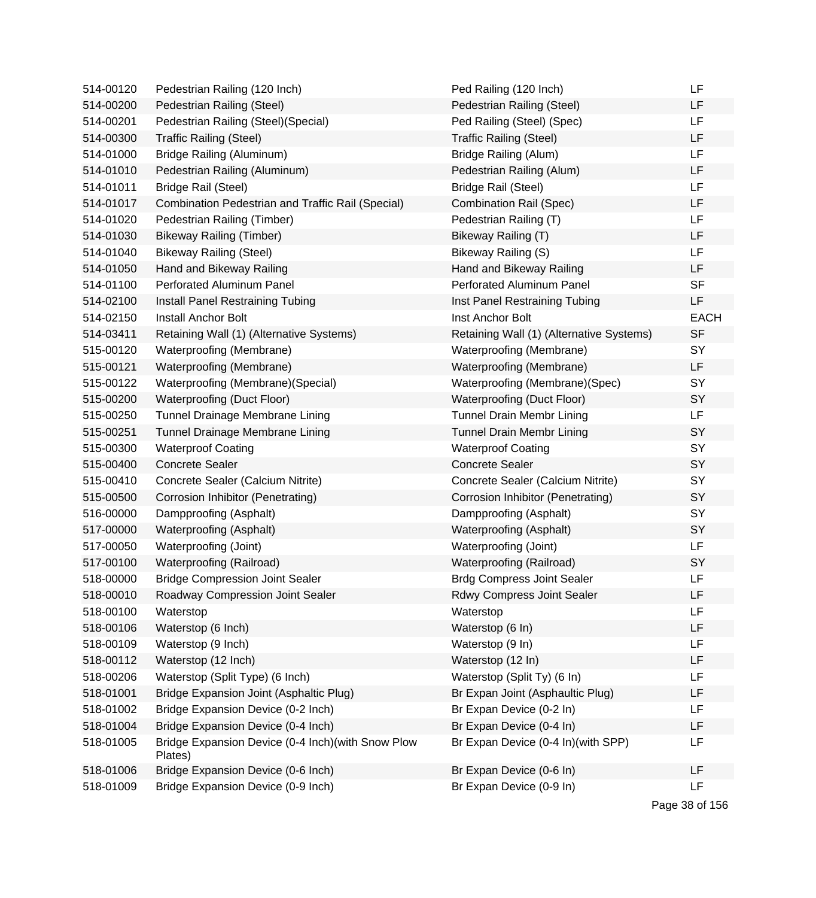| 514-00120 | Pedestrian Railing (120 Inch)                                 | Ped Railing (120 Inch)                   | LF          |
|-----------|---------------------------------------------------------------|------------------------------------------|-------------|
| 514-00200 | Pedestrian Railing (Steel)                                    | Pedestrian Railing (Steel)               | LF          |
| 514-00201 | Pedestrian Railing (Steel) (Special)                          | Ped Railing (Steel) (Spec)               | LF          |
| 514-00300 | <b>Traffic Railing (Steel)</b>                                | <b>Traffic Railing (Steel)</b>           | LF          |
| 514-01000 | Bridge Railing (Aluminum)                                     | Bridge Railing (Alum)                    | LF          |
| 514-01010 | Pedestrian Railing (Aluminum)                                 | Pedestrian Railing (Alum)                | LF          |
| 514-01011 | Bridge Rail (Steel)                                           | <b>Bridge Rail (Steel)</b>               | LF          |
| 514-01017 | Combination Pedestrian and Traffic Rail (Special)             | <b>Combination Rail (Spec)</b>           | LF          |
| 514-01020 | Pedestrian Railing (Timber)                                   | Pedestrian Railing (T)                   | LF          |
| 514-01030 | Bikeway Railing (Timber)                                      | Bikeway Railing (T)                      | LF          |
| 514-01040 | <b>Bikeway Railing (Steel)</b>                                | Bikeway Railing (S)                      | LF          |
| 514-01050 | Hand and Bikeway Railing                                      | Hand and Bikeway Railing                 | LF          |
| 514-01100 | Perforated Aluminum Panel                                     | Perforated Aluminum Panel                | <b>SF</b>   |
| 514-02100 | Install Panel Restraining Tubing                              | Inst Panel Restraining Tubing            | LF          |
| 514-02150 | Install Anchor Bolt                                           | Inst Anchor Bolt                         | <b>EACH</b> |
| 514-03411 | Retaining Wall (1) (Alternative Systems)                      | Retaining Wall (1) (Alternative Systems) | <b>SF</b>   |
| 515-00120 | Waterproofing (Membrane)                                      | Waterproofing (Membrane)                 | SY          |
| 515-00121 | Waterproofing (Membrane)                                      | Waterproofing (Membrane)                 | LF          |
| 515-00122 | Waterproofing (Membrane) (Special)                            | Waterproofing (Membrane)(Spec)           | SY          |
| 515-00200 | Waterproofing (Duct Floor)                                    | Waterproofing (Duct Floor)               | SY          |
| 515-00250 | Tunnel Drainage Membrane Lining                               | Tunnel Drain Membr Lining                | LF          |
| 515-00251 | Tunnel Drainage Membrane Lining                               | Tunnel Drain Membr Lining                | SY          |
| 515-00300 | <b>Waterproof Coating</b>                                     | <b>Waterproof Coating</b>                | SY          |
| 515-00400 | <b>Concrete Sealer</b>                                        | <b>Concrete Sealer</b>                   | SY          |
| 515-00410 | Concrete Sealer (Calcium Nitrite)                             | Concrete Sealer (Calcium Nitrite)        | SY          |
| 515-00500 | Corrosion Inhibitor (Penetrating)                             | Corrosion Inhibitor (Penetrating)        | SY          |
| 516-00000 | Dampproofing (Asphalt)                                        | Dampproofing (Asphalt)                   | SY          |
| 517-00000 | Waterproofing (Asphalt)                                       | Waterproofing (Asphalt)                  | SY          |
| 517-00050 | Waterproofing (Joint)                                         | Waterproofing (Joint)                    | LF          |
| 517-00100 | Waterproofing (Railroad)                                      | Waterproofing (Railroad)                 | SY          |
| 518-00000 | <b>Bridge Compression Joint Sealer</b>                        | <b>Brdg Compress Joint Sealer</b>        | LF          |
| 518-00010 | Roadway Compression Joint Sealer                              | Rdwy Compress Joint Sealer               | LF          |
| 518-00100 | Waterstop                                                     | Waterstop                                | LF          |
| 518-00106 | Waterstop (6 Inch)                                            | Waterstop (6 In)                         | LF          |
| 518-00109 | Waterstop (9 Inch)                                            | Waterstop (9 In)                         | LF          |
| 518-00112 | Waterstop (12 Inch)                                           | Waterstop (12 In)                        | LF          |
| 518-00206 | Waterstop (Split Type) (6 Inch)                               | Waterstop (Split Ty) (6 In)              | LF          |
| 518-01001 | Bridge Expansion Joint (Asphaltic Plug)                       | Br Expan Joint (Asphaultic Plug)         | LF          |
| 518-01002 | Bridge Expansion Device (0-2 Inch)                            | Br Expan Device (0-2 In)                 | LF          |
| 518-01004 | Bridge Expansion Device (0-4 Inch)                            | Br Expan Device (0-4 In)                 | LF          |
| 518-01005 | Bridge Expansion Device (0-4 Inch) (with Snow Plow<br>Plates) | Br Expan Device (0-4 In)(with SPP)       | LF          |
| 518-01006 | Bridge Expansion Device (0-6 Inch)                            | Br Expan Device (0-6 In)                 | LF          |
| 518-01009 | Bridge Expansion Device (0-9 Inch)                            | Br Expan Device (0-9 In)                 | LF          |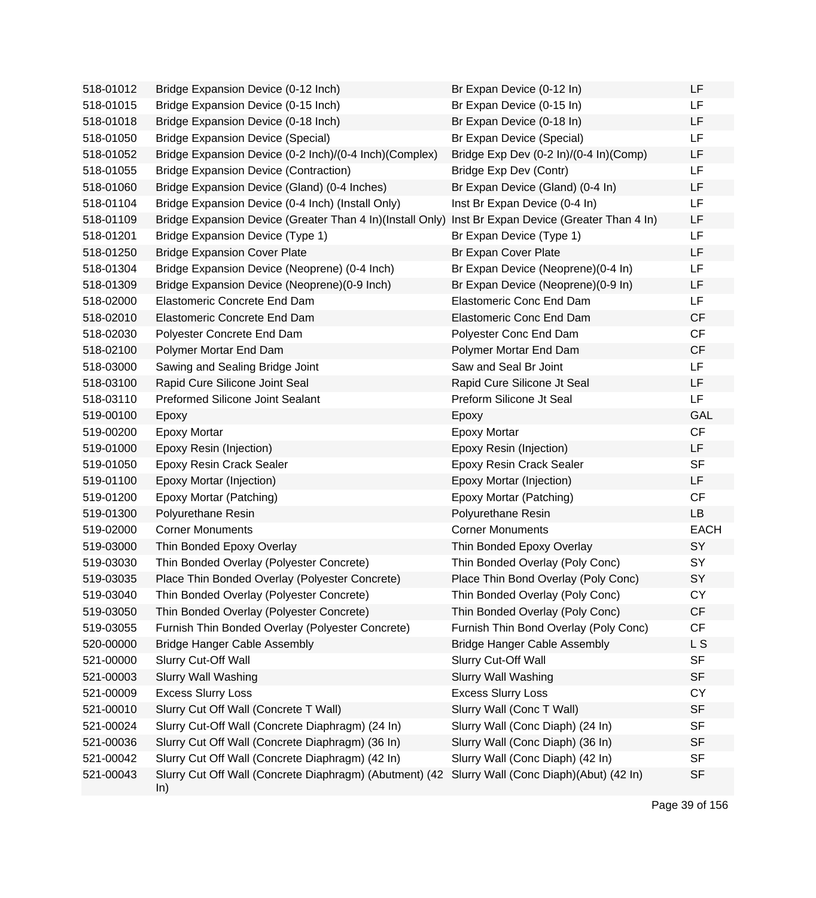| 518-01012 | Bridge Expansion Device (0-12 Inch)                            | Br Expan Device (0-12 In)                | LF          |
|-----------|----------------------------------------------------------------|------------------------------------------|-------------|
| 518-01015 | Bridge Expansion Device (0-15 Inch)                            | Br Expan Device (0-15 In)                | LF          |
| 518-01018 | Bridge Expansion Device (0-18 Inch)                            | Br Expan Device (0-18 In)                | LF          |
| 518-01050 | <b>Bridge Expansion Device (Special)</b>                       | Br Expan Device (Special)                | LF          |
| 518-01052 | Bridge Expansion Device (0-2 Inch)/(0-4 Inch)(Complex)         | Bridge Exp Dev (0-2 In)/(0-4 In)(Comp)   | LF          |
| 518-01055 | <b>Bridge Expansion Device (Contraction)</b>                   | Bridge Exp Dev (Contr)                   | LF          |
| 518-01060 | Bridge Expansion Device (Gland) (0-4 Inches)                   | Br Expan Device (Gland) (0-4 In)         | LF          |
| 518-01104 | Bridge Expansion Device (0-4 Inch) (Install Only)              | Inst Br Expan Device (0-4 In)            | LF          |
| 518-01109 | Bridge Expansion Device (Greater Than 4 In)(Install Only)      | Inst Br Expan Device (Greater Than 4 In) | LF          |
| 518-01201 | Bridge Expansion Device (Type 1)                               | Br Expan Device (Type 1)                 | LF          |
| 518-01250 | <b>Bridge Expansion Cover Plate</b>                            | Br Expan Cover Plate                     | LF          |
| 518-01304 | Bridge Expansion Device (Neoprene) (0-4 Inch)                  | Br Expan Device (Neoprene)(0-4 In)       | LF          |
| 518-01309 | Bridge Expansion Device (Neoprene) (0-9 Inch)                  | Br Expan Device (Neoprene)(0-9 In)       | LF          |
| 518-02000 | Elastomeric Concrete End Dam                                   | <b>Elastomeric Conc End Dam</b>          | LF          |
| 518-02010 | Elastomeric Concrete End Dam                                   | <b>Elastomeric Conc End Dam</b>          | CF          |
| 518-02030 | Polyester Concrete End Dam                                     | Polyester Conc End Dam                   | CF          |
| 518-02100 | Polymer Mortar End Dam                                         | Polymer Mortar End Dam                   | CF          |
| 518-03000 | Sawing and Sealing Bridge Joint                                | Saw and Seal Br Joint                    | <b>LF</b>   |
| 518-03100 | Rapid Cure Silicone Joint Seal                                 | Rapid Cure Silicone Jt Seal              | LF          |
| 518-03110 | Preformed Silicone Joint Sealant                               | Preform Silicone Jt Seal                 | <b>LF</b>   |
| 519-00100 | Epoxy                                                          | Epoxy                                    | <b>GAL</b>  |
| 519-00200 | <b>Epoxy Mortar</b>                                            | <b>Epoxy Mortar</b>                      | CF          |
| 519-01000 | Epoxy Resin (Injection)                                        | Epoxy Resin (Injection)                  | LF          |
| 519-01050 | Epoxy Resin Crack Sealer                                       | <b>Epoxy Resin Crack Sealer</b>          | <b>SF</b>   |
| 519-01100 | Epoxy Mortar (Injection)                                       | Epoxy Mortar (Injection)                 | LF          |
| 519-01200 | Epoxy Mortar (Patching)                                        | Epoxy Mortar (Patching)                  | CF          |
| 519-01300 | Polyurethane Resin                                             | Polyurethane Resin                       | <b>LB</b>   |
| 519-02000 | <b>Corner Monuments</b>                                        | <b>Corner Monuments</b>                  | <b>EACH</b> |
| 519-03000 | Thin Bonded Epoxy Overlay                                      | Thin Bonded Epoxy Overlay                | SY          |
| 519-03030 | Thin Bonded Overlay (Polyester Concrete)                       | Thin Bonded Overlay (Poly Conc)          | SY          |
| 519-03035 | Place Thin Bonded Overlay (Polyester Concrete)                 | Place Thin Bond Overlay (Poly Conc)      | SY          |
| 519-03040 | Thin Bonded Overlay (Polyester Concrete)                       | Thin Bonded Overlay (Poly Conc)          | СY          |
| 519-03050 | Thin Bonded Overlay (Polyester Concrete)                       | Thin Bonded Overlay (Poly Conc)          | CF          |
| 519-03055 | Furnish Thin Bonded Overlay (Polyester Concrete)               | Furnish Thin Bond Overlay (Poly Conc)    | CF          |
| 520-00000 | <b>Bridge Hanger Cable Assembly</b>                            | <b>Bridge Hanger Cable Assembly</b>      | L S         |
| 521-00000 | Slurry Cut-Off Wall                                            | Slurry Cut-Off Wall                      | <b>SF</b>   |
| 521-00003 | <b>Slurry Wall Washing</b>                                     | <b>Slurry Wall Washing</b>               | <b>SF</b>   |
| 521-00009 | <b>Excess Slurry Loss</b>                                      | <b>Excess Slurry Loss</b>                | <b>CY</b>   |
| 521-00010 | Slurry Cut Off Wall (Concrete T Wall)                          | Slurry Wall (Conc T Wall)                | <b>SF</b>   |
| 521-00024 | Slurry Cut-Off Wall (Concrete Diaphragm) (24 In)               | Slurry Wall (Conc Diaph) (24 In)         | <b>SF</b>   |
| 521-00036 | Slurry Cut Off Wall (Concrete Diaphragm) (36 In)               | Slurry Wall (Conc Diaph) (36 In)         | <b>SF</b>   |
| 521-00042 | Slurry Cut Off Wall (Concrete Diaphragm) (42 In)               | Slurry Wall (Conc Diaph) (42 In)         | <b>SF</b>   |
| 521-00043 | Slurry Cut Off Wall (Concrete Diaphragm) (Abutment) (42<br>ln) | Slurry Wall (Conc Diaph)(Abut) (42 In)   | <b>SF</b>   |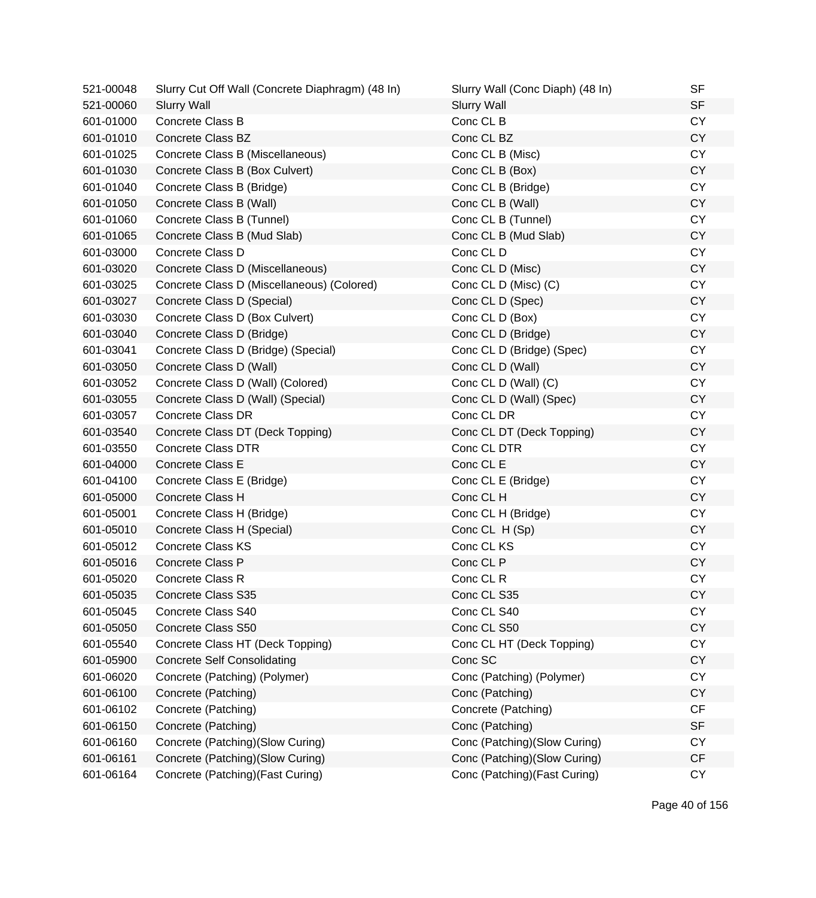| 521-00048 | Slurry Cut Off Wall (Concrete Diaphragm) (48 In) | Slurry Wall (Conc Diaph) (48 In) | <b>SF</b> |
|-----------|--------------------------------------------------|----------------------------------|-----------|
| 521-00060 | <b>Slurry Wall</b>                               | <b>Slurry Wall</b>               | <b>SF</b> |
| 601-01000 | Concrete Class B                                 | Conc CL B                        | <b>CY</b> |
| 601-01010 | <b>Concrete Class BZ</b>                         | Conc CL BZ                       | <b>CY</b> |
| 601-01025 | Concrete Class B (Miscellaneous)                 | Conc CL B (Misc)                 | <b>CY</b> |
| 601-01030 | Concrete Class B (Box Culvert)                   | Conc CL B (Box)                  | <b>CY</b> |
| 601-01040 | Concrete Class B (Bridge)                        | Conc CL B (Bridge)               | <b>CY</b> |
| 601-01050 | Concrete Class B (Wall)                          | Conc CL B (Wall)                 | <b>CY</b> |
| 601-01060 | Concrete Class B (Tunnel)                        | Conc CL B (Tunnel)               | <b>CY</b> |
| 601-01065 | Concrete Class B (Mud Slab)                      | Conc CL B (Mud Slab)             | CY        |
| 601-03000 | Concrete Class D                                 | Conc CL D                        | <b>CY</b> |
| 601-03020 | Concrete Class D (Miscellaneous)                 | Conc CL D (Misc)                 | <b>CY</b> |
| 601-03025 | Concrete Class D (Miscellaneous) (Colored)       | Conc CL D (Misc) (C)             | <b>CY</b> |
| 601-03027 | Concrete Class D (Special)                       | Conc CL D (Spec)                 | <b>CY</b> |
| 601-03030 | Concrete Class D (Box Culvert)                   | Conc CL D (Box)                  | <b>CY</b> |
| 601-03040 | Concrete Class D (Bridge)                        | Conc CL D (Bridge)               | <b>CY</b> |
| 601-03041 | Concrete Class D (Bridge) (Special)              | Conc CL D (Bridge) (Spec)        | <b>CY</b> |
| 601-03050 | Concrete Class D (Wall)                          | Conc CL D (Wall)                 | <b>CY</b> |
| 601-03052 | Concrete Class D (Wall) (Colored)                | Conc CL D (Wall) (C)             | <b>CY</b> |
| 601-03055 | Concrete Class D (Wall) (Special)                | Conc CL D (Wall) (Spec)          | <b>CY</b> |
| 601-03057 | <b>Concrete Class DR</b>                         | Conc CL DR                       | <b>CY</b> |
| 601-03540 | Concrete Class DT (Deck Topping)                 | Conc CL DT (Deck Topping)        | <b>CY</b> |
| 601-03550 | <b>Concrete Class DTR</b>                        | Conc CL DTR                      | <b>CY</b> |
| 601-04000 | Concrete Class E                                 | Conc CL E                        | <b>CY</b> |
| 601-04100 | Concrete Class E (Bridge)                        | Conc CL E (Bridge)               | <b>CY</b> |
| 601-05000 | Concrete Class H                                 | Conc CL H                        | <b>CY</b> |
| 601-05001 | Concrete Class H (Bridge)                        | Conc CL H (Bridge)               | <b>CY</b> |
| 601-05010 | Concrete Class H (Special)                       | Conc CL H (Sp)                   | <b>CY</b> |
| 601-05012 | <b>Concrete Class KS</b>                         | Conc CL KS                       | <b>CY</b> |
| 601-05016 | Concrete Class P                                 | Conc CL P                        | <b>CY</b> |
| 601-05020 | Concrete Class R                                 | Conc CL R                        | <b>CY</b> |
| 601-05035 | Concrete Class S35                               | Conc CL S35                      | <b>CY</b> |
| 601-05045 | Concrete Class S40                               | Conc CL S40                      | <b>CY</b> |
| 601-05050 | Concrete Class S50                               | Conc CL S50                      | <b>CY</b> |
| 601-05540 | Concrete Class HT (Deck Topping)                 | Conc CL HT (Deck Topping)        | <b>CY</b> |
| 601-05900 | <b>Concrete Self Consolidating</b>               | Conc SC                          | <b>CY</b> |
| 601-06020 | Concrete (Patching) (Polymer)                    | Conc (Patching) (Polymer)        | <b>CY</b> |
| 601-06100 | Concrete (Patching)                              | Conc (Patching)                  | <b>CY</b> |
| 601-06102 | Concrete (Patching)                              | Concrete (Patching)              | CF        |
| 601-06150 | Concrete (Patching)                              | Conc (Patching)                  | <b>SF</b> |
| 601-06160 | Concrete (Patching)(Slow Curing)                 | Conc (Patching)(Slow Curing)     | <b>CY</b> |
| 601-06161 | Concrete (Patching) (Slow Curing)                | Conc (Patching)(Slow Curing)     | CF        |
| 601-06164 | Concrete (Patching) (Fast Curing)                | Conc (Patching) (Fast Curing)    | CY        |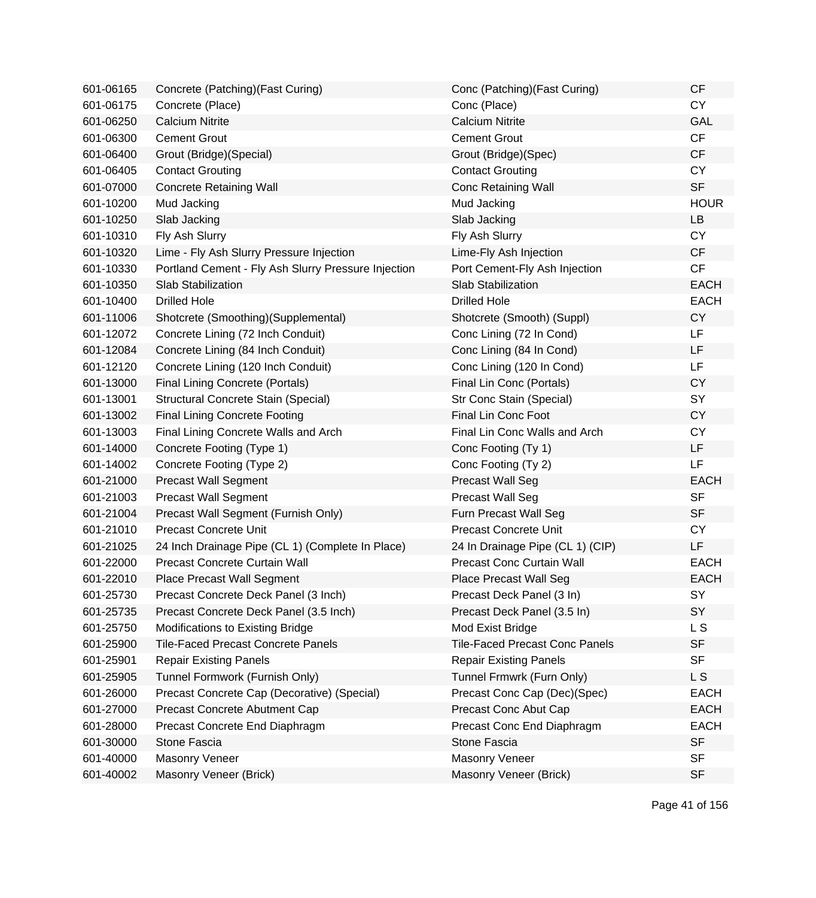| 601-06165 | Concrete (Patching) (Fast Curing)                   | Conc (Patching) (Fast Curing)         | <b>CF</b>   |
|-----------|-----------------------------------------------------|---------------------------------------|-------------|
| 601-06175 | Concrete (Place)                                    | Conc (Place)                          | <b>CY</b>   |
| 601-06250 | <b>Calcium Nitrite</b>                              | <b>Calcium Nitrite</b>                | <b>GAL</b>  |
| 601-06300 | <b>Cement Grout</b>                                 | <b>Cement Grout</b>                   | CF          |
| 601-06400 | Grout (Bridge) (Special)                            | Grout (Bridge)(Spec)                  | CF          |
| 601-06405 | <b>Contact Grouting</b>                             | <b>Contact Grouting</b>               | <b>CY</b>   |
| 601-07000 | <b>Concrete Retaining Wall</b>                      | <b>Conc Retaining Wall</b>            | <b>SF</b>   |
| 601-10200 | Mud Jacking                                         | Mud Jacking                           | <b>HOUR</b> |
| 601-10250 | Slab Jacking                                        | Slab Jacking                          | LB          |
| 601-10310 | Fly Ash Slurry                                      | Fly Ash Slurry                        | <b>CY</b>   |
| 601-10320 | Lime - Fly Ash Slurry Pressure Injection            | Lime-Fly Ash Injection                | <b>CF</b>   |
| 601-10330 | Portland Cement - Fly Ash Slurry Pressure Injection | Port Cement-Fly Ash Injection         | CF          |
| 601-10350 | Slab Stabilization                                  | Slab Stabilization                    | <b>EACH</b> |
| 601-10400 | <b>Drilled Hole</b>                                 | <b>Drilled Hole</b>                   | <b>EACH</b> |
| 601-11006 | Shotcrete (Smoothing)(Supplemental)                 | Shotcrete (Smooth) (Suppl)            | <b>CY</b>   |
| 601-12072 | Concrete Lining (72 Inch Conduit)                   | Conc Lining (72 In Cond)              | LF          |
| 601-12084 | Concrete Lining (84 Inch Conduit)                   | Conc Lining (84 In Cond)              | LF          |
| 601-12120 | Concrete Lining (120 Inch Conduit)                  | Conc Lining (120 In Cond)             | LF          |
| 601-13000 | <b>Final Lining Concrete (Portals)</b>              | Final Lin Conc (Portals)              | <b>CY</b>   |
| 601-13001 | Structural Concrete Stain (Special)                 | Str Conc Stain (Special)              | SY          |
| 601-13002 | <b>Final Lining Concrete Footing</b>                | <b>Final Lin Conc Foot</b>            | <b>CY</b>   |
| 601-13003 | Final Lining Concrete Walls and Arch                | Final Lin Conc Walls and Arch         | <b>CY</b>   |
| 601-14000 | Concrete Footing (Type 1)                           | Conc Footing (Ty 1)                   | <b>LF</b>   |
| 601-14002 | Concrete Footing (Type 2)                           | Conc Footing (Ty 2)                   | LF          |
| 601-21000 | <b>Precast Wall Segment</b>                         | <b>Precast Wall Seg</b>               | <b>EACH</b> |
| 601-21003 | <b>Precast Wall Segment</b>                         | <b>Precast Wall Seg</b>               | <b>SF</b>   |
| 601-21004 | Precast Wall Segment (Furnish Only)                 | Furn Precast Wall Seg                 | <b>SF</b>   |
| 601-21010 | <b>Precast Concrete Unit</b>                        | <b>Precast Concrete Unit</b>          | <b>CY</b>   |
| 601-21025 | 24 Inch Drainage Pipe (CL 1) (Complete In Place)    | 24 In Drainage Pipe (CL 1) (CIP)      | LF          |
| 601-22000 | Precast Concrete Curtain Wall                       | Precast Conc Curtain Wall             | <b>EACH</b> |
| 601-22010 | <b>Place Precast Wall Segment</b>                   | <b>Place Precast Wall Seg</b>         | <b>EACH</b> |
| 601-25730 | Precast Concrete Deck Panel (3 Inch)                | Precast Deck Panel (3 In)             | SY          |
| 601-25735 | Precast Concrete Deck Panel (3.5 Inch)              | Precast Deck Panel (3.5 In)           | SY          |
| 601-25750 | Modifications to Existing Bridge                    | Mod Exist Bridge                      | L S         |
| 601-25900 | <b>Tile-Faced Precast Concrete Panels</b>           | <b>Tile-Faced Precast Conc Panels</b> | <b>SF</b>   |
| 601-25901 | <b>Repair Existing Panels</b>                       | <b>Repair Existing Panels</b>         | <b>SF</b>   |
| 601-25905 | Tunnel Formwork (Furnish Only)                      | Tunnel Frmwrk (Furn Only)             | L S         |
| 601-26000 | Precast Concrete Cap (Decorative) (Special)         | Precast Conc Cap (Dec)(Spec)          | <b>EACH</b> |
| 601-27000 | Precast Concrete Abutment Cap                       | Precast Conc Abut Cap                 | <b>EACH</b> |
| 601-28000 | Precast Concrete End Diaphragm                      | Precast Conc End Diaphragm            | <b>EACH</b> |
| 601-30000 | Stone Fascia                                        | Stone Fascia                          | <b>SF</b>   |
| 601-40000 | <b>Masonry Veneer</b>                               | Masonry Veneer                        | <b>SF</b>   |
| 601-40002 | Masonry Veneer (Brick)                              | Masonry Veneer (Brick)                | <b>SF</b>   |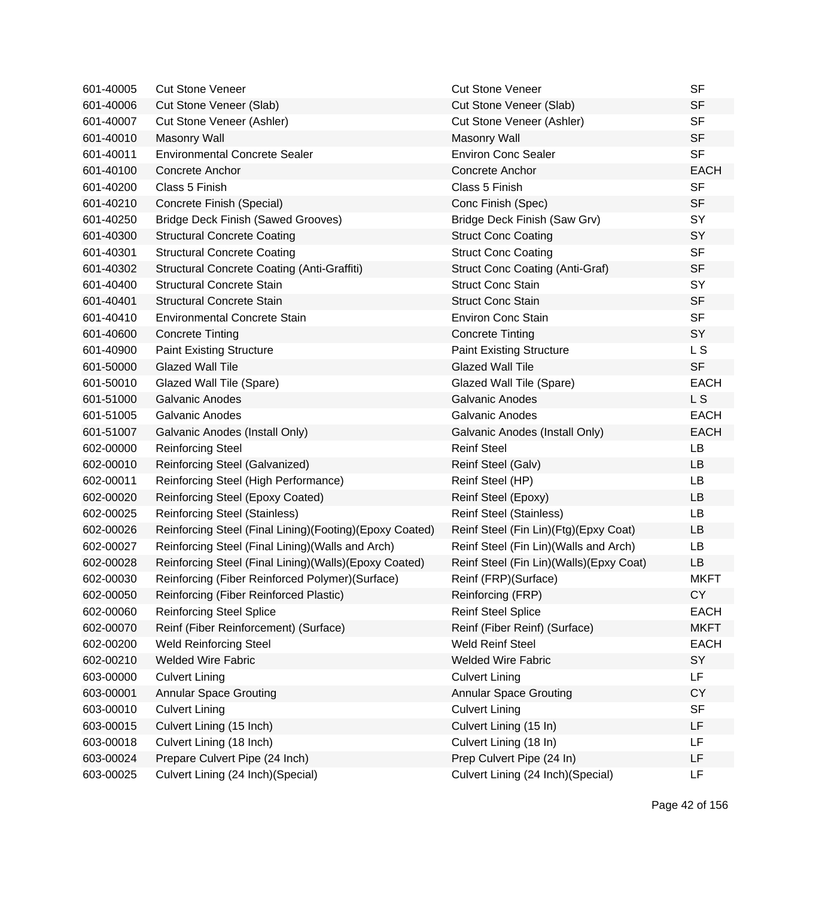| 601-40005 | <b>Cut Stone Veneer</b>                                 | <b>Cut Stone Veneer</b>                   | <b>SF</b>      |
|-----------|---------------------------------------------------------|-------------------------------------------|----------------|
| 601-40006 | Cut Stone Veneer (Slab)                                 | Cut Stone Veneer (Slab)                   | <b>SF</b>      |
| 601-40007 | Cut Stone Veneer (Ashler)                               | Cut Stone Veneer (Ashler)                 | <b>SF</b>      |
| 601-40010 | <b>Masonry Wall</b>                                     | <b>Masonry Wall</b>                       | <b>SF</b>      |
| 601-40011 | <b>Environmental Concrete Sealer</b>                    | <b>Environ Conc Sealer</b>                | <b>SF</b>      |
| 601-40100 | Concrete Anchor                                         | Concrete Anchor                           | <b>EACH</b>    |
| 601-40200 | Class 5 Finish                                          | Class 5 Finish                            | <b>SF</b>      |
| 601-40210 | Concrete Finish (Special)                               | Conc Finish (Spec)                        | <b>SF</b>      |
| 601-40250 | <b>Bridge Deck Finish (Sawed Grooves)</b>               | Bridge Deck Finish (Saw Grv)              | SY             |
| 601-40300 | <b>Structural Concrete Coating</b>                      | <b>Struct Conc Coating</b>                | SY             |
| 601-40301 | <b>Structural Concrete Coating</b>                      | <b>Struct Conc Coating</b>                | <b>SF</b>      |
| 601-40302 | <b>Structural Concrete Coating (Anti-Graffiti)</b>      | <b>Struct Conc Coating (Anti-Graf)</b>    | <b>SF</b>      |
| 601-40400 | <b>Structural Concrete Stain</b>                        | <b>Struct Conc Stain</b>                  | SY             |
| 601-40401 | <b>Structural Concrete Stain</b>                        | <b>Struct Conc Stain</b>                  | <b>SF</b>      |
| 601-40410 | <b>Environmental Concrete Stain</b>                     | <b>Environ Conc Stain</b>                 | <b>SF</b>      |
| 601-40600 | <b>Concrete Tinting</b>                                 | <b>Concrete Tinting</b>                   | SY             |
| 601-40900 | <b>Paint Existing Structure</b>                         | <b>Paint Existing Structure</b>           | L S            |
| 601-50000 | <b>Glazed Wall Tile</b>                                 | <b>Glazed Wall Tile</b>                   | <b>SF</b>      |
| 601-50010 | Glazed Wall Tile (Spare)                                | Glazed Wall Tile (Spare)                  | <b>EACH</b>    |
| 601-51000 | <b>Galvanic Anodes</b>                                  | <b>Galvanic Anodes</b>                    | L S            |
| 601-51005 | <b>Galvanic Anodes</b>                                  | <b>Galvanic Anodes</b>                    | <b>EACH</b>    |
| 601-51007 | Galvanic Anodes (Install Only)                          | Galvanic Anodes (Install Only)            | <b>EACH</b>    |
| 602-00000 | <b>Reinforcing Steel</b>                                | <b>Reinf Steel</b>                        | LB             |
| 602-00010 | Reinforcing Steel (Galvanized)                          | Reinf Steel (Galv)                        | LB             |
| 602-00011 | Reinforcing Steel (High Performance)                    | Reinf Steel (HP)                          | <b>LB</b>      |
| 602-00020 | Reinforcing Steel (Epoxy Coated)                        | Reinf Steel (Epoxy)                       | LB             |
| 602-00025 | <b>Reinforcing Steel (Stainless)</b>                    | <b>Reinf Steel (Stainless)</b>            | LB             |
| 602-00026 | Reinforcing Steel (Final Lining)(Footing)(Epoxy Coated) | Reinf Steel (Fin Lin)(Ftg)(Epxy Coat)     | LB             |
| 602-00027 | Reinforcing Steel (Final Lining) (Walls and Arch)       | Reinf Steel (Fin Lin) (Walls and Arch)    | LB             |
| 602-00028 | Reinforcing Steel (Final Lining)(Walls)(Epoxy Coated)   | Reinf Steel (Fin Lin) (Walls) (Epxy Coat) | LB             |
| 602-00030 | Reinforcing (Fiber Reinforced Polymer) (Surface)        | Reinf (FRP)(Surface)                      | <b>MKFT</b>    |
| 602-00050 | Reinforcing (Fiber Reinforced Plastic)                  | Reinforcing (FRP)                         | CY <sub></sub> |
| 602-00060 | <b>Reinforcing Steel Splice</b>                         | <b>Reinf Steel Splice</b>                 | <b>EACH</b>    |
| 602-00070 | Reinf (Fiber Reinforcement) (Surface)                   | Reinf (Fiber Reinf) (Surface)             | <b>MKFT</b>    |
| 602-00200 | <b>Weld Reinforcing Steel</b>                           | <b>Weld Reinf Steel</b>                   | <b>EACH</b>    |
| 602-00210 | <b>Welded Wire Fabric</b>                               | <b>Welded Wire Fabric</b>                 | SY             |
| 603-00000 | <b>Culvert Lining</b>                                   | <b>Culvert Lining</b>                     | LF             |
| 603-00001 | <b>Annular Space Grouting</b>                           | <b>Annular Space Grouting</b>             | <b>CY</b>      |
| 603-00010 | <b>Culvert Lining</b>                                   | <b>Culvert Lining</b>                     | <b>SF</b>      |
| 603-00015 | Culvert Lining (15 Inch)                                | Culvert Lining (15 In)                    | LF             |
| 603-00018 | Culvert Lining (18 Inch)                                | Culvert Lining (18 In)                    | LF             |
| 603-00024 | Prepare Culvert Pipe (24 Inch)                          | Prep Culvert Pipe (24 In)                 | LF             |
| 603-00025 | Culvert Lining (24 Inch)(Special)                       | Culvert Lining (24 Inch) (Special)        | LF             |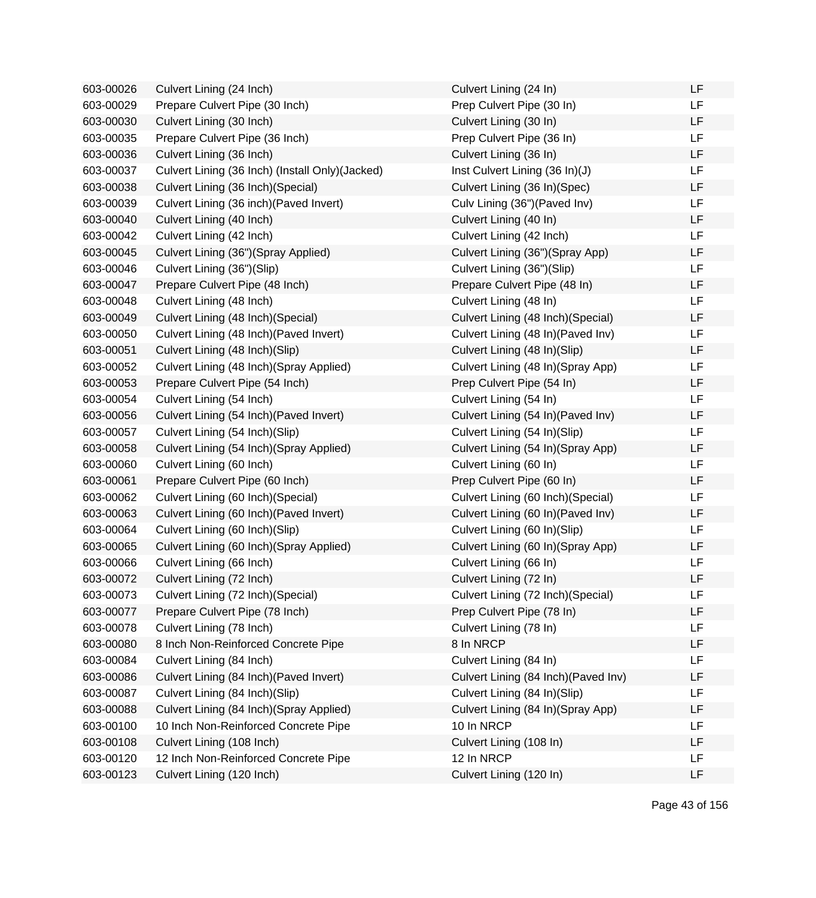| 603-00026 | Culvert Lining (24 Inch)                         | Culvert Lining (24 In)               | LF        |
|-----------|--------------------------------------------------|--------------------------------------|-----------|
| 603-00029 | Prepare Culvert Pipe (30 Inch)                   | Prep Culvert Pipe (30 In)            | <b>LF</b> |
| 603-00030 | Culvert Lining (30 Inch)                         | Culvert Lining (30 In)               | LF        |
| 603-00035 | Prepare Culvert Pipe (36 Inch)                   | Prep Culvert Pipe (36 In)            | LF        |
| 603-00036 | Culvert Lining (36 Inch)                         | Culvert Lining (36 In)               | LF        |
| 603-00037 | Culvert Lining (36 Inch) (Install Only) (Jacked) | Inst Culvert Lining (36 In)(J)       | LF        |
| 603-00038 | Culvert Lining (36 Inch) (Special)               | Culvert Lining (36 In)(Spec)         | LF        |
| 603-00039 | Culvert Lining (36 inch) (Paved Invert)          | Culv Lining (36") (Paved Inv)        | LF        |
| 603-00040 | Culvert Lining (40 Inch)                         | Culvert Lining (40 In)               | LF        |
| 603-00042 | Culvert Lining (42 Inch)                         | Culvert Lining (42 Inch)             | LF        |
| 603-00045 | Culvert Lining (36")(Spray Applied)              | Culvert Lining (36")(Spray App)      | LF        |
| 603-00046 | Culvert Lining (36")(Slip)                       | Culvert Lining (36")(Slip)           | LF        |
| 603-00047 | Prepare Culvert Pipe (48 Inch)                   | Prepare Culvert Pipe (48 In)         | LF        |
| 603-00048 | Culvert Lining (48 Inch)                         | Culvert Lining (48 In)               | LF        |
| 603-00049 | Culvert Lining (48 Inch) (Special)               | Culvert Lining (48 Inch) (Special)   | LF        |
| 603-00050 | Culvert Lining (48 Inch) (Paved Invert)          | Culvert Lining (48 In) (Paved Inv)   | LF        |
| 603-00051 | Culvert Lining (48 Inch)(Slip)                   | Culvert Lining (48 In)(Slip)         | LF        |
| 603-00052 | Culvert Lining (48 Inch)(Spray Applied)          | Culvert Lining (48 In)(Spray App)    | LF        |
| 603-00053 | Prepare Culvert Pipe (54 Inch)                   | Prep Culvert Pipe (54 In)            | LF        |
| 603-00054 | Culvert Lining (54 Inch)                         | Culvert Lining (54 In)               | LF        |
| 603-00056 | Culvert Lining (54 Inch) (Paved Invert)          | Culvert Lining (54 In) (Paved Inv)   | LF        |
| 603-00057 | Culvert Lining (54 Inch)(Slip)                   | Culvert Lining (54 In)(Slip)         | LF        |
| 603-00058 | Culvert Lining (54 Inch)(Spray Applied)          | Culvert Lining (54 In)(Spray App)    | LF        |
| 603-00060 | Culvert Lining (60 Inch)                         | Culvert Lining (60 In)               | LF        |
| 603-00061 | Prepare Culvert Pipe (60 Inch)                   | Prep Culvert Pipe (60 In)            | LF        |
| 603-00062 | Culvert Lining (60 Inch) (Special)               | Culvert Lining (60 Inch) (Special)   | LF        |
| 603-00063 | Culvert Lining (60 Inch) (Paved Invert)          | Culvert Lining (60 In)(Paved Inv)    | LF        |
| 603-00064 | Culvert Lining (60 Inch)(Slip)                   | Culvert Lining (60 In)(Slip)         | LF        |
| 603-00065 | Culvert Lining (60 Inch) (Spray Applied)         | Culvert Lining (60 In) (Spray App)   | LF        |
| 603-00066 | Culvert Lining (66 Inch)                         | Culvert Lining (66 In)               | LF        |
| 603-00072 | Culvert Lining (72 Inch)                         | Culvert Lining (72 In)               | LF        |
| 603-00073 | Culvert Lining (72 Inch)(Special)                | Culvert Lining (72 Inch)(Special)    | ᄔ         |
| 603-00077 | Prepare Culvert Pipe (78 Inch)                   | Prep Culvert Pipe (78 In)            | LF        |
| 603-00078 | Culvert Lining (78 Inch)                         | Culvert Lining (78 In)               | LF        |
| 603-00080 | 8 Inch Non-Reinforced Concrete Pipe              | 8 In NRCP                            | LF        |
| 603-00084 | Culvert Lining (84 Inch)                         | Culvert Lining (84 In)               | LF        |
| 603-00086 | Culvert Lining (84 Inch) (Paved Invert)          | Culvert Lining (84 Inch) (Paved Inv) | LF        |
| 603-00087 | Culvert Lining (84 Inch)(Slip)                   | Culvert Lining (84 In)(Slip)         | LF        |
| 603-00088 | Culvert Lining (84 Inch)(Spray Applied)          | Culvert Lining (84 In)(Spray App)    | LF        |
| 603-00100 | 10 Inch Non-Reinforced Concrete Pipe             | 10 In NRCP                           | LF        |
| 603-00108 | Culvert Lining (108 Inch)                        | Culvert Lining (108 In)              | LF        |
| 603-00120 | 12 Inch Non-Reinforced Concrete Pipe             | 12 In NRCP                           | LF        |
| 603-00123 | Culvert Lining (120 Inch)                        | Culvert Lining (120 In)              | LF        |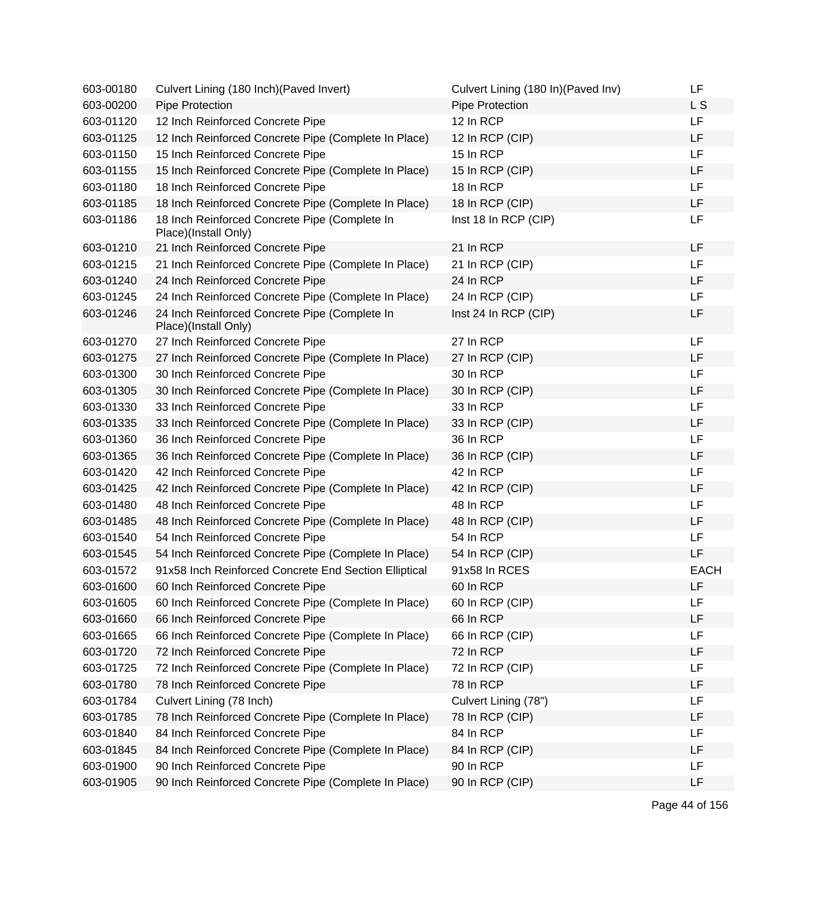| 603-00180 | Culvert Lining (180 Inch) (Paved Invert)                              | Culvert Lining (180 In) (Paved Inv) | LF          |
|-----------|-----------------------------------------------------------------------|-------------------------------------|-------------|
| 603-00200 | Pipe Protection                                                       | Pipe Protection                     | L S         |
| 603-01120 | 12 Inch Reinforced Concrete Pipe                                      | 12 In RCP                           | <b>LF</b>   |
| 603-01125 | 12 Inch Reinforced Concrete Pipe (Complete In Place)                  | 12 In RCP (CIP)                     | LF          |
| 603-01150 | 15 Inch Reinforced Concrete Pipe                                      | 15 In RCP                           | LF          |
| 603-01155 | 15 Inch Reinforced Concrete Pipe (Complete In Place)                  | 15 In RCP (CIP)                     | LF          |
| 603-01180 | 18 Inch Reinforced Concrete Pipe                                      | 18 In RCP                           | LF          |
| 603-01185 | 18 Inch Reinforced Concrete Pipe (Complete In Place)                  | 18 In RCP (CIP)                     | LF          |
| 603-01186 | 18 Inch Reinforced Concrete Pipe (Complete In<br>Place)(Install Only) | Inst 18 In RCP (CIP)                | LF          |
| 603-01210 | 21 Inch Reinforced Concrete Pipe                                      | 21 In RCP                           | LF          |
| 603-01215 | 21 Inch Reinforced Concrete Pipe (Complete In Place)                  | 21 In RCP (CIP)                     | LF          |
| 603-01240 | 24 Inch Reinforced Concrete Pipe                                      | 24 In RCP                           | LF          |
| 603-01245 | 24 Inch Reinforced Concrete Pipe (Complete In Place)                  | 24 In RCP (CIP)                     | LF          |
| 603-01246 | 24 Inch Reinforced Concrete Pipe (Complete In<br>Place)(Install Only) | Inst 24 In RCP (CIP)                | LF          |
| 603-01270 | 27 Inch Reinforced Concrete Pipe                                      | 27 In RCP                           | LF          |
| 603-01275 | 27 Inch Reinforced Concrete Pipe (Complete In Place)                  | 27 In RCP (CIP)                     | LF          |
| 603-01300 | 30 Inch Reinforced Concrete Pipe                                      | 30 In RCP                           | LF          |
| 603-01305 | 30 Inch Reinforced Concrete Pipe (Complete In Place)                  | 30 In RCP (CIP)                     | LF          |
| 603-01330 | 33 Inch Reinforced Concrete Pipe                                      | 33 In RCP                           | LF          |
| 603-01335 | 33 Inch Reinforced Concrete Pipe (Complete In Place)                  | 33 In RCP (CIP)                     | LF          |
| 603-01360 | 36 Inch Reinforced Concrete Pipe                                      | 36 In RCP                           | LF          |
| 603-01365 | 36 Inch Reinforced Concrete Pipe (Complete In Place)                  | 36 In RCP (CIP)                     | LF          |
| 603-01420 | 42 Inch Reinforced Concrete Pipe                                      | 42 In RCP                           | <b>LF</b>   |
| 603-01425 | 42 Inch Reinforced Concrete Pipe (Complete In Place)                  | 42 In RCP (CIP)                     | LF          |
| 603-01480 | 48 Inch Reinforced Concrete Pipe                                      | 48 In RCP                           | LF          |
| 603-01485 | 48 Inch Reinforced Concrete Pipe (Complete In Place)                  | 48 In RCP (CIP)                     | LF          |
| 603-01540 | 54 Inch Reinforced Concrete Pipe                                      | 54 In RCP                           | LF          |
| 603-01545 | 54 Inch Reinforced Concrete Pipe (Complete In Place)                  | 54 In RCP (CIP)                     | LF          |
| 603-01572 | 91x58 Inch Reinforced Concrete End Section Elliptical                 | 91x58 In RCES                       | <b>EACH</b> |
| 603-01600 | 60 Inch Reinforced Concrete Pipe                                      | 60 In RCP                           | LF          |
| 603-01605 | 60 Inch Reinforced Concrete Pipe (Complete In Place)                  | 60 In RCP (CIP)                     | LF          |
| 603-01660 | 66 Inch Reinforced Concrete Pipe                                      | 66 In RCP                           | LF          |
| 603-01665 | 66 Inch Reinforced Concrete Pipe (Complete In Place)                  | 66 In RCP (CIP)                     | LF          |
| 603-01720 | 72 Inch Reinforced Concrete Pipe                                      | 72 In RCP                           | LF          |
| 603-01725 | 72 Inch Reinforced Concrete Pipe (Complete In Place)                  | 72 In RCP (CIP)                     | LF          |
| 603-01780 | 78 Inch Reinforced Concrete Pipe                                      | 78 In RCP                           | LF          |
| 603-01784 | Culvert Lining (78 Inch)                                              | Culvert Lining (78")                | LF          |
| 603-01785 | 78 Inch Reinforced Concrete Pipe (Complete In Place)                  | 78 In RCP (CIP)                     | LF          |
| 603-01840 | 84 Inch Reinforced Concrete Pipe                                      | 84 In RCP                           | LF          |
| 603-01845 | 84 Inch Reinforced Concrete Pipe (Complete In Place)                  | 84 In RCP (CIP)                     | LF          |
| 603-01900 | 90 Inch Reinforced Concrete Pipe                                      | 90 In RCP                           | LF          |
| 603-01905 | 90 Inch Reinforced Concrete Pipe (Complete In Place)                  | 90 In RCP (CIP)                     | LF          |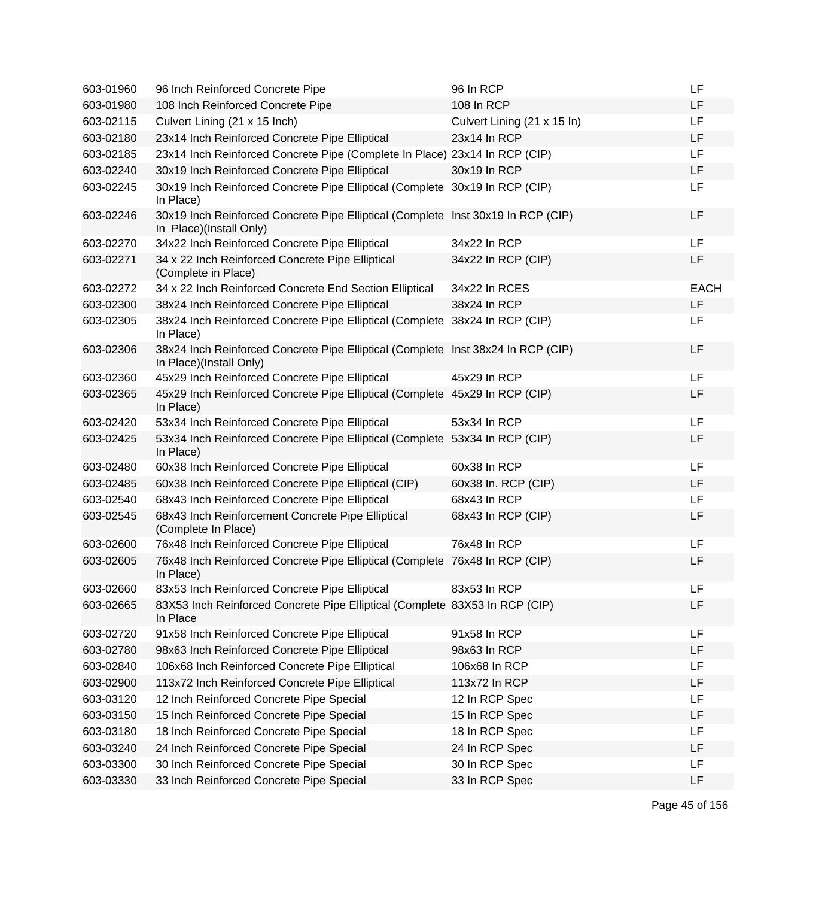| 603-01960 | 96 Inch Reinforced Concrete Pipe                                                                            | 96 In RCP                   | LF          |
|-----------|-------------------------------------------------------------------------------------------------------------|-----------------------------|-------------|
| 603-01980 | 108 Inch Reinforced Concrete Pipe                                                                           | 108 In RCP                  | LF          |
| 603-02115 | Culvert Lining (21 x 15 Inch)                                                                               | Culvert Lining (21 x 15 ln) | LF          |
| 603-02180 | 23x14 Inch Reinforced Concrete Pipe Elliptical                                                              | 23x14 In RCP                | LF          |
| 603-02185 | 23x14 Inch Reinforced Concrete Pipe (Complete In Place) 23x14 In RCP (CIP)                                  |                             | LF          |
| 603-02240 | 30x19 Inch Reinforced Concrete Pipe Elliptical                                                              | 30x19 In RCP                | LF          |
| 603-02245 | 30x19 Inch Reinforced Concrete Pipe Elliptical (Complete 30x19 In RCP (CIP)<br>In Place)                    |                             | LF          |
| 603-02246 | 30x19 Inch Reinforced Concrete Pipe Elliptical (Complete Inst 30x19 In RCP (CIP)<br>In Place)(Install Only) |                             | LF          |
| 603-02270 | 34x22 Inch Reinforced Concrete Pipe Elliptical                                                              | 34x22 In RCP                | LF          |
| 603-02271 | 34 x 22 Inch Reinforced Concrete Pipe Elliptical<br>(Complete in Place)                                     | 34x22 In RCP (CIP)          | LF          |
| 603-02272 | 34 x 22 Inch Reinforced Concrete End Section Elliptical                                                     | 34x22 In RCES               | <b>EACH</b> |
| 603-02300 | 38x24 Inch Reinforced Concrete Pipe Elliptical                                                              | 38x24 In RCP                | LF          |
| 603-02305 | 38x24 Inch Reinforced Concrete Pipe Elliptical (Complete 38x24 In RCP (CIP)<br>In Place)                    |                             | LF          |
| 603-02306 | 38x24 Inch Reinforced Concrete Pipe Elliptical (Complete Inst 38x24 In RCP (CIP)<br>In Place)(Install Only) |                             | LF          |
| 603-02360 | 45x29 Inch Reinforced Concrete Pipe Elliptical                                                              | 45x29 In RCP                | LF          |
| 603-02365 | 45x29 Inch Reinforced Concrete Pipe Elliptical (Complete 45x29 In RCP (CIP)<br>In Place)                    |                             | LF          |
| 603-02420 | 53x34 Inch Reinforced Concrete Pipe Elliptical                                                              | 53x34 In RCP                | LF          |
| 603-02425 | 53x34 Inch Reinforced Concrete Pipe Elliptical (Complete 53x34 In RCP (CIP)<br>In Place)                    |                             | LF          |
| 603-02480 | 60x38 Inch Reinforced Concrete Pipe Elliptical                                                              | 60x38 In RCP                | LF          |
| 603-02485 | 60x38 Inch Reinforced Concrete Pipe Elliptical (CIP)                                                        | 60x38 In. RCP (CIP)         | LF          |
| 603-02540 | 68x43 Inch Reinforced Concrete Pipe Elliptical                                                              | 68x43 In RCP                | LF          |
| 603-02545 | 68x43 Inch Reinforcement Concrete Pipe Elliptical<br>(Complete In Place)                                    | 68x43 In RCP (CIP)          | LF          |
| 603-02600 | 76x48 Inch Reinforced Concrete Pipe Elliptical                                                              | 76x48 In RCP                | LF          |
| 603-02605 | 76x48 Inch Reinforced Concrete Pipe Elliptical (Complete 76x48 In RCP (CIP)<br>In Place)                    |                             | LF          |
| 603-02660 | 83x53 Inch Reinforced Concrete Pipe Elliptical                                                              | 83x53 In RCP                | LF          |
| 603-02665 | 83X53 Inch Reinforced Concrete Pipe Elliptical (Complete 83X53 In RCP (CIP)<br>In Place                     |                             | LF          |
| 603-02720 | 91x58 Inch Reinforced Concrete Pipe Elliptical                                                              | 91x58 In RCP                | LF          |
| 603-02780 | 98x63 Inch Reinforced Concrete Pipe Elliptical                                                              | 98x63 In RCP                | LF          |
| 603-02840 | 106x68 Inch Reinforced Concrete Pipe Elliptical                                                             | 106x68 In RCP               | LF          |
| 603-02900 | 113x72 Inch Reinforced Concrete Pipe Elliptical                                                             | 113x72 In RCP               | LF          |
| 603-03120 | 12 Inch Reinforced Concrete Pipe Special                                                                    | 12 In RCP Spec              | LF          |
| 603-03150 | 15 Inch Reinforced Concrete Pipe Special                                                                    | 15 In RCP Spec              | LF          |
| 603-03180 | 18 Inch Reinforced Concrete Pipe Special                                                                    | 18 In RCP Spec              | LF          |
| 603-03240 | 24 Inch Reinforced Concrete Pipe Special                                                                    | 24 In RCP Spec              | LF          |
| 603-03300 | 30 Inch Reinforced Concrete Pipe Special                                                                    | 30 In RCP Spec              | LF          |
| 603-03330 | 33 Inch Reinforced Concrete Pipe Special                                                                    | 33 In RCP Spec              | LF          |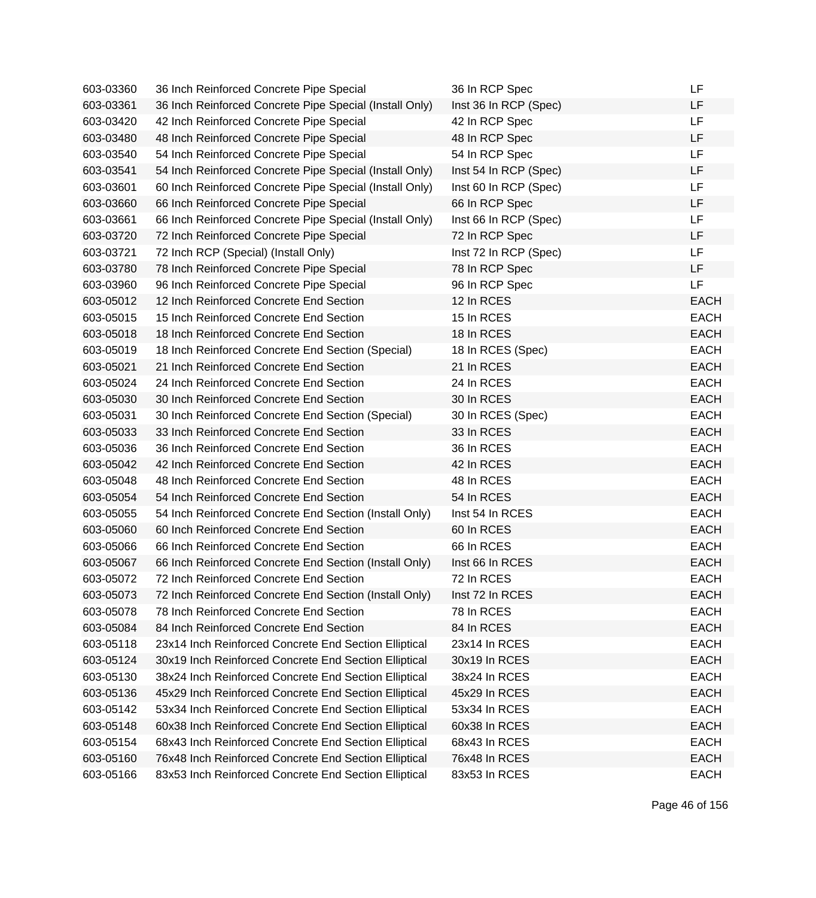| 603-03360 | 36 Inch Reinforced Concrete Pipe Special                | 36 In RCP Spec        | LF          |
|-----------|---------------------------------------------------------|-----------------------|-------------|
| 603-03361 | 36 Inch Reinforced Concrete Pipe Special (Install Only) | Inst 36 In RCP (Spec) | LF          |
| 603-03420 | 42 Inch Reinforced Concrete Pipe Special                | 42 In RCP Spec        | <b>LF</b>   |
| 603-03480 | 48 Inch Reinforced Concrete Pipe Special                | 48 In RCP Spec        | LF          |
| 603-03540 | 54 Inch Reinforced Concrete Pipe Special                | 54 In RCP Spec        | LF          |
| 603-03541 | 54 Inch Reinforced Concrete Pipe Special (Install Only) | Inst 54 In RCP (Spec) | LF          |
| 603-03601 | 60 Inch Reinforced Concrete Pipe Special (Install Only) | Inst 60 In RCP (Spec) | LF          |
| 603-03660 | 66 Inch Reinforced Concrete Pipe Special                | 66 In RCP Spec        | LF          |
| 603-03661 | 66 Inch Reinforced Concrete Pipe Special (Install Only) | Inst 66 In RCP (Spec) | LF          |
| 603-03720 | 72 Inch Reinforced Concrete Pipe Special                | 72 In RCP Spec        | LF          |
| 603-03721 | 72 Inch RCP (Special) (Install Only)                    | Inst 72 In RCP (Spec) | LF.         |
| 603-03780 | 78 Inch Reinforced Concrete Pipe Special                | 78 In RCP Spec        | <b>LF</b>   |
| 603-03960 | 96 Inch Reinforced Concrete Pipe Special                | 96 In RCP Spec        | LF          |
| 603-05012 | 12 Inch Reinforced Concrete End Section                 | 12 In RCES            | <b>EACH</b> |
| 603-05015 | 15 Inch Reinforced Concrete End Section                 | 15 In RCES            | <b>EACH</b> |
| 603-05018 | 18 Inch Reinforced Concrete End Section                 | 18 In RCES            | <b>EACH</b> |
| 603-05019 | 18 Inch Reinforced Concrete End Section (Special)       | 18 In RCES (Spec)     | <b>EACH</b> |
| 603-05021 | 21 Inch Reinforced Concrete End Section                 | 21 In RCES            | <b>EACH</b> |
| 603-05024 | 24 Inch Reinforced Concrete End Section                 | 24 In RCES            | <b>EACH</b> |
| 603-05030 | 30 Inch Reinforced Concrete End Section                 | 30 In RCES            | <b>EACH</b> |
| 603-05031 | 30 Inch Reinforced Concrete End Section (Special)       | 30 In RCES (Spec)     | <b>EACH</b> |
| 603-05033 | 33 Inch Reinforced Concrete End Section                 | 33 In RCES            | <b>EACH</b> |
| 603-05036 | 36 Inch Reinforced Concrete End Section                 | 36 In RCES            | <b>EACH</b> |
| 603-05042 | 42 Inch Reinforced Concrete End Section                 | 42 In RCES            | <b>EACH</b> |
| 603-05048 | 48 Inch Reinforced Concrete End Section                 | 48 In RCES            | <b>EACH</b> |
| 603-05054 | 54 Inch Reinforced Concrete End Section                 | 54 In RCES            | <b>EACH</b> |
| 603-05055 | 54 Inch Reinforced Concrete End Section (Install Only)  | Inst 54 In RCES       | <b>EACH</b> |
| 603-05060 | 60 Inch Reinforced Concrete End Section                 | 60 In RCES            | <b>EACH</b> |
| 603-05066 | 66 Inch Reinforced Concrete End Section                 | 66 In RCES            | <b>EACH</b> |
| 603-05067 | 66 Inch Reinforced Concrete End Section (Install Only)  | Inst 66 In RCES       | <b>EACH</b> |
| 603-05072 | 72 Inch Reinforced Concrete End Section                 | 72 In RCES            | <b>EACH</b> |
| 603-05073 | 72 Inch Reinforced Concrete End Section (Install Only)  | Inst 72 In RCES       | <b>EACH</b> |
| 603-05078 | 78 Inch Reinforced Concrete End Section                 | 78 In RCES            | <b>EACH</b> |
| 603-05084 | 84 Inch Reinforced Concrete End Section                 | 84 In RCES            | <b>EACH</b> |
| 603-05118 | 23x14 Inch Reinforced Concrete End Section Elliptical   | 23x14 In RCES         | <b>EACH</b> |
| 603-05124 | 30x19 Inch Reinforced Concrete End Section Elliptical   | 30x19 In RCES         | <b>EACH</b> |
| 603-05130 | 38x24 Inch Reinforced Concrete End Section Elliptical   | 38x24 In RCES         | <b>EACH</b> |
| 603-05136 | 45x29 Inch Reinforced Concrete End Section Elliptical   | 45x29 In RCES         | <b>EACH</b> |
| 603-05142 | 53x34 Inch Reinforced Concrete End Section Elliptical   | 53x34 In RCES         | <b>EACH</b> |
| 603-05148 | 60x38 Inch Reinforced Concrete End Section Elliptical   | 60x38 In RCES         | <b>EACH</b> |
| 603-05154 | 68x43 Inch Reinforced Concrete End Section Elliptical   | 68x43 In RCES         | <b>EACH</b> |
| 603-05160 | 76x48 Inch Reinforced Concrete End Section Elliptical   | 76x48 In RCES         | <b>EACH</b> |
| 603-05166 | 83x53 Inch Reinforced Concrete End Section Elliptical   | 83x53 In RCES         | <b>EACH</b> |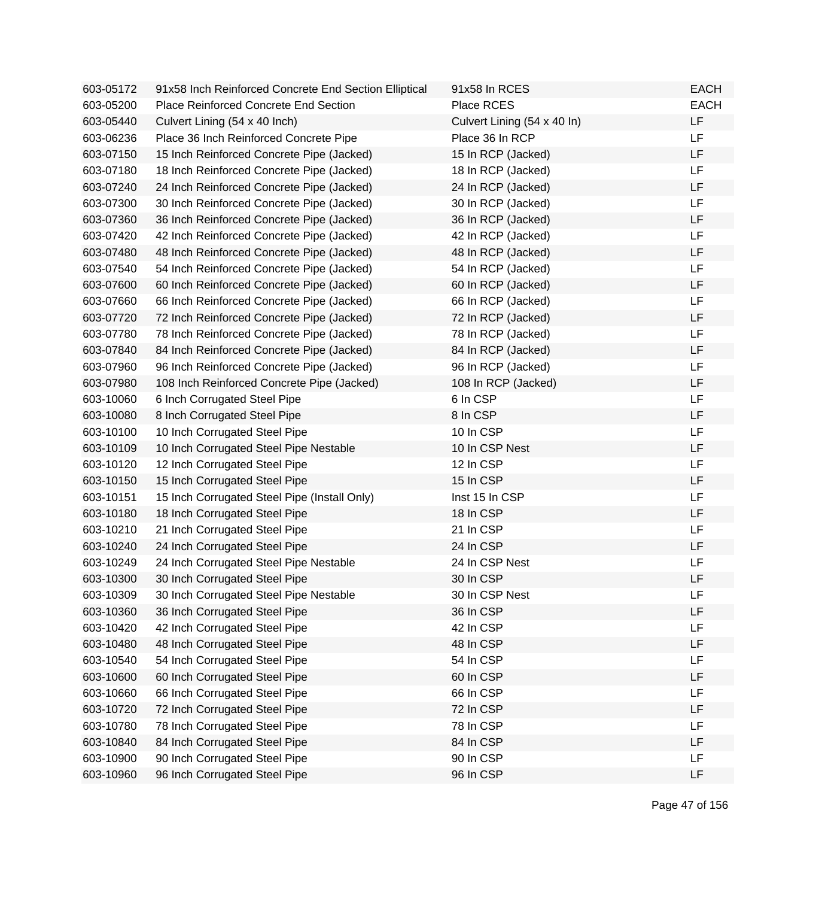| 603-05172 | 91x58 Inch Reinforced Concrete End Section Elliptical | 91x58 In RCES               | <b>EACH</b> |
|-----------|-------------------------------------------------------|-----------------------------|-------------|
| 603-05200 | Place Reinforced Concrete End Section                 | Place RCES                  | <b>EACH</b> |
| 603-05440 | Culvert Lining (54 x 40 Inch)                         | Culvert Lining (54 x 40 ln) | LF          |
| 603-06236 | Place 36 Inch Reinforced Concrete Pipe                | Place 36 In RCP             | LF          |
| 603-07150 | 15 Inch Reinforced Concrete Pipe (Jacked)             | 15 In RCP (Jacked)          | LF          |
| 603-07180 | 18 Inch Reinforced Concrete Pipe (Jacked)             | 18 In RCP (Jacked)          | LF          |
| 603-07240 | 24 Inch Reinforced Concrete Pipe (Jacked)             | 24 In RCP (Jacked)          | LF          |
| 603-07300 | 30 Inch Reinforced Concrete Pipe (Jacked)             | 30 In RCP (Jacked)          | LF          |
| 603-07360 | 36 Inch Reinforced Concrete Pipe (Jacked)             | 36 In RCP (Jacked)          | LF          |
| 603-07420 | 42 Inch Reinforced Concrete Pipe (Jacked)             | 42 In RCP (Jacked)          | LF          |
| 603-07480 | 48 Inch Reinforced Concrete Pipe (Jacked)             | 48 In RCP (Jacked)          | LF          |
| 603-07540 | 54 Inch Reinforced Concrete Pipe (Jacked)             | 54 In RCP (Jacked)          | LF          |
| 603-07600 | 60 Inch Reinforced Concrete Pipe (Jacked)             | 60 In RCP (Jacked)          | LF          |
| 603-07660 | 66 Inch Reinforced Concrete Pipe (Jacked)             | 66 In RCP (Jacked)          | LF          |
| 603-07720 | 72 Inch Reinforced Concrete Pipe (Jacked)             | 72 In RCP (Jacked)          | LF          |
| 603-07780 | 78 Inch Reinforced Concrete Pipe (Jacked)             | 78 In RCP (Jacked)          | LF          |
| 603-07840 | 84 Inch Reinforced Concrete Pipe (Jacked)             | 84 In RCP (Jacked)          | LF          |
| 603-07960 | 96 Inch Reinforced Concrete Pipe (Jacked)             | 96 In RCP (Jacked)          | LF          |
| 603-07980 | 108 Inch Reinforced Concrete Pipe (Jacked)            | 108 In RCP (Jacked)         | LF          |
| 603-10060 | 6 Inch Corrugated Steel Pipe                          | 6 In CSP                    | LF          |
| 603-10080 | 8 Inch Corrugated Steel Pipe                          | 8 In CSP                    | LF          |
| 603-10100 | 10 Inch Corrugated Steel Pipe                         | 10 In CSP                   | LF          |
| 603-10109 | 10 Inch Corrugated Steel Pipe Nestable                | 10 In CSP Nest              | LF          |
| 603-10120 | 12 Inch Corrugated Steel Pipe                         | 12 In CSP                   | LF          |
| 603-10150 | 15 Inch Corrugated Steel Pipe                         | 15 In CSP                   | LF          |
| 603-10151 | 15 Inch Corrugated Steel Pipe (Install Only)          | Inst 15 In CSP              | LF          |
| 603-10180 | 18 Inch Corrugated Steel Pipe                         | 18 In CSP                   | LF          |
| 603-10210 | 21 Inch Corrugated Steel Pipe                         | 21 In CSP                   | LF          |
| 603-10240 | 24 Inch Corrugated Steel Pipe                         | 24 In CSP                   | LF          |
| 603-10249 | 24 Inch Corrugated Steel Pipe Nestable                | 24 In CSP Nest              | LF          |
| 603-10300 | 30 Inch Corrugated Steel Pipe                         | 30 In CSP                   | LF          |
| 603-10309 | 30 Inch Corrugated Steel Pipe Nestable                | 30 In CSP Nest              | LF          |
| 603-10360 | 36 Inch Corrugated Steel Pipe                         | 36 In CSP                   | LF          |
| 603-10420 | 42 Inch Corrugated Steel Pipe                         | 42 In CSP                   | LF          |
| 603-10480 | 48 Inch Corrugated Steel Pipe                         | 48 In CSP                   | LF          |
| 603-10540 | 54 Inch Corrugated Steel Pipe                         | 54 In CSP                   | LF          |
| 603-10600 | 60 Inch Corrugated Steel Pipe                         | 60 In CSP                   | LF          |
| 603-10660 | 66 Inch Corrugated Steel Pipe                         | 66 In CSP                   | LF          |
| 603-10720 | 72 Inch Corrugated Steel Pipe                         | 72 In CSP                   | LF          |
| 603-10780 | 78 Inch Corrugated Steel Pipe                         | 78 In CSP                   | LF          |
| 603-10840 | 84 Inch Corrugated Steel Pipe                         | 84 In CSP                   | LF          |
| 603-10900 | 90 Inch Corrugated Steel Pipe                         | 90 In CSP                   | LF          |
| 603-10960 | 96 Inch Corrugated Steel Pipe                         | 96 In CSP                   | LF          |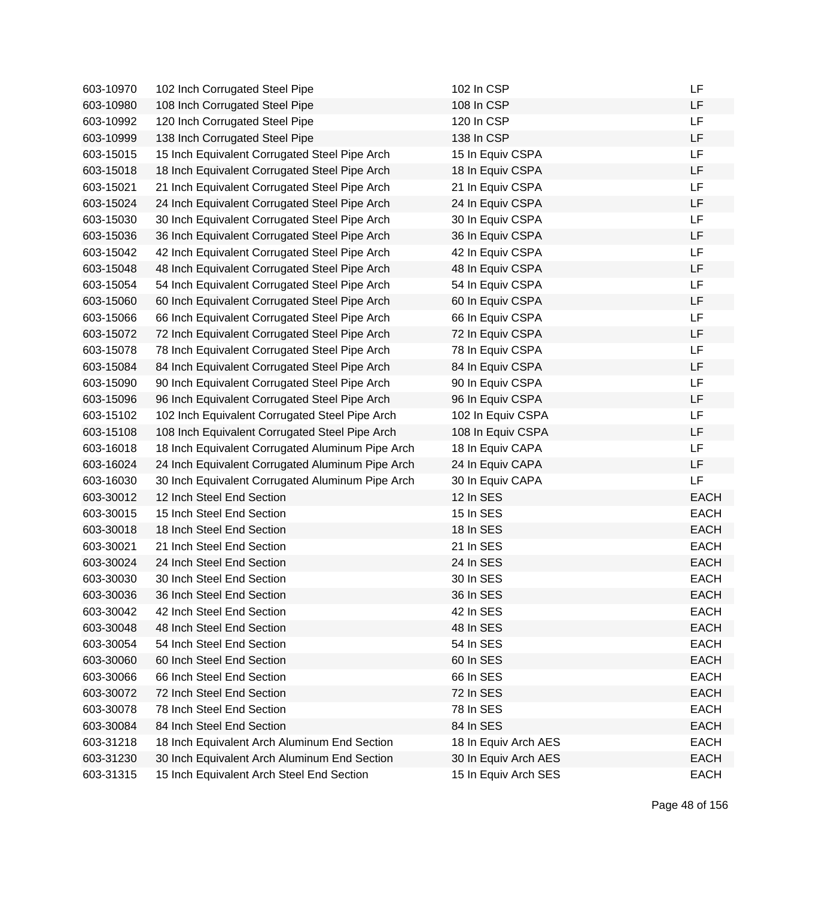| 603-10970 | 102 Inch Corrugated Steel Pipe                   | 102 In CSP           | LF          |
|-----------|--------------------------------------------------|----------------------|-------------|
| 603-10980 | 108 Inch Corrugated Steel Pipe                   | 108 In CSP           | LF          |
| 603-10992 | 120 Inch Corrugated Steel Pipe                   | 120 In CSP           | LF          |
| 603-10999 | 138 Inch Corrugated Steel Pipe                   | 138 In CSP           | LF          |
| 603-15015 | 15 Inch Equivalent Corrugated Steel Pipe Arch    | 15 In Equiv CSPA     | LF          |
| 603-15018 | 18 Inch Equivalent Corrugated Steel Pipe Arch    | 18 In Equiv CSPA     | LF          |
| 603-15021 | 21 Inch Equivalent Corrugated Steel Pipe Arch    | 21 In Equiv CSPA     | LF          |
| 603-15024 | 24 Inch Equivalent Corrugated Steel Pipe Arch    | 24 In Equiv CSPA     | LF          |
| 603-15030 | 30 Inch Equivalent Corrugated Steel Pipe Arch    | 30 In Equiv CSPA     | <b>LF</b>   |
| 603-15036 | 36 Inch Equivalent Corrugated Steel Pipe Arch    | 36 In Equiv CSPA     | LF          |
| 603-15042 | 42 Inch Equivalent Corrugated Steel Pipe Arch    | 42 In Equiv CSPA     | <b>LF</b>   |
| 603-15048 | 48 Inch Equivalent Corrugated Steel Pipe Arch    | 48 In Equiv CSPA     | LF          |
| 603-15054 | 54 Inch Equivalent Corrugated Steel Pipe Arch    | 54 In Equiv CSPA     | LF          |
| 603-15060 | 60 Inch Equivalent Corrugated Steel Pipe Arch    | 60 In Equiv CSPA     | LF          |
| 603-15066 | 66 Inch Equivalent Corrugated Steel Pipe Arch    | 66 In Equiv CSPA     | LF          |
| 603-15072 | 72 Inch Equivalent Corrugated Steel Pipe Arch    | 72 In Equiv CSPA     | LF          |
| 603-15078 | 78 Inch Equivalent Corrugated Steel Pipe Arch    | 78 In Equiv CSPA     | LF          |
| 603-15084 | 84 Inch Equivalent Corrugated Steel Pipe Arch    | 84 In Equiv CSPA     | LF          |
| 603-15090 | 90 Inch Equivalent Corrugated Steel Pipe Arch    | 90 In Equiv CSPA     | <b>LF</b>   |
| 603-15096 | 96 Inch Equivalent Corrugated Steel Pipe Arch    | 96 In Equiv CSPA     | LF          |
| 603-15102 | 102 Inch Equivalent Corrugated Steel Pipe Arch   | 102 In Equiv CSPA    | LF          |
| 603-15108 | 108 Inch Equivalent Corrugated Steel Pipe Arch   | 108 In Equiv CSPA    | LF          |
| 603-16018 | 18 Inch Equivalent Corrugated Aluminum Pipe Arch | 18 In Equiv CAPA     | LF          |
| 603-16024 | 24 Inch Equivalent Corrugated Aluminum Pipe Arch | 24 In Equiv CAPA     | LF          |
| 603-16030 | 30 Inch Equivalent Corrugated Aluminum Pipe Arch | 30 In Equiv CAPA     | LF          |
| 603-30012 | 12 Inch Steel End Section                        | 12 In SES            | <b>EACH</b> |
| 603-30015 | 15 Inch Steel End Section                        | 15 In SES            | <b>EACH</b> |
| 603-30018 | 18 Inch Steel End Section                        | 18 In SES            | <b>EACH</b> |
| 603-30021 | 21 Inch Steel End Section                        | 21 In SES            | <b>EACH</b> |
| 603-30024 | 24 Inch Steel End Section                        | 24 In SES            | <b>EACH</b> |
| 603-30030 | 30 Inch Steel End Section                        | 30 In SES            | <b>EACH</b> |
| 603-30036 | 36 Inch Steel End Section                        | 36 In SES            | <b>EACH</b> |
| 603-30042 | 42 Inch Steel End Section                        | 42 In SES            | <b>EACH</b> |
| 603-30048 | 48 Inch Steel End Section                        | 48 In SES            | <b>EACH</b> |
| 603-30054 | 54 Inch Steel End Section                        | 54 In SES            | <b>EACH</b> |
| 603-30060 | 60 Inch Steel End Section                        | 60 In SES            | <b>EACH</b> |
| 603-30066 | 66 Inch Steel End Section                        | 66 In SES            | <b>EACH</b> |
| 603-30072 | 72 Inch Steel End Section                        | 72 In SES            | <b>EACH</b> |
| 603-30078 | 78 Inch Steel End Section                        | 78 In SES            | <b>EACH</b> |
| 603-30084 | 84 Inch Steel End Section                        | 84 In SES            | <b>EACH</b> |
| 603-31218 | 18 Inch Equivalent Arch Aluminum End Section     | 18 In Equiv Arch AES | <b>EACH</b> |
| 603-31230 | 30 Inch Equivalent Arch Aluminum End Section     | 30 In Equiv Arch AES | <b>EACH</b> |
| 603-31315 | 15 Inch Equivalent Arch Steel End Section        | 15 In Equiv Arch SES | <b>EACH</b> |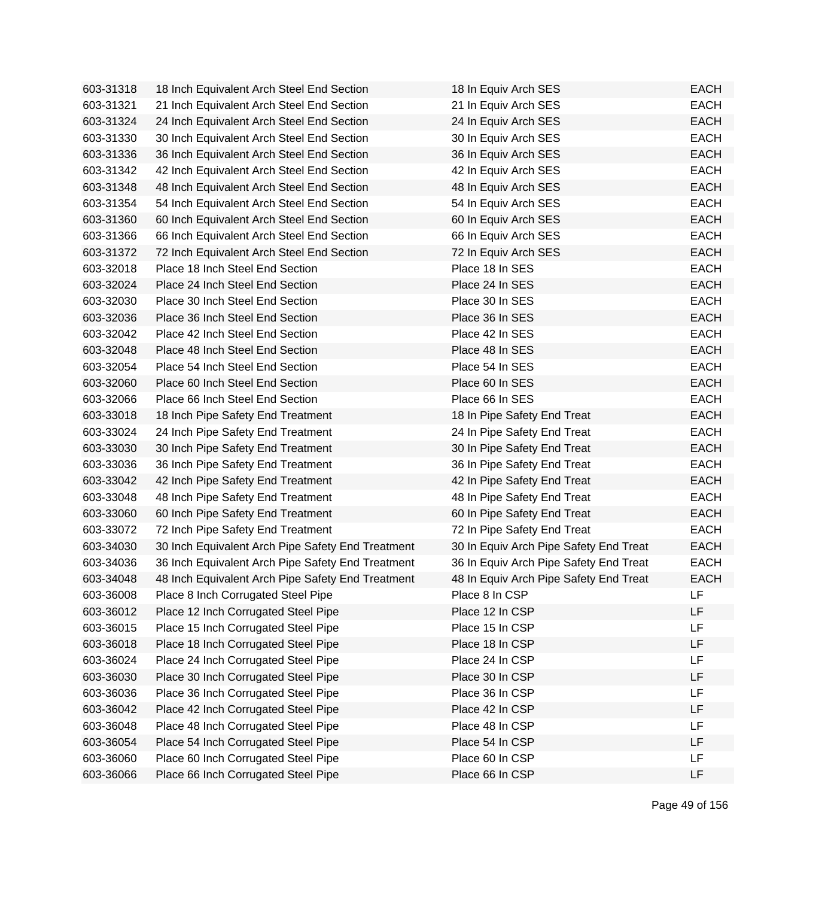| 603-31318 | 18 Inch Equivalent Arch Steel End Section         | 18 In Equiv Arch SES                   | <b>EACH</b> |
|-----------|---------------------------------------------------|----------------------------------------|-------------|
| 603-31321 | 21 Inch Equivalent Arch Steel End Section         | 21 In Equiv Arch SES                   | <b>EACH</b> |
| 603-31324 | 24 Inch Equivalent Arch Steel End Section         | 24 In Equiv Arch SES                   | <b>EACH</b> |
| 603-31330 | 30 Inch Equivalent Arch Steel End Section         | 30 In Equiv Arch SES                   | <b>EACH</b> |
| 603-31336 | 36 Inch Equivalent Arch Steel End Section         | 36 In Equiv Arch SES                   | <b>EACH</b> |
| 603-31342 | 42 Inch Equivalent Arch Steel End Section         | 42 In Equiv Arch SES                   | <b>EACH</b> |
| 603-31348 | 48 Inch Equivalent Arch Steel End Section         | 48 In Equiv Arch SES                   | <b>EACH</b> |
| 603-31354 | 54 Inch Equivalent Arch Steel End Section         | 54 In Equiv Arch SES                   | <b>EACH</b> |
| 603-31360 | 60 Inch Equivalent Arch Steel End Section         | 60 In Equiv Arch SES                   | <b>EACH</b> |
| 603-31366 | 66 Inch Equivalent Arch Steel End Section         | 66 In Equiv Arch SES                   | <b>EACH</b> |
| 603-31372 | 72 Inch Equivalent Arch Steel End Section         | 72 In Equiv Arch SES                   | <b>EACH</b> |
| 603-32018 | Place 18 Inch Steel End Section                   | Place 18 In SES                        | <b>EACH</b> |
| 603-32024 | Place 24 Inch Steel End Section                   | Place 24 In SES                        | <b>EACH</b> |
| 603-32030 | Place 30 Inch Steel End Section                   | Place 30 In SES                        | <b>EACH</b> |
| 603-32036 | Place 36 Inch Steel End Section                   | Place 36 In SES                        | <b>EACH</b> |
| 603-32042 | Place 42 Inch Steel End Section                   | Place 42 In SES                        | <b>EACH</b> |
| 603-32048 | Place 48 Inch Steel End Section                   | Place 48 In SES                        | <b>EACH</b> |
| 603-32054 | Place 54 Inch Steel End Section                   | Place 54 In SES                        | <b>EACH</b> |
| 603-32060 | Place 60 Inch Steel End Section                   | Place 60 In SES                        | <b>EACH</b> |
| 603-32066 | Place 66 Inch Steel End Section                   | Place 66 In SES                        | <b>EACH</b> |
| 603-33018 | 18 Inch Pipe Safety End Treatment                 | 18 In Pipe Safety End Treat            | <b>EACH</b> |
| 603-33024 | 24 Inch Pipe Safety End Treatment                 | 24 In Pipe Safety End Treat            | <b>EACH</b> |
| 603-33030 | 30 Inch Pipe Safety End Treatment                 | 30 In Pipe Safety End Treat            | <b>EACH</b> |
| 603-33036 | 36 Inch Pipe Safety End Treatment                 | 36 In Pipe Safety End Treat            | <b>EACH</b> |
| 603-33042 | 42 Inch Pipe Safety End Treatment                 | 42 In Pipe Safety End Treat            | <b>EACH</b> |
| 603-33048 | 48 Inch Pipe Safety End Treatment                 | 48 In Pipe Safety End Treat            | <b>EACH</b> |
| 603-33060 | 60 Inch Pipe Safety End Treatment                 | 60 In Pipe Safety End Treat            | <b>EACH</b> |
| 603-33072 | 72 Inch Pipe Safety End Treatment                 | 72 In Pipe Safety End Treat            | <b>EACH</b> |
| 603-34030 | 30 Inch Equivalent Arch Pipe Safety End Treatment | 30 In Equiv Arch Pipe Safety End Treat | <b>EACH</b> |
| 603-34036 | 36 Inch Equivalent Arch Pipe Safety End Treatment | 36 In Equiv Arch Pipe Safety End Treat | <b>EACH</b> |
| 603-34048 | 48 Inch Equivalent Arch Pipe Safety End Treatment | 48 In Equiv Arch Pipe Safety End Treat | <b>EACH</b> |
| 603-36008 | Place 8 Inch Corrugated Steel Pipe                | Place 8 In CSP                         | LF          |
| 603-36012 | Place 12 Inch Corrugated Steel Pipe               | Place 12 In CSP                        | LF          |
| 603-36015 | Place 15 Inch Corrugated Steel Pipe               | Place 15 In CSP                        | LF          |
| 603-36018 | Place 18 Inch Corrugated Steel Pipe               | Place 18 In CSP                        | <b>LF</b>   |
| 603-36024 | Place 24 Inch Corrugated Steel Pipe               | Place 24 In CSP                        | <b>LF</b>   |
| 603-36030 | Place 30 Inch Corrugated Steel Pipe               | Place 30 In CSP                        | LF          |
| 603-36036 | Place 36 Inch Corrugated Steel Pipe               | Place 36 In CSP                        | LF          |
| 603-36042 | Place 42 Inch Corrugated Steel Pipe               | Place 42 In CSP                        | LF          |
| 603-36048 | Place 48 Inch Corrugated Steel Pipe               | Place 48 In CSP                        | LF          |
| 603-36054 | Place 54 Inch Corrugated Steel Pipe               | Place 54 In CSP                        | LF          |
| 603-36060 | Place 60 Inch Corrugated Steel Pipe               | Place 60 In CSP                        | LF          |
| 603-36066 | Place 66 Inch Corrugated Steel Pipe               | Place 66 In CSP                        | LF          |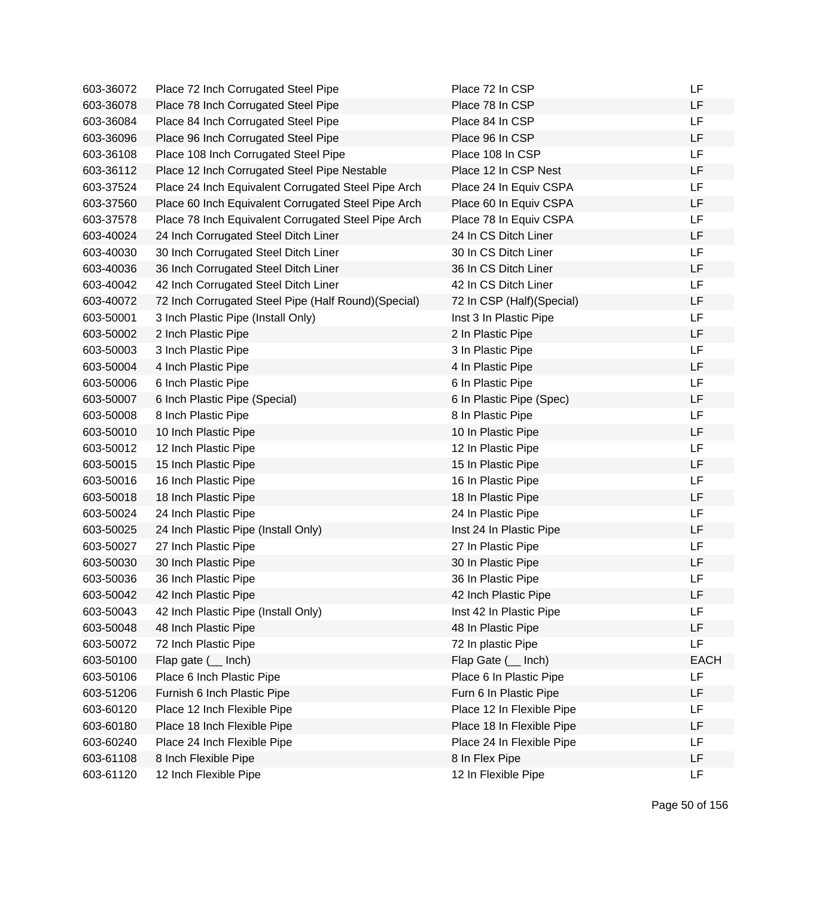| 603-36072 | Place 72 Inch Corrugated Steel Pipe                  | Place 72 In CSP           | LF          |
|-----------|------------------------------------------------------|---------------------------|-------------|
| 603-36078 | Place 78 Inch Corrugated Steel Pipe                  | Place 78 In CSP           | LF          |
| 603-36084 | Place 84 Inch Corrugated Steel Pipe                  | Place 84 In CSP           | <b>LF</b>   |
| 603-36096 | Place 96 Inch Corrugated Steel Pipe                  | Place 96 In CSP           | LF          |
| 603-36108 | Place 108 Inch Corrugated Steel Pipe                 | Place 108 In CSP          | LF          |
| 603-36112 | Place 12 Inch Corrugated Steel Pipe Nestable         | Place 12 In CSP Nest      | LF          |
| 603-37524 | Place 24 Inch Equivalent Corrugated Steel Pipe Arch  | Place 24 In Equiv CSPA    | <b>LF</b>   |
| 603-37560 | Place 60 Inch Equivalent Corrugated Steel Pipe Arch  | Place 60 In Equiv CSPA    | LF          |
| 603-37578 | Place 78 Inch Equivalent Corrugated Steel Pipe Arch  | Place 78 In Equiv CSPA    | LF          |
| 603-40024 | 24 Inch Corrugated Steel Ditch Liner                 | 24 In CS Ditch Liner      | LF          |
| 603-40030 | 30 Inch Corrugated Steel Ditch Liner                 | 30 In CS Ditch Liner      | <b>LF</b>   |
| 603-40036 | 36 Inch Corrugated Steel Ditch Liner                 | 36 In CS Ditch Liner      | LF          |
| 603-40042 | 42 Inch Corrugated Steel Ditch Liner                 | 42 In CS Ditch Liner      | LF          |
| 603-40072 | 72 Inch Corrugated Steel Pipe (Half Round) (Special) | 72 In CSP (Half)(Special) | LF          |
| 603-50001 | 3 Inch Plastic Pipe (Install Only)                   | Inst 3 In Plastic Pipe    | LF          |
| 603-50002 | 2 Inch Plastic Pipe                                  | 2 In Plastic Pipe         | LF          |
| 603-50003 | 3 Inch Plastic Pipe                                  | 3 In Plastic Pipe         | <b>LF</b>   |
| 603-50004 | 4 Inch Plastic Pipe                                  | 4 In Plastic Pipe         | LF          |
| 603-50006 | 6 Inch Plastic Pipe                                  | 6 In Plastic Pipe         | LF          |
| 603-50007 | 6 Inch Plastic Pipe (Special)                        | 6 In Plastic Pipe (Spec)  | LF          |
| 603-50008 | 8 Inch Plastic Pipe                                  | 8 In Plastic Pipe         | <b>LF</b>   |
| 603-50010 | 10 Inch Plastic Pipe                                 | 10 In Plastic Pipe        | LF          |
| 603-50012 | 12 Inch Plastic Pipe                                 | 12 In Plastic Pipe        | LF          |
| 603-50015 | 15 Inch Plastic Pipe                                 | 15 In Plastic Pipe        | LF          |
| 603-50016 | 16 Inch Plastic Pipe                                 | 16 In Plastic Pipe        | LF          |
| 603-50018 | 18 Inch Plastic Pipe                                 | 18 In Plastic Pipe        | LF          |
| 603-50024 | 24 Inch Plastic Pipe                                 | 24 In Plastic Pipe        | LF          |
| 603-50025 | 24 Inch Plastic Pipe (Install Only)                  | Inst 24 In Plastic Pipe   | LF          |
| 603-50027 | 27 Inch Plastic Pipe                                 | 27 In Plastic Pipe        | LF          |
| 603-50030 | 30 Inch Plastic Pipe                                 | 30 In Plastic Pipe        | LF          |
| 603-50036 | 36 Inch Plastic Pipe                                 | 36 In Plastic Pipe        | LF          |
| 603-50042 | 42 Inch Plastic Pipe                                 | 42 Inch Plastic Pipe      | LF          |
| 603-50043 | 42 Inch Plastic Pipe (Install Only)                  | Inst 42 In Plastic Pipe   | LF          |
| 603-50048 | 48 Inch Plastic Pipe                                 | 48 In Plastic Pipe        | LF          |
| 603-50072 | 72 Inch Plastic Pipe                                 | 72 In plastic Pipe        | <b>LF</b>   |
| 603-50100 | Flap gate $($ Inch)                                  | Flap Gate ( __ Inch)      | <b>EACH</b> |
| 603-50106 | Place 6 Inch Plastic Pipe                            | Place 6 In Plastic Pipe   | LF          |
| 603-51206 | Furnish 6 Inch Plastic Pipe                          | Furn 6 In Plastic Pipe    | LF          |
| 603-60120 | Place 12 Inch Flexible Pipe                          | Place 12 In Flexible Pipe | LF          |
| 603-60180 | Place 18 Inch Flexible Pipe                          | Place 18 In Flexible Pipe | LF          |
| 603-60240 | Place 24 Inch Flexible Pipe                          | Place 24 In Flexible Pipe | LF          |
| 603-61108 | 8 Inch Flexible Pipe                                 | 8 In Flex Pipe            | LF          |
| 603-61120 | 12 Inch Flexible Pipe                                | 12 In Flexible Pipe       | <b>LF</b>   |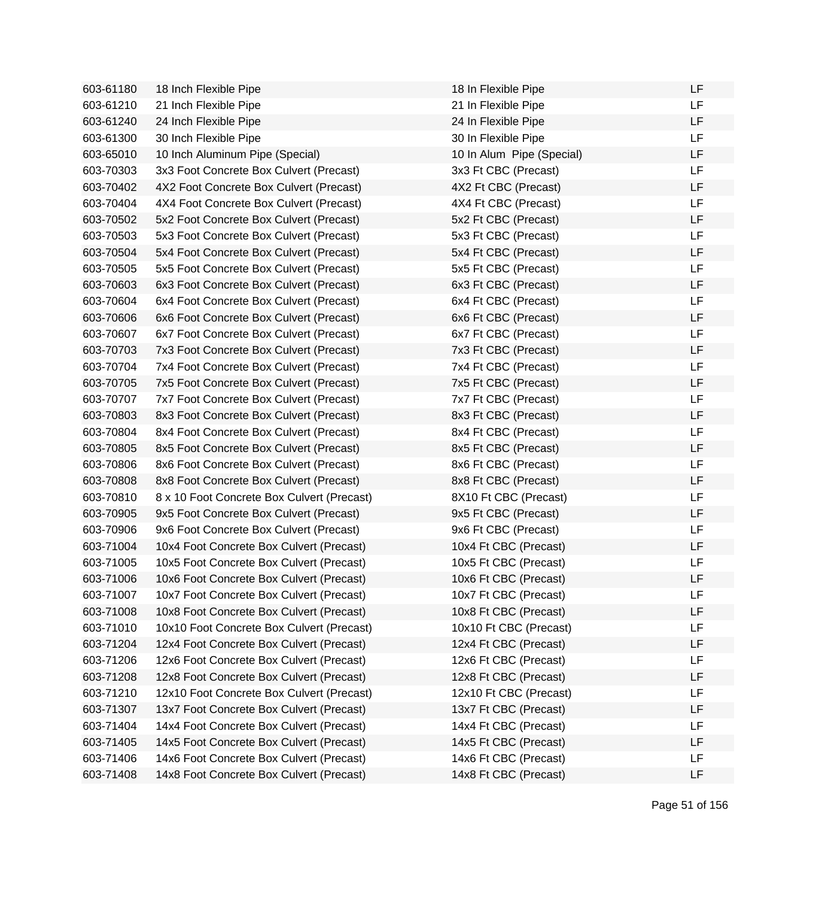| 603-61180 | 18 Inch Flexible Pipe                      | 18 In Flexible Pipe       | LF        |
|-----------|--------------------------------------------|---------------------------|-----------|
| 603-61210 | 21 Inch Flexible Pipe                      | 21 In Flexible Pipe       | LF        |
| 603-61240 | 24 Inch Flexible Pipe                      | 24 In Flexible Pipe       | <b>LF</b> |
| 603-61300 | 30 Inch Flexible Pipe                      | 30 In Flexible Pipe       | <b>LF</b> |
| 603-65010 | 10 Inch Aluminum Pipe (Special)            | 10 In Alum Pipe (Special) | LF        |
| 603-70303 | 3x3 Foot Concrete Box Culvert (Precast)    | 3x3 Ft CBC (Precast)      | <b>LF</b> |
| 603-70402 | 4X2 Foot Concrete Box Culvert (Precast)    | 4X2 Ft CBC (Precast)      | LF        |
| 603-70404 | 4X4 Foot Concrete Box Culvert (Precast)    | 4X4 Ft CBC (Precast)      | LF        |
| 603-70502 | 5x2 Foot Concrete Box Culvert (Precast)    | 5x2 Ft CBC (Precast)      | LF        |
| 603-70503 | 5x3 Foot Concrete Box Culvert (Precast)    | 5x3 Ft CBC (Precast)      | <b>LF</b> |
| 603-70504 | 5x4 Foot Concrete Box Culvert (Precast)    | 5x4 Ft CBC (Precast)      | <b>LF</b> |
| 603-70505 | 5x5 Foot Concrete Box Culvert (Precast)    | 5x5 Ft CBC (Precast)      | <b>LF</b> |
| 603-70603 | 6x3 Foot Concrete Box Culvert (Precast)    | 6x3 Ft CBC (Precast)      | <b>LF</b> |
| 603-70604 | 6x4 Foot Concrete Box Culvert (Precast)    | 6x4 Ft CBC (Precast)      | <b>LF</b> |
| 603-70606 | 6x6 Foot Concrete Box Culvert (Precast)    | 6x6 Ft CBC (Precast)      | <b>LF</b> |
| 603-70607 | 6x7 Foot Concrete Box Culvert (Precast)    | 6x7 Ft CBC (Precast)      | LF        |
| 603-70703 | 7x3 Foot Concrete Box Culvert (Precast)    | 7x3 Ft CBC (Precast)      | LF        |
| 603-70704 | 7x4 Foot Concrete Box Culvert (Precast)    | 7x4 Ft CBC (Precast)      | LF        |
| 603-70705 | 7x5 Foot Concrete Box Culvert (Precast)    | 7x5 Ft CBC (Precast)      | LF        |
| 603-70707 | 7x7 Foot Concrete Box Culvert (Precast)    | 7x7 Ft CBC (Precast)      | <b>LF</b> |
| 603-70803 | 8x3 Foot Concrete Box Culvert (Precast)    | 8x3 Ft CBC (Precast)      | <b>LF</b> |
| 603-70804 | 8x4 Foot Concrete Box Culvert (Precast)    | 8x4 Ft CBC (Precast)      | <b>LF</b> |
| 603-70805 | 8x5 Foot Concrete Box Culvert (Precast)    | 8x5 Ft CBC (Precast)      | <b>LF</b> |
| 603-70806 | 8x6 Foot Concrete Box Culvert (Precast)    | 8x6 Ft CBC (Precast)      | LF        |
| 603-70808 | 8x8 Foot Concrete Box Culvert (Precast)    | 8x8 Ft CBC (Precast)      | LF        |
| 603-70810 | 8 x 10 Foot Concrete Box Culvert (Precast) | 8X10 Ft CBC (Precast)     | <b>LF</b> |
| 603-70905 | 9x5 Foot Concrete Box Culvert (Precast)    | 9x5 Ft CBC (Precast)      | LF        |
| 603-70906 | 9x6 Foot Concrete Box Culvert (Precast)    | 9x6 Ft CBC (Precast)      | <b>LF</b> |
| 603-71004 | 10x4 Foot Concrete Box Culvert (Precast)   | 10x4 Ft CBC (Precast)     | LF        |
| 603-71005 | 10x5 Foot Concrete Box Culvert (Precast)   | 10x5 Ft CBC (Precast)     | LF        |
| 603-71006 | 10x6 Foot Concrete Box Culvert (Precast)   | 10x6 Ft CBC (Precast)     | LF        |
| 603-71007 | 10x7 Foot Concrete Box Culvert (Precast)   | 10x7 Ft CBC (Precast)     | LF        |
| 603-71008 | 10x8 Foot Concrete Box Culvert (Precast)   | 10x8 Ft CBC (Precast)     | LF        |
| 603-71010 | 10x10 Foot Concrete Box Culvert (Precast)  | 10x10 Ft CBC (Precast)    | LF        |
| 603-71204 | 12x4 Foot Concrete Box Culvert (Precast)   | 12x4 Ft CBC (Precast)     | LF        |
| 603-71206 | 12x6 Foot Concrete Box Culvert (Precast)   | 12x6 Ft CBC (Precast)     | LF        |
| 603-71208 | 12x8 Foot Concrete Box Culvert (Precast)   | 12x8 Ft CBC (Precast)     | LF        |
| 603-71210 | 12x10 Foot Concrete Box Culvert (Precast)  | 12x10 Ft CBC (Precast)    | LF        |
| 603-71307 | 13x7 Foot Concrete Box Culvert (Precast)   | 13x7 Ft CBC (Precast)     | LF        |
| 603-71404 | 14x4 Foot Concrete Box Culvert (Precast)   | 14x4 Ft CBC (Precast)     | LF        |
| 603-71405 | 14x5 Foot Concrete Box Culvert (Precast)   | 14x5 Ft CBC (Precast)     | LF        |
| 603-71406 | 14x6 Foot Concrete Box Culvert (Precast)   | 14x6 Ft CBC (Precast)     | LF        |
| 603-71408 | 14x8 Foot Concrete Box Culvert (Precast)   | 14x8 Ft CBC (Precast)     | LF        |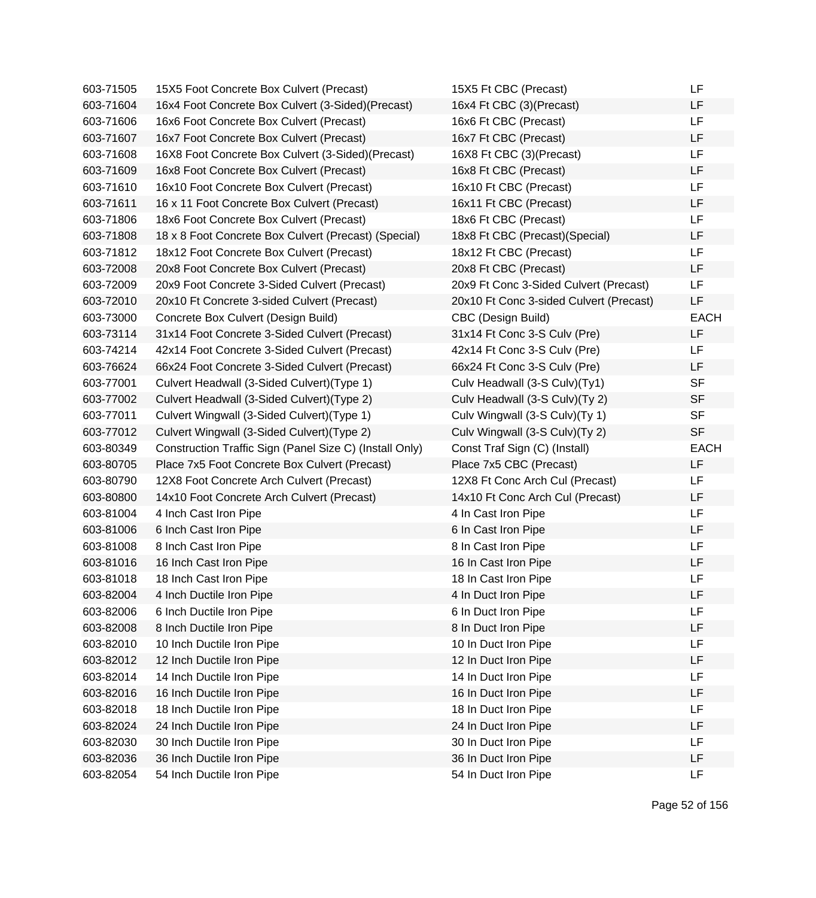| 603-71505 | 15X5 Foot Concrete Box Culvert (Precast)                | 15X5 Ft CBC (Precast)                   | LF          |
|-----------|---------------------------------------------------------|-----------------------------------------|-------------|
| 603-71604 | 16x4 Foot Concrete Box Culvert (3-Sided)(Precast)       | 16x4 Ft CBC (3)(Precast)                | LF          |
| 603-71606 | 16x6 Foot Concrete Box Culvert (Precast)                | 16x6 Ft CBC (Precast)                   | LF          |
| 603-71607 | 16x7 Foot Concrete Box Culvert (Precast)                | 16x7 Ft CBC (Precast)                   | LF          |
| 603-71608 | 16X8 Foot Concrete Box Culvert (3-Sided)(Precast)       | 16X8 Ft CBC (3)(Precast)                | <b>LF</b>   |
| 603-71609 | 16x8 Foot Concrete Box Culvert (Precast)                | 16x8 Ft CBC (Precast)                   | LF          |
| 603-71610 | 16x10 Foot Concrete Box Culvert (Precast)               | 16x10 Ft CBC (Precast)                  | <b>LF</b>   |
| 603-71611 | 16 x 11 Foot Concrete Box Culvert (Precast)             | 16x11 Ft CBC (Precast)                  | <b>LF</b>   |
| 603-71806 | 18x6 Foot Concrete Box Culvert (Precast)                | 18x6 Ft CBC (Precast)                   | LF          |
| 603-71808 | 18 x 8 Foot Concrete Box Culvert (Precast) (Special)    | 18x8 Ft CBC (Precast)(Special)          | <b>LF</b>   |
| 603-71812 | 18x12 Foot Concrete Box Culvert (Precast)               | 18x12 Ft CBC (Precast)                  | <b>LF</b>   |
| 603-72008 | 20x8 Foot Concrete Box Culvert (Precast)                | 20x8 Ft CBC (Precast)                   | LF          |
| 603-72009 | 20x9 Foot Concrete 3-Sided Culvert (Precast)            | 20x9 Ft Conc 3-Sided Culvert (Precast)  | <b>LF</b>   |
| 603-72010 | 20x10 Ft Concrete 3-sided Culvert (Precast)             | 20x10 Ft Conc 3-sided Culvert (Precast) | LF          |
| 603-73000 | Concrete Box Culvert (Design Build)                     | CBC (Design Build)                      | <b>EACH</b> |
| 603-73114 | 31x14 Foot Concrete 3-Sided Culvert (Precast)           | 31x14 Ft Conc 3-S Culv (Pre)            | <b>LF</b>   |
| 603-74214 | 42x14 Foot Concrete 3-Sided Culvert (Precast)           | 42x14 Ft Conc 3-S Culv (Pre)            | LF          |
| 603-76624 | 66x24 Foot Concrete 3-Sided Culvert (Precast)           | 66x24 Ft Conc 3-S Culv (Pre)            | <b>LF</b>   |
| 603-77001 | Culvert Headwall (3-Sided Culvert) (Type 1)             | Culv Headwall (3-S Culv)(Ty1)           | <b>SF</b>   |
| 603-77002 | Culvert Headwall (3-Sided Culvert) (Type 2)             | Culv Headwall (3-S Culv)(Ty 2)          | <b>SF</b>   |
| 603-77011 | Culvert Wingwall (3-Sided Culvert) (Type 1)             | Culv Wingwall (3-S Culv)(Ty 1)          | <b>SF</b>   |
| 603-77012 | Culvert Wingwall (3-Sided Culvert) (Type 2)             | Culv Wingwall (3-S Culv)(Ty 2)          | <b>SF</b>   |
| 603-80349 | Construction Traffic Sign (Panel Size C) (Install Only) | Const Traf Sign (C) (Install)           | <b>EACH</b> |
| 603-80705 | Place 7x5 Foot Concrete Box Culvert (Precast)           | Place 7x5 CBC (Precast)                 | LF          |
| 603-80790 | 12X8 Foot Concrete Arch Culvert (Precast)               | 12X8 Ft Conc Arch Cul (Precast)         | LF          |
| 603-80800 | 14x10 Foot Concrete Arch Culvert (Precast)              | 14x10 Ft Conc Arch Cul (Precast)        | LF          |
| 603-81004 | 4 Inch Cast Iron Pipe                                   | 4 In Cast Iron Pipe                     | <b>LF</b>   |
| 603-81006 | 6 Inch Cast Iron Pipe                                   | 6 In Cast Iron Pipe                     | <b>LF</b>   |
| 603-81008 | 8 Inch Cast Iron Pipe                                   | 8 In Cast Iron Pipe                     | LF          |
| 603-81016 | 16 Inch Cast Iron Pipe                                  | 16 In Cast Iron Pipe                    | LF          |
| 603-81018 | 18 Inch Cast Iron Pipe                                  | 18 In Cast Iron Pipe                    | <b>LF</b>   |
| 603-82004 | 4 Inch Ductile Iron Pipe                                | 4 In Duct Iron Pipe                     | LF          |
| 603-82006 | 6 Inch Ductile Iron Pipe                                | 6 In Duct Iron Pipe                     | LF          |
| 603-82008 | 8 Inch Ductile Iron Pipe                                | 8 In Duct Iron Pipe                     | LF          |
| 603-82010 | 10 Inch Ductile Iron Pipe                               | 10 In Duct Iron Pipe                    | LF          |
| 603-82012 | 12 Inch Ductile Iron Pipe                               | 12 In Duct Iron Pipe                    | LF          |
| 603-82014 | 14 Inch Ductile Iron Pipe                               | 14 In Duct Iron Pipe                    | LF          |
| 603-82016 | 16 Inch Ductile Iron Pipe                               | 16 In Duct Iron Pipe                    | LF          |
| 603-82018 | 18 Inch Ductile Iron Pipe                               | 18 In Duct Iron Pipe                    | LF          |
| 603-82024 | 24 Inch Ductile Iron Pipe                               | 24 In Duct Iron Pipe                    | LF          |
| 603-82030 | 30 Inch Ductile Iron Pipe                               | 30 In Duct Iron Pipe                    | LF          |
| 603-82036 | 36 Inch Ductile Iron Pipe                               | 36 In Duct Iron Pipe                    | LF          |
| 603-82054 | 54 Inch Ductile Iron Pipe                               | 54 In Duct Iron Pipe                    | LF          |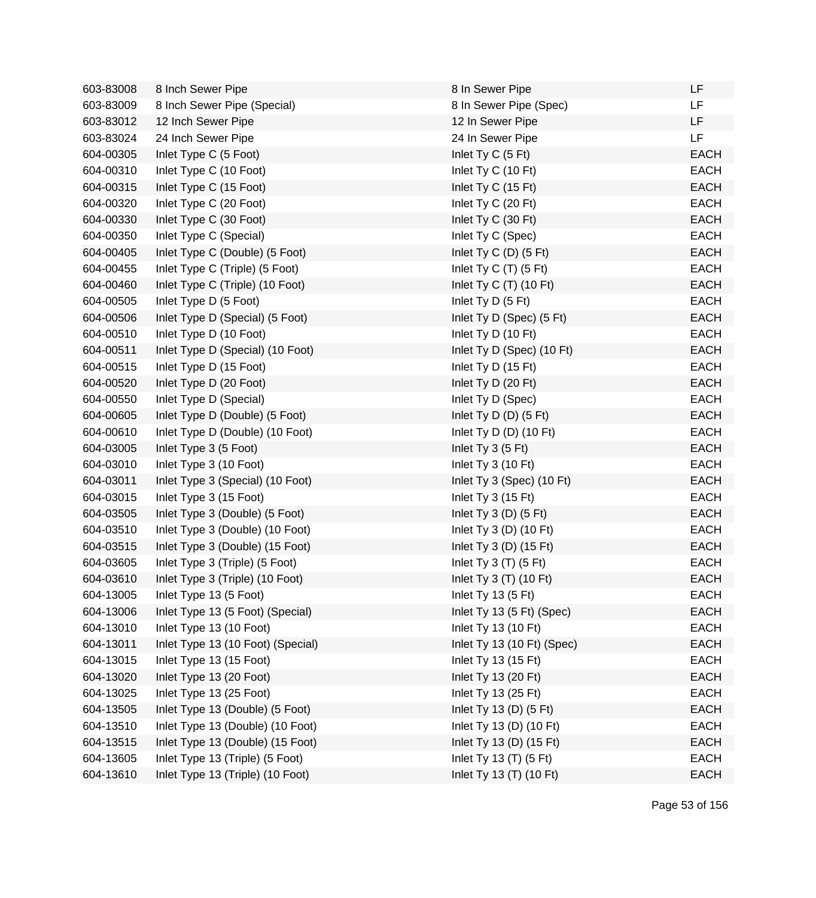| 603-83008 | 8 Inch Sewer Pipe                 | 8 In Sewer Pipe                   | LF          |
|-----------|-----------------------------------|-----------------------------------|-------------|
| 603-83009 | 8 Inch Sewer Pipe (Special)       | 8 In Sewer Pipe (Spec)            | LF          |
| 603-83012 | 12 Inch Sewer Pipe                | 12 In Sewer Pipe                  | LF          |
| 603-83024 | 24 Inch Sewer Pipe                | 24 In Sewer Pipe                  | LF          |
| 604-00305 | Inlet Type C (5 Foot)             | Inlet Ty C (5 Ft)                 | <b>EACH</b> |
| 604-00310 | Inlet Type C (10 Foot)            | Inlet Ty C (10 Ft)                | <b>EACH</b> |
| 604-00315 | Inlet Type C (15 Foot)            | Inlet Ty C (15 Ft)                | <b>EACH</b> |
| 604-00320 | Inlet Type C (20 Foot)            | Inlet Ty C (20 Ft)                | <b>EACH</b> |
| 604-00330 | Inlet Type C (30 Foot)            | Inlet Ty C (30 Ft)                | <b>EACH</b> |
| 604-00350 | Inlet Type C (Special)            | Inlet Ty C (Spec)                 | <b>EACH</b> |
| 604-00405 | Inlet Type C (Double) (5 Foot)    | Inlet Ty C $(D)$ $(5 \text{ Ft})$ | <b>EACH</b> |
| 604-00455 | Inlet Type C (Triple) (5 Foot)    | Inlet Ty C (T) (5 Ft)             | <b>EACH</b> |
| 604-00460 | Inlet Type C (Triple) (10 Foot)   | Inlet Ty C $(T)$ (10 Ft)          | <b>EACH</b> |
| 604-00505 | Inlet Type D (5 Foot)             | Inlet Ty D (5 Ft)                 | <b>EACH</b> |
| 604-00506 | Inlet Type D (Special) (5 Foot)   | Inlet Ty D (Spec) (5 Ft)          | <b>EACH</b> |
| 604-00510 | Inlet Type D (10 Foot)            | Inlet Ty D (10 Ft)                | <b>EACH</b> |
| 604-00511 | Inlet Type D (Special) (10 Foot)  | Inlet Ty D (Spec) (10 Ft)         | <b>EACH</b> |
| 604-00515 | Inlet Type D (15 Foot)            | Inlet Ty D (15 Ft)                | <b>EACH</b> |
| 604-00520 | Inlet Type D (20 Foot)            | Inlet Ty D (20 Ft)                | <b>EACH</b> |
| 604-00550 | Inlet Type D (Special)            | Inlet Ty D (Spec)                 | <b>EACH</b> |
| 604-00605 | Inlet Type D (Double) (5 Foot)    | Inlet $Ty D(D)$ (5 Ft)            | <b>EACH</b> |
| 604-00610 | Inlet Type D (Double) (10 Foot)   | Inlet Ty D $(D)$ (10 Ft)          | <b>EACH</b> |
| 604-03005 | Inlet Type 3 (5 Foot)             | Inlet Ty $3(5 \text{ Ft})$        | <b>EACH</b> |
| 604-03010 | Inlet Type 3 (10 Foot)            | Inlet Ty $3(10 \text{ Ft})$       | <b>EACH</b> |
| 604-03011 | Inlet Type 3 (Special) (10 Foot)  | Inlet Ty 3 (Spec) (10 Ft)         | <b>EACH</b> |
| 604-03015 | Inlet Type 3 (15 Foot)            | Inlet Ty 3 (15 Ft)                | <b>EACH</b> |
| 604-03505 | Inlet Type 3 (Double) (5 Foot)    | Inlet Ty $3(D)$ (5 Ft)            | <b>EACH</b> |
| 604-03510 | Inlet Type 3 (Double) (10 Foot)   | Inlet Ty $3(D)$ (10 Ft)           | <b>EACH</b> |
| 604-03515 | Inlet Type 3 (Double) (15 Foot)   | Inlet Ty 3 (D) $(15 \text{ Ft})$  | <b>EACH</b> |
| 604-03605 | Inlet Type 3 (Triple) (5 Foot)    | Inlet Ty $3$ (T) $(5$ Ft)         | <b>EACH</b> |
| 604-03610 | Inlet Type 3 (Triple) (10 Foot)   | Inlet Ty $3(T)$ (10 Ft)           | <b>EACH</b> |
| 604-13005 | Inlet Type 13 (5 Foot)            | Inlet Ty 13 $(5 \text{ Ft})$      | EACH        |
| 604-13006 | Inlet Type 13 (5 Foot) (Special)  | Inlet Ty 13 (5 Ft) (Spec)         | <b>EACH</b> |
| 604-13010 | Inlet Type 13 (10 Foot)           | Inlet Ty 13 (10 Ft)               | <b>EACH</b> |
| 604-13011 | Inlet Type 13 (10 Foot) (Special) | Inlet Ty 13 (10 Ft) (Spec)        | <b>EACH</b> |
| 604-13015 | Inlet Type 13 (15 Foot)           | Inlet Ty 13 (15 Ft)               | <b>EACH</b> |
| 604-13020 | Inlet Type 13 (20 Foot)           | Inlet Ty 13 (20 Ft)               | <b>EACH</b> |
| 604-13025 | Inlet Type 13 (25 Foot)           | Inlet Ty 13 (25 Ft)               | <b>EACH</b> |
| 604-13505 | Inlet Type 13 (Double) (5 Foot)   | Inlet Ty 13 (D) (5 Ft)            | <b>EACH</b> |
| 604-13510 | Inlet Type 13 (Double) (10 Foot)  | Inlet Ty 13 (D) (10 Ft)           | <b>EACH</b> |
| 604-13515 | Inlet Type 13 (Double) (15 Foot)  | Inlet Ty 13 (D) (15 Ft)           | <b>EACH</b> |
| 604-13605 | Inlet Type 13 (Triple) (5 Foot)   | Inlet Ty 13 (T) (5 Ft)            | <b>EACH</b> |
| 604-13610 | Inlet Type 13 (Triple) (10 Foot)  | Inlet Ty 13 (T) (10 Ft)           | <b>EACH</b> |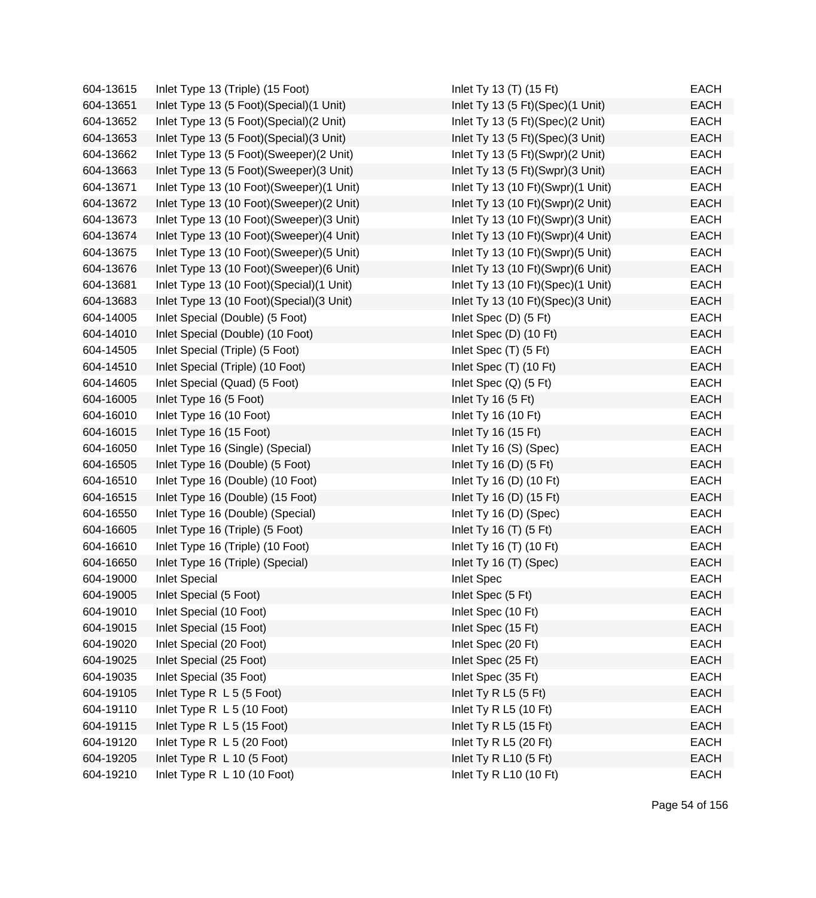| 604-13615 | Inlet Type 13 (Triple) (15 Foot)           | Inlet Ty 13 (T) (15 Ft)           | <b>EACH</b> |
|-----------|--------------------------------------------|-----------------------------------|-------------|
| 604-13651 | Inlet Type 13 (5 Foot) (Special) (1 Unit)  | Inlet Ty 13 (5 Ft)(Spec)(1 Unit)  | <b>EACH</b> |
| 604-13652 | Inlet Type 13 (5 Foot)(Special)(2 Unit)    | Inlet Ty 13 (5 Ft)(Spec)(2 Unit)  | <b>EACH</b> |
| 604-13653 | Inlet Type 13 (5 Foot) (Special) (3 Unit)  | Inlet Ty 13 (5 Ft)(Spec)(3 Unit)  | <b>EACH</b> |
| 604-13662 | Inlet Type 13 (5 Foot)(Sweeper)(2 Unit)    | Inlet Ty 13 (5 Ft)(Swpr)(2 Unit)  | <b>EACH</b> |
| 604-13663 | Inlet Type 13 (5 Foot) (Sweeper) (3 Unit)  | Inlet Ty 13 (5 Ft)(Swpr)(3 Unit)  | <b>EACH</b> |
| 604-13671 | Inlet Type 13 (10 Foot)(Sweeper)(1 Unit)   | Inlet Ty 13 (10 Ft)(Swpr)(1 Unit) | <b>EACH</b> |
| 604-13672 | Inlet Type 13 (10 Foot)(Sweeper)(2 Unit)   | Inlet Ty 13 (10 Ft)(Swpr)(2 Unit) | <b>EACH</b> |
| 604-13673 | Inlet Type 13 (10 Foot)(Sweeper)(3 Unit)   | Inlet Ty 13 (10 Ft)(Swpr)(3 Unit) | <b>EACH</b> |
| 604-13674 | Inlet Type 13 (10 Foot)(Sweeper)(4 Unit)   | Inlet Ty 13 (10 Ft)(Swpr)(4 Unit) | <b>EACH</b> |
| 604-13675 | Inlet Type 13 (10 Foot)(Sweeper)(5 Unit)   | Inlet Ty 13 (10 Ft)(Swpr)(5 Unit) | <b>EACH</b> |
| 604-13676 | Inlet Type 13 (10 Foot)(Sweeper)(6 Unit)   | Inlet Ty 13 (10 Ft)(Swpr)(6 Unit) | <b>EACH</b> |
| 604-13681 | Inlet Type 13 (10 Foot)(Special)(1 Unit)   | Inlet Ty 13 (10 Ft)(Spec)(1 Unit) | <b>EACH</b> |
| 604-13683 | Inlet Type 13 (10 Foot) (Special) (3 Unit) | Inlet Ty 13 (10 Ft)(Spec)(3 Unit) | <b>EACH</b> |
| 604-14005 | Inlet Special (Double) (5 Foot)            | Inlet Spec (D) (5 Ft)             | <b>EACH</b> |
| 604-14010 | Inlet Special (Double) (10 Foot)           | Inlet Spec (D) (10 Ft)            | <b>EACH</b> |
| 604-14505 | Inlet Special (Triple) (5 Foot)            | Inlet Spec (T) (5 Ft)             | <b>EACH</b> |
| 604-14510 | Inlet Special (Triple) (10 Foot)           | Inlet Spec (T) (10 Ft)            | <b>EACH</b> |
| 604-14605 | Inlet Special (Quad) (5 Foot)              | Inlet Spec $(Q)$ (5 Ft)           | <b>EACH</b> |
| 604-16005 | Inlet Type 16 (5 Foot)                     | Inlet Ty 16 (5 Ft)                | <b>EACH</b> |
| 604-16010 | Inlet Type 16 (10 Foot)                    | Inlet Ty 16 (10 Ft)               | <b>EACH</b> |
| 604-16015 | Inlet Type 16 (15 Foot)                    | Inlet Ty 16 (15 Ft)               | <b>EACH</b> |
| 604-16050 | Inlet Type 16 (Single) (Special)           | Inlet Ty 16 (S) (Spec)            | <b>EACH</b> |
| 604-16505 | Inlet Type 16 (Double) (5 Foot)            | Inlet Ty 16 (D) $(5 \text{ Ft})$  | <b>EACH</b> |
| 604-16510 | Inlet Type 16 (Double) (10 Foot)           | Inlet Ty 16 (D) (10 Ft)           | <b>EACH</b> |
| 604-16515 | Inlet Type 16 (Double) (15 Foot)           | Inlet Ty 16 (D) (15 Ft)           | <b>EACH</b> |
| 604-16550 | Inlet Type 16 (Double) (Special)           | Inlet Ty 16 (D) (Spec)            | <b>EACH</b> |
| 604-16605 | Inlet Type 16 (Triple) (5 Foot)            | Inlet Ty 16 $(T)$ (5 Ft)          | <b>EACH</b> |
| 604-16610 | Inlet Type 16 (Triple) (10 Foot)           | Inlet Ty 16 (T) (10 Ft)           | <b>EACH</b> |
| 604-16650 | Inlet Type 16 (Triple) (Special)           | Inlet Ty 16 (T) (Spec)            | <b>EACH</b> |
| 604-19000 | <b>Inlet Special</b>                       | <b>Inlet Spec</b>                 | <b>EACH</b> |
| 604-19005 | Inlet Special (5 Foot)                     | Inlet Spec (5 Ft)                 | <b>EACH</b> |
| 604-19010 | Inlet Special (10 Foot)                    | Inlet Spec (10 Ft)                | <b>EACH</b> |
| 604-19015 | Inlet Special (15 Foot)                    | Inlet Spec (15 Ft)                | <b>EACH</b> |
| 604-19020 | Inlet Special (20 Foot)                    | Inlet Spec (20 Ft)                | <b>EACH</b> |
| 604-19025 | Inlet Special (25 Foot)                    | Inlet Spec (25 Ft)                | <b>EACH</b> |
| 604-19035 | Inlet Special (35 Foot)                    | Inlet Spec (35 Ft)                | <b>EACH</b> |
| 604-19105 | Inlet Type R L 5 (5 Foot)                  | Inlet Ty R L5 (5 Ft)              | <b>EACH</b> |
| 604-19110 | Inlet Type R L 5 (10 Foot)                 | Inlet Ty R L5 (10 Ft)             | <b>EACH</b> |
| 604-19115 | Inlet Type R L 5 (15 Foot)                 | Inlet Ty R L5 (15 Ft)             | <b>EACH</b> |
| 604-19120 | Inlet Type R L 5 (20 Foot)                 | Inlet Ty R L5 (20 Ft)             | <b>EACH</b> |
| 604-19205 | Inlet Type R L 10 (5 Foot)                 | Inlet Ty R L10 (5 Ft)             | <b>EACH</b> |
| 604-19210 | Inlet Type R L 10 (10 Foot)                | Inlet Ty R L10 (10 Ft)            | <b>EACH</b> |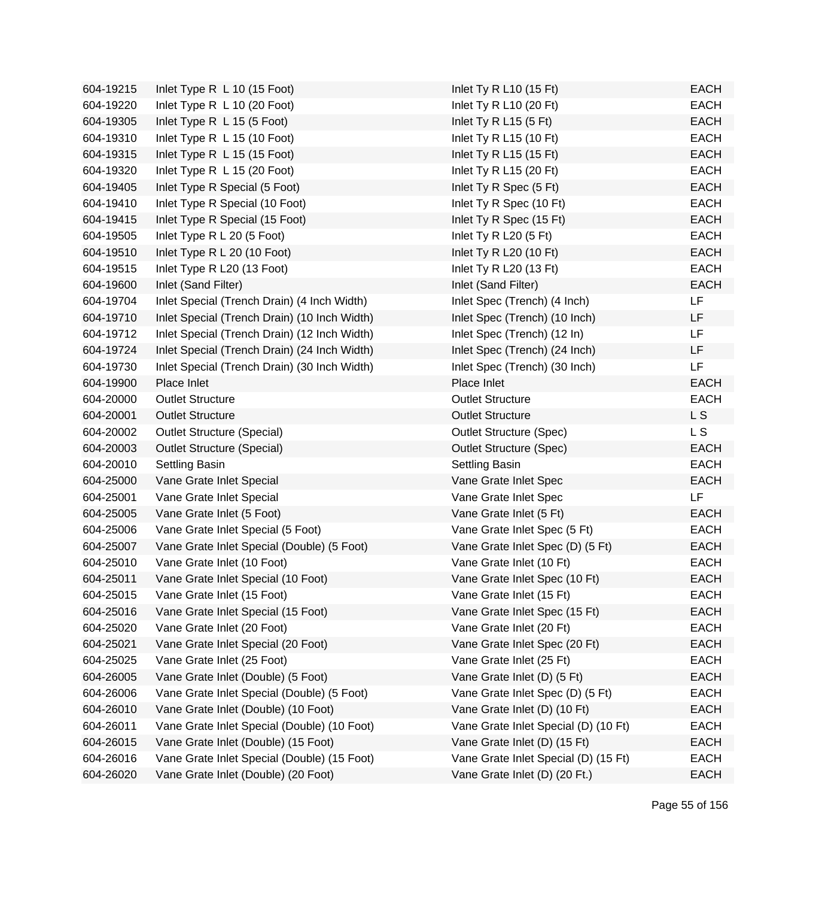| 604-19215 | Inlet Type R L 10 (15 Foot)                  | Inlet Ty R L10 (15 Ft)               | <b>EACH</b> |
|-----------|----------------------------------------------|--------------------------------------|-------------|
| 604-19220 | Inlet Type R L 10 (20 Foot)                  | Inlet Ty R L10 (20 Ft)               | <b>EACH</b> |
| 604-19305 | Inlet Type R L 15 (5 Foot)                   | Inlet Ty R L15 $(5$ Ft)              | <b>EACH</b> |
| 604-19310 | Inlet Type R L 15 (10 Foot)                  | Inlet Ty R L15 (10 Ft)               | <b>EACH</b> |
| 604-19315 | Inlet Type R L 15 (15 Foot)                  | Inlet Ty R L15 (15 Ft)               | <b>EACH</b> |
| 604-19320 | Inlet Type R L 15 (20 Foot)                  | Inlet Ty R L15 (20 Ft)               | <b>EACH</b> |
| 604-19405 | Inlet Type R Special (5 Foot)                | Inlet Ty R Spec (5 Ft)               | <b>EACH</b> |
| 604-19410 | Inlet Type R Special (10 Foot)               | Inlet Ty R Spec (10 Ft)              | <b>EACH</b> |
| 604-19415 | Inlet Type R Special (15 Foot)               | Inlet Ty R Spec (15 Ft)              | <b>EACH</b> |
| 604-19505 | Inlet Type R L 20 (5 Foot)                   | Inlet Ty R L20 $(5 \text{ Ft})$      | <b>EACH</b> |
| 604-19510 | Inlet Type R L 20 (10 Foot)                  | Inlet Ty R L20 (10 Ft)               | <b>EACH</b> |
| 604-19515 | Inlet Type R L20 (13 Foot)                   | Inlet Ty R L20 (13 Ft)               | <b>EACH</b> |
| 604-19600 | Inlet (Sand Filter)                          | Inlet (Sand Filter)                  | <b>EACH</b> |
| 604-19704 | Inlet Special (Trench Drain) (4 Inch Width)  | Inlet Spec (Trench) (4 Inch)         | LF          |
| 604-19710 | Inlet Special (Trench Drain) (10 Inch Width) | Inlet Spec (Trench) (10 Inch)        | LF          |
| 604-19712 | Inlet Special (Trench Drain) (12 Inch Width) | Inlet Spec (Trench) (12 In)          | LF          |
| 604-19724 | Inlet Special (Trench Drain) (24 Inch Width) | Inlet Spec (Trench) (24 Inch)        | LF          |
| 604-19730 | Inlet Special (Trench Drain) (30 Inch Width) | Inlet Spec (Trench) (30 Inch)        | LF          |
| 604-19900 | Place Inlet                                  | Place Inlet                          | <b>EACH</b> |
| 604-20000 | <b>Outlet Structure</b>                      | <b>Outlet Structure</b>              | <b>EACH</b> |
| 604-20001 | <b>Outlet Structure</b>                      | <b>Outlet Structure</b>              | L S         |
| 604-20002 | <b>Outlet Structure (Special)</b>            | <b>Outlet Structure (Spec)</b>       | L S         |
| 604-20003 | <b>Outlet Structure (Special)</b>            | <b>Outlet Structure (Spec)</b>       | <b>EACH</b> |
| 604-20010 | Settling Basin                               | Settling Basin                       | <b>EACH</b> |
| 604-25000 | Vane Grate Inlet Special                     | Vane Grate Inlet Spec                | <b>EACH</b> |
| 604-25001 | Vane Grate Inlet Special                     | Vane Grate Inlet Spec                | <b>LF</b>   |
| 604-25005 | Vane Grate Inlet (5 Foot)                    | Vane Grate Inlet (5 Ft)              | <b>EACH</b> |
| 604-25006 | Vane Grate Inlet Special (5 Foot)            | Vane Grate Inlet Spec (5 Ft)         | <b>EACH</b> |
| 604-25007 | Vane Grate Inlet Special (Double) (5 Foot)   | Vane Grate Inlet Spec (D) (5 Ft)     | <b>EACH</b> |
| 604-25010 | Vane Grate Inlet (10 Foot)                   | Vane Grate Inlet (10 Ft)             | <b>EACH</b> |
| 604-25011 | Vane Grate Inlet Special (10 Foot)           | Vane Grate Inlet Spec (10 Ft)        | <b>EACH</b> |
| 604-25015 | Vane Grate Inlet (15 Foot)                   | Vane Grate Inlet (15 Ft)             | <b>EACH</b> |
| 604-25016 | Vane Grate Inlet Special (15 Foot)           | Vane Grate Inlet Spec (15 Ft)        | <b>EACH</b> |
| 604-25020 | Vane Grate Inlet (20 Foot)                   | Vane Grate Inlet (20 Ft)             | <b>EACH</b> |
| 604-25021 | Vane Grate Inlet Special (20 Foot)           | Vane Grate Inlet Spec (20 Ft)        | <b>EACH</b> |
| 604-25025 | Vane Grate Inlet (25 Foot)                   | Vane Grate Inlet (25 Ft)             | <b>EACH</b> |
| 604-26005 | Vane Grate Inlet (Double) (5 Foot)           | Vane Grate Inlet (D) (5 Ft)          | <b>EACH</b> |
| 604-26006 | Vane Grate Inlet Special (Double) (5 Foot)   | Vane Grate Inlet Spec (D) (5 Ft)     | <b>EACH</b> |
| 604-26010 | Vane Grate Inlet (Double) (10 Foot)          | Vane Grate Inlet (D) (10 Ft)         | <b>EACH</b> |
| 604-26011 | Vane Grate Inlet Special (Double) (10 Foot)  | Vane Grate Inlet Special (D) (10 Ft) | EACH        |
| 604-26015 | Vane Grate Inlet (Double) (15 Foot)          | Vane Grate Inlet (D) (15 Ft)         | <b>EACH</b> |
| 604-26016 | Vane Grate Inlet Special (Double) (15 Foot)  | Vane Grate Inlet Special (D) (15 Ft) | <b>EACH</b> |
| 604-26020 | Vane Grate Inlet (Double) (20 Foot)          | Vane Grate Inlet (D) (20 Ft.)        | <b>EACH</b> |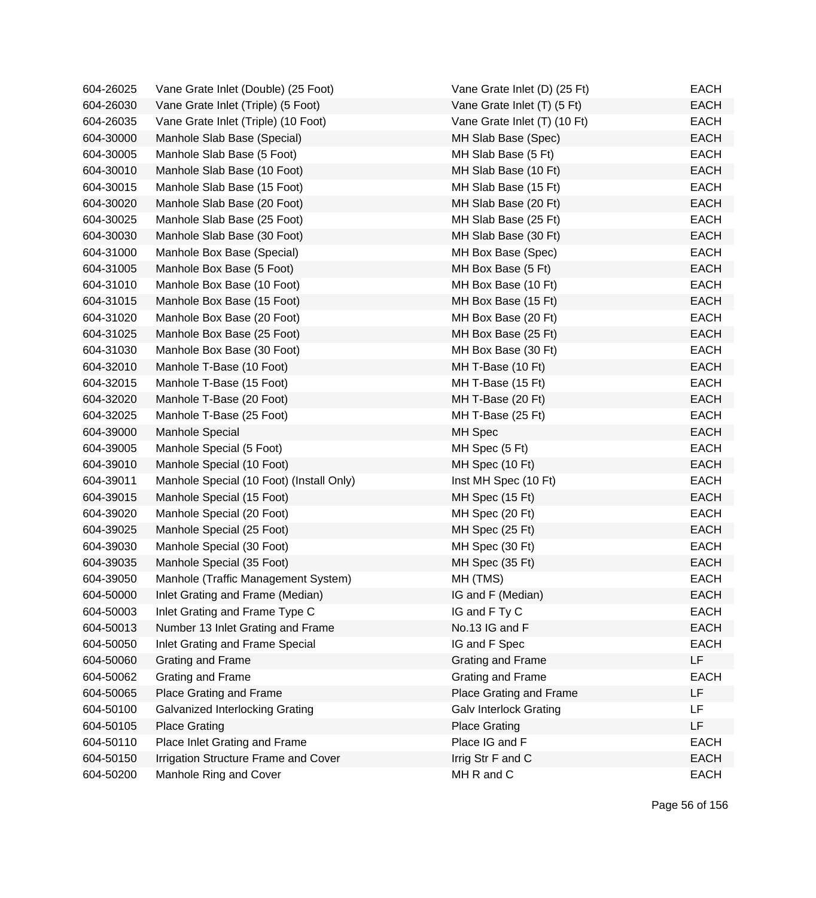| 604-26025 | Vane Grate Inlet (Double) (25 Foot)      | Vane Grate Inlet (D) (25 Ft)  | EACH        |
|-----------|------------------------------------------|-------------------------------|-------------|
| 604-26030 | Vane Grate Inlet (Triple) (5 Foot)       | Vane Grate Inlet (T) (5 Ft)   | <b>EACH</b> |
| 604-26035 | Vane Grate Inlet (Triple) (10 Foot)      | Vane Grate Inlet (T) (10 Ft)  | <b>EACH</b> |
| 604-30000 | Manhole Slab Base (Special)              | MH Slab Base (Spec)           | <b>EACH</b> |
| 604-30005 | Manhole Slab Base (5 Foot)               | MH Slab Base (5 Ft)           | <b>EACH</b> |
| 604-30010 | Manhole Slab Base (10 Foot)              | MH Slab Base (10 Ft)          | <b>EACH</b> |
| 604-30015 | Manhole Slab Base (15 Foot)              | MH Slab Base (15 Ft)          | <b>EACH</b> |
| 604-30020 | Manhole Slab Base (20 Foot)              | MH Slab Base (20 Ft)          | <b>EACH</b> |
| 604-30025 | Manhole Slab Base (25 Foot)              | MH Slab Base (25 Ft)          | <b>EACH</b> |
| 604-30030 | Manhole Slab Base (30 Foot)              | MH Slab Base (30 Ft)          | <b>EACH</b> |
| 604-31000 | Manhole Box Base (Special)               | MH Box Base (Spec)            | <b>EACH</b> |
| 604-31005 | Manhole Box Base (5 Foot)                | MH Box Base (5 Ft)            | <b>EACH</b> |
| 604-31010 | Manhole Box Base (10 Foot)               | MH Box Base (10 Ft)           | <b>EACH</b> |
| 604-31015 | Manhole Box Base (15 Foot)               | MH Box Base (15 Ft)           | <b>EACH</b> |
| 604-31020 | Manhole Box Base (20 Foot)               | MH Box Base (20 Ft)           | <b>EACH</b> |
| 604-31025 | Manhole Box Base (25 Foot)               | MH Box Base (25 Ft)           | <b>EACH</b> |
| 604-31030 | Manhole Box Base (30 Foot)               | MH Box Base (30 Ft)           | <b>EACH</b> |
| 604-32010 | Manhole T-Base (10 Foot)                 | MH T-Base (10 Ft)             | <b>EACH</b> |
| 604-32015 | Manhole T-Base (15 Foot)                 | MH T-Base (15 Ft)             | <b>EACH</b> |
| 604-32020 | Manhole T-Base (20 Foot)                 | MH T-Base (20 Ft)             | <b>EACH</b> |
| 604-32025 | Manhole T-Base (25 Foot)                 | MH T-Base (25 Ft)             | <b>EACH</b> |
| 604-39000 | Manhole Special                          | MH Spec                       | <b>EACH</b> |
| 604-39005 | Manhole Special (5 Foot)                 | MH Spec (5 Ft)                | <b>EACH</b> |
| 604-39010 | Manhole Special (10 Foot)                | MH Spec (10 Ft)               | <b>EACH</b> |
| 604-39011 | Manhole Special (10 Foot) (Install Only) | Inst MH Spec (10 Ft)          | <b>EACH</b> |
| 604-39015 | Manhole Special (15 Foot)                | MH Spec (15 Ft)               | <b>EACH</b> |
| 604-39020 | Manhole Special (20 Foot)                | MH Spec (20 Ft)               | <b>EACH</b> |
| 604-39025 | Manhole Special (25 Foot)                | MH Spec (25 Ft)               | <b>EACH</b> |
| 604-39030 | Manhole Special (30 Foot)                | MH Spec (30 Ft)               | <b>EACH</b> |
| 604-39035 | Manhole Special (35 Foot)                | MH Spec (35 Ft)               | <b>EACH</b> |
| 604-39050 | Manhole (Traffic Management System)      | MH (TMS)                      | <b>EACH</b> |
| 604-50000 | Inlet Grating and Frame (Median)         | IG and F (Median)             | EACH        |
| 604-50003 | Inlet Grating and Frame Type C           | IG and F Ty C                 | <b>EACH</b> |
| 604-50013 | Number 13 Inlet Grating and Frame        | No.13 IG and F                | <b>EACH</b> |
| 604-50050 | Inlet Grating and Frame Special          | IG and F Spec                 | <b>EACH</b> |
| 604-50060 | Grating and Frame                        | Grating and Frame             | <b>LF</b>   |
| 604-50062 | Grating and Frame                        | Grating and Frame             | <b>EACH</b> |
| 604-50065 | Place Grating and Frame                  | Place Grating and Frame       | LF          |
| 604-50100 | Galvanized Interlocking Grating          | <b>Galv Interlock Grating</b> | LF.         |
| 604-50105 | <b>Place Grating</b>                     | <b>Place Grating</b>          | LF          |
| 604-50110 | Place Inlet Grating and Frame            | Place IG and F                | <b>EACH</b> |
| 604-50150 | Irrigation Structure Frame and Cover     | Irrig Str F and C             | <b>EACH</b> |
| 604-50200 | Manhole Ring and Cover                   | MH R and C                    | EACH        |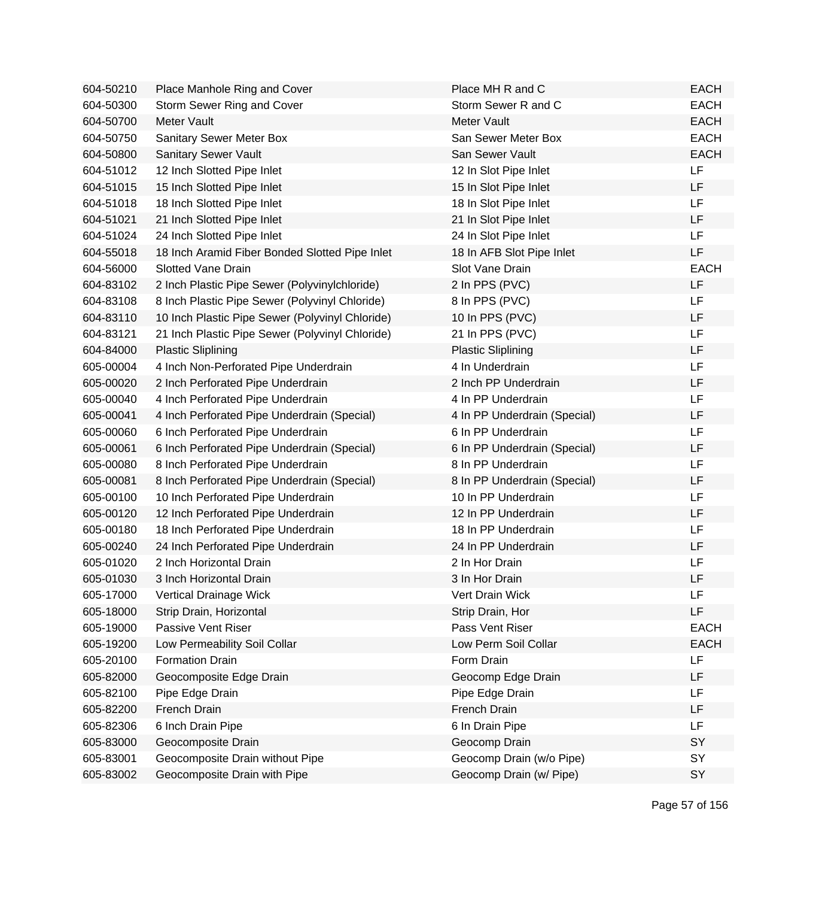| 604-50210 | Place Manhole Ring and Cover                    | Place MH R and C             | <b>EACH</b> |
|-----------|-------------------------------------------------|------------------------------|-------------|
| 604-50300 | Storm Sewer Ring and Cover                      | Storm Sewer R and C          | <b>EACH</b> |
| 604-50700 | Meter Vault                                     | Meter Vault                  | <b>EACH</b> |
| 604-50750 | <b>Sanitary Sewer Meter Box</b>                 | San Sewer Meter Box          | <b>EACH</b> |
| 604-50800 | Sanitary Sewer Vault                            | San Sewer Vault              | <b>EACH</b> |
| 604-51012 | 12 Inch Slotted Pipe Inlet                      | 12 In Slot Pipe Inlet        | LF          |
| 604-51015 | 15 Inch Slotted Pipe Inlet                      | 15 In Slot Pipe Inlet        | LF          |
| 604-51018 | 18 Inch Slotted Pipe Inlet                      | 18 In Slot Pipe Inlet        | <b>LF</b>   |
| 604-51021 | 21 Inch Slotted Pipe Inlet                      | 21 In Slot Pipe Inlet        | LF          |
| 604-51024 | 24 Inch Slotted Pipe Inlet                      | 24 In Slot Pipe Inlet        | LF          |
| 604-55018 | 18 Inch Aramid Fiber Bonded Slotted Pipe Inlet  | 18 In AFB Slot Pipe Inlet    | LF          |
| 604-56000 | <b>Slotted Vane Drain</b>                       | Slot Vane Drain              | <b>EACH</b> |
| 604-83102 | 2 Inch Plastic Pipe Sewer (Polyvinylchloride)   | 2 In PPS (PVC)               | <b>LF</b>   |
| 604-83108 | 8 Inch Plastic Pipe Sewer (Polyvinyl Chloride)  | 8 In PPS (PVC)               | LF          |
| 604-83110 | 10 Inch Plastic Pipe Sewer (Polyvinyl Chloride) | 10 In PPS (PVC)              | <b>LF</b>   |
| 604-83121 | 21 Inch Plastic Pipe Sewer (Polyvinyl Chloride) | 21 In PPS (PVC)              | LF          |
| 604-84000 | <b>Plastic Sliplining</b>                       | <b>Plastic Sliplining</b>    | LF          |
| 605-00004 | 4 Inch Non-Perforated Pipe Underdrain           | 4 In Underdrain              | LF          |
| 605-00020 | 2 Inch Perforated Pipe Underdrain               | 2 Inch PP Underdrain         | LF          |
| 605-00040 | 4 Inch Perforated Pipe Underdrain               | 4 In PP Underdrain           | LF          |
| 605-00041 | 4 Inch Perforated Pipe Underdrain (Special)     | 4 In PP Underdrain (Special) | LF          |
| 605-00060 | 6 Inch Perforated Pipe Underdrain               | 6 In PP Underdrain           | LF          |
| 605-00061 | 6 Inch Perforated Pipe Underdrain (Special)     | 6 In PP Underdrain (Special) | LF          |
| 605-00080 | 8 Inch Perforated Pipe Underdrain               | 8 In PP Underdrain           | LF          |
| 605-00081 | 8 Inch Perforated Pipe Underdrain (Special)     | 8 In PP Underdrain (Special) | LF          |
| 605-00100 | 10 Inch Perforated Pipe Underdrain              | 10 In PP Underdrain          | LF          |
| 605-00120 | 12 Inch Perforated Pipe Underdrain              | 12 In PP Underdrain          | LF          |
| 605-00180 | 18 Inch Perforated Pipe Underdrain              | 18 In PP Underdrain          | LF          |
| 605-00240 | 24 Inch Perforated Pipe Underdrain              | 24 In PP Underdrain          | LF          |
| 605-01020 | 2 Inch Horizontal Drain                         | 2 In Hor Drain               | LF          |
| 605-01030 | 3 Inch Horizontal Drain                         | 3 In Hor Drain               | LF          |
| 605-17000 | <b>Vertical Drainage Wick</b>                   | Vert Drain Wick              | LF          |
| 605-18000 | Strip Drain, Horizontal                         | Strip Drain, Hor             | LF          |
| 605-19000 | Passive Vent Riser                              | Pass Vent Riser              | <b>EACH</b> |
| 605-19200 | Low Permeability Soil Collar                    | Low Perm Soil Collar         | <b>EACH</b> |
| 605-20100 | <b>Formation Drain</b>                          | Form Drain                   | LF          |
| 605-82000 | Geocomposite Edge Drain                         | Geocomp Edge Drain           | LF          |
| 605-82100 | Pipe Edge Drain                                 | Pipe Edge Drain              | <b>LF</b>   |
| 605-82200 | French Drain                                    | French Drain                 | LF          |
| 605-82306 | 6 Inch Drain Pipe                               | 6 In Drain Pipe              | LF          |
| 605-83000 | Geocomposite Drain                              | Geocomp Drain                | SY          |
| 605-83001 | Geocomposite Drain without Pipe                 | Geocomp Drain (w/o Pipe)     | SY          |
| 605-83002 | Geocomposite Drain with Pipe                    | Geocomp Drain (w/ Pipe)      | SY          |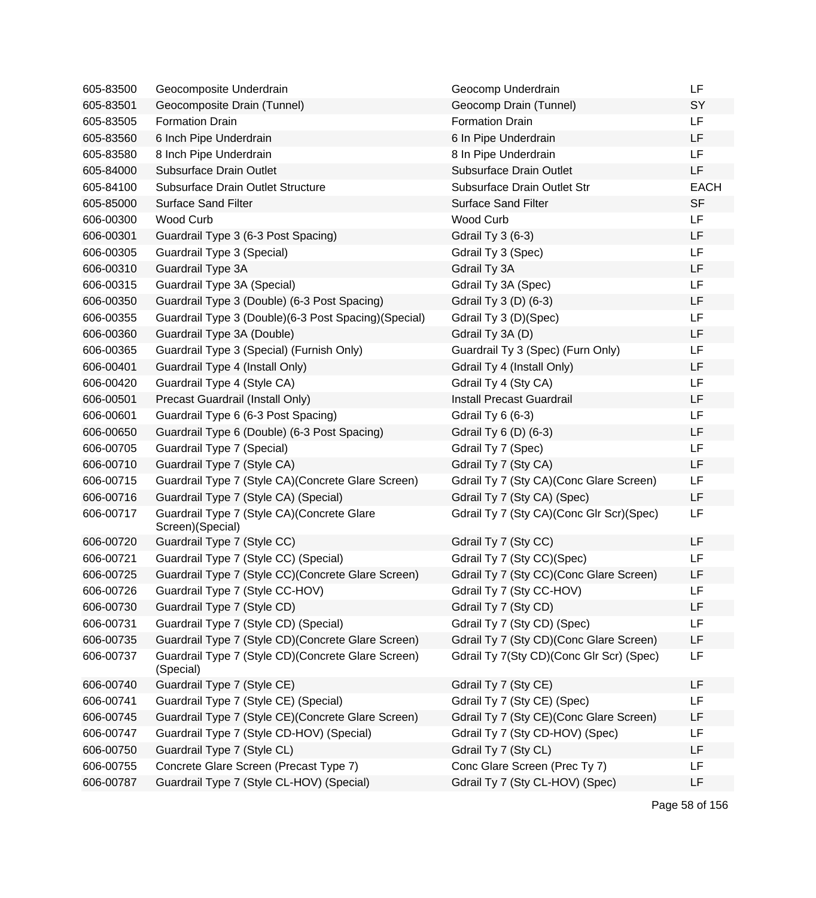| 605-83500 | Geocomposite Underdrain                                          | Geocomp Underdrain                       | LF          |
|-----------|------------------------------------------------------------------|------------------------------------------|-------------|
| 605-83501 | Geocomposite Drain (Tunnel)                                      | Geocomp Drain (Tunnel)                   | SY          |
| 605-83505 | <b>Formation Drain</b>                                           | <b>Formation Drain</b>                   | LF          |
| 605-83560 | 6 Inch Pipe Underdrain                                           | 6 In Pipe Underdrain                     | LF          |
| 605-83580 | 8 Inch Pipe Underdrain                                           | 8 In Pipe Underdrain                     | LF          |
| 605-84000 | <b>Subsurface Drain Outlet</b>                                   | Subsurface Drain Outlet                  | LF          |
| 605-84100 | Subsurface Drain Outlet Structure                                | Subsurface Drain Outlet Str              | <b>EACH</b> |
| 605-85000 | <b>Surface Sand Filter</b>                                       | <b>Surface Sand Filter</b>               | <b>SF</b>   |
| 606-00300 | Wood Curb                                                        | <b>Wood Curb</b>                         | <b>LF</b>   |
| 606-00301 | Guardrail Type 3 (6-3 Post Spacing)                              | <b>Gdrail Ty 3 (6-3)</b>                 | LF          |
| 606-00305 | Guardrail Type 3 (Special)                                       | Gdrail Ty 3 (Spec)                       | LF          |
| 606-00310 | Guardrail Type 3A                                                | Gdrail Ty 3A                             | LF          |
| 606-00315 | Guardrail Type 3A (Special)                                      | Gdrail Ty 3A (Spec)                      | LF          |
| 606-00350 | Guardrail Type 3 (Double) (6-3 Post Spacing)                     | Gdrail Ty 3 (D) (6-3)                    | LF          |
| 606-00355 | Guardrail Type 3 (Double) (6-3 Post Spacing) (Special)           | Gdrail Ty 3 (D)(Spec)                    | LF          |
| 606-00360 | Guardrail Type 3A (Double)                                       | Gdrail Ty 3A (D)                         | LF          |
| 606-00365 | Guardrail Type 3 (Special) (Furnish Only)                        | Guardrail Ty 3 (Spec) (Furn Only)        | LF          |
| 606-00401 | Guardrail Type 4 (Install Only)                                  | Gdrail Ty 4 (Install Only)               | LF          |
| 606-00420 | Guardrail Type 4 (Style CA)                                      | Gdrail Ty 4 (Sty CA)                     | LF          |
| 606-00501 | Precast Guardrail (Install Only)                                 | <b>Install Precast Guardrail</b>         | LF          |
| 606-00601 | Guardrail Type 6 (6-3 Post Spacing)                              | Gdrail Ty 6 (6-3)                        | LF          |
| 606-00650 | Guardrail Type 6 (Double) (6-3 Post Spacing)                     | Gdrail Ty 6 (D) (6-3)                    | LF          |
| 606-00705 | Guardrail Type 7 (Special)                                       | Gdrail Ty 7 (Spec)                       | LF          |
| 606-00710 | Guardrail Type 7 (Style CA)                                      | Gdrail Ty 7 (Sty CA)                     | LF          |
| 606-00715 | Guardrail Type 7 (Style CA) (Concrete Glare Screen)              | Gdrail Ty 7 (Sty CA) (Conc Glare Screen) | LF          |
| 606-00716 | Guardrail Type 7 (Style CA) (Special)                            | Gdrail Ty 7 (Sty CA) (Spec)              | LF          |
| 606-00717 | Guardrail Type 7 (Style CA) (Concrete Glare<br>Screen)(Special)  | Gdrail Ty 7 (Sty CA)(Conc Glr Scr)(Spec) | LF          |
| 606-00720 | Guardrail Type 7 (Style CC)                                      | Gdrail Ty 7 (Sty CC)                     | LF          |
| 606-00721 | Guardrail Type 7 (Style CC) (Special)                            | Gdrail Ty 7 (Sty CC)(Spec)               | LF          |
| 606-00725 | Guardrail Type 7 (Style CC) (Concrete Glare Screen)              | Gdrail Ty 7 (Sty CC)(Conc Glare Screen)  | LF          |
| 606-00726 | Guardrail Type 7 (Style CC-HOV)                                  | Gdrail Ty 7 (Sty CC-HOV)                 | LF          |
| 606-00730 | Guardrail Type 7 (Style CD)                                      | Gdrail Ty 7 (Sty CD)                     | LF          |
| 606-00731 | Guardrail Type 7 (Style CD) (Special)                            | Gdrail Ty 7 (Sty CD) (Spec)              | LF          |
| 606-00735 | Guardrail Type 7 (Style CD) (Concrete Glare Screen)              | Gdrail Ty 7 (Sty CD)(Conc Glare Screen)  | LF          |
| 606-00737 | Guardrail Type 7 (Style CD) (Concrete Glare Screen)<br>(Special) | Gdrail Ty 7(Sty CD)(Conc Glr Scr) (Spec) | LF          |
| 606-00740 | Guardrail Type 7 (Style CE)                                      | Gdrail Ty 7 (Sty CE)                     | LF          |
| 606-00741 | Guardrail Type 7 (Style CE) (Special)                            | Gdrail Ty 7 (Sty CE) (Spec)              | LF          |
| 606-00745 | Guardrail Type 7 (Style CE) (Concrete Glare Screen)              | Gdrail Ty 7 (Sty CE) (Conc Glare Screen) | LF          |
| 606-00747 | Guardrail Type 7 (Style CD-HOV) (Special)                        | Gdrail Ty 7 (Sty CD-HOV) (Spec)          | LF          |
| 606-00750 | Guardrail Type 7 (Style CL)                                      | Gdrail Ty 7 (Sty CL)                     | LF          |
| 606-00755 | Concrete Glare Screen (Precast Type 7)                           | Conc Glare Screen (Prec Ty 7)            | LF          |
| 606-00787 | Guardrail Type 7 (Style CL-HOV) (Special)                        | Gdrail Ty 7 (Sty CL-HOV) (Spec)          | LF          |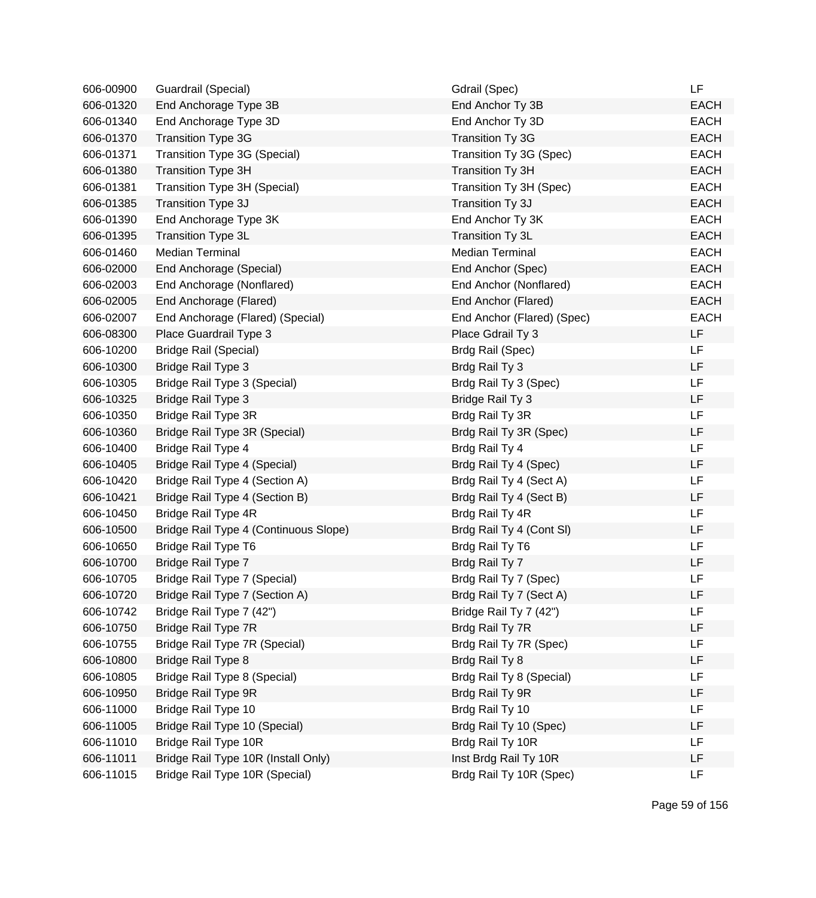| 606-00900 | Guardrail (Special)                   | Gdrail (Spec)              | LF          |
|-----------|---------------------------------------|----------------------------|-------------|
| 606-01320 | End Anchorage Type 3B                 | End Anchor Ty 3B           | <b>EACH</b> |
| 606-01340 | End Anchorage Type 3D                 | End Anchor Ty 3D           | <b>EACH</b> |
| 606-01370 | <b>Transition Type 3G</b>             | <b>Transition Ty 3G</b>    | <b>EACH</b> |
| 606-01371 | Transition Type 3G (Special)          | Transition Ty 3G (Spec)    | <b>EACH</b> |
| 606-01380 | Transition Type 3H                    | Transition Ty 3H           | <b>EACH</b> |
| 606-01381 | Transition Type 3H (Special)          | Transition Ty 3H (Spec)    | <b>EACH</b> |
| 606-01385 | Transition Type 3J                    | Transition Ty 3J           | <b>EACH</b> |
| 606-01390 | End Anchorage Type 3K                 | End Anchor Ty 3K           | <b>EACH</b> |
| 606-01395 | <b>Transition Type 3L</b>             | Transition Ty 3L           | <b>EACH</b> |
| 606-01460 | <b>Median Terminal</b>                | <b>Median Terminal</b>     | <b>EACH</b> |
| 606-02000 | End Anchorage (Special)               | End Anchor (Spec)          | <b>EACH</b> |
| 606-02003 | End Anchorage (Nonflared)             | End Anchor (Nonflared)     | <b>EACH</b> |
| 606-02005 | End Anchorage (Flared)                | End Anchor (Flared)        | <b>EACH</b> |
| 606-02007 | End Anchorage (Flared) (Special)      | End Anchor (Flared) (Spec) | <b>EACH</b> |
| 606-08300 | Place Guardrail Type 3                | Place Gdrail Ty 3          | <b>LF</b>   |
| 606-10200 | <b>Bridge Rail (Special)</b>          | Brdg Rail (Spec)           | <b>LF</b>   |
| 606-10300 | Bridge Rail Type 3                    | Brdg Rail Ty 3             | <b>LF</b>   |
| 606-10305 | Bridge Rail Type 3 (Special)          | Brdg Rail Ty 3 (Spec)      | LF          |
| 606-10325 | <b>Bridge Rail Type 3</b>             | Bridge Rail Ty 3           | LF          |
| 606-10350 | Bridge Rail Type 3R                   | Brdg Rail Ty 3R            | LF          |
| 606-10360 | Bridge Rail Type 3R (Special)         | Brdg Rail Ty 3R (Spec)     | LF          |
| 606-10400 | Bridge Rail Type 4                    | Brdg Rail Ty 4             | LF          |
| 606-10405 | Bridge Rail Type 4 (Special)          | Brdg Rail Ty 4 (Spec)      | LF          |
| 606-10420 | Bridge Rail Type 4 (Section A)        | Brdg Rail Ty 4 (Sect A)    | LF          |
| 606-10421 | Bridge Rail Type 4 (Section B)        | Brdg Rail Ty 4 (Sect B)    | LF          |
| 606-10450 | Bridge Rail Type 4R                   | Brdg Rail Ty 4R            | LF          |
| 606-10500 | Bridge Rail Type 4 (Continuous Slope) | Brdg Rail Ty 4 (Cont SI)   | LF          |
| 606-10650 | Bridge Rail Type T6                   | Brdg Rail Ty T6            | LF          |
| 606-10700 | Bridge Rail Type 7                    | Brdg Rail Ty 7             | LF          |
| 606-10705 | Bridge Rail Type 7 (Special)          | Brdg Rail Ty 7 (Spec)      | LF          |
| 606-10720 | Bridge Rail Type 7 (Section A)        | Brdg Rail Ty 7 (Sect A)    | LF          |
| 606-10742 | Bridge Rail Type 7 (42")              | Bridge Rail Ty 7 (42")     | LF          |
| 606-10750 | Bridge Rail Type 7R                   | Brdg Rail Ty 7R            | LF          |
| 606-10755 | Bridge Rail Type 7R (Special)         | Brdg Rail Ty 7R (Spec)     | LF          |
| 606-10800 | Bridge Rail Type 8                    | Brdg Rail Ty 8             | LF          |
| 606-10805 | Bridge Rail Type 8 (Special)          | Brdg Rail Ty 8 (Special)   | LF          |
| 606-10950 | Bridge Rail Type 9R                   | Brdg Rail Ty 9R            | LF          |
| 606-11000 | Bridge Rail Type 10                   | Brdg Rail Ty 10            | LF          |
| 606-11005 | Bridge Rail Type 10 (Special)         | Brdg Rail Ty 10 (Spec)     | LF          |
| 606-11010 | Bridge Rail Type 10R                  | Brdg Rail Ty 10R           | LF          |
| 606-11011 | Bridge Rail Type 10R (Install Only)   | Inst Brdg Rail Ty 10R      | LF          |
| 606-11015 | Bridge Rail Type 10R (Special)        | Brdg Rail Ty 10R (Spec)    | LF          |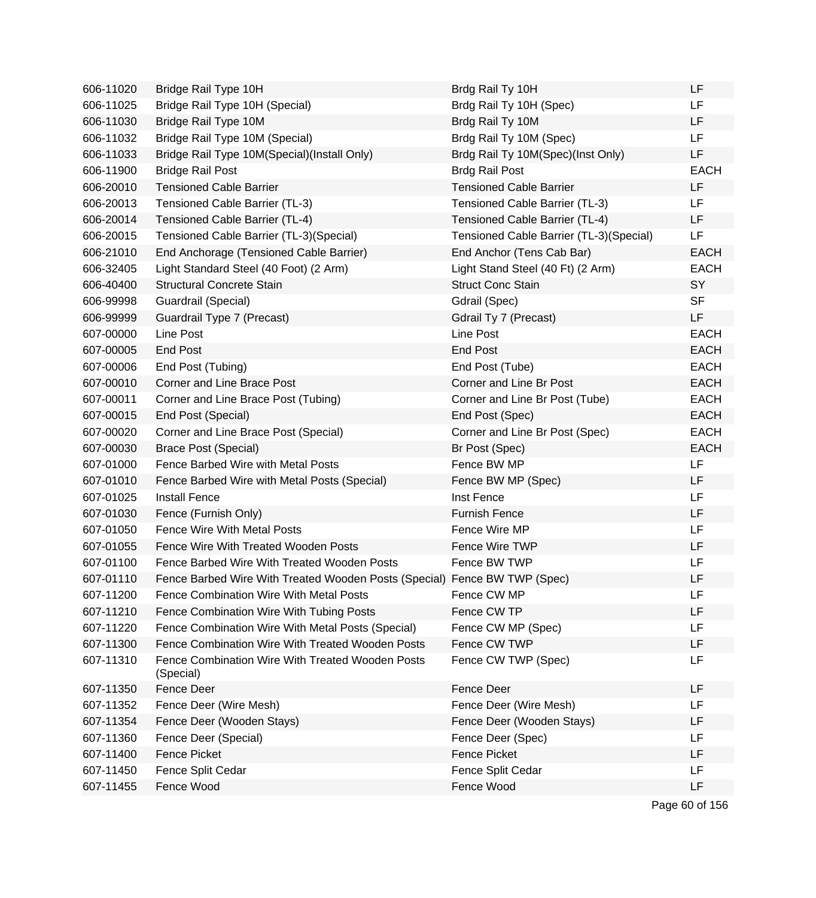| 606-11020 | Bridge Rail Type 10H                                                      | Brdg Rail Ty 10H                        | LF          |
|-----------|---------------------------------------------------------------------------|-----------------------------------------|-------------|
| 606-11025 | Bridge Rail Type 10H (Special)                                            | Brdg Rail Ty 10H (Spec)                 | <b>LF</b>   |
| 606-11030 | Bridge Rail Type 10M                                                      | Brdg Rail Ty 10M                        | <b>LF</b>   |
| 606-11032 | Bridge Rail Type 10M (Special)                                            | Brdg Rail Ty 10M (Spec)                 | <b>LF</b>   |
| 606-11033 | Bridge Rail Type 10M(Special)(Install Only)                               | Brdg Rail Ty 10M(Spec)(Inst Only)       | LF          |
| 606-11900 | <b>Bridge Rail Post</b>                                                   | <b>Brdg Rail Post</b>                   | <b>EACH</b> |
| 606-20010 | <b>Tensioned Cable Barrier</b>                                            | <b>Tensioned Cable Barrier</b>          | LF          |
| 606-20013 | Tensioned Cable Barrier (TL-3)                                            | Tensioned Cable Barrier (TL-3)          | LF          |
| 606-20014 | Tensioned Cable Barrier (TL-4)                                            | Tensioned Cable Barrier (TL-4)          | LF.         |
| 606-20015 | Tensioned Cable Barrier (TL-3)(Special)                                   | Tensioned Cable Barrier (TL-3)(Special) | LF          |
| 606-21010 | End Anchorage (Tensioned Cable Barrier)                                   | End Anchor (Tens Cab Bar)               | <b>EACH</b> |
| 606-32405 | Light Standard Steel (40 Foot) (2 Arm)                                    | Light Stand Steel (40 Ft) (2 Arm)       | <b>EACH</b> |
| 606-40400 | <b>Structural Concrete Stain</b>                                          | <b>Struct Conc Stain</b>                | SY          |
| 606-99998 | Guardrail (Special)                                                       | Gdrail (Spec)                           | <b>SF</b>   |
| 606-99999 | Guardrail Type 7 (Precast)                                                | Gdrail Ty 7 (Precast)                   | LF          |
| 607-00000 | Line Post                                                                 | Line Post                               | <b>EACH</b> |
| 607-00005 | <b>End Post</b>                                                           | <b>End Post</b>                         | <b>EACH</b> |
| 607-00006 | End Post (Tubing)                                                         | End Post (Tube)                         | <b>EACH</b> |
| 607-00010 | Corner and Line Brace Post                                                | Corner and Line Br Post                 | <b>EACH</b> |
| 607-00011 | Corner and Line Brace Post (Tubing)                                       | Corner and Line Br Post (Tube)          | <b>EACH</b> |
| 607-00015 | End Post (Special)                                                        | End Post (Spec)                         | <b>EACH</b> |
| 607-00020 | Corner and Line Brace Post (Special)                                      | Corner and Line Br Post (Spec)          | <b>EACH</b> |
| 607-00030 | <b>Brace Post (Special)</b>                                               | Br Post (Spec)                          | <b>EACH</b> |
| 607-01000 | Fence Barbed Wire with Metal Posts                                        | Fence BW MP                             | <b>LF</b>   |
| 607-01010 | Fence Barbed Wire with Metal Posts (Special)                              | Fence BW MP (Spec)                      | <b>LF</b>   |
| 607-01025 | <b>Install Fence</b>                                                      | Inst Fence                              | LF          |
| 607-01030 | Fence (Furnish Only)                                                      | <b>Furnish Fence</b>                    | LF          |
| 607-01050 | <b>Fence Wire With Metal Posts</b>                                        | Fence Wire MP                           | LF          |
| 607-01055 | Fence Wire With Treated Wooden Posts                                      | Fence Wire TWP                          | LF          |
| 607-01100 | Fence Barbed Wire With Treated Wooden Posts                               | Fence BW TWP                            | LF          |
| 607-01110 | Fence Barbed Wire With Treated Wooden Posts (Special) Fence BW TWP (Spec) |                                         | LF          |
| 607-11200 | Fence Combination Wire With Metal Posts                                   | Fence CW MP                             | LF          |
| 607-11210 | Fence Combination Wire With Tubing Posts                                  | Fence CW TP                             | LF          |
| 607-11220 | Fence Combination Wire With Metal Posts (Special)                         | Fence CW MP (Spec)                      | LF          |
| 607-11300 | Fence Combination Wire With Treated Wooden Posts                          | Fence CW TWP                            | LF          |
| 607-11310 | Fence Combination Wire With Treated Wooden Posts<br>(Special)             | Fence CW TWP (Spec)                     | LF          |
| 607-11350 | Fence Deer                                                                | Fence Deer                              | LF          |
| 607-11352 | Fence Deer (Wire Mesh)                                                    | Fence Deer (Wire Mesh)                  | LF          |
| 607-11354 | Fence Deer (Wooden Stays)                                                 | Fence Deer (Wooden Stays)               | LF          |
| 607-11360 | Fence Deer (Special)                                                      | Fence Deer (Spec)                       | LF          |
| 607-11400 | <b>Fence Picket</b>                                                       | <b>Fence Picket</b>                     | LF          |
| 607-11450 | Fence Split Cedar                                                         | Fence Split Cedar                       | LF          |
| 607-11455 | Fence Wood                                                                | Fence Wood                              | LF          |
|           |                                                                           |                                         |             |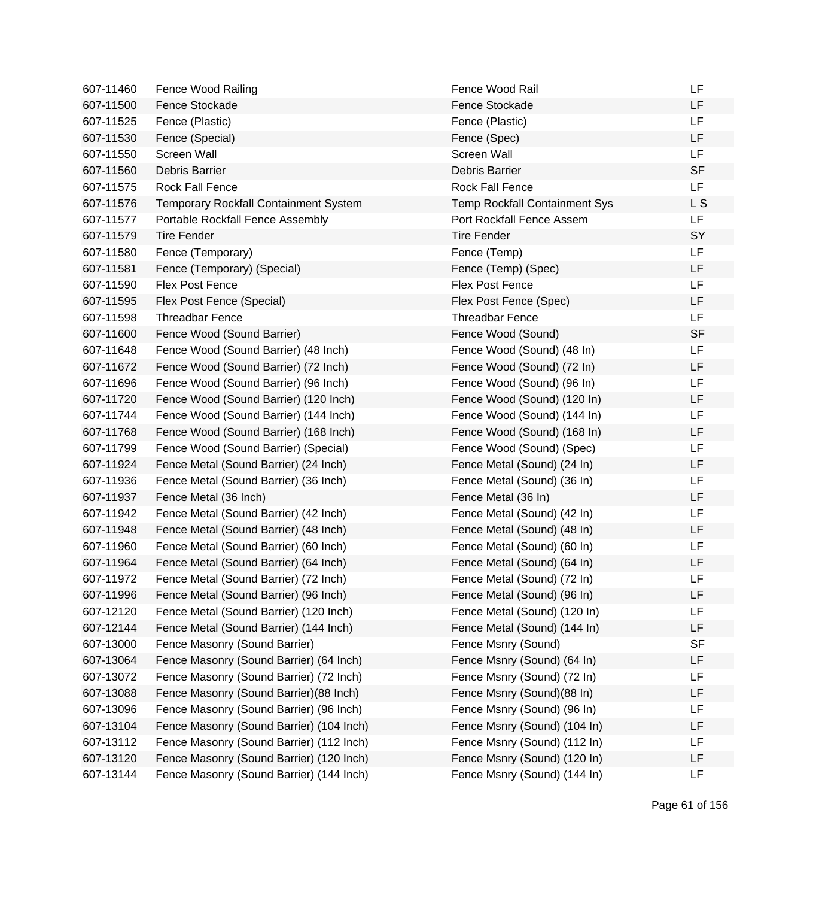| 607-11460 | Fence Wood Railing                           | Fence Wood Rail                      | LF             |
|-----------|----------------------------------------------|--------------------------------------|----------------|
| 607-11500 | Fence Stockade                               | Fence Stockade                       | LF             |
| 607-11525 | Fence (Plastic)                              | Fence (Plastic)                      | LF             |
| 607-11530 | Fence (Special)                              | Fence (Spec)                         | LF             |
| 607-11550 | Screen Wall                                  | Screen Wall                          | LF             |
| 607-11560 | Debris Barrier                               | Debris Barrier                       | <b>SF</b>      |
| 607-11575 | Rock Fall Fence                              | <b>Rock Fall Fence</b>               | LF             |
| 607-11576 | <b>Temporary Rockfall Containment System</b> | <b>Temp Rockfall Containment Sys</b> | L <sub>S</sub> |
| 607-11577 | Portable Rockfall Fence Assembly             | <b>Port Rockfall Fence Assem</b>     | LF             |
| 607-11579 | <b>Tire Fender</b>                           | <b>Tire Fender</b>                   | SY             |
| 607-11580 | Fence (Temporary)                            | Fence (Temp)                         | LF             |
| 607-11581 | Fence (Temporary) (Special)                  | Fence (Temp) (Spec)                  | LF             |
| 607-11590 | <b>Flex Post Fence</b>                       | <b>Flex Post Fence</b>               | LF             |
| 607-11595 | Flex Post Fence (Special)                    | Flex Post Fence (Spec)               | LF             |
| 607-11598 | <b>Threadbar Fence</b>                       | <b>Threadbar Fence</b>               | LF             |
| 607-11600 | Fence Wood (Sound Barrier)                   | Fence Wood (Sound)                   | <b>SF</b>      |
| 607-11648 | Fence Wood (Sound Barrier) (48 Inch)         | Fence Wood (Sound) (48 In)           | LF             |
| 607-11672 | Fence Wood (Sound Barrier) (72 Inch)         | Fence Wood (Sound) (72 In)           | LF             |
| 607-11696 | Fence Wood (Sound Barrier) (96 Inch)         | Fence Wood (Sound) (96 In)           | LF             |
| 607-11720 | Fence Wood (Sound Barrier) (120 Inch)        | Fence Wood (Sound) (120 In)          | LF             |
| 607-11744 | Fence Wood (Sound Barrier) (144 Inch)        | Fence Wood (Sound) (144 In)          | LF             |
| 607-11768 | Fence Wood (Sound Barrier) (168 Inch)        | Fence Wood (Sound) (168 In)          | LF             |
| 607-11799 | Fence Wood (Sound Barrier) (Special)         | Fence Wood (Sound) (Spec)            | LF             |
| 607-11924 | Fence Metal (Sound Barrier) (24 Inch)        | Fence Metal (Sound) (24 In)          | LF             |
| 607-11936 | Fence Metal (Sound Barrier) (36 Inch)        | Fence Metal (Sound) (36 In)          | LF             |
| 607-11937 | Fence Metal (36 Inch)                        | Fence Metal (36 In)                  | LF             |
| 607-11942 | Fence Metal (Sound Barrier) (42 Inch)        | Fence Metal (Sound) (42 In)          | LF             |
| 607-11948 | Fence Metal (Sound Barrier) (48 Inch)        | Fence Metal (Sound) (48 In)          | LF             |
| 607-11960 | Fence Metal (Sound Barrier) (60 Inch)        | Fence Metal (Sound) (60 In)          | LF             |
| 607-11964 | Fence Metal (Sound Barrier) (64 Inch)        | Fence Metal (Sound) (64 In)          | LF             |
| 607-11972 | Fence Metal (Sound Barrier) (72 Inch)        | Fence Metal (Sound) (72 In)          | LF             |
| 607-11996 | Fence Metal (Sound Barrier) (96 Inch)        | Fence Metal (Sound) (96 In)          | LF             |
| 607-12120 | Fence Metal (Sound Barrier) (120 Inch)       | Fence Metal (Sound) (120 In)         | LF             |
| 607-12144 | Fence Metal (Sound Barrier) (144 Inch)       | Fence Metal (Sound) (144 In)         | LF             |
| 607-13000 | Fence Masonry (Sound Barrier)                | Fence Msnry (Sound)                  | <b>SF</b>      |
| 607-13064 | Fence Masonry (Sound Barrier) (64 Inch)      | Fence Msnry (Sound) (64 In)          | LF             |
| 607-13072 | Fence Masonry (Sound Barrier) (72 Inch)      | Fence Msnry (Sound) (72 In)          | LF             |
| 607-13088 | Fence Masonry (Sound Barrier) (88 Inch)      | Fence Msnry (Sound)(88 In)           | LF             |
| 607-13096 | Fence Masonry (Sound Barrier) (96 Inch)      | Fence Msnry (Sound) (96 In)          | LF             |
| 607-13104 | Fence Masonry (Sound Barrier) (104 Inch)     | Fence Msnry (Sound) (104 In)         | LF             |
| 607-13112 | Fence Masonry (Sound Barrier) (112 Inch)     | Fence Msnry (Sound) (112 In)         | LF             |
| 607-13120 | Fence Masonry (Sound Barrier) (120 Inch)     | Fence Msnry (Sound) (120 In)         | LF             |
| 607-13144 | Fence Masonry (Sound Barrier) (144 Inch)     | Fence Msnry (Sound) (144 In)         | LF             |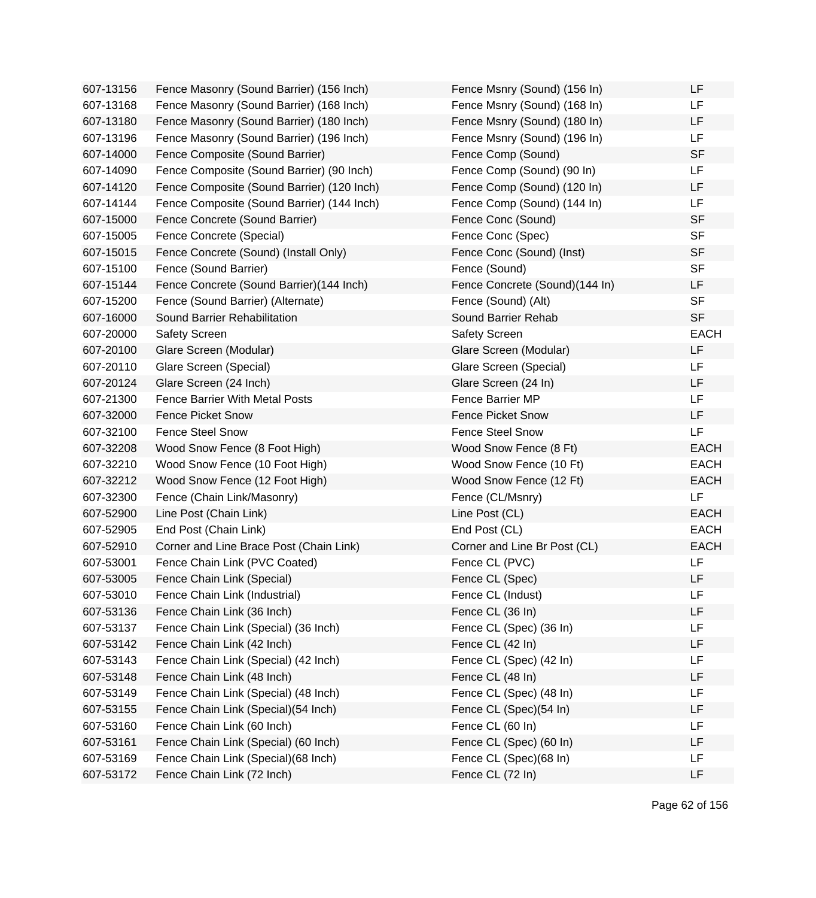| 607-13156 | Fence Masonry (Sound Barrier) (156 Inch)   | Fence Msnry (Sound) (156 In)   | LF          |
|-----------|--------------------------------------------|--------------------------------|-------------|
| 607-13168 | Fence Masonry (Sound Barrier) (168 Inch)   | Fence Msnry (Sound) (168 In)   | LF          |
| 607-13180 | Fence Masonry (Sound Barrier) (180 Inch)   | Fence Msnry (Sound) (180 In)   | LF          |
| 607-13196 | Fence Masonry (Sound Barrier) (196 Inch)   | Fence Msnry (Sound) (196 In)   | LF          |
| 607-14000 | Fence Composite (Sound Barrier)            | Fence Comp (Sound)             | <b>SF</b>   |
| 607-14090 | Fence Composite (Sound Barrier) (90 Inch)  | Fence Comp (Sound) (90 In)     | LF          |
| 607-14120 | Fence Composite (Sound Barrier) (120 Inch) | Fence Comp (Sound) (120 In)    | LF          |
| 607-14144 | Fence Composite (Sound Barrier) (144 Inch) | Fence Comp (Sound) (144 In)    | LF          |
| 607-15000 | Fence Concrete (Sound Barrier)             | Fence Conc (Sound)             | <b>SF</b>   |
| 607-15005 | Fence Concrete (Special)                   | Fence Conc (Spec)              | <b>SF</b>   |
| 607-15015 | Fence Concrete (Sound) (Install Only)      | Fence Conc (Sound) (Inst)      | <b>SF</b>   |
| 607-15100 | Fence (Sound Barrier)                      | Fence (Sound)                  | <b>SF</b>   |
| 607-15144 | Fence Concrete (Sound Barrier)(144 Inch)   | Fence Concrete (Sound)(144 In) | LF          |
| 607-15200 | Fence (Sound Barrier) (Alternate)          | Fence (Sound) (Alt)            | <b>SF</b>   |
| 607-16000 | Sound Barrier Rehabilitation               | Sound Barrier Rehab            | <b>SF</b>   |
| 607-20000 | Safety Screen                              | <b>Safety Screen</b>           | <b>EACH</b> |
| 607-20100 | Glare Screen (Modular)                     | Glare Screen (Modular)         | LF          |
| 607-20110 | Glare Screen (Special)                     | Glare Screen (Special)         | LF          |
| 607-20124 | Glare Screen (24 Inch)                     | Glare Screen (24 In)           | LF          |
| 607-21300 | <b>Fence Barrier With Metal Posts</b>      | Fence Barrier MP               | LF          |
| 607-32000 | <b>Fence Picket Snow</b>                   | <b>Fence Picket Snow</b>       | LF          |
| 607-32100 | <b>Fence Steel Snow</b>                    | <b>Fence Steel Snow</b>        | LF          |
| 607-32208 | Wood Snow Fence (8 Foot High)              | Wood Snow Fence (8 Ft)         | <b>EACH</b> |
| 607-32210 | Wood Snow Fence (10 Foot High)             | Wood Snow Fence (10 Ft)        | <b>EACH</b> |
| 607-32212 | Wood Snow Fence (12 Foot High)             | Wood Snow Fence (12 Ft)        | <b>EACH</b> |
| 607-32300 | Fence (Chain Link/Masonry)                 | Fence (CL/Msnry)               | LF          |
| 607-52900 | Line Post (Chain Link)                     | Line Post (CL)                 | <b>EACH</b> |
| 607-52905 | End Post (Chain Link)                      | End Post (CL)                  | <b>EACH</b> |
| 607-52910 | Corner and Line Brace Post (Chain Link)    | Corner and Line Br Post (CL)   | <b>EACH</b> |
| 607-53001 | Fence Chain Link (PVC Coated)              | Fence CL (PVC)                 | LF          |
| 607-53005 | Fence Chain Link (Special)                 | Fence CL (Spec)                | LF          |
| 607-53010 | Fence Chain Link (Industrial)              | Fence CL (Indust)              | LF          |
| 607-53136 | Fence Chain Link (36 Inch)                 | Fence CL (36 In)               | LF          |
| 607-53137 | Fence Chain Link (Special) (36 Inch)       | Fence CL (Spec) (36 In)        | LF          |
| 607-53142 | Fence Chain Link (42 Inch)                 | Fence CL (42 In)               | LF          |
| 607-53143 | Fence Chain Link (Special) (42 Inch)       | Fence CL (Spec) (42 In)        | LF          |
| 607-53148 | Fence Chain Link (48 Inch)                 | Fence CL (48 In)               | LF          |
| 607-53149 | Fence Chain Link (Special) (48 Inch)       | Fence CL (Spec) (48 In)        | LF          |
| 607-53155 | Fence Chain Link (Special) (54 Inch)       | Fence CL (Spec)(54 In)         | LF          |
| 607-53160 | Fence Chain Link (60 Inch)                 | Fence CL (60 In)               | LF          |
| 607-53161 | Fence Chain Link (Special) (60 Inch)       | Fence CL (Spec) (60 In)        | LF          |
| 607-53169 | Fence Chain Link (Special) (68 Inch)       | Fence CL (Spec)(68 In)         | LF          |
| 607-53172 | Fence Chain Link (72 Inch)                 | Fence CL (72 In)               | LF          |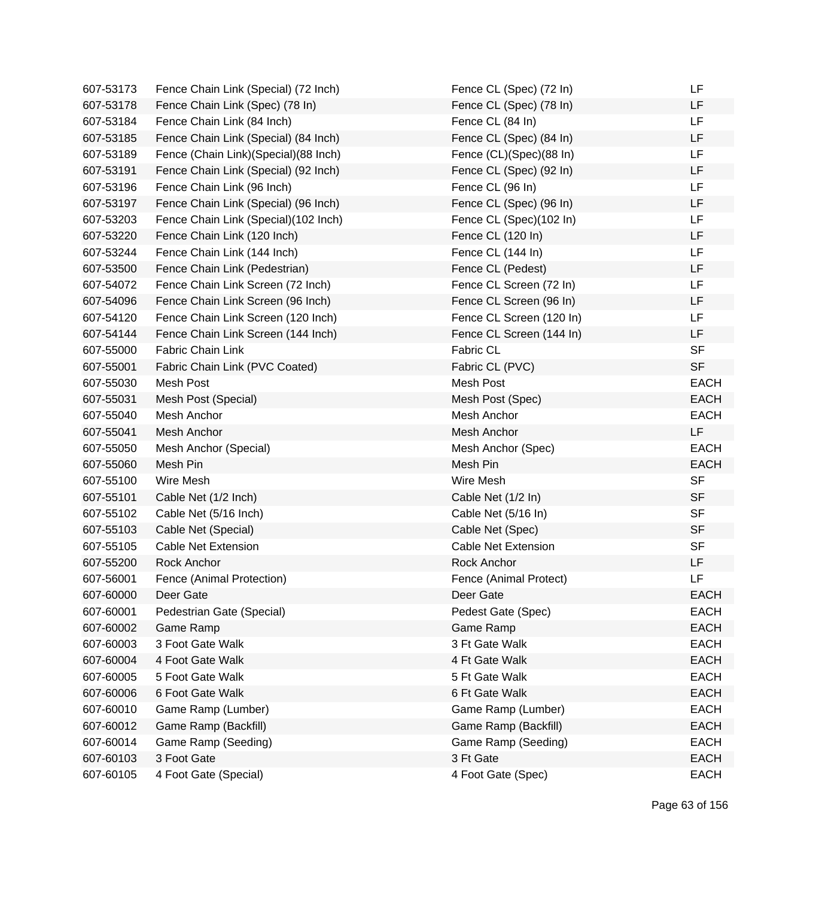| 607-53173 | Fence Chain Link (Special) (72 Inch)   | Fence CL (Spec) (72 In)    | LF          |
|-----------|----------------------------------------|----------------------------|-------------|
| 607-53178 | Fence Chain Link (Spec) (78 In)        | Fence CL (Spec) (78 In)    | LF          |
| 607-53184 | Fence Chain Link (84 Inch)             | Fence CL (84 In)           | LF          |
| 607-53185 | Fence Chain Link (Special) (84 Inch)   | Fence CL (Spec) (84 In)    | LF          |
| 607-53189 | Fence (Chain Link) (Special) (88 Inch) | Fence (CL)(Spec)(88 In)    | LF          |
| 607-53191 | Fence Chain Link (Special) (92 Inch)   | Fence CL (Spec) (92 In)    | LF          |
| 607-53196 | Fence Chain Link (96 Inch)             | Fence CL (96 In)           | <b>LF</b>   |
| 607-53197 | Fence Chain Link (Special) (96 Inch)   | Fence CL (Spec) (96 In)    | <b>LF</b>   |
| 607-53203 | Fence Chain Link (Special)(102 Inch)   | Fence CL (Spec)(102 In)    | LF          |
| 607-53220 | Fence Chain Link (120 Inch)            | Fence CL (120 In)          | LF          |
| 607-53244 | Fence Chain Link (144 Inch)            | Fence CL (144 In)          | <b>LF</b>   |
| 607-53500 | Fence Chain Link (Pedestrian)          | Fence CL (Pedest)          | LF          |
| 607-54072 | Fence Chain Link Screen (72 Inch)      | Fence CL Screen (72 In)    | <b>LF</b>   |
| 607-54096 | Fence Chain Link Screen (96 Inch)      | Fence CL Screen (96 In)    | LF          |
| 607-54120 | Fence Chain Link Screen (120 Inch)     | Fence CL Screen (120 In)   | LF          |
| 607-54144 | Fence Chain Link Screen (144 Inch)     | Fence CL Screen (144 In)   | LF          |
| 607-55000 | Fabric Chain Link                      | <b>Fabric CL</b>           | <b>SF</b>   |
| 607-55001 | Fabric Chain Link (PVC Coated)         | Fabric CL (PVC)            | <b>SF</b>   |
| 607-55030 | Mesh Post                              | Mesh Post                  | <b>EACH</b> |
| 607-55031 | Mesh Post (Special)                    | Mesh Post (Spec)           | <b>EACH</b> |
| 607-55040 | Mesh Anchor                            | Mesh Anchor                | <b>EACH</b> |
| 607-55041 | Mesh Anchor                            | Mesh Anchor                | LF          |
| 607-55050 | Mesh Anchor (Special)                  | Mesh Anchor (Spec)         | <b>EACH</b> |
| 607-55060 | Mesh Pin                               | Mesh Pin                   | <b>EACH</b> |
| 607-55100 | Wire Mesh                              | Wire Mesh                  | <b>SF</b>   |
| 607-55101 | Cable Net (1/2 Inch)                   | Cable Net (1/2 In)         | <b>SF</b>   |
| 607-55102 | Cable Net (5/16 Inch)                  | Cable Net (5/16 In)        | <b>SF</b>   |
| 607-55103 | Cable Net (Special)                    | Cable Net (Spec)           | <b>SF</b>   |
| 607-55105 | <b>Cable Net Extension</b>             | <b>Cable Net Extension</b> | <b>SF</b>   |
| 607-55200 | Rock Anchor                            | <b>Rock Anchor</b>         | LF          |
| 607-56001 | Fence (Animal Protection)              | Fence (Animal Protect)     | <b>LF</b>   |
| 607-60000 | Deer Gate                              | Deer Gate                  | <b>EACH</b> |
| 607-60001 | Pedestrian Gate (Special)              | Pedest Gate (Spec)         | <b>EACH</b> |
| 607-60002 | Game Ramp                              | Game Ramp                  | <b>EACH</b> |
| 607-60003 | 3 Foot Gate Walk                       | 3 Ft Gate Walk             | <b>EACH</b> |
| 607-60004 | 4 Foot Gate Walk                       | 4 Ft Gate Walk             | <b>EACH</b> |
| 607-60005 | 5 Foot Gate Walk                       | 5 Ft Gate Walk             | <b>EACH</b> |
| 607-60006 | 6 Foot Gate Walk                       | 6 Ft Gate Walk             | <b>EACH</b> |
| 607-60010 | Game Ramp (Lumber)                     | Game Ramp (Lumber)         | <b>EACH</b> |
| 607-60012 | Game Ramp (Backfill)                   | Game Ramp (Backfill)       | <b>EACH</b> |
| 607-60014 | Game Ramp (Seeding)                    | Game Ramp (Seeding)        | <b>EACH</b> |
| 607-60103 | 3 Foot Gate                            | 3 Ft Gate                  | <b>EACH</b> |
| 607-60105 | 4 Foot Gate (Special)                  | 4 Foot Gate (Spec)         | <b>EACH</b> |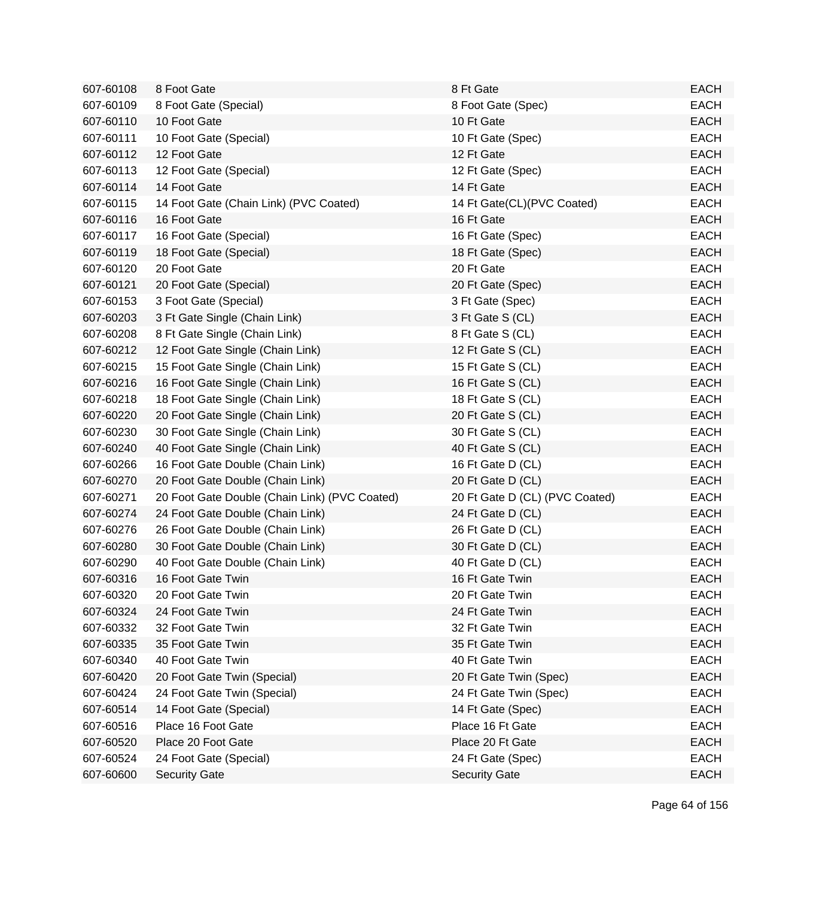| 607-60108 | 8 Foot Gate                                   | 8 Ft Gate                      | <b>EACH</b> |
|-----------|-----------------------------------------------|--------------------------------|-------------|
| 607-60109 | 8 Foot Gate (Special)                         | 8 Foot Gate (Spec)             | <b>EACH</b> |
| 607-60110 | 10 Foot Gate                                  | 10 Ft Gate                     | <b>EACH</b> |
| 607-60111 | 10 Foot Gate (Special)                        | 10 Ft Gate (Spec)              | <b>EACH</b> |
| 607-60112 | 12 Foot Gate                                  | 12 Ft Gate                     | <b>EACH</b> |
| 607-60113 | 12 Foot Gate (Special)                        | 12 Ft Gate (Spec)              | <b>EACH</b> |
| 607-60114 | 14 Foot Gate                                  | 14 Ft Gate                     | <b>EACH</b> |
| 607-60115 | 14 Foot Gate (Chain Link) (PVC Coated)        | 14 Ft Gate(CL)(PVC Coated)     | <b>EACH</b> |
| 607-60116 | 16 Foot Gate                                  | 16 Ft Gate                     | <b>EACH</b> |
| 607-60117 | 16 Foot Gate (Special)                        | 16 Ft Gate (Spec)              | <b>EACH</b> |
| 607-60119 | 18 Foot Gate (Special)                        | 18 Ft Gate (Spec)              | <b>EACH</b> |
| 607-60120 | 20 Foot Gate                                  | 20 Ft Gate                     | <b>EACH</b> |
| 607-60121 | 20 Foot Gate (Special)                        | 20 Ft Gate (Spec)              | <b>EACH</b> |
| 607-60153 | 3 Foot Gate (Special)                         | 3 Ft Gate (Spec)               | <b>EACH</b> |
| 607-60203 | 3 Ft Gate Single (Chain Link)                 | 3 Ft Gate S (CL)               | <b>EACH</b> |
| 607-60208 | 8 Ft Gate Single (Chain Link)                 | 8 Ft Gate S (CL)               | <b>EACH</b> |
| 607-60212 | 12 Foot Gate Single (Chain Link)              | 12 Ft Gate S (CL)              | <b>EACH</b> |
| 607-60215 | 15 Foot Gate Single (Chain Link)              | 15 Ft Gate S (CL)              | <b>EACH</b> |
| 607-60216 | 16 Foot Gate Single (Chain Link)              | 16 Ft Gate S (CL)              | <b>EACH</b> |
| 607-60218 | 18 Foot Gate Single (Chain Link)              | 18 Ft Gate S (CL)              | <b>EACH</b> |
| 607-60220 | 20 Foot Gate Single (Chain Link)              | 20 Ft Gate S (CL)              | <b>EACH</b> |
| 607-60230 | 30 Foot Gate Single (Chain Link)              | 30 Ft Gate S (CL)              | <b>EACH</b> |
| 607-60240 | 40 Foot Gate Single (Chain Link)              | 40 Ft Gate S (CL)              | <b>EACH</b> |
| 607-60266 | 16 Foot Gate Double (Chain Link)              | 16 Ft Gate D (CL)              | <b>EACH</b> |
| 607-60270 | 20 Foot Gate Double (Chain Link)              | 20 Ft Gate D (CL)              | <b>EACH</b> |
| 607-60271 | 20 Foot Gate Double (Chain Link) (PVC Coated) | 20 Ft Gate D (CL) (PVC Coated) | <b>EACH</b> |
| 607-60274 | 24 Foot Gate Double (Chain Link)              | 24 Ft Gate D (CL)              | <b>EACH</b> |
| 607-60276 | 26 Foot Gate Double (Chain Link)              | 26 Ft Gate D (CL)              | <b>EACH</b> |
| 607-60280 | 30 Foot Gate Double (Chain Link)              | 30 Ft Gate D (CL)              | <b>EACH</b> |
| 607-60290 | 40 Foot Gate Double (Chain Link)              | 40 Ft Gate D (CL)              | <b>EACH</b> |
| 607-60316 | 16 Foot Gate Twin                             | 16 Ft Gate Twin                | <b>EACH</b> |
| 607-60320 | 20 Foot Gate Twin                             | 20 Ft Gate Twin                | EACH        |
| 607-60324 | 24 Foot Gate Twin                             | 24 Ft Gate Twin                | <b>EACH</b> |
| 607-60332 | 32 Foot Gate Twin                             | 32 Ft Gate Twin                | <b>EACH</b> |
| 607-60335 | 35 Foot Gate Twin                             | 35 Ft Gate Twin                | <b>EACH</b> |
| 607-60340 | 40 Foot Gate Twin                             | 40 Ft Gate Twin                | <b>EACH</b> |
| 607-60420 | 20 Foot Gate Twin (Special)                   | 20 Ft Gate Twin (Spec)         | <b>EACH</b> |
| 607-60424 | 24 Foot Gate Twin (Special)                   | 24 Ft Gate Twin (Spec)         | <b>EACH</b> |
| 607-60514 | 14 Foot Gate (Special)                        | 14 Ft Gate (Spec)              | <b>EACH</b> |
| 607-60516 | Place 16 Foot Gate                            | Place 16 Ft Gate               | <b>EACH</b> |
| 607-60520 | Place 20 Foot Gate                            | Place 20 Ft Gate               | <b>EACH</b> |
| 607-60524 | 24 Foot Gate (Special)                        | 24 Ft Gate (Spec)              | <b>EACH</b> |
| 607-60600 | <b>Security Gate</b>                          | <b>Security Gate</b>           | <b>EACH</b> |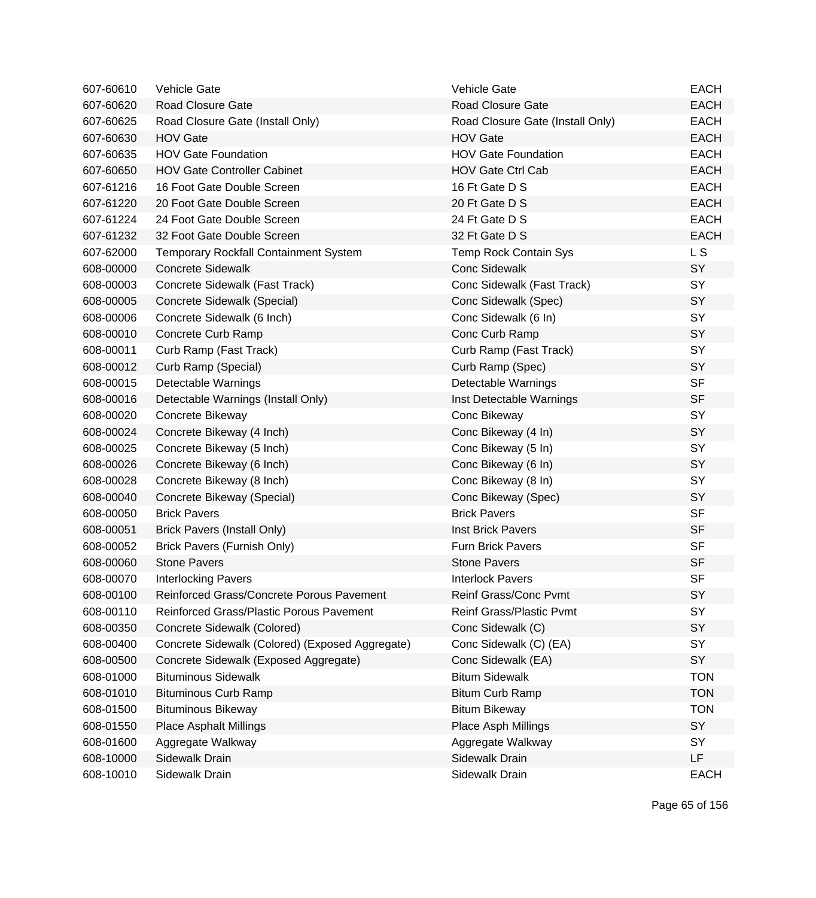| 607-60610 | <b>Vehicle Gate</b>                             | <b>Vehicle Gate</b>              | <b>EACH</b>    |
|-----------|-------------------------------------------------|----------------------------------|----------------|
| 607-60620 | Road Closure Gate                               | <b>Road Closure Gate</b>         | <b>EACH</b>    |
| 607-60625 | Road Closure Gate (Install Only)                | Road Closure Gate (Install Only) | <b>EACH</b>    |
| 607-60630 | <b>HOV Gate</b>                                 | <b>HOV Gate</b>                  | <b>EACH</b>    |
| 607-60635 | <b>HOV Gate Foundation</b>                      | <b>HOV Gate Foundation</b>       | <b>EACH</b>    |
| 607-60650 | <b>HOV Gate Controller Cabinet</b>              | <b>HOV Gate Ctrl Cab</b>         | <b>EACH</b>    |
| 607-61216 | 16 Foot Gate Double Screen                      | 16 Ft Gate D S                   | <b>EACH</b>    |
| 607-61220 | 20 Foot Gate Double Screen                      | 20 Ft Gate D S                   | <b>EACH</b>    |
| 607-61224 | 24 Foot Gate Double Screen                      | 24 Ft Gate D S                   | <b>EACH</b>    |
| 607-61232 | 32 Foot Gate Double Screen                      | 32 Ft Gate D S                   | <b>EACH</b>    |
| 607-62000 | Temporary Rockfall Containment System           | Temp Rock Contain Sys            | L <sub>S</sub> |
| 608-00000 | <b>Concrete Sidewalk</b>                        | <b>Conc Sidewalk</b>             | SY             |
| 608-00003 | Concrete Sidewalk (Fast Track)                  | Conc Sidewalk (Fast Track)       | SY             |
| 608-00005 | Concrete Sidewalk (Special)                     | Conc Sidewalk (Spec)             | SY             |
| 608-00006 | Concrete Sidewalk (6 Inch)                      | Conc Sidewalk (6 In)             | SY             |
| 608-00010 | Concrete Curb Ramp                              | Conc Curb Ramp                   | SY             |
| 608-00011 | Curb Ramp (Fast Track)                          | Curb Ramp (Fast Track)           | SY             |
| 608-00012 | Curb Ramp (Special)                             | Curb Ramp (Spec)                 | SY             |
| 608-00015 | Detectable Warnings                             | Detectable Warnings              | <b>SF</b>      |
| 608-00016 | Detectable Warnings (Install Only)              | Inst Detectable Warnings         | <b>SF</b>      |
| 608-00020 | Concrete Bikeway                                | Conc Bikeway                     | SY             |
| 608-00024 | Concrete Bikeway (4 Inch)                       | Conc Bikeway (4 In)              | SY             |
| 608-00025 | Concrete Bikeway (5 Inch)                       | Conc Bikeway (5 In)              | SY             |
| 608-00026 | Concrete Bikeway (6 Inch)                       | Conc Bikeway (6 In)              | SY             |
| 608-00028 | Concrete Bikeway (8 Inch)                       | Conc Bikeway (8 In)              | SY             |
| 608-00040 | Concrete Bikeway (Special)                      | Conc Bikeway (Spec)              | SY             |
| 608-00050 | <b>Brick Pavers</b>                             | <b>Brick Pavers</b>              | <b>SF</b>      |
| 608-00051 | <b>Brick Pavers (Install Only)</b>              | Inst Brick Pavers                | <b>SF</b>      |
| 608-00052 | Brick Pavers (Furnish Only)                     | <b>Furn Brick Pavers</b>         | <b>SF</b>      |
| 608-00060 | <b>Stone Pavers</b>                             | <b>Stone Pavers</b>              | <b>SF</b>      |
| 608-00070 | <b>Interlocking Pavers</b>                      | <b>Interlock Pavers</b>          | <b>SF</b>      |
| 608-00100 | Reinforced Grass/Concrete Porous Pavement       | Reinf Grass/Conc Pvmt            | SY             |
| 608-00110 | Reinforced Grass/Plastic Porous Pavement        | Reinf Grass/Plastic Pvmt         | SY             |
| 608-00350 | Concrete Sidewalk (Colored)                     | Conc Sidewalk (C)                | SY             |
| 608-00400 | Concrete Sidewalk (Colored) (Exposed Aggregate) | Conc Sidewalk (C) (EA)           | SY             |
| 608-00500 | Concrete Sidewalk (Exposed Aggregate)           | Conc Sidewalk (EA)               | SY             |
| 608-01000 | <b>Bituminous Sidewalk</b>                      | <b>Bitum Sidewalk</b>            | <b>TON</b>     |
| 608-01010 | <b>Bituminous Curb Ramp</b>                     | <b>Bitum Curb Ramp</b>           | <b>TON</b>     |
| 608-01500 | <b>Bituminous Bikeway</b>                       | <b>Bitum Bikeway</b>             | <b>TON</b>     |
| 608-01550 | <b>Place Asphalt Millings</b>                   | Place Asph Millings              | SY             |
| 608-01600 | Aggregate Walkway                               | Aggregate Walkway                | SY             |
| 608-10000 | Sidewalk Drain                                  | Sidewalk Drain                   | LF             |
| 608-10010 | Sidewalk Drain                                  | Sidewalk Drain                   | <b>EACH</b>    |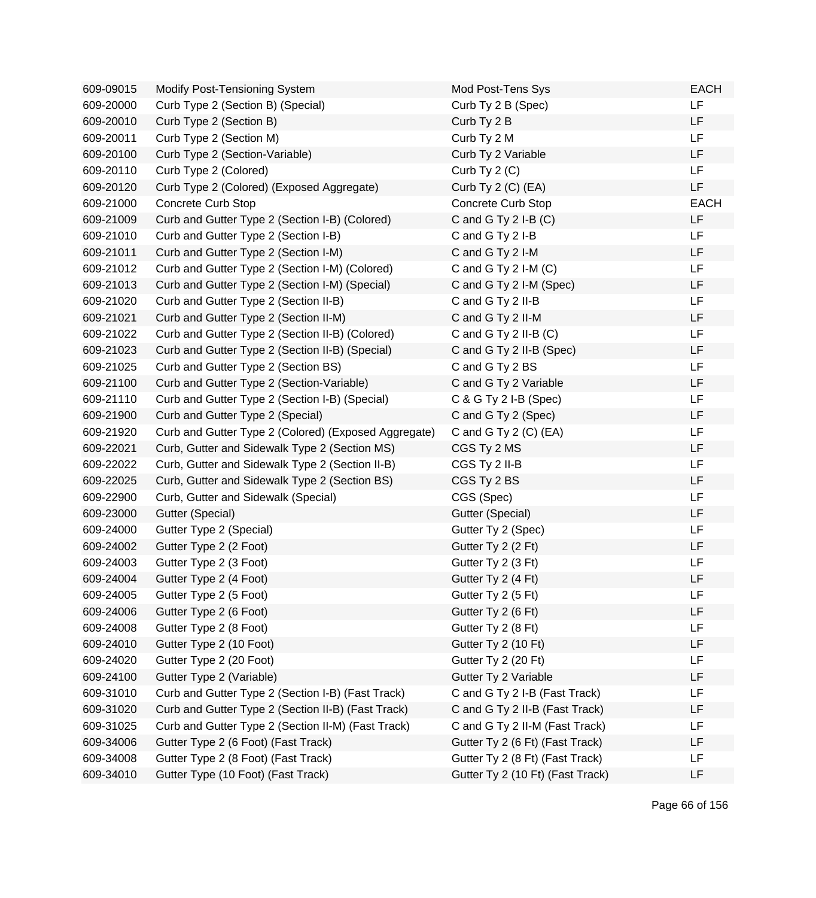| 609-09015 | Modify Post-Tensioning System                        | Mod Post-Tens Sys                | <b>EACH</b> |
|-----------|------------------------------------------------------|----------------------------------|-------------|
| 609-20000 | Curb Type 2 (Section B) (Special)                    | Curb Ty 2 B (Spec)               | LF          |
| 609-20010 | Curb Type 2 (Section B)                              | Curb Ty 2 B                      | LF          |
| 609-20011 | Curb Type 2 (Section M)                              | Curb Ty 2 M                      | LF          |
| 609-20100 | Curb Type 2 (Section-Variable)                       | Curb Ty 2 Variable               | LF          |
| 609-20110 | Curb Type 2 (Colored)                                | Curb Ty 2 (C)                    | LF          |
| 609-20120 | Curb Type 2 (Colored) (Exposed Aggregate)            | Curb Ty $2$ (C) (EA)             | LF          |
| 609-21000 | <b>Concrete Curb Stop</b>                            | Concrete Curb Stop               | <b>EACH</b> |
| 609-21009 | Curb and Gutter Type 2 (Section I-B) (Colored)       | C and G Ty 2 I-B (C)             | LF          |
| 609-21010 | Curb and Gutter Type 2 (Section I-B)                 | C and G Ty 2 I-B                 | LF          |
| 609-21011 | Curb and Gutter Type 2 (Section I-M)                 | C and G Ty 2 I-M                 | LF          |
| 609-21012 | Curb and Gutter Type 2 (Section I-M) (Colored)       | C and G Ty 2 I-M (C)             | <b>LF</b>   |
| 609-21013 | Curb and Gutter Type 2 (Section I-M) (Special)       | C and G Ty 2 I-M (Spec)          | LF          |
| 609-21020 | Curb and Gutter Type 2 (Section II-B)                | C and G Ty 2 II-B                | LF          |
| 609-21021 | Curb and Gutter Type 2 (Section II-M)                | C and G Ty 2 II-M                | LF          |
| 609-21022 | Curb and Gutter Type 2 (Section II-B) (Colored)      | C and G Ty $2$ II-B $(C)$        | LF          |
| 609-21023 | Curb and Gutter Type 2 (Section II-B) (Special)      | C and G Ty 2 II-B (Spec)         | LF          |
| 609-21025 | Curb and Gutter Type 2 (Section BS)                  | C and G Ty 2 BS                  | LF          |
| 609-21100 | Curb and Gutter Type 2 (Section-Variable)            | C and G Ty 2 Variable            | LF          |
| 609-21110 | Curb and Gutter Type 2 (Section I-B) (Special)       | C & G Ty 2 I-B (Spec)            | LF          |
| 609-21900 | Curb and Gutter Type 2 (Special)                     | C and G Ty 2 (Spec)              | LF          |
| 609-21920 | Curb and Gutter Type 2 (Colored) (Exposed Aggregate) | C and G Ty $2$ (C) (EA)          | <b>LF</b>   |
| 609-22021 | Curb, Gutter and Sidewalk Type 2 (Section MS)        | CGS Ty 2 MS                      | LF          |
| 609-22022 | Curb, Gutter and Sidewalk Type 2 (Section II-B)      | CGS Ty 2 II-B                    | LF          |
| 609-22025 | Curb, Gutter and Sidewalk Type 2 (Section BS)        | CGS Ty 2 BS                      | LF          |
| 609-22900 | Curb, Gutter and Sidewalk (Special)                  | CGS (Spec)                       | LF          |
| 609-23000 | Gutter (Special)                                     | Gutter (Special)                 | LF          |
| 609-24000 | Gutter Type 2 (Special)                              | Gutter Ty 2 (Spec)               | LF          |
| 609-24002 | Gutter Type 2 (2 Foot)                               | Gutter Ty 2 (2 Ft)               | LF          |
| 609-24003 | Gutter Type 2 (3 Foot)                               | Gutter Ty 2 (3 Ft)               | LF          |
| 609-24004 | Gutter Type 2 (4 Foot)                               | Gutter Ty 2 (4 Ft)               | LF          |
| 609-24005 | Gutter Type 2 (5 Foot)                               | Gutter Ty 2 (5 Ft)               | LF          |
| 609-24006 | Gutter Type 2 (6 Foot)                               | Gutter Ty 2 (6 Ft)               | LF          |
| 609-24008 | Gutter Type 2 (8 Foot)                               | Gutter Ty 2 (8 Ft)               | LF          |
| 609-24010 | Gutter Type 2 (10 Foot)                              | Gutter Ty 2 (10 Ft)              | LF          |
| 609-24020 | Gutter Type 2 (20 Foot)                              | Gutter Ty 2 (20 Ft)              | LF          |
| 609-24100 | Gutter Type 2 (Variable)                             | Gutter Ty 2 Variable             | LF          |
| 609-31010 | Curb and Gutter Type 2 (Section I-B) (Fast Track)    | C and G Ty 2 I-B (Fast Track)    | <b>LF</b>   |
| 609-31020 | Curb and Gutter Type 2 (Section II-B) (Fast Track)   | C and G Ty 2 II-B (Fast Track)   | LF          |
| 609-31025 | Curb and Gutter Type 2 (Section II-M) (Fast Track)   | C and G Ty 2 II-M (Fast Track)   | LF          |
| 609-34006 | Gutter Type 2 (6 Foot) (Fast Track)                  | Gutter Ty 2 (6 Ft) (Fast Track)  | LF          |
| 609-34008 | Gutter Type 2 (8 Foot) (Fast Track)                  | Gutter Ty 2 (8 Ft) (Fast Track)  | LF          |
| 609-34010 | Gutter Type (10 Foot) (Fast Track)                   | Gutter Ty 2 (10 Ft) (Fast Track) | LF          |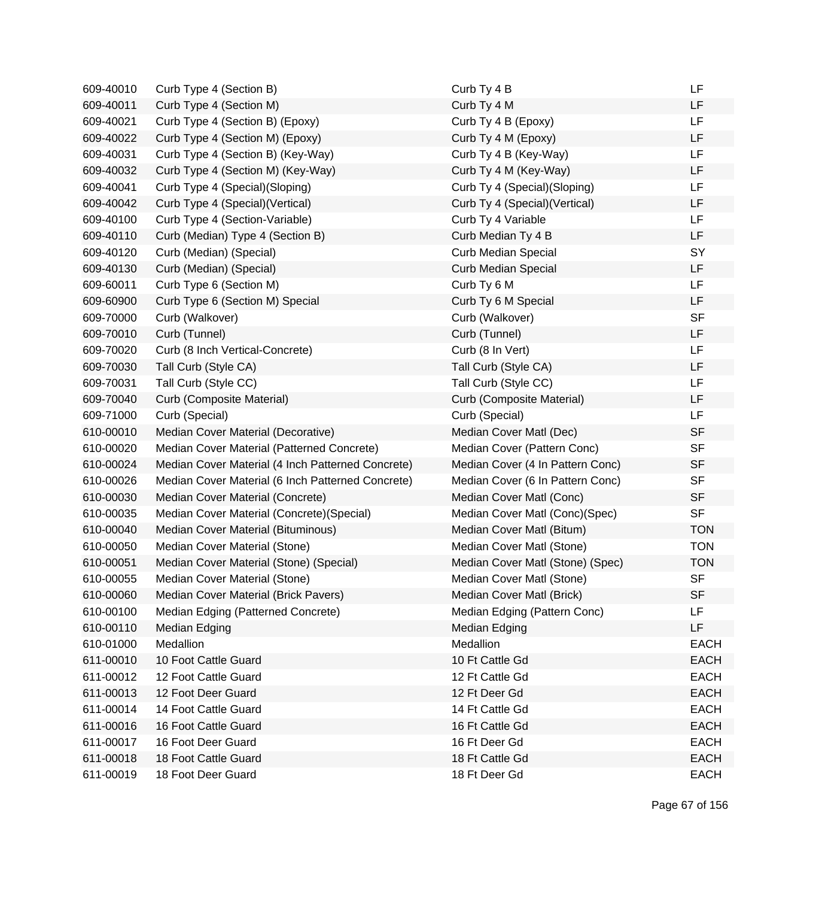| 609-40010 | Curb Type 4 (Section B)                           | Curb Ty 4 B                      | LF          |
|-----------|---------------------------------------------------|----------------------------------|-------------|
| 609-40011 | Curb Type 4 (Section M)                           | Curb Ty 4 M                      | LF          |
| 609-40021 | Curb Type 4 (Section B) (Epoxy)                   | Curb Ty 4 B (Epoxy)              | LF          |
| 609-40022 | Curb Type 4 (Section M) (Epoxy)                   | Curb Ty 4 M (Epoxy)              | LF          |
| 609-40031 | Curb Type 4 (Section B) (Key-Way)                 | Curb Ty 4 B (Key-Way)            | <b>LF</b>   |
| 609-40032 | Curb Type 4 (Section M) (Key-Way)                 | Curb Ty 4 M (Key-Way)            | LF          |
| 609-40041 | Curb Type 4 (Special) (Sloping)                   | Curb Ty 4 (Special)(Sloping)     | LF          |
| 609-40042 | Curb Type 4 (Special) (Vertical)                  | Curb Ty 4 (Special) (Vertical)   | LF          |
| 609-40100 | Curb Type 4 (Section-Variable)                    | Curb Ty 4 Variable               | LF          |
| 609-40110 | Curb (Median) Type 4 (Section B)                  | Curb Median Ty 4 B               | <b>LF</b>   |
| 609-40120 | Curb (Median) (Special)                           | <b>Curb Median Special</b>       | SY          |
| 609-40130 | Curb (Median) (Special)                           | <b>Curb Median Special</b>       | LF          |
| 609-60011 | Curb Type 6 (Section M)                           | Curb Ty 6 M                      | LF          |
| 609-60900 | Curb Type 6 (Section M) Special                   | Curb Ty 6 M Special              | LF          |
| 609-70000 | Curb (Walkover)                                   | Curb (Walkover)                  | <b>SF</b>   |
| 609-70010 | Curb (Tunnel)                                     | Curb (Tunnel)                    | LF          |
| 609-70020 | Curb (8 Inch Vertical-Concrete)                   | Curb (8 In Vert)                 | <b>LF</b>   |
| 609-70030 | Tall Curb (Style CA)                              | Tall Curb (Style CA)             | <b>LF</b>   |
| 609-70031 | Tall Curb (Style CC)                              | Tall Curb (Style CC)             | LF          |
| 609-70040 | Curb (Composite Material)                         | Curb (Composite Material)        | LF          |
| 609-71000 | Curb (Special)                                    | Curb (Special)                   | <b>LF</b>   |
| 610-00010 | Median Cover Material (Decorative)                | Median Cover Matl (Dec)          | <b>SF</b>   |
| 610-00020 | Median Cover Material (Patterned Concrete)        | Median Cover (Pattern Conc)      | <b>SF</b>   |
| 610-00024 | Median Cover Material (4 Inch Patterned Concrete) | Median Cover (4 In Pattern Conc) | <b>SF</b>   |
| 610-00026 | Median Cover Material (6 Inch Patterned Concrete) | Median Cover (6 In Pattern Conc) | <b>SF</b>   |
| 610-00030 | Median Cover Material (Concrete)                  | Median Cover Matl (Conc)         | <b>SF</b>   |
| 610-00035 | Median Cover Material (Concrete) (Special)        | Median Cover Matl (Conc)(Spec)   | <b>SF</b>   |
| 610-00040 | Median Cover Material (Bituminous)                | Median Cover Matl (Bitum)        | <b>TON</b>  |
| 610-00050 | Median Cover Material (Stone)                     | Median Cover Matl (Stone)        | <b>TON</b>  |
| 610-00051 | Median Cover Material (Stone) (Special)           | Median Cover Matl (Stone) (Spec) | <b>TON</b>  |
| 610-00055 | Median Cover Material (Stone)                     | Median Cover Matl (Stone)        | <b>SF</b>   |
| 610-00060 | Median Cover Material (Brick Pavers)              | Median Cover Matl (Brick)        | SF          |
| 610-00100 | Median Edging (Patterned Concrete)                | Median Edging (Pattern Conc)     | LF          |
| 610-00110 | Median Edging                                     | Median Edging                    | LF          |
| 610-01000 | Medallion                                         | Medallion                        | <b>EACH</b> |
| 611-00010 | 10 Foot Cattle Guard                              | 10 Ft Cattle Gd                  | <b>EACH</b> |
| 611-00012 | 12 Foot Cattle Guard                              | 12 Ft Cattle Gd                  | <b>EACH</b> |
| 611-00013 | 12 Foot Deer Guard                                | 12 Ft Deer Gd                    | <b>EACH</b> |
| 611-00014 | 14 Foot Cattle Guard                              | 14 Ft Cattle Gd                  | <b>EACH</b> |
| 611-00016 | 16 Foot Cattle Guard                              | 16 Ft Cattle Gd                  | <b>EACH</b> |
| 611-00017 | 16 Foot Deer Guard                                | 16 Ft Deer Gd                    | <b>EACH</b> |
| 611-00018 | 18 Foot Cattle Guard                              | 18 Ft Cattle Gd                  | <b>EACH</b> |
| 611-00019 | 18 Foot Deer Guard                                | 18 Ft Deer Gd                    | <b>EACH</b> |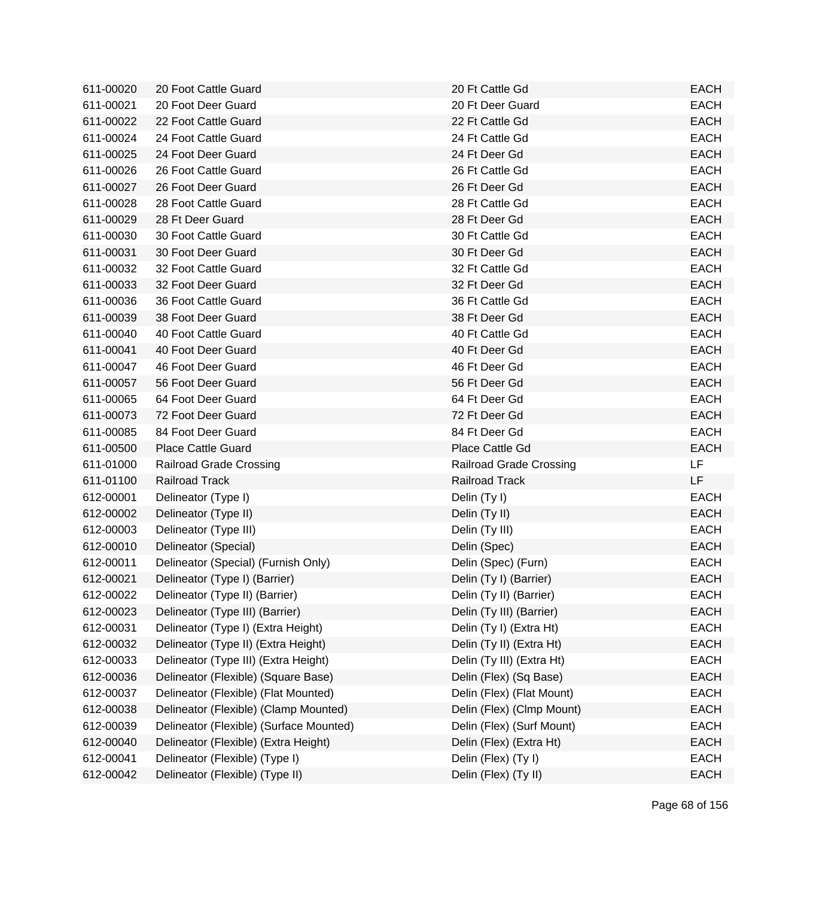| 611-00020 | 20 Foot Cattle Guard                    | 20 Ft Cattle Gd                | <b>EACH</b> |
|-----------|-----------------------------------------|--------------------------------|-------------|
| 611-00021 | 20 Foot Deer Guard                      | 20 Ft Deer Guard               | <b>EACH</b> |
| 611-00022 | 22 Foot Cattle Guard                    | 22 Ft Cattle Gd                | <b>EACH</b> |
| 611-00024 | 24 Foot Cattle Guard                    | 24 Ft Cattle Gd                | <b>EACH</b> |
| 611-00025 | 24 Foot Deer Guard                      | 24 Ft Deer Gd                  | <b>EACH</b> |
| 611-00026 | 26 Foot Cattle Guard                    | 26 Ft Cattle Gd                | <b>EACH</b> |
| 611-00027 | 26 Foot Deer Guard                      | 26 Ft Deer Gd                  | <b>EACH</b> |
| 611-00028 | 28 Foot Cattle Guard                    | 28 Ft Cattle Gd                | <b>EACH</b> |
| 611-00029 | 28 Ft Deer Guard                        | 28 Ft Deer Gd                  | <b>EACH</b> |
| 611-00030 | 30 Foot Cattle Guard                    | 30 Ft Cattle Gd                | <b>EACH</b> |
| 611-00031 | 30 Foot Deer Guard                      | 30 Ft Deer Gd                  | <b>EACH</b> |
| 611-00032 | 32 Foot Cattle Guard                    | 32 Ft Cattle Gd                | <b>EACH</b> |
| 611-00033 | 32 Foot Deer Guard                      | 32 Ft Deer Gd                  | <b>EACH</b> |
| 611-00036 | 36 Foot Cattle Guard                    | 36 Ft Cattle Gd                | <b>EACH</b> |
| 611-00039 | 38 Foot Deer Guard                      | 38 Ft Deer Gd                  | <b>EACH</b> |
| 611-00040 | 40 Foot Cattle Guard                    | 40 Ft Cattle Gd                | <b>EACH</b> |
| 611-00041 | 40 Foot Deer Guard                      | 40 Ft Deer Gd                  | <b>EACH</b> |
| 611-00047 | 46 Foot Deer Guard                      | 46 Ft Deer Gd                  | <b>EACH</b> |
| 611-00057 | 56 Foot Deer Guard                      | 56 Ft Deer Gd                  | <b>EACH</b> |
| 611-00065 | 64 Foot Deer Guard                      | 64 Ft Deer Gd                  | <b>EACH</b> |
| 611-00073 | 72 Foot Deer Guard                      | 72 Ft Deer Gd                  | <b>EACH</b> |
| 611-00085 | 84 Foot Deer Guard                      | 84 Ft Deer Gd                  | <b>EACH</b> |
| 611-00500 | <b>Place Cattle Guard</b>               | Place Cattle Gd                | <b>EACH</b> |
| 611-01000 | <b>Railroad Grade Crossing</b>          | <b>Railroad Grade Crossing</b> | LF.         |
| 611-01100 | Railroad Track                          | Railroad Track                 | LF          |
| 612-00001 | Delineator (Type I)                     | Delin (Ty I)                   | <b>EACH</b> |
| 612-00002 | Delineator (Type II)                    | Delin (Ty II)                  | <b>EACH</b> |
| 612-00003 | Delineator (Type III)                   | Delin (Ty III)                 | <b>EACH</b> |
| 612-00010 | Delineator (Special)                    | Delin (Spec)                   | <b>EACH</b> |
| 612-00011 | Delineator (Special) (Furnish Only)     | Delin (Spec) (Furn)            | <b>EACH</b> |
| 612-00021 | Delineator (Type I) (Barrier)           | Delin (Ty I) (Barrier)         | <b>EACH</b> |
| 612-00022 | Delineator (Type II) (Barrier)          | Delin (Ty II) (Barrier)        | EACH        |
| 612-00023 | Delineator (Type III) (Barrier)         | Delin (Ty III) (Barrier)       | <b>EACH</b> |
| 612-00031 | Delineator (Type I) (Extra Height)      | Delin (Ty I) (Extra Ht)        | <b>EACH</b> |
| 612-00032 | Delineator (Type II) (Extra Height)     | Delin (Ty II) (Extra Ht)       | <b>EACH</b> |
| 612-00033 | Delineator (Type III) (Extra Height)    | Delin (Ty III) (Extra Ht)      | <b>EACH</b> |
| 612-00036 | Delineator (Flexible) (Square Base)     | Delin (Flex) (Sq Base)         | <b>EACH</b> |
| 612-00037 | Delineator (Flexible) (Flat Mounted)    | Delin (Flex) (Flat Mount)      | <b>EACH</b> |
| 612-00038 | Delineator (Flexible) (Clamp Mounted)   | Delin (Flex) (Clmp Mount)      | <b>EACH</b> |
| 612-00039 | Delineator (Flexible) (Surface Mounted) | Delin (Flex) (Surf Mount)      | <b>EACH</b> |
| 612-00040 | Delineator (Flexible) (Extra Height)    | Delin (Flex) (Extra Ht)        | <b>EACH</b> |
| 612-00041 | Delineator (Flexible) (Type I)          | Delin (Flex) (Ty I)            | <b>EACH</b> |
| 612-00042 | Delineator (Flexible) (Type II)         | Delin (Flex) (Ty II)           | <b>EACH</b> |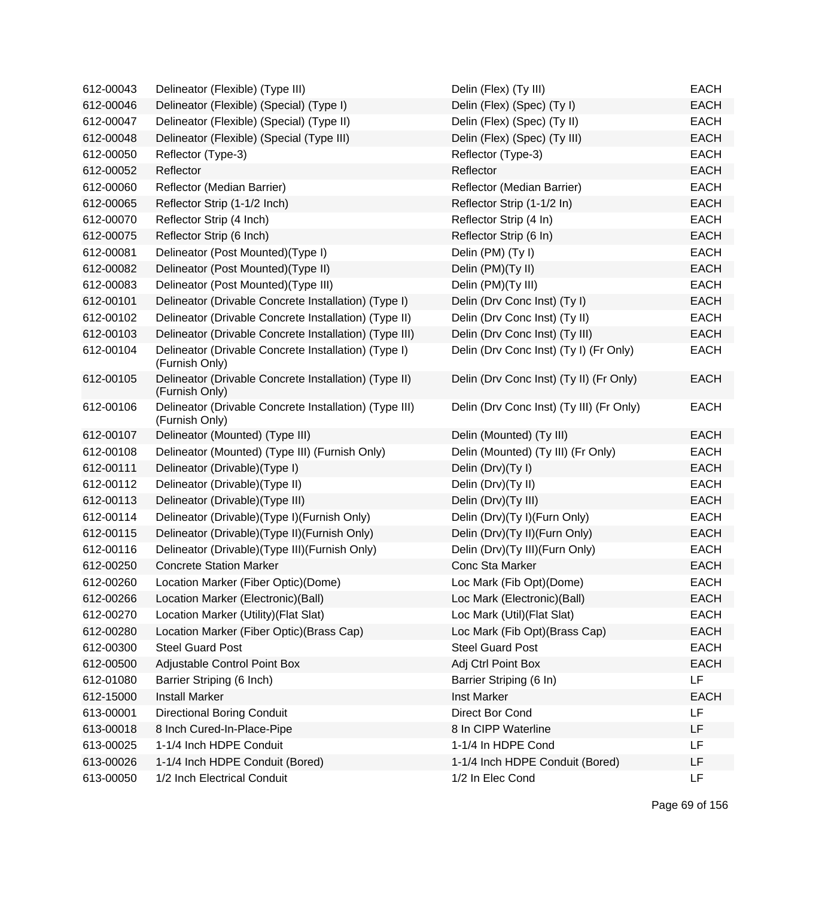| 612-00043 | Delineator (Flexible) (Type III)                                         | Delin (Flex) (Ty III)                    | <b>EACH</b> |
|-----------|--------------------------------------------------------------------------|------------------------------------------|-------------|
| 612-00046 | Delineator (Flexible) (Special) (Type I)                                 | Delin (Flex) (Spec) (Ty I)               | <b>EACH</b> |
| 612-00047 | Delineator (Flexible) (Special) (Type II)                                | Delin (Flex) (Spec) (Ty II)              | <b>EACH</b> |
| 612-00048 | Delineator (Flexible) (Special (Type III)                                | Delin (Flex) (Spec) (Ty III)             | <b>EACH</b> |
| 612-00050 | Reflector (Type-3)                                                       | Reflector (Type-3)                       | <b>EACH</b> |
| 612-00052 | Reflector                                                                | Reflector                                | <b>EACH</b> |
| 612-00060 | Reflector (Median Barrier)                                               | Reflector (Median Barrier)               | <b>EACH</b> |
| 612-00065 | Reflector Strip (1-1/2 Inch)                                             | Reflector Strip (1-1/2 In)               | <b>EACH</b> |
| 612-00070 | Reflector Strip (4 Inch)                                                 | Reflector Strip (4 In)                   | <b>EACH</b> |
| 612-00075 | Reflector Strip (6 Inch)                                                 | Reflector Strip (6 In)                   | <b>EACH</b> |
| 612-00081 | Delineator (Post Mounted)(Type I)                                        | Delin (PM) (Ty I)                        | <b>EACH</b> |
| 612-00082 | Delineator (Post Mounted)(Type II)                                       | Delin (PM)(Ty II)                        | <b>EACH</b> |
| 612-00083 | Delineator (Post Mounted)(Type III)                                      | Delin (PM)(Ty III)                       | <b>EACH</b> |
| 612-00101 | Delineator (Drivable Concrete Installation) (Type I)                     | Delin (Drv Conc Inst) (Ty I)             | <b>EACH</b> |
| 612-00102 | Delineator (Drivable Concrete Installation) (Type II)                    | Delin (Drv Conc Inst) (Ty II)            | <b>EACH</b> |
| 612-00103 | Delineator (Drivable Concrete Installation) (Type III)                   | Delin (Drv Conc Inst) (Ty III)           | <b>EACH</b> |
| 612-00104 | Delineator (Drivable Concrete Installation) (Type I)<br>(Furnish Only)   | Delin (Drv Conc Inst) (Ty I) (Fr Only)   | <b>EACH</b> |
| 612-00105 | Delineator (Drivable Concrete Installation) (Type II)<br>(Furnish Only)  | Delin (Drv Conc Inst) (Ty II) (Fr Only)  | <b>EACH</b> |
| 612-00106 | Delineator (Drivable Concrete Installation) (Type III)<br>(Furnish Only) | Delin (Drv Conc Inst) (Ty III) (Fr Only) | <b>EACH</b> |
| 612-00107 | Delineator (Mounted) (Type III)                                          | Delin (Mounted) (Ty III)                 | <b>EACH</b> |
| 612-00108 | Delineator (Mounted) (Type III) (Furnish Only)                           | Delin (Mounted) (Ty III) (Fr Only)       | <b>EACH</b> |
| 612-00111 | Delineator (Drivable)(Type I)                                            | Delin (Drv)(Ty I)                        | <b>EACH</b> |
| 612-00112 | Delineator (Drivable) (Type II)                                          | Delin (Drv)(Ty II)                       | <b>EACH</b> |
| 612-00113 | Delineator (Drivable) (Type III)                                         | Delin (Drv)(Ty III)                      | <b>EACH</b> |
| 612-00114 | Delineator (Drivable)(Type I)(Furnish Only)                              | Delin (Drv)(Ty I)(Furn Only)             | <b>EACH</b> |
| 612-00115 | Delineator (Drivable) (Type II) (Furnish Only)                           | Delin (Drv)(Ty II)(Furn Only)            | <b>EACH</b> |
| 612-00116 | Delineator (Drivable) (Type III) (Furnish Only)                          | Delin (Drv)(Ty III)(Furn Only)           | <b>EACH</b> |
| 612-00250 | <b>Concrete Station Marker</b>                                           | Conc Sta Marker                          | <b>EACH</b> |
| 612-00260 | Location Marker (Fiber Optic)(Dome)                                      | Loc Mark (Fib Opt)(Dome)                 | <b>EACH</b> |
| 612-00266 | Location Marker (Electronic)(Ball)                                       | Loc Mark (Electronic)(Ball)              | <b>EACH</b> |
| 612-00270 | Location Marker (Utility) (Flat Slat)                                    | Loc Mark (Util) (Flat Slat)              | <b>EACH</b> |
| 612-00280 | Location Marker (Fiber Optic)(Brass Cap)                                 | Loc Mark (Fib Opt)(Brass Cap)            | <b>EACH</b> |
| 612-00300 | <b>Steel Guard Post</b>                                                  | <b>Steel Guard Post</b>                  | <b>EACH</b> |
| 612-00500 | Adjustable Control Point Box                                             | Adj Ctrl Point Box                       | <b>EACH</b> |
| 612-01080 | Barrier Striping (6 Inch)                                                | Barrier Striping (6 In)                  | LF          |
| 612-15000 | <b>Install Marker</b>                                                    | <b>Inst Marker</b>                       | <b>EACH</b> |
| 613-00001 | <b>Directional Boring Conduit</b>                                        | Direct Bor Cond                          | LF          |
| 613-00018 | 8 Inch Cured-In-Place-Pipe                                               | 8 In CIPP Waterline                      | LF          |
| 613-00025 | 1-1/4 Inch HDPE Conduit                                                  | 1-1/4 In HDPE Cond                       | LF          |
| 613-00026 | 1-1/4 Inch HDPE Conduit (Bored)                                          | 1-1/4 Inch HDPE Conduit (Bored)          | LF          |
| 613-00050 | 1/2 Inch Electrical Conduit                                              | 1/2 In Elec Cond                         | LF          |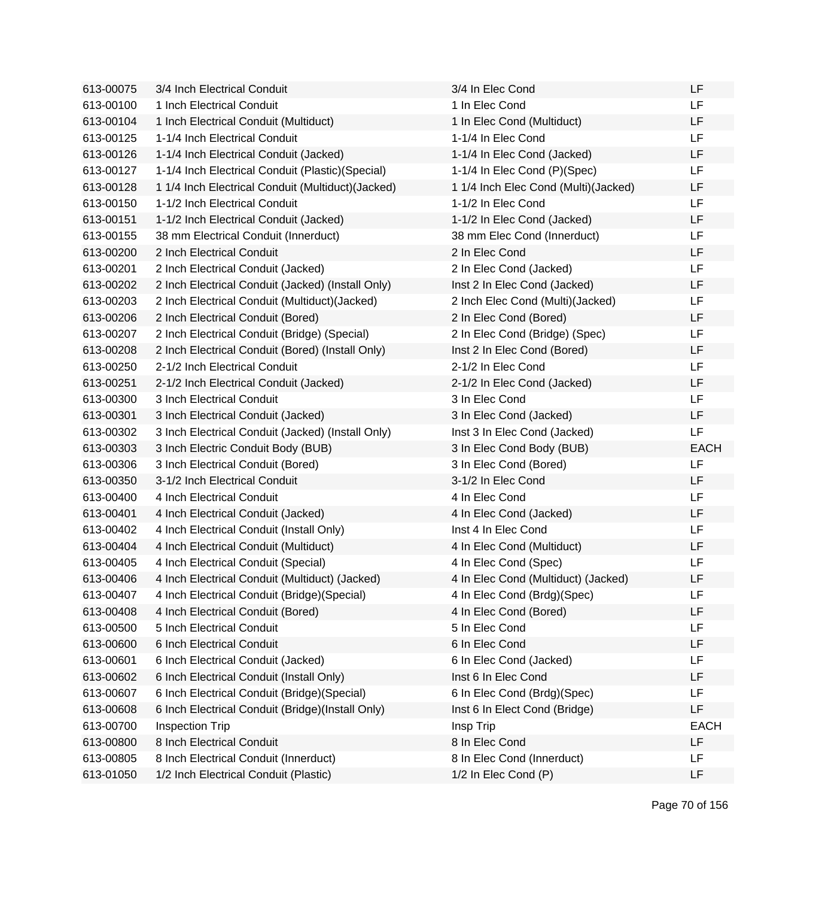| 613-00075 | 3/4 Inch Electrical Conduit                        | 3/4 In Elec Cond                     | LF          |
|-----------|----------------------------------------------------|--------------------------------------|-------------|
| 613-00100 | 1 Inch Electrical Conduit                          | 1 In Elec Cond                       | LF          |
| 613-00104 | 1 Inch Electrical Conduit (Multiduct)              | 1 In Elec Cond (Multiduct)           | LF          |
| 613-00125 | 1-1/4 Inch Electrical Conduit                      | 1-1/4 In Elec Cond                   | LF          |
| 613-00126 | 1-1/4 Inch Electrical Conduit (Jacked)             | 1-1/4 In Elec Cond (Jacked)          | LF          |
| 613-00127 | 1-1/4 Inch Electrical Conduit (Plastic) (Special)  | 1-1/4 In Elec Cond (P)(Spec)         | LF          |
| 613-00128 | 1 1/4 Inch Electrical Conduit (Multiduct) (Jacked) | 1 1/4 Inch Elec Cond (Multi)(Jacked) | LF          |
| 613-00150 | 1-1/2 Inch Electrical Conduit                      | 1-1/2 In Elec Cond                   | LF          |
| 613-00151 | 1-1/2 Inch Electrical Conduit (Jacked)             | 1-1/2 In Elec Cond (Jacked)          | LF          |
| 613-00155 | 38 mm Electrical Conduit (Innerduct)               | 38 mm Elec Cond (Innerduct)          | LF          |
| 613-00200 | 2 Inch Electrical Conduit                          | 2 In Elec Cond                       | LF          |
| 613-00201 | 2 Inch Electrical Conduit (Jacked)                 | 2 In Elec Cond (Jacked)              | LF          |
| 613-00202 | 2 Inch Electrical Conduit (Jacked) (Install Only)  | Inst 2 In Elec Cond (Jacked)         | LF          |
| 613-00203 | 2 Inch Electrical Conduit (Multiduct) (Jacked)     | 2 Inch Elec Cond (Multi)(Jacked)     | LF          |
| 613-00206 | 2 Inch Electrical Conduit (Bored)                  | 2 In Elec Cond (Bored)               | LF          |
| 613-00207 | 2 Inch Electrical Conduit (Bridge) (Special)       | 2 In Elec Cond (Bridge) (Spec)       | LF          |
| 613-00208 | 2 Inch Electrical Conduit (Bored) (Install Only)   | Inst 2 In Elec Cond (Bored)          | LF          |
| 613-00250 | 2-1/2 Inch Electrical Conduit                      | 2-1/2 In Elec Cond                   | LF          |
| 613-00251 | 2-1/2 Inch Electrical Conduit (Jacked)             | 2-1/2 In Elec Cond (Jacked)          | LF          |
| 613-00300 | 3 Inch Electrical Conduit                          | 3 In Elec Cond                       | LF          |
| 613-00301 | 3 Inch Electrical Conduit (Jacked)                 | 3 In Elec Cond (Jacked)              | LF          |
| 613-00302 | 3 Inch Electrical Conduit (Jacked) (Install Only)  | Inst 3 In Elec Cond (Jacked)         | LF          |
| 613-00303 | 3 Inch Electric Conduit Body (BUB)                 | 3 In Elec Cond Body (BUB)            | <b>EACH</b> |
| 613-00306 | 3 Inch Electrical Conduit (Bored)                  | 3 In Elec Cond (Bored)               | LF          |
| 613-00350 | 3-1/2 Inch Electrical Conduit                      | 3-1/2 In Elec Cond                   | LF          |
| 613-00400 | 4 Inch Electrical Conduit                          | 4 In Elec Cond                       | LF          |
| 613-00401 | 4 Inch Electrical Conduit (Jacked)                 | 4 In Elec Cond (Jacked)              | LF          |
| 613-00402 | 4 Inch Electrical Conduit (Install Only)           | Inst 4 In Elec Cond                  | LF          |
| 613-00404 | 4 Inch Electrical Conduit (Multiduct)              | 4 In Elec Cond (Multiduct)           | LF          |
| 613-00405 | 4 Inch Electrical Conduit (Special)                | 4 In Elec Cond (Spec)                | LF          |
| 613-00406 | 4 Inch Electrical Conduit (Multiduct) (Jacked)     | 4 In Elec Cond (Multiduct) (Jacked)  | LF          |
| 613-00407 | 4 Inch Electrical Conduit (Bridge)(Special)        | 4 In Elec Cond (Brdg)(Spec)          | LF          |
| 613-00408 | 4 Inch Electrical Conduit (Bored)                  | 4 In Elec Cond (Bored)               | LF          |
| 613-00500 | 5 Inch Electrical Conduit                          | 5 In Elec Cond                       | LF          |
| 613-00600 | 6 Inch Electrical Conduit                          | 6 In Elec Cond                       | LF          |
| 613-00601 | 6 Inch Electrical Conduit (Jacked)                 | 6 In Elec Cond (Jacked)              | LF          |
| 613-00602 | 6 Inch Electrical Conduit (Install Only)           | Inst 6 In Elec Cond                  | LF          |
| 613-00607 | 6 Inch Electrical Conduit (Bridge) (Special)       | 6 In Elec Cond (Brdg)(Spec)          | LF          |
| 613-00608 | 6 Inch Electrical Conduit (Bridge)(Install Only)   | Inst 6 In Elect Cond (Bridge)        | LF          |
| 613-00700 | <b>Inspection Trip</b>                             | Insp Trip                            | <b>EACH</b> |
| 613-00800 | 8 Inch Electrical Conduit                          | 8 In Elec Cond                       | LF          |
| 613-00805 | 8 Inch Electrical Conduit (Innerduct)              | 8 In Elec Cond (Innerduct)           | LF          |
| 613-01050 | 1/2 Inch Electrical Conduit (Plastic)              | 1/2 In Elec Cond (P)                 | LF          |
|           |                                                    |                                      |             |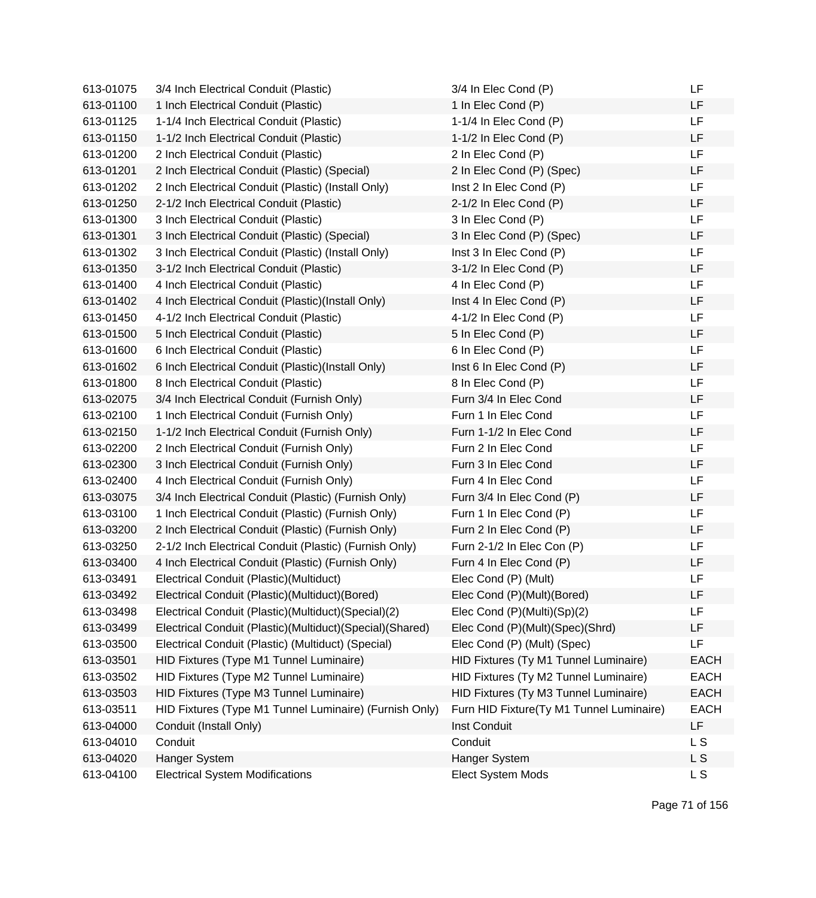| 613-01075 | 3/4 Inch Electrical Conduit (Plastic)                    | 3/4 In Elec Cond (P)                     | LF          |
|-----------|----------------------------------------------------------|------------------------------------------|-------------|
| 613-01100 | 1 Inch Electrical Conduit (Plastic)                      | 1 In Elec Cond (P)                       | LF          |
| 613-01125 | 1-1/4 Inch Electrical Conduit (Plastic)                  | 1-1/4 In Elec Cond (P)                   | <b>LF</b>   |
| 613-01150 | 1-1/2 Inch Electrical Conduit (Plastic)                  | 1-1/2 In Elec Cond (P)                   | LF          |
| 613-01200 | 2 Inch Electrical Conduit (Plastic)                      | 2 In Elec Cond (P)                       | LF          |
| 613-01201 | 2 Inch Electrical Conduit (Plastic) (Special)            | 2 In Elec Cond (P) (Spec)                | LF          |
| 613-01202 | 2 Inch Electrical Conduit (Plastic) (Install Only)       | Inst 2 In Elec Cond (P)                  | LF          |
| 613-01250 | 2-1/2 Inch Electrical Conduit (Plastic)                  | 2-1/2 In Elec Cond (P)                   | LF          |
| 613-01300 | 3 Inch Electrical Conduit (Plastic)                      | 3 In Elec Cond (P)                       | LF.         |
| 613-01301 | 3 Inch Electrical Conduit (Plastic) (Special)            | 3 In Elec Cond (P) (Spec)                | LF          |
| 613-01302 | 3 Inch Electrical Conduit (Plastic) (Install Only)       | Inst 3 In Elec Cond (P)                  | LF.         |
| 613-01350 | 3-1/2 Inch Electrical Conduit (Plastic)                  | 3-1/2 In Elec Cond (P)                   | LF          |
| 613-01400 | 4 Inch Electrical Conduit (Plastic)                      | 4 In Elec Cond (P)                       | LF          |
| 613-01402 | 4 Inch Electrical Conduit (Plastic)(Install Only)        | Inst 4 In Elec Cond (P)                  | LF          |
| 613-01450 | 4-1/2 Inch Electrical Conduit (Plastic)                  | 4-1/2 In Elec Cond (P)                   | LF          |
| 613-01500 | 5 Inch Electrical Conduit (Plastic)                      | 5 In Elec Cond (P)                       | LF          |
| 613-01600 | 6 Inch Electrical Conduit (Plastic)                      | 6 In Elec Cond (P)                       | LF          |
| 613-01602 | 6 Inch Electrical Conduit (Plastic)(Install Only)        | Inst 6 In Elec Cond (P)                  | <b>LF</b>   |
| 613-01800 | 8 Inch Electrical Conduit (Plastic)                      | 8 In Elec Cond (P)                       | LF          |
| 613-02075 | 3/4 Inch Electrical Conduit (Furnish Only)               | Furn 3/4 In Elec Cond                    | LF          |
| 613-02100 | 1 Inch Electrical Conduit (Furnish Only)                 | Furn 1 In Elec Cond                      | LF.         |
| 613-02150 | 1-1/2 Inch Electrical Conduit (Furnish Only)             | Furn 1-1/2 In Elec Cond                  | LF          |
| 613-02200 | 2 Inch Electrical Conduit (Furnish Only)                 | Furn 2 In Elec Cond                      | LF          |
| 613-02300 | 3 Inch Electrical Conduit (Furnish Only)                 | Furn 3 In Elec Cond                      | LF          |
| 613-02400 | 4 Inch Electrical Conduit (Furnish Only)                 | Furn 4 In Elec Cond                      | LF          |
| 613-03075 | 3/4 Inch Electrical Conduit (Plastic) (Furnish Only)     | Furn 3/4 In Elec Cond (P)                | LF          |
| 613-03100 | 1 Inch Electrical Conduit (Plastic) (Furnish Only)       | Furn 1 In Elec Cond (P)                  | LF          |
| 613-03200 | 2 Inch Electrical Conduit (Plastic) (Furnish Only)       | Furn 2 In Elec Cond (P)                  | LF          |
| 613-03250 | 2-1/2 Inch Electrical Conduit (Plastic) (Furnish Only)   | Furn 2-1/2 In Elec Con (P)               | LF          |
| 613-03400 | 4 Inch Electrical Conduit (Plastic) (Furnish Only)       | Furn 4 In Elec Cond (P)                  | LF          |
| 613-03491 | Electrical Conduit (Plastic) (Multiduct)                 | Elec Cond (P) (Mult)                     | LF          |
| 613-03492 | Electrical Conduit (Plastic)(Multiduct)(Bored)           | Elec Cond (P)(Mult)(Bored)               | LF          |
| 613-03498 | Electrical Conduit (Plastic)(Multiduct)(Special)(2)      | Elec Cond (P)(Multi)(Sp)(2)              | LF          |
| 613-03499 | Electrical Conduit (Plastic)(Multiduct)(Special)(Shared) | Elec Cond (P)(Mult)(Spec)(Shrd)          | LF          |
| 613-03500 | Electrical Conduit (Plastic) (Multiduct) (Special)       | Elec Cond (P) (Mult) (Spec)              | LF          |
| 613-03501 | HID Fixtures (Type M1 Tunnel Luminaire)                  | HID Fixtures (Ty M1 Tunnel Luminaire)    | <b>EACH</b> |
| 613-03502 | HID Fixtures (Type M2 Tunnel Luminaire)                  | HID Fixtures (Ty M2 Tunnel Luminaire)    | <b>EACH</b> |
| 613-03503 | HID Fixtures (Type M3 Tunnel Luminaire)                  | HID Fixtures (Ty M3 Tunnel Luminaire)    | <b>EACH</b> |
| 613-03511 | HID Fixtures (Type M1 Tunnel Luminaire) (Furnish Only)   | Furn HID Fixture(Ty M1 Tunnel Luminaire) | <b>EACH</b> |
| 613-04000 | Conduit (Install Only)                                   | Inst Conduit                             | LF          |
| 613-04010 | Conduit                                                  | Conduit                                  | L S         |
| 613-04020 | Hanger System                                            | Hanger System                            | L S         |
| 613-04100 | <b>Electrical System Modifications</b>                   | Elect System Mods                        | L S         |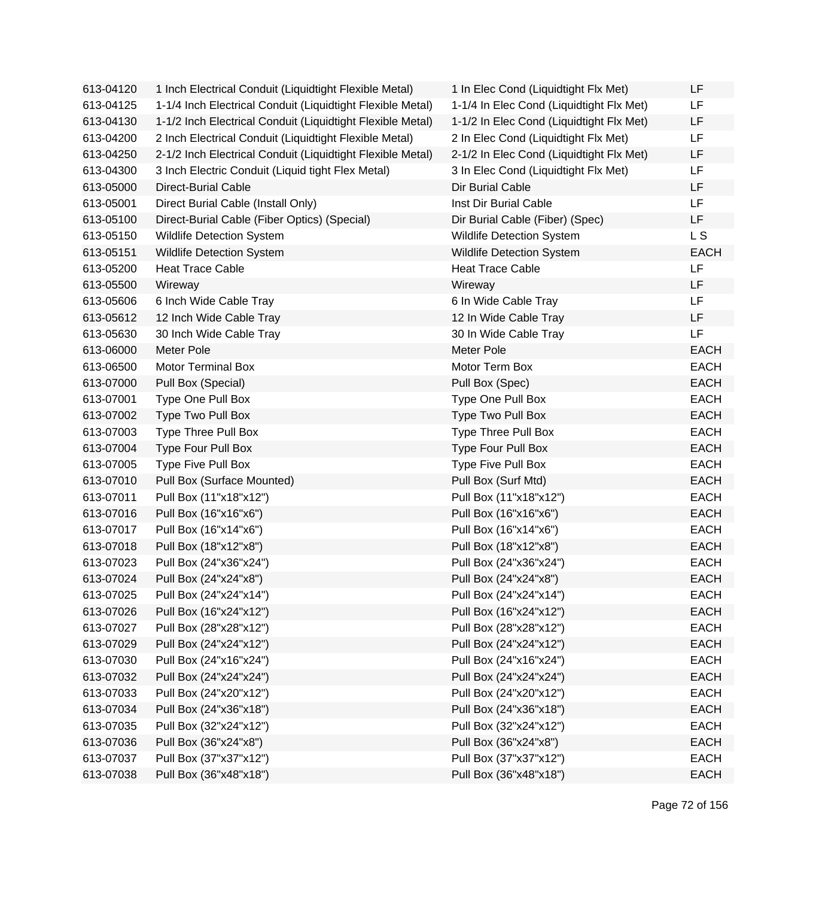| 613-04120 | 1 Inch Electrical Conduit (Liquidtight Flexible Metal)     | 1 In Elec Cond (Liquidtight Flx Met)     | LF          |
|-----------|------------------------------------------------------------|------------------------------------------|-------------|
| 613-04125 | 1-1/4 Inch Electrical Conduit (Liquidtight Flexible Metal) | 1-1/4 In Elec Cond (Liquidtight Flx Met) | LF          |
| 613-04130 | 1-1/2 Inch Electrical Conduit (Liquidtight Flexible Metal) | 1-1/2 In Elec Cond (Liquidtight Flx Met) | LF          |
| 613-04200 | 2 Inch Electrical Conduit (Liquidtight Flexible Metal)     | 2 In Elec Cond (Liquidtight Flx Met)     | LF          |
| 613-04250 | 2-1/2 Inch Electrical Conduit (Liquidtight Flexible Metal) | 2-1/2 In Elec Cond (Liquidtight Flx Met) | LF          |
| 613-04300 | 3 Inch Electric Conduit (Liquid tight Flex Metal)          | 3 In Elec Cond (Liquidtight Flx Met)     | LF          |
| 613-05000 | <b>Direct-Burial Cable</b>                                 | Dir Burial Cable                         | LF          |
| 613-05001 | Direct Burial Cable (Install Only)                         | Inst Dir Burial Cable                    | LF          |
| 613-05100 | Direct-Burial Cable (Fiber Optics) (Special)               | Dir Burial Cable (Fiber) (Spec)          | LF          |
| 613-05150 | <b>Wildlife Detection System</b>                           | <b>Wildlife Detection System</b>         | L S         |
| 613-05151 | <b>Wildlife Detection System</b>                           | Wildlife Detection System                | <b>EACH</b> |
| 613-05200 | <b>Heat Trace Cable</b>                                    | <b>Heat Trace Cable</b>                  | LF          |
| 613-05500 | Wireway                                                    | Wireway                                  | LF          |
| 613-05606 | 6 Inch Wide Cable Tray                                     | 6 In Wide Cable Tray                     | LF          |
| 613-05612 | 12 Inch Wide Cable Tray                                    | 12 In Wide Cable Tray                    | LF          |
| 613-05630 | 30 Inch Wide Cable Tray                                    | 30 In Wide Cable Tray                    | LF          |
| 613-06000 | <b>Meter Pole</b>                                          | <b>Meter Pole</b>                        | <b>EACH</b> |
| 613-06500 | <b>Motor Terminal Box</b>                                  | Motor Term Box                           | <b>EACH</b> |
| 613-07000 | Pull Box (Special)                                         | Pull Box (Spec)                          | <b>EACH</b> |
| 613-07001 | Type One Pull Box                                          | Type One Pull Box                        | <b>EACH</b> |
| 613-07002 | Type Two Pull Box                                          | Type Two Pull Box                        | <b>EACH</b> |
| 613-07003 | Type Three Pull Box                                        | Type Three Pull Box                      | <b>EACH</b> |
| 613-07004 | <b>Type Four Pull Box</b>                                  | <b>Type Four Pull Box</b>                | <b>EACH</b> |
| 613-07005 | Type Five Pull Box                                         | Type Five Pull Box                       | <b>EACH</b> |
| 613-07010 | Pull Box (Surface Mounted)                                 | Pull Box (Surf Mtd)                      | <b>EACH</b> |
| 613-07011 | Pull Box (11"x18"x12")                                     | Pull Box (11"x18"x12")                   | <b>EACH</b> |
| 613-07016 | Pull Box (16"x16"x6")                                      | Pull Box (16"x16"x6")                    | <b>EACH</b> |
| 613-07017 | Pull Box (16"x14"x6")                                      | Pull Box (16"x14"x6")                    | EACH        |
| 613-07018 | Pull Box (18"x12"x8")                                      | Pull Box (18"x12"x8")                    | <b>EACH</b> |
| 613-07023 | Pull Box (24"x36"x24")                                     | Pull Box (24"x36"x24")                   | <b>EACH</b> |
| 613-07024 | Pull Box (24"x24"x8")                                      | Pull Box (24"x24"x8")                    | <b>EACH</b> |
| 613-07025 | Pull Box (24"x24"x14")                                     | Pull Box (24"x24"x14")                   | EACH        |
| 613-07026 | Pull Box (16"x24"x12")                                     | Pull Box (16"x24"x12")                   | <b>EACH</b> |
| 613-07027 | Pull Box (28"x28"x12")                                     | Pull Box (28"x28"x12")                   | <b>EACH</b> |
| 613-07029 | Pull Box (24"x24"x12")                                     | Pull Box (24"x24"x12")                   | <b>EACH</b> |
| 613-07030 | Pull Box (24"x16"x24")                                     | Pull Box (24"x16"x24")                   | <b>EACH</b> |
| 613-07032 | Pull Box (24"x24"x24")                                     | Pull Box (24"x24"x24")                   | <b>EACH</b> |
| 613-07033 | Pull Box (24"x20"x12")                                     | Pull Box (24"x20"x12")                   | <b>EACH</b> |
| 613-07034 | Pull Box (24"x36"x18")                                     | Pull Box (24"x36"x18")                   | <b>EACH</b> |
| 613-07035 | Pull Box (32"x24"x12")                                     | Pull Box (32"x24"x12")                   | <b>EACH</b> |
| 613-07036 | Pull Box (36"x24"x8")                                      | Pull Box (36"x24"x8")                    | <b>EACH</b> |
| 613-07037 | Pull Box (37"x37"x12")                                     | Pull Box (37"x37"x12")                   | <b>EACH</b> |
| 613-07038 | Pull Box (36"x48"x18")                                     | Pull Box (36"x48"x18")                   | <b>EACH</b> |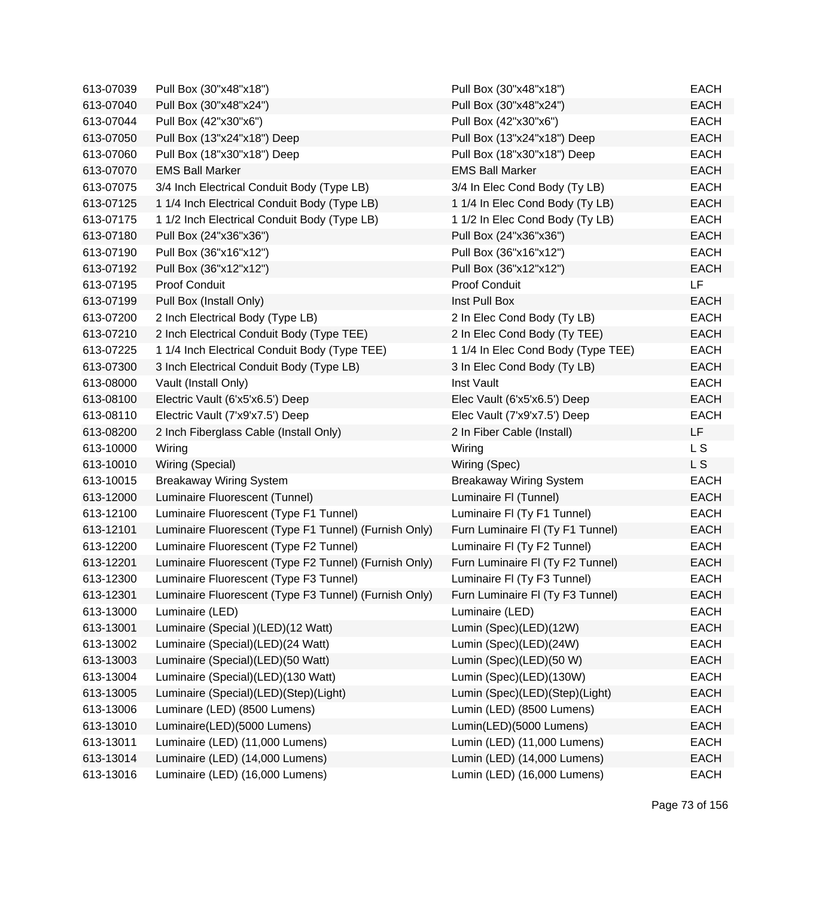| 613-07039 | Pull Box (30"x48"x18")                                | Pull Box (30"x48"x18")             | <b>EACH</b>    |
|-----------|-------------------------------------------------------|------------------------------------|----------------|
| 613-07040 | Pull Box (30"x48"x24")                                | Pull Box (30"x48"x24")             | <b>EACH</b>    |
| 613-07044 | Pull Box (42"x30"x6")                                 | Pull Box (42"x30"x6")              | <b>EACH</b>    |
| 613-07050 | Pull Box (13"x24"x18") Deep                           | Pull Box (13"x24"x18") Deep        | <b>EACH</b>    |
| 613-07060 | Pull Box (18"x30"x18") Deep                           | Pull Box (18"x30"x18") Deep        | <b>EACH</b>    |
| 613-07070 | <b>EMS Ball Marker</b>                                | <b>EMS Ball Marker</b>             | <b>EACH</b>    |
| 613-07075 | 3/4 Inch Electrical Conduit Body (Type LB)            | 3/4 In Elec Cond Body (Ty LB)      | <b>EACH</b>    |
| 613-07125 | 1 1/4 Inch Electrical Conduit Body (Type LB)          | 1 1/4 In Elec Cond Body (Ty LB)    | <b>EACH</b>    |
| 613-07175 | 1 1/2 Inch Electrical Conduit Body (Type LB)          | 1 1/2 In Elec Cond Body (Ty LB)    | <b>EACH</b>    |
| 613-07180 | Pull Box (24"x36"x36")                                | Pull Box (24"x36"x36")             | <b>EACH</b>    |
| 613-07190 | Pull Box (36"x16"x12")                                | Pull Box (36"x16"x12")             | <b>EACH</b>    |
| 613-07192 | Pull Box (36"x12"x12")                                | Pull Box (36"x12"x12")             | <b>EACH</b>    |
| 613-07195 | Proof Conduit                                         | Proof Conduit                      | LF             |
| 613-07199 | Pull Box (Install Only)                               | Inst Pull Box                      | <b>EACH</b>    |
| 613-07200 | 2 Inch Electrical Body (Type LB)                      | 2 In Elec Cond Body (Ty LB)        | <b>EACH</b>    |
| 613-07210 | 2 Inch Electrical Conduit Body (Type TEE)             | 2 In Elec Cond Body (Ty TEE)       | <b>EACH</b>    |
| 613-07225 | 1 1/4 Inch Electrical Conduit Body (Type TEE)         | 1 1/4 In Elec Cond Body (Type TEE) | <b>EACH</b>    |
| 613-07300 | 3 Inch Electrical Conduit Body (Type LB)              | 3 In Elec Cond Body (Ty LB)        | <b>EACH</b>    |
| 613-08000 | Vault (Install Only)                                  | Inst Vault                         | <b>EACH</b>    |
| 613-08100 | Electric Vault (6'x5'x6.5') Deep                      | Elec Vault (6'x5'x6.5') Deep       | <b>EACH</b>    |
| 613-08110 | Electric Vault (7'x9'x7.5') Deep                      | Elec Vault (7'x9'x7.5') Deep       | <b>EACH</b>    |
| 613-08200 | 2 Inch Fiberglass Cable (Install Only)                | 2 In Fiber Cable (Install)         | LF             |
| 613-10000 | Wiring                                                | Wiring                             | L <sub>S</sub> |
| 613-10010 | Wiring (Special)                                      | Wiring (Spec)                      | L S            |
| 613-10015 | <b>Breakaway Wiring System</b>                        | <b>Breakaway Wiring System</b>     | <b>EACH</b>    |
| 613-12000 | Luminaire Fluorescent (Tunnel)                        | Luminaire FI (Tunnel)              | <b>EACH</b>    |
| 613-12100 | Luminaire Fluorescent (Type F1 Tunnel)                | Luminaire FI (Ty F1 Tunnel)        | <b>EACH</b>    |
| 613-12101 | Luminaire Fluorescent (Type F1 Tunnel) (Furnish Only) | Furn Luminaire FI (Ty F1 Tunnel)   | <b>EACH</b>    |
| 613-12200 | Luminaire Fluorescent (Type F2 Tunnel)                | Luminaire FI (Ty F2 Tunnel)        | <b>EACH</b>    |
| 613-12201 | Luminaire Fluorescent (Type F2 Tunnel) (Furnish Only) | Furn Luminaire FI (Ty F2 Tunnel)   | <b>EACH</b>    |
| 613-12300 | Luminaire Fluorescent (Type F3 Tunnel)                | Luminaire FI (Ty F3 Tunnel)        | <b>EACH</b>    |
| 613-12301 | Luminaire Fluorescent (Type F3 Tunnel) (Furnish Only) | Furn Luminaire FI (Ty F3 Tunnel)   | <b>EACH</b>    |
| 613-13000 | Luminaire (LED)                                       | Luminaire (LED)                    | <b>EACH</b>    |
| 613-13001 | Luminaire (Special) (LED) (12 Watt)                   | Lumin (Spec)(LED)(12W)             | <b>EACH</b>    |
| 613-13002 | Luminaire (Special)(LED)(24 Watt)                     | Lumin (Spec)(LED)(24W)             | <b>EACH</b>    |
| 613-13003 | Luminaire (Special)(LED)(50 Watt)                     | Lumin (Spec)(LED)(50 W)            | <b>EACH</b>    |
| 613-13004 | Luminaire (Special)(LED)(130 Watt)                    | Lumin (Spec)(LED)(130W)            | <b>EACH</b>    |
| 613-13005 | Luminaire (Special)(LED)(Step)(Light)                 | Lumin (Spec)(LED)(Step)(Light)     | <b>EACH</b>    |
| 613-13006 | Luminare (LED) (8500 Lumens)                          | Lumin (LED) (8500 Lumens)          | <b>EACH</b>    |
| 613-13010 | Luminaire(LED)(5000 Lumens)                           | Lumin(LED)(5000 Lumens)            | <b>EACH</b>    |
| 613-13011 | Luminaire (LED) (11,000 Lumens)                       | Lumin (LED) (11,000 Lumens)        | <b>EACH</b>    |
| 613-13014 | Luminaire (LED) (14,000 Lumens)                       | Lumin (LED) (14,000 Lumens)        | <b>EACH</b>    |
| 613-13016 | Luminaire (LED) (16,000 Lumens)                       | Lumin (LED) (16,000 Lumens)        | EACH           |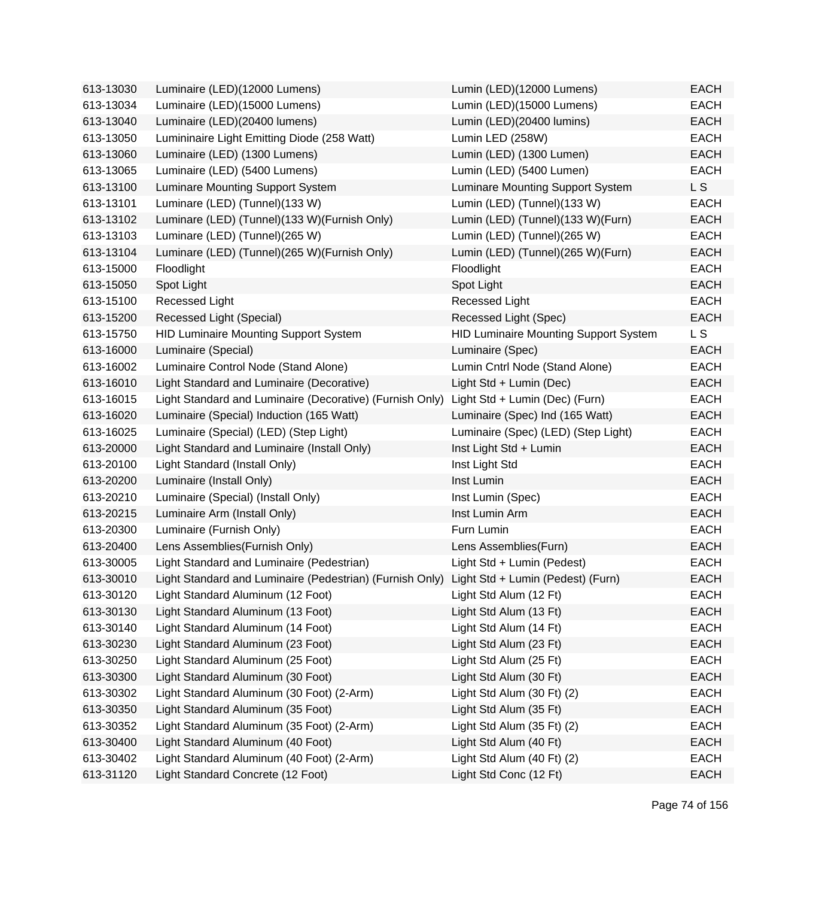| 613-13030 | Luminaire (LED)(12000 Lumens)                                                              | Lumin (LED)(12000 Lumens)                    | <b>EACH</b> |
|-----------|--------------------------------------------------------------------------------------------|----------------------------------------------|-------------|
| 613-13034 | Luminaire (LED)(15000 Lumens)                                                              | Lumin (LED)(15000 Lumens)                    | <b>EACH</b> |
| 613-13040 | Luminaire (LED)(20400 lumens)                                                              | Lumin (LED)(20400 lumins)                    | <b>EACH</b> |
| 613-13050 | Lumininaire Light Emitting Diode (258 Watt)                                                | Lumin LED (258W)                             | <b>EACH</b> |
| 613-13060 | Luminaire (LED) (1300 Lumens)                                                              | Lumin (LED) (1300 Lumen)                     | <b>EACH</b> |
| 613-13065 | Luminaire (LED) (5400 Lumens)                                                              | Lumin (LED) (5400 Lumen)                     | <b>EACH</b> |
| 613-13100 | Luminare Mounting Support System                                                           | Luminare Mounting Support System             | L S         |
| 613-13101 | Luminare (LED) (Tunnel)(133 W)                                                             | Lumin (LED) (Tunnel)(133 W)                  | <b>EACH</b> |
| 613-13102 | Luminare (LED) (Tunnel)(133 W)(Furnish Only)                                               | Lumin (LED) (Tunnel)(133 W)(Furn)            | <b>EACH</b> |
| 613-13103 | Luminare (LED) (Tunnel)(265 W)                                                             | Lumin (LED) (Tunnel)(265 W)                  | <b>EACH</b> |
| 613-13104 | Luminare (LED) (Tunnel)(265 W)(Furnish Only)                                               | Lumin (LED) (Tunnel)(265 W)(Furn)            | <b>EACH</b> |
| 613-15000 | Floodlight                                                                                 | Floodlight                                   | <b>EACH</b> |
| 613-15050 | Spot Light                                                                                 | Spot Light                                   | <b>EACH</b> |
| 613-15100 | <b>Recessed Light</b>                                                                      | Recessed Light                               | <b>EACH</b> |
| 613-15200 | Recessed Light (Special)                                                                   | Recessed Light (Spec)                        | <b>EACH</b> |
| 613-15750 | <b>HID Luminaire Mounting Support System</b>                                               | <b>HID Luminaire Mounting Support System</b> | L S         |
| 613-16000 | Luminaire (Special)                                                                        | Luminaire (Spec)                             | <b>EACH</b> |
| 613-16002 | Luminaire Control Node (Stand Alone)                                                       | Lumin Cntrl Node (Stand Alone)               | EACH        |
| 613-16010 | Light Standard and Luminaire (Decorative)                                                  | Light Std + Lumin (Dec)                      | <b>EACH</b> |
| 613-16015 | Light Standard and Luminaire (Decorative) (Furnish Only)                                   | Light Std + Lumin (Dec) (Furn)               | <b>EACH</b> |
| 613-16020 | Luminaire (Special) Induction (165 Watt)                                                   | Luminaire (Spec) Ind (165 Watt)              | <b>EACH</b> |
| 613-16025 | Luminaire (Special) (LED) (Step Light)                                                     | Luminaire (Spec) (LED) (Step Light)          | <b>EACH</b> |
| 613-20000 | Light Standard and Luminaire (Install Only)                                                | Inst Light Std + Lumin                       | <b>EACH</b> |
| 613-20100 | Light Standard (Install Only)                                                              | Inst Light Std                               | <b>EACH</b> |
| 613-20200 | Luminaire (Install Only)                                                                   | Inst Lumin                                   | <b>EACH</b> |
| 613-20210 | Luminaire (Special) (Install Only)                                                         | Inst Lumin (Spec)                            | <b>EACH</b> |
| 613-20215 | Luminaire Arm (Install Only)                                                               | Inst Lumin Arm                               | <b>EACH</b> |
| 613-20300 | Luminaire (Furnish Only)                                                                   | Furn Lumin                                   | EACH        |
| 613-20400 | Lens Assemblies (Furnish Only)                                                             | Lens Assemblies(Furn)                        | <b>EACH</b> |
| 613-30005 | Light Standard and Luminaire (Pedestrian)                                                  | Light Std + Lumin (Pedest)                   | <b>EACH</b> |
| 613-30010 | Light Standard and Luminaire (Pedestrian) (Furnish Only) Light Std + Lumin (Pedest) (Furn) |                                              | <b>EACH</b> |
| 613-30120 | Light Standard Aluminum (12 Foot)                                                          | Light Std Alum (12 Ft)                       | <b>EACH</b> |
| 613-30130 | Light Standard Aluminum (13 Foot)                                                          | Light Std Alum (13 Ft)                       | <b>EACH</b> |
| 613-30140 | Light Standard Aluminum (14 Foot)                                                          | Light Std Alum (14 Ft)                       | <b>EACH</b> |
| 613-30230 | Light Standard Aluminum (23 Foot)                                                          | Light Std Alum (23 Ft)                       | <b>EACH</b> |
| 613-30250 | Light Standard Aluminum (25 Foot)                                                          | Light Std Alum (25 Ft)                       | <b>EACH</b> |
| 613-30300 | Light Standard Aluminum (30 Foot)                                                          | Light Std Alum (30 Ft)                       | <b>EACH</b> |
| 613-30302 | Light Standard Aluminum (30 Foot) (2-Arm)                                                  | Light Std Alum (30 Ft) (2)                   | <b>EACH</b> |
| 613-30350 | Light Standard Aluminum (35 Foot)                                                          | Light Std Alum (35 Ft)                       | <b>EACH</b> |
| 613-30352 | Light Standard Aluminum (35 Foot) (2-Arm)                                                  | Light Std Alum (35 Ft) (2)                   | <b>EACH</b> |
| 613-30400 | Light Standard Aluminum (40 Foot)                                                          | Light Std Alum (40 Ft)                       | <b>EACH</b> |
| 613-30402 | Light Standard Aluminum (40 Foot) (2-Arm)                                                  | Light Std Alum (40 Ft) (2)                   | <b>EACH</b> |
| 613-31120 | Light Standard Concrete (12 Foot)                                                          | Light Std Conc (12 Ft)                       | <b>EACH</b> |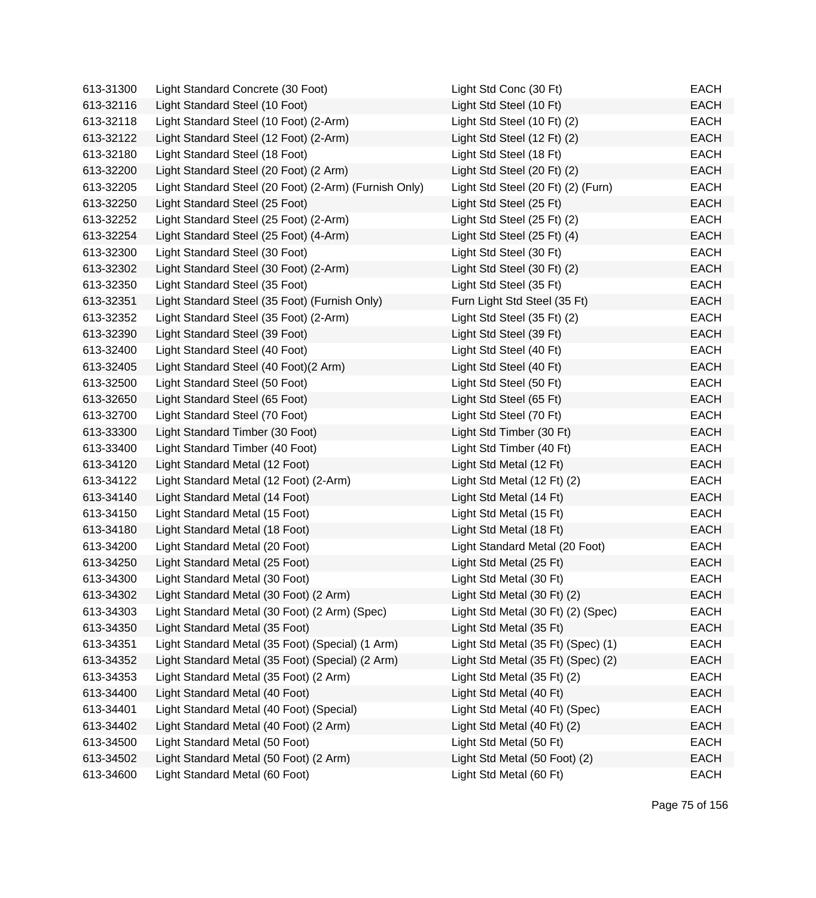| 613-31300 | Light Standard Concrete (30 Foot)                     | Light Std Conc (30 Ft)             | <b>EACH</b> |
|-----------|-------------------------------------------------------|------------------------------------|-------------|
| 613-32116 | Light Standard Steel (10 Foot)                        | Light Std Steel (10 Ft)            | <b>EACH</b> |
| 613-32118 | Light Standard Steel (10 Foot) (2-Arm)                | Light Std Steel (10 Ft) (2)        | EACH        |
| 613-32122 | Light Standard Steel (12 Foot) (2-Arm)                | Light Std Steel (12 Ft) (2)        | <b>EACH</b> |
| 613-32180 | Light Standard Steel (18 Foot)                        | Light Std Steel (18 Ft)            | EACH        |
| 613-32200 | Light Standard Steel (20 Foot) (2 Arm)                | Light Std Steel (20 Ft) (2)        | <b>EACH</b> |
| 613-32205 | Light Standard Steel (20 Foot) (2-Arm) (Furnish Only) | Light Std Steel (20 Ft) (2) (Furn) | <b>EACH</b> |
| 613-32250 | Light Standard Steel (25 Foot)                        | Light Std Steel (25 Ft)            | <b>EACH</b> |
| 613-32252 | Light Standard Steel (25 Foot) (2-Arm)                | Light Std Steel (25 Ft) (2)        | <b>EACH</b> |
| 613-32254 | Light Standard Steel (25 Foot) (4-Arm)                | Light Std Steel (25 Ft) (4)        | <b>EACH</b> |
| 613-32300 | Light Standard Steel (30 Foot)                        | Light Std Steel (30 Ft)            | <b>EACH</b> |
| 613-32302 | Light Standard Steel (30 Foot) (2-Arm)                | Light Std Steel (30 Ft) (2)        | <b>EACH</b> |
| 613-32350 | Light Standard Steel (35 Foot)                        | Light Std Steel (35 Ft)            | <b>EACH</b> |
| 613-32351 | Light Standard Steel (35 Foot) (Furnish Only)         | Furn Light Std Steel (35 Ft)       | <b>EACH</b> |
| 613-32352 | Light Standard Steel (35 Foot) (2-Arm)                | Light Std Steel (35 Ft) (2)        | <b>EACH</b> |
| 613-32390 | Light Standard Steel (39 Foot)                        | Light Std Steel (39 Ft)            | <b>EACH</b> |
| 613-32400 | Light Standard Steel (40 Foot)                        | Light Std Steel (40 Ft)            | <b>EACH</b> |
| 613-32405 | Light Standard Steel (40 Foot)(2 Arm)                 | Light Std Steel (40 Ft)            | <b>EACH</b> |
| 613-32500 | Light Standard Steel (50 Foot)                        | Light Std Steel (50 Ft)            | <b>EACH</b> |
| 613-32650 | Light Standard Steel (65 Foot)                        | Light Std Steel (65 Ft)            | <b>EACH</b> |
| 613-32700 | Light Standard Steel (70 Foot)                        | Light Std Steel (70 Ft)            | <b>EACH</b> |
| 613-33300 | Light Standard Timber (30 Foot)                       | Light Std Timber (30 Ft)           | <b>EACH</b> |
| 613-33400 | Light Standard Timber (40 Foot)                       | Light Std Timber (40 Ft)           | <b>EACH</b> |
| 613-34120 | Light Standard Metal (12 Foot)                        | Light Std Metal (12 Ft)            | <b>EACH</b> |
| 613-34122 | Light Standard Metal (12 Foot) (2-Arm)                | Light Std Metal (12 Ft) (2)        | <b>EACH</b> |
| 613-34140 | Light Standard Metal (14 Foot)                        | Light Std Metal (14 Ft)            | <b>EACH</b> |
| 613-34150 | Light Standard Metal (15 Foot)                        | Light Std Metal (15 Ft)            | <b>EACH</b> |
| 613-34180 | Light Standard Metal (18 Foot)                        | Light Std Metal (18 Ft)            | <b>EACH</b> |
| 613-34200 | Light Standard Metal (20 Foot)                        | Light Standard Metal (20 Foot)     | EACH        |
| 613-34250 | Light Standard Metal (25 Foot)                        | Light Std Metal (25 Ft)            | <b>EACH</b> |
| 613-34300 | Light Standard Metal (30 Foot)                        | Light Std Metal (30 Ft)            | <b>EACH</b> |
| 613-34302 | Light Standard Metal (30 Foot) (2 Arm)                | Light Std Metal (30 Ft) (2)        | <b>EACH</b> |
| 613-34303 | Light Standard Metal (30 Foot) (2 Arm) (Spec)         | Light Std Metal (30 Ft) (2) (Spec) | <b>EACH</b> |
| 613-34350 | Light Standard Metal (35 Foot)                        | Light Std Metal (35 Ft)            | <b>EACH</b> |
| 613-34351 | Light Standard Metal (35 Foot) (Special) (1 Arm)      | Light Std Metal (35 Ft) (Spec) (1) | EACH        |
| 613-34352 | Light Standard Metal (35 Foot) (Special) (2 Arm)      | Light Std Metal (35 Ft) (Spec) (2) | <b>EACH</b> |
| 613-34353 | Light Standard Metal (35 Foot) (2 Arm)                | Light Std Metal (35 Ft) (2)        | <b>EACH</b> |
| 613-34400 | Light Standard Metal (40 Foot)                        | Light Std Metal (40 Ft)            | <b>EACH</b> |
| 613-34401 | Light Standard Metal (40 Foot) (Special)              | Light Std Metal (40 Ft) (Spec)     | <b>EACH</b> |
| 613-34402 | Light Standard Metal (40 Foot) (2 Arm)                | Light Std Metal (40 Ft) (2)        | <b>EACH</b> |
| 613-34500 | Light Standard Metal (50 Foot)                        | Light Std Metal (50 Ft)            | <b>EACH</b> |
| 613-34502 | Light Standard Metal (50 Foot) (2 Arm)                | Light Std Metal (50 Foot) (2)      | <b>EACH</b> |
| 613-34600 | Light Standard Metal (60 Foot)                        | Light Std Metal (60 Ft)            | <b>EACH</b> |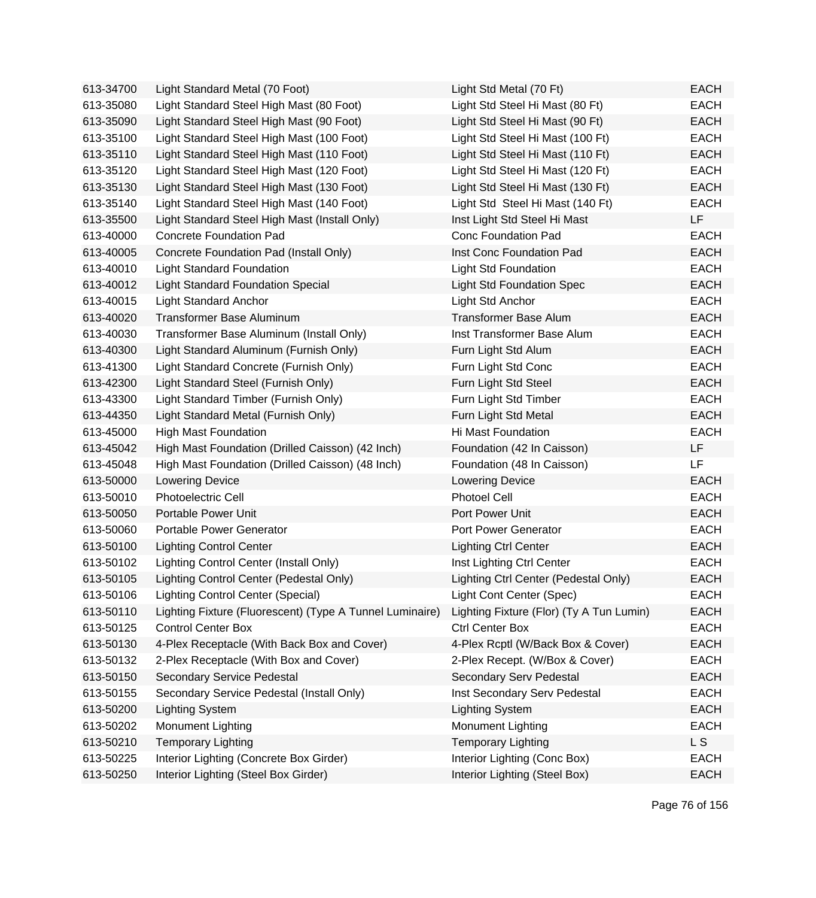| 613-34700 | Light Standard Metal (70 Foot)                           | Light Std Metal (70 Ft)                  | <b>EACH</b> |
|-----------|----------------------------------------------------------|------------------------------------------|-------------|
| 613-35080 | Light Standard Steel High Mast (80 Foot)                 | Light Std Steel Hi Mast (80 Ft)          | <b>EACH</b> |
| 613-35090 | Light Standard Steel High Mast (90 Foot)                 | Light Std Steel Hi Mast (90 Ft)          | <b>EACH</b> |
| 613-35100 | Light Standard Steel High Mast (100 Foot)                | Light Std Steel Hi Mast (100 Ft)         | <b>EACH</b> |
| 613-35110 | Light Standard Steel High Mast (110 Foot)                | Light Std Steel Hi Mast (110 Ft)         | <b>EACH</b> |
| 613-35120 | Light Standard Steel High Mast (120 Foot)                | Light Std Steel Hi Mast (120 Ft)         | <b>EACH</b> |
| 613-35130 | Light Standard Steel High Mast (130 Foot)                | Light Std Steel Hi Mast (130 Ft)         | <b>EACH</b> |
| 613-35140 | Light Standard Steel High Mast (140 Foot)                | Light Std Steel Hi Mast (140 Ft)         | <b>EACH</b> |
| 613-35500 | Light Standard Steel High Mast (Install Only)            | Inst Light Std Steel Hi Mast             | LF.         |
| 613-40000 | <b>Concrete Foundation Pad</b>                           | <b>Conc Foundation Pad</b>               | <b>EACH</b> |
| 613-40005 | Concrete Foundation Pad (Install Only)                   | Inst Conc Foundation Pad                 | <b>EACH</b> |
| 613-40010 | <b>Light Standard Foundation</b>                         | <b>Light Std Foundation</b>              | <b>EACH</b> |
| 613-40012 | <b>Light Standard Foundation Special</b>                 | <b>Light Std Foundation Spec</b>         | <b>EACH</b> |
| 613-40015 | <b>Light Standard Anchor</b>                             | Light Std Anchor                         | <b>EACH</b> |
| 613-40020 | Transformer Base Aluminum                                | <b>Transformer Base Alum</b>             | <b>EACH</b> |
| 613-40030 | Transformer Base Aluminum (Install Only)                 | Inst Transformer Base Alum               | <b>EACH</b> |
| 613-40300 | Light Standard Aluminum (Furnish Only)                   | Furn Light Std Alum                      | <b>EACH</b> |
| 613-41300 | Light Standard Concrete (Furnish Only)                   | Furn Light Std Conc                      | <b>EACH</b> |
| 613-42300 | Light Standard Steel (Furnish Only)                      | Furn Light Std Steel                     | <b>EACH</b> |
| 613-43300 | Light Standard Timber (Furnish Only)                     | Furn Light Std Timber                    | <b>EACH</b> |
| 613-44350 | Light Standard Metal (Furnish Only)                      | Furn Light Std Metal                     | <b>EACH</b> |
| 613-45000 | <b>High Mast Foundation</b>                              | Hi Mast Foundation                       | <b>EACH</b> |
| 613-45042 | High Mast Foundation (Drilled Caisson) (42 Inch)         | Foundation (42 In Caisson)               | LF          |
| 613-45048 | High Mast Foundation (Drilled Caisson) (48 Inch)         | Foundation (48 In Caisson)               | LF.         |
| 613-50000 | <b>Lowering Device</b>                                   | <b>Lowering Device</b>                   | <b>EACH</b> |
| 613-50010 | Photoelectric Cell                                       | <b>Photoel Cell</b>                      | <b>EACH</b> |
| 613-50050 | Portable Power Unit                                      | Port Power Unit                          | <b>EACH</b> |
| 613-50060 | Portable Power Generator                                 | Port Power Generator                     | <b>EACH</b> |
| 613-50100 | <b>Lighting Control Center</b>                           | <b>Lighting Ctrl Center</b>              | <b>EACH</b> |
| 613-50102 | Lighting Control Center (Install Only)                   | Inst Lighting Ctrl Center                | <b>EACH</b> |
| 613-50105 | Lighting Control Center (Pedestal Only)                  | Lighting Ctrl Center (Pedestal Only)     | <b>EACH</b> |
| 613-50106 | <b>Lighting Control Center (Special)</b>                 | Light Cont Center (Spec)                 | EACH        |
| 613-50110 | Lighting Fixture (Fluorescent) (Type A Tunnel Luminaire) | Lighting Fixture (Flor) (Ty A Tun Lumin) | <b>EACH</b> |
| 613-50125 | <b>Control Center Box</b>                                | <b>Ctrl Center Box</b>                   | <b>EACH</b> |
| 613-50130 | 4-Plex Receptacle (With Back Box and Cover)              | 4-Plex Rcptl (W/Back Box & Cover)        | <b>EACH</b> |
| 613-50132 | 2-Plex Receptacle (With Box and Cover)                   | 2-Plex Recept. (W/Box & Cover)           | <b>EACH</b> |
| 613-50150 | Secondary Service Pedestal                               | Secondary Serv Pedestal                  | <b>EACH</b> |
| 613-50155 | Secondary Service Pedestal (Install Only)                | Inst Secondary Serv Pedestal             | <b>EACH</b> |
| 613-50200 | <b>Lighting System</b>                                   | <b>Lighting System</b>                   | <b>EACH</b> |
| 613-50202 | Monument Lighting                                        | Monument Lighting                        | <b>EACH</b> |
| 613-50210 | <b>Temporary Lighting</b>                                | <b>Temporary Lighting</b>                | L S         |
| 613-50225 | Interior Lighting (Concrete Box Girder)                  | Interior Lighting (Conc Box)             | <b>EACH</b> |
| 613-50250 | Interior Lighting (Steel Box Girder)                     | Interior Lighting (Steel Box)            | <b>EACH</b> |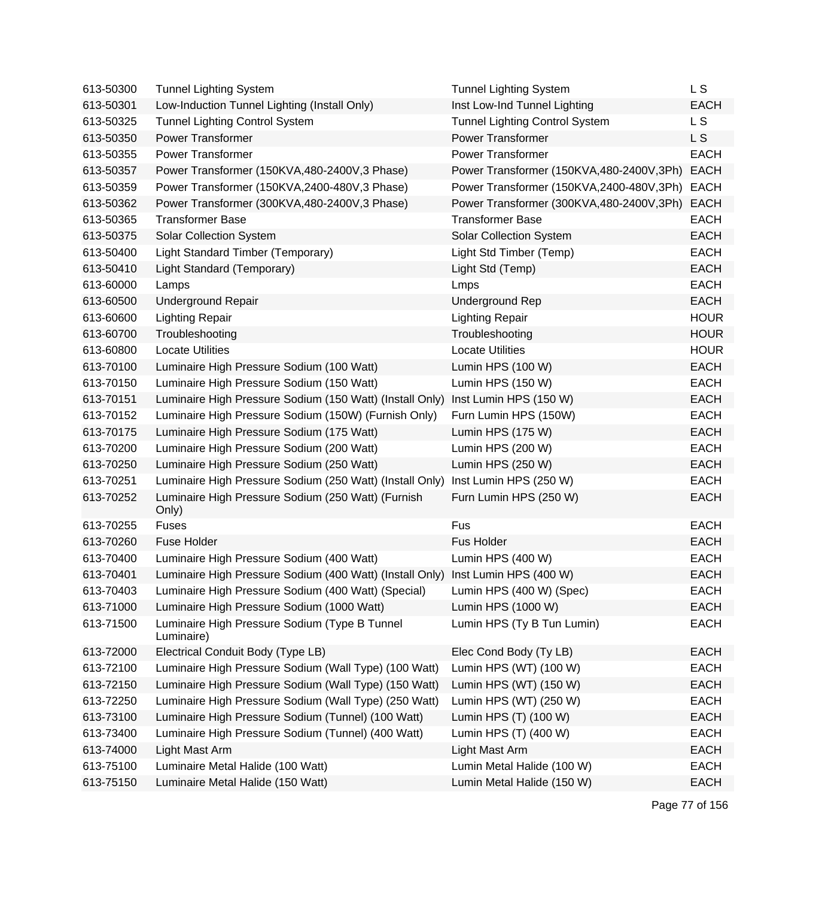| 613-50300 | <b>Tunnel Lighting System</b>                               | <b>Tunnel Lighting System</b>            | L S         |
|-----------|-------------------------------------------------------------|------------------------------------------|-------------|
| 613-50301 | Low-Induction Tunnel Lighting (Install Only)                | Inst Low-Ind Tunnel Lighting             | <b>EACH</b> |
| 613-50325 | <b>Tunnel Lighting Control System</b>                       | <b>Tunnel Lighting Control System</b>    | L S         |
| 613-50350 | <b>Power Transformer</b>                                    | <b>Power Transformer</b>                 | L S         |
| 613-50355 | <b>Power Transformer</b>                                    | <b>Power Transformer</b>                 | <b>EACH</b> |
| 613-50357 | Power Transformer (150KVA,480-2400V,3 Phase)                | Power Transformer (150KVA,480-2400V,3Ph) | <b>EACH</b> |
| 613-50359 | Power Transformer (150KVA,2400-480V,3 Phase)                | Power Transformer (150KVA,2400-480V,3Ph) | <b>EACH</b> |
| 613-50362 | Power Transformer (300KVA,480-2400V,3 Phase)                | Power Transformer (300KVA,480-2400V,3Ph) | <b>EACH</b> |
| 613-50365 | <b>Transformer Base</b>                                     | <b>Transformer Base</b>                  | <b>EACH</b> |
| 613-50375 | <b>Solar Collection System</b>                              | <b>Solar Collection System</b>           | <b>EACH</b> |
| 613-50400 | Light Standard Timber (Temporary)                           | Light Std Timber (Temp)                  | <b>EACH</b> |
| 613-50410 | Light Standard (Temporary)                                  | Light Std (Temp)                         | <b>EACH</b> |
| 613-60000 | Lamps                                                       | Lmps                                     | <b>EACH</b> |
| 613-60500 | Underground Repair                                          | <b>Underground Rep</b>                   | <b>EACH</b> |
| 613-60600 | <b>Lighting Repair</b>                                      | <b>Lighting Repair</b>                   | <b>HOUR</b> |
| 613-60700 | Troubleshooting                                             | Troubleshooting                          | <b>HOUR</b> |
| 613-60800 | <b>Locate Utilities</b>                                     | <b>Locate Utilities</b>                  | <b>HOUR</b> |
| 613-70100 | Luminaire High Pressure Sodium (100 Watt)                   | Lumin HPS (100 W)                        | <b>EACH</b> |
| 613-70150 | Luminaire High Pressure Sodium (150 Watt)                   | Lumin HPS (150 W)                        | <b>EACH</b> |
| 613-70151 | Luminaire High Pressure Sodium (150 Watt) (Install Only)    | Inst Lumin HPS (150 W)                   | <b>EACH</b> |
| 613-70152 | Luminaire High Pressure Sodium (150W) (Furnish Only)        | Furn Lumin HPS (150W)                    | <b>EACH</b> |
| 613-70175 | Luminaire High Pressure Sodium (175 Watt)                   | Lumin HPS (175 W)                        | <b>EACH</b> |
| 613-70200 | Luminaire High Pressure Sodium (200 Watt)                   | Lumin HPS (200 W)                        | <b>EACH</b> |
| 613-70250 | Luminaire High Pressure Sodium (250 Watt)                   | Lumin HPS (250 W)                        | <b>EACH</b> |
| 613-70251 | Luminaire High Pressure Sodium (250 Watt) (Install Only)    | Inst Lumin HPS (250 W)                   | <b>EACH</b> |
| 613-70252 | Luminaire High Pressure Sodium (250 Watt) (Furnish<br>Only) | Furn Lumin HPS (250 W)                   | <b>EACH</b> |
| 613-70255 | <b>Fuses</b>                                                | Fus                                      | <b>EACH</b> |
| 613-70260 | Fuse Holder                                                 | Fus Holder                               | <b>EACH</b> |
| 613-70400 | Luminaire High Pressure Sodium (400 Watt)                   | Lumin HPS (400 W)                        | <b>EACH</b> |
| 613-70401 | Luminaire High Pressure Sodium (400 Watt) (Install Only)    | Inst Lumin HPS (400 W)                   | <b>EACH</b> |
| 613-70403 | Luminaire High Pressure Sodium (400 Watt) (Special)         | Lumin HPS (400 W) (Spec)                 | <b>EACH</b> |
| 613-71000 | Luminaire High Pressure Sodium (1000 Watt)                  | Lumin HPS (1000 W)                       | <b>EACH</b> |
| 613-71500 | Luminaire High Pressure Sodium (Type B Tunnel<br>Luminaire) | Lumin HPS (Ty B Tun Lumin)               | <b>EACH</b> |
| 613-72000 | Electrical Conduit Body (Type LB)                           | Elec Cond Body (Ty LB)                   | <b>EACH</b> |
| 613-72100 | Luminaire High Pressure Sodium (Wall Type) (100 Watt)       | Lumin HPS (WT) (100 W)                   | <b>EACH</b> |
| 613-72150 | Luminaire High Pressure Sodium (Wall Type) (150 Watt)       | Lumin HPS (WT) (150 W)                   | <b>EACH</b> |
| 613-72250 | Luminaire High Pressure Sodium (Wall Type) (250 Watt)       | Lumin HPS (WT) (250 W)                   | <b>EACH</b> |
| 613-73100 | Luminaire High Pressure Sodium (Tunnel) (100 Watt)          | Lumin HPS (T) (100 W)                    | <b>EACH</b> |
| 613-73400 | Luminaire High Pressure Sodium (Tunnel) (400 Watt)          | Lumin HPS (T) (400 W)                    | <b>EACH</b> |
| 613-74000 | Light Mast Arm                                              | Light Mast Arm                           | <b>EACH</b> |
| 613-75100 | Luminaire Metal Halide (100 Watt)                           | Lumin Metal Halide (100 W)               | <b>EACH</b> |
| 613-75150 | Luminaire Metal Halide (150 Watt)                           | Lumin Metal Halide (150 W)               | <b>EACH</b> |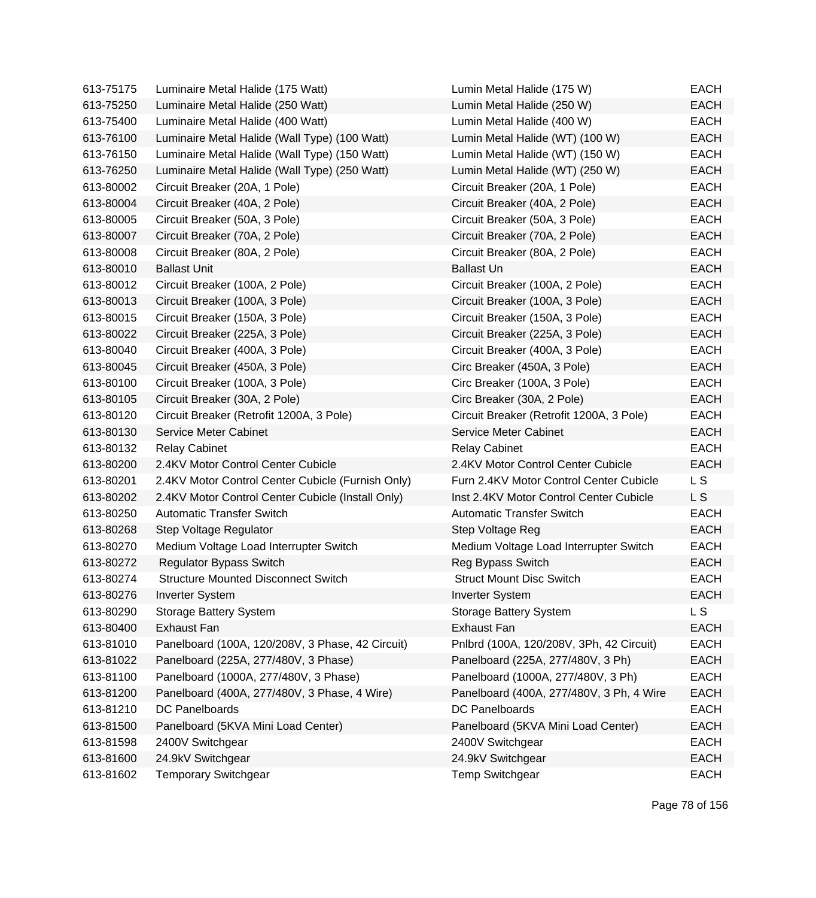| 613-75175 | Luminaire Metal Halide (175 Watt)                 | Lumin Metal Halide (175 W)               | EACH           |
|-----------|---------------------------------------------------|------------------------------------------|----------------|
| 613-75250 | Luminaire Metal Halide (250 Watt)                 | Lumin Metal Halide (250 W)               | <b>EACH</b>    |
| 613-75400 | Luminaire Metal Halide (400 Watt)                 | Lumin Metal Halide (400 W)               | <b>EACH</b>    |
| 613-76100 | Luminaire Metal Halide (Wall Type) (100 Watt)     | Lumin Metal Halide (WT) (100 W)          | <b>EACH</b>    |
| 613-76150 | Luminaire Metal Halide (Wall Type) (150 Watt)     | Lumin Metal Halide (WT) (150 W)          | <b>EACH</b>    |
| 613-76250 | Luminaire Metal Halide (Wall Type) (250 Watt)     | Lumin Metal Halide (WT) (250 W)          | <b>EACH</b>    |
| 613-80002 | Circuit Breaker (20A, 1 Pole)                     | Circuit Breaker (20A, 1 Pole)            | <b>EACH</b>    |
| 613-80004 | Circuit Breaker (40A, 2 Pole)                     | Circuit Breaker (40A, 2 Pole)            | <b>EACH</b>    |
| 613-80005 | Circuit Breaker (50A, 3 Pole)                     | Circuit Breaker (50A, 3 Pole)            | <b>EACH</b>    |
| 613-80007 | Circuit Breaker (70A, 2 Pole)                     | Circuit Breaker (70A, 2 Pole)            | <b>EACH</b>    |
| 613-80008 | Circuit Breaker (80A, 2 Pole)                     | Circuit Breaker (80A, 2 Pole)            | <b>EACH</b>    |
| 613-80010 | <b>Ballast Unit</b>                               | <b>Ballast Un</b>                        | <b>EACH</b>    |
| 613-80012 | Circuit Breaker (100A, 2 Pole)                    | Circuit Breaker (100A, 2 Pole)           | <b>EACH</b>    |
| 613-80013 | Circuit Breaker (100A, 3 Pole)                    | Circuit Breaker (100A, 3 Pole)           | <b>EACH</b>    |
| 613-80015 | Circuit Breaker (150A, 3 Pole)                    | Circuit Breaker (150A, 3 Pole)           | <b>EACH</b>    |
| 613-80022 | Circuit Breaker (225A, 3 Pole)                    | Circuit Breaker (225A, 3 Pole)           | <b>EACH</b>    |
| 613-80040 | Circuit Breaker (400A, 3 Pole)                    | Circuit Breaker (400A, 3 Pole)           | <b>EACH</b>    |
| 613-80045 | Circuit Breaker (450A, 3 Pole)                    | Circ Breaker (450A, 3 Pole)              | <b>EACH</b>    |
| 613-80100 | Circuit Breaker (100A, 3 Pole)                    | Circ Breaker (100A, 3 Pole)              | <b>EACH</b>    |
| 613-80105 | Circuit Breaker (30A, 2 Pole)                     | Circ Breaker (30A, 2 Pole)               | <b>EACH</b>    |
| 613-80120 | Circuit Breaker (Retrofit 1200A, 3 Pole)          | Circuit Breaker (Retrofit 1200A, 3 Pole) | <b>EACH</b>    |
| 613-80130 | Service Meter Cabinet                             | Service Meter Cabinet                    | <b>EACH</b>    |
| 613-80132 | <b>Relay Cabinet</b>                              | <b>Relay Cabinet</b>                     | <b>EACH</b>    |
| 613-80200 | 2.4KV Motor Control Center Cubicle                | 2.4KV Motor Control Center Cubicle       | <b>EACH</b>    |
| 613-80201 | 2.4KV Motor Control Center Cubicle (Furnish Only) | Furn 2.4KV Motor Control Center Cubicle  | L S            |
| 613-80202 | 2.4KV Motor Control Center Cubicle (Install Only) | Inst 2.4KV Motor Control Center Cubicle  | L S            |
| 613-80250 | <b>Automatic Transfer Switch</b>                  | <b>Automatic Transfer Switch</b>         | <b>EACH</b>    |
| 613-80268 | Step Voltage Regulator                            | Step Voltage Reg                         | <b>EACH</b>    |
| 613-80270 | Medium Voltage Load Interrupter Switch            | Medium Voltage Load Interrupter Switch   | <b>EACH</b>    |
| 613-80272 | <b>Regulator Bypass Switch</b>                    | Reg Bypass Switch                        | <b>EACH</b>    |
| 613-80274 | <b>Structure Mounted Disconnect Switch</b>        | <b>Struct Mount Disc Switch</b>          | <b>EACH</b>    |
| 613-80276 | <b>Inverter System</b>                            | <b>Inverter System</b>                   | <b>EACH</b>    |
| 613-80290 | <b>Storage Battery System</b>                     | <b>Storage Battery System</b>            | L <sub>S</sub> |
| 613-80400 | <b>Exhaust Fan</b>                                | <b>Exhaust Fan</b>                       | <b>EACH</b>    |
| 613-81010 | Panelboard (100A, 120/208V, 3 Phase, 42 Circuit)  | Pnlbrd (100A, 120/208V, 3Ph, 42 Circuit) | <b>EACH</b>    |
| 613-81022 | Panelboard (225A, 277/480V, 3 Phase)              | Panelboard (225A, 277/480V, 3 Ph)        | <b>EACH</b>    |
| 613-81100 | Panelboard (1000A, 277/480V, 3 Phase)             | Panelboard (1000A, 277/480V, 3 Ph)       | <b>EACH</b>    |
| 613-81200 | Panelboard (400A, 277/480V, 3 Phase, 4 Wire)      | Panelboard (400A, 277/480V, 3 Ph, 4 Wire | <b>EACH</b>    |
| 613-81210 | DC Panelboards                                    | DC Panelboards                           | <b>EACH</b>    |
| 613-81500 | Panelboard (5KVA Mini Load Center)                | Panelboard (5KVA Mini Load Center)       | <b>EACH</b>    |
| 613-81598 | 2400V Switchgear                                  | 2400V Switchgear                         | <b>EACH</b>    |
| 613-81600 | 24.9kV Switchgear                                 | 24.9kV Switchgear                        | <b>EACH</b>    |
| 613-81602 | <b>Temporary Switchgear</b>                       | <b>Temp Switchgear</b>                   | <b>EACH</b>    |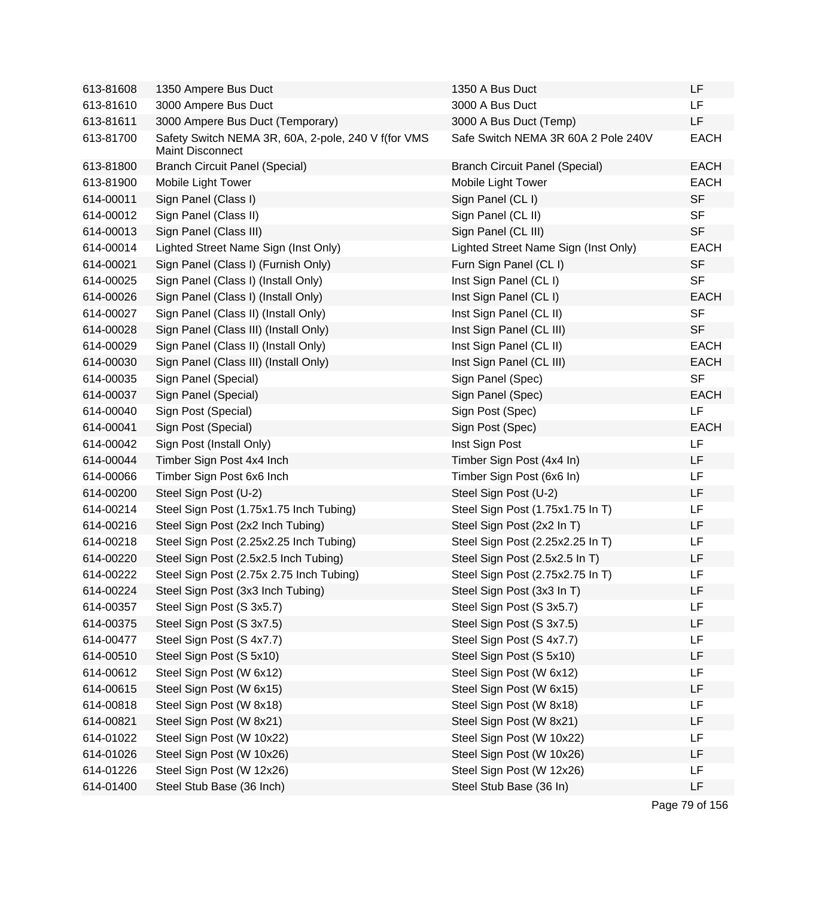| 613-81608 | 1350 Ampere Bus Duct                                                           | 1350 A Bus Duct                       | LF          |
|-----------|--------------------------------------------------------------------------------|---------------------------------------|-------------|
| 613-81610 | 3000 Ampere Bus Duct                                                           | 3000 A Bus Duct                       | LF.         |
| 613-81611 | 3000 Ampere Bus Duct (Temporary)                                               | 3000 A Bus Duct (Temp)                | LF          |
| 613-81700 | Safety Switch NEMA 3R, 60A, 2-pole, 240 V f(for VMS<br><b>Maint Disconnect</b> | Safe Switch NEMA 3R 60A 2 Pole 240V   | <b>EACH</b> |
| 613-81800 | <b>Branch Circuit Panel (Special)</b>                                          | <b>Branch Circuit Panel (Special)</b> | <b>EACH</b> |
| 613-81900 | Mobile Light Tower                                                             | Mobile Light Tower                    | <b>EACH</b> |
| 614-00011 | Sign Panel (Class I)                                                           | Sign Panel (CL I)                     | <b>SF</b>   |
| 614-00012 | Sign Panel (Class II)                                                          | Sign Panel (CL II)                    | <b>SF</b>   |
| 614-00013 | Sign Panel (Class III)                                                         | Sign Panel (CL III)                   | <b>SF</b>   |
| 614-00014 | Lighted Street Name Sign (Inst Only)                                           | Lighted Street Name Sign (Inst Only)  | <b>EACH</b> |
| 614-00021 | Sign Panel (Class I) (Furnish Only)                                            | Furn Sign Panel (CL I)                | <b>SF</b>   |
| 614-00025 | Sign Panel (Class I) (Install Only)                                            | Inst Sign Panel (CL I)                | <b>SF</b>   |
| 614-00026 | Sign Panel (Class I) (Install Only)                                            | Inst Sign Panel (CL I)                | <b>EACH</b> |
| 614-00027 | Sign Panel (Class II) (Install Only)                                           | Inst Sign Panel (CL II)               | <b>SF</b>   |
| 614-00028 | Sign Panel (Class III) (Install Only)                                          | Inst Sign Panel (CL III)              | <b>SF</b>   |
| 614-00029 | Sign Panel (Class II) (Install Only)                                           | Inst Sign Panel (CL II)               | <b>EACH</b> |
| 614-00030 | Sign Panel (Class III) (Install Only)                                          | Inst Sign Panel (CL III)              | <b>EACH</b> |
| 614-00035 | Sign Panel (Special)                                                           | Sign Panel (Spec)                     | <b>SF</b>   |
| 614-00037 | Sign Panel (Special)                                                           | Sign Panel (Spec)                     | <b>EACH</b> |
| 614-00040 | Sign Post (Special)                                                            | Sign Post (Spec)                      | LF          |
| 614-00041 | Sign Post (Special)                                                            | Sign Post (Spec)                      | <b>EACH</b> |
| 614-00042 | Sign Post (Install Only)                                                       | Inst Sign Post                        | LF          |
| 614-00044 | Timber Sign Post 4x4 Inch                                                      | Timber Sign Post (4x4 In)             | LF          |
| 614-00066 | Timber Sign Post 6x6 Inch                                                      | Timber Sign Post (6x6 In)             | LF          |
| 614-00200 | Steel Sign Post (U-2)                                                          | Steel Sign Post (U-2)                 | LF          |
| 614-00214 | Steel Sign Post (1.75x1.75 Inch Tubing)                                        | Steel Sign Post (1.75x1.75 In T)      | LF          |
| 614-00216 | Steel Sign Post (2x2 Inch Tubing)                                              | Steel Sign Post (2x2 In T)            | LF          |
| 614-00218 | Steel Sign Post (2.25x2.25 Inch Tubing)                                        | Steel Sign Post (2.25x2.25 In T)      | LF          |
| 614-00220 | Steel Sign Post (2.5x2.5 Inch Tubing)                                          | Steel Sign Post (2.5x2.5 In T)        | LF          |
| 614-00222 | Steel Sign Post (2.75x 2.75 Inch Tubing)                                       | Steel Sign Post (2.75x2.75 In T)      | LF          |
| 614-00224 | Steel Sign Post (3x3 Inch Tubing)                                              | Steel Sign Post (3x3 In T)            | LF          |
| 614-00357 | Steel Sign Post (S 3x5.7)                                                      | Steel Sign Post (S 3x5.7)             | LF          |
| 614-00375 | Steel Sign Post (S 3x7.5)                                                      | Steel Sign Post (S 3x7.5)             | LF          |
| 614-00477 | Steel Sign Post (S 4x7.7)                                                      | Steel Sign Post (S 4x7.7)             | LF          |
| 614-00510 | Steel Sign Post (S 5x10)                                                       | Steel Sign Post (S 5x10)              | LF          |
| 614-00612 | Steel Sign Post (W 6x12)                                                       | Steel Sign Post (W 6x12)              | LF          |
| 614-00615 | Steel Sign Post (W 6x15)                                                       | Steel Sign Post (W 6x15)              | LF          |
| 614-00818 | Steel Sign Post (W 8x18)                                                       | Steel Sign Post (W 8x18)              | LF          |
| 614-00821 | Steel Sign Post (W 8x21)                                                       | Steel Sign Post (W 8x21)              | LF          |
| 614-01022 | Steel Sign Post (W 10x22)                                                      | Steel Sign Post (W 10x22)             | LF          |
| 614-01026 | Steel Sign Post (W 10x26)                                                      | Steel Sign Post (W 10x26)             | LF          |
| 614-01226 | Steel Sign Post (W 12x26)                                                      | Steel Sign Post (W 12x26)             | LF          |
| 614-01400 | Steel Stub Base (36 Inch)                                                      | Steel Stub Base (36 In)               | LF          |
|           |                                                                                |                                       |             |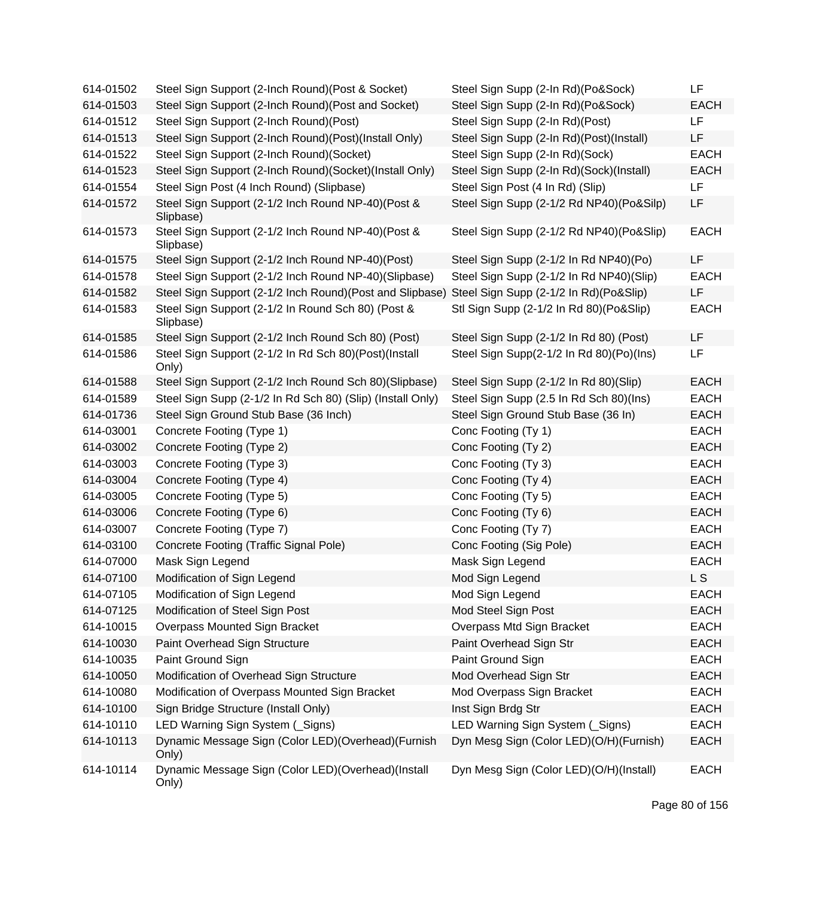| 614-01502 | Steel Sign Support (2-Inch Round) (Post & Socket)               | Steel Sign Supp (2-In Rd)(Po&Sock)       | LF.         |
|-----------|-----------------------------------------------------------------|------------------------------------------|-------------|
| 614-01503 | Steel Sign Support (2-Inch Round) (Post and Socket)             | Steel Sign Supp (2-In Rd)(Po&Sock)       | <b>EACH</b> |
| 614-01512 | Steel Sign Support (2-Inch Round)(Post)                         | Steel Sign Supp (2-In Rd)(Post)          | <b>LF</b>   |
| 614-01513 | Steel Sign Support (2-Inch Round)(Post)(Install Only)           | Steel Sign Supp (2-In Rd)(Post)(Install) | LF          |
| 614-01522 | Steel Sign Support (2-Inch Round)(Socket)                       | Steel Sign Supp (2-In Rd)(Sock)          | <b>EACH</b> |
| 614-01523 | Steel Sign Support (2-Inch Round)(Socket)(Install Only)         | Steel Sign Supp (2-In Rd)(Sock)(Install) | <b>EACH</b> |
| 614-01554 | Steel Sign Post (4 Inch Round) (Slipbase)                       | Steel Sign Post (4 In Rd) (Slip)         | LF          |
| 614-01572 | Steel Sign Support (2-1/2 Inch Round NP-40)(Post &<br>Slipbase) | Steel Sign Supp (2-1/2 Rd NP40)(Po&Silp) | LF          |
| 614-01573 | Steel Sign Support (2-1/2 Inch Round NP-40)(Post &<br>Slipbase) | Steel Sign Supp (2-1/2 Rd NP40)(Po&Slip) | <b>EACH</b> |
| 614-01575 | Steel Sign Support (2-1/2 Inch Round NP-40)(Post)               | Steel Sign Supp (2-1/2 In Rd NP40)(Po)   | LF          |
| 614-01578 | Steel Sign Support (2-1/2 Inch Round NP-40)(Slipbase)           | Steel Sign Supp (2-1/2 In Rd NP40)(Slip) | <b>EACH</b> |
| 614-01582 | Steel Sign Support (2-1/2 Inch Round) (Post and Slipbase)       | Steel Sign Supp (2-1/2 In Rd)(Po&Slip)   | LF          |
| 614-01583 | Steel Sign Support (2-1/2 In Round Sch 80) (Post &<br>Slipbase) | Stl Sign Supp (2-1/2 In Rd 80)(Po&Slip)  | <b>EACH</b> |
| 614-01585 | Steel Sign Support (2-1/2 Inch Round Sch 80) (Post)             | Steel Sign Supp (2-1/2 In Rd 80) (Post)  | LF          |
| 614-01586 | Steel Sign Support (2-1/2 In Rd Sch 80)(Post)(Install<br>Only)  | Steel Sign Supp(2-1/2 In Rd 80)(Po)(Ins) | LF          |
| 614-01588 | Steel Sign Support (2-1/2 Inch Round Sch 80) (Slipbase)         | Steel Sign Supp (2-1/2 In Rd 80)(Slip)   | <b>EACH</b> |
| 614-01589 | Steel Sign Supp (2-1/2 In Rd Sch 80) (Slip) (Install Only)      | Steel Sign Supp (2.5 In Rd Sch 80)(Ins)  | <b>EACH</b> |
| 614-01736 | Steel Sign Ground Stub Base (36 Inch)                           | Steel Sign Ground Stub Base (36 In)      | <b>EACH</b> |
| 614-03001 | Concrete Footing (Type 1)                                       | Conc Footing (Ty 1)                      | <b>EACH</b> |
| 614-03002 | Concrete Footing (Type 2)                                       | Conc Footing (Ty 2)                      | <b>EACH</b> |
| 614-03003 | Concrete Footing (Type 3)                                       | Conc Footing (Ty 3)                      | <b>EACH</b> |
| 614-03004 | Concrete Footing (Type 4)                                       | Conc Footing (Ty 4)                      | <b>EACH</b> |
| 614-03005 | Concrete Footing (Type 5)                                       | Conc Footing (Ty 5)                      | <b>EACH</b> |
| 614-03006 | Concrete Footing (Type 6)                                       | Conc Footing (Ty 6)                      | <b>EACH</b> |
| 614-03007 | Concrete Footing (Type 7)                                       | Conc Footing (Ty 7)                      | <b>EACH</b> |
| 614-03100 | Concrete Footing (Traffic Signal Pole)                          | Conc Footing (Sig Pole)                  | <b>EACH</b> |
| 614-07000 | Mask Sign Legend                                                | Mask Sign Legend                         | <b>EACH</b> |
| 614-07100 | Modification of Sign Legend                                     | Mod Sign Legend                          | L S         |
| 614-07105 | Modification of Sign Legend                                     | Mod Sign Legend                          | EACH        |
| 614-07125 | Modification of Steel Sign Post                                 | Mod Steel Sign Post                      | <b>EACH</b> |
| 614-10015 | Overpass Mounted Sign Bracket                                   | Overpass Mtd Sign Bracket                | <b>EACH</b> |
| 614-10030 | Paint Overhead Sign Structure                                   | Paint Overhead Sign Str                  | <b>EACH</b> |
| 614-10035 | Paint Ground Sign                                               | Paint Ground Sign                        | <b>EACH</b> |
| 614-10050 | Modification of Overhead Sign Structure                         | Mod Overhead Sign Str                    | <b>EACH</b> |
| 614-10080 | Modification of Overpass Mounted Sign Bracket                   | Mod Overpass Sign Bracket                | <b>EACH</b> |
| 614-10100 | Sign Bridge Structure (Install Only)                            | Inst Sign Brdg Str                       | <b>EACH</b> |
| 614-10110 | LED Warning Sign System (Signs)                                 | LED Warning Sign System (Signs)          | <b>EACH</b> |
| 614-10113 | Dynamic Message Sign (Color LED)(Overhead)(Furnish<br>Only)     | Dyn Mesg Sign (Color LED)(O/H)(Furnish)  | <b>EACH</b> |
| 614-10114 | Dynamic Message Sign (Color LED)(Overhead)(Install<br>Only)     | Dyn Mesg Sign (Color LED)(O/H)(Install)  | <b>EACH</b> |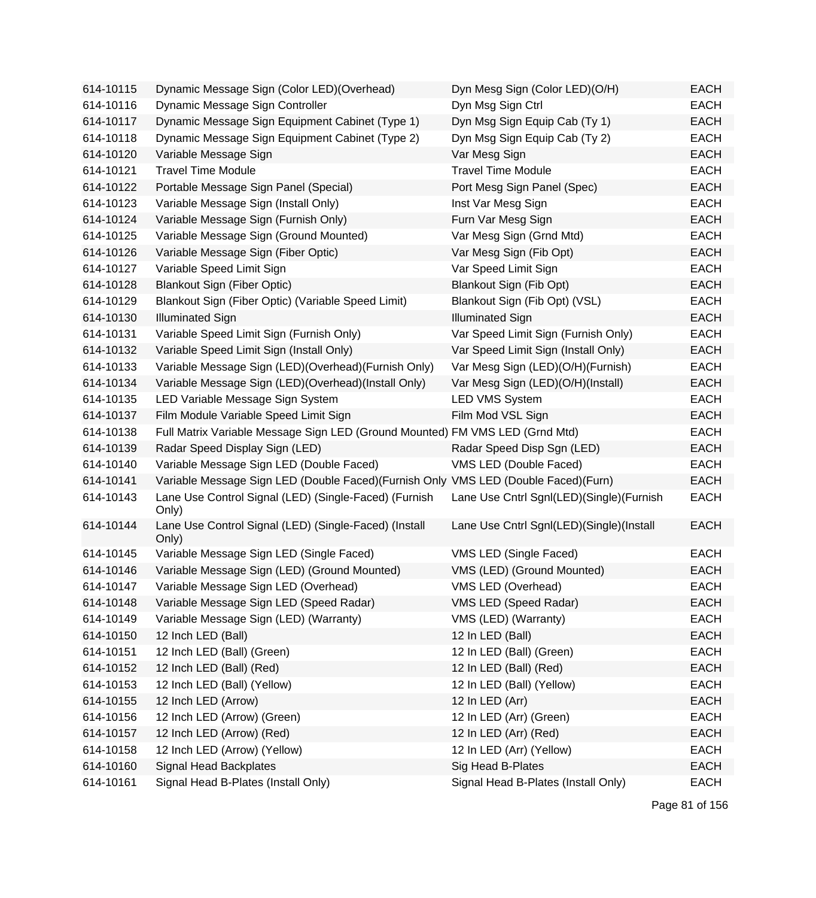| 614-10115 | Dynamic Message Sign (Color LED) (Overhead)                                        | Dyn Mesg Sign (Color LED)(O/H)           | <b>EACH</b> |
|-----------|------------------------------------------------------------------------------------|------------------------------------------|-------------|
| 614-10116 | Dynamic Message Sign Controller                                                    | Dyn Msg Sign Ctrl                        | <b>EACH</b> |
| 614-10117 | Dynamic Message Sign Equipment Cabinet (Type 1)                                    | Dyn Msg Sign Equip Cab (Ty 1)            | <b>EACH</b> |
| 614-10118 | Dynamic Message Sign Equipment Cabinet (Type 2)                                    | Dyn Msg Sign Equip Cab (Ty 2)            | <b>EACH</b> |
| 614-10120 | Variable Message Sign                                                              | Var Mesg Sign                            | <b>EACH</b> |
| 614-10121 | <b>Travel Time Module</b>                                                          | <b>Travel Time Module</b>                | <b>EACH</b> |
| 614-10122 | Portable Message Sign Panel (Special)                                              | Port Mesg Sign Panel (Spec)              | <b>EACH</b> |
| 614-10123 | Variable Message Sign (Install Only)                                               | Inst Var Mesg Sign                       | <b>EACH</b> |
| 614-10124 | Variable Message Sign (Furnish Only)                                               | Furn Var Mesg Sign                       | <b>EACH</b> |
| 614-10125 | Variable Message Sign (Ground Mounted)                                             | Var Mesg Sign (Grnd Mtd)                 | <b>EACH</b> |
| 614-10126 | Variable Message Sign (Fiber Optic)                                                | Var Mesg Sign (Fib Opt)                  | <b>EACH</b> |
| 614-10127 | Variable Speed Limit Sign                                                          | Var Speed Limit Sign                     | <b>EACH</b> |
| 614-10128 | <b>Blankout Sign (Fiber Optic)</b>                                                 | Blankout Sign (Fib Opt)                  | <b>EACH</b> |
| 614-10129 | Blankout Sign (Fiber Optic) (Variable Speed Limit)                                 | Blankout Sign (Fib Opt) (VSL)            | <b>EACH</b> |
| 614-10130 | <b>Illuminated Sign</b>                                                            | <b>Illuminated Sign</b>                  | <b>EACH</b> |
| 614-10131 | Variable Speed Limit Sign (Furnish Only)                                           | Var Speed Limit Sign (Furnish Only)      | <b>EACH</b> |
| 614-10132 | Variable Speed Limit Sign (Install Only)                                           | Var Speed Limit Sign (Install Only)      | <b>EACH</b> |
| 614-10133 | Variable Message Sign (LED)(Overhead)(Furnish Only)                                | Var Mesg Sign (LED)(O/H)(Furnish)        | <b>EACH</b> |
| 614-10134 | Variable Message Sign (LED)(Overhead)(Install Only)                                | Var Mesg Sign (LED)(O/H)(Install)        | <b>EACH</b> |
| 614-10135 | LED Variable Message Sign System                                                   | <b>LED VMS System</b>                    | <b>EACH</b> |
| 614-10137 | Film Module Variable Speed Limit Sign                                              | Film Mod VSL Sign                        | <b>EACH</b> |
| 614-10138 | Full Matrix Variable Message Sign LED (Ground Mounted) FM VMS LED (Grnd Mtd)       |                                          | <b>EACH</b> |
| 614-10139 | Radar Speed Display Sign (LED)                                                     | Radar Speed Disp Sgn (LED)               | <b>EACH</b> |
| 614-10140 | Variable Message Sign LED (Double Faced)                                           | VMS LED (Double Faced)                   | <b>EACH</b> |
| 614-10141 | Variable Message Sign LED (Double Faced)(Furnish Only VMS LED (Double Faced)(Furn) |                                          | <b>EACH</b> |
| 614-10143 | Lane Use Control Signal (LED) (Single-Faced) (Furnish<br>Only)                     | Lane Use Cntrl Sgnl(LED)(Single)(Furnish | <b>EACH</b> |
| 614-10144 | Lane Use Control Signal (LED) (Single-Faced) (Install<br>Only)                     | Lane Use Cntrl Sgnl(LED)(Single)(Install | <b>EACH</b> |
| 614-10145 | Variable Message Sign LED (Single Faced)                                           | VMS LED (Single Faced)                   | <b>EACH</b> |
| 614-10146 | Variable Message Sign (LED) (Ground Mounted)                                       | VMS (LED) (Ground Mounted)               | <b>EACH</b> |
| 614-10147 | Variable Message Sign LED (Overhead)                                               | VMS LED (Overhead)                       | <b>EACH</b> |
| 614-10148 | Variable Message Sign LED (Speed Radar)                                            | VMS LED (Speed Radar)                    | <b>EACH</b> |
| 614-10149 | Variable Message Sign (LED) (Warranty)                                             | VMS (LED) (Warranty)                     | <b>EACH</b> |
| 614-10150 | 12 Inch LED (Ball)                                                                 | 12 In LED (Ball)                         | <b>EACH</b> |
| 614-10151 | 12 Inch LED (Ball) (Green)                                                         | 12 In LED (Ball) (Green)                 | <b>EACH</b> |
| 614-10152 | 12 Inch LED (Ball) (Red)                                                           | 12 In LED (Ball) (Red)                   | <b>EACH</b> |
| 614-10153 | 12 Inch LED (Ball) (Yellow)                                                        | 12 In LED (Ball) (Yellow)                | EACH        |
| 614-10155 | 12 Inch LED (Arrow)                                                                | 12 In LED (Arr)                          | <b>EACH</b> |
| 614-10156 | 12 Inch LED (Arrow) (Green)                                                        | 12 In LED (Arr) (Green)                  | <b>EACH</b> |
| 614-10157 | 12 Inch LED (Arrow) (Red)                                                          | 12 In LED (Arr) (Red)                    | <b>EACH</b> |
| 614-10158 | 12 Inch LED (Arrow) (Yellow)                                                       | 12 In LED (Arr) (Yellow)                 | <b>EACH</b> |
| 614-10160 | Signal Head Backplates                                                             | Sig Head B-Plates                        | <b>EACH</b> |
| 614-10161 | Signal Head B-Plates (Install Only)                                                | Signal Head B-Plates (Install Only)      | <b>EACH</b> |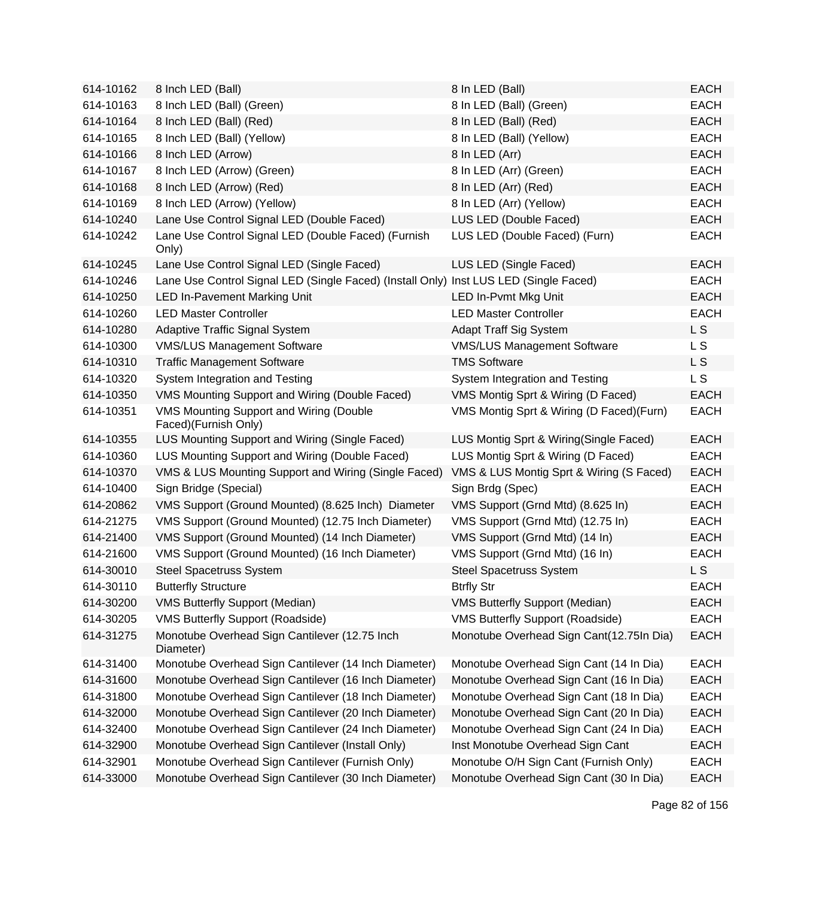| 614-10162 | 8 Inch LED (Ball)                                                                     | 8 In LED (Ball)                           | <b>EACH</b>    |
|-----------|---------------------------------------------------------------------------------------|-------------------------------------------|----------------|
| 614-10163 | 8 Inch LED (Ball) (Green)                                                             | 8 In LED (Ball) (Green)                   | <b>EACH</b>    |
| 614-10164 | 8 Inch LED (Ball) (Red)                                                               | 8 In LED (Ball) (Red)                     | <b>EACH</b>    |
| 614-10165 | 8 Inch LED (Ball) (Yellow)                                                            | 8 In LED (Ball) (Yellow)                  | <b>EACH</b>    |
| 614-10166 | 8 Inch LED (Arrow)                                                                    | 8 In LED (Arr)                            | <b>EACH</b>    |
| 614-10167 | 8 Inch LED (Arrow) (Green)                                                            | 8 In LED (Arr) (Green)                    | <b>EACH</b>    |
| 614-10168 | 8 Inch LED (Arrow) (Red)                                                              | 8 In LED (Arr) (Red)                      | <b>EACH</b>    |
| 614-10169 | 8 Inch LED (Arrow) (Yellow)                                                           | 8 In LED (Arr) (Yellow)                   | <b>EACH</b>    |
| 614-10240 | Lane Use Control Signal LED (Double Faced)                                            | LUS LED (Double Faced)                    | <b>EACH</b>    |
| 614-10242 | Lane Use Control Signal LED (Double Faced) (Furnish<br>Only)                          | LUS LED (Double Faced) (Furn)             | <b>EACH</b>    |
| 614-10245 | Lane Use Control Signal LED (Single Faced)                                            | LUS LED (Single Faced)                    | <b>EACH</b>    |
| 614-10246 | Lane Use Control Signal LED (Single Faced) (Install Only) Inst LUS LED (Single Faced) |                                           | <b>EACH</b>    |
| 614-10250 | <b>LED In-Pavement Marking Unit</b>                                                   | LED In-Pvmt Mkg Unit                      | <b>EACH</b>    |
| 614-10260 | <b>LED Master Controller</b>                                                          | <b>LED Master Controller</b>              | <b>EACH</b>    |
| 614-10280 | <b>Adaptive Traffic Signal System</b>                                                 | <b>Adapt Traff Sig System</b>             | L S            |
| 614-10300 | <b>VMS/LUS Management Software</b>                                                    | <b>VMS/LUS Management Software</b>        | L S            |
| 614-10310 | <b>Traffic Management Software</b>                                                    | <b>TMS Software</b>                       | L S            |
| 614-10320 | System Integration and Testing                                                        | System Integration and Testing            | L S            |
| 614-10350 | VMS Mounting Support and Wiring (Double Faced)                                        | VMS Montig Sprt & Wiring (D Faced)        | <b>EACH</b>    |
| 614-10351 | VMS Mounting Support and Wiring (Double<br>Faced)(Furnish Only)                       | VMS Montig Sprt & Wiring (D Faced) (Furn) | <b>EACH</b>    |
| 614-10355 | LUS Mounting Support and Wiring (Single Faced)                                        | LUS Montig Sprt & Wiring(Single Faced)    | <b>EACH</b>    |
| 614-10360 | LUS Mounting Support and Wiring (Double Faced)                                        | LUS Montig Sprt & Wiring (D Faced)        | <b>EACH</b>    |
| 614-10370 | VMS & LUS Mounting Support and Wiring (Single Faced)                                  | VMS & LUS Montig Sprt & Wiring (S Faced)  | <b>EACH</b>    |
| 614-10400 | Sign Bridge (Special)                                                                 | Sign Brdg (Spec)                          | <b>EACH</b>    |
| 614-20862 | VMS Support (Ground Mounted) (8.625 Inch) Diameter                                    | VMS Support (Grnd Mtd) (8.625 In)         | <b>EACH</b>    |
| 614-21275 | VMS Support (Ground Mounted) (12.75 Inch Diameter)                                    | VMS Support (Grnd Mtd) (12.75 In)         | <b>EACH</b>    |
| 614-21400 | VMS Support (Ground Mounted) (14 Inch Diameter)                                       | VMS Support (Grnd Mtd) (14 In)            | <b>EACH</b>    |
| 614-21600 | VMS Support (Ground Mounted) (16 Inch Diameter)                                       | VMS Support (Grnd Mtd) (16 In)            | <b>EACH</b>    |
| 614-30010 | <b>Steel Spacetruss System</b>                                                        | <b>Steel Spacetruss System</b>            | L <sub>S</sub> |
| 614-30110 | <b>Butterfly Structure</b>                                                            | <b>Btrfly Str</b>                         | <b>EACH</b>    |
| 614-30200 | <b>VMS Butterfly Support (Median)</b>                                                 | <b>VMS Butterfly Support (Median)</b>     | <b>EACH</b>    |
| 614-30205 | <b>VMS Butterfly Support (Roadside)</b>                                               | <b>VMS Butterfly Support (Roadside)</b>   | <b>EACH</b>    |
| 614-31275 | Monotube Overhead Sign Cantilever (12.75 Inch<br>Diameter)                            | Monotube Overhead Sign Cant(12.75In Dia)  | <b>EACH</b>    |
| 614-31400 | Monotube Overhead Sign Cantilever (14 Inch Diameter)                                  | Monotube Overhead Sign Cant (14 In Dia)   | <b>EACH</b>    |
| 614-31600 | Monotube Overhead Sign Cantilever (16 Inch Diameter)                                  | Monotube Overhead Sign Cant (16 In Dia)   | <b>EACH</b>    |
| 614-31800 | Monotube Overhead Sign Cantilever (18 Inch Diameter)                                  | Monotube Overhead Sign Cant (18 In Dia)   | <b>EACH</b>    |
| 614-32000 | Monotube Overhead Sign Cantilever (20 Inch Diameter)                                  | Monotube Overhead Sign Cant (20 In Dia)   | <b>EACH</b>    |
| 614-32400 | Monotube Overhead Sign Cantilever (24 Inch Diameter)                                  | Monotube Overhead Sign Cant (24 In Dia)   | <b>EACH</b>    |
| 614-32900 | Monotube Overhead Sign Cantilever (Install Only)                                      | Inst Monotube Overhead Sign Cant          | <b>EACH</b>    |
| 614-32901 | Monotube Overhead Sign Cantilever (Furnish Only)                                      | Monotube O/H Sign Cant (Furnish Only)     | <b>EACH</b>    |
| 614-33000 | Monotube Overhead Sign Cantilever (30 Inch Diameter)                                  | Monotube Overhead Sign Cant (30 In Dia)   | <b>EACH</b>    |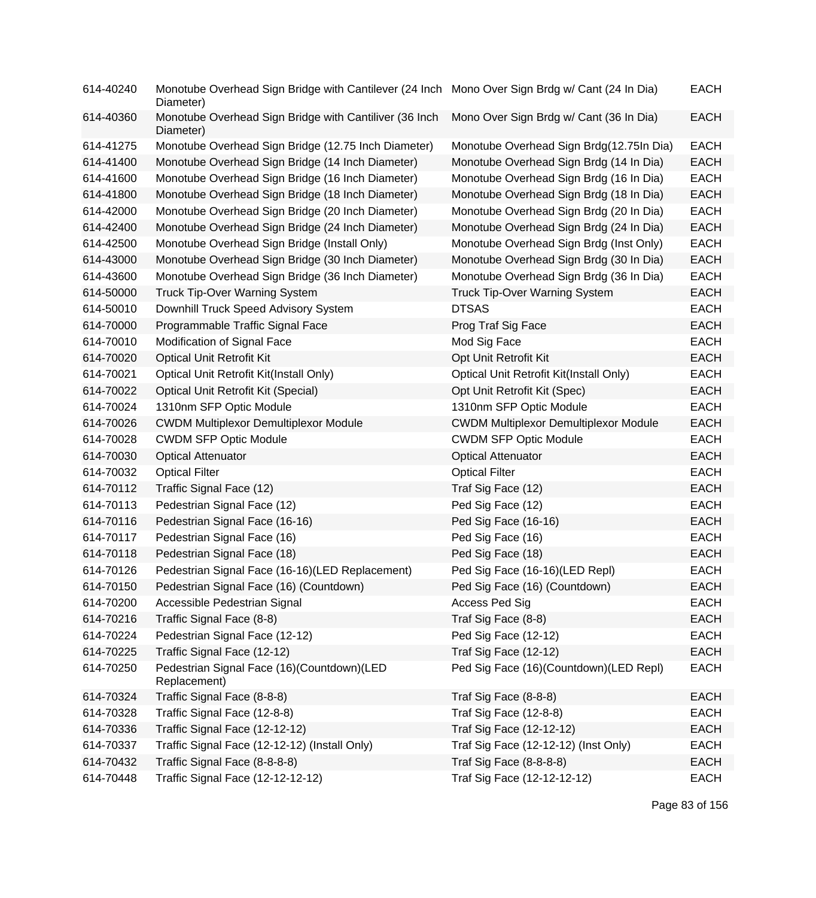| 614-40240 | Monotube Overhead Sign Bridge with Cantilever (24 Inch Mono Over Sign Brdg w/ Cant (24 In Dia)<br>Diameter) |                                              | <b>EACH</b> |
|-----------|-------------------------------------------------------------------------------------------------------------|----------------------------------------------|-------------|
| 614-40360 | Monotube Overhead Sign Bridge with Cantiliver (36 Inch<br>Diameter)                                         | Mono Over Sign Brdg w/ Cant (36 In Dia)      | <b>EACH</b> |
| 614-41275 | Monotube Overhead Sign Bridge (12.75 Inch Diameter)                                                         | Monotube Overhead Sign Brdg(12.75In Dia)     | <b>EACH</b> |
| 614-41400 | Monotube Overhead Sign Bridge (14 Inch Diameter)                                                            | Monotube Overhead Sign Brdg (14 In Dia)      | <b>EACH</b> |
| 614-41600 | Monotube Overhead Sign Bridge (16 Inch Diameter)                                                            | Monotube Overhead Sign Brdg (16 In Dia)      | <b>EACH</b> |
| 614-41800 | Monotube Overhead Sign Bridge (18 Inch Diameter)                                                            | Monotube Overhead Sign Brdg (18 In Dia)      | <b>EACH</b> |
| 614-42000 | Monotube Overhead Sign Bridge (20 Inch Diameter)                                                            | Monotube Overhead Sign Brdg (20 In Dia)      | <b>EACH</b> |
| 614-42400 | Monotube Overhead Sign Bridge (24 Inch Diameter)                                                            | Monotube Overhead Sign Brdg (24 In Dia)      | <b>EACH</b> |
| 614-42500 | Monotube Overhead Sign Bridge (Install Only)                                                                | Monotube Overhead Sign Brdg (Inst Only)      | <b>EACH</b> |
| 614-43000 | Monotube Overhead Sign Bridge (30 Inch Diameter)                                                            | Monotube Overhead Sign Brdg (30 In Dia)      | <b>EACH</b> |
| 614-43600 | Monotube Overhead Sign Bridge (36 Inch Diameter)                                                            | Monotube Overhead Sign Brdg (36 In Dia)      | <b>EACH</b> |
| 614-50000 | <b>Truck Tip-Over Warning System</b>                                                                        | <b>Truck Tip-Over Warning System</b>         | <b>EACH</b> |
| 614-50010 | Downhill Truck Speed Advisory System                                                                        | <b>DTSAS</b>                                 | <b>EACH</b> |
| 614-70000 | Programmable Traffic Signal Face                                                                            | Prog Traf Sig Face                           | <b>EACH</b> |
| 614-70010 | Modification of Signal Face                                                                                 | Mod Sig Face                                 | <b>EACH</b> |
| 614-70020 | <b>Optical Unit Retrofit Kit</b>                                                                            | Opt Unit Retrofit Kit                        | <b>EACH</b> |
| 614-70021 | Optical Unit Retrofit Kit(Install Only)                                                                     | Optical Unit Retrofit Kit(Install Only)      | <b>EACH</b> |
| 614-70022 | Optical Unit Retrofit Kit (Special)                                                                         | Opt Unit Retrofit Kit (Spec)                 | <b>EACH</b> |
| 614-70024 | 1310nm SFP Optic Module                                                                                     | 1310nm SFP Optic Module                      | <b>EACH</b> |
| 614-70026 | <b>CWDM Multiplexor Demultiplexor Module</b>                                                                | <b>CWDM Multiplexor Demultiplexor Module</b> | <b>EACH</b> |
| 614-70028 | <b>CWDM SFP Optic Module</b>                                                                                | <b>CWDM SFP Optic Module</b>                 | <b>EACH</b> |
| 614-70030 | <b>Optical Attenuator</b>                                                                                   | <b>Optical Attenuator</b>                    | <b>EACH</b> |
| 614-70032 | <b>Optical Filter</b>                                                                                       | <b>Optical Filter</b>                        | <b>EACH</b> |
| 614-70112 | Traffic Signal Face (12)                                                                                    | Traf Sig Face (12)                           | <b>EACH</b> |
| 614-70113 | Pedestrian Signal Face (12)                                                                                 | Ped Sig Face (12)                            | <b>EACH</b> |
| 614-70116 | Pedestrian Signal Face (16-16)                                                                              | Ped Sig Face (16-16)                         | <b>EACH</b> |
| 614-70117 | Pedestrian Signal Face (16)                                                                                 | Ped Sig Face (16)                            | <b>EACH</b> |
| 614-70118 | Pedestrian Signal Face (18)                                                                                 | Ped Sig Face (18)                            | <b>EACH</b> |
| 614-70126 | Pedestrian Signal Face (16-16)(LED Replacement)                                                             | Ped Sig Face (16-16)(LED Repl)               | <b>EACH</b> |
| 614-70150 | Pedestrian Signal Face (16) (Countdown)                                                                     | Ped Sig Face (16) (Countdown)                | <b>EACH</b> |
| 614-70200 | Accessible Pedestrian Signal                                                                                | Access Ped Sig                               | <b>EACH</b> |
| 614-70216 | Traffic Signal Face (8-8)                                                                                   | Traf Sig Face (8-8)                          | <b>EACH</b> |
| 614-70224 | Pedestrian Signal Face (12-12)                                                                              | Ped Sig Face (12-12)                         | <b>EACH</b> |
| 614-70225 | Traffic Signal Face (12-12)                                                                                 | Traf Sig Face (12-12)                        | <b>EACH</b> |
| 614-70250 | Pedestrian Signal Face (16)(Countdown)(LED<br>Replacement)                                                  | Ped Sig Face (16)(Countdown)(LED Repl)       | <b>EACH</b> |
| 614-70324 | Traffic Signal Face (8-8-8)                                                                                 | Traf Sig Face (8-8-8)                        | <b>EACH</b> |
| 614-70328 | Traffic Signal Face (12-8-8)                                                                                | Traf Sig Face (12-8-8)                       | <b>EACH</b> |
| 614-70336 | Traffic Signal Face (12-12-12)                                                                              | Traf Sig Face (12-12-12)                     | <b>EACH</b> |
| 614-70337 | Traffic Signal Face (12-12-12) (Install Only)                                                               | Traf Sig Face (12-12-12) (Inst Only)         | <b>EACH</b> |
| 614-70432 | Traffic Signal Face (8-8-8-8)                                                                               | Traf Sig Face (8-8-8-8)                      | <b>EACH</b> |
| 614-70448 | Traffic Signal Face (12-12-12-12)                                                                           | Traf Sig Face (12-12-12-12)                  | <b>EACH</b> |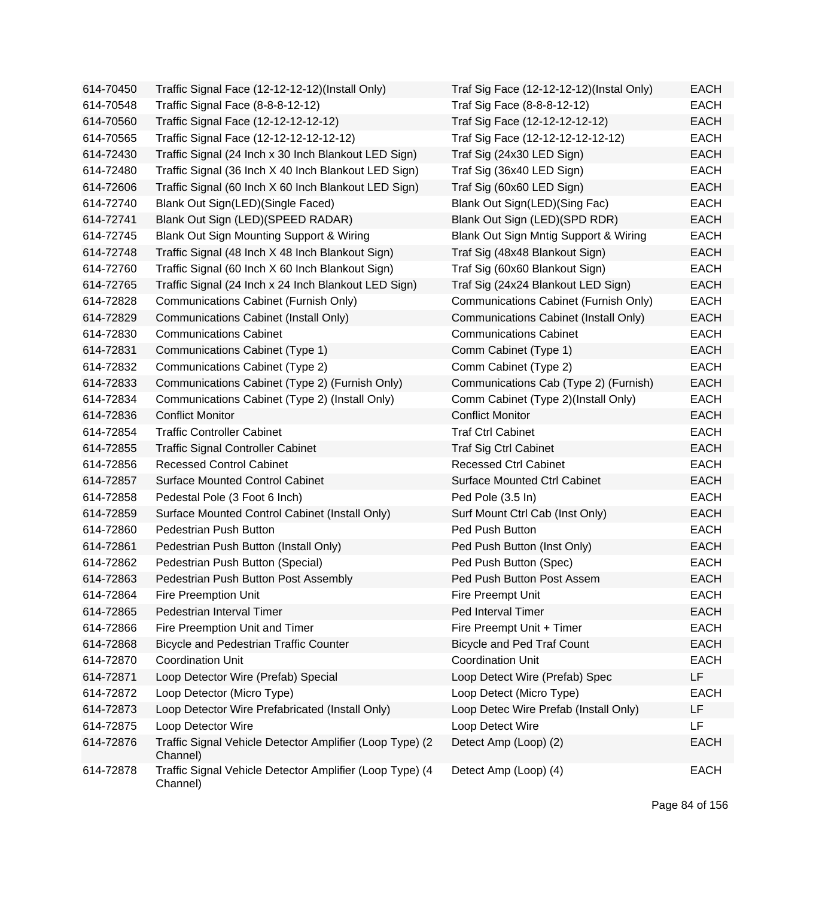| 614-70450 | Traffic Signal Face (12-12-12-12)(Install Only)                       | Traf Sig Face (12-12-12-12)(Instal Only) | <b>EACH</b> |
|-----------|-----------------------------------------------------------------------|------------------------------------------|-------------|
| 614-70548 | Traffic Signal Face (8-8-8-12-12)                                     | Traf Sig Face (8-8-8-12-12)              | <b>EACH</b> |
| 614-70560 | Traffic Signal Face (12-12-12-12-12)                                  | Traf Sig Face (12-12-12-12-12)           | <b>EACH</b> |
| 614-70565 | Traffic Signal Face (12-12-12-12-12-12)                               | Traf Sig Face (12-12-12-12-12-12)        | <b>EACH</b> |
| 614-72430 | Traffic Signal (24 Inch x 30 Inch Blankout LED Sign)                  | Traf Sig (24x30 LED Sign)                | <b>EACH</b> |
| 614-72480 | Traffic Signal (36 Inch X 40 Inch Blankout LED Sign)                  | Traf Sig (36x40 LED Sign)                | <b>EACH</b> |
| 614-72606 | Traffic Signal (60 Inch X 60 Inch Blankout LED Sign)                  | Traf Sig (60x60 LED Sign)                | <b>EACH</b> |
| 614-72740 | Blank Out Sign(LED)(Single Faced)                                     | Blank Out Sign(LED)(Sing Fac)            | <b>EACH</b> |
| 614-72741 | Blank Out Sign (LED)(SPEED RADAR)                                     | Blank Out Sign (LED)(SPD RDR)            | <b>EACH</b> |
| 614-72745 | Blank Out Sign Mounting Support & Wiring                              | Blank Out Sign Mntig Support & Wiring    | <b>EACH</b> |
| 614-72748 | Traffic Signal (48 Inch X 48 Inch Blankout Sign)                      | Traf Sig (48x48 Blankout Sign)           | <b>EACH</b> |
| 614-72760 | Traffic Signal (60 Inch X 60 Inch Blankout Sign)                      | Traf Sig (60x60 Blankout Sign)           | <b>EACH</b> |
| 614-72765 | Traffic Signal (24 Inch x 24 Inch Blankout LED Sign)                  | Traf Sig (24x24 Blankout LED Sign)       | <b>EACH</b> |
| 614-72828 | Communications Cabinet (Furnish Only)                                 | Communications Cabinet (Furnish Only)    | <b>EACH</b> |
| 614-72829 | Communications Cabinet (Install Only)                                 | Communications Cabinet (Install Only)    | <b>EACH</b> |
| 614-72830 | <b>Communications Cabinet</b>                                         | <b>Communications Cabinet</b>            | <b>EACH</b> |
| 614-72831 | Communications Cabinet (Type 1)                                       | Comm Cabinet (Type 1)                    | <b>EACH</b> |
| 614-72832 | Communications Cabinet (Type 2)                                       | Comm Cabinet (Type 2)                    | <b>EACH</b> |
| 614-72833 | Communications Cabinet (Type 2) (Furnish Only)                        | Communications Cab (Type 2) (Furnish)    | <b>EACH</b> |
| 614-72834 | Communications Cabinet (Type 2) (Install Only)                        | Comm Cabinet (Type 2)(Install Only)      | <b>EACH</b> |
| 614-72836 | <b>Conflict Monitor</b>                                               | <b>Conflict Monitor</b>                  | <b>EACH</b> |
| 614-72854 | <b>Traffic Controller Cabinet</b>                                     | <b>Traf Ctrl Cabinet</b>                 | <b>EACH</b> |
| 614-72855 | <b>Traffic Signal Controller Cabinet</b>                              | <b>Traf Sig Ctrl Cabinet</b>             | <b>EACH</b> |
| 614-72856 | <b>Recessed Control Cabinet</b>                                       | <b>Recessed Ctrl Cabinet</b>             | <b>EACH</b> |
| 614-72857 | <b>Surface Mounted Control Cabinet</b>                                | <b>Surface Mounted Ctrl Cabinet</b>      | <b>EACH</b> |
| 614-72858 | Pedestal Pole (3 Foot 6 Inch)                                         | Ped Pole (3.5 In)                        | <b>EACH</b> |
| 614-72859 | Surface Mounted Control Cabinet (Install Only)                        | Surf Mount Ctrl Cab (Inst Only)          | <b>EACH</b> |
| 614-72860 | Pedestrian Push Button                                                | Ped Push Button                          | <b>EACH</b> |
| 614-72861 | Pedestrian Push Button (Install Only)                                 | Ped Push Button (Inst Only)              | <b>EACH</b> |
| 614-72862 | Pedestrian Push Button (Special)                                      | Ped Push Button (Spec)                   | <b>EACH</b> |
| 614-72863 | Pedestrian Push Button Post Assembly                                  | Ped Push Button Post Assem               | <b>EACH</b> |
| 614-72864 | Fire Preemption Unit                                                  | <b>Fire Preempt Unit</b>                 | EACH        |
| 614-72865 | Pedestrian Interval Timer                                             | Ped Interval Timer                       | <b>EACH</b> |
| 614-72866 | Fire Preemption Unit and Timer                                        | Fire Preempt Unit + Timer                | <b>EACH</b> |
| 614-72868 | <b>Bicycle and Pedestrian Traffic Counter</b>                         | <b>Bicycle and Ped Traf Count</b>        | <b>EACH</b> |
| 614-72870 | <b>Coordination Unit</b>                                              | <b>Coordination Unit</b>                 | <b>EACH</b> |
| 614-72871 | Loop Detector Wire (Prefab) Special                                   | Loop Detect Wire (Prefab) Spec           | LF          |
| 614-72872 | Loop Detector (Micro Type)                                            | Loop Detect (Micro Type)                 | <b>EACH</b> |
| 614-72873 | Loop Detector Wire Prefabricated (Install Only)                       | Loop Detec Wire Prefab (Install Only)    | LF          |
| 614-72875 | Loop Detector Wire                                                    | Loop Detect Wire                         | LF          |
| 614-72876 | Traffic Signal Vehicle Detector Amplifier (Loop Type) (2)<br>Channel) | Detect Amp (Loop) (2)                    | <b>EACH</b> |
| 614-72878 | Traffic Signal Vehicle Detector Amplifier (Loop Type) (4<br>Channel)  | Detect Amp (Loop) (4)                    | <b>EACH</b> |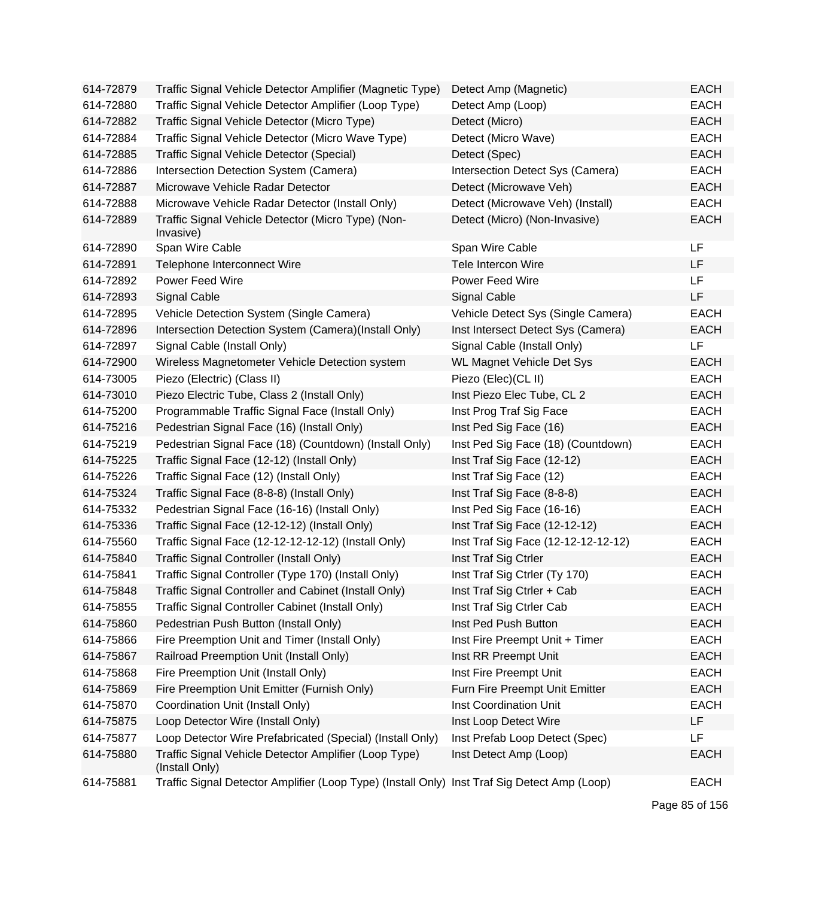| 614-72879 | Traffic Signal Vehicle Detector Amplifier (Magnetic Type)                                    | Detect Amp (Magnetic)               | <b>EACH</b> |
|-----------|----------------------------------------------------------------------------------------------|-------------------------------------|-------------|
| 614-72880 | Traffic Signal Vehicle Detector Amplifier (Loop Type)                                        | Detect Amp (Loop)                   | <b>EACH</b> |
| 614-72882 | Traffic Signal Vehicle Detector (Micro Type)                                                 | Detect (Micro)                      | <b>EACH</b> |
| 614-72884 | Traffic Signal Vehicle Detector (Micro Wave Type)                                            | Detect (Micro Wave)                 | <b>EACH</b> |
| 614-72885 | Traffic Signal Vehicle Detector (Special)                                                    | Detect (Spec)                       | <b>EACH</b> |
| 614-72886 | Intersection Detection System (Camera)                                                       | Intersection Detect Sys (Camera)    | <b>EACH</b> |
| 614-72887 | Microwave Vehicle Radar Detector                                                             | Detect (Microwave Veh)              | <b>EACH</b> |
| 614-72888 | Microwave Vehicle Radar Detector (Install Only)                                              | Detect (Microwave Veh) (Install)    | <b>EACH</b> |
| 614-72889 | Traffic Signal Vehicle Detector (Micro Type) (Non-<br>Invasive)                              | Detect (Micro) (Non-Invasive)       | <b>EACH</b> |
| 614-72890 | Span Wire Cable                                                                              | Span Wire Cable                     | LF          |
| 614-72891 | Telephone Interconnect Wire                                                                  | Tele Intercon Wire                  | LF          |
| 614-72892 | Power Feed Wire                                                                              | Power Feed Wire                     | <b>LF</b>   |
| 614-72893 | Signal Cable                                                                                 | Signal Cable                        | <b>LF</b>   |
| 614-72895 | Vehicle Detection System (Single Camera)                                                     | Vehicle Detect Sys (Single Camera)  | <b>EACH</b> |
| 614-72896 | Intersection Detection System (Camera)(Install Only)                                         | Inst Intersect Detect Sys (Camera)  | <b>EACH</b> |
| 614-72897 | Signal Cable (Install Only)                                                                  | Signal Cable (Install Only)         | LF          |
| 614-72900 | Wireless Magnetometer Vehicle Detection system                                               | <b>WL Magnet Vehicle Det Sys</b>    | <b>EACH</b> |
| 614-73005 | Piezo (Electric) (Class II)                                                                  | Piezo (Elec)(CL II)                 | <b>EACH</b> |
| 614-73010 | Piezo Electric Tube, Class 2 (Install Only)                                                  | Inst Piezo Elec Tube, CL 2          | <b>EACH</b> |
| 614-75200 | Programmable Traffic Signal Face (Install Only)                                              | Inst Prog Traf Sig Face             | <b>EACH</b> |
| 614-75216 | Pedestrian Signal Face (16) (Install Only)                                                   | Inst Ped Sig Face (16)              | <b>EACH</b> |
| 614-75219 | Pedestrian Signal Face (18) (Countdown) (Install Only)                                       | Inst Ped Sig Face (18) (Countdown)  | <b>EACH</b> |
| 614-75225 | Traffic Signal Face (12-12) (Install Only)                                                   | Inst Traf Sig Face (12-12)          | <b>EACH</b> |
| 614-75226 | Traffic Signal Face (12) (Install Only)                                                      | Inst Traf Sig Face (12)             | <b>EACH</b> |
| 614-75324 | Traffic Signal Face (8-8-8) (Install Only)                                                   | Inst Traf Sig Face (8-8-8)          | <b>EACH</b> |
| 614-75332 | Pedestrian Signal Face (16-16) (Install Only)                                                | Inst Ped Sig Face (16-16)           | <b>EACH</b> |
| 614-75336 | Traffic Signal Face (12-12-12) (Install Only)                                                | Inst Traf Sig Face (12-12-12)       | <b>EACH</b> |
| 614-75560 | Traffic Signal Face (12-12-12-12-12) (Install Only)                                          | Inst Traf Sig Face (12-12-12-12-12) | EACH        |
| 614-75840 | Traffic Signal Controller (Install Only)                                                     | Inst Traf Sig Ctrler                | <b>EACH</b> |
| 614-75841 | Traffic Signal Controller (Type 170) (Install Only)                                          | Inst Traf Sig Ctrler (Ty 170)       | <b>EACH</b> |
| 614-75848 | Traffic Signal Controller and Cabinet (Install Only)                                         | Inst Traf Sig Ctrler + Cab          | <b>EACH</b> |
| 614-75855 | Traffic Signal Controller Cabinet (Install Only)                                             | Inst Traf Sig Ctrler Cab            | <b>EACH</b> |
| 614-75860 | Pedestrian Push Button (Install Only)                                                        | Inst Ped Push Button                | <b>EACH</b> |
| 614-75866 | Fire Preemption Unit and Timer (Install Only)                                                | Inst Fire Preempt Unit + Timer      | <b>EACH</b> |
| 614-75867 | Railroad Preemption Unit (Install Only)                                                      | Inst RR Preempt Unit                | <b>EACH</b> |
| 614-75868 | Fire Preemption Unit (Install Only)                                                          | Inst Fire Preempt Unit              | <b>EACH</b> |
| 614-75869 | Fire Preemption Unit Emitter (Furnish Only)                                                  | Furn Fire Preempt Unit Emitter      | <b>EACH</b> |
| 614-75870 | Coordination Unit (Install Only)                                                             | Inst Coordination Unit              | <b>EACH</b> |
| 614-75875 | Loop Detector Wire (Install Only)                                                            | Inst Loop Detect Wire               | LF          |
| 614-75877 | Loop Detector Wire Prefabricated (Special) (Install Only)                                    | Inst Prefab Loop Detect (Spec)      | <b>LF</b>   |
| 614-75880 | Traffic Signal Vehicle Detector Amplifier (Loop Type)<br>(Install Only)                      | Inst Detect Amp (Loop)              | <b>EACH</b> |
| 614-75881 | Traffic Signal Detector Amplifier (Loop Type) (Install Only) Inst Traf Sig Detect Amp (Loop) |                                     | <b>EACH</b> |

Page 85 of 156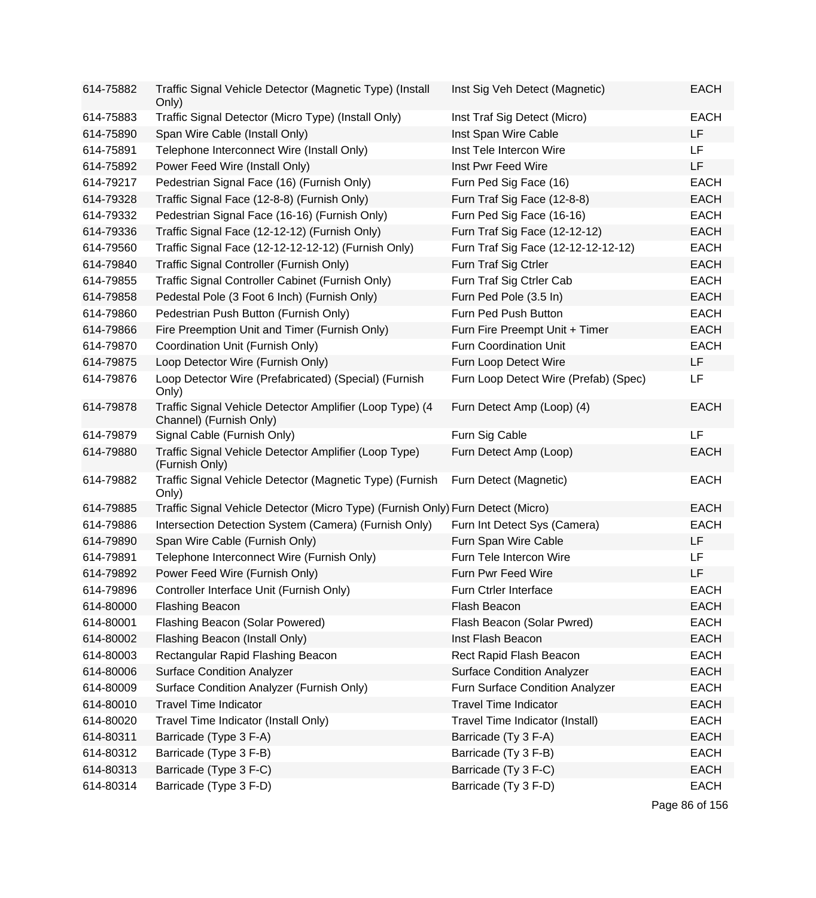| 614-75882 | Traffic Signal Vehicle Detector (Magnetic Type) (Install<br>Only)                   | Inst Sig Veh Detect (Magnetic)        | <b>EACH</b> |
|-----------|-------------------------------------------------------------------------------------|---------------------------------------|-------------|
| 614-75883 | Traffic Signal Detector (Micro Type) (Install Only)                                 | Inst Traf Sig Detect (Micro)          | <b>EACH</b> |
| 614-75890 | Span Wire Cable (Install Only)                                                      | Inst Span Wire Cable                  | LF          |
| 614-75891 | Telephone Interconnect Wire (Install Only)                                          | Inst Tele Intercon Wire               | LF.         |
| 614-75892 | Power Feed Wire (Install Only)                                                      | Inst Pwr Feed Wire                    | LF          |
| 614-79217 | Pedestrian Signal Face (16) (Furnish Only)                                          | Furn Ped Sig Face (16)                | <b>EACH</b> |
| 614-79328 | Traffic Signal Face (12-8-8) (Furnish Only)                                         | Furn Traf Sig Face (12-8-8)           | <b>EACH</b> |
| 614-79332 | Pedestrian Signal Face (16-16) (Furnish Only)                                       | Furn Ped Sig Face (16-16)             | <b>EACH</b> |
| 614-79336 | Traffic Signal Face (12-12-12) (Furnish Only)                                       | Furn Traf Sig Face (12-12-12)         | <b>EACH</b> |
| 614-79560 | Traffic Signal Face (12-12-12-12-12) (Furnish Only)                                 | Furn Traf Sig Face (12-12-12-12-12)   | <b>EACH</b> |
| 614-79840 | Traffic Signal Controller (Furnish Only)                                            | Furn Traf Sig Ctrler                  | <b>EACH</b> |
| 614-79855 | Traffic Signal Controller Cabinet (Furnish Only)                                    | Furn Traf Sig Ctrler Cab              | <b>EACH</b> |
| 614-79858 | Pedestal Pole (3 Foot 6 Inch) (Furnish Only)                                        | Furn Ped Pole (3.5 In)                | <b>EACH</b> |
| 614-79860 | Pedestrian Push Button (Furnish Only)                                               | Furn Ped Push Button                  | <b>EACH</b> |
| 614-79866 | Fire Preemption Unit and Timer (Furnish Only)                                       | Furn Fire Preempt Unit + Timer        | <b>EACH</b> |
| 614-79870 | Coordination Unit (Furnish Only)                                                    | <b>Furn Coordination Unit</b>         | <b>EACH</b> |
| 614-79875 | Loop Detector Wire (Furnish Only)                                                   | Furn Loop Detect Wire                 | LF          |
| 614-79876 | Loop Detector Wire (Prefabricated) (Special) (Furnish<br>Only)                      | Furn Loop Detect Wire (Prefab) (Spec) | LF          |
| 614-79878 | Traffic Signal Vehicle Detector Amplifier (Loop Type) (4<br>Channel) (Furnish Only) | Furn Detect Amp (Loop) (4)            | <b>EACH</b> |
| 614-79879 | Signal Cable (Furnish Only)                                                         | Furn Sig Cable                        | LF          |
| 614-79880 | Traffic Signal Vehicle Detector Amplifier (Loop Type)<br>(Furnish Only)             | Furn Detect Amp (Loop)                | <b>EACH</b> |
| 614-79882 | Traffic Signal Vehicle Detector (Magnetic Type) (Furnish<br>Only)                   | Furn Detect (Magnetic)                | <b>EACH</b> |
| 614-79885 | Traffic Signal Vehicle Detector (Micro Type) (Furnish Only) Furn Detect (Micro)     |                                       | <b>EACH</b> |
| 614-79886 | Intersection Detection System (Camera) (Furnish Only)                               | Furn Int Detect Sys (Camera)          | <b>EACH</b> |
| 614-79890 | Span Wire Cable (Furnish Only)                                                      | Furn Span Wire Cable                  | LF          |
| 614-79891 | Telephone Interconnect Wire (Furnish Only)                                          | Furn Tele Intercon Wire               | LF          |
| 614-79892 | Power Feed Wire (Furnish Only)                                                      | Furn Pwr Feed Wire                    | LF          |
| 614-79896 | Controller Interface Unit (Furnish Only)                                            | Furn Ctrler Interface                 | <b>EACH</b> |
| 614-80000 | <b>Flashing Beacon</b>                                                              | Flash Beacon                          | <b>EACH</b> |
| 614-80001 | Flashing Beacon (Solar Powered)                                                     | Flash Beacon (Solar Pwred)            | <b>EACH</b> |
| 614-80002 | Flashing Beacon (Install Only)                                                      | Inst Flash Beacon                     | <b>EACH</b> |
| 614-80003 | Rectangular Rapid Flashing Beacon                                                   | Rect Rapid Flash Beacon               | <b>EACH</b> |
| 614-80006 | <b>Surface Condition Analyzer</b>                                                   | <b>Surface Condition Analyzer</b>     | <b>EACH</b> |
| 614-80009 | Surface Condition Analyzer (Furnish Only)                                           | Furn Surface Condition Analyzer       | <b>EACH</b> |
| 614-80010 | <b>Travel Time Indicator</b>                                                        | <b>Travel Time Indicator</b>          | <b>EACH</b> |
| 614-80020 | Travel Time Indicator (Install Only)                                                | Travel Time Indicator (Install)       | <b>EACH</b> |
| 614-80311 | Barricade (Type 3 F-A)                                                              | Barricade (Ty 3 F-A)                  | <b>EACH</b> |
| 614-80312 | Barricade (Type 3 F-B)                                                              | Barricade (Ty 3 F-B)                  | <b>EACH</b> |
| 614-80313 | Barricade (Type 3 F-C)                                                              | Barricade (Ty 3 F-C)                  | <b>EACH</b> |
| 614-80314 | Barricade (Type 3 F-D)                                                              | Barricade (Ty 3 F-D)                  | <b>EACH</b> |

Page 86 of 156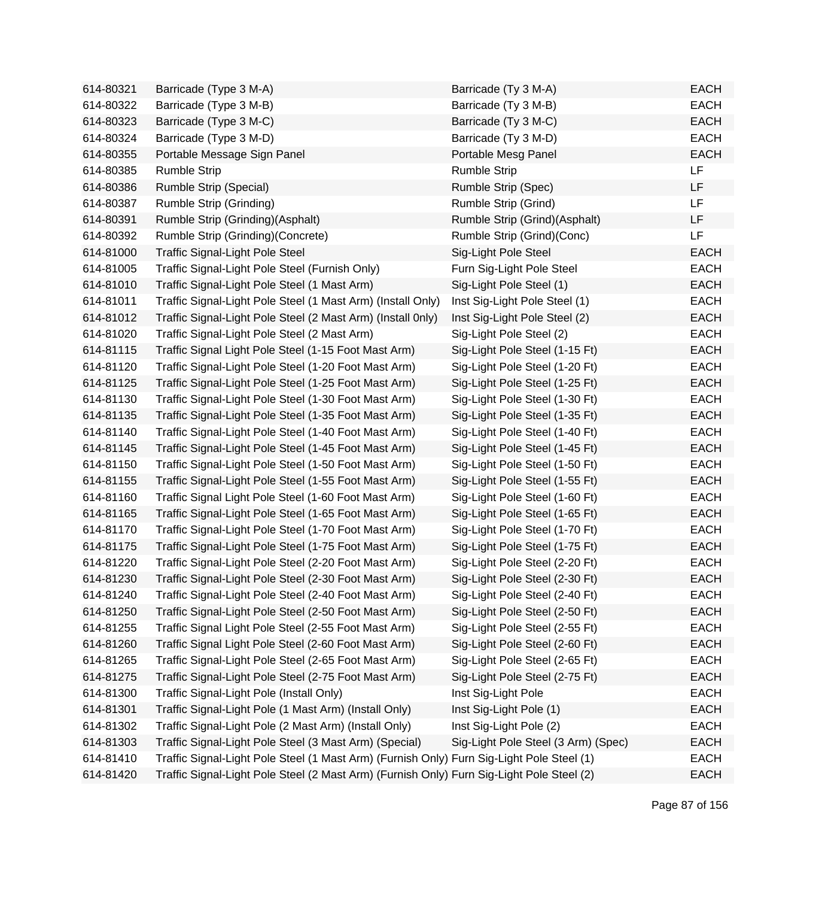| 614-80321 | Barricade (Type 3 M-A)                                                                    | Barricade (Ty 3 M-A)                | <b>EACH</b> |
|-----------|-------------------------------------------------------------------------------------------|-------------------------------------|-------------|
| 614-80322 | Barricade (Type 3 M-B)                                                                    | Barricade (Ty 3 M-B)                | <b>EACH</b> |
| 614-80323 | Barricade (Type 3 M-C)                                                                    | Barricade (Ty 3 M-C)                | <b>EACH</b> |
| 614-80324 | Barricade (Type 3 M-D)                                                                    | Barricade (Ty 3 M-D)                | <b>EACH</b> |
| 614-80355 | Portable Message Sign Panel                                                               | Portable Mesg Panel                 | <b>EACH</b> |
| 614-80385 | <b>Rumble Strip</b>                                                                       | <b>Rumble Strip</b>                 | LF          |
| 614-80386 | <b>Rumble Strip (Special)</b>                                                             | Rumble Strip (Spec)                 | <b>LF</b>   |
| 614-80387 | Rumble Strip (Grinding)                                                                   | Rumble Strip (Grind)                | LF          |
| 614-80391 | Rumble Strip (Grinding)(Asphalt)                                                          | Rumble Strip (Grind)(Asphalt)       | LF          |
| 614-80392 | Rumble Strip (Grinding) (Concrete)                                                        | Rumble Strip (Grind)(Conc)          | LF          |
| 614-81000 | <b>Traffic Signal-Light Pole Steel</b>                                                    | Sig-Light Pole Steel                | <b>EACH</b> |
| 614-81005 | Traffic Signal-Light Pole Steel (Furnish Only)                                            | Furn Sig-Light Pole Steel           | <b>EACH</b> |
| 614-81010 | Traffic Signal-Light Pole Steel (1 Mast Arm)                                              | Sig-Light Pole Steel (1)            | <b>EACH</b> |
| 614-81011 | Traffic Signal-Light Pole Steel (1 Mast Arm) (Install Only)                               | Inst Sig-Light Pole Steel (1)       | <b>EACH</b> |
| 614-81012 | Traffic Signal-Light Pole Steel (2 Mast Arm) (Install 0nly)                               | Inst Sig-Light Pole Steel (2)       | <b>EACH</b> |
| 614-81020 | Traffic Signal-Light Pole Steel (2 Mast Arm)                                              | Sig-Light Pole Steel (2)            | <b>EACH</b> |
| 614-81115 | Traffic Signal Light Pole Steel (1-15 Foot Mast Arm)                                      | Sig-Light Pole Steel (1-15 Ft)      | <b>EACH</b> |
| 614-81120 | Traffic Signal-Light Pole Steel (1-20 Foot Mast Arm)                                      | Sig-Light Pole Steel (1-20 Ft)      | <b>EACH</b> |
| 614-81125 | Traffic Signal-Light Pole Steel (1-25 Foot Mast Arm)                                      | Sig-Light Pole Steel (1-25 Ft)      | <b>EACH</b> |
| 614-81130 | Traffic Signal-Light Pole Steel (1-30 Foot Mast Arm)                                      | Sig-Light Pole Steel (1-30 Ft)      | <b>EACH</b> |
| 614-81135 | Traffic Signal-Light Pole Steel (1-35 Foot Mast Arm)                                      | Sig-Light Pole Steel (1-35 Ft)      | <b>EACH</b> |
| 614-81140 | Traffic Signal-Light Pole Steel (1-40 Foot Mast Arm)                                      | Sig-Light Pole Steel (1-40 Ft)      | <b>EACH</b> |
| 614-81145 | Traffic Signal-Light Pole Steel (1-45 Foot Mast Arm)                                      | Sig-Light Pole Steel (1-45 Ft)      | <b>EACH</b> |
| 614-81150 | Traffic Signal-Light Pole Steel (1-50 Foot Mast Arm)                                      | Sig-Light Pole Steel (1-50 Ft)      | <b>EACH</b> |
| 614-81155 | Traffic Signal-Light Pole Steel (1-55 Foot Mast Arm)                                      | Sig-Light Pole Steel (1-55 Ft)      | <b>EACH</b> |
| 614-81160 | Traffic Signal Light Pole Steel (1-60 Foot Mast Arm)                                      | Sig-Light Pole Steel (1-60 Ft)      | <b>EACH</b> |
| 614-81165 | Traffic Signal-Light Pole Steel (1-65 Foot Mast Arm)                                      | Sig-Light Pole Steel (1-65 Ft)      | <b>EACH</b> |
| 614-81170 | Traffic Signal-Light Pole Steel (1-70 Foot Mast Arm)                                      | Sig-Light Pole Steel (1-70 Ft)      | <b>EACH</b> |
| 614-81175 | Traffic Signal-Light Pole Steel (1-75 Foot Mast Arm)                                      | Sig-Light Pole Steel (1-75 Ft)      | <b>EACH</b> |
| 614-81220 | Traffic Signal-Light Pole Steel (2-20 Foot Mast Arm)                                      | Sig-Light Pole Steel (2-20 Ft)      | <b>EACH</b> |
| 614-81230 | Traffic Signal-Light Pole Steel (2-30 Foot Mast Arm)                                      | Sig-Light Pole Steel (2-30 Ft)      | <b>EACH</b> |
| 614-81240 | Traffic Signal-Light Pole Steel (2-40 Foot Mast Arm)                                      | Sig-Light Pole Steel (2-40 Ft)      | <b>EACH</b> |
| 614-81250 | Traffic Signal-Light Pole Steel (2-50 Foot Mast Arm)                                      | Sig-Light Pole Steel (2-50 Ft)      | <b>EACH</b> |
| 614-81255 | Traffic Signal Light Pole Steel (2-55 Foot Mast Arm)                                      | Sig-Light Pole Steel (2-55 Ft)      | <b>EACH</b> |
| 614-81260 | Traffic Signal Light Pole Steel (2-60 Foot Mast Arm)                                      | Sig-Light Pole Steel (2-60 Ft)      | <b>EACH</b> |
| 614-81265 | Traffic Signal-Light Pole Steel (2-65 Foot Mast Arm)                                      | Sig-Light Pole Steel (2-65 Ft)      | <b>EACH</b> |
| 614-81275 | Traffic Signal-Light Pole Steel (2-75 Foot Mast Arm)                                      | Sig-Light Pole Steel (2-75 Ft)      | <b>EACH</b> |
| 614-81300 | Traffic Signal-Light Pole (Install Only)                                                  | Inst Sig-Light Pole                 | <b>EACH</b> |
| 614-81301 | Traffic Signal-Light Pole (1 Mast Arm) (Install Only)                                     | Inst Sig-Light Pole (1)             | <b>EACH</b> |
| 614-81302 | Traffic Signal-Light Pole (2 Mast Arm) (Install Only)                                     | Inst Sig-Light Pole (2)             | <b>EACH</b> |
| 614-81303 | Traffic Signal-Light Pole Steel (3 Mast Arm) (Special)                                    | Sig-Light Pole Steel (3 Arm) (Spec) | <b>EACH</b> |
| 614-81410 | Traffic Signal-Light Pole Steel (1 Mast Arm) (Furnish Only) Furn Sig-Light Pole Steel (1) |                                     | <b>EACH</b> |
| 614-81420 | Traffic Signal-Light Pole Steel (2 Mast Arm) (Furnish Only) Furn Sig-Light Pole Steel (2) |                                     | <b>EACH</b> |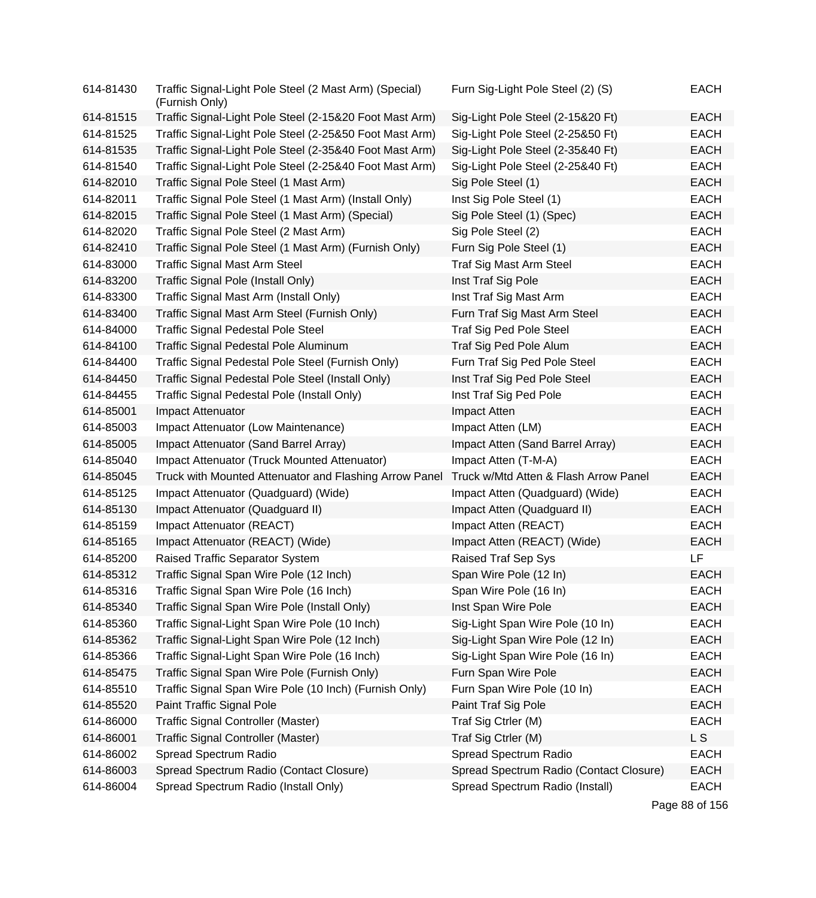| 614-81430 | Traffic Signal-Light Pole Steel (2 Mast Arm) (Special)<br>(Furnish Only) | Furn Sig-Light Pole Steel (2) (S)       | <b>EACH</b>    |
|-----------|--------------------------------------------------------------------------|-----------------------------------------|----------------|
| 614-81515 | Traffic Signal-Light Pole Steel (2-15&20 Foot Mast Arm)                  | Sig-Light Pole Steel (2-15&20 Ft)       | <b>EACH</b>    |
| 614-81525 | Traffic Signal-Light Pole Steel (2-25&50 Foot Mast Arm)                  | Sig-Light Pole Steel (2-25&50 Ft)       | <b>EACH</b>    |
| 614-81535 | Traffic Signal-Light Pole Steel (2-35&40 Foot Mast Arm)                  | Sig-Light Pole Steel (2-35&40 Ft)       | <b>EACH</b>    |
| 614-81540 | Traffic Signal-Light Pole Steel (2-25&40 Foot Mast Arm)                  | Sig-Light Pole Steel (2-25&40 Ft)       | <b>EACH</b>    |
| 614-82010 | Traffic Signal Pole Steel (1 Mast Arm)                                   | Sig Pole Steel (1)                      | <b>EACH</b>    |
| 614-82011 | Traffic Signal Pole Steel (1 Mast Arm) (Install Only)                    | Inst Sig Pole Steel (1)                 | <b>EACH</b>    |
| 614-82015 | Traffic Signal Pole Steel (1 Mast Arm) (Special)                         | Sig Pole Steel (1) (Spec)               | <b>EACH</b>    |
| 614-82020 | Traffic Signal Pole Steel (2 Mast Arm)                                   | Sig Pole Steel (2)                      | <b>EACH</b>    |
| 614-82410 | Traffic Signal Pole Steel (1 Mast Arm) (Furnish Only)                    | Furn Sig Pole Steel (1)                 | <b>EACH</b>    |
| 614-83000 | <b>Traffic Signal Mast Arm Steel</b>                                     | Traf Sig Mast Arm Steel                 | <b>EACH</b>    |
| 614-83200 | Traffic Signal Pole (Install Only)                                       | Inst Traf Sig Pole                      | <b>EACH</b>    |
| 614-83300 | Traffic Signal Mast Arm (Install Only)                                   | Inst Traf Sig Mast Arm                  | <b>EACH</b>    |
| 614-83400 | Traffic Signal Mast Arm Steel (Furnish Only)                             | Furn Traf Sig Mast Arm Steel            | <b>EACH</b>    |
| 614-84000 | <b>Traffic Signal Pedestal Pole Steel</b>                                | <b>Traf Sig Ped Pole Steel</b>          | <b>EACH</b>    |
| 614-84100 | Traffic Signal Pedestal Pole Aluminum                                    | Traf Sig Ped Pole Alum                  | <b>EACH</b>    |
| 614-84400 | Traffic Signal Pedestal Pole Steel (Furnish Only)                        | Furn Traf Sig Ped Pole Steel            | <b>EACH</b>    |
| 614-84450 | Traffic Signal Pedestal Pole Steel (Install Only)                        | Inst Traf Sig Ped Pole Steel            | <b>EACH</b>    |
| 614-84455 | Traffic Signal Pedestal Pole (Install Only)                              | Inst Traf Sig Ped Pole                  | <b>EACH</b>    |
| 614-85001 | Impact Attenuator                                                        | Impact Atten                            | <b>EACH</b>    |
| 614-85003 | Impact Attenuator (Low Maintenance)                                      | Impact Atten (LM)                       | <b>EACH</b>    |
| 614-85005 | Impact Attenuator (Sand Barrel Array)                                    | Impact Atten (Sand Barrel Array)        | <b>EACH</b>    |
| 614-85040 | Impact Attenuator (Truck Mounted Attenuator)                             | Impact Atten (T-M-A)                    | <b>EACH</b>    |
| 614-85045 | Truck with Mounted Attenuator and Flashing Arrow Panel                   | Truck w/Mtd Atten & Flash Arrow Panel   | <b>EACH</b>    |
| 614-85125 | Impact Attenuator (Quadguard) (Wide)                                     | Impact Atten (Quadguard) (Wide)         | <b>EACH</b>    |
| 614-85130 | Impact Attenuator (Quadguard II)                                         | Impact Atten (Quadguard II)             | <b>EACH</b>    |
| 614-85159 | Impact Attenuator (REACT)                                                | Impact Atten (REACT)                    | <b>EACH</b>    |
| 614-85165 | Impact Attenuator (REACT) (Wide)                                         | Impact Atten (REACT) (Wide)             | <b>EACH</b>    |
| 614-85200 | Raised Traffic Separator System                                          | Raised Traf Sep Sys                     | <b>LF</b>      |
| 614-85312 | Traffic Signal Span Wire Pole (12 Inch)                                  | Span Wire Pole (12 In)                  | <b>EACH</b>    |
| 614-85316 | Traffic Signal Span Wire Pole (16 Inch)                                  | Span Wire Pole (16 In)                  | <b>EACH</b>    |
| 614-85340 | Traffic Signal Span Wire Pole (Install Only)                             | Inst Span Wire Pole                     | <b>EACH</b>    |
| 614-85360 | Traffic Signal-Light Span Wire Pole (10 Inch)                            | Sig-Light Span Wire Pole (10 In)        | <b>EACH</b>    |
| 614-85362 | Traffic Signal-Light Span Wire Pole (12 Inch)                            | Sig-Light Span Wire Pole (12 In)        | <b>EACH</b>    |
| 614-85366 | Traffic Signal-Light Span Wire Pole (16 Inch)                            | Sig-Light Span Wire Pole (16 In)        | <b>EACH</b>    |
| 614-85475 | Traffic Signal Span Wire Pole (Furnish Only)                             | Furn Span Wire Pole                     | <b>EACH</b>    |
| 614-85510 | Traffic Signal Span Wire Pole (10 Inch) (Furnish Only)                   | Furn Span Wire Pole (10 In)             | <b>EACH</b>    |
| 614-85520 | Paint Traffic Signal Pole                                                | Paint Traf Sig Pole                     | <b>EACH</b>    |
| 614-86000 | <b>Traffic Signal Controller (Master)</b>                                | Traf Sig Ctrler (M)                     | <b>EACH</b>    |
| 614-86001 | Traffic Signal Controller (Master)                                       | Traf Sig Ctrler (M)                     | L <sub>S</sub> |
| 614-86002 | Spread Spectrum Radio                                                    | Spread Spectrum Radio                   | <b>EACH</b>    |
| 614-86003 | Spread Spectrum Radio (Contact Closure)                                  | Spread Spectrum Radio (Contact Closure) | <b>EACH</b>    |
| 614-86004 | Spread Spectrum Radio (Install Only)                                     | Spread Spectrum Radio (Install)         | <b>EACH</b>    |

Page 88 of 156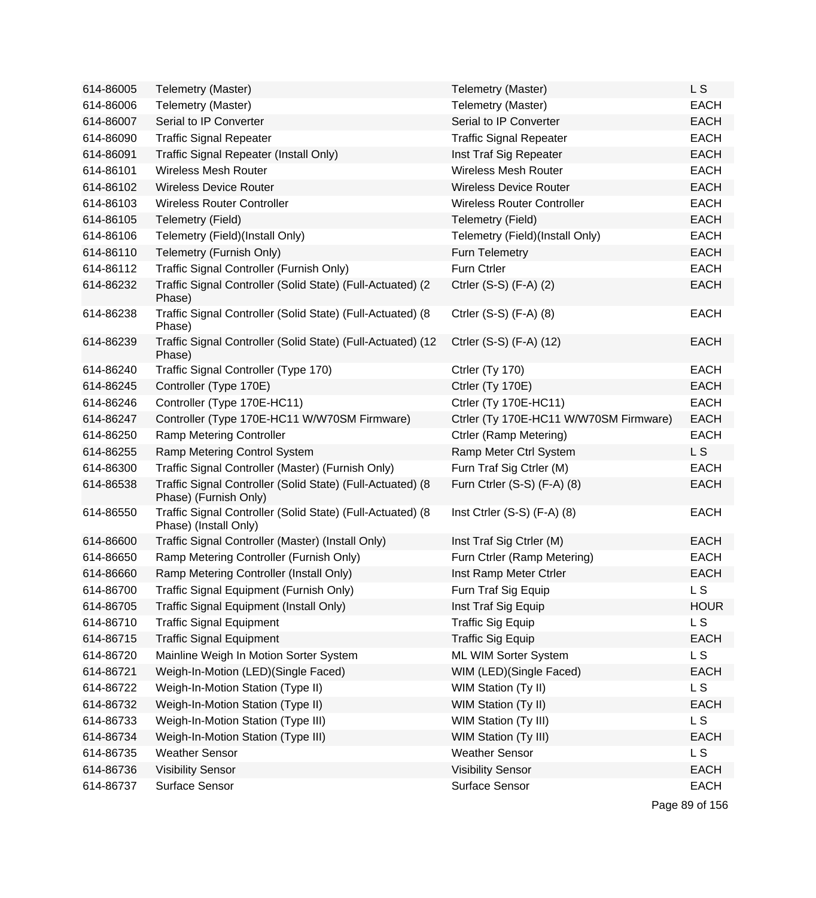| 614-86005 | Telemetry (Master)                                                                  | Telemetry (Master)                     | L S            |
|-----------|-------------------------------------------------------------------------------------|----------------------------------------|----------------|
| 614-86006 | Telemetry (Master)                                                                  | Telemetry (Master)                     | <b>EACH</b>    |
| 614-86007 | Serial to IP Converter                                                              | Serial to IP Converter                 | <b>EACH</b>    |
| 614-86090 | <b>Traffic Signal Repeater</b>                                                      | <b>Traffic Signal Repeater</b>         | <b>EACH</b>    |
| 614-86091 | Traffic Signal Repeater (Install Only)                                              | Inst Traf Sig Repeater                 | <b>EACH</b>    |
| 614-86101 | <b>Wireless Mesh Router</b>                                                         | <b>Wireless Mesh Router</b>            | <b>EACH</b>    |
| 614-86102 | <b>Wireless Device Router</b>                                                       | <b>Wireless Device Router</b>          | <b>EACH</b>    |
| 614-86103 | <b>Wireless Router Controller</b>                                                   | <b>Wireless Router Controller</b>      | <b>EACH</b>    |
| 614-86105 | <b>Telemetry (Field)</b>                                                            | Telemetry (Field)                      | <b>EACH</b>    |
| 614-86106 | Telemetry (Field)(Install Only)                                                     | Telemetry (Field)(Install Only)        | <b>EACH</b>    |
| 614-86110 | Telemetry (Furnish Only)                                                            | Furn Telemetry                         | <b>EACH</b>    |
| 614-86112 | Traffic Signal Controller (Furnish Only)                                            | Furn Ctrler                            | <b>EACH</b>    |
| 614-86232 | Traffic Signal Controller (Solid State) (Full-Actuated) (2<br>Phase)                | Ctrler (S-S) (F-A) (2)                 | <b>EACH</b>    |
| 614-86238 | Traffic Signal Controller (Solid State) (Full-Actuated) (8<br>Phase)                | Ctrler (S-S) (F-A) (8)                 | <b>EACH</b>    |
| 614-86239 | Traffic Signal Controller (Solid State) (Full-Actuated) (12<br>Phase)               | Ctrler (S-S) (F-A) (12)                | <b>EACH</b>    |
| 614-86240 | Traffic Signal Controller (Type 170)                                                | Ctrler (Ty 170)                        | <b>EACH</b>    |
| 614-86245 | Controller (Type 170E)                                                              | Ctrler (Ty 170E)                       | <b>EACH</b>    |
| 614-86246 | Controller (Type 170E-HC11)                                                         | <b>Ctrler (Ty 170E-HC11)</b>           | <b>EACH</b>    |
| 614-86247 | Controller (Type 170E-HC11 W/W70SM Firmware)                                        | Ctrler (Ty 170E-HC11 W/W70SM Firmware) | <b>EACH</b>    |
| 614-86250 | Ramp Metering Controller                                                            | Ctrler (Ramp Metering)                 | <b>EACH</b>    |
| 614-86255 | Ramp Metering Control System                                                        | Ramp Meter Ctrl System                 | L <sub>S</sub> |
| 614-86300 | Traffic Signal Controller (Master) (Furnish Only)                                   | Furn Traf Sig Ctrler (M)               | <b>EACH</b>    |
| 614-86538 | Traffic Signal Controller (Solid State) (Full-Actuated) (8<br>Phase) (Furnish Only) | Furn Ctrler (S-S) (F-A) (8)            | <b>EACH</b>    |
| 614-86550 | Traffic Signal Controller (Solid State) (Full-Actuated) (8<br>Phase) (Install Only) | Inst Ctrler $(S-S)$ $(F-A)$ $(8)$      | <b>EACH</b>    |
| 614-86600 | Traffic Signal Controller (Master) (Install Only)                                   | Inst Traf Sig Ctrler (M)               | <b>EACH</b>    |
| 614-86650 | Ramp Metering Controller (Furnish Only)                                             | Furn Ctrler (Ramp Metering)            | <b>EACH</b>    |
| 614-86660 | Ramp Metering Controller (Install Only)                                             | Inst Ramp Meter Ctrler                 | <b>EACH</b>    |
| 614-86700 | Traffic Signal Equipment (Furnish Only)                                             | Furn Traf Sig Equip                    | L <sub>S</sub> |
| 614-86705 | Traffic Signal Equipment (Install Only)                                             | Inst Traf Sig Equip                    | <b>HOUR</b>    |
| 614-86710 | <b>Traffic Signal Equipment</b>                                                     | <b>Traffic Sig Equip</b>               | L <sub>S</sub> |
| 614-86715 | <b>Traffic Signal Equipment</b>                                                     | <b>Traffic Sig Equip</b>               | <b>EACH</b>    |
| 614-86720 | Mainline Weigh In Motion Sorter System                                              | ML WIM Sorter System                   | L S            |
| 614-86721 | Weigh-In-Motion (LED)(Single Faced)                                                 | WIM (LED)(Single Faced)                | <b>EACH</b>    |
| 614-86722 | Weigh-In-Motion Station (Type II)                                                   | WIM Station (Ty II)                    | L <sub>S</sub> |
| 614-86732 | Weigh-In-Motion Station (Type II)                                                   | WIM Station (Ty II)                    | <b>EACH</b>    |
| 614-86733 | Weigh-In-Motion Station (Type III)                                                  | WIM Station (Ty III)                   | <b>LS</b>      |
| 614-86734 | Weigh-In-Motion Station (Type III)                                                  | <b>WIM Station (Ty III)</b>            | <b>EACH</b>    |
| 614-86735 | <b>Weather Sensor</b>                                                               | <b>Weather Sensor</b>                  | <b>LS</b>      |
| 614-86736 | <b>Visibility Sensor</b>                                                            | <b>Visibility Sensor</b>               | <b>EACH</b>    |
| 614-86737 | Surface Sensor                                                                      | Surface Sensor                         | <b>EACH</b>    |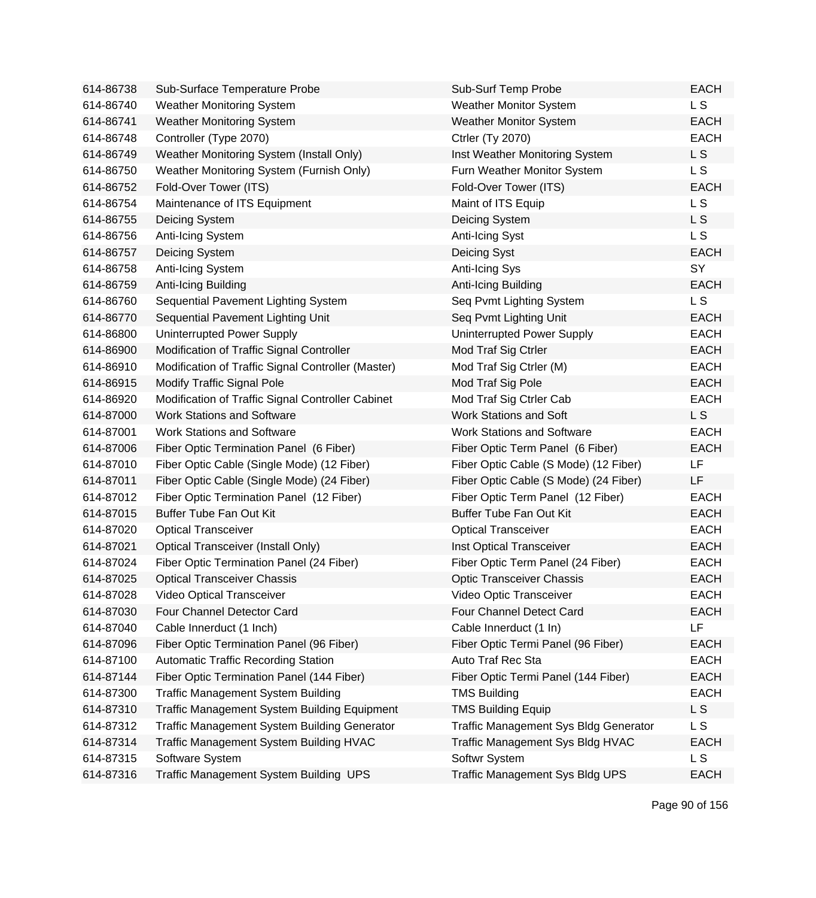| 614-86738 | Sub-Surface Temperature Probe                       | Sub-Surf Temp Probe                          | <b>EACH</b>    |
|-----------|-----------------------------------------------------|----------------------------------------------|----------------|
| 614-86740 | <b>Weather Monitoring System</b>                    | <b>Weather Monitor System</b>                | L S            |
| 614-86741 | <b>Weather Monitoring System</b>                    | <b>Weather Monitor System</b>                | <b>EACH</b>    |
| 614-86748 | Controller (Type 2070)                              | <b>Ctrler (Ty 2070)</b>                      | <b>EACH</b>    |
| 614-86749 | Weather Monitoring System (Install Only)            | Inst Weather Monitoring System               | L S            |
| 614-86750 | Weather Monitoring System (Furnish Only)            | Furn Weather Monitor System                  | L <sub>S</sub> |
| 614-86752 | Fold-Over Tower (ITS)                               | Fold-Over Tower (ITS)                        | <b>EACH</b>    |
| 614-86754 | Maintenance of ITS Equipment                        | Maint of ITS Equip                           | L <sub>S</sub> |
| 614-86755 | Deicing System                                      | Deicing System                               | L S            |
| 614-86756 | Anti-Icing System                                   | Anti-Icing Syst                              | L <sub>S</sub> |
| 614-86757 | Deicing System                                      | Deicing Syst                                 | <b>EACH</b>    |
| 614-86758 | Anti-Icing System                                   | Anti-Icing Sys                               | SY             |
| 614-86759 | Anti-Icing Building                                 | Anti-Icing Building                          | <b>EACH</b>    |
| 614-86760 | Sequential Pavement Lighting System                 | Seq Pvmt Lighting System                     | L S            |
| 614-86770 | Sequential Pavement Lighting Unit                   | Seq Pvmt Lighting Unit                       | <b>EACH</b>    |
| 614-86800 | Uninterrupted Power Supply                          | Uninterrupted Power Supply                   | <b>EACH</b>    |
| 614-86900 | Modification of Traffic Signal Controller           | Mod Traf Sig Ctrler                          | <b>EACH</b>    |
| 614-86910 | Modification of Traffic Signal Controller (Master)  | Mod Traf Sig Ctrler (M)                      | <b>EACH</b>    |
| 614-86915 | <b>Modify Traffic Signal Pole</b>                   | Mod Traf Sig Pole                            | <b>EACH</b>    |
| 614-86920 | Modification of Traffic Signal Controller Cabinet   | Mod Traf Sig Ctrler Cab                      | <b>EACH</b>    |
| 614-87000 | <b>Work Stations and Software</b>                   | <b>Work Stations and Soft</b>                | L S            |
| 614-87001 | <b>Work Stations and Software</b>                   | <b>Work Stations and Software</b>            | <b>EACH</b>    |
| 614-87006 | Fiber Optic Termination Panel (6 Fiber)             | Fiber Optic Term Panel (6 Fiber)             | <b>EACH</b>    |
| 614-87010 | Fiber Optic Cable (Single Mode) (12 Fiber)          | Fiber Optic Cable (S Mode) (12 Fiber)        | LF             |
| 614-87011 | Fiber Optic Cable (Single Mode) (24 Fiber)          | Fiber Optic Cable (S Mode) (24 Fiber)        | LF             |
| 614-87012 | Fiber Optic Termination Panel (12 Fiber)            | Fiber Optic Term Panel (12 Fiber)            | <b>EACH</b>    |
| 614-87015 | <b>Buffer Tube Fan Out Kit</b>                      | <b>Buffer Tube Fan Out Kit</b>               | <b>EACH</b>    |
| 614-87020 | <b>Optical Transceiver</b>                          | <b>Optical Transceiver</b>                   | <b>EACH</b>    |
| 614-87021 | Optical Transceiver (Install Only)                  | Inst Optical Transceiver                     | <b>EACH</b>    |
| 614-87024 | Fiber Optic Termination Panel (24 Fiber)            | Fiber Optic Term Panel (24 Fiber)            | <b>EACH</b>    |
| 614-87025 | <b>Optical Transceiver Chassis</b>                  | <b>Optic Transceiver Chassis</b>             | <b>EACH</b>    |
| 614-87028 | Video Optical Transceiver                           | Video Optic Transceiver                      | <b>EACH</b>    |
| 614-87030 | Four Channel Detector Card                          | Four Channel Detect Card                     | <b>EACH</b>    |
| 614-87040 | Cable Innerduct (1 Inch)                            | Cable Innerduct (1 In)                       | LF             |
| 614-87096 | Fiber Optic Termination Panel (96 Fiber)            | Fiber Optic Termi Panel (96 Fiber)           | <b>EACH</b>    |
| 614-87100 | <b>Automatic Traffic Recording Station</b>          | Auto Traf Rec Sta                            | <b>EACH</b>    |
| 614-87144 | Fiber Optic Termination Panel (144 Fiber)           | Fiber Optic Termi Panel (144 Fiber)          | <b>EACH</b>    |
| 614-87300 | <b>Traffic Management System Building</b>           | <b>TMS Building</b>                          | <b>EACH</b>    |
| 614-87310 | <b>Traffic Management System Building Equipment</b> | <b>TMS Building Equip</b>                    | L S            |
| 614-87312 | <b>Traffic Management System Building Generator</b> | <b>Traffic Management Sys Bldg Generator</b> | L S            |
| 614-87314 | Traffic Management System Building HVAC             | Traffic Management Sys Bldg HVAC             | <b>EACH</b>    |
| 614-87315 | Software System                                     | Softwr System                                | L S            |
| 614-87316 | Traffic Management System Building UPS              | <b>Traffic Management Sys Bldg UPS</b>       | <b>EACH</b>    |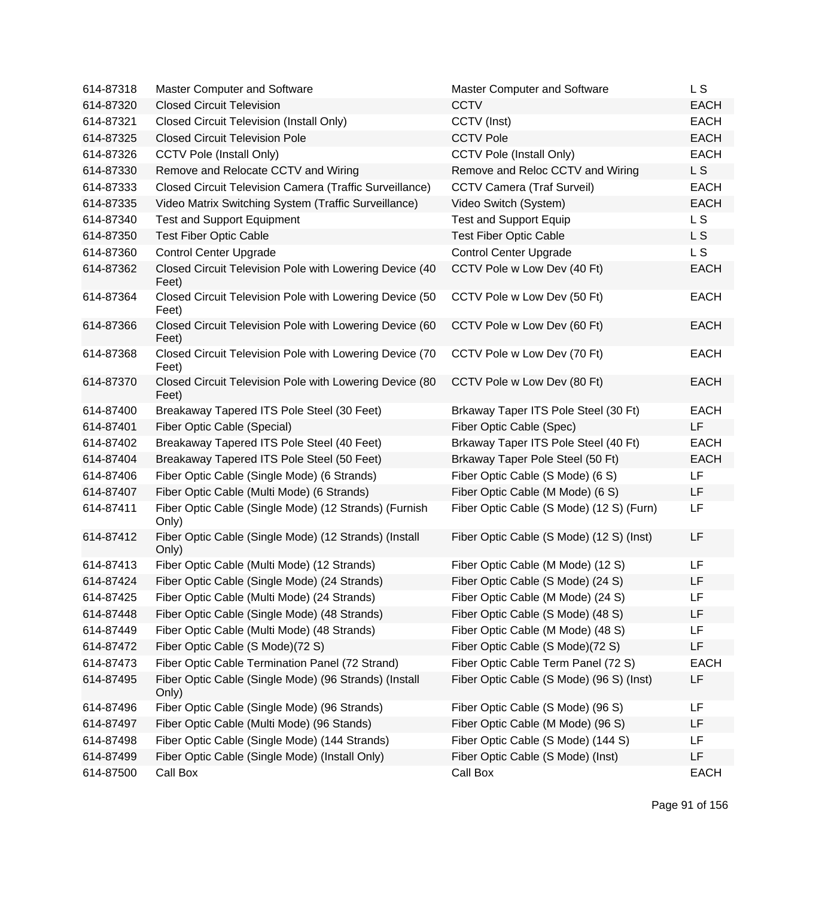| 614-87318 | <b>Master Computer and Software</b>                              | Master Computer and Software             | L S            |
|-----------|------------------------------------------------------------------|------------------------------------------|----------------|
| 614-87320 | <b>Closed Circuit Television</b>                                 | <b>CCTV</b>                              | <b>EACH</b>    |
| 614-87321 | <b>Closed Circuit Television (Install Only)</b>                  | CCTV (Inst)                              | <b>EACH</b>    |
| 614-87325 | <b>Closed Circuit Television Pole</b>                            | <b>CCTV Pole</b>                         | <b>EACH</b>    |
| 614-87326 | <b>CCTV Pole (Install Only)</b>                                  | <b>CCTV Pole (Install Only)</b>          | <b>EACH</b>    |
| 614-87330 | Remove and Relocate CCTV and Wiring                              | Remove and Reloc CCTV and Wiring         | L <sub>S</sub> |
| 614-87333 | Closed Circuit Television Camera (Traffic Surveillance)          | <b>CCTV Camera (Traf Surveil)</b>        | <b>EACH</b>    |
| 614-87335 | Video Matrix Switching System (Traffic Surveillance)             | Video Switch (System)                    | <b>EACH</b>    |
| 614-87340 | <b>Test and Support Equipment</b>                                | <b>Test and Support Equip</b>            | L S            |
| 614-87350 | <b>Test Fiber Optic Cable</b>                                    | <b>Test Fiber Optic Cable</b>            | L S            |
| 614-87360 | <b>Control Center Upgrade</b>                                    | <b>Control Center Upgrade</b>            | L S            |
| 614-87362 | Closed Circuit Television Pole with Lowering Device (40<br>Feet) | CCTV Pole w Low Dev (40 Ft)              | <b>EACH</b>    |
| 614-87364 | Closed Circuit Television Pole with Lowering Device (50<br>Feet) | CCTV Pole w Low Dev (50 Ft)              | <b>EACH</b>    |
| 614-87366 | Closed Circuit Television Pole with Lowering Device (60<br>Feet) | CCTV Pole w Low Dev (60 Ft)              | <b>EACH</b>    |
| 614-87368 | Closed Circuit Television Pole with Lowering Device (70<br>Feet) | CCTV Pole w Low Dev (70 Ft)              | <b>EACH</b>    |
| 614-87370 | Closed Circuit Television Pole with Lowering Device (80<br>Feet) | CCTV Pole w Low Dev (80 Ft)              | <b>EACH</b>    |
| 614-87400 | Breakaway Tapered ITS Pole Steel (30 Feet)                       | Brkaway Taper ITS Pole Steel (30 Ft)     | <b>EACH</b>    |
| 614-87401 | Fiber Optic Cable (Special)                                      | Fiber Optic Cable (Spec)                 | LF             |
| 614-87402 | Breakaway Tapered ITS Pole Steel (40 Feet)                       | Brkaway Taper ITS Pole Steel (40 Ft)     | <b>EACH</b>    |
| 614-87404 | Breakaway Tapered ITS Pole Steel (50 Feet)                       | Brkaway Taper Pole Steel (50 Ft)         | <b>EACH</b>    |
| 614-87406 | Fiber Optic Cable (Single Mode) (6 Strands)                      | Fiber Optic Cable (S Mode) (6 S)         | LF             |
| 614-87407 | Fiber Optic Cable (Multi Mode) (6 Strands)                       | Fiber Optic Cable (M Mode) (6 S)         | LF             |
| 614-87411 | Fiber Optic Cable (Single Mode) (12 Strands) (Furnish<br>Only)   | Fiber Optic Cable (S Mode) (12 S) (Furn) | LF             |
| 614-87412 | Fiber Optic Cable (Single Mode) (12 Strands) (Install<br>Only)   | Fiber Optic Cable (S Mode) (12 S) (Inst) | LF             |
| 614-87413 | Fiber Optic Cable (Multi Mode) (12 Strands)                      | Fiber Optic Cable (M Mode) (12 S)        | LF             |
| 614-87424 | Fiber Optic Cable (Single Mode) (24 Strands)                     | Fiber Optic Cable (S Mode) (24 S)        | LF             |
| 614-87425 | Fiber Optic Cable (Multi Mode) (24 Strands)                      | Fiber Optic Cable (M Mode) (24 S)        | LF             |
| 614-87448 | Fiber Optic Cable (Single Mode) (48 Strands)                     | Fiber Optic Cable (S Mode) (48 S)        | LF             |
| 614-87449 | Fiber Optic Cable (Multi Mode) (48 Strands)                      | Fiber Optic Cable (M Mode) (48 S)        | LF             |
| 614-87472 | Fiber Optic Cable (S Mode)(72 S)                                 | Fiber Optic Cable (S Mode)(72 S)         | LF             |
| 614-87473 | Fiber Optic Cable Termination Panel (72 Strand)                  | Fiber Optic Cable Term Panel (72 S)      | <b>EACH</b>    |
| 614-87495 | Fiber Optic Cable (Single Mode) (96 Strands) (Install<br>Only)   | Fiber Optic Cable (S Mode) (96 S) (Inst) | LF             |
| 614-87496 | Fiber Optic Cable (Single Mode) (96 Strands)                     | Fiber Optic Cable (S Mode) (96 S)        | LF             |
| 614-87497 | Fiber Optic Cable (Multi Mode) (96 Stands)                       | Fiber Optic Cable (M Mode) (96 S)        | LF             |
| 614-87498 | Fiber Optic Cable (Single Mode) (144 Strands)                    | Fiber Optic Cable (S Mode) (144 S)       | LF             |
| 614-87499 | Fiber Optic Cable (Single Mode) (Install Only)                   | Fiber Optic Cable (S Mode) (Inst)        | LF             |
| 614-87500 | Call Box                                                         | Call Box                                 | <b>EACH</b>    |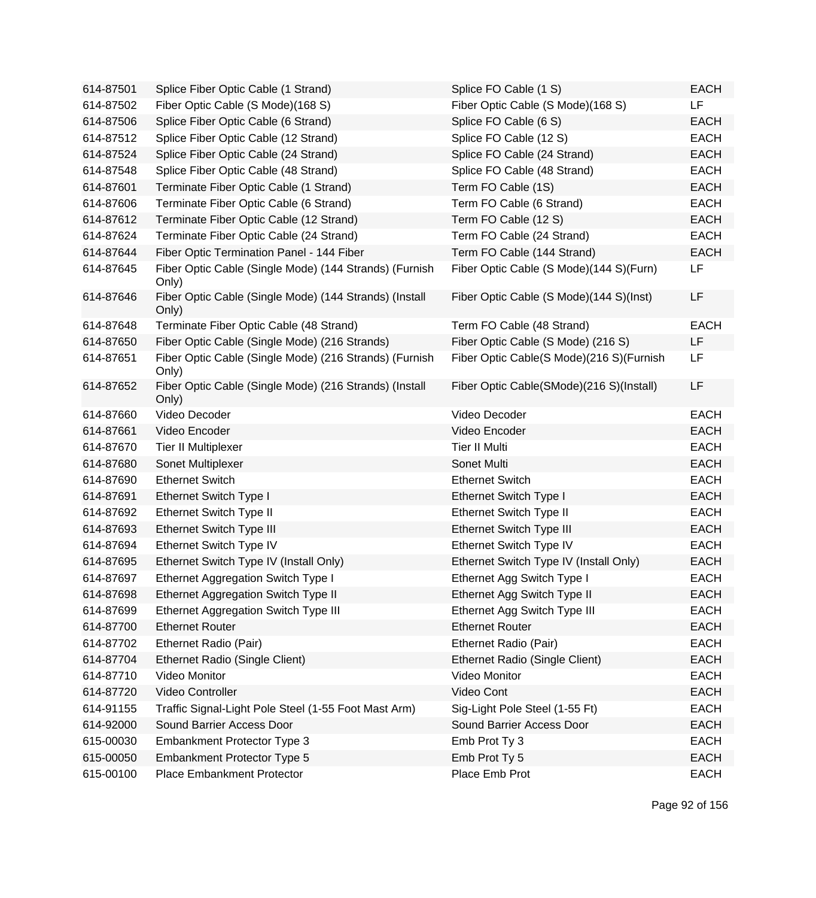| 614-87501 | Splice Fiber Optic Cable (1 Strand)                             | Splice FO Cable (1 S)                    | <b>EACH</b> |
|-----------|-----------------------------------------------------------------|------------------------------------------|-------------|
| 614-87502 | Fiber Optic Cable (S Mode)(168 S)                               | Fiber Optic Cable (S Mode)(168 S)        | LF          |
| 614-87506 | Splice Fiber Optic Cable (6 Strand)                             | Splice FO Cable (6 S)                    | <b>EACH</b> |
| 614-87512 | Splice Fiber Optic Cable (12 Strand)                            | Splice FO Cable (12 S)                   | <b>EACH</b> |
| 614-87524 | Splice Fiber Optic Cable (24 Strand)                            | Splice FO Cable (24 Strand)              | <b>EACH</b> |
| 614-87548 | Splice Fiber Optic Cable (48 Strand)                            | Splice FO Cable (48 Strand)              | <b>EACH</b> |
| 614-87601 | Terminate Fiber Optic Cable (1 Strand)                          | Term FO Cable (1S)                       | <b>EACH</b> |
| 614-87606 | Terminate Fiber Optic Cable (6 Strand)                          | Term FO Cable (6 Strand)                 | <b>EACH</b> |
| 614-87612 | Terminate Fiber Optic Cable (12 Strand)                         | Term FO Cable (12 S)                     | <b>EACH</b> |
| 614-87624 | Terminate Fiber Optic Cable (24 Strand)                         | Term FO Cable (24 Strand)                | <b>EACH</b> |
| 614-87644 | Fiber Optic Termination Panel - 144 Fiber                       | Term FO Cable (144 Strand)               | <b>EACH</b> |
| 614-87645 | Fiber Optic Cable (Single Mode) (144 Strands) (Furnish<br>Only) | Fiber Optic Cable (S Mode)(144 S)(Furn)  | LF          |
| 614-87646 | Fiber Optic Cable (Single Mode) (144 Strands) (Install<br>Only) | Fiber Optic Cable (S Mode)(144 S)(Inst)  | LF          |
| 614-87648 | Terminate Fiber Optic Cable (48 Strand)                         | Term FO Cable (48 Strand)                | <b>EACH</b> |
| 614-87650 | Fiber Optic Cable (Single Mode) (216 Strands)                   | Fiber Optic Cable (S Mode) (216 S)       | LF          |
| 614-87651 | Fiber Optic Cable (Single Mode) (216 Strands) (Furnish<br>Only) | Fiber Optic Cable(S Mode)(216 S)(Furnish | LF          |
| 614-87652 | Fiber Optic Cable (Single Mode) (216 Strands) (Install<br>Only) | Fiber Optic Cable(SMode)(216 S)(Install) | LF          |
| 614-87660 | Video Decoder                                                   | Video Decoder                            | <b>EACH</b> |
| 614-87661 | Video Encoder                                                   | Video Encoder                            | <b>EACH</b> |
| 614-87670 | Tier II Multiplexer                                             | <b>Tier II Multi</b>                     | <b>EACH</b> |
| 614-87680 | Sonet Multiplexer                                               | Sonet Multi                              | <b>EACH</b> |
| 614-87690 | <b>Ethernet Switch</b>                                          | <b>Ethernet Switch</b>                   | <b>EACH</b> |
| 614-87691 | Ethernet Switch Type I                                          | <b>Ethernet Switch Type I</b>            | <b>EACH</b> |
| 614-87692 | Ethernet Switch Type II                                         | <b>Ethernet Switch Type II</b>           | <b>EACH</b> |
| 614-87693 | <b>Ethernet Switch Type III</b>                                 | <b>Ethernet Switch Type III</b>          | <b>EACH</b> |
| 614-87694 | Ethernet Switch Type IV                                         | Ethernet Switch Type IV                  | <b>EACH</b> |
| 614-87695 | Ethernet Switch Type IV (Install Only)                          | Ethernet Switch Type IV (Install Only)   | <b>EACH</b> |
| 614-87697 | Ethernet Aggregation Switch Type I                              | Ethernet Agg Switch Type I               | <b>EACH</b> |
| 614-87698 | Ethernet Aggregation Switch Type II                             | Ethernet Agg Switch Type II              | <b>EACH</b> |
| 614-87699 | Ethernet Aggregation Switch Type III                            | Ethernet Agg Switch Type III             | <b>EACH</b> |
| 614-87700 | <b>Ethernet Router</b>                                          | <b>Ethernet Router</b>                   | <b>EACH</b> |
| 614-87702 | Ethernet Radio (Pair)                                           | Ethernet Radio (Pair)                    | <b>EACH</b> |
| 614-87704 | Ethernet Radio (Single Client)                                  | Ethernet Radio (Single Client)           | <b>EACH</b> |
| 614-87710 | Video Monitor                                                   | Video Monitor                            | <b>EACH</b> |
| 614-87720 | Video Controller                                                | Video Cont                               | <b>EACH</b> |
| 614-91155 | Traffic Signal-Light Pole Steel (1-55 Foot Mast Arm)            | Sig-Light Pole Steel (1-55 Ft)           | <b>EACH</b> |
| 614-92000 | Sound Barrier Access Door                                       | Sound Barrier Access Door                | <b>EACH</b> |
| 615-00030 | Embankment Protector Type 3                                     | Emb Prot Ty 3                            | <b>EACH</b> |
| 615-00050 | Embankment Protector Type 5                                     | Emb Prot Ty 5                            | <b>EACH</b> |
| 615-00100 | Place Embankment Protector                                      | Place Emb Prot                           | <b>EACH</b> |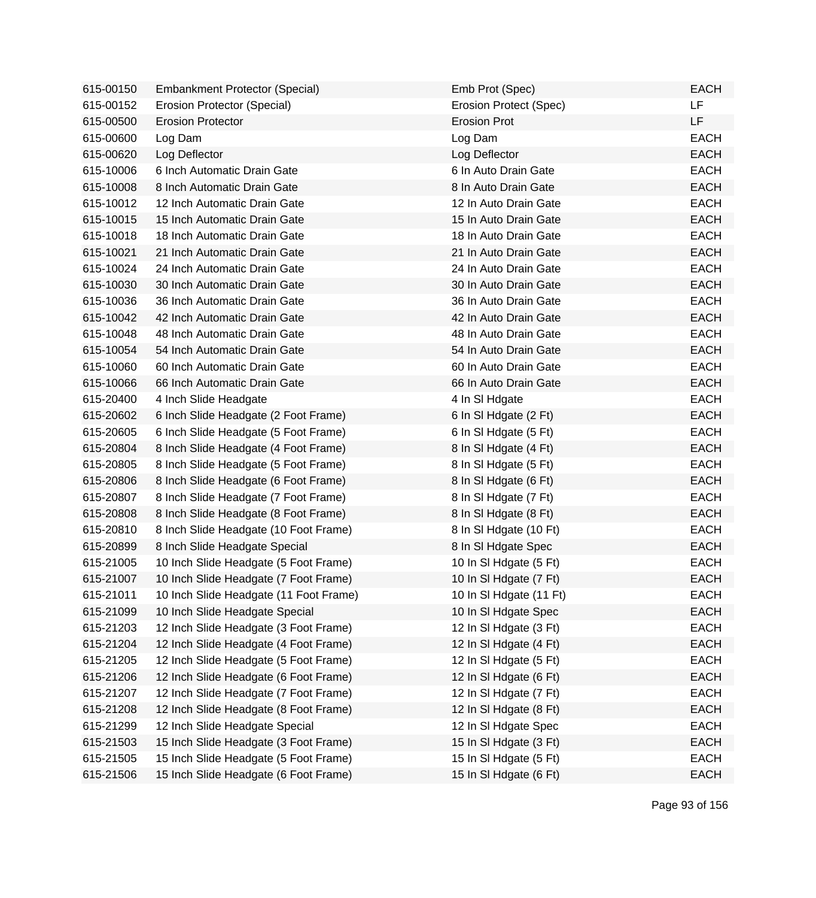| 615-00150 | <b>Embankment Protector (Special)</b>  | Emb Prot (Spec)         | <b>EACH</b> |
|-----------|----------------------------------------|-------------------------|-------------|
| 615-00152 | Erosion Protector (Special)            | Erosion Protect (Spec)  | LF          |
| 615-00500 | <b>Erosion Protector</b>               | <b>Erosion Prot</b>     | LF          |
| 615-00600 | Log Dam                                | Log Dam                 | <b>EACH</b> |
| 615-00620 | Log Deflector                          | Log Deflector           | <b>EACH</b> |
| 615-10006 | 6 Inch Automatic Drain Gate            | 6 In Auto Drain Gate    | <b>EACH</b> |
| 615-10008 | 8 Inch Automatic Drain Gate            | 8 In Auto Drain Gate    | <b>EACH</b> |
| 615-10012 | 12 Inch Automatic Drain Gate           | 12 In Auto Drain Gate   | <b>EACH</b> |
| 615-10015 | 15 Inch Automatic Drain Gate           | 15 In Auto Drain Gate   | <b>EACH</b> |
| 615-10018 | 18 Inch Automatic Drain Gate           | 18 In Auto Drain Gate   | <b>EACH</b> |
| 615-10021 | 21 Inch Automatic Drain Gate           | 21 In Auto Drain Gate   | <b>EACH</b> |
| 615-10024 | 24 Inch Automatic Drain Gate           | 24 In Auto Drain Gate   | <b>EACH</b> |
| 615-10030 | 30 Inch Automatic Drain Gate           | 30 In Auto Drain Gate   | <b>EACH</b> |
| 615-10036 | 36 Inch Automatic Drain Gate           | 36 In Auto Drain Gate   | <b>EACH</b> |
| 615-10042 | 42 Inch Automatic Drain Gate           | 42 In Auto Drain Gate   | <b>EACH</b> |
| 615-10048 | 48 Inch Automatic Drain Gate           | 48 In Auto Drain Gate   | <b>EACH</b> |
| 615-10054 | 54 Inch Automatic Drain Gate           | 54 In Auto Drain Gate   | <b>EACH</b> |
| 615-10060 | 60 Inch Automatic Drain Gate           | 60 In Auto Drain Gate   | <b>EACH</b> |
| 615-10066 | 66 Inch Automatic Drain Gate           | 66 In Auto Drain Gate   | <b>EACH</b> |
| 615-20400 | 4 Inch Slide Headgate                  | 4 In SI Hdgate          | <b>EACH</b> |
| 615-20602 | 6 Inch Slide Headgate (2 Foot Frame)   | 6 In SI Hdgate (2 Ft)   | <b>EACH</b> |
| 615-20605 | 6 Inch Slide Headgate (5 Foot Frame)   | 6 In SI Hdgate (5 Ft)   | <b>EACH</b> |
| 615-20804 | 8 Inch Slide Headgate (4 Foot Frame)   | 8 In SI Hdgate (4 Ft)   | <b>EACH</b> |
| 615-20805 | 8 Inch Slide Headgate (5 Foot Frame)   | 8 In SI Hdgate (5 Ft)   | <b>EACH</b> |
| 615-20806 | 8 Inch Slide Headgate (6 Foot Frame)   | 8 In SI Hdgate (6 Ft)   | <b>EACH</b> |
| 615-20807 | 8 Inch Slide Headgate (7 Foot Frame)   | 8 In SI Hdgate (7 Ft)   | <b>EACH</b> |
| 615-20808 | 8 Inch Slide Headgate (8 Foot Frame)   | 8 In SI Hdgate (8 Ft)   | <b>EACH</b> |
| 615-20810 | 8 Inch Slide Headgate (10 Foot Frame)  | 8 In SI Hdgate (10 Ft)  | <b>EACH</b> |
| 615-20899 | 8 Inch Slide Headgate Special          | 8 In SI Hdgate Spec     | <b>EACH</b> |
| 615-21005 | 10 Inch Slide Headgate (5 Foot Frame)  | 10 In SI Hdgate (5 Ft)  | <b>EACH</b> |
| 615-21007 | 10 Inch Slide Headgate (7 Foot Frame)  | 10 In SI Hdgate (7 Ft)  | <b>EACH</b> |
| 615-21011 | 10 Inch Slide Headgate (11 Foot Frame) | 10 In SI Hdgate (11 Ft) | EACH        |
| 615-21099 | 10 Inch Slide Headgate Special         | 10 In SI Hdgate Spec    | <b>EACH</b> |
| 615-21203 | 12 Inch Slide Headgate (3 Foot Frame)  | 12 In SI Hdgate (3 Ft)  | <b>EACH</b> |
| 615-21204 | 12 Inch Slide Headgate (4 Foot Frame)  | 12 In SI Hdgate (4 Ft)  | <b>EACH</b> |
| 615-21205 | 12 Inch Slide Headgate (5 Foot Frame)  | 12 In SI Hdgate (5 Ft)  | <b>EACH</b> |
| 615-21206 | 12 Inch Slide Headgate (6 Foot Frame)  | 12 In SI Hdgate (6 Ft)  | <b>EACH</b> |
| 615-21207 | 12 Inch Slide Headgate (7 Foot Frame)  | 12 In SI Hdgate (7 Ft)  | <b>EACH</b> |
| 615-21208 | 12 Inch Slide Headgate (8 Foot Frame)  | 12 In SI Hdgate (8 Ft)  | <b>EACH</b> |
| 615-21299 | 12 Inch Slide Headgate Special         | 12 In SI Hdgate Spec    | <b>EACH</b> |
| 615-21503 | 15 Inch Slide Headgate (3 Foot Frame)  | 15 In SI Hdgate (3 Ft)  | <b>EACH</b> |
| 615-21505 | 15 Inch Slide Headgate (5 Foot Frame)  | 15 In SI Hdgate (5 Ft)  | <b>EACH</b> |
| 615-21506 | 15 Inch Slide Headgate (6 Foot Frame)  | 15 In SI Hdgate (6 Ft)  | <b>EACH</b> |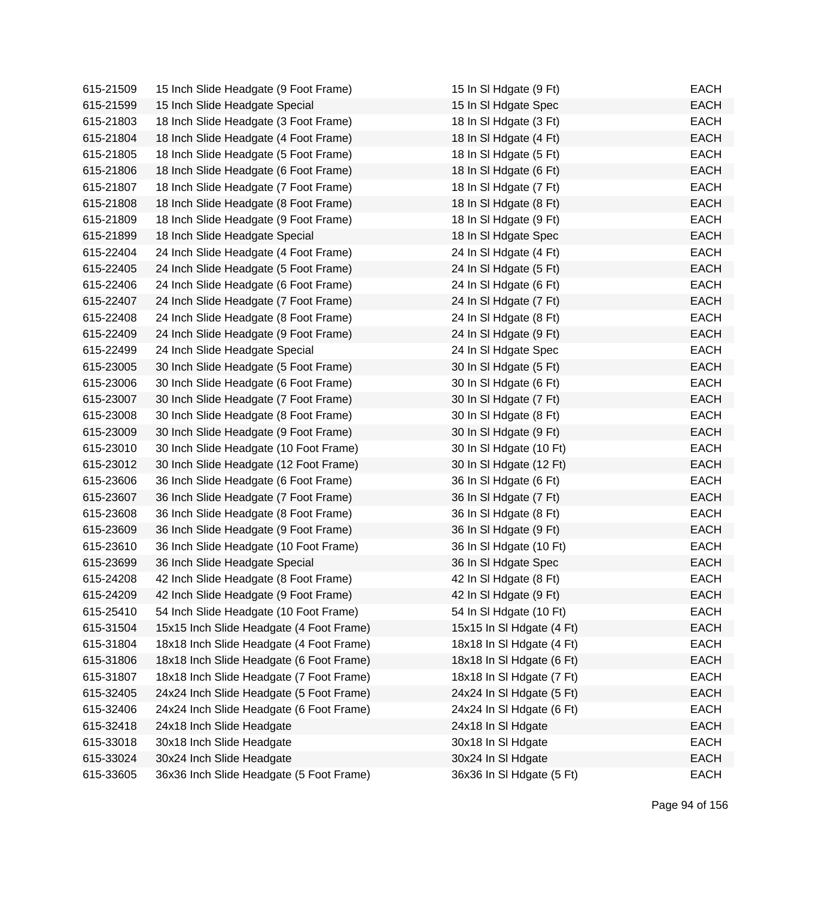| 615-21509 | 15 Inch Slide Headgate (9 Foot Frame)    | 15 In SI Hdgate (9 Ft)    | <b>EACH</b> |
|-----------|------------------------------------------|---------------------------|-------------|
| 615-21599 | 15 Inch Slide Headgate Special           | 15 In SI Hdgate Spec      | <b>EACH</b> |
| 615-21803 | 18 Inch Slide Headgate (3 Foot Frame)    | 18 In SI Hdgate (3 Ft)    | <b>EACH</b> |
| 615-21804 | 18 Inch Slide Headgate (4 Foot Frame)    | 18 In SI Hdgate (4 Ft)    | <b>EACH</b> |
| 615-21805 | 18 Inch Slide Headgate (5 Foot Frame)    | 18 In SI Hdgate (5 Ft)    | <b>EACH</b> |
| 615-21806 | 18 Inch Slide Headgate (6 Foot Frame)    | 18 In SI Hdgate (6 Ft)    | <b>EACH</b> |
| 615-21807 | 18 Inch Slide Headgate (7 Foot Frame)    | 18 In SI Hdgate (7 Ft)    | <b>EACH</b> |
| 615-21808 | 18 Inch Slide Headgate (8 Foot Frame)    | 18 In SI Hdgate (8 Ft)    | <b>EACH</b> |
| 615-21809 | 18 Inch Slide Headgate (9 Foot Frame)    | 18 In SI Hdgate (9 Ft)    | <b>EACH</b> |
| 615-21899 | 18 Inch Slide Headgate Special           | 18 In SI Hdgate Spec      | <b>EACH</b> |
| 615-22404 | 24 Inch Slide Headgate (4 Foot Frame)    | 24 In SI Hdgate (4 Ft)    | <b>EACH</b> |
| 615-22405 | 24 Inch Slide Headgate (5 Foot Frame)    | 24 In SI Hdgate (5 Ft)    | <b>EACH</b> |
| 615-22406 | 24 Inch Slide Headgate (6 Foot Frame)    | 24 In SI Hdgate (6 Ft)    | <b>EACH</b> |
| 615-22407 | 24 Inch Slide Headgate (7 Foot Frame)    | 24 In SI Hdgate (7 Ft)    | <b>EACH</b> |
| 615-22408 | 24 Inch Slide Headgate (8 Foot Frame)    | 24 In SI Hdgate (8 Ft)    | <b>EACH</b> |
| 615-22409 | 24 Inch Slide Headgate (9 Foot Frame)    | 24 In SI Hdgate (9 Ft)    | <b>EACH</b> |
| 615-22499 | 24 Inch Slide Headgate Special           | 24 In SI Hdgate Spec      | <b>EACH</b> |
| 615-23005 | 30 Inch Slide Headgate (5 Foot Frame)    | 30 In SI Hdgate (5 Ft)    | <b>EACH</b> |
| 615-23006 | 30 Inch Slide Headgate (6 Foot Frame)    | 30 In SI Hdgate (6 Ft)    | <b>EACH</b> |
| 615-23007 | 30 Inch Slide Headgate (7 Foot Frame)    | 30 In SI Hdgate (7 Ft)    | <b>EACH</b> |
| 615-23008 | 30 Inch Slide Headgate (8 Foot Frame)    | 30 In SI Hdgate (8 Ft)    | <b>EACH</b> |
| 615-23009 | 30 Inch Slide Headgate (9 Foot Frame)    | 30 In SI Hdgate (9 Ft)    | <b>EACH</b> |
| 615-23010 | 30 Inch Slide Headgate (10 Foot Frame)   | 30 In SI Hdgate (10 Ft)   | <b>EACH</b> |
| 615-23012 | 30 Inch Slide Headgate (12 Foot Frame)   | 30 In SI Hdgate (12 Ft)   | <b>EACH</b> |
| 615-23606 | 36 Inch Slide Headgate (6 Foot Frame)    | 36 In SI Hdgate (6 Ft)    | <b>EACH</b> |
| 615-23607 | 36 Inch Slide Headgate (7 Foot Frame)    | 36 In SI Hdgate (7 Ft)    | <b>EACH</b> |
| 615-23608 | 36 Inch Slide Headgate (8 Foot Frame)    | 36 In SI Hdgate (8 Ft)    | <b>EACH</b> |
| 615-23609 | 36 Inch Slide Headgate (9 Foot Frame)    | 36 In SI Hdgate (9 Ft)    | <b>EACH</b> |
| 615-23610 | 36 Inch Slide Headgate (10 Foot Frame)   | 36 In SI Hdgate (10 Ft)   | <b>EACH</b> |
| 615-23699 | 36 Inch Slide Headgate Special           | 36 In SI Hdgate Spec      | <b>EACH</b> |
| 615-24208 | 42 Inch Slide Headgate (8 Foot Frame)    | 42 In SI Hdgate (8 Ft)    | <b>EACH</b> |
| 615-24209 | 42 Inch Slide Headgate (9 Foot Frame)    | 42 In SI Hdgate (9 Ft)    | <b>EACH</b> |
| 615-25410 | 54 Inch Slide Headgate (10 Foot Frame)   | 54 In SI Hdgate (10 Ft)   | <b>EACH</b> |
| 615-31504 | 15x15 Inch Slide Headgate (4 Foot Frame) | 15x15 In SI Hdgate (4 Ft) | <b>EACH</b> |
| 615-31804 | 18x18 Inch Slide Headgate (4 Foot Frame) | 18x18 In SI Hdgate (4 Ft) | <b>EACH</b> |
| 615-31806 | 18x18 Inch Slide Headgate (6 Foot Frame) | 18x18 In SI Hdgate (6 Ft) | <b>EACH</b> |
| 615-31807 | 18x18 Inch Slide Headgate (7 Foot Frame) | 18x18 In SI Hdgate (7 Ft) | <b>EACH</b> |
| 615-32405 | 24x24 Inch Slide Headgate (5 Foot Frame) | 24x24 In SI Hdgate (5 Ft) | <b>EACH</b> |
| 615-32406 | 24x24 Inch Slide Headgate (6 Foot Frame) | 24x24 In SI Hdgate (6 Ft) | <b>EACH</b> |
| 615-32418 | 24x18 Inch Slide Headgate                | 24x18 In SI Hdgate        | <b>EACH</b> |
| 615-33018 | 30x18 Inch Slide Headgate                | 30x18 In SI Hdgate        | <b>EACH</b> |
| 615-33024 | 30x24 Inch Slide Headgate                | 30x24 In SI Hdgate        | <b>EACH</b> |
| 615-33605 | 36x36 Inch Slide Headgate (5 Foot Frame) | 36x36 In SI Hdgate (5 Ft) | <b>EACH</b> |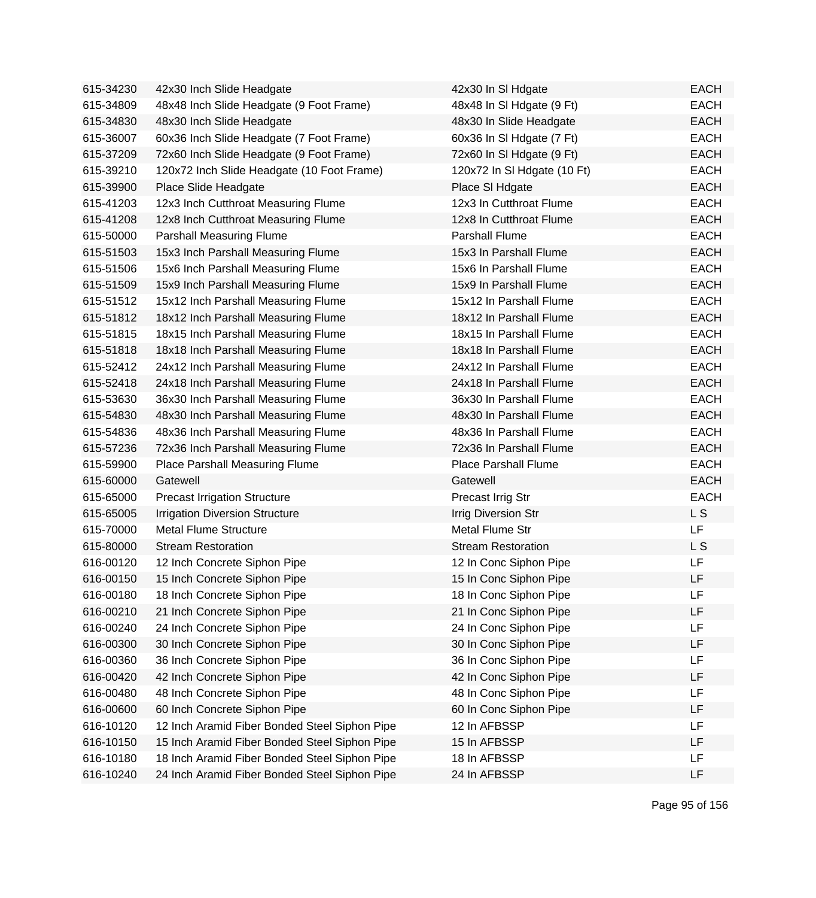| 615-34230 | 42x30 Inch Slide Headgate                     | 42x30 In SI Hdgate          | <b>EACH</b> |
|-----------|-----------------------------------------------|-----------------------------|-------------|
| 615-34809 | 48x48 Inch Slide Headgate (9 Foot Frame)      | 48x48 In SI Hdgate (9 Ft)   | <b>EACH</b> |
| 615-34830 | 48x30 Inch Slide Headgate                     | 48x30 In Slide Headgate     | <b>EACH</b> |
| 615-36007 | 60x36 Inch Slide Headgate (7 Foot Frame)      | 60x36 In SI Hdgate (7 Ft)   | <b>EACH</b> |
| 615-37209 | 72x60 Inch Slide Headgate (9 Foot Frame)      | 72x60 In SI Hdgate (9 Ft)   | <b>EACH</b> |
| 615-39210 | 120x72 Inch Slide Headgate (10 Foot Frame)    | 120x72 In SI Hdgate (10 Ft) | <b>EACH</b> |
| 615-39900 | Place Slide Headgate                          | Place SI Hdgate             | <b>EACH</b> |
| 615-41203 | 12x3 Inch Cutthroat Measuring Flume           | 12x3 In Cutthroat Flume     | <b>EACH</b> |
| 615-41208 | 12x8 Inch Cutthroat Measuring Flume           | 12x8 In Cutthroat Flume     | <b>EACH</b> |
| 615-50000 | <b>Parshall Measuring Flume</b>               | Parshall Flume              | <b>EACH</b> |
| 615-51503 | 15x3 Inch Parshall Measuring Flume            | 15x3 In Parshall Flume      | <b>EACH</b> |
| 615-51506 | 15x6 Inch Parshall Measuring Flume            | 15x6 In Parshall Flume      | <b>EACH</b> |
| 615-51509 | 15x9 Inch Parshall Measuring Flume            | 15x9 In Parshall Flume      | <b>EACH</b> |
| 615-51512 | 15x12 Inch Parshall Measuring Flume           | 15x12 In Parshall Flume     | <b>EACH</b> |
| 615-51812 | 18x12 Inch Parshall Measuring Flume           | 18x12 In Parshall Flume     | <b>EACH</b> |
| 615-51815 | 18x15 Inch Parshall Measuring Flume           | 18x15 In Parshall Flume     | <b>EACH</b> |
| 615-51818 | 18x18 Inch Parshall Measuring Flume           | 18x18 In Parshall Flume     | <b>EACH</b> |
| 615-52412 | 24x12 Inch Parshall Measuring Flume           | 24x12 In Parshall Flume     | <b>EACH</b> |
| 615-52418 | 24x18 Inch Parshall Measuring Flume           | 24x18 In Parshall Flume     | <b>EACH</b> |
| 615-53630 | 36x30 Inch Parshall Measuring Flume           | 36x30 In Parshall Flume     | <b>EACH</b> |
| 615-54830 | 48x30 Inch Parshall Measuring Flume           | 48x30 In Parshall Flume     | <b>EACH</b> |
| 615-54836 | 48x36 Inch Parshall Measuring Flume           | 48x36 In Parshall Flume     | <b>EACH</b> |
| 615-57236 | 72x36 Inch Parshall Measuring Flume           | 72x36 In Parshall Flume     | <b>EACH</b> |
| 615-59900 | Place Parshall Measuring Flume                | <b>Place Parshall Flume</b> | <b>EACH</b> |
| 615-60000 | Gatewell                                      | Gatewell                    | <b>EACH</b> |
| 615-65000 | <b>Precast Irrigation Structure</b>           | Precast Irrig Str           | <b>EACH</b> |
| 615-65005 | <b>Irrigation Diversion Structure</b>         | <b>Irrig Diversion Str</b>  | L S         |
| 615-70000 | <b>Metal Flume Structure</b>                  | Metal Flume Str             | LF          |
| 615-80000 | <b>Stream Restoration</b>                     | <b>Stream Restoration</b>   | L S         |
| 616-00120 | 12 Inch Concrete Siphon Pipe                  | 12 In Conc Siphon Pipe      | LF          |
| 616-00150 | 15 Inch Concrete Siphon Pipe                  | 15 In Conc Siphon Pipe      | LF          |
| 616-00180 | 18 Inch Concrete Siphon Pipe                  | 18 In Conc Siphon Pipe      | LF          |
| 616-00210 | 21 Inch Concrete Siphon Pipe                  | 21 In Conc Siphon Pipe      | LF          |
| 616-00240 | 24 Inch Concrete Siphon Pipe                  | 24 In Conc Siphon Pipe      | LF          |
| 616-00300 | 30 Inch Concrete Siphon Pipe                  | 30 In Conc Siphon Pipe      | LF          |
| 616-00360 | 36 Inch Concrete Siphon Pipe                  | 36 In Conc Siphon Pipe      | LF          |
| 616-00420 | 42 Inch Concrete Siphon Pipe                  | 42 In Conc Siphon Pipe      | LF          |
| 616-00480 | 48 Inch Concrete Siphon Pipe                  | 48 In Conc Siphon Pipe      | LF          |
| 616-00600 | 60 Inch Concrete Siphon Pipe                  | 60 In Conc Siphon Pipe      | LF          |
| 616-10120 | 12 Inch Aramid Fiber Bonded Steel Siphon Pipe | 12 In AFBSSP                | LF          |
| 616-10150 | 15 Inch Aramid Fiber Bonded Steel Siphon Pipe | 15 In AFBSSP                | LF          |
| 616-10180 | 18 Inch Aramid Fiber Bonded Steel Siphon Pipe | 18 In AFBSSP                | LF          |
| 616-10240 | 24 Inch Aramid Fiber Bonded Steel Siphon Pipe | 24 In AFBSSP                | LF          |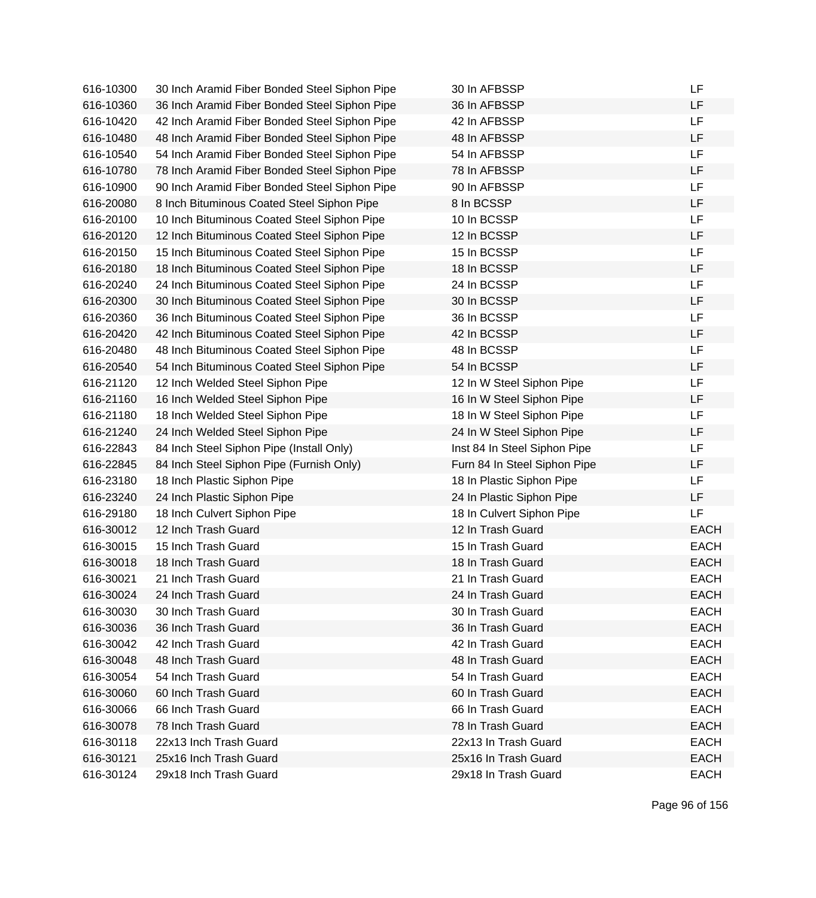| 616-10300 | 30 Inch Aramid Fiber Bonded Steel Siphon Pipe | 30 In AFBSSP                 | LF          |
|-----------|-----------------------------------------------|------------------------------|-------------|
| 616-10360 | 36 Inch Aramid Fiber Bonded Steel Siphon Pipe | 36 In AFBSSP                 | LF          |
| 616-10420 | 42 Inch Aramid Fiber Bonded Steel Siphon Pipe | 42 In AFBSSP                 | LF          |
| 616-10480 | 48 Inch Aramid Fiber Bonded Steel Siphon Pipe | 48 In AFBSSP                 | LF          |
| 616-10540 | 54 Inch Aramid Fiber Bonded Steel Siphon Pipe | 54 In AFBSSP                 | LF          |
| 616-10780 | 78 Inch Aramid Fiber Bonded Steel Siphon Pipe | 78 In AFBSSP                 | LF          |
| 616-10900 | 90 Inch Aramid Fiber Bonded Steel Siphon Pipe | 90 In AFBSSP                 | LF          |
| 616-20080 | 8 Inch Bituminous Coated Steel Siphon Pipe    | 8 In BCSSP                   | LF          |
| 616-20100 | 10 Inch Bituminous Coated Steel Siphon Pipe   | 10 In BCSSP                  | LF          |
| 616-20120 | 12 Inch Bituminous Coated Steel Siphon Pipe   | 12 In BCSSP                  | LF          |
| 616-20150 | 15 Inch Bituminous Coated Steel Siphon Pipe   | 15 In BCSSP                  | LF          |
| 616-20180 | 18 Inch Bituminous Coated Steel Siphon Pipe   | 18 In BCSSP                  | LF          |
| 616-20240 | 24 Inch Bituminous Coated Steel Siphon Pipe   | 24 In BCSSP                  | LF          |
| 616-20300 | 30 Inch Bituminous Coated Steel Siphon Pipe   | 30 In BCSSP                  | LF          |
| 616-20360 | 36 Inch Bituminous Coated Steel Siphon Pipe   | 36 In BCSSP                  | LF          |
| 616-20420 | 42 Inch Bituminous Coated Steel Siphon Pipe   | 42 In BCSSP                  | LF          |
| 616-20480 | 48 Inch Bituminous Coated Steel Siphon Pipe   | 48 In BCSSP                  | LF          |
| 616-20540 | 54 Inch Bituminous Coated Steel Siphon Pipe   | 54 In BCSSP                  | LF          |
| 616-21120 | 12 Inch Welded Steel Siphon Pipe              | 12 In W Steel Siphon Pipe    | LF          |
| 616-21160 | 16 Inch Welded Steel Siphon Pipe              | 16 In W Steel Siphon Pipe    | LF          |
| 616-21180 | 18 Inch Welded Steel Siphon Pipe              | 18 In W Steel Siphon Pipe    | LF          |
| 616-21240 | 24 Inch Welded Steel Siphon Pipe              | 24 In W Steel Siphon Pipe    | LF          |
| 616-22843 | 84 Inch Steel Siphon Pipe (Install Only)      | Inst 84 In Steel Siphon Pipe | LF          |
| 616-22845 | 84 Inch Steel Siphon Pipe (Furnish Only)      | Furn 84 In Steel Siphon Pipe | LF          |
| 616-23180 | 18 Inch Plastic Siphon Pipe                   | 18 In Plastic Siphon Pipe    | LF          |
| 616-23240 | 24 Inch Plastic Siphon Pipe                   | 24 In Plastic Siphon Pipe    | LF          |
| 616-29180 | 18 Inch Culvert Siphon Pipe                   | 18 In Culvert Siphon Pipe    | LF          |
| 616-30012 | 12 Inch Trash Guard                           | 12 In Trash Guard            | <b>EACH</b> |
| 616-30015 | 15 Inch Trash Guard                           | 15 In Trash Guard            | <b>EACH</b> |
| 616-30018 | 18 Inch Trash Guard                           | 18 In Trash Guard            | <b>EACH</b> |
| 616-30021 | 21 Inch Trash Guard                           | 21 In Trash Guard            | <b>EACH</b> |
| 616-30024 | 24 Inch Trash Guard                           | 24 In Trash Guard            | <b>EACH</b> |
| 616-30030 | 30 Inch Trash Guard                           | 30 In Trash Guard            | <b>EACH</b> |
| 616-30036 | 36 Inch Trash Guard                           | 36 In Trash Guard            | <b>EACH</b> |
| 616-30042 | 42 Inch Trash Guard                           | 42 In Trash Guard            | <b>EACH</b> |
| 616-30048 | 48 Inch Trash Guard                           | 48 In Trash Guard            | <b>EACH</b> |
| 616-30054 | 54 Inch Trash Guard                           | 54 In Trash Guard            | <b>EACH</b> |
| 616-30060 | 60 Inch Trash Guard                           | 60 In Trash Guard            | <b>EACH</b> |
| 616-30066 | 66 Inch Trash Guard                           | 66 In Trash Guard            | <b>EACH</b> |
| 616-30078 | 78 Inch Trash Guard                           | 78 In Trash Guard            | <b>EACH</b> |
| 616-30118 | 22x13 Inch Trash Guard                        | 22x13 In Trash Guard         | <b>EACH</b> |
| 616-30121 | 25x16 Inch Trash Guard                        | 25x16 In Trash Guard         | <b>EACH</b> |
| 616-30124 | 29x18 Inch Trash Guard                        | 29x18 In Trash Guard         | <b>EACH</b> |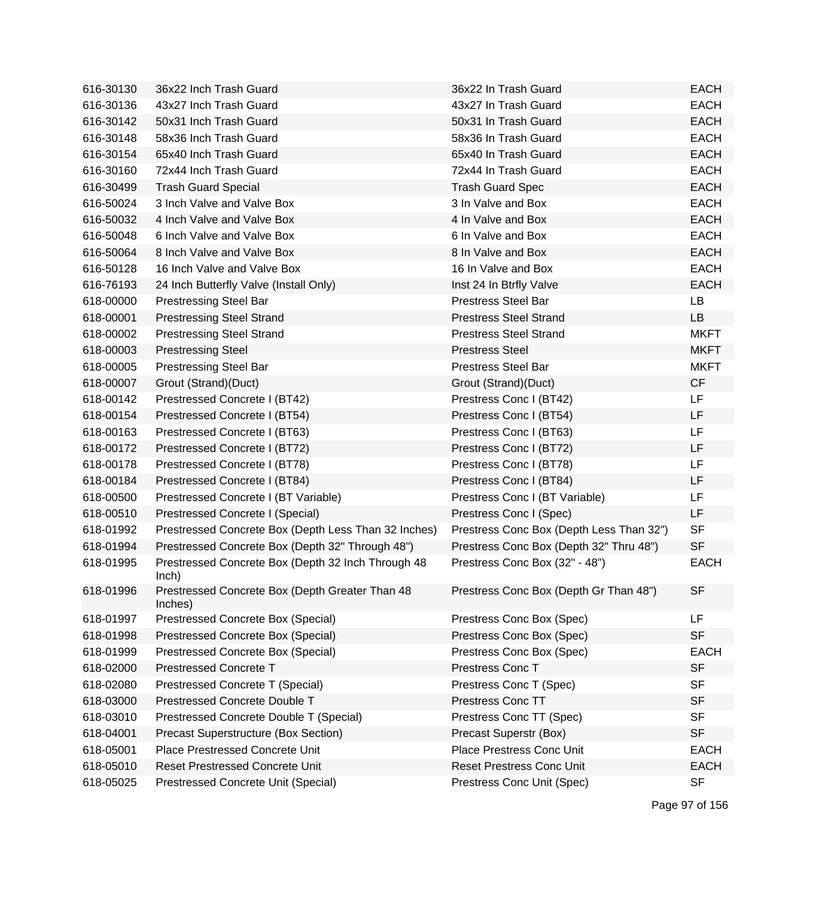| 616-30130 | 36x22 Inch Trash Guard                                      | 36x22 In Trash Guard                     | <b>EACH</b> |
|-----------|-------------------------------------------------------------|------------------------------------------|-------------|
| 616-30136 | 43x27 Inch Trash Guard                                      | 43x27 In Trash Guard                     | <b>EACH</b> |
| 616-30142 | 50x31 Inch Trash Guard                                      | 50x31 In Trash Guard                     | <b>EACH</b> |
| 616-30148 | 58x36 Inch Trash Guard                                      | 58x36 In Trash Guard                     | <b>EACH</b> |
| 616-30154 | 65x40 Inch Trash Guard                                      | 65x40 In Trash Guard                     | <b>EACH</b> |
| 616-30160 | 72x44 Inch Trash Guard                                      | 72x44 In Trash Guard                     | <b>EACH</b> |
| 616-30499 | <b>Trash Guard Special</b>                                  | <b>Trash Guard Spec</b>                  | <b>EACH</b> |
| 616-50024 | 3 Inch Valve and Valve Box                                  | 3 In Valve and Box                       | <b>EACH</b> |
| 616-50032 | 4 Inch Valve and Valve Box                                  | 4 In Valve and Box                       | <b>EACH</b> |
| 616-50048 | 6 Inch Valve and Valve Box                                  | 6 In Valve and Box                       | <b>EACH</b> |
| 616-50064 | 8 Inch Valve and Valve Box                                  | 8 In Valve and Box                       | <b>EACH</b> |
| 616-50128 | 16 Inch Valve and Valve Box                                 | 16 In Valve and Box                      | <b>EACH</b> |
| 616-76193 | 24 Inch Butterfly Valve (Install Only)                      | Inst 24 In Btrfly Valve                  | <b>EACH</b> |
| 618-00000 | <b>Prestressing Steel Bar</b>                               | <b>Prestress Steel Bar</b>               | LB          |
| 618-00001 | <b>Prestressing Steel Strand</b>                            | <b>Prestress Steel Strand</b>            | LB          |
| 618-00002 | <b>Prestressing Steel Strand</b>                            | <b>Prestress Steel Strand</b>            | <b>MKFT</b> |
| 618-00003 | <b>Prestressing Steel</b>                                   | <b>Prestress Steel</b>                   | <b>MKFT</b> |
| 618-00005 | <b>Prestressing Steel Bar</b>                               | <b>Prestress Steel Bar</b>               | <b>MKFT</b> |
| 618-00007 | Grout (Strand)(Duct)                                        | Grout (Strand)(Duct)                     | <b>CF</b>   |
| 618-00142 | Prestressed Concrete I (BT42)                               | Prestress Conc I (BT42)                  | LF          |
| 618-00154 | Prestressed Concrete I (BT54)                               | Prestress Conc I (BT54)                  | LF          |
| 618-00163 | Prestressed Concrete I (BT63)                               | Prestress Conc I (BT63)                  | LF.         |
| 618-00172 | Prestressed Concrete I (BT72)                               | Prestress Conc I (BT72)                  | LF          |
| 618-00178 | Prestressed Concrete I (BT78)                               | Prestress Conc I (BT78)                  | LF          |
| 618-00184 | Prestressed Concrete I (BT84)                               | Prestress Conc I (BT84)                  | LF          |
| 618-00500 | Prestressed Concrete I (BT Variable)                        | Prestress Conc I (BT Variable)           | LF          |
| 618-00510 | Prestressed Concrete I (Special)                            | Prestress Conc I (Spec)                  | LF          |
| 618-01992 | Prestressed Concrete Box (Depth Less Than 32 Inches)        | Prestress Conc Box (Depth Less Than 32") | <b>SF</b>   |
| 618-01994 | Prestressed Concrete Box (Depth 32" Through 48")            | Prestress Conc Box (Depth 32" Thru 48")  | <b>SF</b>   |
| 618-01995 | Prestressed Concrete Box (Depth 32 Inch Through 48<br>lnch) | Prestress Conc Box (32" - 48")           | <b>EACH</b> |
| 618-01996 | Prestressed Concrete Box (Depth Greater Than 48<br>Inches)  | Prestress Conc Box (Depth Gr Than 48")   | <b>SF</b>   |
| 618-01997 | Prestressed Concrete Box (Special)                          | Prestress Conc Box (Spec)                | LF.         |
| 618-01998 | Prestressed Concrete Box (Special)                          | Prestress Conc Box (Spec)                | <b>SF</b>   |
| 618-01999 | Prestressed Concrete Box (Special)                          | Prestress Conc Box (Spec)                | <b>EACH</b> |
| 618-02000 | <b>Prestressed Concrete T</b>                               | Prestress Conc T                         | <b>SF</b>   |
| 618-02080 | Prestressed Concrete T (Special)                            | Prestress Conc T (Spec)                  | <b>SF</b>   |
| 618-03000 | Prestressed Concrete Double T                               | <b>Prestress Conc TT</b>                 | <b>SF</b>   |
| 618-03010 | Prestressed Concrete Double T (Special)                     | Prestress Conc TT (Spec)                 | <b>SF</b>   |
| 618-04001 | <b>Precast Superstructure (Box Section)</b>                 | Precast Superstr (Box)                   | <b>SF</b>   |
| 618-05001 | Place Prestressed Concrete Unit                             | Place Prestress Conc Unit                | <b>EACH</b> |
| 618-05010 | <b>Reset Prestressed Concrete Unit</b>                      | <b>Reset Prestress Conc Unit</b>         | <b>EACH</b> |
| 618-05025 | Prestressed Concrete Unit (Special)                         | Prestress Conc Unit (Spec)               | <b>SF</b>   |

Page 97 of 156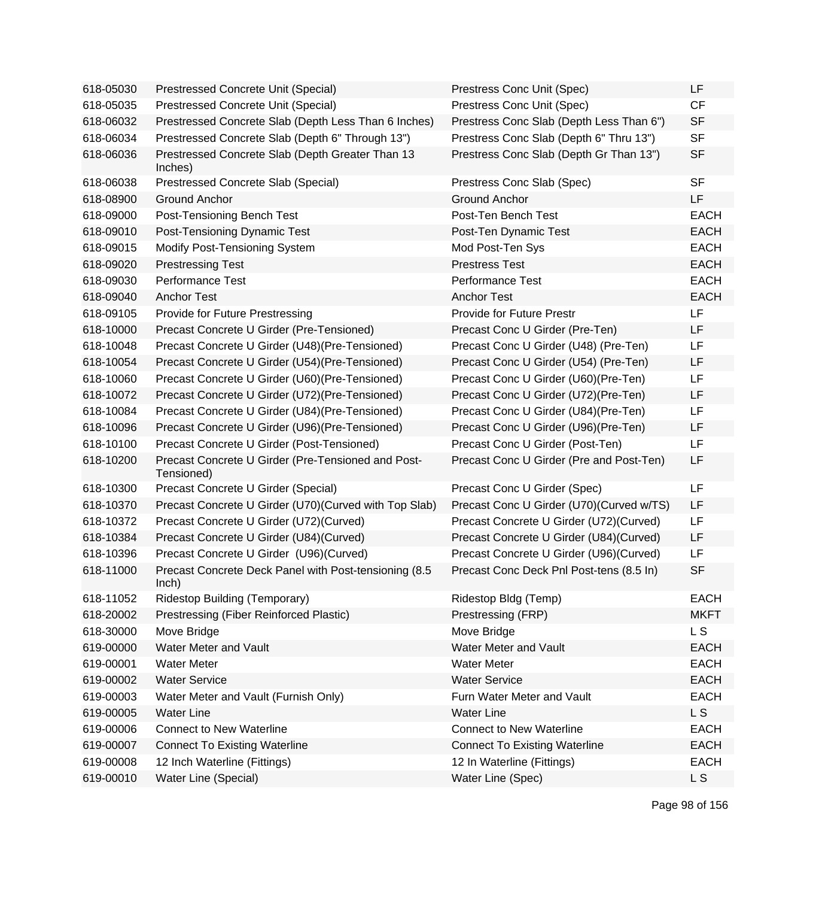| 618-05030 | Prestressed Concrete Unit (Special)                              | Prestress Conc Unit (Spec)               | LF          |
|-----------|------------------------------------------------------------------|------------------------------------------|-------------|
| 618-05035 | Prestressed Concrete Unit (Special)                              | Prestress Conc Unit (Spec)               | CF          |
| 618-06032 | Prestressed Concrete Slab (Depth Less Than 6 Inches)             | Prestress Conc Slab (Depth Less Than 6") | <b>SF</b>   |
| 618-06034 | Prestressed Concrete Slab (Depth 6" Through 13")                 | Prestress Conc Slab (Depth 6" Thru 13")  | <b>SF</b>   |
| 618-06036 | Prestressed Concrete Slab (Depth Greater Than 13<br>Inches)      | Prestress Conc Slab (Depth Gr Than 13")  | <b>SF</b>   |
| 618-06038 | Prestressed Concrete Slab (Special)                              | Prestress Conc Slab (Spec)               | <b>SF</b>   |
| 618-08900 | <b>Ground Anchor</b>                                             | <b>Ground Anchor</b>                     | LF          |
| 618-09000 | Post-Tensioning Bench Test                                       | Post-Ten Bench Test                      | <b>EACH</b> |
| 618-09010 | Post-Tensioning Dynamic Test                                     | Post-Ten Dynamic Test                    | <b>EACH</b> |
| 618-09015 | Modify Post-Tensioning System                                    | Mod Post-Ten Sys                         | <b>EACH</b> |
| 618-09020 | <b>Prestressing Test</b>                                         | <b>Prestress Test</b>                    | <b>EACH</b> |
| 618-09030 | <b>Performance Test</b>                                          | <b>Performance Test</b>                  | <b>EACH</b> |
| 618-09040 | <b>Anchor Test</b>                                               | <b>Anchor Test</b>                       | <b>EACH</b> |
| 618-09105 | Provide for Future Prestressing                                  | <b>Provide for Future Prestr</b>         | LF          |
| 618-10000 | Precast Concrete U Girder (Pre-Tensioned)                        | Precast Conc U Girder (Pre-Ten)          | <b>LF</b>   |
| 618-10048 | Precast Concrete U Girder (U48) (Pre-Tensioned)                  | Precast Conc U Girder (U48) (Pre-Ten)    | LF          |
| 618-10054 | Precast Concrete U Girder (U54) (Pre-Tensioned)                  | Precast Conc U Girder (U54) (Pre-Ten)    | LF          |
| 618-10060 | Precast Concrete U Girder (U60) (Pre-Tensioned)                  | Precast Conc U Girder (U60)(Pre-Ten)     | LF          |
| 618-10072 | Precast Concrete U Girder (U72) (Pre-Tensioned)                  | Precast Conc U Girder (U72)(Pre-Ten)     | LF          |
| 618-10084 | Precast Concrete U Girder (U84) (Pre-Tensioned)                  | Precast Conc U Girder (U84)(Pre-Ten)     | LF          |
| 618-10096 | Precast Concrete U Girder (U96) (Pre-Tensioned)                  | Precast Conc U Girder (U96) (Pre-Ten)    | <b>LF</b>   |
| 618-10100 | Precast Concrete U Girder (Post-Tensioned)                       | Precast Conc U Girder (Post-Ten)         | LF          |
| 618-10200 | Precast Concrete U Girder (Pre-Tensioned and Post-<br>Tensioned) | Precast Conc U Girder (Pre and Post-Ten) | LF          |
| 618-10300 | Precast Concrete U Girder (Special)                              | Precast Conc U Girder (Spec)             | <b>LF</b>   |
| 618-10370 | Precast Concrete U Girder (U70) (Curved with Top Slab)           | Precast Conc U Girder (U70)(Curved w/TS) | LF          |
| 618-10372 | Precast Concrete U Girder (U72)(Curved)                          | Precast Concrete U Girder (U72) (Curved) | LF          |
| 618-10384 | Precast Concrete U Girder (U84)(Curved)                          | Precast Concrete U Girder (U84) (Curved) | LF          |
| 618-10396 | Precast Concrete U Girder (U96)(Curved)                          | Precast Concrete U Girder (U96) (Curved) | LF          |
| 618-11000 | Precast Concrete Deck Panel with Post-tensioning (8.5)<br>lnch)  | Precast Conc Deck Pnl Post-tens (8.5 In) | <b>SF</b>   |
| 618-11052 | Ridestop Building (Temporary)                                    | Ridestop Bldg (Temp)                     | <b>EACH</b> |
| 618-20002 | Prestressing (Fiber Reinforced Plastic)                          | Prestressing (FRP)                       | <b>MKFT</b> |
| 618-30000 | Move Bridge                                                      | Move Bridge                              | <b>LS</b>   |
| 619-00000 | Water Meter and Vault                                            | Water Meter and Vault                    | <b>EACH</b> |
| 619-00001 | <b>Water Meter</b>                                               | <b>Water Meter</b>                       | <b>EACH</b> |
| 619-00002 | <b>Water Service</b>                                             | <b>Water Service</b>                     | <b>EACH</b> |
| 619-00003 | Water Meter and Vault (Furnish Only)                             | Furn Water Meter and Vault               | <b>EACH</b> |
| 619-00005 | <b>Water Line</b>                                                | <b>Water Line</b>                        | L S         |
| 619-00006 | <b>Connect to New Waterline</b>                                  | <b>Connect to New Waterline</b>          | <b>EACH</b> |
| 619-00007 | <b>Connect To Existing Waterline</b>                             | <b>Connect To Existing Waterline</b>     | <b>EACH</b> |
| 619-00008 | 12 Inch Waterline (Fittings)                                     | 12 In Waterline (Fittings)               | <b>EACH</b> |
| 619-00010 | Water Line (Special)                                             | Water Line (Spec)                        | L S         |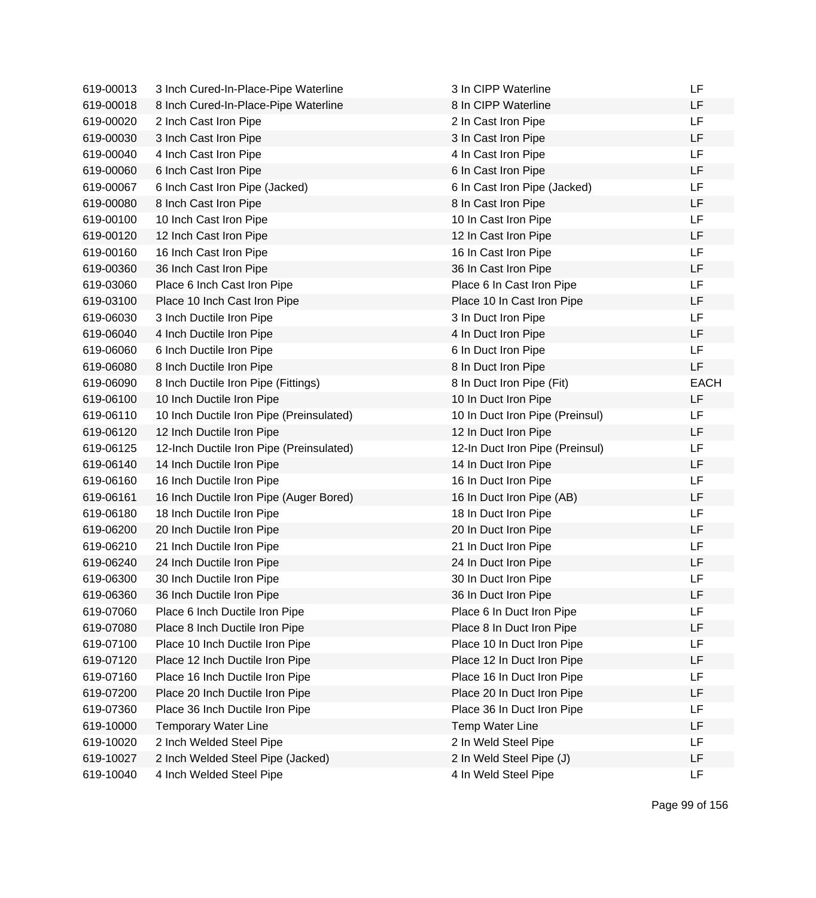| 619-00013 | 3 Inch Cured-In-Place-Pipe Waterline     | 3 In CIPP Waterline             | LF          |
|-----------|------------------------------------------|---------------------------------|-------------|
| 619-00018 | 8 Inch Cured-In-Place-Pipe Waterline     | 8 In CIPP Waterline             | LF          |
| 619-00020 | 2 Inch Cast Iron Pipe                    | 2 In Cast Iron Pipe             | LF          |
| 619-00030 | 3 Inch Cast Iron Pipe                    | 3 In Cast Iron Pipe             | LF          |
| 619-00040 | 4 Inch Cast Iron Pipe                    | 4 In Cast Iron Pipe             | LF          |
| 619-00060 | 6 Inch Cast Iron Pipe                    | 6 In Cast Iron Pipe             | LF          |
| 619-00067 | 6 Inch Cast Iron Pipe (Jacked)           | 6 In Cast Iron Pipe (Jacked)    | <b>LF</b>   |
| 619-00080 | 8 Inch Cast Iron Pipe                    | 8 In Cast Iron Pipe             | <b>LF</b>   |
| 619-00100 | 10 Inch Cast Iron Pipe                   | 10 In Cast Iron Pipe            | LF          |
| 619-00120 | 12 Inch Cast Iron Pipe                   | 12 In Cast Iron Pipe            | <b>LF</b>   |
| 619-00160 | 16 Inch Cast Iron Pipe                   | 16 In Cast Iron Pipe            | LF          |
| 619-00360 | 36 Inch Cast Iron Pipe                   | 36 In Cast Iron Pipe            | LF          |
| 619-03060 | Place 6 Inch Cast Iron Pipe              | Place 6 In Cast Iron Pipe       | <b>LF</b>   |
| 619-03100 | Place 10 Inch Cast Iron Pipe             | Place 10 In Cast Iron Pipe      | LF          |
| 619-06030 | 3 Inch Ductile Iron Pipe                 | 3 In Duct Iron Pipe             | LF          |
| 619-06040 | 4 Inch Ductile Iron Pipe                 | 4 In Duct Iron Pipe             | LF          |
| 619-06060 | 6 Inch Ductile Iron Pipe                 | 6 In Duct Iron Pipe             | <b>LF</b>   |
| 619-06080 | 8 Inch Ductile Iron Pipe                 | 8 In Duct Iron Pipe             | <b>LF</b>   |
| 619-06090 | 8 Inch Ductile Iron Pipe (Fittings)      | 8 In Duct Iron Pipe (Fit)       | <b>EACH</b> |
| 619-06100 | 10 Inch Ductile Iron Pipe                | 10 In Duct Iron Pipe            | <b>LF</b>   |
| 619-06110 | 10 Inch Ductile Iron Pipe (Preinsulated) | 10 In Duct Iron Pipe (Preinsul) | LF          |
| 619-06120 | 12 Inch Ductile Iron Pipe                | 12 In Duct Iron Pipe            | LF          |
| 619-06125 | 12-Inch Ductile Iron Pipe (Preinsulated) | 12-In Duct Iron Pipe (Preinsul) | <b>LF</b>   |
| 619-06140 | 14 Inch Ductile Iron Pipe                | 14 In Duct Iron Pipe            | LF          |
| 619-06160 | 16 Inch Ductile Iron Pipe                | 16 In Duct Iron Pipe            | LF          |
| 619-06161 | 16 Inch Ductile Iron Pipe (Auger Bored)  | 16 In Duct Iron Pipe (AB)       | LF          |
| 619-06180 | 18 Inch Ductile Iron Pipe                | 18 In Duct Iron Pipe            | <b>LF</b>   |
| 619-06200 | 20 Inch Ductile Iron Pipe                | 20 In Duct Iron Pipe            | <b>LF</b>   |
| 619-06210 | 21 Inch Ductile Iron Pipe                | 21 In Duct Iron Pipe            | LF          |
| 619-06240 | 24 Inch Ductile Iron Pipe                | 24 In Duct Iron Pipe            | <b>LF</b>   |
| 619-06300 | 30 Inch Ductile Iron Pipe                | 30 In Duct Iron Pipe            | <b>LF</b>   |
| 619-06360 | 36 Inch Ductile Iron Pipe                | 36 In Duct Iron Pipe            | LF          |
| 619-07060 | Place 6 Inch Ductile Iron Pipe           | Place 6 In Duct Iron Pipe       | <b>LF</b>   |
| 619-07080 | Place 8 Inch Ductile Iron Pipe           | Place 8 In Duct Iron Pipe       | LF          |
| 619-07100 | Place 10 Inch Ductile Iron Pipe          | Place 10 In Duct Iron Pipe      | LF          |
| 619-07120 | Place 12 Inch Ductile Iron Pipe          | Place 12 In Duct Iron Pipe      | LF          |
| 619-07160 | Place 16 Inch Ductile Iron Pipe          | Place 16 In Duct Iron Pipe      | LF          |
| 619-07200 | Place 20 Inch Ductile Iron Pipe          | Place 20 In Duct Iron Pipe      | LF          |
| 619-07360 | Place 36 Inch Ductile Iron Pipe          | Place 36 In Duct Iron Pipe      | LF          |
| 619-10000 | <b>Temporary Water Line</b>              | <b>Temp Water Line</b>          | LF          |
| 619-10020 | 2 Inch Welded Steel Pipe                 | 2 In Weld Steel Pipe            | LF          |
| 619-10027 | 2 Inch Welded Steel Pipe (Jacked)        | 2 In Weld Steel Pipe (J)        | LF          |
| 619-10040 | 4 Inch Welded Steel Pipe                 | 4 In Weld Steel Pipe            | <b>LF</b>   |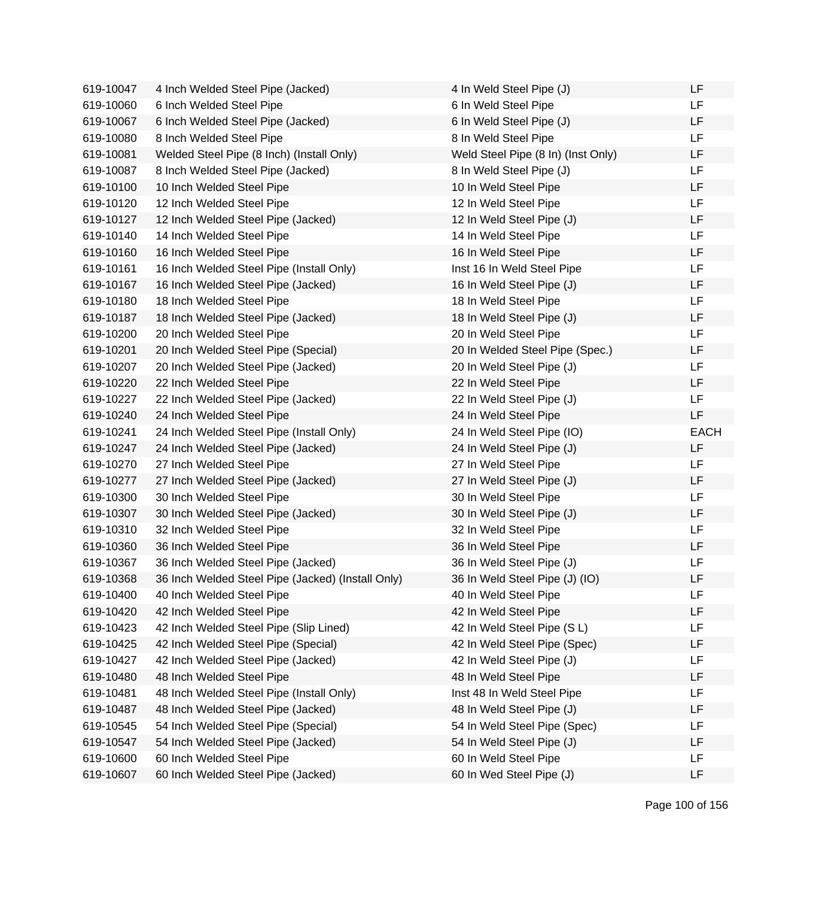| 619-10047 | 4 Inch Welded Steel Pipe (Jacked)                 | 4 In Weld Steel Pipe (J)           | LF          |
|-----------|---------------------------------------------------|------------------------------------|-------------|
| 619-10060 | 6 Inch Welded Steel Pipe                          | 6 In Weld Steel Pipe               | LF.         |
| 619-10067 | 6 Inch Welded Steel Pipe (Jacked)                 | 6 In Weld Steel Pipe (J)           | LF          |
| 619-10080 | 8 Inch Welded Steel Pipe                          | 8 In Weld Steel Pipe               | LF.         |
| 619-10081 | Welded Steel Pipe (8 Inch) (Install Only)         | Weld Steel Pipe (8 In) (Inst Only) | LF          |
| 619-10087 | 8 Inch Welded Steel Pipe (Jacked)                 | 8 In Weld Steel Pipe (J)           | LF          |
| 619-10100 | 10 Inch Welded Steel Pipe                         | 10 In Weld Steel Pipe              | LF          |
| 619-10120 | 12 Inch Welded Steel Pipe                         | 12 In Weld Steel Pipe              | <b>LF</b>   |
| 619-10127 | 12 Inch Welded Steel Pipe (Jacked)                | 12 In Weld Steel Pipe (J)          | LF          |
| 619-10140 | 14 Inch Welded Steel Pipe                         | 14 In Weld Steel Pipe              | LF          |
| 619-10160 | 16 Inch Welded Steel Pipe                         | 16 In Weld Steel Pipe              | LF          |
| 619-10161 | 16 Inch Welded Steel Pipe (Install Only)          | Inst 16 In Weld Steel Pipe         | LF.         |
| 619-10167 | 16 Inch Welded Steel Pipe (Jacked)                | 16 In Weld Steel Pipe (J)          | LF          |
| 619-10180 | 18 Inch Welded Steel Pipe                         | 18 In Weld Steel Pipe              | LF          |
| 619-10187 | 18 Inch Welded Steel Pipe (Jacked)                | 18 In Weld Steel Pipe (J)          | LF          |
| 619-10200 | 20 Inch Welded Steel Pipe                         | 20 In Weld Steel Pipe              | LF          |
| 619-10201 | 20 Inch Welded Steel Pipe (Special)               | 20 In Welded Steel Pipe (Spec.)    | LF          |
| 619-10207 | 20 Inch Welded Steel Pipe (Jacked)                | 20 In Weld Steel Pipe (J)          | LF          |
| 619-10220 | 22 Inch Welded Steel Pipe                         | 22 In Weld Steel Pipe              | LF          |
| 619-10227 | 22 Inch Welded Steel Pipe (Jacked)                | 22 In Weld Steel Pipe (J)          | LF          |
| 619-10240 | 24 Inch Welded Steel Pipe                         | 24 In Weld Steel Pipe              | LF          |
| 619-10241 | 24 Inch Welded Steel Pipe (Install Only)          | 24 In Weld Steel Pipe (IO)         | <b>EACH</b> |
| 619-10247 | 24 Inch Welded Steel Pipe (Jacked)                | 24 In Weld Steel Pipe (J)          | LF          |
| 619-10270 | 27 Inch Welded Steel Pipe                         | 27 In Weld Steel Pipe              | LF          |
| 619-10277 | 27 Inch Welded Steel Pipe (Jacked)                | 27 In Weld Steel Pipe (J)          | LF          |
| 619-10300 | 30 Inch Welded Steel Pipe                         | 30 In Weld Steel Pipe              | LF          |
| 619-10307 | 30 Inch Welded Steel Pipe (Jacked)                | 30 In Weld Steel Pipe (J)          | LF          |
| 619-10310 | 32 Inch Welded Steel Pipe                         | 32 In Weld Steel Pipe              | LF          |
| 619-10360 | 36 Inch Welded Steel Pipe                         | 36 In Weld Steel Pipe              | LF          |
| 619-10367 | 36 Inch Welded Steel Pipe (Jacked)                | 36 In Weld Steel Pipe (J)          | LF          |
| 619-10368 | 36 Inch Welded Steel Pipe (Jacked) (Install Only) | 36 In Weld Steel Pipe (J) (IO)     | LF          |
| 619-10400 | 40 Inch Welded Steel Pipe                         | 40 In Weld Steel Pipe              | LF          |
| 619-10420 | 42 Inch Welded Steel Pipe                         | 42 In Weld Steel Pipe              | LF          |
| 619-10423 | 42 Inch Welded Steel Pipe (Slip Lined)            | 42 In Weld Steel Pipe (SL)         | LF          |
| 619-10425 | 42 Inch Welded Steel Pipe (Special)               | 42 In Weld Steel Pipe (Spec)       | LF          |
| 619-10427 | 42 Inch Welded Steel Pipe (Jacked)                | 42 In Weld Steel Pipe (J)          | LF          |
| 619-10480 | 48 Inch Welded Steel Pipe                         | 48 In Weld Steel Pipe              | LF          |
| 619-10481 | 48 Inch Welded Steel Pipe (Install Only)          | Inst 48 In Weld Steel Pipe         | LF          |
| 619-10487 | 48 Inch Welded Steel Pipe (Jacked)                | 48 In Weld Steel Pipe (J)          | LF          |
| 619-10545 | 54 Inch Welded Steel Pipe (Special)               | 54 In Weld Steel Pipe (Spec)       | LF          |
| 619-10547 | 54 Inch Welded Steel Pipe (Jacked)                | 54 In Weld Steel Pipe (J)          | LF          |
| 619-10600 | 60 Inch Welded Steel Pipe                         | 60 In Weld Steel Pipe              | LF          |
| 619-10607 | 60 Inch Welded Steel Pipe (Jacked)                | 60 In Wed Steel Pipe (J)           | LF          |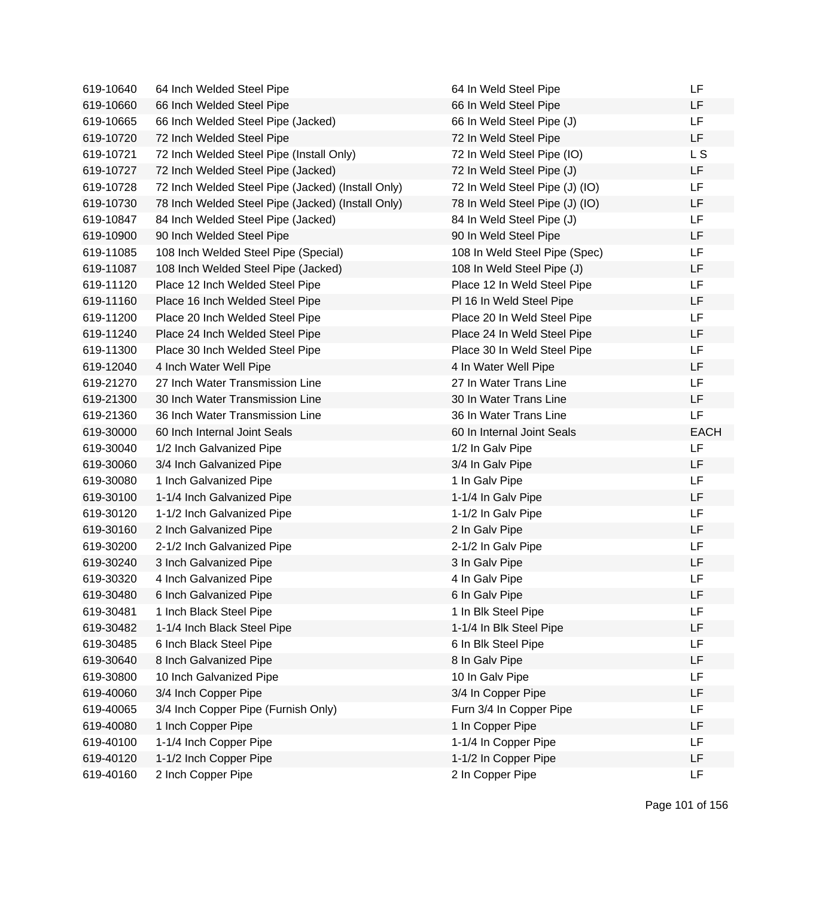| 619-10640 | 64 Inch Welded Steel Pipe                         | 64 In Weld Steel Pipe          | LF          |
|-----------|---------------------------------------------------|--------------------------------|-------------|
| 619-10660 | 66 Inch Welded Steel Pipe                         | 66 In Weld Steel Pipe          | LF          |
| 619-10665 | 66 Inch Welded Steel Pipe (Jacked)                | 66 In Weld Steel Pipe (J)      | <b>LF</b>   |
| 619-10720 | 72 Inch Welded Steel Pipe                         | 72 In Weld Steel Pipe          | LF          |
| 619-10721 | 72 Inch Welded Steel Pipe (Install Only)          | 72 In Weld Steel Pipe (IO)     | L S         |
| 619-10727 | 72 Inch Welded Steel Pipe (Jacked)                | 72 In Weld Steel Pipe (J)      | LF.         |
| 619-10728 | 72 Inch Welded Steel Pipe (Jacked) (Install Only) | 72 In Weld Steel Pipe (J) (IO) | LF.         |
| 619-10730 | 78 Inch Welded Steel Pipe (Jacked) (Install Only) | 78 In Weld Steel Pipe (J) (IO) | LF          |
| 619-10847 | 84 Inch Welded Steel Pipe (Jacked)                | 84 In Weld Steel Pipe (J)      | LF          |
| 619-10900 | 90 Inch Welded Steel Pipe                         | 90 In Weld Steel Pipe          | LF          |
| 619-11085 | 108 Inch Welded Steel Pipe (Special)              | 108 In Weld Steel Pipe (Spec)  | LF          |
| 619-11087 | 108 Inch Welded Steel Pipe (Jacked)               | 108 In Weld Steel Pipe (J)     | LF          |
| 619-11120 | Place 12 Inch Welded Steel Pipe                   | Place 12 In Weld Steel Pipe    | LF          |
| 619-11160 | Place 16 Inch Welded Steel Pipe                   | PI 16 In Weld Steel Pipe       | LF          |
| 619-11200 | Place 20 Inch Welded Steel Pipe                   | Place 20 In Weld Steel Pipe    | LF          |
| 619-11240 | Place 24 Inch Welded Steel Pipe                   | Place 24 In Weld Steel Pipe    | LF          |
| 619-11300 | Place 30 Inch Welded Steel Pipe                   | Place 30 In Weld Steel Pipe    | LF          |
| 619-12040 | 4 Inch Water Well Pipe                            | 4 In Water Well Pipe           | LF          |
| 619-21270 | 27 Inch Water Transmission Line                   | 27 In Water Trans Line         | LF          |
| 619-21300 | 30 Inch Water Transmission Line                   | 30 In Water Trans Line         | LF          |
| 619-21360 | 36 Inch Water Transmission Line                   | 36 In Water Trans Line         | <b>LF</b>   |
| 619-30000 | 60 Inch Internal Joint Seals                      | 60 In Internal Joint Seals     | <b>EACH</b> |
| 619-30040 | 1/2 Inch Galvanized Pipe                          | 1/2 In Galv Pipe               | <b>LF</b>   |
| 619-30060 | 3/4 Inch Galvanized Pipe                          | 3/4 In Galv Pipe               | LF          |
| 619-30080 | 1 Inch Galvanized Pipe                            | 1 In Galv Pipe                 | LF          |
| 619-30100 | 1-1/4 Inch Galvanized Pipe                        | 1-1/4 In Galv Pipe             | LF          |
| 619-30120 | 1-1/2 Inch Galvanized Pipe                        | 1-1/2 In Galv Pipe             | LF          |
| 619-30160 | 2 Inch Galvanized Pipe                            | 2 In Galv Pipe                 | LF          |
| 619-30200 | 2-1/2 Inch Galvanized Pipe                        | 2-1/2 In Galv Pipe             | LF          |
| 619-30240 | 3 Inch Galvanized Pipe                            | 3 In Galv Pipe                 | LF          |
| 619-30320 | 4 Inch Galvanized Pipe                            | 4 In Galv Pipe                 | LF          |
| 619-30480 | 6 Inch Galvanized Pipe                            | 6 In Galv Pipe                 | LF          |
| 619-30481 | 1 Inch Black Steel Pipe                           | 1 In Blk Steel Pipe            | <b>LF</b>   |
| 619-30482 | 1-1/4 Inch Black Steel Pipe                       | 1-1/4 In Blk Steel Pipe        | LF          |
| 619-30485 | 6 Inch Black Steel Pipe                           | 6 In Blk Steel Pipe            | <b>LF</b>   |
| 619-30640 | 8 Inch Galvanized Pipe                            | 8 In Galv Pipe                 | LF          |
| 619-30800 | 10 Inch Galvanized Pipe                           | 10 In Galv Pipe                | LF          |
| 619-40060 | 3/4 Inch Copper Pipe                              | 3/4 In Copper Pipe             | <b>LF</b>   |
| 619-40065 | 3/4 Inch Copper Pipe (Furnish Only)               | Furn 3/4 In Copper Pipe        | LF          |
| 619-40080 | 1 Inch Copper Pipe                                | 1 In Copper Pipe               | LF          |
| 619-40100 | 1-1/4 Inch Copper Pipe                            | 1-1/4 In Copper Pipe           | <b>LF</b>   |
| 619-40120 | 1-1/2 Inch Copper Pipe                            | 1-1/2 In Copper Pipe           | LF          |
| 619-40160 | 2 Inch Copper Pipe                                | 2 In Copper Pipe               | <b>LF</b>   |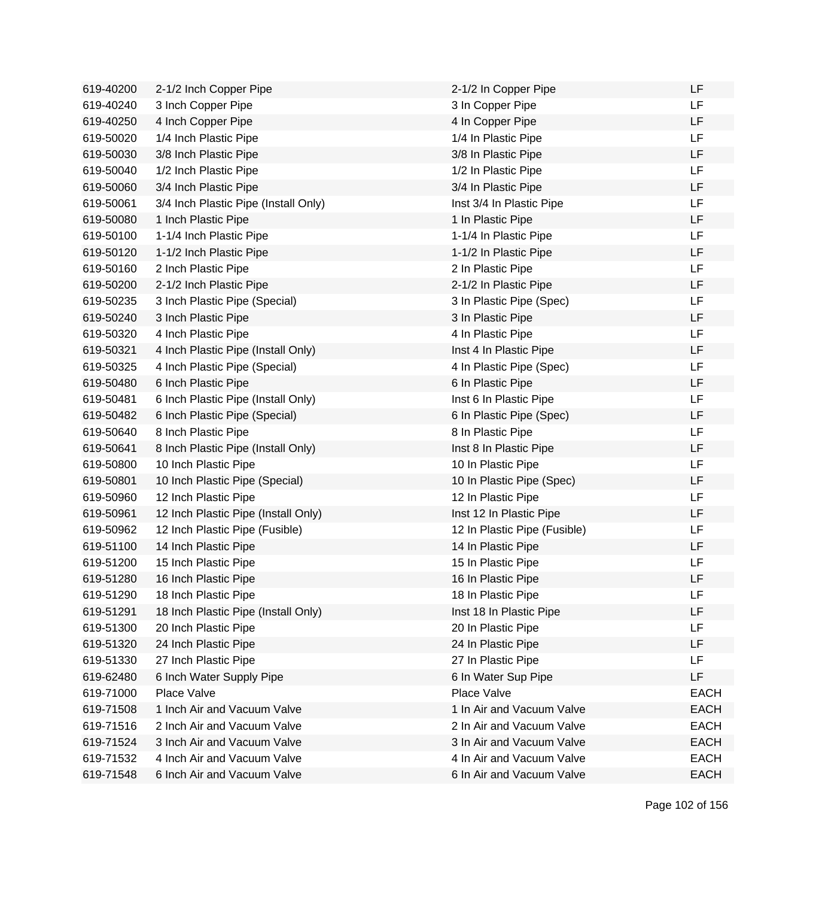| 619-40200 | 2-1/2 Inch Copper Pipe               | 2-1/2 In Copper Pipe         | LF          |
|-----------|--------------------------------------|------------------------------|-------------|
| 619-40240 | 3 Inch Copper Pipe                   | 3 In Copper Pipe             | LF.         |
| 619-40250 | 4 Inch Copper Pipe                   | 4 In Copper Pipe             | <b>LF</b>   |
| 619-50020 | 1/4 Inch Plastic Pipe                | 1/4 In Plastic Pipe          | LF          |
| 619-50030 | 3/8 Inch Plastic Pipe                | 3/8 In Plastic Pipe          | LF          |
| 619-50040 | 1/2 Inch Plastic Pipe                | 1/2 In Plastic Pipe          | LF          |
| 619-50060 | 3/4 Inch Plastic Pipe                | 3/4 In Plastic Pipe          | LF          |
| 619-50061 | 3/4 Inch Plastic Pipe (Install Only) | Inst 3/4 In Plastic Pipe     | LF          |
| 619-50080 | 1 Inch Plastic Pipe                  | 1 In Plastic Pipe            | LF          |
| 619-50100 | 1-1/4 Inch Plastic Pipe              | 1-1/4 In Plastic Pipe        | <b>LF</b>   |
| 619-50120 | 1-1/2 Inch Plastic Pipe              | 1-1/2 In Plastic Pipe        | LF          |
| 619-50160 | 2 Inch Plastic Pipe                  | 2 In Plastic Pipe            | <b>LF</b>   |
| 619-50200 | 2-1/2 Inch Plastic Pipe              | 2-1/2 In Plastic Pipe        | <b>LF</b>   |
| 619-50235 | 3 Inch Plastic Pipe (Special)        | 3 In Plastic Pipe (Spec)     | LF          |
| 619-50240 | 3 Inch Plastic Pipe                  | 3 In Plastic Pipe            | LF          |
| 619-50320 | 4 Inch Plastic Pipe                  | 4 In Plastic Pipe            | <b>LF</b>   |
| 619-50321 | 4 Inch Plastic Pipe (Install Only)   | Inst 4 In Plastic Pipe       | LF          |
| 619-50325 | 4 Inch Plastic Pipe (Special)        | 4 In Plastic Pipe (Spec)     | LF          |
| 619-50480 | 6 Inch Plastic Pipe                  | 6 In Plastic Pipe            | LF          |
| 619-50481 | 6 Inch Plastic Pipe (Install Only)   | Inst 6 In Plastic Pipe       | LF          |
| 619-50482 | 6 Inch Plastic Pipe (Special)        | 6 In Plastic Pipe (Spec)     | LF          |
| 619-50640 | 8 Inch Plastic Pipe                  | 8 In Plastic Pipe            | LF          |
| 619-50641 | 8 Inch Plastic Pipe (Install Only)   | Inst 8 In Plastic Pipe       | <b>LF</b>   |
| 619-50800 | 10 Inch Plastic Pipe                 | 10 In Plastic Pipe           | LF          |
| 619-50801 | 10 Inch Plastic Pipe (Special)       | 10 In Plastic Pipe (Spec)    | LF          |
| 619-50960 | 12 Inch Plastic Pipe                 | 12 In Plastic Pipe           | <b>LF</b>   |
| 619-50961 | 12 Inch Plastic Pipe (Install Only)  | Inst 12 In Plastic Pipe      | LF          |
| 619-50962 | 12 Inch Plastic Pipe (Fusible)       | 12 In Plastic Pipe (Fusible) | <b>LF</b>   |
| 619-51100 | 14 Inch Plastic Pipe                 | 14 In Plastic Pipe           | LF          |
| 619-51200 | 15 Inch Plastic Pipe                 | 15 In Plastic Pipe           | LF          |
| 619-51280 | 16 Inch Plastic Pipe                 | 16 In Plastic Pipe           | LF          |
| 619-51290 | 18 Inch Plastic Pipe                 | 18 In Plastic Pipe           | LF          |
| 619-51291 | 18 Inch Plastic Pipe (Install Only)  | Inst 18 In Plastic Pipe      | LF          |
| 619-51300 | 20 Inch Plastic Pipe                 | 20 In Plastic Pipe           | LF          |
| 619-51320 | 24 Inch Plastic Pipe                 | 24 In Plastic Pipe           | LF          |
| 619-51330 | 27 Inch Plastic Pipe                 | 27 In Plastic Pipe           | LF          |
| 619-62480 | 6 Inch Water Supply Pipe             | 6 In Water Sup Pipe          | LF          |
| 619-71000 | Place Valve                          | Place Valve                  | <b>EACH</b> |
| 619-71508 | 1 Inch Air and Vacuum Valve          | 1 In Air and Vacuum Valve    | <b>EACH</b> |
| 619-71516 | 2 Inch Air and Vacuum Valve          | 2 In Air and Vacuum Valve    | <b>EACH</b> |
| 619-71524 | 3 Inch Air and Vacuum Valve          | 3 In Air and Vacuum Valve    | <b>EACH</b> |
| 619-71532 | 4 Inch Air and Vacuum Valve          | 4 In Air and Vacuum Valve    | <b>EACH</b> |
| 619-71548 | 6 Inch Air and Vacuum Valve          | 6 In Air and Vacuum Valve    | <b>EACH</b> |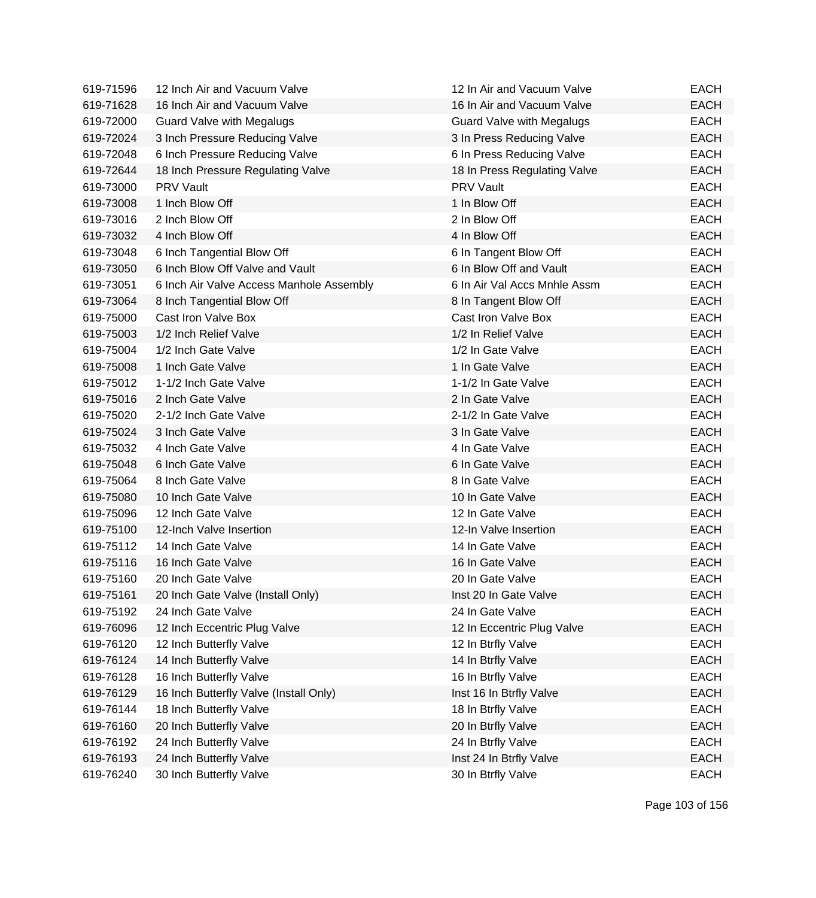| 619-71596 | 12 Inch Air and Vacuum Valve             | 12 In Air and Vacuum Valve       | EACH        |
|-----------|------------------------------------------|----------------------------------|-------------|
| 619-71628 | 16 Inch Air and Vacuum Valve             | 16 In Air and Vacuum Valve       | <b>EACH</b> |
| 619-72000 | <b>Guard Valve with Megalugs</b>         | <b>Guard Valve with Megalugs</b> | <b>EACH</b> |
| 619-72024 | 3 Inch Pressure Reducing Valve           | 3 In Press Reducing Valve        | <b>EACH</b> |
| 619-72048 | 6 Inch Pressure Reducing Valve           | 6 In Press Reducing Valve        | <b>EACH</b> |
| 619-72644 | 18 Inch Pressure Regulating Valve        | 18 In Press Regulating Valve     | <b>EACH</b> |
| 619-73000 | <b>PRV Vault</b>                         | <b>PRV Vault</b>                 | <b>EACH</b> |
| 619-73008 | 1 Inch Blow Off                          | 1 In Blow Off                    | <b>EACH</b> |
| 619-73016 | 2 Inch Blow Off                          | 2 In Blow Off                    | <b>EACH</b> |
| 619-73032 | 4 Inch Blow Off                          | 4 In Blow Off                    | <b>EACH</b> |
| 619-73048 | 6 Inch Tangential Blow Off               | 6 In Tangent Blow Off            | <b>EACH</b> |
| 619-73050 | 6 Inch Blow Off Valve and Vault          | 6 In Blow Off and Vault          | <b>EACH</b> |
| 619-73051 | 6 Inch Air Valve Access Manhole Assembly | 6 In Air Val Accs Mnhle Assm     | <b>EACH</b> |
| 619-73064 | 8 Inch Tangential Blow Off               | 8 In Tangent Blow Off            | <b>EACH</b> |
| 619-75000 | Cast Iron Valve Box                      | Cast Iron Valve Box              | <b>EACH</b> |
| 619-75003 | 1/2 Inch Relief Valve                    | 1/2 In Relief Valve              | <b>EACH</b> |
| 619-75004 | 1/2 Inch Gate Valve                      | 1/2 In Gate Valve                | <b>EACH</b> |
| 619-75008 | 1 Inch Gate Valve                        | 1 In Gate Valve                  | <b>EACH</b> |
| 619-75012 | 1-1/2 Inch Gate Valve                    | 1-1/2 In Gate Valve              | <b>EACH</b> |
| 619-75016 | 2 Inch Gate Valve                        | 2 In Gate Valve                  | <b>EACH</b> |
| 619-75020 | 2-1/2 Inch Gate Valve                    | 2-1/2 In Gate Valve              | <b>EACH</b> |
| 619-75024 | 3 Inch Gate Valve                        | 3 In Gate Valve                  | <b>EACH</b> |
| 619-75032 | 4 Inch Gate Valve                        | 4 In Gate Valve                  | <b>EACH</b> |
| 619-75048 | 6 Inch Gate Valve                        | 6 In Gate Valve                  | <b>EACH</b> |
| 619-75064 | 8 Inch Gate Valve                        | 8 In Gate Valve                  | <b>EACH</b> |
| 619-75080 | 10 Inch Gate Valve                       | 10 In Gate Valve                 | <b>EACH</b> |
| 619-75096 | 12 Inch Gate Valve                       | 12 In Gate Valve                 | <b>EACH</b> |
| 619-75100 | 12-Inch Valve Insertion                  | 12-In Valve Insertion            | <b>EACH</b> |
| 619-75112 | 14 Inch Gate Valve                       | 14 In Gate Valve                 | <b>EACH</b> |
| 619-75116 | 16 Inch Gate Valve                       | 16 In Gate Valve                 | <b>EACH</b> |
| 619-75160 | 20 Inch Gate Valve                       | 20 In Gate Valve                 | <b>EACH</b> |
| 619-75161 | 20 Inch Gate Valve (Install Only)        | Inst 20 In Gate Valve            | <b>EACH</b> |
| 619-75192 | 24 Inch Gate Valve                       | 24 In Gate Valve                 | <b>EACH</b> |
| 619-76096 | 12 Inch Eccentric Plug Valve             | 12 In Eccentric Plug Valve       | <b>EACH</b> |
| 619-76120 | 12 Inch Butterfly Valve                  | 12 In Btrfly Valve               | <b>EACH</b> |
| 619-76124 | 14 Inch Butterfly Valve                  | 14 In Btrfly Valve               | <b>EACH</b> |
| 619-76128 | 16 Inch Butterfly Valve                  | 16 In Btrfly Valve               | <b>EACH</b> |
| 619-76129 | 16 Inch Butterfly Valve (Install Only)   | Inst 16 In Btrfly Valve          | <b>EACH</b> |
| 619-76144 | 18 Inch Butterfly Valve                  | 18 In Btrfly Valve               | <b>EACH</b> |
| 619-76160 | 20 Inch Butterfly Valve                  | 20 In Btrfly Valve               | <b>EACH</b> |
| 619-76192 | 24 Inch Butterfly Valve                  | 24 In Btrfly Valve               | <b>EACH</b> |
| 619-76193 | 24 Inch Butterfly Valve                  | Inst 24 In Btrfly Valve          | <b>EACH</b> |
| 619-76240 | 30 Inch Butterfly Valve                  | 30 In Btrfly Valve               | <b>EACH</b> |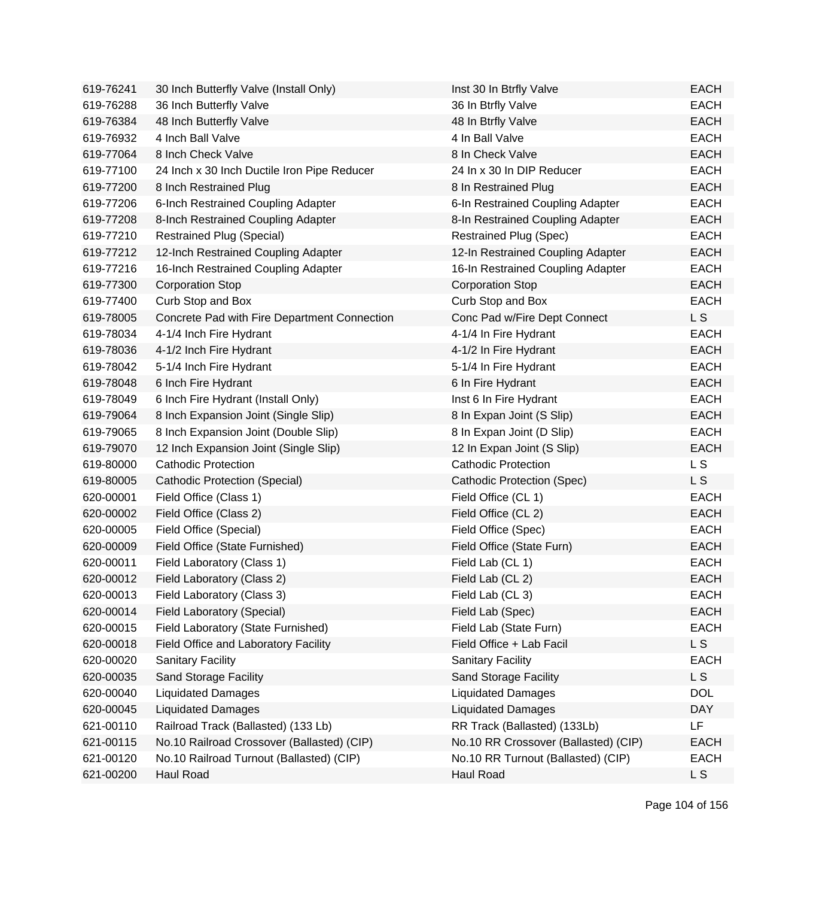| 619-76241 | 30 Inch Butterfly Valve (Install Only)       | Inst 30 In Btrfly Valve              | <b>EACH</b>    |
|-----------|----------------------------------------------|--------------------------------------|----------------|
| 619-76288 | 36 Inch Butterfly Valve                      | 36 In Btrfly Valve                   | <b>EACH</b>    |
| 619-76384 | 48 Inch Butterfly Valve                      | 48 In Btrfly Valve                   | <b>EACH</b>    |
| 619-76932 | 4 Inch Ball Valve                            | 4 In Ball Valve                      | <b>EACH</b>    |
| 619-77064 | 8 Inch Check Valve                           | 8 In Check Valve                     | <b>EACH</b>    |
| 619-77100 | 24 Inch x 30 Inch Ductile Iron Pipe Reducer  | 24 In x 30 In DIP Reducer            | <b>EACH</b>    |
| 619-77200 | 8 Inch Restrained Plug                       | 8 In Restrained Plug                 | <b>EACH</b>    |
| 619-77206 | 6-Inch Restrained Coupling Adapter           | 6-In Restrained Coupling Adapter     | <b>EACH</b>    |
| 619-77208 | 8-Inch Restrained Coupling Adapter           | 8-In Restrained Coupling Adapter     | <b>EACH</b>    |
| 619-77210 | <b>Restrained Plug (Special)</b>             | <b>Restrained Plug (Spec)</b>        | <b>EACH</b>    |
| 619-77212 | 12-Inch Restrained Coupling Adapter          | 12-In Restrained Coupling Adapter    | <b>EACH</b>    |
| 619-77216 | 16-Inch Restrained Coupling Adapter          | 16-In Restrained Coupling Adapter    | <b>EACH</b>    |
| 619-77300 | <b>Corporation Stop</b>                      | <b>Corporation Stop</b>              | <b>EACH</b>    |
| 619-77400 | Curb Stop and Box                            | Curb Stop and Box                    | <b>EACH</b>    |
| 619-78005 | Concrete Pad with Fire Department Connection | Conc Pad w/Fire Dept Connect         | L S            |
| 619-78034 | 4-1/4 Inch Fire Hydrant                      | 4-1/4 In Fire Hydrant                | <b>EACH</b>    |
| 619-78036 | 4-1/2 Inch Fire Hydrant                      | 4-1/2 In Fire Hydrant                | <b>EACH</b>    |
| 619-78042 | 5-1/4 Inch Fire Hydrant                      | 5-1/4 In Fire Hydrant                | <b>EACH</b>    |
| 619-78048 | 6 Inch Fire Hydrant                          | 6 In Fire Hydrant                    | <b>EACH</b>    |
| 619-78049 | 6 Inch Fire Hydrant (Install Only)           | Inst 6 In Fire Hydrant               | <b>EACH</b>    |
| 619-79064 | 8 Inch Expansion Joint (Single Slip)         | 8 In Expan Joint (S Slip)            | <b>EACH</b>    |
| 619-79065 | 8 Inch Expansion Joint (Double Slip)         | 8 In Expan Joint (D Slip)            | <b>EACH</b>    |
| 619-79070 | 12 Inch Expansion Joint (Single Slip)        | 12 In Expan Joint (S Slip)           | <b>EACH</b>    |
| 619-80000 | <b>Cathodic Protection</b>                   | <b>Cathodic Protection</b>           | L S            |
| 619-80005 | Cathodic Protection (Special)                | Cathodic Protection (Spec)           | L S            |
| 620-00001 | Field Office (Class 1)                       | Field Office (CL 1)                  | <b>EACH</b>    |
| 620-00002 | Field Office (Class 2)                       | Field Office (CL 2)                  | <b>EACH</b>    |
| 620-00005 | Field Office (Special)                       | Field Office (Spec)                  | <b>EACH</b>    |
| 620-00009 | Field Office (State Furnished)               | Field Office (State Furn)            | <b>EACH</b>    |
| 620-00011 | Field Laboratory (Class 1)                   | Field Lab (CL 1)                     | <b>EACH</b>    |
| 620-00012 | Field Laboratory (Class 2)                   | Field Lab (CL 2)                     | <b>EACH</b>    |
| 620-00013 | Field Laboratory (Class 3)                   | Field Lab (CL 3)                     | EACH           |
| 620-00014 | Field Laboratory (Special)                   | Field Lab (Spec)                     | <b>EACH</b>    |
| 620-00015 | Field Laboratory (State Furnished)           | Field Lab (State Furn)               | <b>EACH</b>    |
| 620-00018 | Field Office and Laboratory Facility         | Field Office + Lab Facil             | L <sub>S</sub> |
| 620-00020 | Sanitary Facility                            | <b>Sanitary Facility</b>             | <b>EACH</b>    |
| 620-00035 | Sand Storage Facility                        | Sand Storage Facility                | L S            |
| 620-00040 | <b>Liquidated Damages</b>                    | <b>Liquidated Damages</b>            | <b>DOL</b>     |
| 620-00045 | <b>Liquidated Damages</b>                    | <b>Liquidated Damages</b>            | <b>DAY</b>     |
| 621-00110 | Railroad Track (Ballasted) (133 Lb)          | RR Track (Ballasted) (133Lb)         | <b>LF</b>      |
| 621-00115 | No.10 Railroad Crossover (Ballasted) (CIP)   | No.10 RR Crossover (Ballasted) (CIP) | <b>EACH</b>    |
| 621-00120 | No.10 Railroad Turnout (Ballasted) (CIP)     | No.10 RR Turnout (Ballasted) (CIP)   | <b>EACH</b>    |
| 621-00200 | Haul Road                                    | Haul Road                            | <b>LS</b>      |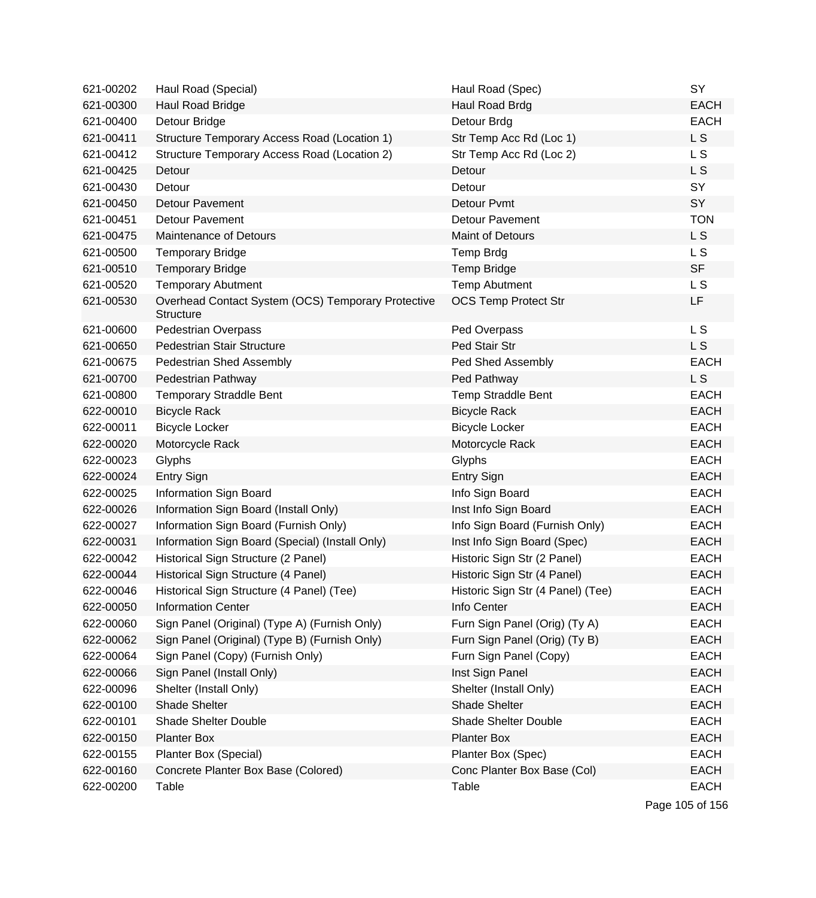| 621-00202 | Haul Road (Special)                                                    | Haul Road (Spec)                  | SY             |
|-----------|------------------------------------------------------------------------|-----------------------------------|----------------|
| 621-00300 | Haul Road Bridge                                                       | Haul Road Brdg                    | <b>EACH</b>    |
| 621-00400 | Detour Bridge                                                          | Detour Brdg                       | <b>EACH</b>    |
| 621-00411 | Structure Temporary Access Road (Location 1)                           | Str Temp Acc Rd (Loc 1)           | L <sub>S</sub> |
| 621-00412 | Structure Temporary Access Road (Location 2)                           | Str Temp Acc Rd (Loc 2)           | L S            |
| 621-00425 | Detour                                                                 | Detour                            | L S            |
| 621-00430 | Detour                                                                 | Detour                            | SY             |
| 621-00450 | <b>Detour Pavement</b>                                                 | Detour Pvmt                       | SY             |
| 621-00451 | <b>Detour Pavement</b>                                                 | <b>Detour Pavement</b>            | <b>TON</b>     |
| 621-00475 | <b>Maintenance of Detours</b>                                          | <b>Maint of Detours</b>           | L <sub>S</sub> |
| 621-00500 | <b>Temporary Bridge</b>                                                | Temp Brdg                         | L S            |
| 621-00510 | <b>Temporary Bridge</b>                                                | <b>Temp Bridge</b>                | <b>SF</b>      |
| 621-00520 | <b>Temporary Abutment</b>                                              | <b>Temp Abutment</b>              | L <sub>S</sub> |
| 621-00530 | Overhead Contact System (OCS) Temporary Protective<br><b>Structure</b> | <b>OCS Temp Protect Str</b>       | LF             |
| 621-00600 | <b>Pedestrian Overpass</b>                                             | Ped Overpass                      | L S            |
| 621-00650 | <b>Pedestrian Stair Structure</b>                                      | Ped Stair Str                     | L <sub>S</sub> |
| 621-00675 | Pedestrian Shed Assembly                                               | Ped Shed Assembly                 | <b>EACH</b>    |
| 621-00700 | Pedestrian Pathway                                                     | Ped Pathway                       | L <sub>S</sub> |
| 621-00800 | <b>Temporary Straddle Bent</b>                                         | <b>Temp Straddle Bent</b>         | <b>EACH</b>    |
| 622-00010 | <b>Bicycle Rack</b>                                                    | <b>Bicycle Rack</b>               | <b>EACH</b>    |
| 622-00011 | <b>Bicycle Locker</b>                                                  | <b>Bicycle Locker</b>             | <b>EACH</b>    |
| 622-00020 | Motorcycle Rack                                                        | Motorcycle Rack                   | <b>EACH</b>    |
| 622-00023 | Glyphs                                                                 | Glyphs                            | <b>EACH</b>    |
| 622-00024 | <b>Entry Sign</b>                                                      | <b>Entry Sign</b>                 | <b>EACH</b>    |
| 622-00025 | Information Sign Board                                                 | Info Sign Board                   | <b>EACH</b>    |
| 622-00026 | Information Sign Board (Install Only)                                  | Inst Info Sign Board              | <b>EACH</b>    |
| 622-00027 | Information Sign Board (Furnish Only)                                  | Info Sign Board (Furnish Only)    | <b>EACH</b>    |
| 622-00031 | Information Sign Board (Special) (Install Only)                        | Inst Info Sign Board (Spec)       | <b>EACH</b>    |
| 622-00042 | Historical Sign Structure (2 Panel)                                    | Historic Sign Str (2 Panel)       | <b>EACH</b>    |
| 622-00044 | Historical Sign Structure (4 Panel)                                    | Historic Sign Str (4 Panel)       | <b>EACH</b>    |
| 622-00046 | Historical Sign Structure (4 Panel) (Tee)                              | Historic Sign Str (4 Panel) (Tee) | EACH           |
| 622-00050 | <b>Information Center</b>                                              | Info Center                       | <b>EACH</b>    |
| 622-00060 | Sign Panel (Original) (Type A) (Furnish Only)                          | Furn Sign Panel (Orig) (Ty A)     | <b>EACH</b>    |
| 622-00062 | Sign Panel (Original) (Type B) (Furnish Only)                          | Furn Sign Panel (Orig) (Ty B)     | <b>EACH</b>    |
| 622-00064 | Sign Panel (Copy) (Furnish Only)                                       | Furn Sign Panel (Copy)            | <b>EACH</b>    |
| 622-00066 | Sign Panel (Install Only)                                              | Inst Sign Panel                   | <b>EACH</b>    |
| 622-00096 | Shelter (Install Only)                                                 | Shelter (Install Only)            | <b>EACH</b>    |
| 622-00100 | Shade Shelter                                                          | Shade Shelter                     | <b>EACH</b>    |
| 622-00101 | <b>Shade Shelter Double</b>                                            | <b>Shade Shelter Double</b>       | <b>EACH</b>    |
| 622-00150 | <b>Planter Box</b>                                                     | <b>Planter Box</b>                | <b>EACH</b>    |
| 622-00155 | Planter Box (Special)                                                  | Planter Box (Spec)                | <b>EACH</b>    |
| 622-00160 | Concrete Planter Box Base (Colored)                                    | Conc Planter Box Base (Col)       | <b>EACH</b>    |
| 622-00200 | Table                                                                  | Table                             | <b>EACH</b>    |

Page 105 of 156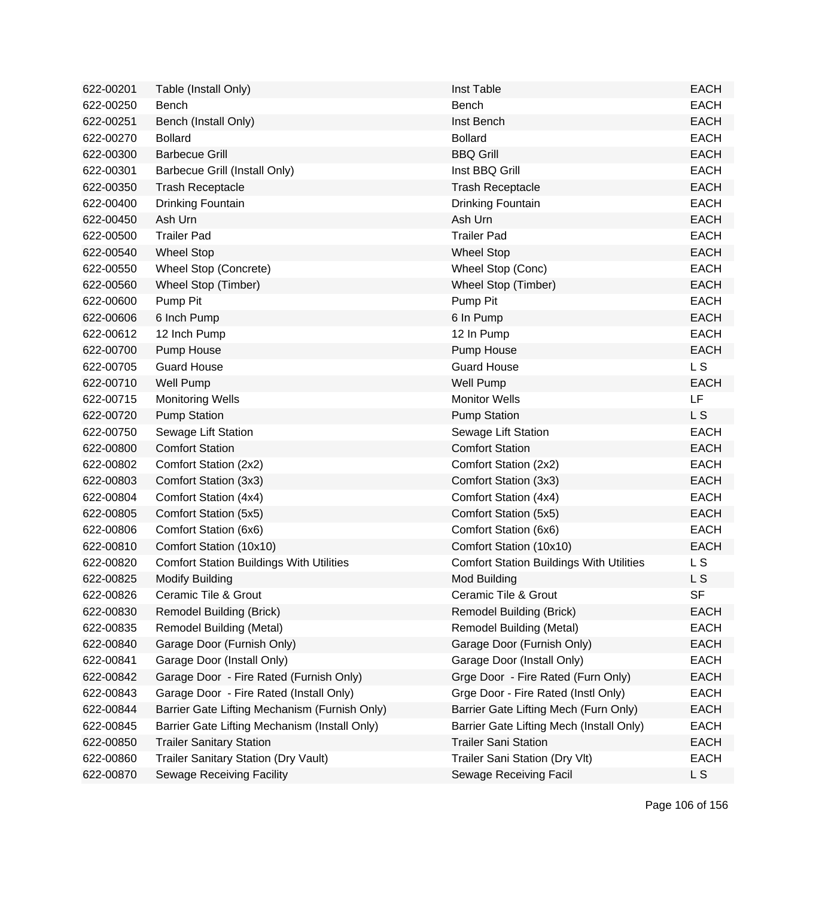| 622-00201 | Table (Install Only)                            | Inst Table                                      | <b>EACH</b>    |
|-----------|-------------------------------------------------|-------------------------------------------------|----------------|
| 622-00250 | Bench                                           | Bench                                           | <b>EACH</b>    |
| 622-00251 | Bench (Install Only)                            | Inst Bench                                      | <b>EACH</b>    |
| 622-00270 | <b>Bollard</b>                                  | <b>Bollard</b>                                  | <b>EACH</b>    |
| 622-00300 | <b>Barbecue Grill</b>                           | <b>BBQ Grill</b>                                | <b>EACH</b>    |
| 622-00301 | Barbecue Grill (Install Only)                   | Inst BBQ Grill                                  | <b>EACH</b>    |
| 622-00350 | <b>Trash Receptacle</b>                         | <b>Trash Receptacle</b>                         | <b>EACH</b>    |
| 622-00400 | Drinking Fountain                               | Drinking Fountain                               | <b>EACH</b>    |
| 622-00450 | Ash Urn                                         | Ash Urn                                         | <b>EACH</b>    |
| 622-00500 | <b>Trailer Pad</b>                              | <b>Trailer Pad</b>                              | <b>EACH</b>    |
| 622-00540 | <b>Wheel Stop</b>                               | <b>Wheel Stop</b>                               | <b>EACH</b>    |
| 622-00550 | Wheel Stop (Concrete)                           | Wheel Stop (Conc)                               | <b>EACH</b>    |
| 622-00560 | Wheel Stop (Timber)                             | Wheel Stop (Timber)                             | <b>EACH</b>    |
| 622-00600 | Pump Pit                                        | Pump Pit                                        | <b>EACH</b>    |
| 622-00606 | 6 Inch Pump                                     | 6 In Pump                                       | <b>EACH</b>    |
| 622-00612 | 12 Inch Pump                                    | 12 In Pump                                      | <b>EACH</b>    |
| 622-00700 | Pump House                                      | Pump House                                      | <b>EACH</b>    |
| 622-00705 | <b>Guard House</b>                              | <b>Guard House</b>                              | L <sub>S</sub> |
| 622-00710 | Well Pump                                       | <b>Well Pump</b>                                | <b>EACH</b>    |
| 622-00715 | <b>Monitoring Wells</b>                         | <b>Monitor Wells</b>                            | LF             |
| 622-00720 | <b>Pump Station</b>                             | <b>Pump Station</b>                             | L S            |
| 622-00750 | Sewage Lift Station                             | Sewage Lift Station                             | <b>EACH</b>    |
| 622-00800 | <b>Comfort Station</b>                          | <b>Comfort Station</b>                          | <b>EACH</b>    |
| 622-00802 | Comfort Station (2x2)                           | Comfort Station (2x2)                           | <b>EACH</b>    |
| 622-00803 | Comfort Station (3x3)                           | Comfort Station (3x3)                           | <b>EACH</b>    |
| 622-00804 | Comfort Station (4x4)                           | Comfort Station (4x4)                           | <b>EACH</b>    |
| 622-00805 | Comfort Station (5x5)                           | Comfort Station (5x5)                           | <b>EACH</b>    |
| 622-00806 | Comfort Station (6x6)                           | Comfort Station (6x6)                           | <b>EACH</b>    |
| 622-00810 | Comfort Station (10x10)                         | Comfort Station (10x10)                         | <b>EACH</b>    |
| 622-00820 | <b>Comfort Station Buildings With Utilities</b> | <b>Comfort Station Buildings With Utilities</b> | L S            |
| 622-00825 | <b>Modify Building</b>                          | Mod Building                                    | L S            |
| 622-00826 | Ceramic Tile & Grout                            | Ceramic Tile & Grout                            | SF             |
| 622-00830 | <b>Remodel Building (Brick)</b>                 | <b>Remodel Building (Brick)</b>                 | <b>EACH</b>    |
| 622-00835 | <b>Remodel Building (Metal)</b>                 | Remodel Building (Metal)                        | <b>EACH</b>    |
| 622-00840 | Garage Door (Furnish Only)                      | Garage Door (Furnish Only)                      | <b>EACH</b>    |
| 622-00841 | Garage Door (Install Only)                      | Garage Door (Install Only)                      | <b>EACH</b>    |
| 622-00842 | Garage Door - Fire Rated (Furnish Only)         | Grge Door - Fire Rated (Furn Only)              | <b>EACH</b>    |
| 622-00843 | Garage Door - Fire Rated (Install Only)         | Grge Door - Fire Rated (Instl Only)             | <b>EACH</b>    |
| 622-00844 | Barrier Gate Lifting Mechanism (Furnish Only)   | Barrier Gate Lifting Mech (Furn Only)           | <b>EACH</b>    |
| 622-00845 | Barrier Gate Lifting Mechanism (Install Only)   | Barrier Gate Lifting Mech (Install Only)        | <b>EACH</b>    |
| 622-00850 | <b>Trailer Sanitary Station</b>                 | <b>Trailer Sani Station</b>                     | <b>EACH</b>    |
| 622-00860 | <b>Trailer Sanitary Station (Dry Vault)</b>     | Trailer Sani Station (Dry Vlt)                  | <b>EACH</b>    |
| 622-00870 | <b>Sewage Receiving Facility</b>                | Sewage Receiving Facil                          | L <sub>S</sub> |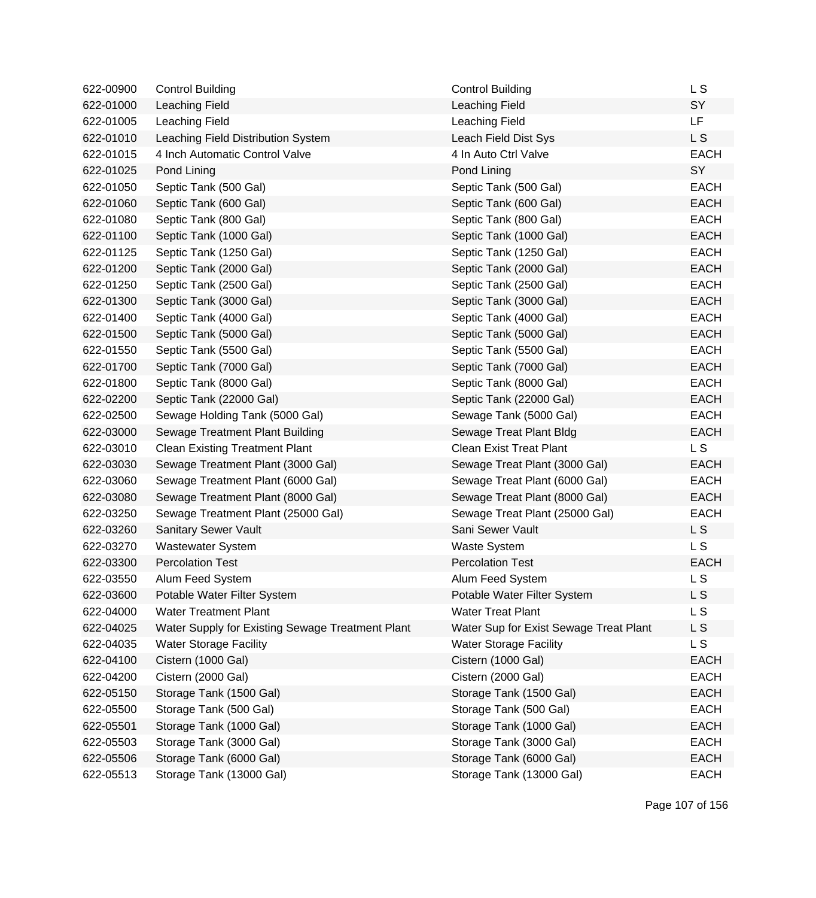| 622-00900 | <b>Control Building</b>                          | <b>Control Building</b>                | L S         |
|-----------|--------------------------------------------------|----------------------------------------|-------------|
| 622-01000 | Leaching Field                                   | Leaching Field                         | SY          |
| 622-01005 | Leaching Field                                   | Leaching Field                         | LF          |
| 622-01010 | Leaching Field Distribution System               | Leach Field Dist Sys                   | L S         |
| 622-01015 | 4 Inch Automatic Control Valve                   | 4 In Auto Ctrl Valve                   | <b>EACH</b> |
| 622-01025 | Pond Lining                                      | Pond Lining                            | SY          |
| 622-01050 | Septic Tank (500 Gal)                            | Septic Tank (500 Gal)                  | <b>EACH</b> |
| 622-01060 | Septic Tank (600 Gal)                            | Septic Tank (600 Gal)                  | <b>EACH</b> |
| 622-01080 | Septic Tank (800 Gal)                            | Septic Tank (800 Gal)                  | <b>EACH</b> |
| 622-01100 | Septic Tank (1000 Gal)                           | Septic Tank (1000 Gal)                 | <b>EACH</b> |
| 622-01125 | Septic Tank (1250 Gal)                           | Septic Tank (1250 Gal)                 | <b>EACH</b> |
| 622-01200 | Septic Tank (2000 Gal)                           | Septic Tank (2000 Gal)                 | <b>EACH</b> |
| 622-01250 | Septic Tank (2500 Gal)                           | Septic Tank (2500 Gal)                 | <b>EACH</b> |
| 622-01300 | Septic Tank (3000 Gal)                           | Septic Tank (3000 Gal)                 | <b>EACH</b> |
| 622-01400 | Septic Tank (4000 Gal)                           | Septic Tank (4000 Gal)                 | <b>EACH</b> |
| 622-01500 | Septic Tank (5000 Gal)                           | Septic Tank (5000 Gal)                 | <b>EACH</b> |
| 622-01550 | Septic Tank (5500 Gal)                           | Septic Tank (5500 Gal)                 | <b>EACH</b> |
| 622-01700 | Septic Tank (7000 Gal)                           | Septic Tank (7000 Gal)                 | <b>EACH</b> |
| 622-01800 | Septic Tank (8000 Gal)                           | Septic Tank (8000 Gal)                 | <b>EACH</b> |
| 622-02200 | Septic Tank (22000 Gal)                          | Septic Tank (22000 Gal)                | <b>EACH</b> |
| 622-02500 | Sewage Holding Tank (5000 Gal)                   | Sewage Tank (5000 Gal)                 | <b>EACH</b> |
| 622-03000 | Sewage Treatment Plant Building                  | Sewage Treat Plant Bldg                | <b>EACH</b> |
| 622-03010 | <b>Clean Existing Treatment Plant</b>            | <b>Clean Exist Treat Plant</b>         | L S         |
| 622-03030 | Sewage Treatment Plant (3000 Gal)                | Sewage Treat Plant (3000 Gal)          | <b>EACH</b> |
| 622-03060 | Sewage Treatment Plant (6000 Gal)                | Sewage Treat Plant (6000 Gal)          | <b>EACH</b> |
| 622-03080 | Sewage Treatment Plant (8000 Gal)                | Sewage Treat Plant (8000 Gal)          | <b>EACH</b> |
| 622-03250 | Sewage Treatment Plant (25000 Gal)               | Sewage Treat Plant (25000 Gal)         | <b>EACH</b> |
| 622-03260 | Sanitary Sewer Vault                             | Sani Sewer Vault                       | L S         |
| 622-03270 | Wastewater System                                | <b>Waste System</b>                    | L S         |
| 622-03300 | <b>Percolation Test</b>                          | <b>Percolation Test</b>                | <b>EACH</b> |
| 622-03550 | Alum Feed System                                 | Alum Feed System                       | L S         |
| 622-03600 | Potable Water Filter System                      | Potable Water Filter System            | L S         |
| 622-04000 | <b>Water Treatment Plant</b>                     | <b>Water Treat Plant</b>               | L S         |
| 622-04025 | Water Supply for Existing Sewage Treatment Plant | Water Sup for Exist Sewage Treat Plant | L S         |
| 622-04035 | <b>Water Storage Facility</b>                    | <b>Water Storage Facility</b>          | L S         |
| 622-04100 | Cistern (1000 Gal)                               | Cistern (1000 Gal)                     | <b>EACH</b> |
| 622-04200 | Cistern (2000 Gal)                               | Cistern (2000 Gal)                     | <b>EACH</b> |
| 622-05150 | Storage Tank (1500 Gal)                          | Storage Tank (1500 Gal)                | <b>EACH</b> |
| 622-05500 | Storage Tank (500 Gal)                           | Storage Tank (500 Gal)                 | <b>EACH</b> |
| 622-05501 | Storage Tank (1000 Gal)                          | Storage Tank (1000 Gal)                | <b>EACH</b> |
| 622-05503 | Storage Tank (3000 Gal)                          | Storage Tank (3000 Gal)                | <b>EACH</b> |
| 622-05506 | Storage Tank (6000 Gal)                          | Storage Tank (6000 Gal)                | <b>EACH</b> |
| 622-05513 | Storage Tank (13000 Gal)                         | Storage Tank (13000 Gal)               | <b>EACH</b> |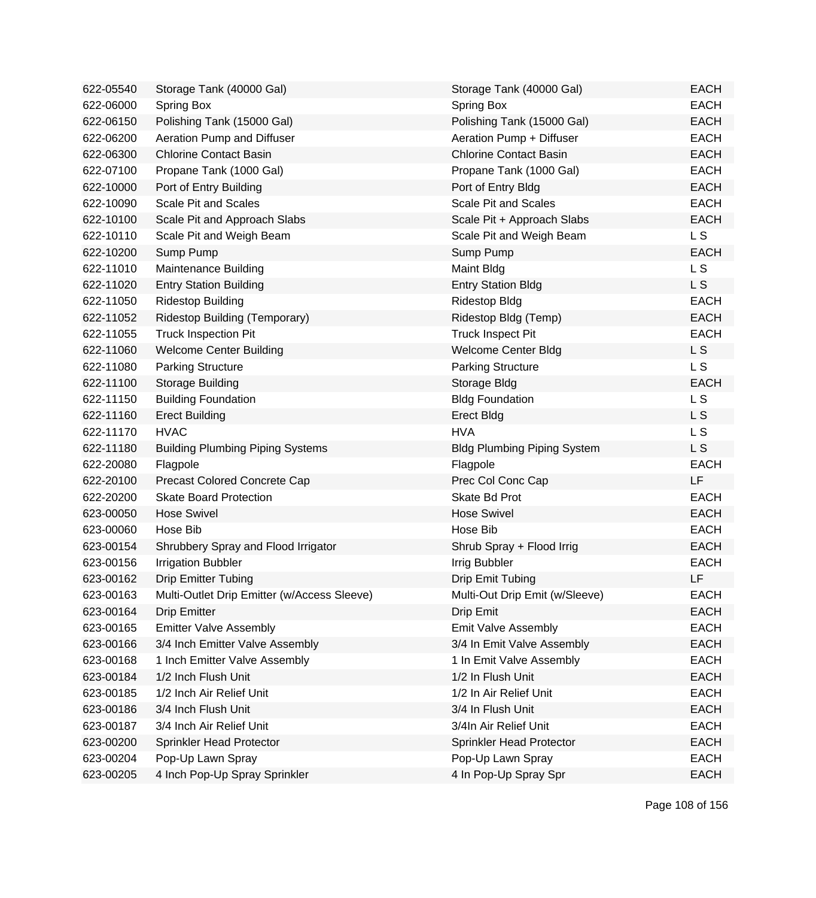| 622-05540 | Storage Tank (40000 Gal)                    | Storage Tank (40000 Gal)           | <b>EACH</b>    |
|-----------|---------------------------------------------|------------------------------------|----------------|
| 622-06000 | Spring Box                                  | Spring Box                         | <b>EACH</b>    |
| 622-06150 | Polishing Tank (15000 Gal)                  | Polishing Tank (15000 Gal)         | <b>EACH</b>    |
| 622-06200 | Aeration Pump and Diffuser                  | Aeration Pump + Diffuser           | <b>EACH</b>    |
| 622-06300 | <b>Chlorine Contact Basin</b>               | <b>Chlorine Contact Basin</b>      | <b>EACH</b>    |
| 622-07100 | Propane Tank (1000 Gal)                     | Propane Tank (1000 Gal)            | <b>EACH</b>    |
| 622-10000 | Port of Entry Building                      | Port of Entry Bldg                 | <b>EACH</b>    |
| 622-10090 | <b>Scale Pit and Scales</b>                 | <b>Scale Pit and Scales</b>        | <b>EACH</b>    |
| 622-10100 | Scale Pit and Approach Slabs                | Scale Pit + Approach Slabs         | <b>EACH</b>    |
| 622-10110 | Scale Pit and Weigh Beam                    | Scale Pit and Weigh Beam           | L S            |
| 622-10200 | Sump Pump                                   | Sump Pump                          | <b>EACH</b>    |
| 622-11010 | <b>Maintenance Building</b>                 | Maint Bldg                         | L S            |
| 622-11020 | <b>Entry Station Building</b>               | <b>Entry Station Bldg</b>          | L S            |
| 622-11050 | <b>Ridestop Building</b>                    | <b>Ridestop Bldg</b>               | <b>EACH</b>    |
| 622-11052 | Ridestop Building (Temporary)               | Ridestop Bldg (Temp)               | <b>EACH</b>    |
| 622-11055 | <b>Truck Inspection Pit</b>                 | <b>Truck Inspect Pit</b>           | <b>EACH</b>    |
| 622-11060 | <b>Welcome Center Building</b>              | <b>Welcome Center Bldg</b>         | L S            |
| 622-11080 | <b>Parking Structure</b>                    | <b>Parking Structure</b>           | <b>LS</b>      |
| 622-11100 | Storage Building                            | Storage Bldg                       | <b>EACH</b>    |
| 622-11150 | <b>Building Foundation</b>                  | <b>Bldg Foundation</b>             | L <sub>S</sub> |
| 622-11160 | <b>Erect Building</b>                       | <b>Erect Bldg</b>                  | L S            |
| 622-11170 | <b>HVAC</b>                                 | <b>HVA</b>                         | L <sub>S</sub> |
| 622-11180 | <b>Building Plumbing Piping Systems</b>     | <b>Bldg Plumbing Piping System</b> | L S            |
| 622-20080 | Flagpole                                    | Flagpole                           | <b>EACH</b>    |
| 622-20100 | Precast Colored Concrete Cap                | Prec Col Conc Cap                  | LF             |
| 622-20200 | <b>Skate Board Protection</b>               | Skate Bd Prot                      | <b>EACH</b>    |
| 623-00050 | <b>Hose Swivel</b>                          | <b>Hose Swivel</b>                 | <b>EACH</b>    |
| 623-00060 | Hose Bib                                    | Hose Bib                           | <b>EACH</b>    |
| 623-00154 | Shrubbery Spray and Flood Irrigator         | Shrub Spray + Flood Irrig          | <b>EACH</b>    |
| 623-00156 | <b>Irrigation Bubbler</b>                   | Irrig Bubbler                      | <b>EACH</b>    |
| 623-00162 | <b>Drip Emitter Tubing</b>                  | Drip Emit Tubing                   | LF             |
| 623-00163 | Multi-Outlet Drip Emitter (w/Access Sleeve) | Multi-Out Drip Emit (w/Sleeve)     | EACH           |
| 623-00164 | <b>Drip Emitter</b>                         | Drip Emit                          | <b>EACH</b>    |
| 623-00165 | <b>Emitter Valve Assembly</b>               | Emit Valve Assembly                | <b>EACH</b>    |
| 623-00166 | 3/4 Inch Emitter Valve Assembly             | 3/4 In Emit Valve Assembly         | <b>EACH</b>    |
| 623-00168 | 1 Inch Emitter Valve Assembly               | 1 In Emit Valve Assembly           | <b>EACH</b>    |
| 623-00184 | 1/2 Inch Flush Unit                         | 1/2 In Flush Unit                  | <b>EACH</b>    |
| 623-00185 | 1/2 Inch Air Relief Unit                    | 1/2 In Air Relief Unit             | <b>EACH</b>    |
| 623-00186 | 3/4 Inch Flush Unit                         | 3/4 In Flush Unit                  | <b>EACH</b>    |
| 623-00187 | 3/4 Inch Air Relief Unit                    | 3/4In Air Relief Unit              | <b>EACH</b>    |
| 623-00200 | Sprinkler Head Protector                    | Sprinkler Head Protector           | <b>EACH</b>    |
| 623-00204 | Pop-Up Lawn Spray                           | Pop-Up Lawn Spray                  | <b>EACH</b>    |
| 623-00205 | 4 Inch Pop-Up Spray Sprinkler               | 4 In Pop-Up Spray Spr              | <b>EACH</b>    |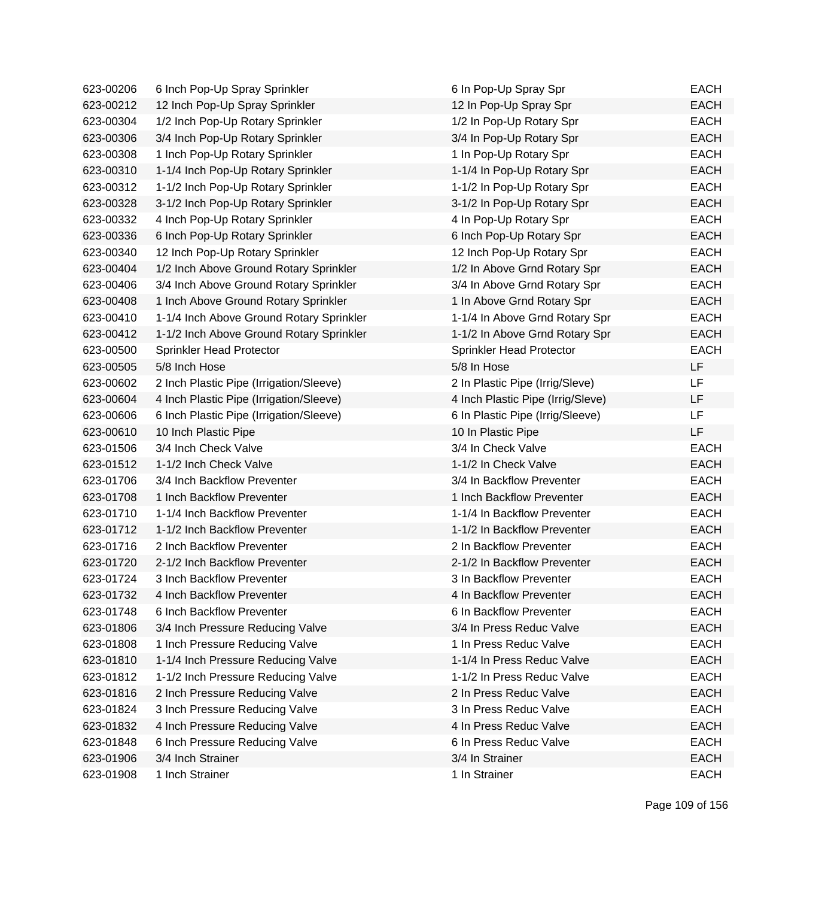| 623-00206 | 6 Inch Pop-Up Spray Sprinkler            | 6 In Pop-Up Spray Spr             | <b>EACH</b> |
|-----------|------------------------------------------|-----------------------------------|-------------|
| 623-00212 | 12 Inch Pop-Up Spray Sprinkler           | 12 In Pop-Up Spray Spr            | <b>EACH</b> |
| 623-00304 | 1/2 Inch Pop-Up Rotary Sprinkler         | 1/2 In Pop-Up Rotary Spr          | <b>EACH</b> |
| 623-00306 | 3/4 Inch Pop-Up Rotary Sprinkler         | 3/4 In Pop-Up Rotary Spr          | <b>EACH</b> |
| 623-00308 | 1 Inch Pop-Up Rotary Sprinkler           | 1 In Pop-Up Rotary Spr            | <b>EACH</b> |
| 623-00310 | 1-1/4 Inch Pop-Up Rotary Sprinkler       | 1-1/4 In Pop-Up Rotary Spr        | <b>EACH</b> |
| 623-00312 | 1-1/2 Inch Pop-Up Rotary Sprinkler       | 1-1/2 In Pop-Up Rotary Spr        | <b>EACH</b> |
| 623-00328 | 3-1/2 Inch Pop-Up Rotary Sprinkler       | 3-1/2 In Pop-Up Rotary Spr        | <b>EACH</b> |
| 623-00332 | 4 Inch Pop-Up Rotary Sprinkler           | 4 In Pop-Up Rotary Spr            | <b>EACH</b> |
| 623-00336 | 6 Inch Pop-Up Rotary Sprinkler           | 6 Inch Pop-Up Rotary Spr          | <b>EACH</b> |
| 623-00340 | 12 Inch Pop-Up Rotary Sprinkler          | 12 Inch Pop-Up Rotary Spr         | <b>EACH</b> |
| 623-00404 | 1/2 Inch Above Ground Rotary Sprinkler   | 1/2 In Above Grnd Rotary Spr      | <b>EACH</b> |
| 623-00406 | 3/4 Inch Above Ground Rotary Sprinkler   | 3/4 In Above Grnd Rotary Spr      | <b>EACH</b> |
| 623-00408 | 1 Inch Above Ground Rotary Sprinkler     | 1 In Above Grnd Rotary Spr        | <b>EACH</b> |
| 623-00410 | 1-1/4 Inch Above Ground Rotary Sprinkler | 1-1/4 In Above Grnd Rotary Spr    | <b>EACH</b> |
| 623-00412 | 1-1/2 Inch Above Ground Rotary Sprinkler | 1-1/2 In Above Grnd Rotary Spr    | <b>EACH</b> |
| 623-00500 | Sprinkler Head Protector                 | Sprinkler Head Protector          | <b>EACH</b> |
| 623-00505 | 5/8 Inch Hose                            | 5/8 In Hose                       | LF          |
| 623-00602 | 2 Inch Plastic Pipe (Irrigation/Sleeve)  | 2 In Plastic Pipe (Irrig/Sleve)   | LF.         |
| 623-00604 | 4 Inch Plastic Pipe (Irrigation/Sleeve)  | 4 Inch Plastic Pipe (Irrig/Sleve) | LF          |
| 623-00606 | 6 Inch Plastic Pipe (Irrigation/Sleeve)  | 6 In Plastic Pipe (Irrig/Sleeve)  | LF          |
| 623-00610 | 10 Inch Plastic Pipe                     | 10 In Plastic Pipe                | LF          |
| 623-01506 | 3/4 Inch Check Valve                     | 3/4 In Check Valve                | <b>EACH</b> |
| 623-01512 | 1-1/2 Inch Check Valve                   | 1-1/2 In Check Valve              | <b>EACH</b> |
| 623-01706 | 3/4 Inch Backflow Preventer              | 3/4 In Backflow Preventer         | <b>EACH</b> |
| 623-01708 | 1 Inch Backflow Preventer                | 1 Inch Backflow Preventer         | <b>EACH</b> |
| 623-01710 | 1-1/4 Inch Backflow Preventer            | 1-1/4 In Backflow Preventer       | <b>EACH</b> |
| 623-01712 | 1-1/2 Inch Backflow Preventer            | 1-1/2 In Backflow Preventer       | <b>EACH</b> |
| 623-01716 | 2 Inch Backflow Preventer                | 2 In Backflow Preventer           | <b>EACH</b> |
| 623-01720 | 2-1/2 Inch Backflow Preventer            | 2-1/2 In Backflow Preventer       | <b>EACH</b> |
| 623-01724 | 3 Inch Backflow Preventer                | 3 In Backflow Preventer           | <b>EACH</b> |
| 623-01732 | 4 Inch Backflow Preventer                | 4 In Backflow Preventer           | EACH        |
| 623-01748 | 6 Inch Backflow Preventer                | 6 In Backflow Preventer           | <b>EACH</b> |
| 623-01806 | 3/4 Inch Pressure Reducing Valve         | 3/4 In Press Reduc Valve          | <b>EACH</b> |
| 623-01808 | 1 Inch Pressure Reducing Valve           | 1 In Press Reduc Valve            | <b>EACH</b> |
| 623-01810 | 1-1/4 Inch Pressure Reducing Valve       | 1-1/4 In Press Reduc Valve        | <b>EACH</b> |
| 623-01812 | 1-1/2 Inch Pressure Reducing Valve       | 1-1/2 In Press Reduc Valve        | <b>EACH</b> |
| 623-01816 | 2 Inch Pressure Reducing Valve           | 2 In Press Reduc Valve            | <b>EACH</b> |
| 623-01824 | 3 Inch Pressure Reducing Valve           | 3 In Press Reduc Valve            | <b>EACH</b> |
| 623-01832 | 4 Inch Pressure Reducing Valve           | 4 In Press Reduc Valve            | <b>EACH</b> |
| 623-01848 | 6 Inch Pressure Reducing Valve           | 6 In Press Reduc Valve            | <b>EACH</b> |
| 623-01906 | 3/4 Inch Strainer                        | 3/4 In Strainer                   | <b>EACH</b> |
| 623-01908 | 1 Inch Strainer                          | 1 In Strainer                     | <b>EACH</b> |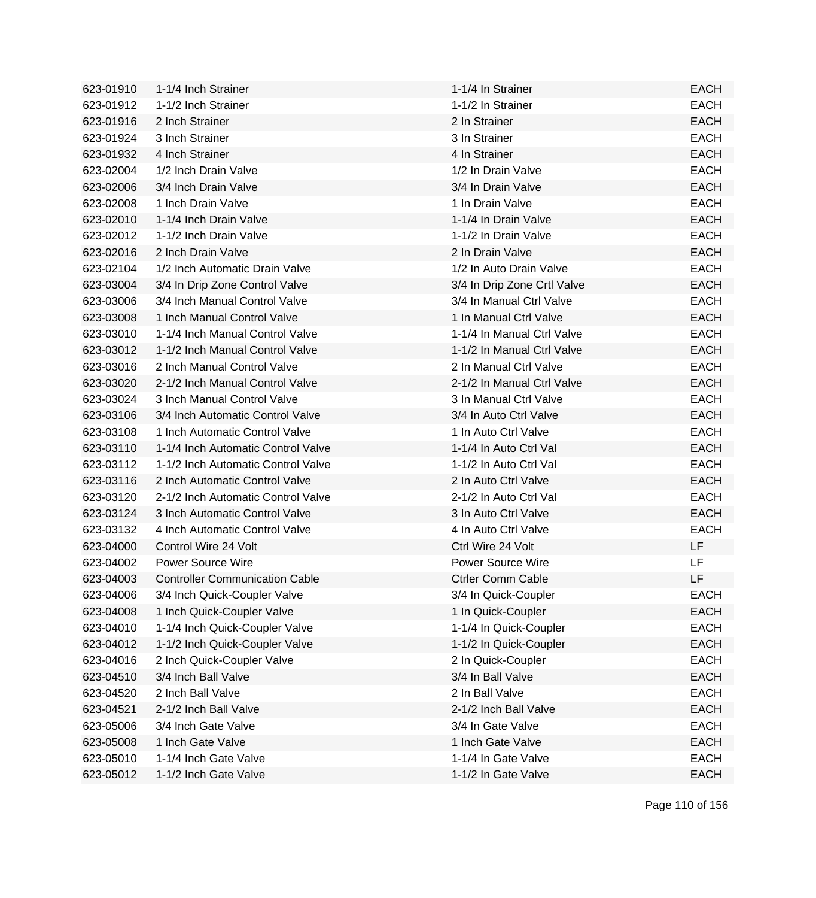| 623-01910 | 1-1/4 Inch Strainer                   | 1-1/4 In Strainer           | <b>EACH</b> |
|-----------|---------------------------------------|-----------------------------|-------------|
| 623-01912 | 1-1/2 Inch Strainer                   | 1-1/2 In Strainer           | <b>EACH</b> |
| 623-01916 | 2 Inch Strainer                       | 2 In Strainer               | <b>EACH</b> |
| 623-01924 | 3 Inch Strainer                       | 3 In Strainer               | <b>EACH</b> |
| 623-01932 | 4 Inch Strainer                       | 4 In Strainer               | <b>EACH</b> |
| 623-02004 | 1/2 Inch Drain Valve                  | 1/2 In Drain Valve          | <b>EACH</b> |
| 623-02006 | 3/4 Inch Drain Valve                  | 3/4 In Drain Valve          | <b>EACH</b> |
| 623-02008 | 1 Inch Drain Valve                    | 1 In Drain Valve            | <b>EACH</b> |
| 623-02010 | 1-1/4 Inch Drain Valve                | 1-1/4 In Drain Valve        | <b>EACH</b> |
| 623-02012 | 1-1/2 Inch Drain Valve                | 1-1/2 In Drain Valve        | <b>EACH</b> |
| 623-02016 | 2 Inch Drain Valve                    | 2 In Drain Valve            | <b>EACH</b> |
| 623-02104 | 1/2 Inch Automatic Drain Valve        | 1/2 In Auto Drain Valve     | <b>EACH</b> |
| 623-03004 | 3/4 In Drip Zone Control Valve        | 3/4 In Drip Zone Crtl Valve | <b>EACH</b> |
| 623-03006 | 3/4 Inch Manual Control Valve         | 3/4 In Manual Ctrl Valve    | <b>EACH</b> |
| 623-03008 | 1 Inch Manual Control Valve           | 1 In Manual Ctrl Valve      | <b>EACH</b> |
| 623-03010 | 1-1/4 Inch Manual Control Valve       | 1-1/4 In Manual Ctrl Valve  | <b>EACH</b> |
| 623-03012 | 1-1/2 Inch Manual Control Valve       | 1-1/2 In Manual Ctrl Valve  | <b>EACH</b> |
| 623-03016 | 2 Inch Manual Control Valve           | 2 In Manual Ctrl Valve      | <b>EACH</b> |
| 623-03020 | 2-1/2 Inch Manual Control Valve       | 2-1/2 In Manual Ctrl Valve  | <b>EACH</b> |
| 623-03024 | 3 Inch Manual Control Valve           | 3 In Manual Ctrl Valve      | <b>EACH</b> |
| 623-03106 | 3/4 Inch Automatic Control Valve      | 3/4 In Auto Ctrl Valve      | <b>EACH</b> |
| 623-03108 | 1 Inch Automatic Control Valve        | 1 In Auto Ctrl Valve        | <b>EACH</b> |
| 623-03110 | 1-1/4 Inch Automatic Control Valve    | 1-1/4 In Auto Ctrl Val      | <b>EACH</b> |
| 623-03112 | 1-1/2 Inch Automatic Control Valve    | 1-1/2 In Auto Ctrl Val      | <b>EACH</b> |
| 623-03116 | 2 Inch Automatic Control Valve        | 2 In Auto Ctrl Valve        | <b>EACH</b> |
| 623-03120 | 2-1/2 Inch Automatic Control Valve    | 2-1/2 In Auto Ctrl Val      | <b>EACH</b> |
| 623-03124 | 3 Inch Automatic Control Valve        | 3 In Auto Ctrl Valve        | <b>EACH</b> |
| 623-03132 | 4 Inch Automatic Control Valve        | 4 In Auto Ctrl Valve        | <b>EACH</b> |
| 623-04000 | Control Wire 24 Volt                  | Ctrl Wire 24 Volt           | LF.         |
| 623-04002 | <b>Power Source Wire</b>              | <b>Power Source Wire</b>    | LF.         |
| 623-04003 | <b>Controller Communication Cable</b> | <b>Ctrler Comm Cable</b>    | LF          |
| 623-04006 | 3/4 Inch Quick-Coupler Valve          | 3/4 In Quick-Coupler        | EACH        |
| 623-04008 | 1 Inch Quick-Coupler Valve            | 1 In Quick-Coupler          | <b>EACH</b> |
| 623-04010 | 1-1/4 Inch Quick-Coupler Valve        | 1-1/4 In Quick-Coupler      | <b>EACH</b> |
| 623-04012 | 1-1/2 Inch Quick-Coupler Valve        | 1-1/2 In Quick-Coupler      | <b>EACH</b> |
| 623-04016 | 2 Inch Quick-Coupler Valve            | 2 In Quick-Coupler          | <b>EACH</b> |
| 623-04510 | 3/4 Inch Ball Valve                   | 3/4 In Ball Valve           | <b>EACH</b> |
| 623-04520 | 2 Inch Ball Valve                     | 2 In Ball Valve             | <b>EACH</b> |
| 623-04521 | 2-1/2 Inch Ball Valve                 | 2-1/2 Inch Ball Valve       | <b>EACH</b> |
| 623-05006 | 3/4 Inch Gate Valve                   | 3/4 In Gate Valve           | <b>EACH</b> |
| 623-05008 | 1 Inch Gate Valve                     | 1 Inch Gate Valve           | <b>EACH</b> |
| 623-05010 | 1-1/4 Inch Gate Valve                 | 1-1/4 In Gate Valve         | <b>EACH</b> |
| 623-05012 | 1-1/2 Inch Gate Valve                 | 1-1/2 In Gate Valve         | <b>EACH</b> |
|           |                                       |                             |             |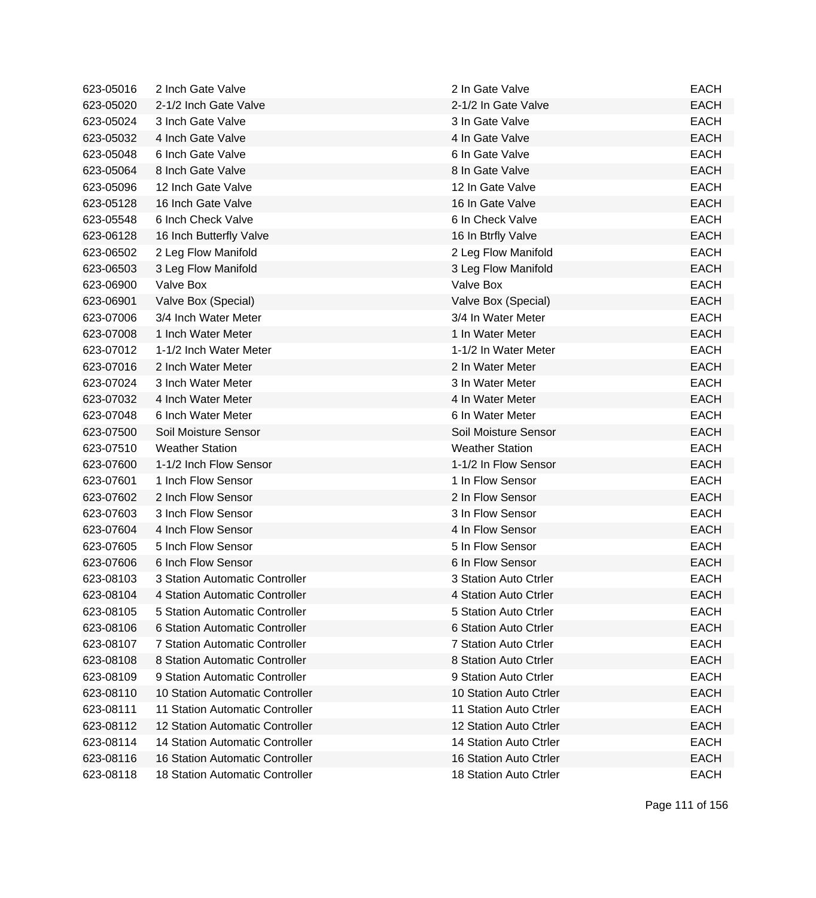| 623-05016 | 2 Inch Gate Valve                      | 2 In Gate Valve        | <b>EACH</b> |
|-----------|----------------------------------------|------------------------|-------------|
| 623-05020 | 2-1/2 Inch Gate Valve                  | 2-1/2 In Gate Valve    | <b>EACH</b> |
| 623-05024 | 3 Inch Gate Valve                      | 3 In Gate Valve        | <b>EACH</b> |
| 623-05032 | 4 Inch Gate Valve                      | 4 In Gate Valve        | <b>EACH</b> |
| 623-05048 | 6 Inch Gate Valve                      | 6 In Gate Valve        | <b>EACH</b> |
| 623-05064 | 8 Inch Gate Valve                      | 8 In Gate Valve        | <b>EACH</b> |
| 623-05096 | 12 Inch Gate Valve                     | 12 In Gate Valve       | <b>EACH</b> |
| 623-05128 | 16 Inch Gate Valve                     | 16 In Gate Valve       | <b>EACH</b> |
| 623-05548 | 6 Inch Check Valve                     | 6 In Check Valve       | <b>EACH</b> |
| 623-06128 | 16 Inch Butterfly Valve                | 16 In Btrfly Valve     | <b>EACH</b> |
| 623-06502 | 2 Leg Flow Manifold                    | 2 Leg Flow Manifold    | <b>EACH</b> |
| 623-06503 | 3 Leg Flow Manifold                    | 3 Leg Flow Manifold    | <b>EACH</b> |
| 623-06900 | Valve Box                              | Valve Box              | <b>EACH</b> |
| 623-06901 | Valve Box (Special)                    | Valve Box (Special)    | <b>EACH</b> |
| 623-07006 | 3/4 Inch Water Meter                   | 3/4 In Water Meter     | <b>EACH</b> |
| 623-07008 | 1 Inch Water Meter                     | 1 In Water Meter       | <b>EACH</b> |
| 623-07012 | 1-1/2 Inch Water Meter                 | 1-1/2 In Water Meter   | <b>EACH</b> |
| 623-07016 | 2 Inch Water Meter                     | 2 In Water Meter       | <b>EACH</b> |
| 623-07024 | 3 Inch Water Meter                     | 3 In Water Meter       | <b>EACH</b> |
| 623-07032 | 4 Inch Water Meter                     | 4 In Water Meter       | <b>EACH</b> |
| 623-07048 | 6 Inch Water Meter                     | 6 In Water Meter       | <b>EACH</b> |
| 623-07500 | Soil Moisture Sensor                   | Soil Moisture Sensor   | <b>EACH</b> |
| 623-07510 | <b>Weather Station</b>                 | <b>Weather Station</b> | <b>EACH</b> |
| 623-07600 | 1-1/2 Inch Flow Sensor                 | 1-1/2 In Flow Sensor   | <b>EACH</b> |
| 623-07601 | 1 Inch Flow Sensor                     | 1 In Flow Sensor       | <b>EACH</b> |
| 623-07602 | 2 Inch Flow Sensor                     | 2 In Flow Sensor       | <b>EACH</b> |
| 623-07603 | 3 Inch Flow Sensor                     | 3 In Flow Sensor       | <b>EACH</b> |
| 623-07604 | 4 Inch Flow Sensor                     | 4 In Flow Sensor       | <b>EACH</b> |
| 623-07605 | 5 Inch Flow Sensor                     | 5 In Flow Sensor       | <b>EACH</b> |
| 623-07606 | 6 Inch Flow Sensor                     | 6 In Flow Sensor       | <b>EACH</b> |
| 623-08103 | 3 Station Automatic Controller         | 3 Station Auto Ctrler  | <b>EACH</b> |
| 623-08104 | 4 Station Automatic Controller         | 4 Station Auto Ctrler  | EACH        |
| 623-08105 | 5 Station Automatic Controller         | 5 Station Auto Ctrler  | <b>EACH</b> |
| 623-08106 | 6 Station Automatic Controller         | 6 Station Auto Ctrler  | <b>EACH</b> |
| 623-08107 | 7 Station Automatic Controller         | 7 Station Auto Ctrler  | <b>EACH</b> |
| 623-08108 | 8 Station Automatic Controller         | 8 Station Auto Ctrler  | <b>EACH</b> |
| 623-08109 | 9 Station Automatic Controller         | 9 Station Auto Ctrler  | <b>EACH</b> |
| 623-08110 | 10 Station Automatic Controller        | 10 Station Auto Ctrler | <b>EACH</b> |
| 623-08111 | 11 Station Automatic Controller        | 11 Station Auto Ctrler | <b>EACH</b> |
| 623-08112 | 12 Station Automatic Controller        | 12 Station Auto Ctrler | <b>EACH</b> |
| 623-08114 | 14 Station Automatic Controller        | 14 Station Auto Ctrler | <b>EACH</b> |
| 623-08116 | <b>16 Station Automatic Controller</b> | 16 Station Auto Ctrler | <b>EACH</b> |
| 623-08118 | 18 Station Automatic Controller        | 18 Station Auto Ctrler | <b>EACH</b> |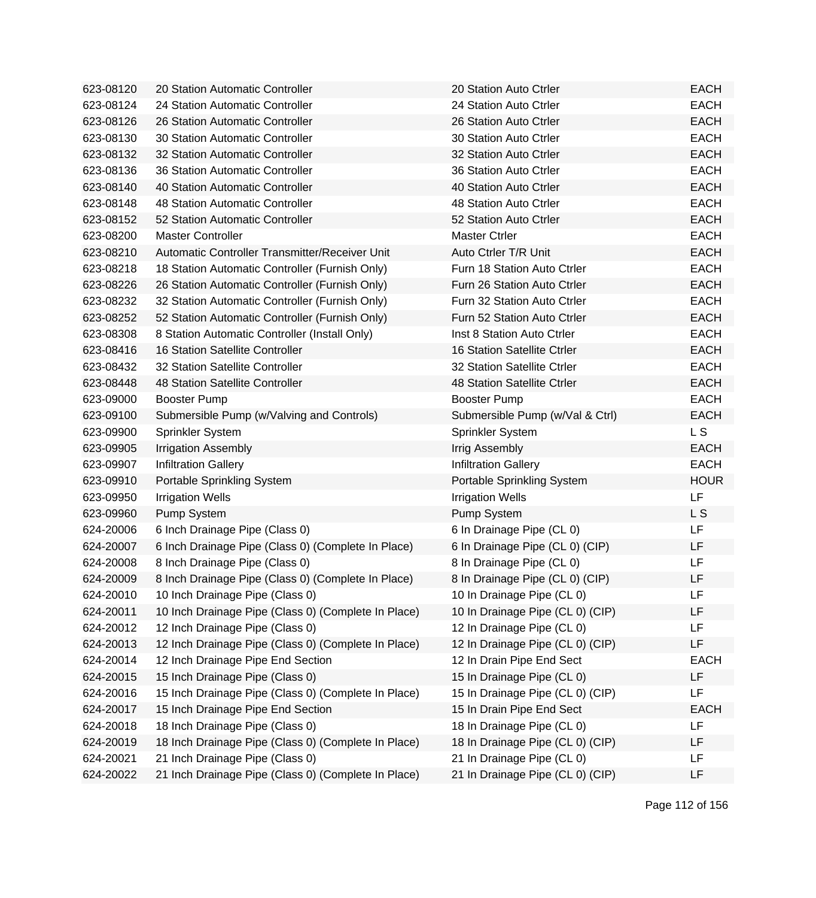| 623-08120 | 20 Station Automatic Controller                     | 20 Station Auto Ctrler             | <b>EACH</b>    |
|-----------|-----------------------------------------------------|------------------------------------|----------------|
| 623-08124 | 24 Station Automatic Controller                     | 24 Station Auto Ctrler             | <b>EACH</b>    |
| 623-08126 | 26 Station Automatic Controller                     | 26 Station Auto Ctrler             | <b>EACH</b>    |
| 623-08130 | 30 Station Automatic Controller                     | 30 Station Auto Ctrler             | <b>EACH</b>    |
| 623-08132 | 32 Station Automatic Controller                     | 32 Station Auto Ctrler             | <b>EACH</b>    |
| 623-08136 | 36 Station Automatic Controller                     | 36 Station Auto Ctrler             | <b>EACH</b>    |
| 623-08140 | 40 Station Automatic Controller                     | 40 Station Auto Ctrler             | <b>EACH</b>    |
| 623-08148 | 48 Station Automatic Controller                     | 48 Station Auto Ctrler             | <b>EACH</b>    |
| 623-08152 | 52 Station Automatic Controller                     | 52 Station Auto Ctrler             | <b>EACH</b>    |
| 623-08200 | <b>Master Controller</b>                            | <b>Master Ctrler</b>               | <b>EACH</b>    |
| 623-08210 | Automatic Controller Transmitter/Receiver Unit      | Auto Ctrler T/R Unit               | <b>EACH</b>    |
| 623-08218 | 18 Station Automatic Controller (Furnish Only)      | Furn 18 Station Auto Ctrler        | <b>EACH</b>    |
| 623-08226 | 26 Station Automatic Controller (Furnish Only)      | Furn 26 Station Auto Ctrler        | <b>EACH</b>    |
| 623-08232 | 32 Station Automatic Controller (Furnish Only)      | Furn 32 Station Auto Ctrler        | <b>EACH</b>    |
| 623-08252 | 52 Station Automatic Controller (Furnish Only)      | Furn 52 Station Auto Ctrler        | <b>EACH</b>    |
| 623-08308 | 8 Station Automatic Controller (Install Only)       | <b>Inst 8 Station Auto Ctrler</b>  | <b>EACH</b>    |
| 623-08416 | 16 Station Satellite Controller                     | <b>16 Station Satellite Ctrler</b> | <b>EACH</b>    |
| 623-08432 | 32 Station Satellite Controller                     | 32 Station Satellite Ctrler        | <b>EACH</b>    |
| 623-08448 | 48 Station Satellite Controller                     | 48 Station Satellite Ctrler        | <b>EACH</b>    |
| 623-09000 | Booster Pump                                        | <b>Booster Pump</b>                | <b>EACH</b>    |
| 623-09100 | Submersible Pump (w/Valving and Controls)           | Submersible Pump (w/Val & Ctrl)    | <b>EACH</b>    |
| 623-09900 | Sprinkler System                                    | Sprinkler System                   | L <sub>S</sub> |
| 623-09905 | <b>Irrigation Assembly</b>                          | Irrig Assembly                     | <b>EACH</b>    |
| 623-09907 | <b>Infiltration Gallery</b>                         | <b>Infiltration Gallery</b>        | <b>EACH</b>    |
| 623-09910 | Portable Sprinkling System                          | Portable Sprinkling System         | <b>HOUR</b>    |
| 623-09950 | <b>Irrigation Wells</b>                             | <b>Irrigation Wells</b>            | LF             |
| 623-09960 | Pump System                                         | Pump System                        | L S            |
| 624-20006 | 6 Inch Drainage Pipe (Class 0)                      | 6 In Drainage Pipe (CL 0)          | LF             |
| 624-20007 | 6 Inch Drainage Pipe (Class 0) (Complete In Place)  | 6 In Drainage Pipe (CL 0) (CIP)    | LF             |
| 624-20008 | 8 Inch Drainage Pipe (Class 0)                      | 8 In Drainage Pipe (CL 0)          | LF             |
| 624-20009 | 8 Inch Drainage Pipe (Class 0) (Complete In Place)  | 8 In Drainage Pipe (CL 0) (CIP)    | LF             |
| 624-20010 | 10 Inch Drainage Pipe (Class 0)                     | 10 In Drainage Pipe (CL 0)         | LF             |
| 624-20011 | 10 Inch Drainage Pipe (Class 0) (Complete In Place) | 10 In Drainage Pipe (CL 0) (CIP)   | LF             |
| 624-20012 | 12 Inch Drainage Pipe (Class 0)                     | 12 In Drainage Pipe (CL 0)         | LF             |
| 624-20013 | 12 Inch Drainage Pipe (Class 0) (Complete In Place) | 12 In Drainage Pipe (CL 0) (CIP)   | LF             |
| 624-20014 | 12 Inch Drainage Pipe End Section                   | 12 In Drain Pipe End Sect          | <b>EACH</b>    |
| 624-20015 | 15 Inch Drainage Pipe (Class 0)                     | 15 In Drainage Pipe (CL 0)         | LF             |
| 624-20016 | 15 Inch Drainage Pipe (Class 0) (Complete In Place) | 15 In Drainage Pipe (CL 0) (CIP)   | LF             |
| 624-20017 | 15 Inch Drainage Pipe End Section                   | 15 In Drain Pipe End Sect          | <b>EACH</b>    |
| 624-20018 | 18 Inch Drainage Pipe (Class 0)                     | 18 In Drainage Pipe (CL 0)         | LF             |
| 624-20019 | 18 Inch Drainage Pipe (Class 0) (Complete In Place) | 18 In Drainage Pipe (CL 0) (CIP)   | LF             |
| 624-20021 | 21 Inch Drainage Pipe (Class 0)                     | 21 In Drainage Pipe (CL 0)         | LF             |
| 624-20022 | 21 Inch Drainage Pipe (Class 0) (Complete In Place) | 21 In Drainage Pipe (CL 0) (CIP)   | LF             |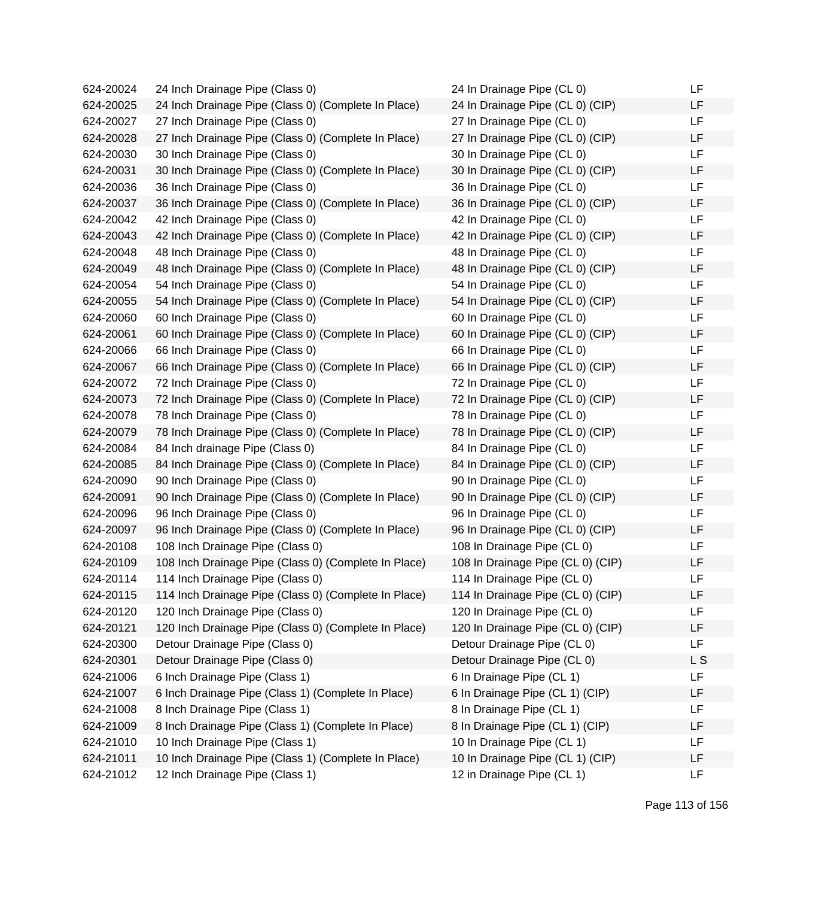| 624-20024 | 24 Inch Drainage Pipe (Class 0)                      | 24 In Drainage Pipe (CL 0)        | LF.            |
|-----------|------------------------------------------------------|-----------------------------------|----------------|
| 624-20025 | 24 Inch Drainage Pipe (Class 0) (Complete In Place)  | 24 In Drainage Pipe (CL 0) (CIP)  | LF.            |
| 624-20027 | 27 Inch Drainage Pipe (Class 0)                      | 27 In Drainage Pipe (CL 0)        | LF             |
| 624-20028 | 27 Inch Drainage Pipe (Class 0) (Complete In Place)  | 27 In Drainage Pipe (CL 0) (CIP)  | LF             |
| 624-20030 | 30 Inch Drainage Pipe (Class 0)                      | 30 In Drainage Pipe (CL 0)        | <b>LF</b>      |
| 624-20031 | 30 Inch Drainage Pipe (Class 0) (Complete In Place)  | 30 In Drainage Pipe (CL 0) (CIP)  | LF             |
| 624-20036 | 36 Inch Drainage Pipe (Class 0)                      | 36 In Drainage Pipe (CL 0)        | LF.            |
| 624-20037 | 36 Inch Drainage Pipe (Class 0) (Complete In Place)  | 36 In Drainage Pipe (CL 0) (CIP)  | LF             |
| 624-20042 | 42 Inch Drainage Pipe (Class 0)                      | 42 In Drainage Pipe (CL 0)        | LF             |
| 624-20043 | 42 Inch Drainage Pipe (Class 0) (Complete In Place)  | 42 In Drainage Pipe (CL 0) (CIP)  | LF             |
| 624-20048 | 48 Inch Drainage Pipe (Class 0)                      | 48 In Drainage Pipe (CL 0)        | LF             |
| 624-20049 | 48 Inch Drainage Pipe (Class 0) (Complete In Place)  | 48 In Drainage Pipe (CL 0) (CIP)  | LF             |
| 624-20054 | 54 Inch Drainage Pipe (Class 0)                      | 54 In Drainage Pipe (CL 0)        | LF             |
| 624-20055 | 54 Inch Drainage Pipe (Class 0) (Complete In Place)  | 54 In Drainage Pipe (CL 0) (CIP)  | LF             |
| 624-20060 | 60 Inch Drainage Pipe (Class 0)                      | 60 In Drainage Pipe (CL 0)        | LF             |
| 624-20061 | 60 Inch Drainage Pipe (Class 0) (Complete In Place)  | 60 In Drainage Pipe (CL 0) (CIP)  | LF             |
| 624-20066 | 66 Inch Drainage Pipe (Class 0)                      | 66 In Drainage Pipe (CL 0)        | LF.            |
| 624-20067 | 66 Inch Drainage Pipe (Class 0) (Complete In Place)  | 66 In Drainage Pipe (CL 0) (CIP)  | LF             |
| 624-20072 | 72 Inch Drainage Pipe (Class 0)                      | 72 In Drainage Pipe (CL 0)        | LF             |
| 624-20073 | 72 Inch Drainage Pipe (Class 0) (Complete In Place)  | 72 In Drainage Pipe (CL 0) (CIP)  | LF             |
| 624-20078 | 78 Inch Drainage Pipe (Class 0)                      | 78 In Drainage Pipe (CL 0)        | LF             |
| 624-20079 | 78 Inch Drainage Pipe (Class 0) (Complete In Place)  | 78 In Drainage Pipe (CL 0) (CIP)  | LF             |
| 624-20084 | 84 Inch drainage Pipe (Class 0)                      | 84 In Drainage Pipe (CL 0)        | LF             |
| 624-20085 | 84 Inch Drainage Pipe (Class 0) (Complete In Place)  | 84 In Drainage Pipe (CL 0) (CIP)  | LF             |
| 624-20090 | 90 Inch Drainage Pipe (Class 0)                      | 90 In Drainage Pipe (CL 0)        | LF             |
| 624-20091 | 90 Inch Drainage Pipe (Class 0) (Complete In Place)  | 90 In Drainage Pipe (CL 0) (CIP)  | LF             |
| 624-20096 | 96 Inch Drainage Pipe (Class 0)                      | 96 In Drainage Pipe (CL 0)        | LF.            |
| 624-20097 | 96 Inch Drainage Pipe (Class 0) (Complete In Place)  | 96 In Drainage Pipe (CL 0) (CIP)  | LF             |
| 624-20108 | 108 Inch Drainage Pipe (Class 0)                     | 108 In Drainage Pipe (CL 0)       | LF             |
| 624-20109 | 108 Inch Drainage Pipe (Class 0) (Complete In Place) | 108 In Drainage Pipe (CL 0) (CIP) | LF             |
| 624-20114 | 114 Inch Drainage Pipe (Class 0)                     | 114 In Drainage Pipe (CL 0)       | LF             |
| 624-20115 | 114 Inch Drainage Pipe (Class 0) (Complete In Place) | 114 In Drainage Pipe (CL 0) (CIP) | LF             |
| 624-20120 | 120 Inch Drainage Pipe (Class 0)                     | 120 In Drainage Pipe (CL 0)       | LF             |
| 624-20121 | 120 Inch Drainage Pipe (Class 0) (Complete In Place) | 120 In Drainage Pipe (CL 0) (CIP) | LF             |
| 624-20300 | Detour Drainage Pipe (Class 0)                       | Detour Drainage Pipe (CL 0)       | LF             |
| 624-20301 | Detour Drainage Pipe (Class 0)                       | Detour Drainage Pipe (CL 0)       | L <sub>S</sub> |
| 624-21006 | 6 Inch Drainage Pipe (Class 1)                       | 6 In Drainage Pipe (CL 1)         | LF             |
| 624-21007 | 6 Inch Drainage Pipe (Class 1) (Complete In Place)   | 6 In Drainage Pipe (CL 1) (CIP)   | LF             |
| 624-21008 | 8 Inch Drainage Pipe (Class 1)                       | 8 In Drainage Pipe (CL 1)         | LF             |
| 624-21009 | 8 Inch Drainage Pipe (Class 1) (Complete In Place)   | 8 In Drainage Pipe (CL 1) (CIP)   | LF             |
| 624-21010 | 10 Inch Drainage Pipe (Class 1)                      | 10 In Drainage Pipe (CL 1)        | LF             |
| 624-21011 | 10 Inch Drainage Pipe (Class 1) (Complete In Place)  | 10 In Drainage Pipe (CL 1) (CIP)  | LF             |
| 624-21012 | 12 Inch Drainage Pipe (Class 1)                      | 12 in Drainage Pipe (CL 1)        | LF             |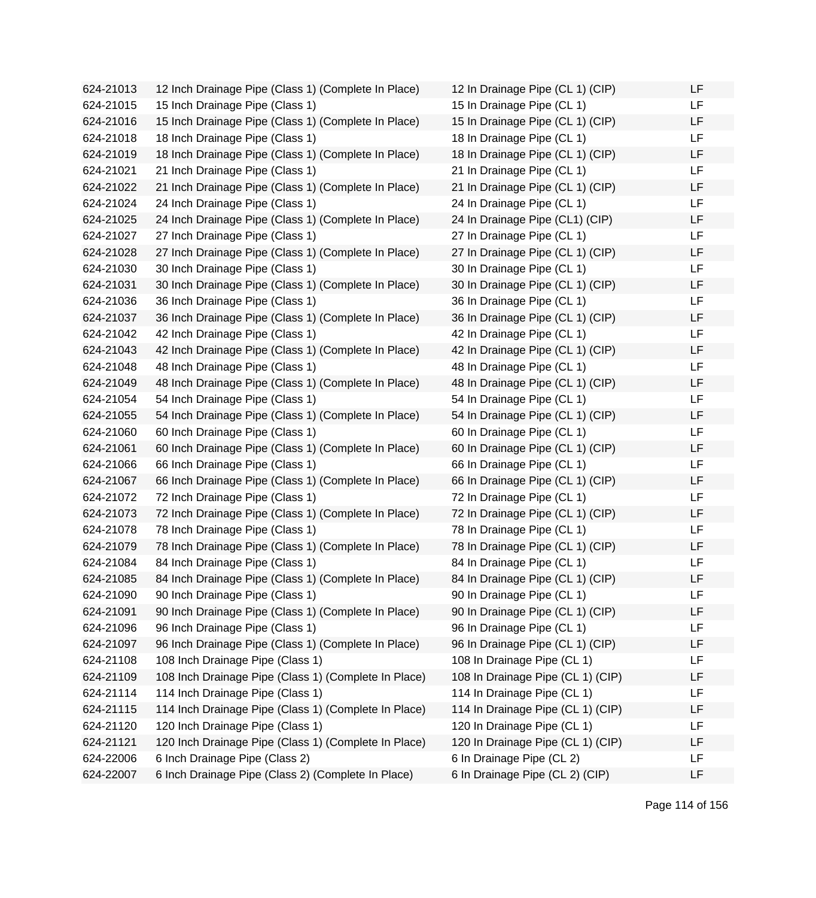624-21013 12 Inch Drainage Pipe (Class 1) (Complete In Place) 624-21015 15 Inch Drainage Pipe (Class 1) 624-21016 15 Inch Drainage Pipe (Class 1) (Complete In Place) 624-21018 18 Inch Drainage Pipe (Class 1) 624-21019 18 Inch Drainage Pipe (Class 1) (Complete In Place) 624-21021 21 Inch Drainage Pipe (Class 1) 624-21022 21 Inch Drainage Pipe (Class 1) (Complete In Place) 624-21024 24 Inch Drainage Pipe (Class 1) 624-21025 24 Inch Drainage Pipe (Class 1) (Complete In Place) 624-21027 27 Inch Drainage Pipe (Class 1) 624-21028 27 Inch Drainage Pipe (Class 1) (Complete In Place) 624-21030 30 Inch Drainage Pipe (Class 1) 624-21031 30 Inch Drainage Pipe (Class 1) (Complete In Place) 624-21036 36 Inch Drainage Pipe (Class 1) 624-21037 36 Inch Drainage Pipe (Class 1) (Complete In Place) 624-21042 42 Inch Drainage Pipe (Class 1) 624-21043 42 Inch Drainage Pipe (Class 1) (Complete In Place) 624-21048 48 Inch Drainage Pipe (Class 1) 624-21049 48 Inch Drainage Pipe (Class 1) (Complete In Place) 624-21054 54 Inch Drainage Pipe (Class 1) 624-21055 54 Inch Drainage Pipe (Class 1) (Complete In Place) 624-21060 60 Inch Drainage Pipe (Class 1) 624-21061 60 Inch Drainage Pipe (Class 1) (Complete In Place) 624-21066 66 Inch Drainage Pipe (Class 1) 624-21067 66 Inch Drainage Pipe (Class 1) (Complete In Place) 624-21072 72 Inch Drainage Pipe (Class 1) 624-21073 72 Inch Drainage Pipe (Class 1) (Complete In Place) 624-21078 78 Inch Drainage Pipe (Class 1) 624-21079 78 Inch Drainage Pipe (Class 1) (Complete In Place) 624-21084 84 Inch Drainage Pipe (Class 1) 624-21085 84 Inch Drainage Pipe (Class 1) (Complete In Place) 624-21090 90 Inch Drainage Pipe (Class 1) 624-21091 90 Inch Drainage Pipe (Class 1) (Complete In Place) 624-21096 96 Inch Drainage Pipe (Class 1) 624-21097 96 Inch Drainage Pipe (Class 1) (Complete In Place) 624-21108 108 Inch Drainage Pipe (Class 1) 624-21109 108 Inch Drainage Pipe (Class 1) (Complete In Place) 624-21114 114 Inch Drainage Pipe (Class 1) 624-21115 114 Inch Drainage Pipe (Class 1) (Complete In Place) 624-21120 120 Inch Drainage Pipe (Class 1) 624-21121 120 Inch Drainage Pipe (Class 1) (Complete In Place) 624-22006 6 Inch Drainage Pipe (Class 2) 624-22007 6 Inch Drainage Pipe (Class 2) (Complete In Place)

| 12 In Drainage Pipe (CL 1) (CIP)  | LF |
|-----------------------------------|----|
| 15 In Drainage Pipe (CL 1)        | LF |
| 15 In Drainage Pipe (CL 1) (CIP)  | LF |
| 18 In Drainage Pipe (CL 1)        | LF |
| 18 In Drainage Pipe (CL 1) (CIP)  | LF |
| 21 In Drainage Pipe (CL 1)        | LF |
| 21 In Drainage Pipe (CL 1) (CIP)  | LF |
| 24 In Drainage Pipe (CL 1)        | LF |
| 24 In Drainage Pipe (CL1) (CIP)   | LF |
| 27 In Drainage Pipe (CL 1)        | LF |
| 27 In Drainage Pipe (CL 1) (CIP)  | LF |
| 30 In Drainage Pipe (CL 1)        | LF |
| 30 In Drainage Pipe (CL 1) (CIP)  | LF |
| 36 In Drainage Pipe (CL 1)        | LF |
| 36 In Drainage Pipe (CL 1) (CIP)  | LF |
| 42 In Drainage Pipe (CL 1)        | LF |
| 42 In Drainage Pipe (CL 1) (CIP)  | LF |
| 48 In Drainage Pipe (CL 1)        | LF |
| 48 In Drainage Pipe (CL 1) (CIP)  | LF |
| 54 In Drainage Pipe (CL 1)        | LF |
| 54 In Drainage Pipe (CL 1) (CIP)  | LF |
| 60 In Drainage Pipe (CL 1)        | LF |
| 60 In Drainage Pipe (CL 1) (CIP)  | LF |
| 66 In Drainage Pipe (CL 1)        | LF |
| 66 In Drainage Pipe (CL 1) (CIP)  | LF |
| 72 In Drainage Pipe (CL 1)        | LF |
| 72 In Drainage Pipe (CL 1) (CIP)  | LF |
| 78 In Drainage Pipe (CL 1)        | LF |
| 78 In Drainage Pipe (CL 1) (CIP)  | LF |
| 84 In Drainage Pipe (CL 1)        | LF |
| 84 In Drainage Pipe (CL 1) (CIP)  | LF |
| 90 In Drainage Pipe (CL 1)        | ᄔ  |
| 90 In Drainage Pipe (CL 1) (CIP)  | LF |
| 96 In Drainage Pipe (CL 1)        | LF |
| 96 In Drainage Pipe (CL 1) (CIP)  | LF |
| 108 In Drainage Pipe (CL 1)       | LF |
| 108 In Drainage Pipe (CL 1) (CIP) | LF |
| 114 In Drainage Pipe (CL 1)       | LF |
| 114 In Drainage Pipe (CL 1) (CIP) | LF |
| 120 In Drainage Pipe (CL 1)       | LF |
| 120 In Drainage Pipe (CL 1) (CIP) | LF |
| 6 In Drainage Pipe (CL 2)         | LF |
| 6 In Drainage Pipe (CL 2) (CIP)   | LF |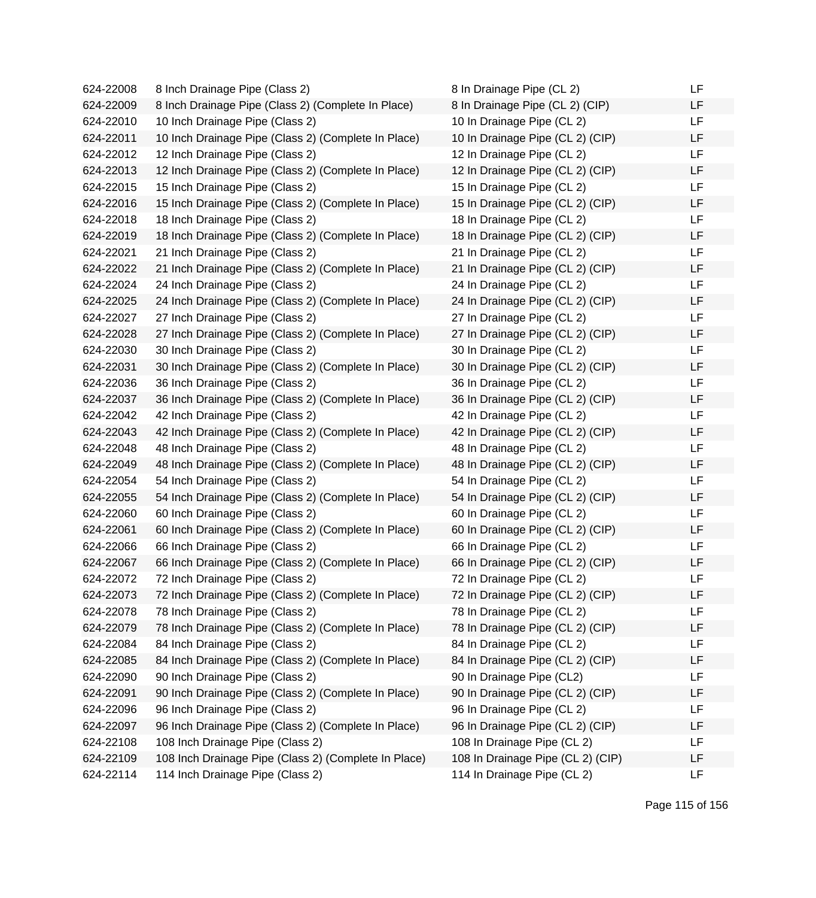| 624-22008 | 8 Inch Drainage Pipe (Class 2)                       | 8 In Drainage Pipe (CL 2)         | LF |
|-----------|------------------------------------------------------|-----------------------------------|----|
| 624-22009 | 8 Inch Drainage Pipe (Class 2) (Complete In Place)   | 8 In Drainage Pipe (CL 2) (CIP)   | LF |
| 624-22010 | 10 Inch Drainage Pipe (Class 2)                      | 10 In Drainage Pipe (CL 2)        | LF |
| 624-22011 | 10 Inch Drainage Pipe (Class 2) (Complete In Place)  | 10 In Drainage Pipe (CL 2) (CIP)  | LF |
| 624-22012 | 12 Inch Drainage Pipe (Class 2)                      | 12 In Drainage Pipe (CL 2)        | LF |
| 624-22013 | 12 Inch Drainage Pipe (Class 2) (Complete In Place)  | 12 In Drainage Pipe (CL 2) (CIP)  | LF |
| 624-22015 | 15 Inch Drainage Pipe (Class 2)                      | 15 In Drainage Pipe (CL 2)        | LF |
| 624-22016 | 15 Inch Drainage Pipe (Class 2) (Complete In Place)  | 15 In Drainage Pipe (CL 2) (CIP)  | LF |
| 624-22018 | 18 Inch Drainage Pipe (Class 2)                      | 18 In Drainage Pipe (CL 2)        | LF |
| 624-22019 | 18 Inch Drainage Pipe (Class 2) (Complete In Place)  | 18 In Drainage Pipe (CL 2) (CIP)  | LF |
| 624-22021 | 21 Inch Drainage Pipe (Class 2)                      | 21 In Drainage Pipe (CL 2)        | LF |
| 624-22022 | 21 Inch Drainage Pipe (Class 2) (Complete In Place)  | 21 In Drainage Pipe (CL 2) (CIP)  | LF |
| 624-22024 | 24 Inch Drainage Pipe (Class 2)                      | 24 In Drainage Pipe (CL 2)        | LF |
| 624-22025 | 24 Inch Drainage Pipe (Class 2) (Complete In Place)  | 24 In Drainage Pipe (CL 2) (CIP)  | LF |
| 624-22027 | 27 Inch Drainage Pipe (Class 2)                      | 27 In Drainage Pipe (CL 2)        | LF |
| 624-22028 | 27 Inch Drainage Pipe (Class 2) (Complete In Place)  | 27 In Drainage Pipe (CL 2) (CIP)  | LF |
| 624-22030 | 30 Inch Drainage Pipe (Class 2)                      | 30 In Drainage Pipe (CL 2)        | LF |
| 624-22031 | 30 Inch Drainage Pipe (Class 2) (Complete In Place)  | 30 In Drainage Pipe (CL 2) (CIP)  | LF |
| 624-22036 | 36 Inch Drainage Pipe (Class 2)                      | 36 In Drainage Pipe (CL 2)        | LF |
| 624-22037 | 36 Inch Drainage Pipe (Class 2) (Complete In Place)  | 36 In Drainage Pipe (CL 2) (CIP)  | LF |
| 624-22042 | 42 Inch Drainage Pipe (Class 2)                      | 42 In Drainage Pipe (CL 2)        | LF |
| 624-22043 | 42 Inch Drainage Pipe (Class 2) (Complete In Place)  | 42 In Drainage Pipe (CL 2) (CIP)  | LF |
| 624-22048 | 48 Inch Drainage Pipe (Class 2)                      | 48 In Drainage Pipe (CL 2)        | LF |
| 624-22049 | 48 Inch Drainage Pipe (Class 2) (Complete In Place)  | 48 In Drainage Pipe (CL 2) (CIP)  | LF |
| 624-22054 | 54 Inch Drainage Pipe (Class 2)                      | 54 In Drainage Pipe (CL 2)        | LF |
| 624-22055 | 54 Inch Drainage Pipe (Class 2) (Complete In Place)  | 54 In Drainage Pipe (CL 2) (CIP)  | LF |
| 624-22060 | 60 Inch Drainage Pipe (Class 2)                      | 60 In Drainage Pipe (CL 2)        | LF |
| 624-22061 | 60 Inch Drainage Pipe (Class 2) (Complete In Place)  | 60 In Drainage Pipe (CL 2) (CIP)  | LF |
| 624-22066 | 66 Inch Drainage Pipe (Class 2)                      | 66 In Drainage Pipe (CL 2)        | LF |
| 624-22067 | 66 Inch Drainage Pipe (Class 2) (Complete In Place)  | 66 In Drainage Pipe (CL 2) (CIP)  | LF |
| 624-22072 | 72 Inch Drainage Pipe (Class 2)                      | 72 In Drainage Pipe (CL 2)        | LF |
| 624-22073 | 72 Inch Drainage Pipe (Class 2) (Complete In Place)  | 72 In Drainage Pipe (CL 2) (CIP)  | LF |
| 624-22078 | 78 Inch Drainage Pipe (Class 2)                      | 78 In Drainage Pipe (CL 2)        | LF |
| 624-22079 | 78 Inch Drainage Pipe (Class 2) (Complete In Place)  | 78 In Drainage Pipe (CL 2) (CIP)  | LF |
| 624-22084 | 84 Inch Drainage Pipe (Class 2)                      | 84 In Drainage Pipe (CL 2)        | LF |
| 624-22085 | 84 Inch Drainage Pipe (Class 2) (Complete In Place)  | 84 In Drainage Pipe (CL 2) (CIP)  | LF |
| 624-22090 | 90 Inch Drainage Pipe (Class 2)                      | 90 In Drainage Pipe (CL2)         | LF |
| 624-22091 | 90 Inch Drainage Pipe (Class 2) (Complete In Place)  | 90 In Drainage Pipe (CL 2) (CIP)  | LF |
| 624-22096 | 96 Inch Drainage Pipe (Class 2)                      | 96 In Drainage Pipe (CL 2)        | LF |
| 624-22097 | 96 Inch Drainage Pipe (Class 2) (Complete In Place)  | 96 In Drainage Pipe (CL 2) (CIP)  | LF |
| 624-22108 | 108 Inch Drainage Pipe (Class 2)                     | 108 In Drainage Pipe (CL 2)       | LF |
| 624-22109 | 108 Inch Drainage Pipe (Class 2) (Complete In Place) | 108 In Drainage Pipe (CL 2) (CIP) | LF |
| 624-22114 | 114 Inch Drainage Pipe (Class 2)                     | 114 In Drainage Pipe (CL 2)       | LF |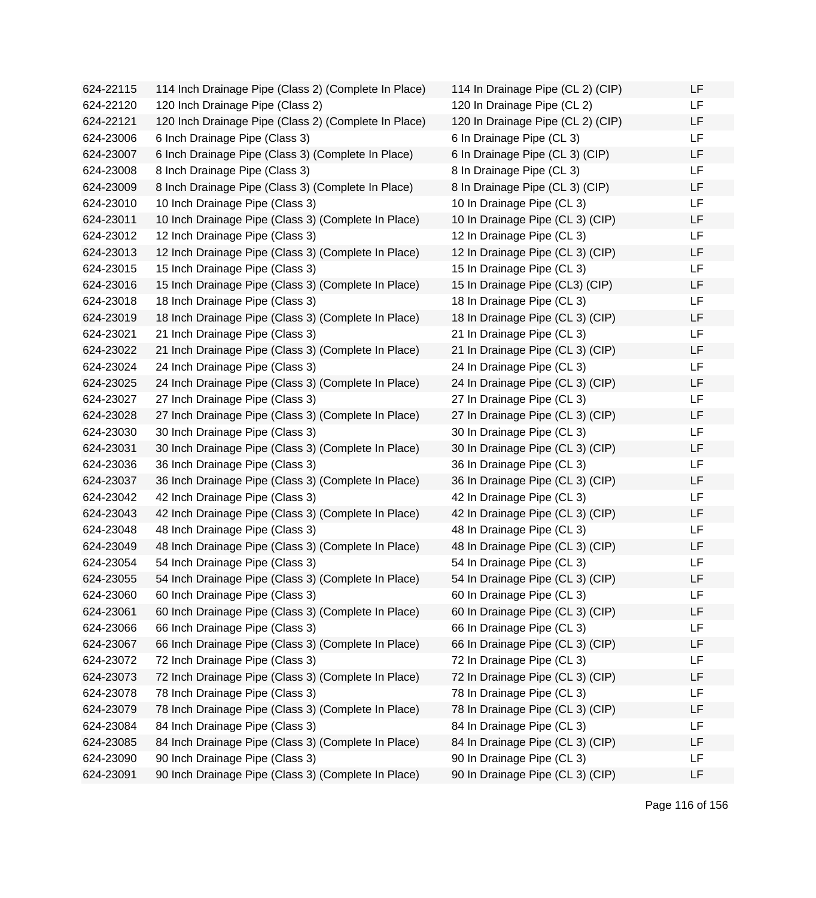| 624-22115 | 114 Inch Drainage Pipe (Class 2) (Complete In Place) | 114 In Drainage Pipe (CL 2) (CIP) | LF |
|-----------|------------------------------------------------------|-----------------------------------|----|
| 624-22120 | 120 Inch Drainage Pipe (Class 2)                     | 120 In Drainage Pipe (CL 2)       | LF |
| 624-22121 | 120 Inch Drainage Pipe (Class 2) (Complete In Place) | 120 In Drainage Pipe (CL 2) (CIP) | LF |
| 624-23006 | 6 Inch Drainage Pipe (Class 3)                       | 6 In Drainage Pipe (CL 3)         | LF |
| 624-23007 | 6 Inch Drainage Pipe (Class 3) (Complete In Place)   | 6 In Drainage Pipe (CL 3) (CIP)   | LF |
| 624-23008 | 8 Inch Drainage Pipe (Class 3)                       | 8 In Drainage Pipe (CL 3)         | LF |
| 624-23009 | 8 Inch Drainage Pipe (Class 3) (Complete In Place)   | 8 In Drainage Pipe (CL 3) (CIP)   | LF |
| 624-23010 | 10 Inch Drainage Pipe (Class 3)                      | 10 In Drainage Pipe (CL 3)        | LF |
| 624-23011 | 10 Inch Drainage Pipe (Class 3) (Complete In Place)  | 10 In Drainage Pipe (CL 3) (CIP)  | LF |
| 624-23012 | 12 Inch Drainage Pipe (Class 3)                      | 12 In Drainage Pipe (CL 3)        | LF |
| 624-23013 | 12 Inch Drainage Pipe (Class 3) (Complete In Place)  | 12 In Drainage Pipe (CL 3) (CIP)  | LF |
| 624-23015 | 15 Inch Drainage Pipe (Class 3)                      | 15 In Drainage Pipe (CL 3)        | LF |
| 624-23016 | 15 Inch Drainage Pipe (Class 3) (Complete In Place)  | 15 In Drainage Pipe (CL3) (CIP)   | LF |
| 624-23018 | 18 Inch Drainage Pipe (Class 3)                      | 18 In Drainage Pipe (CL 3)        | LF |
| 624-23019 | 18 Inch Drainage Pipe (Class 3) (Complete In Place)  | 18 In Drainage Pipe (CL 3) (CIP)  | LF |
| 624-23021 | 21 Inch Drainage Pipe (Class 3)                      | 21 In Drainage Pipe (CL 3)        | LF |
| 624-23022 | 21 Inch Drainage Pipe (Class 3) (Complete In Place)  | 21 In Drainage Pipe (CL 3) (CIP)  | LF |
| 624-23024 | 24 Inch Drainage Pipe (Class 3)                      | 24 In Drainage Pipe (CL 3)        | LF |
| 624-23025 | 24 Inch Drainage Pipe (Class 3) (Complete In Place)  | 24 In Drainage Pipe (CL 3) (CIP)  | LF |
| 624-23027 | 27 Inch Drainage Pipe (Class 3)                      | 27 In Drainage Pipe (CL 3)        | LF |
| 624-23028 | 27 Inch Drainage Pipe (Class 3) (Complete In Place)  | 27 In Drainage Pipe (CL 3) (CIP)  | LF |
| 624-23030 | 30 Inch Drainage Pipe (Class 3)                      | 30 In Drainage Pipe (CL 3)        | LF |
| 624-23031 | 30 Inch Drainage Pipe (Class 3) (Complete In Place)  | 30 In Drainage Pipe (CL 3) (CIP)  | LF |
| 624-23036 | 36 Inch Drainage Pipe (Class 3)                      | 36 In Drainage Pipe (CL 3)        | LF |
| 624-23037 | 36 Inch Drainage Pipe (Class 3) (Complete In Place)  | 36 In Drainage Pipe (CL 3) (CIP)  | LF |
| 624-23042 | 42 Inch Drainage Pipe (Class 3)                      | 42 In Drainage Pipe (CL 3)        | LF |
| 624-23043 | 42 Inch Drainage Pipe (Class 3) (Complete In Place)  | 42 In Drainage Pipe (CL 3) (CIP)  | LF |
| 624-23048 | 48 Inch Drainage Pipe (Class 3)                      | 48 In Drainage Pipe (CL 3)        | LF |
| 624-23049 | 48 Inch Drainage Pipe (Class 3) (Complete In Place)  | 48 In Drainage Pipe (CL 3) (CIP)  | LF |
| 624-23054 | 54 Inch Drainage Pipe (Class 3)                      | 54 In Drainage Pipe (CL 3)        | LF |
| 624-23055 | 54 Inch Drainage Pipe (Class 3) (Complete In Place)  | 54 In Drainage Pipe (CL 3) (CIP)  | LF |
| 624-23060 | 60 Inch Drainage Pipe (Class 3)                      | 60 In Drainage Pipe (CL 3)        | ᄔ  |
| 624-23061 | 60 Inch Drainage Pipe (Class 3) (Complete In Place)  | 60 In Drainage Pipe (CL 3) (CIP)  | LF |
| 624-23066 | 66 Inch Drainage Pipe (Class 3)                      | 66 In Drainage Pipe (CL 3)        | LF |
| 624-23067 | 66 Inch Drainage Pipe (Class 3) (Complete In Place)  | 66 In Drainage Pipe (CL 3) (CIP)  | LF |
| 624-23072 | 72 Inch Drainage Pipe (Class 3)                      | 72 In Drainage Pipe (CL 3)        | LF |
| 624-23073 | 72 Inch Drainage Pipe (Class 3) (Complete In Place)  | 72 In Drainage Pipe (CL 3) (CIP)  | LF |
| 624-23078 | 78 Inch Drainage Pipe (Class 3)                      | 78 In Drainage Pipe (CL 3)        | LF |
| 624-23079 | 78 Inch Drainage Pipe (Class 3) (Complete In Place)  | 78 In Drainage Pipe (CL 3) (CIP)  | LF |
| 624-23084 | 84 Inch Drainage Pipe (Class 3)                      | 84 In Drainage Pipe (CL 3)        | LF |
| 624-23085 | 84 Inch Drainage Pipe (Class 3) (Complete In Place)  | 84 In Drainage Pipe (CL 3) (CIP)  | LF |
| 624-23090 | 90 Inch Drainage Pipe (Class 3)                      | 90 In Drainage Pipe (CL 3)        | LF |
| 624-23091 | 90 Inch Drainage Pipe (Class 3) (Complete In Place)  | 90 In Drainage Pipe (CL 3) (CIP)  | LF |

| 114 In Drainage Pipe (CL 2) (CIP) | LF |
|-----------------------------------|----|
| 120 In Drainage Pipe (CL 2)       | LF |
| 120 In Drainage Pipe (CL 2) (CIP) | LF |
| 6 In Drainage Pipe (CL 3)         | LF |
| 6 In Drainage Pipe (CL 3) (CIP)   | LF |
| 8 In Drainage Pipe (CL 3)         | LF |
| 8 In Drainage Pipe (CL 3) (CIP)   | LF |
| 10 In Drainage Pipe (CL 3)        | LF |
| 10 In Drainage Pipe (CL 3) (CIP)  | LF |
| 12 In Drainage Pipe (CL 3)        | LF |
| 12 In Drainage Pipe (CL 3) (CIP)  | LF |
| 15 In Drainage Pipe (CL 3)        | LF |
| 15 In Drainage Pipe (CL3) (CIP)   | LF |
| 18 In Drainage Pipe (CL 3)        | LF |
| 18 In Drainage Pipe (CL 3) (CIP)  | LF |
| 21 In Drainage Pipe (CL 3)        | LF |
| 21 In Drainage Pipe (CL 3) (CIP)  | LF |
| 24 In Drainage Pipe (CL 3)        | LF |
| 24 In Drainage Pipe (CL 3) (CIP)  | LF |
| 27 In Drainage Pipe (CL 3)        | LF |
| 27 In Drainage Pipe (CL 3) (CIP)  | LF |
| 30 In Drainage Pipe (CL 3)        | LF |
| 30 In Drainage Pipe (CL 3) (CIP)  | LF |
| 36 In Drainage Pipe (CL 3)        | LF |
| 36 In Drainage Pipe (CL 3) (CIP)  | LF |
| 42 In Drainage Pipe (CL 3)        | LF |
| 42 In Drainage Pipe (CL 3) (CIP)  | LF |
| 48 In Drainage Pipe (CL 3)        | LF |
| 48 In Drainage Pipe (CL 3) (CIP)  | LF |
| 54 In Drainage Pipe (CL 3)        | LF |
| 54 In Drainage Pipe (CL 3) (CIP)  | LF |
| 60 In Drainage Pipe (CL 3)        | LF |
| 60 In Drainage Pipe (CL 3) (CIP)  | LF |
| 66 In Drainage Pipe (CL 3)        | LF |
| 66 In Drainage Pipe (CL 3) (CIP)  | LF |
| 72 In Drainage Pipe (CL 3)        | LF |
| 72 In Drainage Pipe (CL 3) (CIP)  | LF |
| 78 In Drainage Pipe (CL 3)        | LF |
| 78 In Drainage Pipe (CL 3) (CIP)  | LF |
| 84 In Drainage Pipe (CL 3)        | LF |
| 84 In Drainage Pipe (CL 3) (CIP)  | LF |
| 90 In Drainage Pipe (CL 3)        | LF |
| 90 In Drainage Pipe (CL 3) (CIP)  | LF |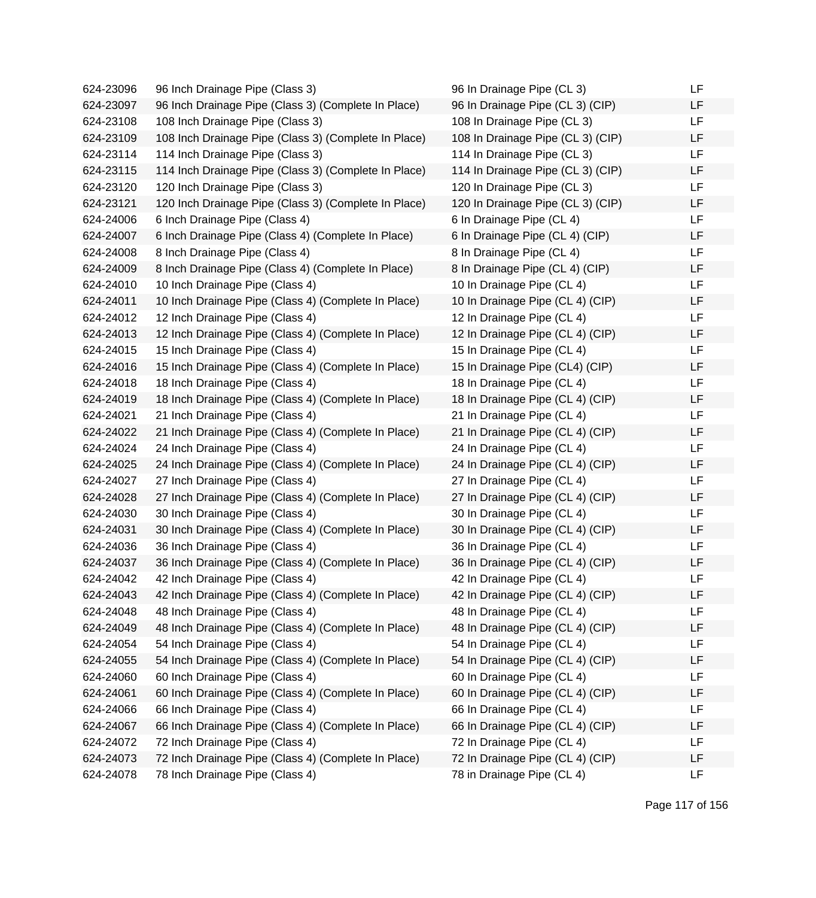| 624-23096 | 96 Inch Drainage Pipe (Class 3)                      | 96 In Drainage Pipe (CL 3)        | LF        |
|-----------|------------------------------------------------------|-----------------------------------|-----------|
| 624-23097 | 96 Inch Drainage Pipe (Class 3) (Complete In Place)  | 96 In Drainage Pipe (CL 3) (CIP)  | LF        |
| 624-23108 | 108 Inch Drainage Pipe (Class 3)                     | 108 In Drainage Pipe (CL 3)       | <b>LF</b> |
| 624-23109 | 108 Inch Drainage Pipe (Class 3) (Complete In Place) | 108 In Drainage Pipe (CL 3) (CIP) | <b>LF</b> |
| 624-23114 | 114 Inch Drainage Pipe (Class 3)                     | 114 In Drainage Pipe (CL 3)       | <b>LF</b> |
| 624-23115 | 114 Inch Drainage Pipe (Class 3) (Complete In Place) | 114 In Drainage Pipe (CL 3) (CIP) | LF        |
| 624-23120 | 120 Inch Drainage Pipe (Class 3)                     | 120 In Drainage Pipe (CL 3)       | LF        |
| 624-23121 | 120 Inch Drainage Pipe (Class 3) (Complete In Place) | 120 In Drainage Pipe (CL 3) (CIP) | LF        |
| 624-24006 | 6 Inch Drainage Pipe (Class 4)                       | 6 In Drainage Pipe (CL 4)         | <b>LF</b> |
| 624-24007 | 6 Inch Drainage Pipe (Class 4) (Complete In Place)   | 6 In Drainage Pipe (CL 4) (CIP)   | LF        |
| 624-24008 | 8 Inch Drainage Pipe (Class 4)                       | 8 In Drainage Pipe (CL 4)         | LF        |
| 624-24009 | 8 Inch Drainage Pipe (Class 4) (Complete In Place)   | 8 In Drainage Pipe (CL 4) (CIP)   | LF        |
| 624-24010 | 10 Inch Drainage Pipe (Class 4)                      | 10 In Drainage Pipe (CL 4)        | <b>LF</b> |
| 624-24011 | 10 Inch Drainage Pipe (Class 4) (Complete In Place)  | 10 In Drainage Pipe (CL 4) (CIP)  | <b>LF</b> |
| 624-24012 | 12 Inch Drainage Pipe (Class 4)                      | 12 In Drainage Pipe (CL 4)        | LF        |
| 624-24013 | 12 Inch Drainage Pipe (Class 4) (Complete In Place)  | 12 In Drainage Pipe (CL 4) (CIP)  | LF        |
| 624-24015 | 15 Inch Drainage Pipe (Class 4)                      | 15 In Drainage Pipe (CL 4)        | LF        |
| 624-24016 | 15 Inch Drainage Pipe (Class 4) (Complete In Place)  | 15 In Drainage Pipe (CL4) (CIP)   | LF        |
| 624-24018 | 18 Inch Drainage Pipe (Class 4)                      | 18 In Drainage Pipe (CL 4)        | <b>LF</b> |
| 624-24019 | 18 Inch Drainage Pipe (Class 4) (Complete In Place)  | 18 In Drainage Pipe (CL 4) (CIP)  | LF        |
| 624-24021 | 21 Inch Drainage Pipe (Class 4)                      | 21 In Drainage Pipe (CL 4)        | LF        |
| 624-24022 | 21 Inch Drainage Pipe (Class 4) (Complete In Place)  | 21 In Drainage Pipe (CL 4) (CIP)  | LF        |
| 624-24024 | 24 Inch Drainage Pipe (Class 4)                      | 24 In Drainage Pipe (CL 4)        | <b>LF</b> |
| 624-24025 | 24 Inch Drainage Pipe (Class 4) (Complete In Place)  | 24 In Drainage Pipe (CL 4) (CIP)  | <b>LF</b> |
| 624-24027 | 27 Inch Drainage Pipe (Class 4)                      | 27 In Drainage Pipe (CL 4)        | LF        |
| 624-24028 | 27 Inch Drainage Pipe (Class 4) (Complete In Place)  | 27 In Drainage Pipe (CL 4) (CIP)  | LF        |
| 624-24030 | 30 Inch Drainage Pipe (Class 4)                      | 30 In Drainage Pipe (CL 4)        | LF        |
| 624-24031 | 30 Inch Drainage Pipe (Class 4) (Complete In Place)  | 30 In Drainage Pipe (CL 4) (CIP)  | LF        |
| 624-24036 | 36 Inch Drainage Pipe (Class 4)                      | 36 In Drainage Pipe (CL 4)        | LF        |
| 624-24037 | 36 Inch Drainage Pipe (Class 4) (Complete In Place)  | 36 In Drainage Pipe (CL 4) (CIP)  | LF        |
| 624-24042 | 42 Inch Drainage Pipe (Class 4)                      | 42 In Drainage Pipe (CL 4)        | LF        |
| 624-24043 | 42 Inch Drainage Pipe (Class 4) (Complete In Place)  | 42 In Drainage Pipe (CL 4) (CIP)  | LF        |
| 624-24048 | 48 Inch Drainage Pipe (Class 4)                      | 48 In Drainage Pipe (CL 4)        | LF        |
| 624-24049 | 48 Inch Drainage Pipe (Class 4) (Complete In Place)  | 48 In Drainage Pipe (CL 4) (CIP)  | LF        |
| 624-24054 | 54 Inch Drainage Pipe (Class 4)                      | 54 In Drainage Pipe (CL 4)        | LF        |
| 624-24055 | 54 Inch Drainage Pipe (Class 4) (Complete In Place)  | 54 In Drainage Pipe (CL 4) (CIP)  | LF        |
| 624-24060 | 60 Inch Drainage Pipe (Class 4)                      | 60 In Drainage Pipe (CL 4)        | LF        |
| 624-24061 | 60 Inch Drainage Pipe (Class 4) (Complete In Place)  | 60 In Drainage Pipe (CL 4) (CIP)  | LF        |
| 624-24066 | 66 Inch Drainage Pipe (Class 4)                      | 66 In Drainage Pipe (CL 4)        | LF        |
| 624-24067 | 66 Inch Drainage Pipe (Class 4) (Complete In Place)  | 66 In Drainage Pipe (CL 4) (CIP)  | LF        |
| 624-24072 | 72 Inch Drainage Pipe (Class 4)                      | 72 In Drainage Pipe (CL 4)        | LF        |
| 624-24073 | 72 Inch Drainage Pipe (Class 4) (Complete In Place)  | 72 In Drainage Pipe (CL 4) (CIP)  | LF        |
| 624-24078 | 78 Inch Drainage Pipe (Class 4)                      | 78 in Drainage Pipe (CL 4)        | LF        |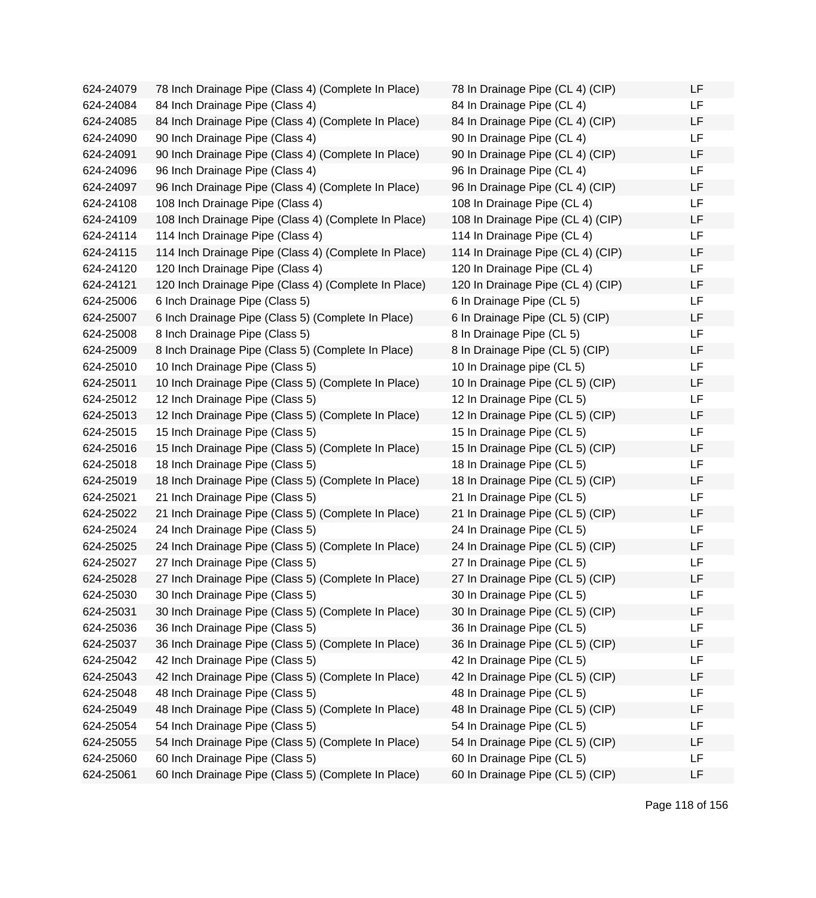624-24079 78 Inch Drainage Pipe (Class 4) (Complete In Place) 624-24084 84 Inch Drainage Pipe (Class 4) 624-24085 84 Inch Drainage Pipe (Class 4) (Complete In Place) 624-24090 90 Inch Drainage Pipe (Class 4) 624-24091 90 Inch Drainage Pipe (Class 4) (Complete In Place)  $624-24096$  96 Inch Drainage Pipe (Class 4) 624-24097 96 Inch Drainage Pipe (Class 4) (Complete In Place) 624-24108 108 Inch Drainage Pipe (Class 4) 624-24109 108 Inch Drainage Pipe (Class 4) (Complete In Place) 624-24114 114 Inch Drainage Pipe (Class 4) 624-24115 114 Inch Drainage Pipe (Class 4) (Complete In Place) 624-24120 120 Inch Drainage Pipe (Class 4) 624-24121 120 Inch Drainage Pipe (Class 4) (Complete In Place) 624-25006 6 Inch Drainage Pipe (Class 5) 624-25007 6 Inch Drainage Pipe (Class 5) (Complete In Place) 624-25008 8 Inch Drainage Pipe (Class 5) 624-25009 8 Inch Drainage Pipe (Class 5) (Complete In Place) 624-25010 10 Inch Drainage Pipe (Class 5) 624-25011 10 Inch Drainage Pipe (Class 5) (Complete In Place) 624-25012 12 Inch Drainage Pipe (Class 5) 624-25013 12 Inch Drainage Pipe (Class 5) (Complete In Place) 624-25015 15 Inch Drainage Pipe (Class 5) 624-25016 15 Inch Drainage Pipe (Class 5) (Complete In Place) 624-25018 18 Inch Drainage Pipe (Class 5) 624-25019 18 Inch Drainage Pipe (Class 5) (Complete In Place) 624-25021 21 Inch Drainage Pipe (Class 5) 624-25022 21 Inch Drainage Pipe (Class 5) (Complete In Place) 624-25024 24 Inch Drainage Pipe (Class 5) 624-25025 24 Inch Drainage Pipe (Class 5) (Complete In Place) 624-25027 27 Inch Drainage Pipe (Class 5) 624-25028 27 Inch Drainage Pipe (Class 5) (Complete In Place) 624-25030 30 Inch Drainage Pipe (Class 5) 624-25031 30 Inch Drainage Pipe (Class 5) (Complete In Place) 624-25036 36 Inch Drainage Pipe (Class 5) 624-25037 36 Inch Drainage Pipe (Class 5) (Complete In Place) 624-25042 42 Inch Drainage Pipe (Class 5) 624-25043 42 Inch Drainage Pipe (Class 5) (Complete In Place) 624-25048 48 Inch Drainage Pipe (Class 5) 624-25049 48 Inch Drainage Pipe (Class 5) (Complete In Place) 624-25054 54 Inch Drainage Pipe (Class 5) 624-25055 54 Inch Drainage Pipe (Class 5) (Complete In Place) 624-25060 60 Inch Drainage Pipe (Class 5) 624-25061 60 Inch Drainage Pipe (Class 5) (Complete In Place)

| 78 In Drainage Pipe (CL 4) (CIP)  | LF |
|-----------------------------------|----|
| 84 In Drainage Pipe (CL 4)        | LF |
| 84 In Drainage Pipe (CL 4) (CIP)  | LF |
| 90 In Drainage Pipe (CL 4)        | LF |
| 90 In Drainage Pipe (CL 4) (CIP)  | LF |
| 96 In Drainage Pipe (CL 4)        | LF |
| 96 In Drainage Pipe (CL 4) (CIP)  | LF |
| 108 In Drainage Pipe (CL 4)       | LF |
| 108 In Drainage Pipe (CL 4) (CIP) | LF |
| 114 In Drainage Pipe (CL 4)       | LF |
| 114 In Drainage Pipe (CL 4) (CIP) | LF |
| 120 In Drainage Pipe (CL 4)       | LF |
| 120 In Drainage Pipe (CL 4) (CIP) | LF |
| 6 In Drainage Pipe (CL 5)         | LF |
| 6 In Drainage Pipe (CL 5) (CIP)   | LF |
| 8 In Drainage Pipe (CL 5)         | LF |
| 8 In Drainage Pipe (CL 5) (CIP)   | LF |
| 10 In Drainage pipe (CL 5)        | LF |
| 10 In Drainage Pipe (CL 5) (CIP)  | LF |
| 12 In Drainage Pipe (CL 5)        | LF |
| 12 In Drainage Pipe (CL 5) (CIP)  | LF |
| 15 In Drainage Pipe (CL 5)        | LF |
| 15 In Drainage Pipe (CL 5) (CIP)  | LF |
| 18 In Drainage Pipe (CL 5)        | LF |
| 18 In Drainage Pipe (CL 5) (CIP)  | LF |
| 21 In Drainage Pipe (CL 5)        | LF |
| 21 In Drainage Pipe (CL 5) (CIP)  | LF |
| 24 In Drainage Pipe (CL 5)        | LF |
| 24 In Drainage Pipe (CL 5) (CIP)  | LF |
| 27 In Drainage Pipe (CL 5)        | LF |
| 27 In Drainage Pipe (CL 5) (CIP)  | LF |
| 30 In Drainage Pipe (CL 5)        | LF |
| 30 In Drainage Pipe (CL 5) (CIP)  | LF |
| 36 In Drainage Pipe (CL 5)        | LF |
| 36 In Drainage Pipe (CL 5) (CIP)  | LF |
| 42 In Drainage Pipe (CL 5)        | LF |
| 42 In Drainage Pipe (CL 5) (CIP)  | LF |
| 48 In Drainage Pipe (CL 5)        | LF |
| 48 In Drainage Pipe (CL 5) (CIP)  | LF |
| 54 In Drainage Pipe (CL 5)        | LF |
| 54 In Drainage Pipe (CL 5) (CIP)  | LF |
| 60 In Drainage Pipe (CL 5)        | LF |
| 60 In Drainage Pipe (CL 5) (CIP)  | LF |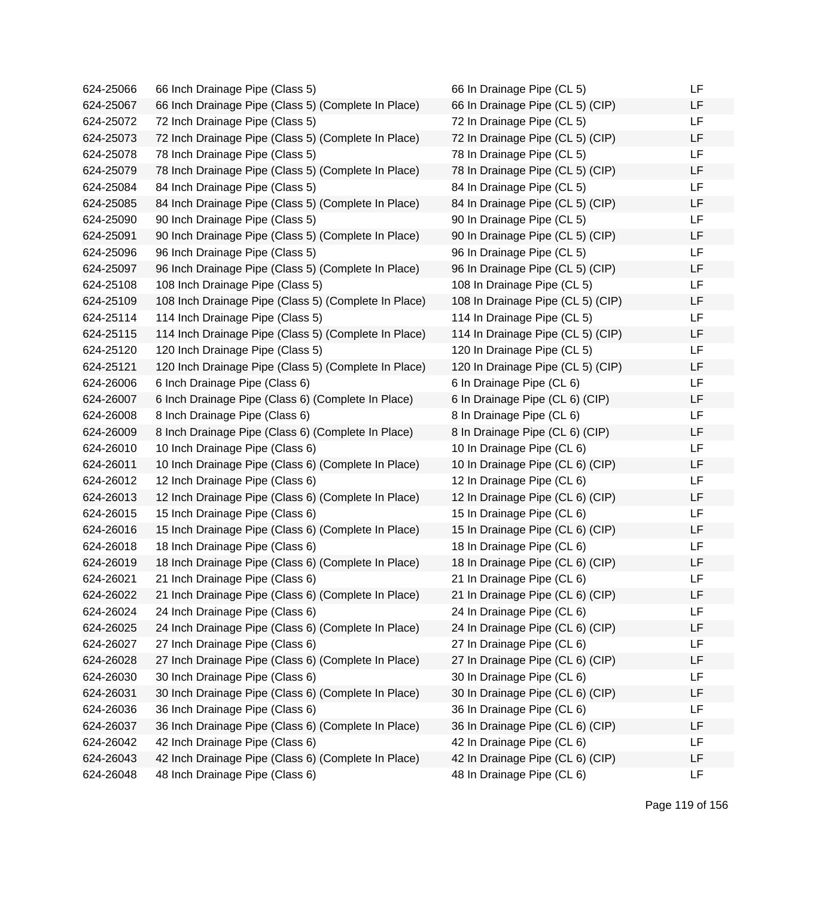| 624-25066 | 66 Inch Drainage Pipe (Class 5)                      | 66 In Drainage Pipe (CL 5)        | LF        |
|-----------|------------------------------------------------------|-----------------------------------|-----------|
| 624-25067 | 66 Inch Drainage Pipe (Class 5) (Complete In Place)  | 66 In Drainage Pipe (CL 5) (CIP)  | LF        |
| 624-25072 | 72 Inch Drainage Pipe (Class 5)                      | 72 In Drainage Pipe (CL 5)        | <b>LF</b> |
| 624-25073 | 72 Inch Drainage Pipe (Class 5) (Complete In Place)  | 72 In Drainage Pipe (CL 5) (CIP)  | <b>LF</b> |
| 624-25078 | 78 Inch Drainage Pipe (Class 5)                      | 78 In Drainage Pipe (CL 5)        | LF        |
| 624-25079 | 78 Inch Drainage Pipe (Class 5) (Complete In Place)  | 78 In Drainage Pipe (CL 5) (CIP)  | LF        |
| 624-25084 | 84 Inch Drainage Pipe (Class 5)                      | 84 In Drainage Pipe (CL 5)        | LF        |
| 624-25085 | 84 Inch Drainage Pipe (Class 5) (Complete In Place)  | 84 In Drainage Pipe (CL 5) (CIP)  | LF        |
| 624-25090 | 90 Inch Drainage Pipe (Class 5)                      | 90 In Drainage Pipe (CL 5)        | <b>LF</b> |
| 624-25091 | 90 Inch Drainage Pipe (Class 5) (Complete In Place)  | 90 In Drainage Pipe (CL 5) (CIP)  | LF        |
| 624-25096 | 96 Inch Drainage Pipe (Class 5)                      | 96 In Drainage Pipe (CL 5)        | LF        |
| 624-25097 | 96 Inch Drainage Pipe (Class 5) (Complete In Place)  | 96 In Drainage Pipe (CL 5) (CIP)  | LF        |
| 624-25108 | 108 Inch Drainage Pipe (Class 5)                     | 108 In Drainage Pipe (CL 5)       | <b>LF</b> |
| 624-25109 | 108 Inch Drainage Pipe (Class 5) (Complete In Place) | 108 In Drainage Pipe (CL 5) (CIP) | LF        |
| 624-25114 | 114 Inch Drainage Pipe (Class 5)                     | 114 In Drainage Pipe (CL 5)       | LF        |
| 624-25115 | 114 Inch Drainage Pipe (Class 5) (Complete In Place) | 114 In Drainage Pipe (CL 5) (CIP) | LF        |
| 624-25120 | 120 Inch Drainage Pipe (Class 5)                     | 120 In Drainage Pipe (CL 5)       | LF        |
| 624-25121 | 120 Inch Drainage Pipe (Class 5) (Complete In Place) | 120 In Drainage Pipe (CL 5) (CIP) | LF        |
| 624-26006 | 6 Inch Drainage Pipe (Class 6)                       | 6 In Drainage Pipe (CL 6)         | <b>LF</b> |
| 624-26007 | 6 Inch Drainage Pipe (Class 6) (Complete In Place)   | 6 In Drainage Pipe (CL 6) (CIP)   | LF        |
| 624-26008 | 8 Inch Drainage Pipe (Class 6)                       | 8 In Drainage Pipe (CL 6)         | LF        |
| 624-26009 | 8 Inch Drainage Pipe (Class 6) (Complete In Place)   | 8 In Drainage Pipe (CL 6) (CIP)   | LF        |
| 624-26010 | 10 Inch Drainage Pipe (Class 6)                      | 10 In Drainage Pipe (CL 6)        | <b>LF</b> |
| 624-26011 | 10 Inch Drainage Pipe (Class 6) (Complete In Place)  | 10 In Drainage Pipe (CL 6) (CIP)  | <b>LF</b> |
| 624-26012 | 12 Inch Drainage Pipe (Class 6)                      | 12 In Drainage Pipe (CL 6)        | LF        |
| 624-26013 | 12 Inch Drainage Pipe (Class 6) (Complete In Place)  | 12 In Drainage Pipe (CL 6) (CIP)  | LF        |
| 624-26015 | 15 Inch Drainage Pipe (Class 6)                      | 15 In Drainage Pipe (CL 6)        | LF        |
| 624-26016 | 15 Inch Drainage Pipe (Class 6) (Complete In Place)  | 15 In Drainage Pipe (CL 6) (CIP)  | LF        |
| 624-26018 | 18 Inch Drainage Pipe (Class 6)                      | 18 In Drainage Pipe (CL 6)        | <b>LF</b> |
| 624-26019 | 18 Inch Drainage Pipe (Class 6) (Complete In Place)  | 18 In Drainage Pipe (CL 6) (CIP)  | LF        |
| 624-26021 | 21 Inch Drainage Pipe (Class 6)                      | 21 In Drainage Pipe (CL 6)        | LF        |
| 624-26022 | 21 Inch Drainage Pipe (Class 6) (Complete In Place)  | 21 In Drainage Pipe (CL 6) (CIP)  | LF        |
| 624-26024 | 24 Inch Drainage Pipe (Class 6)                      | 24 In Drainage Pipe (CL 6)        | LF        |
| 624-26025 | 24 Inch Drainage Pipe (Class 6) (Complete In Place)  | 24 In Drainage Pipe (CL 6) (CIP)  | LF        |
| 624-26027 | 27 Inch Drainage Pipe (Class 6)                      | 27 In Drainage Pipe (CL 6)        | LF        |
| 624-26028 | 27 Inch Drainage Pipe (Class 6) (Complete In Place)  | 27 In Drainage Pipe (CL 6) (CIP)  | LF        |
| 624-26030 | 30 Inch Drainage Pipe (Class 6)                      | 30 In Drainage Pipe (CL 6)        | LF        |
| 624-26031 | 30 Inch Drainage Pipe (Class 6) (Complete In Place)  | 30 In Drainage Pipe (CL 6) (CIP)  | LF        |
| 624-26036 | 36 Inch Drainage Pipe (Class 6)                      | 36 In Drainage Pipe (CL 6)        | LF        |
| 624-26037 | 36 Inch Drainage Pipe (Class 6) (Complete In Place)  | 36 In Drainage Pipe (CL 6) (CIP)  | LF        |
| 624-26042 | 42 Inch Drainage Pipe (Class 6)                      | 42 In Drainage Pipe (CL 6)        | LF        |
| 624-26043 | 42 Inch Drainage Pipe (Class 6) (Complete In Place)  | 42 In Drainage Pipe (CL 6) (CIP)  | LF        |
| 624-26048 | 48 Inch Drainage Pipe (Class 6)                      | 48 In Drainage Pipe (CL 6)        | LF        |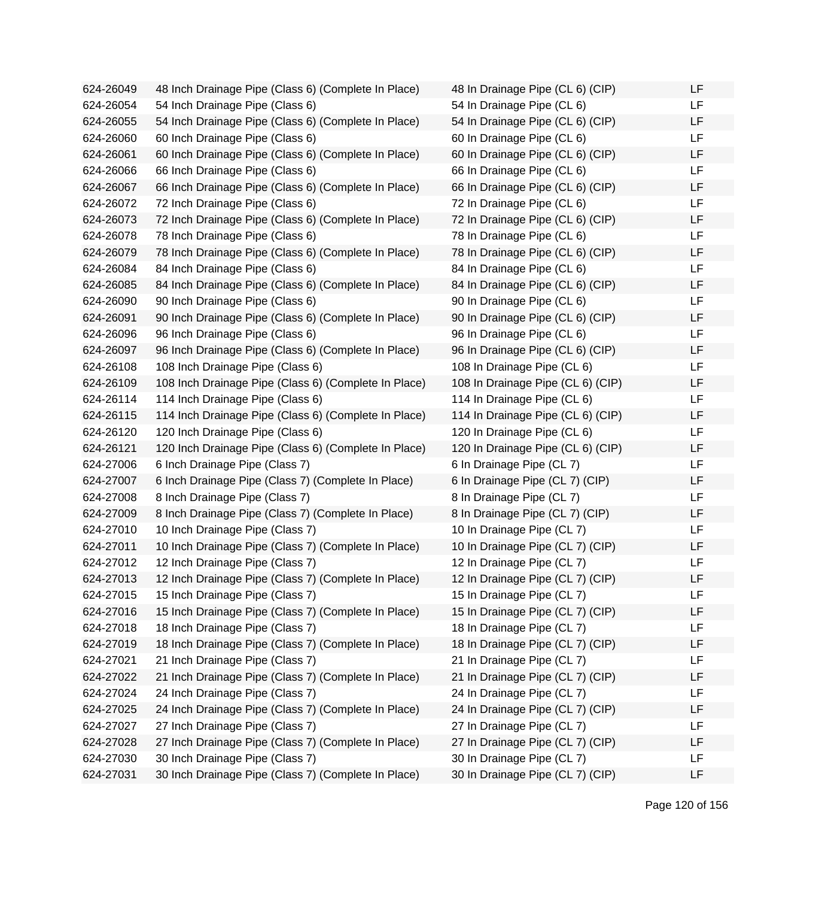| 624-26049 | 48 Inch Drainage Pipe (Class 6) (Complete In Place)  | 48 In Drainage Pipe (CL 6) (CIP)  | LF |
|-----------|------------------------------------------------------|-----------------------------------|----|
| 624-26054 | 54 Inch Drainage Pipe (Class 6)                      | 54 In Drainage Pipe (CL 6)        | LF |
| 624-26055 | 54 Inch Drainage Pipe (Class 6) (Complete In Place)  | 54 In Drainage Pipe (CL 6) (CIP)  | LF |
| 624-26060 | 60 Inch Drainage Pipe (Class 6)                      | 60 In Drainage Pipe (CL 6)        | LF |
| 624-26061 | 60 Inch Drainage Pipe (Class 6) (Complete In Place)  | 60 In Drainage Pipe (CL 6) (CIP)  | LF |
| 624-26066 | 66 Inch Drainage Pipe (Class 6)                      | 66 In Drainage Pipe (CL 6)        | LF |
| 624-26067 | 66 Inch Drainage Pipe (Class 6) (Complete In Place)  | 66 In Drainage Pipe (CL 6) (CIP)  | LF |
| 624-26072 | 72 Inch Drainage Pipe (Class 6)                      | 72 In Drainage Pipe (CL 6)        | LF |
| 624-26073 | 72 Inch Drainage Pipe (Class 6) (Complete In Place)  | 72 In Drainage Pipe (CL 6) (CIP)  | LF |
| 624-26078 | 78 Inch Drainage Pipe (Class 6)                      | 78 In Drainage Pipe (CL 6)        | LF |
| 624-26079 | 78 Inch Drainage Pipe (Class 6) (Complete In Place)  | 78 In Drainage Pipe (CL 6) (CIP)  | LF |
| 624-26084 | 84 Inch Drainage Pipe (Class 6)                      | 84 In Drainage Pipe (CL 6)        | LF |
| 624-26085 | 84 Inch Drainage Pipe (Class 6) (Complete In Place)  | 84 In Drainage Pipe (CL 6) (CIP)  | LF |
| 624-26090 | 90 Inch Drainage Pipe (Class 6)                      | 90 In Drainage Pipe (CL 6)        | LF |
| 624-26091 | 90 Inch Drainage Pipe (Class 6) (Complete In Place)  | 90 In Drainage Pipe (CL 6) (CIP)  | LF |
| 624-26096 | 96 Inch Drainage Pipe (Class 6)                      | 96 In Drainage Pipe (CL 6)        | LF |
| 624-26097 | 96 Inch Drainage Pipe (Class 6) (Complete In Place)  | 96 In Drainage Pipe (CL 6) (CIP)  | LF |
| 624-26108 | 108 Inch Drainage Pipe (Class 6)                     | 108 In Drainage Pipe (CL 6)       | LF |
| 624-26109 | 108 Inch Drainage Pipe (Class 6) (Complete In Place) | 108 In Drainage Pipe (CL 6) (CIP) | LF |
| 624-26114 | 114 Inch Drainage Pipe (Class 6)                     | 114 In Drainage Pipe (CL 6)       | LF |
| 624-26115 | 114 Inch Drainage Pipe (Class 6) (Complete In Place) | 114 In Drainage Pipe (CL 6) (CIP) | LF |
| 624-26120 | 120 Inch Drainage Pipe (Class 6)                     | 120 In Drainage Pipe (CL 6)       | LF |
| 624-26121 | 120 Inch Drainage Pipe (Class 6) (Complete In Place) | 120 In Drainage Pipe (CL 6) (CIP) | LF |
| 624-27006 | 6 Inch Drainage Pipe (Class 7)                       | 6 In Drainage Pipe (CL 7)         | LF |
| 624-27007 | 6 Inch Drainage Pipe (Class 7) (Complete In Place)   | 6 In Drainage Pipe (CL 7) (CIP)   | LF |
| 624-27008 | 8 Inch Drainage Pipe (Class 7)                       | 8 In Drainage Pipe (CL 7)         | LF |
| 624-27009 | 8 Inch Drainage Pipe (Class 7) (Complete In Place)   | 8 In Drainage Pipe (CL 7) (CIP)   | LF |
| 624-27010 | 10 Inch Drainage Pipe (Class 7)                      | 10 In Drainage Pipe (CL 7)        | LF |
| 624-27011 | 10 Inch Drainage Pipe (Class 7) (Complete In Place)  | 10 In Drainage Pipe (CL 7) (CIP)  | LF |
| 624-27012 | 12 Inch Drainage Pipe (Class 7)                      | 12 In Drainage Pipe (CL 7)        | LF |
| 624-27013 | 12 Inch Drainage Pipe (Class 7) (Complete In Place)  | 12 In Drainage Pipe (CL 7) (CIP)  | LF |
| 624-27015 | 15 Inch Drainage Pipe (Class 7)                      | 15 In Drainage Pipe (CL 7)        | LF |
| 624-27016 | 15 Inch Drainage Pipe (Class 7) (Complete In Place)  | 15 In Drainage Pipe (CL 7) (CIP)  | LF |
| 624-27018 | 18 Inch Drainage Pipe (Class 7)                      | 18 In Drainage Pipe (CL 7)        | LF |
| 624-27019 | 18 Inch Drainage Pipe (Class 7) (Complete In Place)  | 18 In Drainage Pipe (CL 7) (CIP)  | LF |
| 624-27021 | 21 Inch Drainage Pipe (Class 7)                      | 21 In Drainage Pipe (CL 7)        | LF |
| 624-27022 | 21 Inch Drainage Pipe (Class 7) (Complete In Place)  | 21 In Drainage Pipe (CL 7) (CIP)  | LF |
| 624-27024 | 24 Inch Drainage Pipe (Class 7)                      | 24 In Drainage Pipe (CL 7)        | LF |
| 624-27025 | 24 Inch Drainage Pipe (Class 7) (Complete In Place)  | 24 In Drainage Pipe (CL 7) (CIP)  | LF |
| 624-27027 | 27 Inch Drainage Pipe (Class 7)                      | 27 In Drainage Pipe (CL 7)        | LF |
| 624-27028 | 27 Inch Drainage Pipe (Class 7) (Complete In Place)  | 27 In Drainage Pipe (CL 7) (CIP)  | LF |
| 624-27030 | 30 Inch Drainage Pipe (Class 7)                      | 30 In Drainage Pipe (CL 7)        | LF |
| 624-27031 | 30 Inch Drainage Pipe (Class 7) (Complete In Place)  | 30 In Drainage Pipe (CL 7) (CIP)  | LF |
|           |                                                      |                                   |    |

| 48 In Drainage Pipe (CL 6) (CIP)  | LF |
|-----------------------------------|----|
| 54 In Drainage Pipe (CL 6)        | LF |
| 54 In Drainage Pipe (CL 6) (CIP)  | LF |
| 60 In Drainage Pipe (CL 6)        | LF |
| 60 In Drainage Pipe (CL 6) (CIP)  | LF |
| 66 In Drainage Pipe (CL 6)        | LF |
| 66 In Drainage Pipe (CL 6) (CIP)  | LF |
| 72 In Drainage Pipe (CL 6)        | LF |
| 72 In Drainage Pipe (CL 6) (CIP)  | LF |
| 78 In Drainage Pipe (CL 6)        | LF |
| 78 In Drainage Pipe (CL 6) (CIP)  | LF |
| 84 In Drainage Pipe (CL 6)        | LF |
| 84 In Drainage Pipe (CL 6) (CIP)  | LF |
| 90 In Drainage Pipe (CL 6)        | LF |
| 90 In Drainage Pipe (CL 6) (CIP)  | LF |
| 96 In Drainage Pipe (CL 6)        | LF |
| 96 In Drainage Pipe (CL 6) (CIP)  | LF |
| 108 In Drainage Pipe (CL 6)       | LF |
| 108 In Drainage Pipe (CL 6) (CIP) | LF |
| 114 In Drainage Pipe (CL 6)       | LF |
| 114 In Drainage Pipe (CL 6) (CIP) | LF |
| 120 In Drainage Pipe (CL 6)       | LF |
| 120 In Drainage Pipe (CL 6) (CIP) | LF |
| 6 In Drainage Pipe (CL 7)         | LF |
| 6 In Drainage Pipe (CL 7) (CIP)   | LF |
| 8 In Drainage Pipe (CL 7)         | LF |
| 8 In Drainage Pipe (CL 7) (CIP)   | LF |
| 10 In Drainage Pipe (CL 7)        | LF |
| 10 In Drainage Pipe (CL 7) (CIP)  | LF |
| 12 In Drainage Pipe (CL 7)        | LF |
| 12 In Drainage Pipe (CL 7) (CIP)  | LF |
| 15 In Drainage Pipe (CL 7)        | LF |
| 15 In Drainage Pipe (CL 7) (CIP)  | LF |
| 18 In Drainage Pipe (CL 7)        | LF |
| 18 In Drainage Pipe (CL 7) (CIP)  | LF |
| 21 In Drainage Pipe (CL 7)        | LF |
| 21 In Drainage Pipe (CL 7) (CIP)  | LF |
| 24 In Drainage Pipe (CL 7)        | LF |
| 24 In Drainage Pipe (CL 7) (CIP)  | LF |
| 27 In Drainage Pipe (CL 7)        | LF |
| 27 In Drainage Pipe (CL 7) (CIP)  | LF |
| 30 In Drainage Pipe (CL 7)        | LF |
| 30 In Drainage Pipe (CL 7) (CIP)  | LF |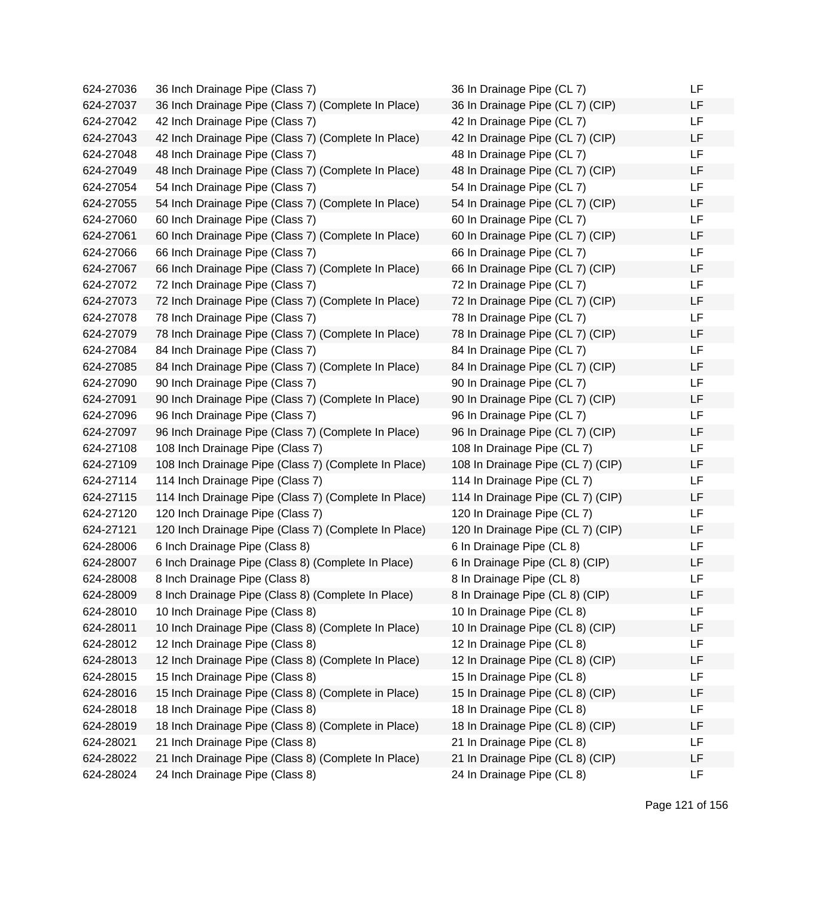| 624-27036 | 36 Inch Drainage Pipe (Class 7)                      | 36 In Drainage Pipe (CL 7)        | LF |
|-----------|------------------------------------------------------|-----------------------------------|----|
| 624-27037 | 36 Inch Drainage Pipe (Class 7) (Complete In Place)  | 36 In Drainage Pipe (CL 7) (CIP)  | LF |
| 624-27042 | 42 Inch Drainage Pipe (Class 7)                      | 42 In Drainage Pipe (CL 7)        | LF |
| 624-27043 | 42 Inch Drainage Pipe (Class 7) (Complete In Place)  | 42 In Drainage Pipe (CL 7) (CIP)  | LF |
| 624-27048 | 48 Inch Drainage Pipe (Class 7)                      | 48 In Drainage Pipe (CL 7)        | LF |
| 624-27049 | 48 Inch Drainage Pipe (Class 7) (Complete In Place)  | 48 In Drainage Pipe (CL 7) (CIP)  | LF |
| 624-27054 | 54 Inch Drainage Pipe (Class 7)                      | 54 In Drainage Pipe (CL 7)        | LF |
| 624-27055 | 54 Inch Drainage Pipe (Class 7) (Complete In Place)  | 54 In Drainage Pipe (CL 7) (CIP)  | LF |
| 624-27060 | 60 Inch Drainage Pipe (Class 7)                      | 60 In Drainage Pipe (CL 7)        | LF |
| 624-27061 | 60 Inch Drainage Pipe (Class 7) (Complete In Place)  | 60 In Drainage Pipe (CL 7) (CIP)  | LF |
| 624-27066 | 66 Inch Drainage Pipe (Class 7)                      | 66 In Drainage Pipe (CL 7)        | LF |
| 624-27067 | 66 Inch Drainage Pipe (Class 7) (Complete In Place)  | 66 In Drainage Pipe (CL 7) (CIP)  | LF |
| 624-27072 | 72 Inch Drainage Pipe (Class 7)                      | 72 In Drainage Pipe (CL 7)        | LF |
| 624-27073 | 72 Inch Drainage Pipe (Class 7) (Complete In Place)  | 72 In Drainage Pipe (CL 7) (CIP)  | LF |
| 624-27078 | 78 Inch Drainage Pipe (Class 7)                      | 78 In Drainage Pipe (CL 7)        | LF |
| 624-27079 | 78 Inch Drainage Pipe (Class 7) (Complete In Place)  | 78 In Drainage Pipe (CL 7) (CIP)  | LF |
| 624-27084 | 84 Inch Drainage Pipe (Class 7)                      | 84 In Drainage Pipe (CL 7)        | LF |
| 624-27085 | 84 Inch Drainage Pipe (Class 7) (Complete In Place)  | 84 In Drainage Pipe (CL 7) (CIP)  | LF |
| 624-27090 | 90 Inch Drainage Pipe (Class 7)                      | 90 In Drainage Pipe (CL 7)        | LF |
| 624-27091 | 90 Inch Drainage Pipe (Class 7) (Complete In Place)  | 90 In Drainage Pipe (CL 7) (CIP)  | LF |
| 624-27096 | 96 Inch Drainage Pipe (Class 7)                      | 96 In Drainage Pipe (CL 7)        | LF |
| 624-27097 | 96 Inch Drainage Pipe (Class 7) (Complete In Place)  | 96 In Drainage Pipe (CL 7) (CIP)  | LF |
| 624-27108 | 108 Inch Drainage Pipe (Class 7)                     | 108 In Drainage Pipe (CL 7)       | LF |
| 624-27109 | 108 Inch Drainage Pipe (Class 7) (Complete In Place) | 108 In Drainage Pipe (CL 7) (CIP) | LF |
| 624-27114 | 114 Inch Drainage Pipe (Class 7)                     | 114 In Drainage Pipe (CL 7)       | LF |
| 624-27115 | 114 Inch Drainage Pipe (Class 7) (Complete In Place) | 114 In Drainage Pipe (CL 7) (CIP) | LF |
| 624-27120 | 120 Inch Drainage Pipe (Class 7)                     | 120 In Drainage Pipe (CL 7)       | LF |
| 624-27121 | 120 Inch Drainage Pipe (Class 7) (Complete In Place) | 120 In Drainage Pipe (CL 7) (CIP) | LF |
| 624-28006 | 6 Inch Drainage Pipe (Class 8)                       | 6 In Drainage Pipe (CL 8)         | LF |
| 624-28007 | 6 Inch Drainage Pipe (Class 8) (Complete In Place)   | 6 In Drainage Pipe (CL 8) (CIP)   | LF |
| 624-28008 | 8 Inch Drainage Pipe (Class 8)                       | 8 In Drainage Pipe (CL 8)         | LF |
| 624-28009 | 8 Inch Drainage Pipe (Class 8) (Complete In Place)   | 8 In Drainage Pipe (CL 8) (CIP)   | LF |
| 624-28010 | 10 Inch Drainage Pipe (Class 8)                      | 10 In Drainage Pipe (CL 8)        | LF |
| 624-28011 | 10 Inch Drainage Pipe (Class 8) (Complete In Place)  | 10 In Drainage Pipe (CL 8) (CIP)  | LF |
| 624-28012 | 12 Inch Drainage Pipe (Class 8)                      | 12 In Drainage Pipe (CL 8)        | LF |
| 624-28013 | 12 Inch Drainage Pipe (Class 8) (Complete In Place)  | 12 In Drainage Pipe (CL 8) (CIP)  | LF |
| 624-28015 | 15 Inch Drainage Pipe (Class 8)                      | 15 In Drainage Pipe (CL 8)        | LF |
| 624-28016 | 15 Inch Drainage Pipe (Class 8) (Complete in Place)  | 15 In Drainage Pipe (CL 8) (CIP)  | LF |
| 624-28018 | 18 Inch Drainage Pipe (Class 8)                      | 18 In Drainage Pipe (CL 8)        | LF |
| 624-28019 | 18 Inch Drainage Pipe (Class 8) (Complete in Place)  | 18 In Drainage Pipe (CL 8) (CIP)  | LF |
| 624-28021 | 21 Inch Drainage Pipe (Class 8)                      | 21 In Drainage Pipe (CL 8)        | LF |
| 624-28022 | 21 Inch Drainage Pipe (Class 8) (Complete In Place)  | 21 In Drainage Pipe (CL 8) (CIP)  | LF |
| 624-28024 | 24 Inch Drainage Pipe (Class 8)                      | 24 In Drainage Pipe (CL 8)        | LF |

| 36 In Drainage Pipe (CL 7)        | LF |
|-----------------------------------|----|
| 36 In Drainage Pipe (CL 7) (CIP)  | LF |
| 42 In Drainage Pipe (CL 7)        | LF |
| 42 In Drainage Pipe (CL 7) (CIP)  | LF |
| 48 In Drainage Pipe (CL 7)        | LF |
| 48 In Drainage Pipe (CL 7) (CIP)  | LF |
| 54 In Drainage Pipe (CL 7)        | LF |
| 54 In Drainage Pipe (CL 7) (CIP)  | LF |
| 60 In Drainage Pipe (CL 7)        | LF |
| 60 In Drainage Pipe (CL 7) (CIP)  | LF |
| 66 In Drainage Pipe (CL 7)        | LF |
| 66 In Drainage Pipe (CL 7) (CIP)  | LF |
| 72 In Drainage Pipe (CL 7)        | LF |
| 72 In Drainage Pipe (CL 7) (CIP)  | LF |
| 78 In Drainage Pipe (CL 7)        | LF |
| 78 In Drainage Pipe (CL 7) (CIP)  | LF |
| 84 In Drainage Pipe (CL 7)        | LF |
| 84 In Drainage Pipe (CL 7) (CIP)  | LF |
| 90 In Drainage Pipe (CL 7)        | LF |
| 90 In Drainage Pipe (CL 7) (CIP)  | LF |
| 96 In Drainage Pipe (CL 7)        | LF |
| 96 In Drainage Pipe (CL 7) (CIP)  | LF |
| 108 In Drainage Pipe (CL 7)       | LF |
| 108 In Drainage Pipe (CL 7) (CIP) | LF |
| 114 In Drainage Pipe (CL 7)       | LF |
| 114 In Drainage Pipe (CL 7) (CIP) | LF |
| 120 In Drainage Pipe (CL 7)       | LF |
| 120 In Drainage Pipe (CL 7) (CIP) | LF |
| 6 In Drainage Pipe (CL 8)         | LF |
| 6 In Drainage Pipe (CL 8) (CIP)   | LF |
| 8 In Drainage Pipe (CL 8)         | LF |
| 8 In Drainage Pipe (CL 8) (CIP)   | LF |
| 10 In Drainage Pipe (CL 8)        | LF |
| 10 In Drainage Pipe (CL 8) (CIP)  | LF |
| 12 In Drainage Pipe (CL 8)        | LF |
| 12 In Drainage Pipe (CL 8) (CIP)  | LF |
| 15 In Drainage Pipe (CL 8)        | LF |
| 15 In Drainage Pipe (CL 8) (CIP)  | LF |
| 18 In Drainage Pipe (CL 8)        | LF |
| 18 In Drainage Pipe (CL 8) (CIP)  | LF |
| 21 In Drainage Pipe (CL 8)        | LF |
| 21 In Drainage Pipe (CL 8) (CIP)  | LF |
| 24 In Drainage Pipe (CL 8)        | LF |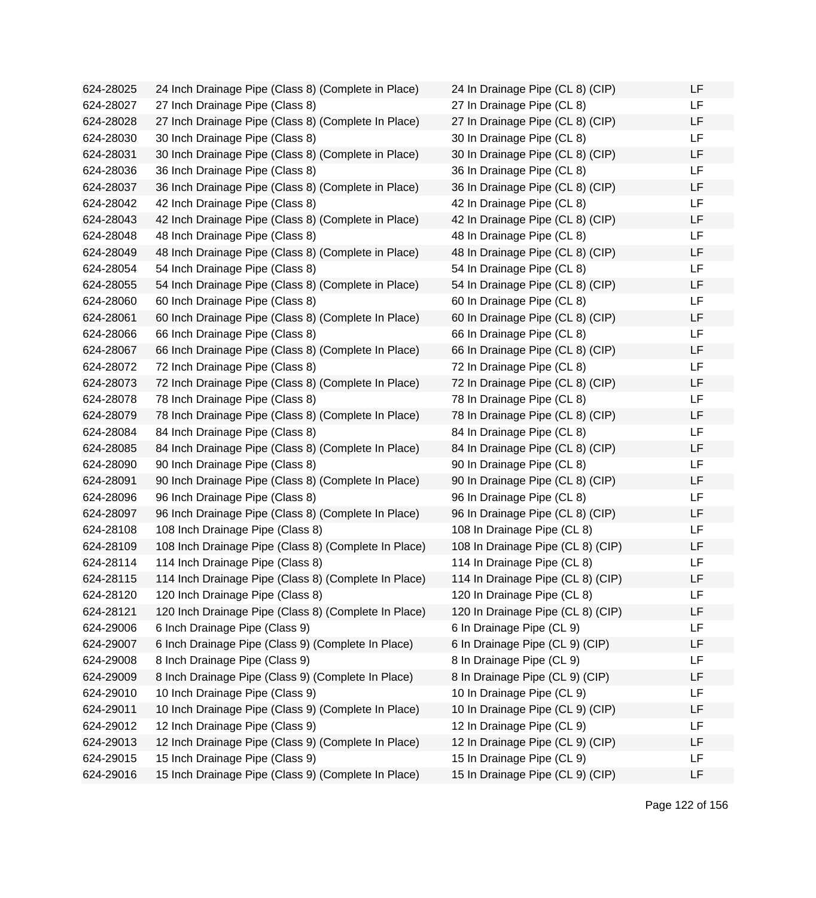624-28025 24 Inch Drainage Pipe (Class 8) (Complete in Place) 624-28027 27 Inch Drainage Pipe (Class 8) 624-28028 27 Inch Drainage Pipe (Class 8) (Complete In Place) 624-28030 30 Inch Drainage Pipe (Class 8) 624-28031 30 Inch Drainage Pipe (Class 8) (Complete in Place) 624-28036 36 Inch Drainage Pipe (Class 8) 624-28037 36 Inch Drainage Pipe (Class 8) (Complete in Place) 624-28042 42 Inch Drainage Pipe (Class 8) 624-28043 42 Inch Drainage Pipe (Class 8) (Complete in Place) 624-28048 48 Inch Drainage Pipe (Class 8) 624-28049 48 Inch Drainage Pipe (Class 8) (Complete in Place) 624-28054 54 Inch Drainage Pipe (Class 8) 624-28055 54 Inch Drainage Pipe (Class 8) (Complete in Place) 624-28060 60 Inch Drainage Pipe (Class 8) 624-28061 60 Inch Drainage Pipe (Class 8) (Complete In Place) 624-28066 66 Inch Drainage Pipe (Class 8) 624-28067 66 Inch Drainage Pipe (Class 8) (Complete In Place) 624-28072 72 Inch Drainage Pipe (Class 8) 624-28073 72 Inch Drainage Pipe (Class 8) (Complete In Place) 624-28078 78 Inch Drainage Pipe (Class 8) 624-28079 78 Inch Drainage Pipe (Class 8) (Complete In Place) 624-28084 84 Inch Drainage Pipe (Class 8) 624-28085 84 Inch Drainage Pipe (Class 8) (Complete In Place) 624-28090 90 Inch Drainage Pipe (Class 8) 624-28091 90 Inch Drainage Pipe (Class 8) (Complete In Place) 624-28096 96 Inch Drainage Pipe (Class 8) 624-28097 96 Inch Drainage Pipe (Class 8) (Complete In Place) 624-28108 108 Inch Drainage Pipe (Class 8) 624-28109 108 Inch Drainage Pipe (Class 8) (Complete In Place) 624-28114 114 Inch Drainage Pipe (Class 8) 624-28115 114 Inch Drainage Pipe (Class 8) (Complete In Place) 624-28120 120 Inch Drainage Pipe (Class 8) 624-28121 120 Inch Drainage Pipe (Class 8) (Complete In Place) 624-29006 6 Inch Drainage Pipe (Class 9) 624-29007 6 Inch Drainage Pipe (Class 9) (Complete In Place) 624-29008 8 Inch Drainage Pipe (Class 9) 624-29009 8 Inch Drainage Pipe (Class 9) (Complete In Place) 624-29010 10 Inch Drainage Pipe (Class 9) 624-29011 10 Inch Drainage Pipe (Class 9) (Complete In Place) 624-29012 12 Inch Drainage Pipe (Class 9) 624-29013 12 Inch Drainage Pipe (Class 9) (Complete In Place) 624-29015 15 Inch Drainage Pipe (Class 9) 624-29016 15 Inch Drainage Pipe (Class 9) (Complete In Place)

| 24 In Drainage Pipe (CL 8) (CIP)  | LF |
|-----------------------------------|----|
| 27 In Drainage Pipe (CL 8)        | LF |
| 27 In Drainage Pipe (CL 8) (CIP)  | LF |
| 30 In Drainage Pipe (CL 8)        | LF |
| 30 In Drainage Pipe (CL 8) (CIP)  | LF |
| 36 In Drainage Pipe (CL 8)        | LF |
| 36 In Drainage Pipe (CL 8) (CIP)  | LF |
| 42 In Drainage Pipe (CL 8)        | LF |
| 42 In Drainage Pipe (CL 8) (CIP)  | LF |
| 48 In Drainage Pipe (CL 8)        | LF |
| 48 In Drainage Pipe (CL 8) (CIP)  | LF |
| 54 In Drainage Pipe (CL 8)        | LF |
| 54 In Drainage Pipe (CL 8) (CIP)  | LF |
| 60 In Drainage Pipe (CL 8)        | LF |
| 60 In Drainage Pipe (CL 8) (CIP)  | LF |
| 66 In Drainage Pipe (CL 8)        | LF |
| 66 In Drainage Pipe (CL 8) (CIP)  | LF |
| 72 In Drainage Pipe (CL 8)        | LF |
| 72 In Drainage Pipe (CL 8) (CIP)  | LF |
| 78 In Drainage Pipe (CL 8)        | LF |
| 78 In Drainage Pipe (CL 8) (CIP)  | LF |
| 84 In Drainage Pipe (CL 8)        | LF |
| 84 In Drainage Pipe (CL 8) (CIP)  | LF |
| 90 In Drainage Pipe (CL 8)        | LF |
| 90 In Drainage Pipe (CL 8) (CIP)  | LF |
| 96 In Drainage Pipe (CL 8)        | LF |
| 96 In Drainage Pipe (CL 8) (CIP)  | LF |
| 108 In Drainage Pipe (CL 8)       | LF |
| 108 In Drainage Pipe (CL 8) (CIP) | LF |
| 114 In Drainage Pipe (CL 8)       | LF |
| 114 In Drainage Pipe (CL 8) (CIP) | LF |
| 120 In Drainage Pipe (CL 8)       | LF |
| 120 In Drainage Pipe (CL 8) (CIP) | LF |
| 6 In Drainage Pipe (CL 9)         | LF |
| 6 In Drainage Pipe (CL 9) (CIP)   | LF |
| 8 In Drainage Pipe (CL 9)         | LF |
| 8 In Drainage Pipe (CL 9) (CIP)   | LF |
| 10 In Drainage Pipe (CL 9)        | LF |
| 10 In Drainage Pipe (CL 9) (CIP)  | LF |
| 12 In Drainage Pipe (CL 9)        | LF |
| 12 In Drainage Pipe (CL 9) (CIP)  | LF |
| 15 In Drainage Pipe (CL 9)        | LF |
| 15 In Drainage Pipe (CL 9) (CIP)  | LF |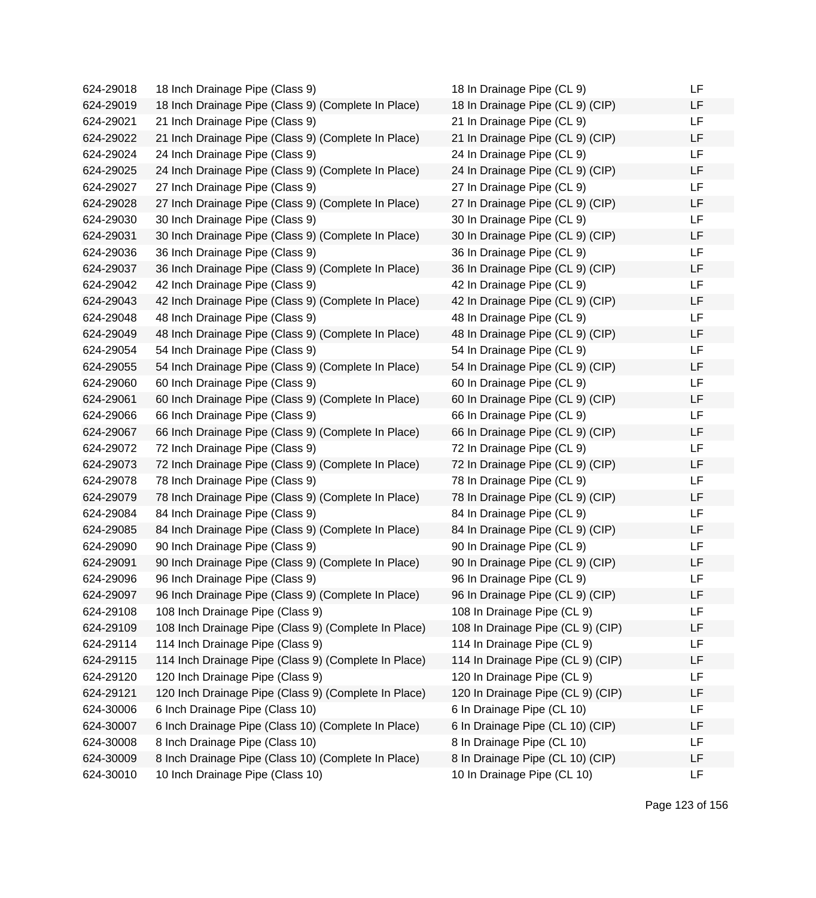| 624-29018 | 18 Inch Drainage Pipe (Class 9)                      | 18 In Drainage Pipe (CL 9)        | LF |
|-----------|------------------------------------------------------|-----------------------------------|----|
| 624-29019 | 18 Inch Drainage Pipe (Class 9) (Complete In Place)  | 18 In Drainage Pipe (CL 9) (CIP)  | LF |
| 624-29021 | 21 Inch Drainage Pipe (Class 9)                      | 21 In Drainage Pipe (CL 9)        | LF |
| 624-29022 | 21 Inch Drainage Pipe (Class 9) (Complete In Place)  | 21 In Drainage Pipe (CL 9) (CIP)  | LF |
| 624-29024 | 24 Inch Drainage Pipe (Class 9)                      | 24 In Drainage Pipe (CL 9)        | LF |
| 624-29025 | 24 Inch Drainage Pipe (Class 9) (Complete In Place)  | 24 In Drainage Pipe (CL 9) (CIP)  | LF |
| 624-29027 | 27 Inch Drainage Pipe (Class 9)                      | 27 In Drainage Pipe (CL 9)        | LF |
| 624-29028 | 27 Inch Drainage Pipe (Class 9) (Complete In Place)  | 27 In Drainage Pipe (CL 9) (CIP)  | LF |
| 624-29030 | 30 Inch Drainage Pipe (Class 9)                      | 30 In Drainage Pipe (CL 9)        | LF |
| 624-29031 | 30 Inch Drainage Pipe (Class 9) (Complete In Place)  | 30 In Drainage Pipe (CL 9) (CIP)  | LF |
| 624-29036 | 36 Inch Drainage Pipe (Class 9)                      | 36 In Drainage Pipe (CL 9)        | LF |
| 624-29037 | 36 Inch Drainage Pipe (Class 9) (Complete In Place)  | 36 In Drainage Pipe (CL 9) (CIP)  | LF |
| 624-29042 | 42 Inch Drainage Pipe (Class 9)                      | 42 In Drainage Pipe (CL 9)        | LF |
| 624-29043 | 42 Inch Drainage Pipe (Class 9) (Complete In Place)  | 42 In Drainage Pipe (CL 9) (CIP)  | LF |
| 624-29048 | 48 Inch Drainage Pipe (Class 9)                      | 48 In Drainage Pipe (CL 9)        | LF |
| 624-29049 | 48 Inch Drainage Pipe (Class 9) (Complete In Place)  | 48 In Drainage Pipe (CL 9) (CIP)  | LF |
| 624-29054 | 54 Inch Drainage Pipe (Class 9)                      | 54 In Drainage Pipe (CL 9)        | LF |
| 624-29055 | 54 Inch Drainage Pipe (Class 9) (Complete In Place)  | 54 In Drainage Pipe (CL 9) (CIP)  | LF |
| 624-29060 | 60 Inch Drainage Pipe (Class 9)                      | 60 In Drainage Pipe (CL 9)        | LF |
| 624-29061 | 60 Inch Drainage Pipe (Class 9) (Complete In Place)  | 60 In Drainage Pipe (CL 9) (CIP)  | LF |
| 624-29066 | 66 Inch Drainage Pipe (Class 9)                      | 66 In Drainage Pipe (CL 9)        | LF |
| 624-29067 | 66 Inch Drainage Pipe (Class 9) (Complete In Place)  | 66 In Drainage Pipe (CL 9) (CIP)  | LF |
| 624-29072 | 72 Inch Drainage Pipe (Class 9)                      | 72 In Drainage Pipe (CL 9)        | LF |
| 624-29073 | 72 Inch Drainage Pipe (Class 9) (Complete In Place)  | 72 In Drainage Pipe (CL 9) (CIP)  | LF |
| 624-29078 | 78 Inch Drainage Pipe (Class 9)                      | 78 In Drainage Pipe (CL 9)        | LF |
| 624-29079 | 78 Inch Drainage Pipe (Class 9) (Complete In Place)  | 78 In Drainage Pipe (CL 9) (CIP)  | LF |
| 624-29084 | 84 Inch Drainage Pipe (Class 9)                      | 84 In Drainage Pipe (CL 9)        | LF |
| 624-29085 | 84 Inch Drainage Pipe (Class 9) (Complete In Place)  | 84 In Drainage Pipe (CL 9) (CIP)  | LF |
| 624-29090 | 90 Inch Drainage Pipe (Class 9)                      | 90 In Drainage Pipe (CL 9)        | LF |
| 624-29091 | 90 Inch Drainage Pipe (Class 9) (Complete In Place)  | 90 In Drainage Pipe (CL 9) (CIP)  | LF |
| 624-29096 | 96 Inch Drainage Pipe (Class 9)                      | 96 In Drainage Pipe (CL 9)        | LF |
| 624-29097 | 96 Inch Drainage Pipe (Class 9) (Complete In Place)  | 96 In Drainage Pipe (CL 9) (CIP)  | LF |
| 624-29108 | 108 Inch Drainage Pipe (Class 9)                     | 108 In Drainage Pipe (CL 9)       | LF |
| 624-29109 | 108 Inch Drainage Pipe (Class 9) (Complete In Place) | 108 In Drainage Pipe (CL 9) (CIP) | LF |
| 624-29114 | 114 Inch Drainage Pipe (Class 9)                     | 114 In Drainage Pipe (CL 9)       | LF |
| 624-29115 | 114 Inch Drainage Pipe (Class 9) (Complete In Place) | 114 In Drainage Pipe (CL 9) (CIP) | LF |
| 624-29120 | 120 Inch Drainage Pipe (Class 9)                     | 120 In Drainage Pipe (CL 9)       | LF |
| 624-29121 | 120 Inch Drainage Pipe (Class 9) (Complete In Place) | 120 In Drainage Pipe (CL 9) (CIP) | LF |
| 624-30006 | 6 Inch Drainage Pipe (Class 10)                      | 6 In Drainage Pipe (CL 10)        | LF |
| 624-30007 | 6 Inch Drainage Pipe (Class 10) (Complete In Place)  | 6 In Drainage Pipe (CL 10) (CIP)  | LF |
| 624-30008 | 8 Inch Drainage Pipe (Class 10)                      | 8 In Drainage Pipe (CL 10)        | LF |
| 624-30009 | 8 Inch Drainage Pipe (Class 10) (Complete In Place)  | 8 In Drainage Pipe (CL 10) (CIP)  | LF |
| 624-30010 | 10 Inch Drainage Pipe (Class 10)                     | 10 In Drainage Pipe (CL 10)       | LF |

| 18 In Drainage Pipe (CL 9)        | LF |
|-----------------------------------|----|
| 18 In Drainage Pipe (CL 9) (CIP)  | LF |
| 21 In Drainage Pipe (CL 9)        | LF |
| 21 In Drainage Pipe (CL 9) (CIP)  | LF |
| 24 In Drainage Pipe (CL 9)        | LF |
| 24 In Drainage Pipe (CL 9) (CIP)  | LF |
| 27 In Drainage Pipe (CL 9)        | LF |
| 27 In Drainage Pipe (CL 9) (CIP)  | LF |
| 30 In Drainage Pipe (CL 9)        | LF |
| 30 In Drainage Pipe (CL 9) (CIP)  | LF |
| 36 In Drainage Pipe (CL 9)        | LF |
| 36 In Drainage Pipe (CL 9) (CIP)  | LF |
| 42 In Drainage Pipe (CL 9)        | LF |
| 42 In Drainage Pipe (CL 9) (CIP)  | LF |
| 48 In Drainage Pipe (CL 9)        | LF |
| 48 In Drainage Pipe (CL 9) (CIP)  | LF |
| 54 In Drainage Pipe (CL 9)        | LF |
| 54 In Drainage Pipe (CL 9) (CIP)  | LF |
| 60 In Drainage Pipe (CL 9)        | LF |
| 60 In Drainage Pipe (CL 9) (CIP)  | LF |
| 66 In Drainage Pipe (CL 9)        | LF |
| 66 In Drainage Pipe (CL 9) (CIP)  | LF |
| 72 In Drainage Pipe (CL 9)        | LF |
| 72 In Drainage Pipe (CL 9) (CIP)  | LF |
| 78 In Drainage Pipe (CL 9)        | LF |
| 78 In Drainage Pipe (CL 9) (CIP)  | LF |
| 84 In Drainage Pipe (CL 9)        | LF |
| 84 In Drainage Pipe (CL 9) (CIP)  | LF |
| 90 In Drainage Pipe (CL 9)        | LF |
| 90 In Drainage Pipe (CL 9) (CIP)  | LF |
| 96 In Drainage Pipe (CL 9)        | LF |
| 96 In Drainage Pipe (CL 9) (CIP)  | LF |
| 108 In Drainage Pipe (CL 9)       | LF |
| 108 In Drainage Pipe (CL 9) (CIP) | LF |
| 114 In Drainage Pipe (CL 9)       | LF |
| 114 In Drainage Pipe (CL 9) (CIP) | LF |
| 120 In Drainage Pipe (CL 9)       | LF |
| 120 In Drainage Pipe (CL 9) (CIP) | LF |
| 6 In Drainage Pipe (CL 10)        | LF |
| 6 In Drainage Pipe (CL 10) (CIP)  | LF |
| 8 In Drainage Pipe (CL 10)        | LF |
| 8 In Drainage Pipe (CL 10) (CIP)  | LF |
| 10 In Drainage Pipe (CL 10)       | LF |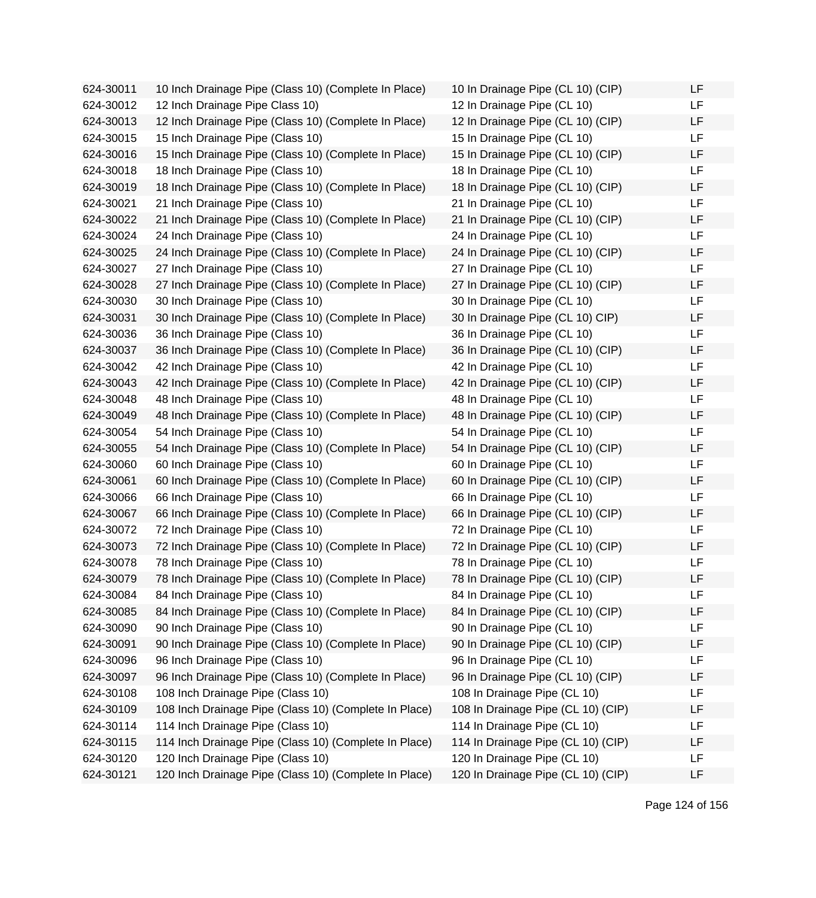624-30011 10 Inch Drainage Pipe (Class 10) (Complete In Place) 624-30012 12 Inch Drainage Pipe Class 10) 624-30013 12 Inch Drainage Pipe (Class 10) (Complete In Place) 624-30015 15 Inch Drainage Pipe (Class 10) 624-30016 15 Inch Drainage Pipe (Class 10) (Complete In Place) 624-30018 18 Inch Drainage Pipe (Class 10) 624-30019 18 Inch Drainage Pipe (Class 10) (Complete In Place) 624-30021 21 Inch Drainage Pipe (Class 10) 624-30022 21 Inch Drainage Pipe (Class 10) (Complete In Place) 624-30024 24 Inch Drainage Pipe (Class 10) 624-30025 24 Inch Drainage Pipe (Class 10) (Complete In Place) 624-30027 27 Inch Drainage Pipe (Class 10) 624-30028 27 Inch Drainage Pipe (Class 10) (Complete In Place) 624-30030 30 Inch Drainage Pipe (Class 10) 624-30031 30 Inch Drainage Pipe (Class 10) (Complete In Place) 624-30036 36 Inch Drainage Pipe (Class 10) 624-30037 36 Inch Drainage Pipe (Class 10) (Complete In Place) 624-30042 42 Inch Drainage Pipe (Class 10) 624-30043 42 Inch Drainage Pipe (Class 10) (Complete In Place) 624-30048 48 Inch Drainage Pipe (Class 10) 624-30049 48 Inch Drainage Pipe (Class 10) (Complete In Place) 624-30054 54 Inch Drainage Pipe (Class 10) 624-30055 54 Inch Drainage Pipe (Class 10) (Complete In Place) 624-30060 60 Inch Drainage Pipe (Class 10) 624-30061 60 Inch Drainage Pipe (Class 10) (Complete In Place) 624-30066 66 Inch Drainage Pipe (Class 10) 624-30067 66 Inch Drainage Pipe (Class 10) (Complete In Place) 624-30072 72 Inch Drainage Pipe (Class 10) 624-30073 72 Inch Drainage Pipe (Class 10) (Complete In Place) 624-30078 78 Inch Drainage Pipe (Class 10) 624-30079 78 Inch Drainage Pipe (Class 10) (Complete In Place) 624-30084 84 Inch Drainage Pipe (Class 10) 624-30085 84 Inch Drainage Pipe (Class 10) (Complete In Place) 624-30090 90 Inch Drainage Pipe (Class 10) 624-30091 90 Inch Drainage Pipe (Class 10) (Complete In Place) 624-30096 96 Inch Drainage Pipe (Class 10) 624-30097 96 Inch Drainage Pipe (Class 10) (Complete In Place) 624-30108 108 Inch Drainage Pipe (Class 10) 624-30109 108 Inch Drainage Pipe (Class 10) (Complete In Place) 624-30114 114 Inch Drainage Pipe (Class 10) 624-30115 114 Inch Drainage Pipe (Class 10) (Complete In Place) 624-30120 120 Inch Drainage Pipe (Class 10) 624-30121 120 Inch Drainage Pipe (Class 10) (Complete In Place)

| 10 In Drainage Pipe (CL 10) (CIP)  | LF |
|------------------------------------|----|
| 12 In Drainage Pipe (CL 10)        | LF |
| 12 In Drainage Pipe (CL 10) (CIP)  | LF |
| 15 In Drainage Pipe (CL 10)        | LF |
| 15 In Drainage Pipe (CL 10) (CIP)  | LF |
| 18 In Drainage Pipe (CL 10)        | LF |
| 18 In Drainage Pipe (CL 10) (CIP)  | LF |
| 21 In Drainage Pipe (CL 10)        | LF |
| 21 In Drainage Pipe (CL 10) (CIP)  | LF |
| 24 In Drainage Pipe (CL 10)        | LF |
| 24 In Drainage Pipe (CL 10) (CIP)  | LF |
| 27 In Drainage Pipe (CL 10)        | LF |
| 27 In Drainage Pipe (CL 10) (CIP)  | LF |
| 30 In Drainage Pipe (CL 10)        | LF |
| 30 In Drainage Pipe (CL 10) CIP)   | LF |
| 36 In Drainage Pipe (CL 10)        | LF |
| 36 In Drainage Pipe (CL 10) (CIP)  | LF |
| 42 In Drainage Pipe (CL 10)        | LF |
| 42 In Drainage Pipe (CL 10) (CIP)  | LF |
| 48 In Drainage Pipe (CL 10)        | LF |
| 48 In Drainage Pipe (CL 10) (CIP)  | LF |
| 54 In Drainage Pipe (CL 10)        | LF |
| 54 In Drainage Pipe (CL 10) (CIP)  | LF |
| 60 In Drainage Pipe (CL 10)        | LF |
| 60 In Drainage Pipe (CL 10) (CIP)  | LF |
| 66 In Drainage Pipe (CL 10)        | LF |
| 66 In Drainage Pipe (CL 10) (CIP)  | LF |
| 72 In Drainage Pipe (CL 10)        | LF |
| 72 In Drainage Pipe (CL 10) (CIP)  | LF |
| 78 In Drainage Pipe (CL 10)        | LF |
| 78 In Drainage Pipe (CL 10) (CIP)  | LF |
| 84 In Drainage Pipe (CL 10)        | LF |
| 84 In Drainage Pipe (CL 10) (CIP)  | LF |
| 90 In Drainage Pipe (CL 10)        | LF |
| 90 In Drainage Pipe (CL 10) (CIP)  | LF |
| 96 In Drainage Pipe (CL 10)        | LF |
| 96 In Drainage Pipe (CL 10) (CIP)  | LF |
| 108 In Drainage Pipe (CL 10)       | LF |
| 108 In Drainage Pipe (CL 10) (CIP) | LF |
| 114 In Drainage Pipe (CL 10)       | LF |
| 114 In Drainage Pipe (CL 10) (CIP) | LF |
| 120 In Drainage Pipe (CL 10)       | LF |
| 120 In Drainage Pipe (CL 10) (CIP) | LF |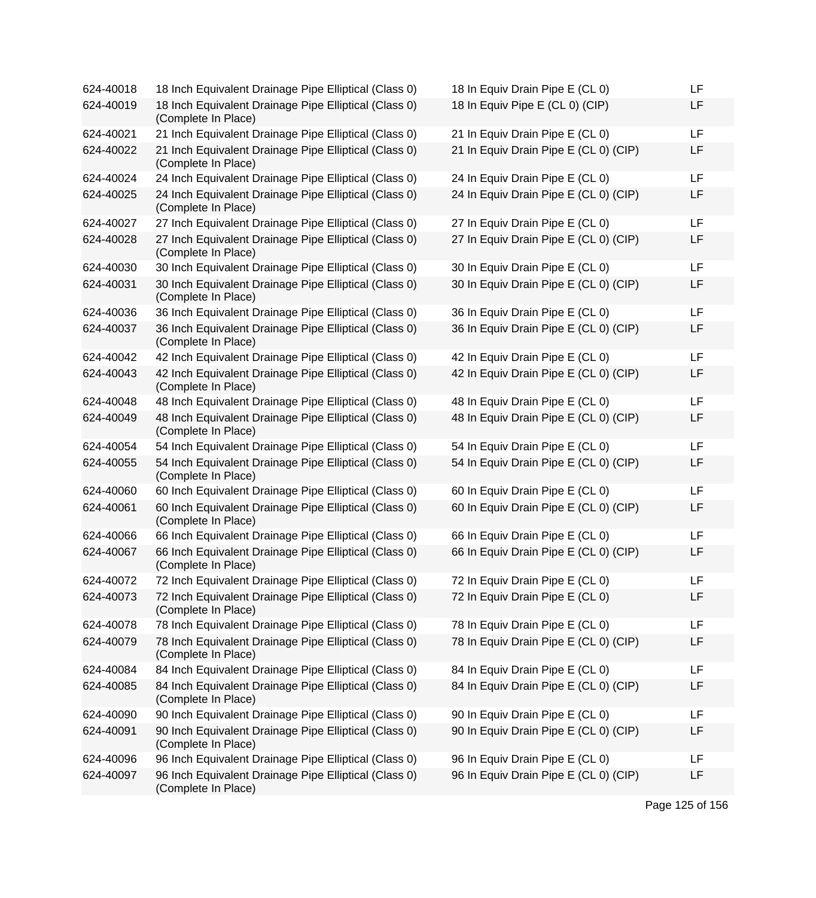| 624-40018 | 18 Inch Equivalent Drainage Pipe Elliptical (Class 0)                        | 18 In Equiv Drain Pipe E (CL 0)       | LF |
|-----------|------------------------------------------------------------------------------|---------------------------------------|----|
| 624-40019 | 18 Inch Equivalent Drainage Pipe Elliptical (Class 0)<br>(Complete In Place) | 18 In Equiv Pipe E (CL 0) (CIP)       | LF |
| 624-40021 | 21 Inch Equivalent Drainage Pipe Elliptical (Class 0)                        | 21 In Equiv Drain Pipe E (CL 0)       | LF |
| 624-40022 | 21 Inch Equivalent Drainage Pipe Elliptical (Class 0)<br>(Complete In Place) | 21 In Equiv Drain Pipe E (CL 0) (CIP) | LF |
| 624-40024 | 24 Inch Equivalent Drainage Pipe Elliptical (Class 0)                        | 24 In Equiv Drain Pipe E (CL 0)       | LF |
| 624-40025 | 24 Inch Equivalent Drainage Pipe Elliptical (Class 0)<br>(Complete In Place) | 24 In Equiv Drain Pipe E (CL 0) (CIP) | LF |
| 624-40027 | 27 Inch Equivalent Drainage Pipe Elliptical (Class 0)                        | 27 In Equiv Drain Pipe E (CL 0)       | LF |
| 624-40028 | 27 Inch Equivalent Drainage Pipe Elliptical (Class 0)<br>(Complete In Place) | 27 In Equiv Drain Pipe E (CL 0) (CIP) | LF |
| 624-40030 | 30 Inch Equivalent Drainage Pipe Elliptical (Class 0)                        | 30 In Equiv Drain Pipe E (CL 0)       | LF |
| 624-40031 | 30 Inch Equivalent Drainage Pipe Elliptical (Class 0)<br>(Complete In Place) | 30 In Equiv Drain Pipe E (CL 0) (CIP) | LF |
| 624-40036 | 36 Inch Equivalent Drainage Pipe Elliptical (Class 0)                        | 36 In Equiv Drain Pipe E (CL 0)       | LF |
| 624-40037 | 36 Inch Equivalent Drainage Pipe Elliptical (Class 0)<br>(Complete In Place) | 36 In Equiv Drain Pipe E (CL 0) (CIP) | LF |
| 624-40042 | 42 Inch Equivalent Drainage Pipe Elliptical (Class 0)                        | 42 In Equiv Drain Pipe E (CL 0)       | LF |
| 624-40043 | 42 Inch Equivalent Drainage Pipe Elliptical (Class 0)<br>(Complete In Place) | 42 In Equiv Drain Pipe E (CL 0) (CIP) | LF |
| 624-40048 | 48 Inch Equivalent Drainage Pipe Elliptical (Class 0)                        | 48 In Equiv Drain Pipe E (CL 0)       | LF |
| 624-40049 | 48 Inch Equivalent Drainage Pipe Elliptical (Class 0)<br>(Complete In Place) | 48 In Equiv Drain Pipe E (CL 0) (CIP) | LF |
| 624-40054 | 54 Inch Equivalent Drainage Pipe Elliptical (Class 0)                        | 54 In Equiv Drain Pipe E (CL 0)       | LF |
| 624-40055 | 54 Inch Equivalent Drainage Pipe Elliptical (Class 0)<br>(Complete In Place) | 54 In Equiv Drain Pipe E (CL 0) (CIP) | LF |
| 624-40060 | 60 Inch Equivalent Drainage Pipe Elliptical (Class 0)                        | 60 In Equiv Drain Pipe E (CL 0)       | LF |
| 624-40061 | 60 Inch Equivalent Drainage Pipe Elliptical (Class 0)<br>(Complete In Place) | 60 In Equiv Drain Pipe E (CL 0) (CIP) | LF |
| 624-40066 | 66 Inch Equivalent Drainage Pipe Elliptical (Class 0)                        | 66 In Equiv Drain Pipe E (CL 0)       | LF |
| 624-40067 | 66 Inch Equivalent Drainage Pipe Elliptical (Class 0)<br>(Complete In Place) | 66 In Equiv Drain Pipe E (CL 0) (CIP) | LF |
| 624-40072 | 72 Inch Equivalent Drainage Pipe Elliptical (Class 0)                        | 72 In Equiv Drain Pipe E (CL 0)       | LF |
| 624-40073 | 72 Inch Equivalent Drainage Pipe Elliptical (Class 0)<br>(Complete In Place) | 72 In Equiv Drain Pipe E (CL 0)       | LF |
| 624-40078 | 78 Inch Equivalent Drainage Pipe Elliptical (Class 0)                        | 78 In Equiv Drain Pipe E (CL 0)       | LF |
| 624-40079 | 78 Inch Equivalent Drainage Pipe Elliptical (Class 0)<br>(Complete In Place) | 78 In Equiv Drain Pipe E (CL 0) (CIP) | LF |
| 624-40084 | 84 Inch Equivalent Drainage Pipe Elliptical (Class 0)                        | 84 In Equiv Drain Pipe E (CL 0)       | LF |
| 624-40085 | 84 Inch Equivalent Drainage Pipe Elliptical (Class 0)<br>(Complete In Place) | 84 In Equiv Drain Pipe E (CL 0) (CIP) | LF |
| 624-40090 | 90 Inch Equivalent Drainage Pipe Elliptical (Class 0)                        | 90 In Equiv Drain Pipe E (CL 0)       | LF |
| 624-40091 | 90 Inch Equivalent Drainage Pipe Elliptical (Class 0)<br>(Complete In Place) | 90 In Equiv Drain Pipe E (CL 0) (CIP) | LF |
| 624-40096 | 96 Inch Equivalent Drainage Pipe Elliptical (Class 0)                        | 96 In Equiv Drain Pipe E (CL 0)       | LF |
| 624-40097 | 96 Inch Equivalent Drainage Pipe Elliptical (Class 0)<br>(Complete In Place) | 96 In Equiv Drain Pipe E (CL 0) (CIP) | LF |

| 18 In Equiv Drain Pipe E (CL 0)       | LF |
|---------------------------------------|----|
| 18 In Equiv Pipe E (CL 0) (CIP)       | LF |
| 21 In Equiv Drain Pipe E (CL 0)       | LF |
| 21 In Equiv Drain Pipe E (CL 0) (CIP) | LF |
| 24 In Equiv Drain Pipe E (CL 0)       | LF |
| 24 In Equiv Drain Pipe E (CL 0) (CIP) | LF |
| 27 In Equiv Drain Pipe E (CL 0)       | LF |
| 27 In Equiv Drain Pipe E (CL 0) (CIP) | LF |
| 30 In Equiv Drain Pipe E (CL 0)       | LF |
| 30 In Equiv Drain Pipe E (CL 0) (CIP) | LF |
| 36 In Equiv Drain Pipe E (CL 0)       | LF |
| 36 In Equiv Drain Pipe E (CL 0) (CIP) | LF |
| 42 In Equiv Drain Pipe E (CL 0)       | LF |
| 42 In Equiv Drain Pipe E (CL 0) (CIP) | LF |
| 48 In Equiv Drain Pipe E (CL 0)       | LF |
| 48 In Equiv Drain Pipe E (CL 0) (CIP) | LF |
| 54 In Equiv Drain Pipe E (CL 0)       | LF |
| 54 In Equiv Drain Pipe E (CL 0) (CIP) | LF |
| 60 In Equiv Drain Pipe E (CL 0)       | LF |
| 60 In Equiv Drain Pipe E (CL 0) (CIP) | LF |
| 66 In Equiv Drain Pipe E (CL 0)       | LF |
| 66 In Equiv Drain Pipe E (CL 0) (CIP) | LF |
| 72 In Equiv Drain Pipe E (CL 0)       | LF |
| 72 In Equiv Drain Pipe E (CL 0)       | LF |
| 78 In Equiv Drain Pipe E (CL 0)       | LF |
| 78 In Equiv Drain Pipe E (CL 0) (CIP) | LF |
| 84 In Equiv Drain Pipe E (CL 0)       | LF |
| 84 In Equiv Drain Pipe E (CL 0) (CIP) | LF |
| 90 In Equiv Drain Pipe E (CL 0)       | LF |
| 90 In Equiv Drain Pipe E (CL 0) (CIP) | LF |
| 96 In Equiv Drain Pipe E (CL 0)       | LF |
| 96 In Equiv Drain Pipe E (CL 0) (CIP) | LF |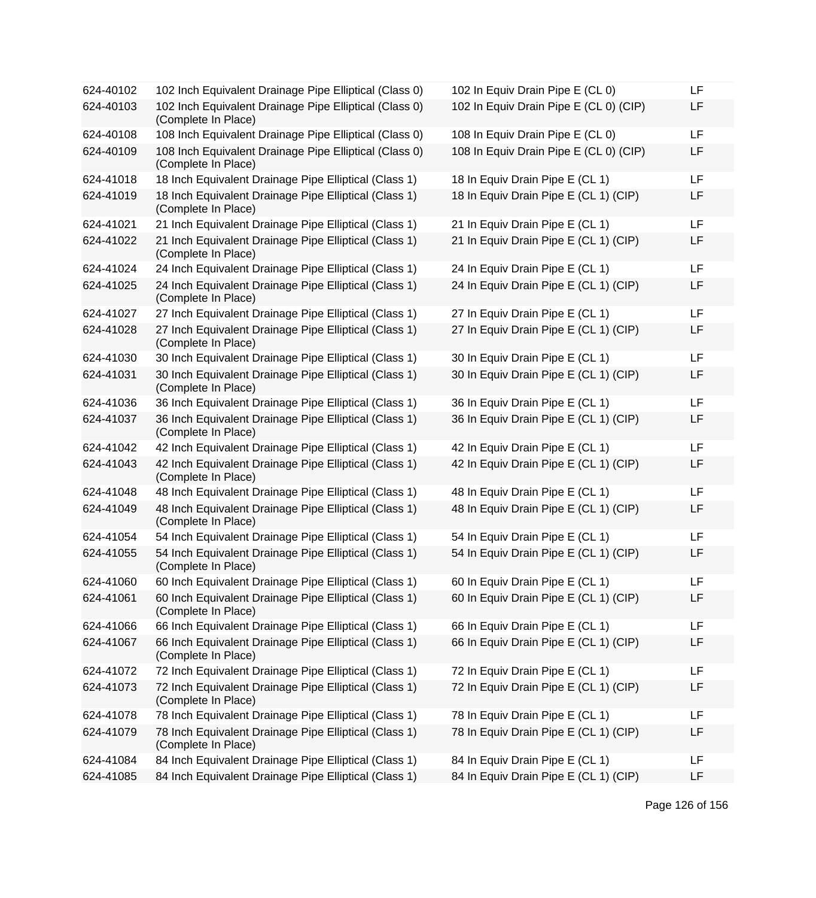| 624-40102 | 102 Inch Equivalent Drainage Pipe Elliptical (Class 0)                        | 102 In Equiv Drain Pipe E (CL 0)       | LF |
|-----------|-------------------------------------------------------------------------------|----------------------------------------|----|
| 624-40103 | 102 Inch Equivalent Drainage Pipe Elliptical (Class 0)<br>(Complete In Place) | 102 In Equiv Drain Pipe E (CL 0) (CIP) | LF |
| 624-40108 | 108 Inch Equivalent Drainage Pipe Elliptical (Class 0)                        | 108 In Equiv Drain Pipe E (CL 0)       | LF |
| 624-40109 | 108 Inch Equivalent Drainage Pipe Elliptical (Class 0)<br>(Complete In Place) | 108 In Equiv Drain Pipe E (CL 0) (CIP) | LF |
| 624-41018 | 18 Inch Equivalent Drainage Pipe Elliptical (Class 1)                         | 18 In Equiv Drain Pipe E (CL 1)        | LF |
| 624-41019 | 18 Inch Equivalent Drainage Pipe Elliptical (Class 1)<br>(Complete In Place)  | 18 In Equiv Drain Pipe E (CL 1) (CIP)  | LF |
| 624-41021 | 21 Inch Equivalent Drainage Pipe Elliptical (Class 1)                         | 21 In Equiv Drain Pipe E (CL 1)        | LF |
| 624-41022 | 21 Inch Equivalent Drainage Pipe Elliptical (Class 1)<br>(Complete In Place)  | 21 In Equiv Drain Pipe E (CL 1) (CIP)  | LF |
| 624-41024 | 24 Inch Equivalent Drainage Pipe Elliptical (Class 1)                         | 24 In Equiv Drain Pipe E (CL 1)        | LF |
| 624-41025 | 24 Inch Equivalent Drainage Pipe Elliptical (Class 1)<br>(Complete In Place)  | 24 In Equiv Drain Pipe E (CL 1) (CIP)  | LF |
| 624-41027 | 27 Inch Equivalent Drainage Pipe Elliptical (Class 1)                         | 27 In Equiv Drain Pipe E (CL 1)        | LF |
| 624-41028 | 27 Inch Equivalent Drainage Pipe Elliptical (Class 1)<br>(Complete In Place)  | 27 In Equiv Drain Pipe E (CL 1) (CIP)  | LF |
| 624-41030 | 30 Inch Equivalent Drainage Pipe Elliptical (Class 1)                         | 30 In Equiv Drain Pipe E (CL 1)        | LF |
| 624-41031 | 30 Inch Equivalent Drainage Pipe Elliptical (Class 1)<br>(Complete In Place)  | 30 In Equiv Drain Pipe E (CL 1) (CIP)  | LF |
| 624-41036 | 36 Inch Equivalent Drainage Pipe Elliptical (Class 1)                         | 36 In Equiv Drain Pipe E (CL 1)        | LF |
| 624-41037 | 36 Inch Equivalent Drainage Pipe Elliptical (Class 1)<br>(Complete In Place)  | 36 In Equiv Drain Pipe E (CL 1) (CIP)  | LF |
| 624-41042 | 42 Inch Equivalent Drainage Pipe Elliptical (Class 1)                         | 42 In Equiv Drain Pipe E (CL 1)        | LF |
| 624-41043 | 42 Inch Equivalent Drainage Pipe Elliptical (Class 1)<br>(Complete In Place)  | 42 In Equiv Drain Pipe E (CL 1) (CIP)  | LF |
| 624-41048 | 48 Inch Equivalent Drainage Pipe Elliptical (Class 1)                         | 48 In Equiv Drain Pipe E (CL 1)        | LF |
| 624-41049 | 48 Inch Equivalent Drainage Pipe Elliptical (Class 1)<br>(Complete In Place)  | 48 In Equiv Drain Pipe E (CL 1) (CIP)  | LF |
| 624-41054 | 54 Inch Equivalent Drainage Pipe Elliptical (Class 1)                         | 54 In Equiv Drain Pipe E (CL 1)        | LF |
| 624-41055 | 54 Inch Equivalent Drainage Pipe Elliptical (Class 1)<br>(Complete In Place)  | 54 In Equiv Drain Pipe E (CL 1) (CIP)  | LF |
| 624-41060 | 60 Inch Equivalent Drainage Pipe Elliptical (Class 1)                         | 60 In Equiv Drain Pipe E (CL 1)        | LF |
| 624-41061 | 60 Inch Equivalent Drainage Pipe Elliptical (Class 1)<br>(Complete In Place)  | 60 In Equiv Drain Pipe E (CL 1) (CIP)  | LF |
| 624-41066 | 66 Inch Equivalent Drainage Pipe Elliptical (Class 1)                         | 66 In Equiv Drain Pipe E (CL 1)        | LF |
| 624-41067 | 66 Inch Equivalent Drainage Pipe Elliptical (Class 1)<br>(Complete In Place)  | 66 In Equiv Drain Pipe E (CL 1) (CIP)  | LF |
| 624-41072 | 72 Inch Equivalent Drainage Pipe Elliptical (Class 1)                         | 72 In Equiv Drain Pipe E (CL 1)        | LF |
| 624-41073 | 72 Inch Equivalent Drainage Pipe Elliptical (Class 1)<br>(Complete In Place)  | 72 In Equiv Drain Pipe E (CL 1) (CIP)  | LF |
| 624-41078 | 78 Inch Equivalent Drainage Pipe Elliptical (Class 1)                         | 78 In Equiv Drain Pipe E (CL 1)        | LF |
| 624-41079 | 78 Inch Equivalent Drainage Pipe Elliptical (Class 1)<br>(Complete In Place)  | 78 In Equiv Drain Pipe E (CL 1) (CIP)  | LF |
| 624-41084 | 84 Inch Equivalent Drainage Pipe Elliptical (Class 1)                         | 84 In Equiv Drain Pipe E (CL 1)        | LF |
| 624-41085 | 84 Inch Equivalent Drainage Pipe Elliptical (Class 1)                         | 84 In Equiv Drain Pipe E (CL 1) (CIP)  | LF |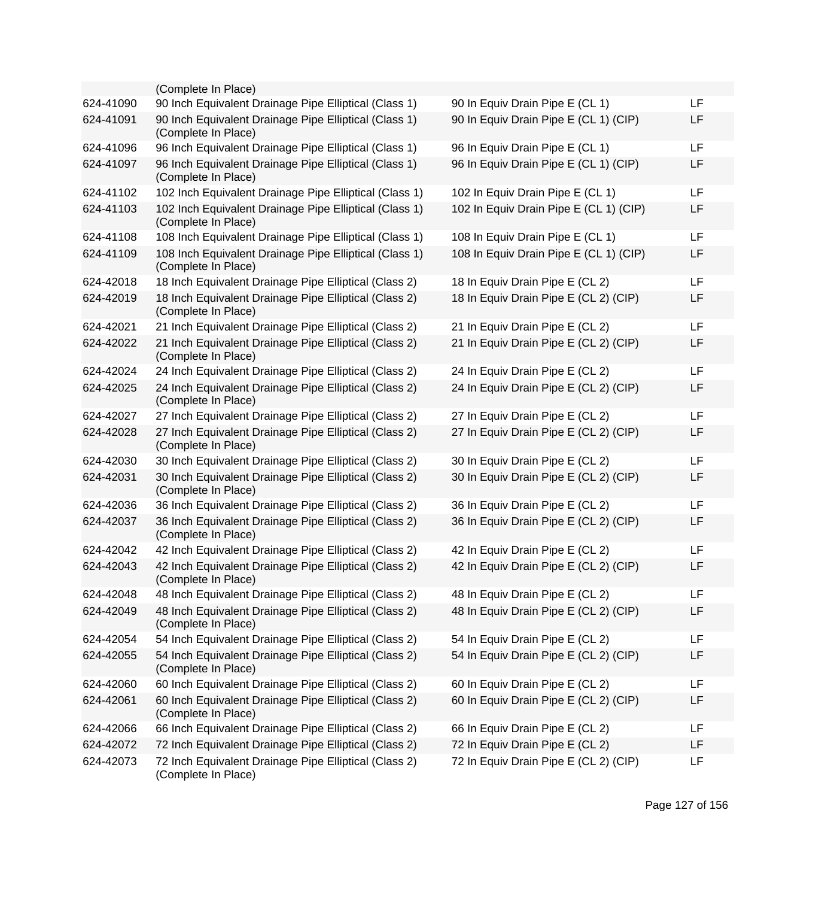|           | (Complete In Place)                                                           |                                        |    |
|-----------|-------------------------------------------------------------------------------|----------------------------------------|----|
| 624-41090 | 90 Inch Equivalent Drainage Pipe Elliptical (Class 1)                         | 90 In Equiv Drain Pipe E (CL 1)        | LF |
| 624-41091 | 90 Inch Equivalent Drainage Pipe Elliptical (Class 1)<br>(Complete In Place)  | 90 In Equiv Drain Pipe E (CL 1) (CIP)  | LF |
| 624-41096 | 96 Inch Equivalent Drainage Pipe Elliptical (Class 1)                         | 96 In Equiv Drain Pipe E (CL 1)        | LF |
| 624-41097 | 96 Inch Equivalent Drainage Pipe Elliptical (Class 1)<br>(Complete In Place)  | 96 In Equiv Drain Pipe E (CL 1) (CIP)  | LF |
| 624-41102 | 102 Inch Equivalent Drainage Pipe Elliptical (Class 1)                        | 102 In Equiv Drain Pipe E (CL 1)       | LF |
| 624-41103 | 102 Inch Equivalent Drainage Pipe Elliptical (Class 1)<br>(Complete In Place) | 102 In Equiv Drain Pipe E (CL 1) (CIP) | LF |
| 624-41108 | 108 Inch Equivalent Drainage Pipe Elliptical (Class 1)                        | 108 In Equiv Drain Pipe E (CL 1)       | LF |
| 624-41109 | 108 Inch Equivalent Drainage Pipe Elliptical (Class 1)<br>(Complete In Place) | 108 In Equiv Drain Pipe E (CL 1) (CIP) | LF |
| 624-42018 | 18 Inch Equivalent Drainage Pipe Elliptical (Class 2)                         | 18 In Equiv Drain Pipe E (CL 2)        | LF |
| 624-42019 | 18 Inch Equivalent Drainage Pipe Elliptical (Class 2)<br>(Complete In Place)  | 18 In Equiv Drain Pipe E (CL 2) (CIP)  | LF |
| 624-42021 | 21 Inch Equivalent Drainage Pipe Elliptical (Class 2)                         | 21 In Equiv Drain Pipe E (CL 2)        | LF |
| 624-42022 | 21 Inch Equivalent Drainage Pipe Elliptical (Class 2)<br>(Complete In Place)  | 21 In Equiv Drain Pipe E (CL 2) (CIP)  | LF |
| 624-42024 | 24 Inch Equivalent Drainage Pipe Elliptical (Class 2)                         | 24 In Equiv Drain Pipe E (CL 2)        | LF |
| 624-42025 | 24 Inch Equivalent Drainage Pipe Elliptical (Class 2)<br>(Complete In Place)  | 24 In Equiv Drain Pipe E (CL 2) (CIP)  | LF |
| 624-42027 | 27 Inch Equivalent Drainage Pipe Elliptical (Class 2)                         | 27 In Equiv Drain Pipe E (CL 2)        | LF |
| 624-42028 | 27 Inch Equivalent Drainage Pipe Elliptical (Class 2)<br>(Complete In Place)  | 27 In Equiv Drain Pipe E (CL 2) (CIP)  | LF |
| 624-42030 | 30 Inch Equivalent Drainage Pipe Elliptical (Class 2)                         | 30 In Equiv Drain Pipe E (CL 2)        | LF |
| 624-42031 | 30 Inch Equivalent Drainage Pipe Elliptical (Class 2)<br>(Complete In Place)  | 30 In Equiv Drain Pipe E (CL 2) (CIP)  | LF |
| 624-42036 | 36 Inch Equivalent Drainage Pipe Elliptical (Class 2)                         | 36 In Equiv Drain Pipe E (CL 2)        | LF |
| 624-42037 | 36 Inch Equivalent Drainage Pipe Elliptical (Class 2)<br>(Complete In Place)  | 36 In Equiv Drain Pipe E (CL 2) (CIP)  | LF |
| 624-42042 | 42 Inch Equivalent Drainage Pipe Elliptical (Class 2)                         | 42 In Equiv Drain Pipe E (CL 2)        | LF |
| 624-42043 | 42 Inch Equivalent Drainage Pipe Elliptical (Class 2)<br>(Complete In Place)  | 42 In Equiv Drain Pipe E (CL 2) (CIP)  | LF |
| 624-42048 | 48 Inch Equivalent Drainage Pipe Elliptical (Class 2)                         | 48 In Equiv Drain Pipe E (CL 2)        | LF |
| 624-42049 | 48 Inch Equivalent Drainage Pipe Elliptical (Class 2)<br>(Complete In Place)  | 48 In Equiv Drain Pipe E (CL 2) (CIP)  | LF |
| 624-42054 | 54 Inch Equivalent Drainage Pipe Elliptical (Class 2)                         | 54 In Equiv Drain Pipe E (CL 2)        | LF |
| 624-42055 | 54 Inch Equivalent Drainage Pipe Elliptical (Class 2)<br>(Complete In Place)  | 54 In Equiv Drain Pipe E (CL 2) (CIP)  | LF |
| 624-42060 | 60 Inch Equivalent Drainage Pipe Elliptical (Class 2)                         | 60 In Equiv Drain Pipe E (CL 2)        | LF |
| 624-42061 | 60 Inch Equivalent Drainage Pipe Elliptical (Class 2)<br>(Complete In Place)  | 60 In Equiv Drain Pipe E (CL 2) (CIP)  | LF |
| 624-42066 | 66 Inch Equivalent Drainage Pipe Elliptical (Class 2)                         | 66 In Equiv Drain Pipe E (CL 2)        | LF |
| 624-42072 | 72 Inch Equivalent Drainage Pipe Elliptical (Class 2)                         | 72 In Equiv Drain Pipe E (CL 2)        | LF |
| 624-42073 | 72 Inch Equivalent Drainage Pipe Elliptical (Class 2)<br>(Complete In Place)  | 72 In Equiv Drain Pipe E (CL 2) (CIP)  | LF |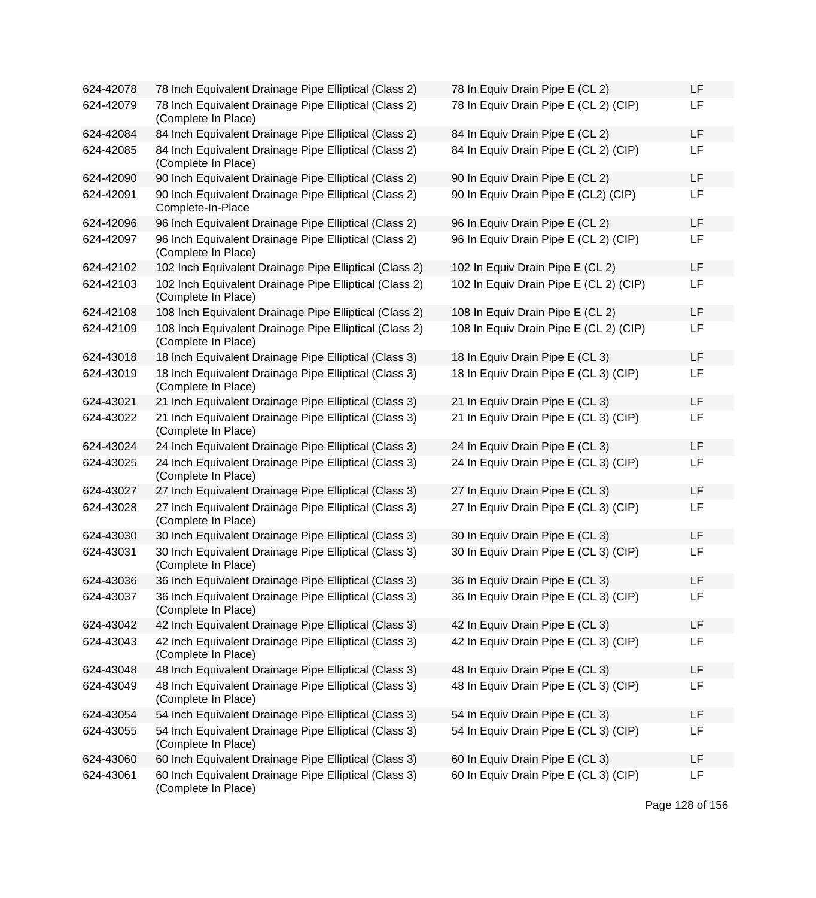| 624-42078 | 78 Inch Equivalent Drainage Pipe Elliptical (Class 2)                         | 78 In Equiv Drain Pipe E (CL 2)        | LF |
|-----------|-------------------------------------------------------------------------------|----------------------------------------|----|
| 624-42079 | 78 Inch Equivalent Drainage Pipe Elliptical (Class 2)<br>(Complete In Place)  | 78 In Equiv Drain Pipe E (CL 2) (CIP)  | LF |
| 624-42084 | 84 Inch Equivalent Drainage Pipe Elliptical (Class 2)                         | 84 In Equiv Drain Pipe E (CL 2)        | LF |
| 624-42085 | 84 Inch Equivalent Drainage Pipe Elliptical (Class 2)<br>(Complete In Place)  | 84 In Equiv Drain Pipe E (CL 2) (CIP)  | LF |
| 624-42090 | 90 Inch Equivalent Drainage Pipe Elliptical (Class 2)                         | 90 In Equiv Drain Pipe E (CL 2)        | LF |
| 624-42091 | 90 Inch Equivalent Drainage Pipe Elliptical (Class 2)<br>Complete-In-Place    | 90 In Equiv Drain Pipe E (CL2) (CIP)   | LF |
| 624-42096 | 96 Inch Equivalent Drainage Pipe Elliptical (Class 2)                         | 96 In Equiv Drain Pipe E (CL 2)        | LF |
| 624-42097 | 96 Inch Equivalent Drainage Pipe Elliptical (Class 2)<br>(Complete In Place)  | 96 In Equiv Drain Pipe E (CL 2) (CIP)  | LF |
| 624-42102 | 102 Inch Equivalent Drainage Pipe Elliptical (Class 2)                        | 102 In Equiv Drain Pipe E (CL 2)       | LF |
| 624-42103 | 102 Inch Equivalent Drainage Pipe Elliptical (Class 2)<br>(Complete In Place) | 102 In Equiv Drain Pipe E (CL 2) (CIP) | LF |
| 624-42108 | 108 Inch Equivalent Drainage Pipe Elliptical (Class 2)                        | 108 In Equiv Drain Pipe E (CL 2)       | LF |
| 624-42109 | 108 Inch Equivalent Drainage Pipe Elliptical (Class 2)<br>(Complete In Place) | 108 In Equiv Drain Pipe E (CL 2) (CIP) | LF |
| 624-43018 | 18 Inch Equivalent Drainage Pipe Elliptical (Class 3)                         | 18 In Equiv Drain Pipe E (CL 3)        | LF |
| 624-43019 | 18 Inch Equivalent Drainage Pipe Elliptical (Class 3)<br>(Complete In Place)  | 18 In Equiv Drain Pipe E (CL 3) (CIP)  | LF |
| 624-43021 | 21 Inch Equivalent Drainage Pipe Elliptical (Class 3)                         | 21 In Equiv Drain Pipe E (CL 3)        | LF |
| 624-43022 | 21 Inch Equivalent Drainage Pipe Elliptical (Class 3)<br>(Complete In Place)  | 21 In Equiv Drain Pipe E (CL 3) (CIP)  | LF |
| 624-43024 | 24 Inch Equivalent Drainage Pipe Elliptical (Class 3)                         | 24 In Equiv Drain Pipe E (CL 3)        | LF |
| 624-43025 | 24 Inch Equivalent Drainage Pipe Elliptical (Class 3)<br>(Complete In Place)  | 24 In Equiv Drain Pipe E (CL 3) (CIP)  | LF |
| 624-43027 | 27 Inch Equivalent Drainage Pipe Elliptical (Class 3)                         | 27 In Equiv Drain Pipe E (CL 3)        | LF |
| 624-43028 | 27 Inch Equivalent Drainage Pipe Elliptical (Class 3)<br>(Complete In Place)  | 27 In Equiv Drain Pipe E (CL 3) (CIP)  | LF |
| 624-43030 | 30 Inch Equivalent Drainage Pipe Elliptical (Class 3)                         | 30 In Equiv Drain Pipe E (CL 3)        | LF |
| 624-43031 | 30 Inch Equivalent Drainage Pipe Elliptical (Class 3)<br>(Complete In Place)  | 30 In Equiv Drain Pipe E (CL 3) (CIP)  | LF |
| 624-43036 | 36 Inch Equivalent Drainage Pipe Elliptical (Class 3)                         | 36 In Equiv Drain Pipe E (CL 3)        | LF |
| 624-43037 | 36 Inch Equivalent Drainage Pipe Elliptical (Class 3)<br>(Complete In Place)  | 36 In Equiv Drain Pipe E (CL 3) (CIP)  | LF |
| 624-43042 | 42 Inch Equivalent Drainage Pipe Elliptical (Class 3)                         | 42 In Equiv Drain Pipe E (CL 3)        | LF |
| 624-43043 | 42 Inch Equivalent Drainage Pipe Elliptical (Class 3)<br>(Complete In Place)  | 42 In Equiv Drain Pipe E (CL 3) (CIP)  | LF |
| 624-43048 | 48 Inch Equivalent Drainage Pipe Elliptical (Class 3)                         | 48 In Equiv Drain Pipe E (CL 3)        | LF |
| 624-43049 | 48 Inch Equivalent Drainage Pipe Elliptical (Class 3)<br>(Complete In Place)  | 48 In Equiv Drain Pipe E (CL 3) (CIP)  | LF |
| 624-43054 | 54 Inch Equivalent Drainage Pipe Elliptical (Class 3)                         | 54 In Equiv Drain Pipe E (CL 3)        | LF |
| 624-43055 | 54 Inch Equivalent Drainage Pipe Elliptical (Class 3)<br>(Complete In Place)  | 54 In Equiv Drain Pipe E (CL 3) (CIP)  | LF |
| 624-43060 | 60 Inch Equivalent Drainage Pipe Elliptical (Class 3)                         | 60 In Equiv Drain Pipe E (CL 3)        | LF |
| 624-43061 | 60 Inch Equivalent Drainage Pipe Elliptical (Class 3)<br>(Complete In Place)  | 60 In Equiv Drain Pipe E (CL 3) (CIP)  | LF |

| 78 In Equiv Drain Pipe E (CL 2)        | LF |
|----------------------------------------|----|
| 78 In Equiv Drain Pipe E (CL 2) (CIP)  | LF |
| 84 In Equiv Drain Pipe E (CL 2)        | LF |
| 84 In Equiv Drain Pipe E (CL 2) (CIP)  | LF |
| 90 In Equiv Drain Pipe E (CL 2)        | LF |
| 90 In Equiv Drain Pipe E (CL2) (CIP)   | LF |
| 96 In Equiv Drain Pipe E (CL 2)        | LF |
| 96 In Equiv Drain Pipe E (CL 2) (CIP)  | LF |
| 102 In Equiv Drain Pipe E (CL 2)       | LF |
| 102 In Equiv Drain Pipe E (CL 2) (CIP) | LF |
| 108 In Equiv Drain Pipe E (CL 2)       | LF |
| 108 In Equiv Drain Pipe E (CL 2) (CIP) | LF |
| 18 In Equiv Drain Pipe E (CL 3)        | LF |
| 18 In Equiv Drain Pipe E (CL 3) (CIP)  | LF |
| 21 In Equiv Drain Pipe E (CL 3)        | LF |
| 21 In Equiv Drain Pipe E (CL 3) (CIP)  | LF |
| 24 In Equiv Drain Pipe E (CL 3)        | LF |
| 24 In Equiv Drain Pipe E (CL 3) (CIP)  | LF |
| 27 In Equiv Drain Pipe E (CL 3)        | LF |
| 27 In Equiv Drain Pipe E (CL 3) (CIP)  | LF |
| 30 In Equiv Drain Pipe E (CL 3)        | LF |
| 30 In Equiv Drain Pipe E (CL 3) (CIP)  | LF |
| 36 In Equiv Drain Pipe E (CL 3)        | LF |
| 36 In Equiv Drain Pipe E (CL 3) (CIP)  | LF |
| 42 In Equiv Drain Pipe E (CL 3)        | LF |
| 42 In Equiv Drain Pipe E (CL 3) (CIP)  | LF |
| 48 In Equiv Drain Pipe E (CL 3)        | LF |
| 48 In Equiv Drain Pipe E (CL 3) (CIP)  | LF |
| 54 In Equiv Drain Pipe E (CL 3)        | LF |
| 54 In Equiv Drain Pipe E (CL 3) (CIP)  | LF |
| 60 In Equiv Drain Pipe E (CL 3)        | LF |
| 60 In Equiv Drain Pipe E (CL 3) (CIP)  | LF |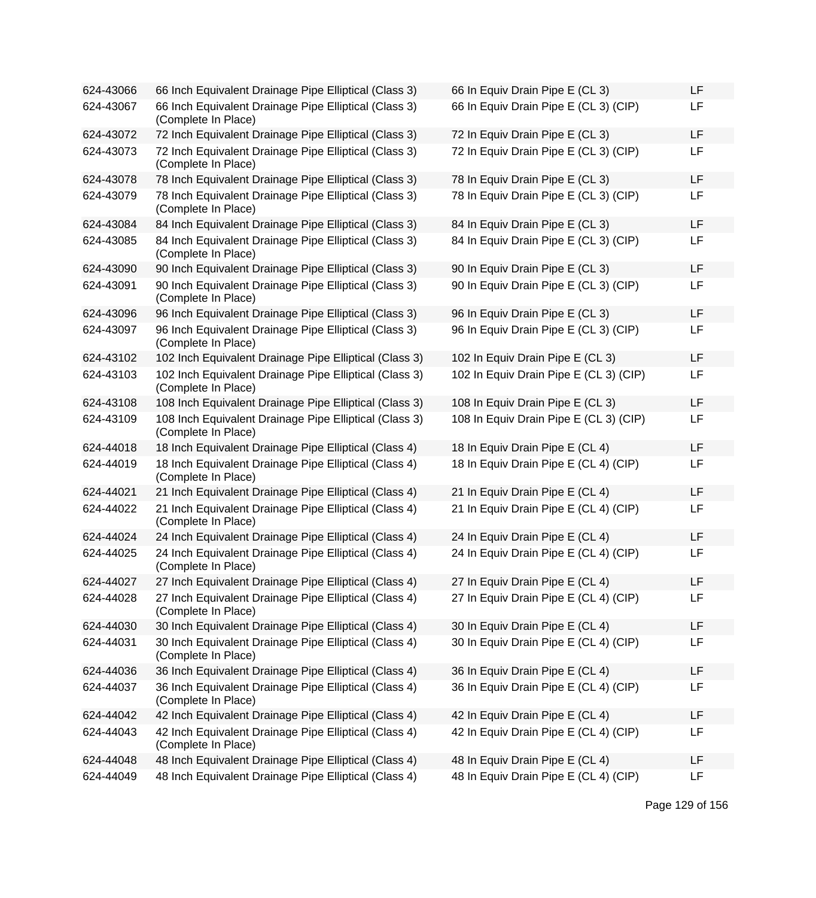| 624-43066 | 66 Inch Equivalent Drainage Pipe Elliptical (Class 3)                         | 66 In Equiv Drain Pipe E (CL 3)        | LF |
|-----------|-------------------------------------------------------------------------------|----------------------------------------|----|
| 624-43067 | 66 Inch Equivalent Drainage Pipe Elliptical (Class 3)<br>(Complete In Place)  | 66 In Equiv Drain Pipe E (CL 3) (CIP)  | LF |
| 624-43072 | 72 Inch Equivalent Drainage Pipe Elliptical (Class 3)                         | 72 In Equiv Drain Pipe E (CL 3)        | LF |
| 624-43073 | 72 Inch Equivalent Drainage Pipe Elliptical (Class 3)<br>(Complete In Place)  | 72 In Equiv Drain Pipe E (CL 3) (CIP)  | LF |
| 624-43078 | 78 Inch Equivalent Drainage Pipe Elliptical (Class 3)                         | 78 In Equiv Drain Pipe E (CL 3)        | LF |
| 624-43079 | 78 Inch Equivalent Drainage Pipe Elliptical (Class 3)<br>(Complete In Place)  | 78 In Equiv Drain Pipe E (CL 3) (CIP)  | LF |
| 624-43084 | 84 Inch Equivalent Drainage Pipe Elliptical (Class 3)                         | 84 In Equiv Drain Pipe E (CL 3)        | LF |
| 624-43085 | 84 Inch Equivalent Drainage Pipe Elliptical (Class 3)<br>(Complete In Place)  | 84 In Equiv Drain Pipe E (CL 3) (CIP)  | LF |
| 624-43090 | 90 Inch Equivalent Drainage Pipe Elliptical (Class 3)                         | 90 In Equiv Drain Pipe E (CL 3)        | LF |
| 624-43091 | 90 Inch Equivalent Drainage Pipe Elliptical (Class 3)<br>(Complete In Place)  | 90 In Equiv Drain Pipe E (CL 3) (CIP)  | LF |
| 624-43096 | 96 Inch Equivalent Drainage Pipe Elliptical (Class 3)                         | 96 In Equiv Drain Pipe E (CL 3)        | LF |
| 624-43097 | 96 Inch Equivalent Drainage Pipe Elliptical (Class 3)<br>(Complete In Place)  | 96 In Equiv Drain Pipe E (CL 3) (CIP)  | LF |
| 624-43102 | 102 Inch Equivalent Drainage Pipe Elliptical (Class 3)                        | 102 In Equiv Drain Pipe E (CL 3)       | LF |
| 624-43103 | 102 Inch Equivalent Drainage Pipe Elliptical (Class 3)<br>(Complete In Place) | 102 In Equiv Drain Pipe E (CL 3) (CIP) | LF |
| 624-43108 | 108 Inch Equivalent Drainage Pipe Elliptical (Class 3)                        | 108 In Equiv Drain Pipe E (CL 3)       | LF |
| 624-43109 | 108 Inch Equivalent Drainage Pipe Elliptical (Class 3)<br>(Complete In Place) | 108 In Equiv Drain Pipe E (CL 3) (CIP) | LF |
| 624-44018 | 18 Inch Equivalent Drainage Pipe Elliptical (Class 4)                         | 18 In Equiv Drain Pipe E (CL 4)        | LF |
| 624-44019 | 18 Inch Equivalent Drainage Pipe Elliptical (Class 4)<br>(Complete In Place)  | 18 In Equiv Drain Pipe E (CL 4) (CIP)  | LF |
| 624-44021 | 21 Inch Equivalent Drainage Pipe Elliptical (Class 4)                         | 21 In Equiv Drain Pipe E (CL 4)        | LF |
| 624-44022 | 21 Inch Equivalent Drainage Pipe Elliptical (Class 4)<br>(Complete In Place)  | 21 In Equiv Drain Pipe E (CL 4) (CIP)  | LF |
| 624-44024 | 24 Inch Equivalent Drainage Pipe Elliptical (Class 4)                         | 24 In Equiv Drain Pipe E (CL 4)        | LF |
| 624-44025 | 24 Inch Equivalent Drainage Pipe Elliptical (Class 4)<br>(Complete In Place)  | 24 In Equiv Drain Pipe E (CL 4) (CIP)  | LF |
| 624-44027 | 27 Inch Equivalent Drainage Pipe Elliptical (Class 4)                         | 27 In Equiv Drain Pipe E (CL 4)        | LF |
| 624-44028 | 27 Inch Equivalent Drainage Pipe Elliptical (Class 4)<br>(Complete In Place)  | 27 In Equiv Drain Pipe E (CL 4) (CIP)  | LF |
| 624-44030 | 30 Inch Equivalent Drainage Pipe Elliptical (Class 4)                         | 30 In Equiv Drain Pipe E (CL 4)        | LF |
| 624-44031 | 30 Inch Equivalent Drainage Pipe Elliptical (Class 4)<br>(Complete In Place)  | 30 In Equiv Drain Pipe E (CL 4) (CIP)  | LF |
| 624-44036 | 36 Inch Equivalent Drainage Pipe Elliptical (Class 4)                         | 36 In Equiv Drain Pipe E (CL 4)        | LF |
| 624-44037 | 36 Inch Equivalent Drainage Pipe Elliptical (Class 4)<br>(Complete In Place)  | 36 In Equiv Drain Pipe E (CL 4) (CIP)  | LF |
| 624-44042 | 42 Inch Equivalent Drainage Pipe Elliptical (Class 4)                         | 42 In Equiv Drain Pipe E (CL 4)        | LF |
| 624-44043 | 42 Inch Equivalent Drainage Pipe Elliptical (Class 4)<br>(Complete In Place)  | 42 In Equiv Drain Pipe E (CL 4) (CIP)  | LF |
| 624-44048 | 48 Inch Equivalent Drainage Pipe Elliptical (Class 4)                         | 48 In Equiv Drain Pipe E (CL 4)        | LF |
| 624-44049 | 48 Inch Equivalent Drainage Pipe Elliptical (Class 4)                         | 48 In Equiv Drain Pipe E (CL 4) (CIP)  | LF |

| 66 In Equiv Drain Pipe E (CL 3)        | LF |
|----------------------------------------|----|
| 66 In Equiv Drain Pipe E (CL 3) (CIP)  | LF |
| 72 In Equiv Drain Pipe E (CL 3)        | LF |
| 72 In Equiv Drain Pipe E (CL 3) (CIP)  | LF |
| 78 In Equiv Drain Pipe E (CL 3)        | LF |
| 78 In Equiv Drain Pipe E (CL 3) (CIP)  | LF |
| 84 In Equiv Drain Pipe E (CL 3)        | LF |
| 84 In Equiv Drain Pipe E (CL 3) (CIP)  | LF |
| 90 In Equiv Drain Pipe E (CL 3)        | LF |
| 90 In Equiv Drain Pipe E (CL 3) (CIP)  | LF |
| 96 In Equiv Drain Pipe E (CL 3)        | LF |
| 96 In Equiv Drain Pipe E (CL 3) (CIP)  | LF |
| 102 In Equiv Drain Pipe E (CL 3)       | LF |
| 102 In Equiv Drain Pipe E (CL 3) (CIP) | LF |
| 108 In Equiv Drain Pipe E (CL 3)       | LF |
| 108 In Equiv Drain Pipe E (CL 3) (CIP) | LF |
| 18 In Equiv Drain Pipe E (CL 4)        | LF |
| 18 In Equiv Drain Pipe E (CL 4) (CIP)  | LF |
| 21 In Equiv Drain Pipe E (CL 4)        | LF |
| 21 In Equiv Drain Pipe E (CL 4) (CIP)  | LF |
| 24 In Equiv Drain Pipe E (CL 4)        | LF |
| 24 In Equiv Drain Pipe E (CL 4) (CIP)  | LF |
| 27 In Equiv Drain Pipe E (CL 4)        | LF |
| 27 In Equiv Drain Pipe E (CL 4) (CIP)  | LF |
| 30 In Equiv Drain Pipe E (CL 4)        | LF |
| 30 In Equiv Drain Pipe E (CL 4) (CIP)  | LF |
| 36 In Equiv Drain Pipe E (CL 4)        | LF |
| 36 In Equiv Drain Pipe E (CL 4) (CIP)  | LF |
| 42 In Equiv Drain Pipe E (CL 4)        | LF |
| 42 In Equiv Drain Pipe E (CL 4) (CIP)  | LF |
| 48 In Equiv Drain Pipe E (CL 4)        | LF |
| 48 In Equiv Drain Pipe E (CL 4) (CIP)  | LF |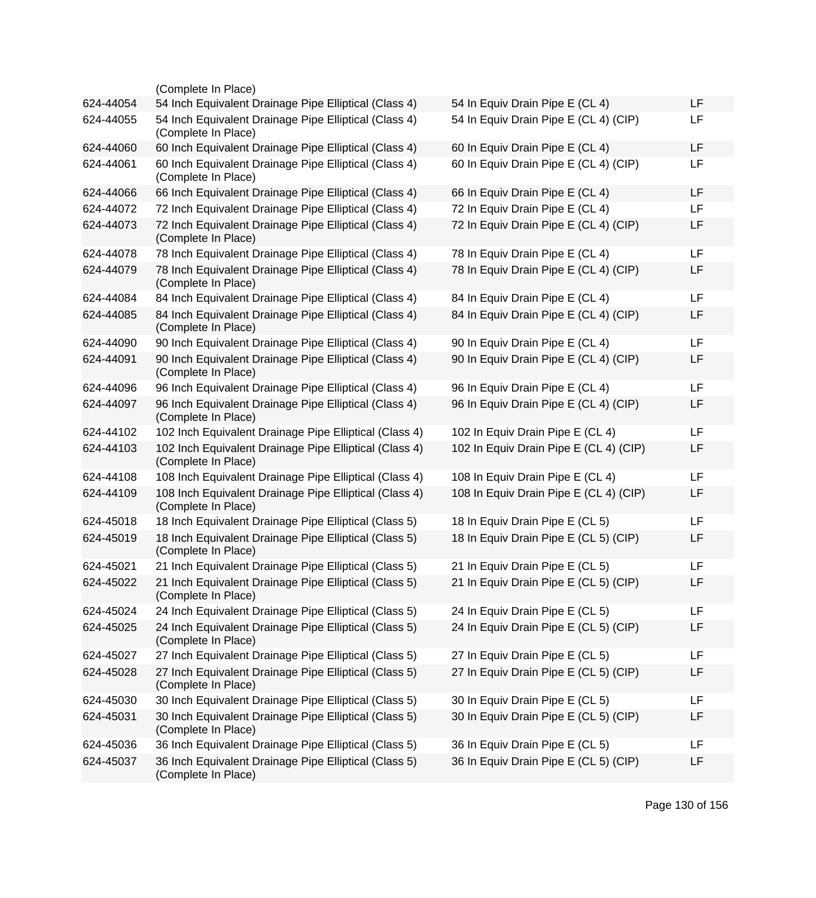|           | (Complete In Place)                                                           |                                        |    |
|-----------|-------------------------------------------------------------------------------|----------------------------------------|----|
| 624-44054 | 54 Inch Equivalent Drainage Pipe Elliptical (Class 4)                         | 54 In Equiv Drain Pipe E (CL 4)        | LF |
| 624-44055 | 54 Inch Equivalent Drainage Pipe Elliptical (Class 4)<br>(Complete In Place)  | 54 In Equiv Drain Pipe E (CL 4) (CIP)  | LF |
| 624-44060 | 60 Inch Equivalent Drainage Pipe Elliptical (Class 4)                         | 60 In Equiv Drain Pipe E (CL 4)        | LF |
| 624-44061 | 60 Inch Equivalent Drainage Pipe Elliptical (Class 4)<br>(Complete In Place)  | 60 In Equiv Drain Pipe E (CL 4) (CIP)  | LF |
| 624-44066 | 66 Inch Equivalent Drainage Pipe Elliptical (Class 4)                         | 66 In Equiv Drain Pipe E (CL 4)        | LF |
| 624-44072 | 72 Inch Equivalent Drainage Pipe Elliptical (Class 4)                         | 72 In Equiv Drain Pipe E (CL 4)        | LF |
| 624-44073 | 72 Inch Equivalent Drainage Pipe Elliptical (Class 4)<br>(Complete In Place)  | 72 In Equiv Drain Pipe E (CL 4) (CIP)  | LF |
| 624-44078 | 78 Inch Equivalent Drainage Pipe Elliptical (Class 4)                         | 78 In Equiv Drain Pipe E (CL 4)        | LF |
| 624-44079 | 78 Inch Equivalent Drainage Pipe Elliptical (Class 4)<br>(Complete In Place)  | 78 In Equiv Drain Pipe E (CL 4) (CIP)  | LF |
| 624-44084 | 84 Inch Equivalent Drainage Pipe Elliptical (Class 4)                         | 84 In Equiv Drain Pipe E (CL 4)        | LF |
| 624-44085 | 84 Inch Equivalent Drainage Pipe Elliptical (Class 4)<br>(Complete In Place)  | 84 In Equiv Drain Pipe E (CL 4) (CIP)  | LF |
| 624-44090 | 90 Inch Equivalent Drainage Pipe Elliptical (Class 4)                         | 90 In Equiv Drain Pipe E (CL 4)        | LF |
| 624-44091 | 90 Inch Equivalent Drainage Pipe Elliptical (Class 4)<br>(Complete In Place)  | 90 In Equiv Drain Pipe E (CL 4) (CIP)  | LF |
| 624-44096 | 96 Inch Equivalent Drainage Pipe Elliptical (Class 4)                         | 96 In Equiv Drain Pipe E (CL 4)        | LF |
| 624-44097 | 96 Inch Equivalent Drainage Pipe Elliptical (Class 4)<br>(Complete In Place)  | 96 In Equiv Drain Pipe E (CL 4) (CIP)  | LF |
| 624-44102 | 102 Inch Equivalent Drainage Pipe Elliptical (Class 4)                        | 102 In Equiv Drain Pipe E (CL 4)       | LF |
| 624-44103 | 102 Inch Equivalent Drainage Pipe Elliptical (Class 4)<br>(Complete In Place) | 102 In Equiv Drain Pipe E (CL 4) (CIP) | LF |
| 624-44108 | 108 Inch Equivalent Drainage Pipe Elliptical (Class 4)                        | 108 In Equiv Drain Pipe E (CL 4)       | LF |
| 624-44109 | 108 Inch Equivalent Drainage Pipe Elliptical (Class 4)<br>(Complete In Place) | 108 In Equiv Drain Pipe E (CL 4) (CIP) | LF |
| 624-45018 | 18 Inch Equivalent Drainage Pipe Elliptical (Class 5)                         | 18 In Equiv Drain Pipe E (CL 5)        | LF |
| 624-45019 | 18 Inch Equivalent Drainage Pipe Elliptical (Class 5)<br>(Complete In Place)  | 18 In Equiv Drain Pipe E (CL 5) (CIP)  | LF |
| 624-45021 | 21 Inch Equivalent Drainage Pipe Elliptical (Class 5)                         | 21 In Equiv Drain Pipe E (CL 5)        | LF |
| 624-45022 | 21 Inch Equivalent Drainage Pipe Elliptical (Class 5)<br>(Complete In Place)  | 21 In Equiv Drain Pipe E (CL 5) (CIP)  | LF |
| 624-45024 | 24 Inch Equivalent Drainage Pipe Elliptical (Class 5)                         | 24 In Equiv Drain Pipe E (CL 5)        | LF |
| 624-45025 | 24 Inch Equivalent Drainage Pipe Elliptical (Class 5)<br>(Complete In Place)  | 24 In Equiv Drain Pipe E (CL 5) (CIP)  | LF |
| 624-45027 | 27 Inch Equivalent Drainage Pipe Elliptical (Class 5)                         | 27 In Equiv Drain Pipe E (CL 5)        | LF |
| 624-45028 | 27 Inch Equivalent Drainage Pipe Elliptical (Class 5)<br>(Complete In Place)  | 27 In Equiv Drain Pipe E (CL 5) (CIP)  | LF |
| 624-45030 | 30 Inch Equivalent Drainage Pipe Elliptical (Class 5)                         | 30 In Equiv Drain Pipe E (CL 5)        | LF |
| 624-45031 | 30 Inch Equivalent Drainage Pipe Elliptical (Class 5)<br>(Complete In Place)  | 30 In Equiv Drain Pipe E (CL 5) (CIP)  | LF |
| 624-45036 | 36 Inch Equivalent Drainage Pipe Elliptical (Class 5)                         | 36 In Equiv Drain Pipe E (CL 5)        | LF |
| 624-45037 | 36 Inch Equivalent Drainage Pipe Elliptical (Class 5)<br>(Complete In Place)  | 36 In Equiv Drain Pipe E (CL 5) (CIP)  | LF |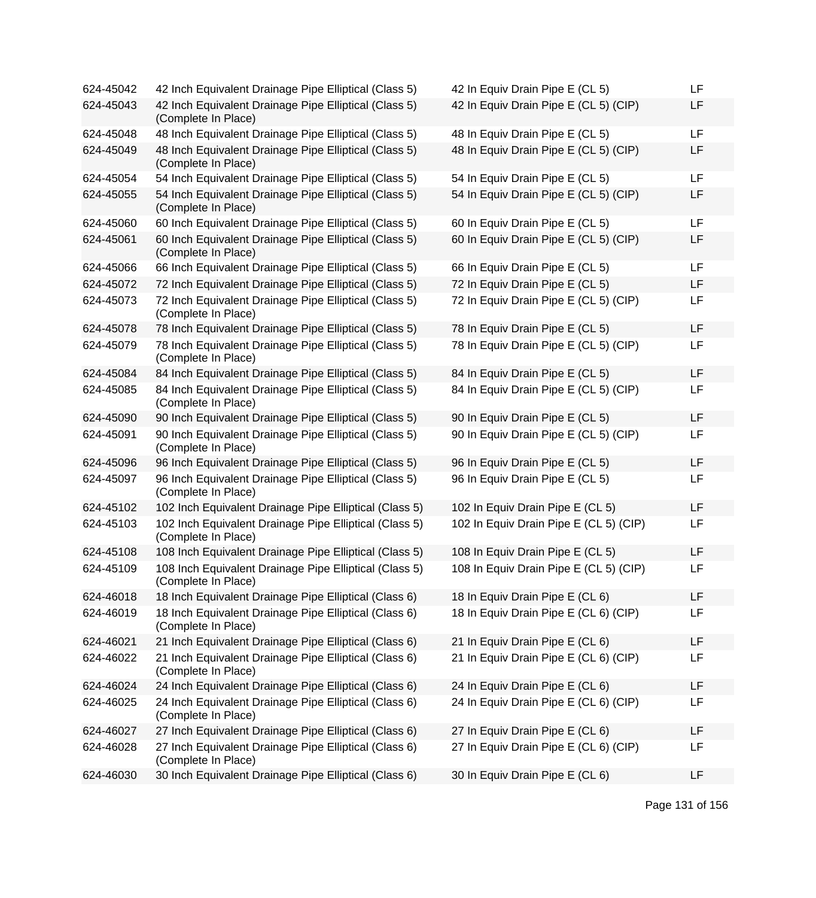| 624-45042 | 42 Inch Equivalent Drainage Pipe Elliptical (Class 5)                         | 42 In Equiv Drain Pipe E (CL 5)        | LF |
|-----------|-------------------------------------------------------------------------------|----------------------------------------|----|
| 624-45043 | 42 Inch Equivalent Drainage Pipe Elliptical (Class 5)<br>(Complete In Place)  | 42 In Equiv Drain Pipe E (CL 5) (CIP)  | LF |
| 624-45048 | 48 Inch Equivalent Drainage Pipe Elliptical (Class 5)                         | 48 In Equiv Drain Pipe E (CL 5)        | LF |
| 624-45049 | 48 Inch Equivalent Drainage Pipe Elliptical (Class 5)<br>(Complete In Place)  | 48 In Equiv Drain Pipe E (CL 5) (CIP)  | LF |
| 624-45054 | 54 Inch Equivalent Drainage Pipe Elliptical (Class 5)                         | 54 In Equiv Drain Pipe E (CL 5)        | LF |
| 624-45055 | 54 Inch Equivalent Drainage Pipe Elliptical (Class 5)<br>(Complete In Place)  | 54 In Equiv Drain Pipe E (CL 5) (CIP)  | LF |
| 624-45060 | 60 Inch Equivalent Drainage Pipe Elliptical (Class 5)                         | 60 In Equiv Drain Pipe E (CL 5)        | LF |
| 624-45061 | 60 Inch Equivalent Drainage Pipe Elliptical (Class 5)<br>(Complete In Place)  | 60 In Equiv Drain Pipe E (CL 5) (CIP)  | LF |
| 624-45066 | 66 Inch Equivalent Drainage Pipe Elliptical (Class 5)                         | 66 In Equiv Drain Pipe E (CL 5)        | LF |
| 624-45072 | 72 Inch Equivalent Drainage Pipe Elliptical (Class 5)                         | 72 In Equiv Drain Pipe E (CL 5)        | LF |
| 624-45073 | 72 Inch Equivalent Drainage Pipe Elliptical (Class 5)<br>(Complete In Place)  | 72 In Equiv Drain Pipe E (CL 5) (CIP)  | LF |
| 624-45078 | 78 Inch Equivalent Drainage Pipe Elliptical (Class 5)                         | 78 In Equiv Drain Pipe E (CL 5)        | LF |
| 624-45079 | 78 Inch Equivalent Drainage Pipe Elliptical (Class 5)<br>(Complete In Place)  | 78 In Equiv Drain Pipe E (CL 5) (CIP)  | LF |
| 624-45084 | 84 Inch Equivalent Drainage Pipe Elliptical (Class 5)                         | 84 In Equiv Drain Pipe E (CL 5)        | LF |
| 624-45085 | 84 Inch Equivalent Drainage Pipe Elliptical (Class 5)<br>(Complete In Place)  | 84 In Equiv Drain Pipe E (CL 5) (CIP)  | LF |
| 624-45090 | 90 Inch Equivalent Drainage Pipe Elliptical (Class 5)                         | 90 In Equiv Drain Pipe E (CL 5)        | LF |
| 624-45091 | 90 Inch Equivalent Drainage Pipe Elliptical (Class 5)<br>(Complete In Place)  | 90 In Equiv Drain Pipe E (CL 5) (CIP)  | LF |
| 624-45096 | 96 Inch Equivalent Drainage Pipe Elliptical (Class 5)                         | 96 In Equiv Drain Pipe E (CL 5)        | LF |
| 624-45097 | 96 Inch Equivalent Drainage Pipe Elliptical (Class 5)<br>(Complete In Place)  | 96 In Equiv Drain Pipe E (CL 5)        | LF |
| 624-45102 | 102 Inch Equivalent Drainage Pipe Elliptical (Class 5)                        | 102 In Equiv Drain Pipe E (CL 5)       | LF |
| 624-45103 | 102 Inch Equivalent Drainage Pipe Elliptical (Class 5)<br>(Complete In Place) | 102 In Equiv Drain Pipe E (CL 5) (CIP) | LF |
| 624-45108 | 108 Inch Equivalent Drainage Pipe Elliptical (Class 5)                        | 108 In Equiv Drain Pipe E (CL 5)       | LF |
| 624-45109 | 108 Inch Equivalent Drainage Pipe Elliptical (Class 5)<br>(Complete In Place) | 108 In Equiv Drain Pipe E (CL 5) (CIP) | LF |
| 624-46018 | 18 Inch Equivalent Drainage Pipe Elliptical (Class 6)                         | 18 In Equiv Drain Pipe E (CL 6)        | LF |
| 624-46019 | 18 Inch Equivalent Drainage Pipe Elliptical (Class 6)<br>(Complete In Place)  | 18 In Equiv Drain Pipe E (CL 6) (CIP)  | LF |
| 624-46021 | 21 Inch Equivalent Drainage Pipe Elliptical (Class 6)                         | 21 In Equiv Drain Pipe E (CL 6)        | LF |
| 624-46022 | 21 Inch Equivalent Drainage Pipe Elliptical (Class 6)<br>(Complete In Place)  | 21 In Equiv Drain Pipe E (CL 6) (CIP)  | LF |
| 624-46024 | 24 Inch Equivalent Drainage Pipe Elliptical (Class 6)                         | 24 In Equiv Drain Pipe E (CL 6)        | LF |
| 624-46025 | 24 Inch Equivalent Drainage Pipe Elliptical (Class 6)<br>(Complete In Place)  | 24 In Equiv Drain Pipe E (CL 6) (CIP)  | LF |
| 624-46027 | 27 Inch Equivalent Drainage Pipe Elliptical (Class 6)                         | 27 In Equiv Drain Pipe E (CL 6)        | LF |
| 624-46028 | 27 Inch Equivalent Drainage Pipe Elliptical (Class 6)<br>(Complete In Place)  | 27 In Equiv Drain Pipe E (CL 6) (CIP)  | LF |
| 624-46030 | 30 Inch Equivalent Drainage Pipe Elliptical (Class 6)                         | 30 In Equiv Drain Pipe E (CL 6)        | LF |

| 42 In Equiv Drain Pipe E (CL 5)        | LF |
|----------------------------------------|----|
| 42 In Equiv Drain Pipe E (CL 5) (CIP)  | LF |
| 48 In Equiv Drain Pipe E (CL 5)        | LF |
| 48 In Equiv Drain Pipe E (CL 5) (CIP)  | LF |
| 54 In Equiv Drain Pipe E (CL 5)        | LF |
| 54 In Equiv Drain Pipe E (CL 5) (CIP)  | LF |
| 60 In Equiv Drain Pipe E (CL 5)        | LF |
| 60 In Equiv Drain Pipe E (CL 5) (CIP)  | LF |
| 66 In Equiv Drain Pipe E (CL 5)        | LF |
| 72 In Equiv Drain Pipe E (CL 5)        | LF |
| 72 In Equiv Drain Pipe E (CL 5) (CIP)  | LF |
| 78 In Equiv Drain Pipe E (CL 5)        | LF |
| 78 In Equiv Drain Pipe E (CL 5) (CIP)  | LF |
| 84 In Equiv Drain Pipe E (CL 5)        | LF |
| 84 In Equiv Drain Pipe E (CL 5) (CIP)  | LF |
| 90 In Equiv Drain Pipe E (CL 5)        | LF |
| 90 In Equiv Drain Pipe E (CL 5) (CIP)  | LF |
| 96 In Equiv Drain Pipe E (CL 5)        | LF |
| 96 In Equiv Drain Pipe E (CL 5)        | LF |
| 102 In Equiv Drain Pipe E (CL 5)       | LF |
| 102 In Equiv Drain Pipe E (CL 5) (CIP) | LF |
| 108 In Equiv Drain Pipe E (CL 5)       | LF |
| 108 In Equiv Drain Pipe E (CL 5) (CIP) | LF |
| 18 In Equiv Drain Pipe E (CL 6)        | LF |
| 18 In Equiv Drain Pipe E (CL 6) (CIP)  | LF |
| 21 In Equiv Drain Pipe E (CL 6)        | LF |
| 21 In Equiv Drain Pipe E (CL 6) (CIP)  | LF |
| 24 In Equiv Drain Pipe E (CL 6)        | LF |
| 24 In Equiv Drain Pipe E (CL 6) (CIP)  | LF |
| 27 In Equiv Drain Pipe E (CL 6)        | LF |
| 27 In Equiv Drain Pipe E (CL 6) (CIP)  | LF |
| 30 In Equiv Drain Pipe E (CL 6)        | LF |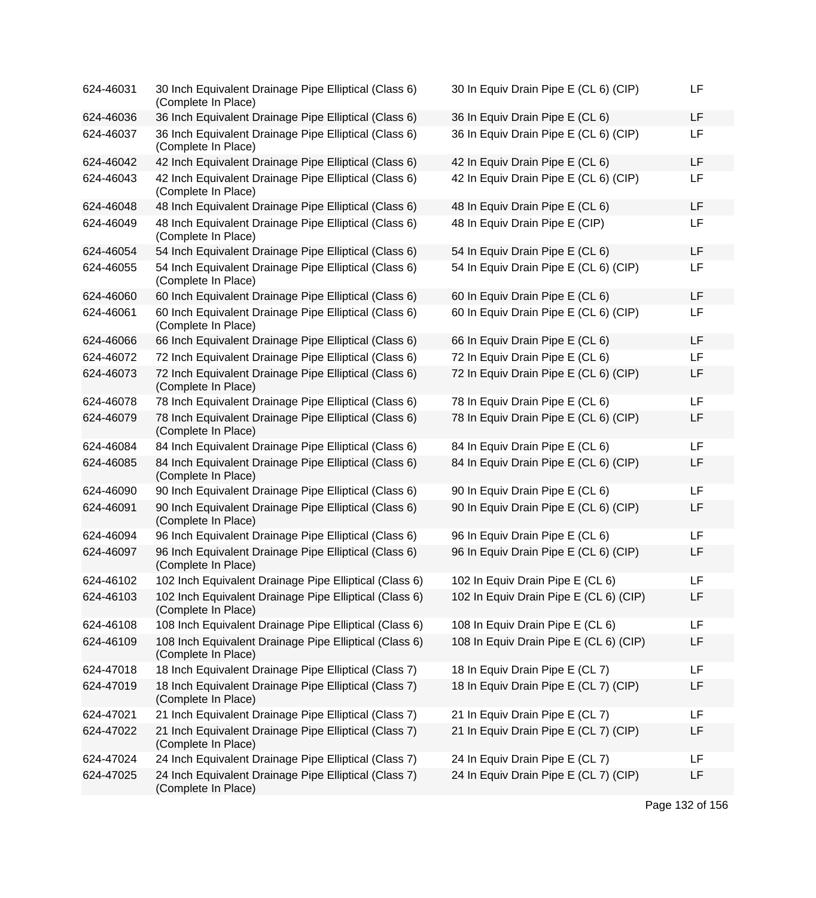| 624-46031 | 30 Inch Equivalent Drainage Pipe Elliptical (Class 6)<br>(Complete In Place)  | 30 In Equiv Drain Pipe E (CL 6) (CIP)  | LF        |
|-----------|-------------------------------------------------------------------------------|----------------------------------------|-----------|
| 624-46036 | 36 Inch Equivalent Drainage Pipe Elliptical (Class 6)                         | 36 In Equiv Drain Pipe E (CL 6)        | <b>LF</b> |
| 624-46037 | 36 Inch Equivalent Drainage Pipe Elliptical (Class 6)<br>(Complete In Place)  | 36 In Equiv Drain Pipe E (CL 6) (CIP)  | LF        |
| 624-46042 | 42 Inch Equivalent Drainage Pipe Elliptical (Class 6)                         | 42 In Equiv Drain Pipe E (CL 6)        | LF        |
| 624-46043 | 42 Inch Equivalent Drainage Pipe Elliptical (Class 6)<br>(Complete In Place)  | 42 In Equiv Drain Pipe E (CL 6) (CIP)  | <b>LF</b> |
| 624-46048 | 48 Inch Equivalent Drainage Pipe Elliptical (Class 6)                         | 48 In Equiv Drain Pipe E (CL 6)        | <b>LF</b> |
| 624-46049 | 48 Inch Equivalent Drainage Pipe Elliptical (Class 6)<br>(Complete In Place)  | 48 In Equiv Drain Pipe E (CIP)         | LF        |
| 624-46054 | 54 Inch Equivalent Drainage Pipe Elliptical (Class 6)                         | 54 In Equiv Drain Pipe E (CL 6)        | LF        |
| 624-46055 | 54 Inch Equivalent Drainage Pipe Elliptical (Class 6)<br>(Complete In Place)  | 54 In Equiv Drain Pipe E (CL 6) (CIP)  | LF        |
| 624-46060 | 60 Inch Equivalent Drainage Pipe Elliptical (Class 6)                         | 60 In Equiv Drain Pipe E (CL 6)        | <b>LF</b> |
| 624-46061 | 60 Inch Equivalent Drainage Pipe Elliptical (Class 6)<br>(Complete In Place)  | 60 In Equiv Drain Pipe E (CL 6) (CIP)  | LF        |
| 624-46066 | 66 Inch Equivalent Drainage Pipe Elliptical (Class 6)                         | 66 In Equiv Drain Pipe E (CL 6)        | LF        |
| 624-46072 | 72 Inch Equivalent Drainage Pipe Elliptical (Class 6)                         | 72 In Equiv Drain Pipe E (CL 6)        | LF        |
| 624-46073 | 72 Inch Equivalent Drainage Pipe Elliptical (Class 6)<br>(Complete In Place)  | 72 In Equiv Drain Pipe E (CL 6) (CIP)  | LF        |
| 624-46078 | 78 Inch Equivalent Drainage Pipe Elliptical (Class 6)                         | 78 In Equiv Drain Pipe E (CL 6)        | <b>LF</b> |
| 624-46079 | 78 Inch Equivalent Drainage Pipe Elliptical (Class 6)<br>(Complete In Place)  | 78 In Equiv Drain Pipe E (CL 6) (CIP)  | LF        |
| 624-46084 | 84 Inch Equivalent Drainage Pipe Elliptical (Class 6)                         | 84 In Equiv Drain Pipe E (CL 6)        | LF        |
| 624-46085 | 84 Inch Equivalent Drainage Pipe Elliptical (Class 6)<br>(Complete In Place)  | 84 In Equiv Drain Pipe E (CL 6) (CIP)  | LF        |
| 624-46090 | 90 Inch Equivalent Drainage Pipe Elliptical (Class 6)                         | 90 In Equiv Drain Pipe E (CL 6)        | LF        |
| 624-46091 | 90 Inch Equivalent Drainage Pipe Elliptical (Class 6)<br>(Complete In Place)  | 90 In Equiv Drain Pipe E (CL 6) (CIP)  | LF        |
| 624-46094 | 96 Inch Equivalent Drainage Pipe Elliptical (Class 6)                         | 96 In Equiv Drain Pipe E (CL 6)        | <b>LF</b> |
| 624-46097 | 96 Inch Equivalent Drainage Pipe Elliptical (Class 6)<br>(Complete In Place)  | 96 In Equiv Drain Pipe E (CL 6) (CIP)  | LF        |
| 624-46102 | 102 Inch Equivalent Drainage Pipe Elliptical (Class 6)                        | 102 In Equiv Drain Pipe E (CL 6)       | LF        |
| 624-46103 | 102 Inch Equivalent Drainage Pipe Elliptical (Class 6)<br>(Complete In Place) | 102 In Equiv Drain Pipe E (CL 6) (CIP) | LF        |
| 624-46108 | 108 Inch Equivalent Drainage Pipe Elliptical (Class 6)                        | 108 In Equiv Drain Pipe E (CL 6)       | LF        |
| 624-46109 | 108 Inch Equivalent Drainage Pipe Elliptical (Class 6)<br>(Complete In Place) | 108 In Equiv Drain Pipe E (CL 6) (CIP) | LF        |
| 624-47018 | 18 Inch Equivalent Drainage Pipe Elliptical (Class 7)                         | 18 In Equiv Drain Pipe E (CL 7)        | LF        |
| 624-47019 | 18 Inch Equivalent Drainage Pipe Elliptical (Class 7)<br>(Complete In Place)  | 18 In Equiv Drain Pipe E (CL 7) (CIP)  | LF        |
| 624-47021 | 21 Inch Equivalent Drainage Pipe Elliptical (Class 7)                         | 21 In Equiv Drain Pipe E (CL 7)        | LF        |
| 624-47022 | 21 Inch Equivalent Drainage Pipe Elliptical (Class 7)<br>(Complete In Place)  | 21 In Equiv Drain Pipe E (CL 7) (CIP)  | LF        |
| 624-47024 | 24 Inch Equivalent Drainage Pipe Elliptical (Class 7)                         | 24 In Equiv Drain Pipe E (CL 7)        | LF        |
| 624-47025 | 24 Inch Equivalent Drainage Pipe Elliptical (Class 7)<br>(Complete In Place)  | 24 In Equiv Drain Pipe E (CL 7) (CIP)  | LF        |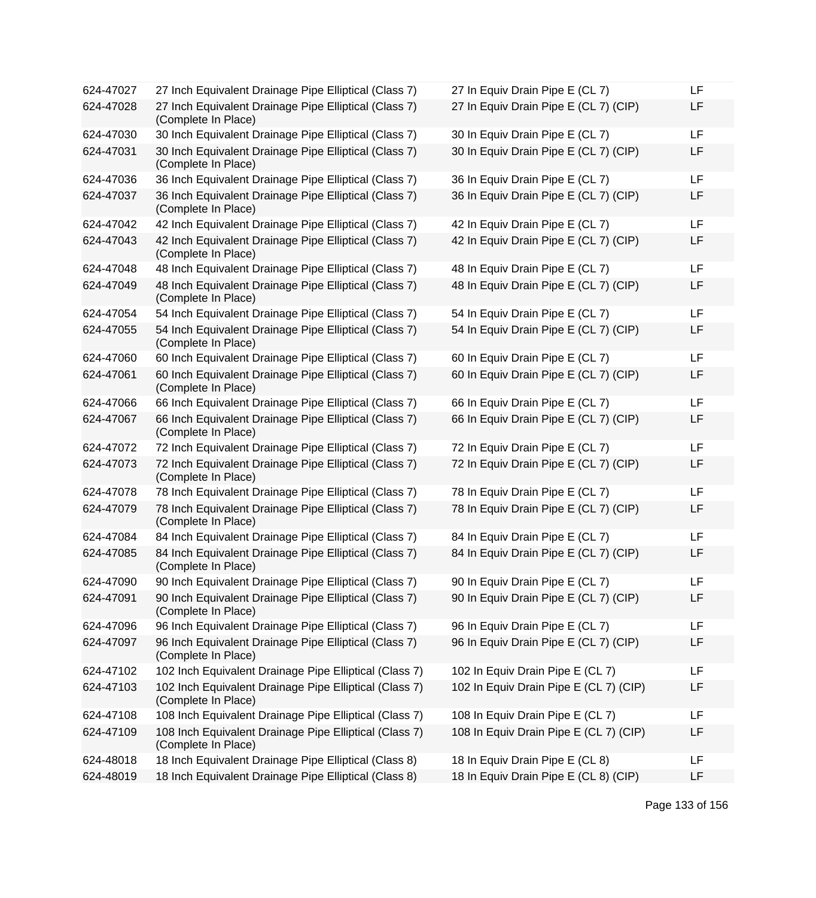| 624-47027 | 27 Inch Equivalent Drainage Pipe Elliptical (Class 7)                         | 27 In Equiv Drain Pipe E (CL 7)        | LF |
|-----------|-------------------------------------------------------------------------------|----------------------------------------|----|
| 624-47028 | 27 Inch Equivalent Drainage Pipe Elliptical (Class 7)<br>(Complete In Place)  | 27 In Equiv Drain Pipe E (CL 7) (CIP)  | LF |
| 624-47030 | 30 Inch Equivalent Drainage Pipe Elliptical (Class 7)                         | 30 In Equiv Drain Pipe E (CL 7)        | LF |
| 624-47031 | 30 Inch Equivalent Drainage Pipe Elliptical (Class 7)<br>(Complete In Place)  | 30 In Equiv Drain Pipe E (CL 7) (CIP)  | LF |
| 624-47036 | 36 Inch Equivalent Drainage Pipe Elliptical (Class 7)                         | 36 In Equiv Drain Pipe E (CL 7)        | LF |
| 624-47037 | 36 Inch Equivalent Drainage Pipe Elliptical (Class 7)<br>(Complete In Place)  | 36 In Equiv Drain Pipe E (CL 7) (CIP)  | LF |
| 624-47042 | 42 Inch Equivalent Drainage Pipe Elliptical (Class 7)                         | 42 In Equiv Drain Pipe E (CL 7)        | LF |
| 624-47043 | 42 Inch Equivalent Drainage Pipe Elliptical (Class 7)<br>(Complete In Place)  | 42 In Equiv Drain Pipe E (CL 7) (CIP)  | LF |
| 624-47048 | 48 Inch Equivalent Drainage Pipe Elliptical (Class 7)                         | 48 In Equiv Drain Pipe E (CL 7)        | LF |
| 624-47049 | 48 Inch Equivalent Drainage Pipe Elliptical (Class 7)<br>(Complete In Place)  | 48 In Equiv Drain Pipe E (CL 7) (CIP)  | LF |
| 624-47054 | 54 Inch Equivalent Drainage Pipe Elliptical (Class 7)                         | 54 In Equiv Drain Pipe E (CL 7)        | LF |
| 624-47055 | 54 Inch Equivalent Drainage Pipe Elliptical (Class 7)<br>(Complete In Place)  | 54 In Equiv Drain Pipe E (CL 7) (CIP)  | LF |
| 624-47060 | 60 Inch Equivalent Drainage Pipe Elliptical (Class 7)                         | 60 In Equiv Drain Pipe E (CL 7)        | LF |
| 624-47061 | 60 Inch Equivalent Drainage Pipe Elliptical (Class 7)<br>(Complete In Place)  | 60 In Equiv Drain Pipe E (CL 7) (CIP)  | LF |
| 624-47066 | 66 Inch Equivalent Drainage Pipe Elliptical (Class 7)                         | 66 In Equiv Drain Pipe E (CL 7)        | LF |
| 624-47067 | 66 Inch Equivalent Drainage Pipe Elliptical (Class 7)<br>(Complete In Place)  | 66 In Equiv Drain Pipe E (CL 7) (CIP)  | LF |
| 624-47072 | 72 Inch Equivalent Drainage Pipe Elliptical (Class 7)                         | 72 In Equiv Drain Pipe E (CL 7)        | LF |
| 624-47073 | 72 Inch Equivalent Drainage Pipe Elliptical (Class 7)<br>(Complete In Place)  | 72 In Equiv Drain Pipe E (CL 7) (CIP)  | LF |
| 624-47078 | 78 Inch Equivalent Drainage Pipe Elliptical (Class 7)                         | 78 In Equiv Drain Pipe E (CL 7)        | LF |
| 624-47079 | 78 Inch Equivalent Drainage Pipe Elliptical (Class 7)<br>(Complete In Place)  | 78 In Equiv Drain Pipe E (CL 7) (CIP)  | LF |
| 624-47084 | 84 Inch Equivalent Drainage Pipe Elliptical (Class 7)                         | 84 In Equiv Drain Pipe E (CL 7)        | LF |
| 624-47085 | 84 Inch Equivalent Drainage Pipe Elliptical (Class 7)<br>(Complete In Place)  | 84 In Equiv Drain Pipe E (CL 7) (CIP)  | LF |
| 624-47090 | 90 Inch Equivalent Drainage Pipe Elliptical (Class 7)                         | 90 In Equiv Drain Pipe E (CL 7)        | LF |
| 624-47091 | 90 Inch Equivalent Drainage Pipe Elliptical (Class 7)<br>(Complete In Place)  | 90 In Equiv Drain Pipe E (CL 7) (CIP)  | LF |
| 624-47096 | 96 Inch Equivalent Drainage Pipe Elliptical (Class 7)                         | 96 In Equiv Drain Pipe E (CL 7)        | LF |
| 624-47097 | 96 Inch Equivalent Drainage Pipe Elliptical (Class 7)<br>(Complete In Place)  | 96 In Equiv Drain Pipe E (CL 7) (CIP)  | LF |
| 624-47102 | 102 Inch Equivalent Drainage Pipe Elliptical (Class 7)                        | 102 In Equiv Drain Pipe E (CL 7)       | LF |
| 624-47103 | 102 Inch Equivalent Drainage Pipe Elliptical (Class 7)<br>(Complete In Place) | 102 In Equiv Drain Pipe E (CL 7) (CIP) | LF |
| 624-47108 | 108 Inch Equivalent Drainage Pipe Elliptical (Class 7)                        | 108 In Equiv Drain Pipe E (CL 7)       | LF |
| 624-47109 | 108 Inch Equivalent Drainage Pipe Elliptical (Class 7)<br>(Complete In Place) | 108 In Equiv Drain Pipe E (CL 7) (CIP) | LF |
| 624-48018 | 18 Inch Equivalent Drainage Pipe Elliptical (Class 8)                         | 18 In Equiv Drain Pipe E (CL 8)        | LF |
| 624-48019 | 18 Inch Equivalent Drainage Pipe Elliptical (Class 8)                         | 18 In Equiv Drain Pipe E (CL 8) (CIP)  | LF |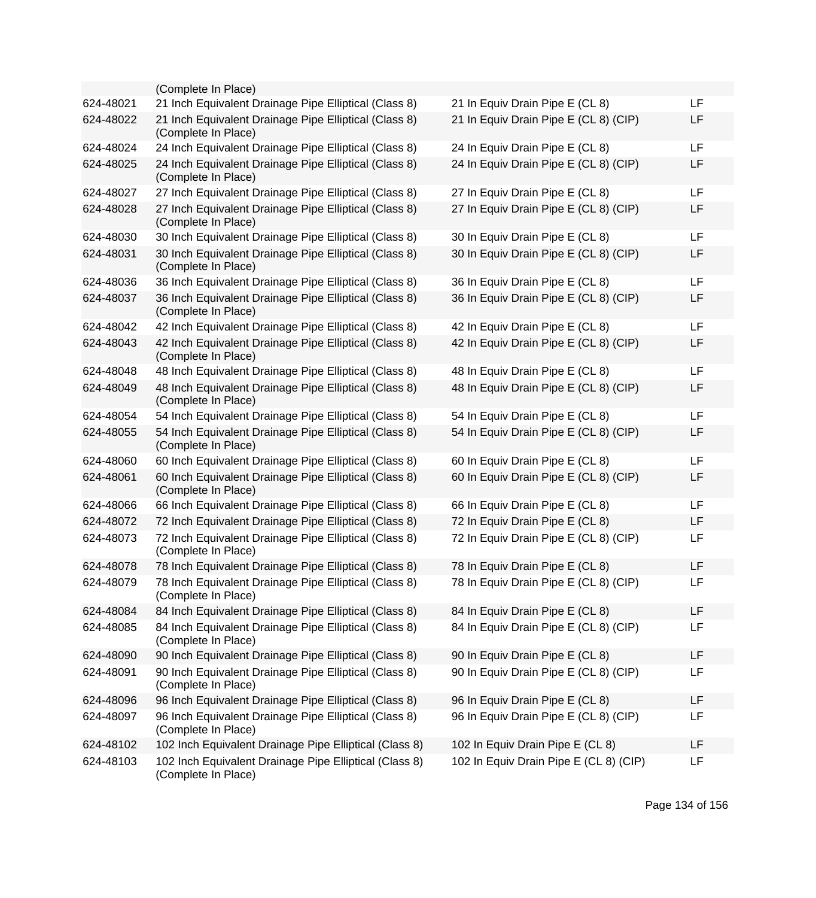|           | (Complete In Place)                                                           |                                        |     |
|-----------|-------------------------------------------------------------------------------|----------------------------------------|-----|
| 624-48021 | 21 Inch Equivalent Drainage Pipe Elliptical (Class 8)                         | 21 In Equiv Drain Pipe E (CL 8)        | LF  |
| 624-48022 | 21 Inch Equivalent Drainage Pipe Elliptical (Class 8)<br>(Complete In Place)  | 21 In Equiv Drain Pipe E (CL 8) (CIP)  | LF  |
| 624-48024 | 24 Inch Equivalent Drainage Pipe Elliptical (Class 8)                         | 24 In Equiv Drain Pipe E (CL 8)        | LF. |
| 624-48025 | 24 Inch Equivalent Drainage Pipe Elliptical (Class 8)<br>(Complete In Place)  | 24 In Equiv Drain Pipe E (CL 8) (CIP)  | LF  |
| 624-48027 | 27 Inch Equivalent Drainage Pipe Elliptical (Class 8)                         | 27 In Equiv Drain Pipe E (CL 8)        | LF  |
| 624-48028 | 27 Inch Equivalent Drainage Pipe Elliptical (Class 8)<br>(Complete In Place)  | 27 In Equiv Drain Pipe E (CL 8) (CIP)  | LF  |
| 624-48030 | 30 Inch Equivalent Drainage Pipe Elliptical (Class 8)                         | 30 In Equiv Drain Pipe E (CL 8)        | LF  |
| 624-48031 | 30 Inch Equivalent Drainage Pipe Elliptical (Class 8)<br>(Complete In Place)  | 30 In Equiv Drain Pipe E (CL 8) (CIP)  | LF  |
| 624-48036 | 36 Inch Equivalent Drainage Pipe Elliptical (Class 8)                         | 36 In Equiv Drain Pipe E (CL 8)        | LF  |
| 624-48037 | 36 Inch Equivalent Drainage Pipe Elliptical (Class 8)<br>(Complete In Place)  | 36 In Equiv Drain Pipe E (CL 8) (CIP)  | LF  |
| 624-48042 | 42 Inch Equivalent Drainage Pipe Elliptical (Class 8)                         | 42 In Equiv Drain Pipe E (CL 8)        | LF  |
| 624-48043 | 42 Inch Equivalent Drainage Pipe Elliptical (Class 8)<br>(Complete In Place)  | 42 In Equiv Drain Pipe E (CL 8) (CIP)  | LF  |
| 624-48048 | 48 Inch Equivalent Drainage Pipe Elliptical (Class 8)                         | 48 In Equiv Drain Pipe E (CL 8)        | LF  |
| 624-48049 | 48 Inch Equivalent Drainage Pipe Elliptical (Class 8)<br>(Complete In Place)  | 48 In Equiv Drain Pipe E (CL 8) (CIP)  | LF  |
| 624-48054 | 54 Inch Equivalent Drainage Pipe Elliptical (Class 8)                         | 54 In Equiv Drain Pipe E (CL 8)        | LF  |
| 624-48055 | 54 Inch Equivalent Drainage Pipe Elliptical (Class 8)<br>(Complete In Place)  | 54 In Equiv Drain Pipe E (CL 8) (CIP)  | LF  |
| 624-48060 | 60 Inch Equivalent Drainage Pipe Elliptical (Class 8)                         | 60 In Equiv Drain Pipe E (CL 8)        | LF. |
| 624-48061 | 60 Inch Equivalent Drainage Pipe Elliptical (Class 8)<br>(Complete In Place)  | 60 In Equiv Drain Pipe E (CL 8) (CIP)  | LF  |
| 624-48066 | 66 Inch Equivalent Drainage Pipe Elliptical (Class 8)                         | 66 In Equiv Drain Pipe E (CL 8)        | LF  |
| 624-48072 | 72 Inch Equivalent Drainage Pipe Elliptical (Class 8)                         | 72 In Equiv Drain Pipe E (CL 8)        | LF  |
| 624-48073 | 72 Inch Equivalent Drainage Pipe Elliptical (Class 8)<br>(Complete In Place)  | 72 In Equiv Drain Pipe E (CL 8) (CIP)  | LF  |
| 624-48078 | 78 Inch Equivalent Drainage Pipe Elliptical (Class 8)                         | 78 In Equiv Drain Pipe E (CL 8)        | LF  |
| 624-48079 | 78 Inch Equivalent Drainage Pipe Elliptical (Class 8)<br>(Complete In Place)  | 78 In Equiv Drain Pipe E (CL 8) (CIP)  | LF  |
| 624-48084 | 84 Inch Equivalent Drainage Pipe Elliptical (Class 8)                         | 84 In Equiv Drain Pipe E (CL 8)        | LF  |
| 624-48085 | 84 Inch Equivalent Drainage Pipe Elliptical (Class 8)<br>(Complete In Place)  | 84 In Equiv Drain Pipe E (CL 8) (CIP)  | LF  |
| 624-48090 | 90 Inch Equivalent Drainage Pipe Elliptical (Class 8)                         | 90 In Equiv Drain Pipe E (CL 8)        | LF  |
| 624-48091 | 90 Inch Equivalent Drainage Pipe Elliptical (Class 8)<br>(Complete In Place)  | 90 In Equiv Drain Pipe E (CL 8) (CIP)  | LF  |
| 624-48096 | 96 Inch Equivalent Drainage Pipe Elliptical (Class 8)                         | 96 In Equiv Drain Pipe E (CL 8)        | LF  |
| 624-48097 | 96 Inch Equivalent Drainage Pipe Elliptical (Class 8)<br>(Complete In Place)  | 96 In Equiv Drain Pipe E (CL 8) (CIP)  | LF  |
| 624-48102 | 102 Inch Equivalent Drainage Pipe Elliptical (Class 8)                        | 102 In Equiv Drain Pipe E (CL 8)       | LF  |
| 624-48103 | 102 Inch Equivalent Drainage Pipe Elliptical (Class 8)<br>(Complete In Place) | 102 In Equiv Drain Pipe E (CL 8) (CIP) | LF  |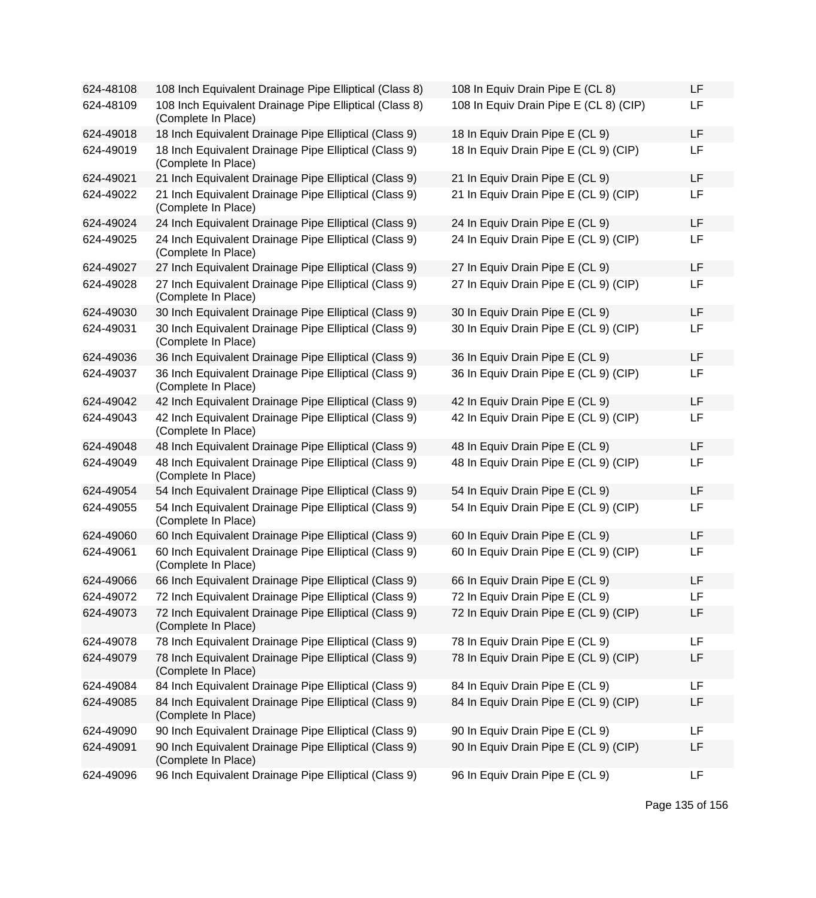| 624-48108 | 108 Inch Equivalent Drainage Pipe Elliptical (Class 8)                        | 108 In Equiv Drain Pipe E (CL 8)       | LF |
|-----------|-------------------------------------------------------------------------------|----------------------------------------|----|
| 624-48109 | 108 Inch Equivalent Drainage Pipe Elliptical (Class 8)<br>(Complete In Place) | 108 In Equiv Drain Pipe E (CL 8) (CIP) | LF |
| 624-49018 | 18 Inch Equivalent Drainage Pipe Elliptical (Class 9)                         | 18 In Equiv Drain Pipe E (CL 9)        | LF |
| 624-49019 | 18 Inch Equivalent Drainage Pipe Elliptical (Class 9)<br>(Complete In Place)  | 18 In Equiv Drain Pipe E (CL 9) (CIP)  | LF |
| 624-49021 | 21 Inch Equivalent Drainage Pipe Elliptical (Class 9)                         | 21 In Equiv Drain Pipe E (CL 9)        | LF |
| 624-49022 | 21 Inch Equivalent Drainage Pipe Elliptical (Class 9)<br>(Complete In Place)  | 21 In Equiv Drain Pipe E (CL 9) (CIP)  | LF |
| 624-49024 | 24 Inch Equivalent Drainage Pipe Elliptical (Class 9)                         | 24 In Equiv Drain Pipe E (CL 9)        | LF |
| 624-49025 | 24 Inch Equivalent Drainage Pipe Elliptical (Class 9)<br>(Complete In Place)  | 24 In Equiv Drain Pipe E (CL 9) (CIP)  | LF |
| 624-49027 | 27 Inch Equivalent Drainage Pipe Elliptical (Class 9)                         | 27 In Equiv Drain Pipe E (CL 9)        | LF |
| 624-49028 | 27 Inch Equivalent Drainage Pipe Elliptical (Class 9)<br>(Complete In Place)  | 27 In Equiv Drain Pipe E (CL 9) (CIP)  | LF |
| 624-49030 | 30 Inch Equivalent Drainage Pipe Elliptical (Class 9)                         | 30 In Equiv Drain Pipe E (CL 9)        | LF |
| 624-49031 | 30 Inch Equivalent Drainage Pipe Elliptical (Class 9)<br>(Complete In Place)  | 30 In Equiv Drain Pipe E (CL 9) (CIP)  | LF |
| 624-49036 | 36 Inch Equivalent Drainage Pipe Elliptical (Class 9)                         | 36 In Equiv Drain Pipe E (CL 9)        | LF |
| 624-49037 | 36 Inch Equivalent Drainage Pipe Elliptical (Class 9)<br>(Complete In Place)  | 36 In Equiv Drain Pipe E (CL 9) (CIP)  | LF |
| 624-49042 | 42 Inch Equivalent Drainage Pipe Elliptical (Class 9)                         | 42 In Equiv Drain Pipe E (CL 9)        | LF |
| 624-49043 | 42 Inch Equivalent Drainage Pipe Elliptical (Class 9)<br>(Complete In Place)  | 42 In Equiv Drain Pipe E (CL 9) (CIP)  | LF |
| 624-49048 | 48 Inch Equivalent Drainage Pipe Elliptical (Class 9)                         | 48 In Equiv Drain Pipe E (CL 9)        | LF |
| 624-49049 | 48 Inch Equivalent Drainage Pipe Elliptical (Class 9)<br>(Complete In Place)  | 48 In Equiv Drain Pipe E (CL 9) (CIP)  | LF |
| 624-49054 | 54 Inch Equivalent Drainage Pipe Elliptical (Class 9)                         | 54 In Equiv Drain Pipe E (CL 9)        | LF |
| 624-49055 | 54 Inch Equivalent Drainage Pipe Elliptical (Class 9)<br>(Complete In Place)  | 54 In Equiv Drain Pipe E (CL 9) (CIP)  | LF |
| 624-49060 | 60 Inch Equivalent Drainage Pipe Elliptical (Class 9)                         | 60 In Equiv Drain Pipe E (CL 9)        | LF |
| 624-49061 | 60 Inch Equivalent Drainage Pipe Elliptical (Class 9)<br>(Complete In Place)  | 60 In Equiv Drain Pipe E (CL 9) (CIP)  | LF |
| 624-49066 | 66 Inch Equivalent Drainage Pipe Elliptical (Class 9)                         | 66 In Equiv Drain Pipe E (CL 9)        | LF |
| 624-49072 | 72 Inch Equivalent Drainage Pipe Elliptical (Class 9)                         | 72 In Equiv Drain Pipe E (CL 9)        | LF |
| 624-49073 | 72 Inch Equivalent Drainage Pipe Elliptical (Class 9)<br>(Complete In Place)  | 72 In Equiv Drain Pipe E (CL 9) (CIP)  | LF |
| 624-49078 | 78 Inch Equivalent Drainage Pipe Elliptical (Class 9)                         | 78 In Equiv Drain Pipe E (CL 9)        | LF |
| 624-49079 | 78 Inch Equivalent Drainage Pipe Elliptical (Class 9)<br>(Complete In Place)  | 78 In Equiv Drain Pipe E (CL 9) (CIP)  | LF |
| 624-49084 | 84 Inch Equivalent Drainage Pipe Elliptical (Class 9)                         | 84 In Equiv Drain Pipe E (CL 9)        | LF |
| 624-49085 | 84 Inch Equivalent Drainage Pipe Elliptical (Class 9)<br>(Complete In Place)  | 84 In Equiv Drain Pipe E (CL 9) (CIP)  | LF |
| 624-49090 | 90 Inch Equivalent Drainage Pipe Elliptical (Class 9)                         | 90 In Equiv Drain Pipe E (CL 9)        | LF |
| 624-49091 | 90 Inch Equivalent Drainage Pipe Elliptical (Class 9)<br>(Complete In Place)  | 90 In Equiv Drain Pipe E (CL 9) (CIP)  | LF |
| 624-49096 | 96 Inch Equivalent Drainage Pipe Elliptical (Class 9)                         | 96 In Equiv Drain Pipe E (CL 9)        | LF |

| 108 In Equiv Drain Pipe E (CL 8)       | LF |
|----------------------------------------|----|
| 108 In Equiv Drain Pipe E (CL 8) (CIP) | LF |
| 18 In Equiv Drain Pipe E (CL 9)        | LF |
| 18 In Equiv Drain Pipe E (CL 9) (CIP)  | LF |
| 21 In Equiv Drain Pipe E (CL 9)        | LF |
| 21 In Equiv Drain Pipe E (CL 9) (CIP)  | LF |
| 24 In Equiv Drain Pipe E (CL 9)        | LF |
| 24 In Equiv Drain Pipe E (CL 9) (CIP)  | LF |
| 27 In Equiv Drain Pipe E (CL 9)        | LF |
| 27 In Equiv Drain Pipe E (CL 9) (CIP)  | LF |
| 30 In Equiv Drain Pipe E (CL 9)        | LF |
| 30 In Equiv Drain Pipe E (CL 9) (CIP)  | LF |
| 36 In Equiv Drain Pipe E (CL 9)        | LF |
| 36 In Equiv Drain Pipe E (CL 9) (CIP)  | LF |
| 42 In Equiv Drain Pipe E (CL 9)        | LF |
| 42 In Equiv Drain Pipe E (CL 9) (CIP)  | LF |
| 48 In Equiv Drain Pipe E (CL 9)        | LF |
| 48 In Equiv Drain Pipe E (CL 9) (CIP)  | LF |
| 54 In Equiv Drain Pipe E (CL 9)        | LF |
| 54 In Equiv Drain Pipe E (CL 9) (CIP)  | LF |
| 60 In Equiv Drain Pipe E (CL 9)        | LF |
| 60 In Equiv Drain Pipe E (CL 9) (CIP)  | LF |
| 66 In Equiv Drain Pipe E (CL 9)        | LF |
| 72 In Equiv Drain Pipe E (CL 9)        | LF |
| 72 In Equiv Drain Pipe E (CL 9) (CIP)  | LF |
| 78 In Equiv Drain Pipe E (CL 9)        | LF |
| 78 In Equiv Drain Pipe E (CL 9) (CIP)  | LF |
| 84 In Equiv Drain Pipe E (CL 9)        | LF |
| 84 In Equiv Drain Pipe E (CL 9) (CIP)  | LF |
| 90 In Equiv Drain Pipe E (CL 9)        | LF |
| 90 In Equiv Drain Pipe E (CL 9) (CIP)  | LF |
| 96 In Equiv Drain Pipe E (CL 9)        | LF |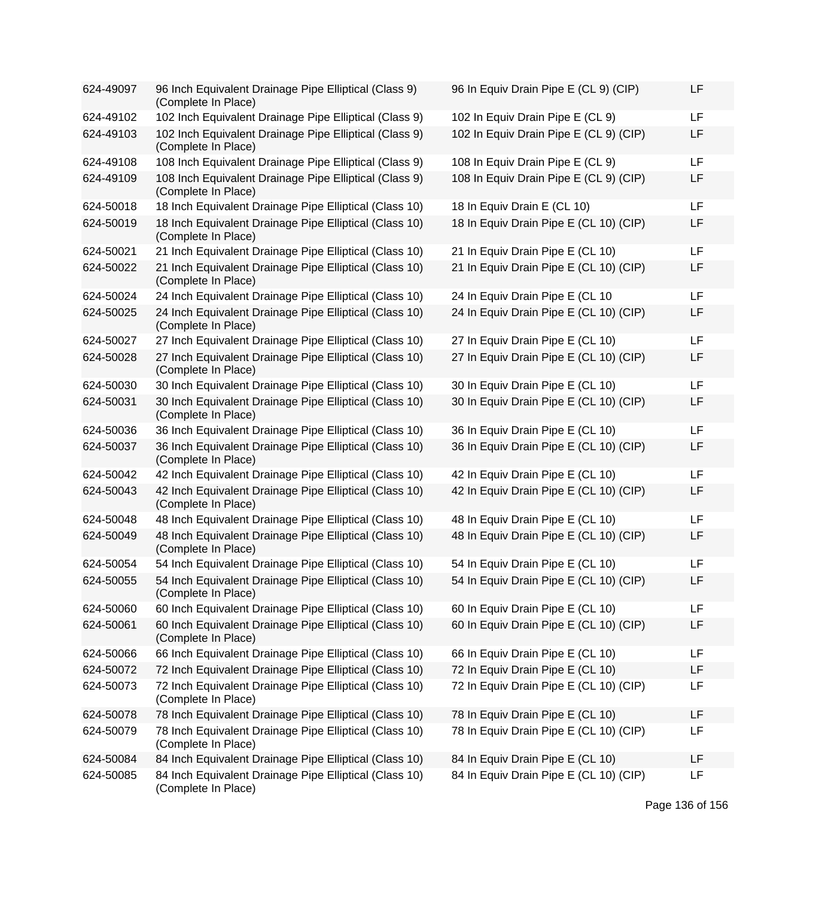| 624-49097 | 96 Inch Equivalent Drainage Pipe Elliptical (Class 9)<br>(Complete In Place)  | 96 In Equiv Drain Pipe E (CL 9) (CIP)  | LF |
|-----------|-------------------------------------------------------------------------------|----------------------------------------|----|
| 624-49102 | 102 Inch Equivalent Drainage Pipe Elliptical (Class 9)                        | 102 In Equiv Drain Pipe E (CL 9)       | LF |
| 624-49103 | 102 Inch Equivalent Drainage Pipe Elliptical (Class 9)<br>(Complete In Place) | 102 In Equiv Drain Pipe E (CL 9) (CIP) | LF |
| 624-49108 | 108 Inch Equivalent Drainage Pipe Elliptical (Class 9)                        | 108 In Equiv Drain Pipe E (CL 9)       | LF |
| 624-49109 | 108 Inch Equivalent Drainage Pipe Elliptical (Class 9)<br>(Complete In Place) | 108 In Equiv Drain Pipe E (CL 9) (CIP) | LF |
| 624-50018 | 18 Inch Equivalent Drainage Pipe Elliptical (Class 10)                        | 18 In Equiv Drain E (CL 10)            | LF |
| 624-50019 | 18 Inch Equivalent Drainage Pipe Elliptical (Class 10)<br>(Complete In Place) | 18 In Equiv Drain Pipe E (CL 10) (CIP) | LF |
| 624-50021 | 21 Inch Equivalent Drainage Pipe Elliptical (Class 10)                        | 21 In Equiv Drain Pipe E (CL 10)       | LF |
| 624-50022 | 21 Inch Equivalent Drainage Pipe Elliptical (Class 10)<br>(Complete In Place) | 21 In Equiv Drain Pipe E (CL 10) (CIP) | LF |
| 624-50024 | 24 Inch Equivalent Drainage Pipe Elliptical (Class 10)                        | 24 In Equiv Drain Pipe E (CL 10        | LF |
| 624-50025 | 24 Inch Equivalent Drainage Pipe Elliptical (Class 10)<br>(Complete In Place) | 24 In Equiv Drain Pipe E (CL 10) (CIP) | LF |
| 624-50027 | 27 Inch Equivalent Drainage Pipe Elliptical (Class 10)                        | 27 In Equiv Drain Pipe E (CL 10)       | LF |
| 624-50028 | 27 Inch Equivalent Drainage Pipe Elliptical (Class 10)<br>(Complete In Place) | 27 In Equiv Drain Pipe E (CL 10) (CIP) | LF |
| 624-50030 | 30 Inch Equivalent Drainage Pipe Elliptical (Class 10)                        | 30 In Equiv Drain Pipe E (CL 10)       | LF |
| 624-50031 | 30 Inch Equivalent Drainage Pipe Elliptical (Class 10)<br>(Complete In Place) | 30 In Equiv Drain Pipe E (CL 10) (CIP) | LF |
| 624-50036 | 36 Inch Equivalent Drainage Pipe Elliptical (Class 10)                        | 36 In Equiv Drain Pipe E (CL 10)       | LF |
| 624-50037 | 36 Inch Equivalent Drainage Pipe Elliptical (Class 10)<br>(Complete In Place) | 36 In Equiv Drain Pipe E (CL 10) (CIP) | LF |
| 624-50042 | 42 Inch Equivalent Drainage Pipe Elliptical (Class 10)                        | 42 In Equiv Drain Pipe E (CL 10)       | LF |
| 624-50043 | 42 Inch Equivalent Drainage Pipe Elliptical (Class 10)<br>(Complete In Place) | 42 In Equiv Drain Pipe E (CL 10) (CIP) | LF |
| 624-50048 | 48 Inch Equivalent Drainage Pipe Elliptical (Class 10)                        | 48 In Equiv Drain Pipe E (CL 10)       | LF |
| 624-50049 | 48 Inch Equivalent Drainage Pipe Elliptical (Class 10)<br>(Complete In Place) | 48 In Equiv Drain Pipe E (CL 10) (CIP) | LF |
| 624-50054 | 54 Inch Equivalent Drainage Pipe Elliptical (Class 10)                        | 54 In Equiv Drain Pipe E (CL 10)       | LF |
| 624-50055 | 54 Inch Equivalent Drainage Pipe Elliptical (Class 10)<br>(Complete In Place) | 54 In Equiv Drain Pipe E (CL 10) (CIP) | LF |
| 624-50060 | 60 Inch Equivalent Drainage Pipe Elliptical (Class 10)                        | 60 In Equiv Drain Pipe E (CL 10)       | LF |
| 624-50061 | 60 Inch Equivalent Drainage Pipe Elliptical (Class 10)<br>(Complete In Place) | 60 In Equiv Drain Pipe E (CL 10) (CIP) | LF |
| 624-50066 | 66 Inch Equivalent Drainage Pipe Elliptical (Class 10)                        | 66 In Equiv Drain Pipe E (CL 10)       | LF |
| 624-50072 | 72 Inch Equivalent Drainage Pipe Elliptical (Class 10)                        | 72 In Equiv Drain Pipe E (CL 10)       | LF |
| 624-50073 | 72 Inch Equivalent Drainage Pipe Elliptical (Class 10)<br>(Complete In Place) | 72 In Equiv Drain Pipe E (CL 10) (CIP) | LF |
| 624-50078 | 78 Inch Equivalent Drainage Pipe Elliptical (Class 10)                        | 78 In Equiv Drain Pipe E (CL 10)       | LF |
| 624-50079 | 78 Inch Equivalent Drainage Pipe Elliptical (Class 10)<br>(Complete In Place) | 78 In Equiv Drain Pipe E (CL 10) (CIP) | LF |
| 624-50084 | 84 Inch Equivalent Drainage Pipe Elliptical (Class 10)                        | 84 In Equiv Drain Pipe E (CL 10)       | LF |
| 624-50085 | 84 Inch Equivalent Drainage Pipe Elliptical (Class 10)<br>(Complete In Place) | 84 In Equiv Drain Pipe E (CL 10) (CIP) | LF |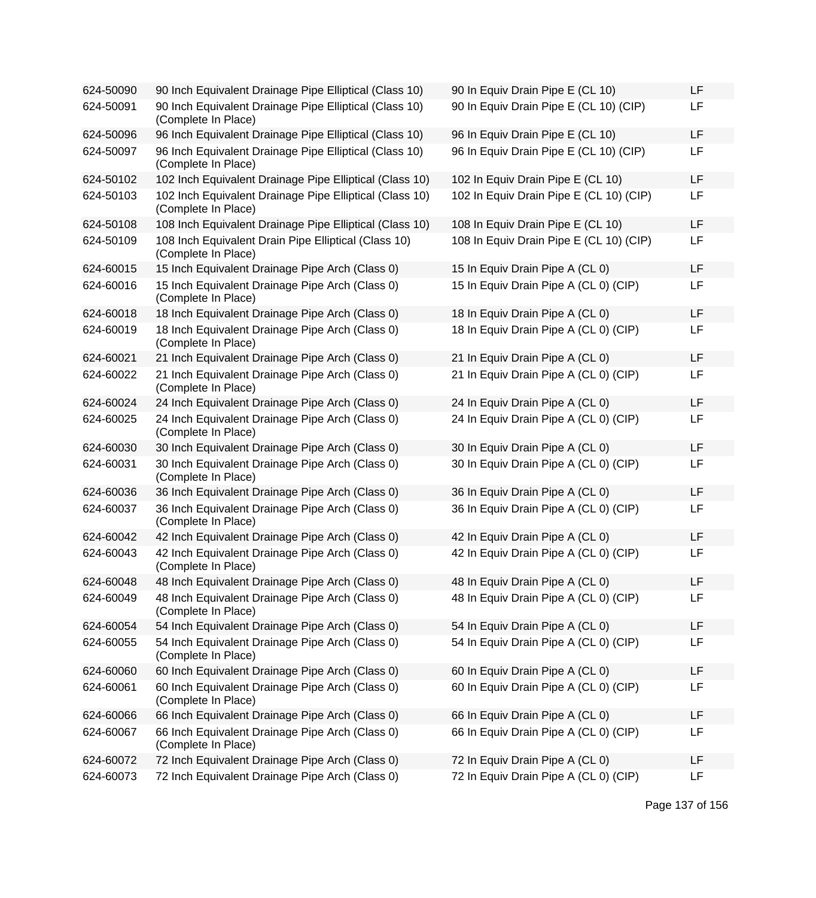| 624-50090 | 90 Inch Equivalent Drainage Pipe Elliptical (Class 10)                         | 90 In Equiv Drain Pipe E (CL 10)        | LF |
|-----------|--------------------------------------------------------------------------------|-----------------------------------------|----|
| 624-50091 | 90 Inch Equivalent Drainage Pipe Elliptical (Class 10)<br>(Complete In Place)  | 90 In Equiv Drain Pipe E (CL 10) (CIP)  | LF |
| 624-50096 | 96 Inch Equivalent Drainage Pipe Elliptical (Class 10)                         | 96 In Equiv Drain Pipe E (CL 10)        | LF |
| 624-50097 | 96 Inch Equivalent Drainage Pipe Elliptical (Class 10)<br>(Complete In Place)  | 96 In Equiv Drain Pipe E (CL 10) (CIP)  | LF |
| 624-50102 | 102 Inch Equivalent Drainage Pipe Elliptical (Class 10)                        | 102 In Equiv Drain Pipe E (CL 10)       | LF |
| 624-50103 | 102 Inch Equivalent Drainage Pipe Elliptical (Class 10)<br>(Complete In Place) | 102 In Equiv Drain Pipe E (CL 10) (CIP) | LF |
| 624-50108 | 108 Inch Equivalent Drainage Pipe Elliptical (Class 10)                        | 108 In Equiv Drain Pipe E (CL 10)       | LF |
| 624-50109 | 108 Inch Equivalent Drain Pipe Elliptical (Class 10)<br>(Complete In Place)    | 108 In Equiv Drain Pipe E (CL 10) (CIP) | LF |
| 624-60015 | 15 Inch Equivalent Drainage Pipe Arch (Class 0)                                | 15 In Equiv Drain Pipe A (CL 0)         | LF |
| 624-60016 | 15 Inch Equivalent Drainage Pipe Arch (Class 0)<br>(Complete In Place)         | 15 In Equiv Drain Pipe A (CL 0) (CIP)   | LF |
| 624-60018 | 18 Inch Equivalent Drainage Pipe Arch (Class 0)                                | 18 In Equiv Drain Pipe A (CL 0)         | LF |
| 624-60019 | 18 Inch Equivalent Drainage Pipe Arch (Class 0)<br>(Complete In Place)         | 18 In Equiv Drain Pipe A (CL 0) (CIP)   | LF |
| 624-60021 | 21 Inch Equivalent Drainage Pipe Arch (Class 0)                                | 21 In Equiv Drain Pipe A (CL 0)         | LF |
| 624-60022 | 21 Inch Equivalent Drainage Pipe Arch (Class 0)<br>(Complete In Place)         | 21 In Equiv Drain Pipe A (CL 0) (CIP)   | LF |
| 624-60024 | 24 Inch Equivalent Drainage Pipe Arch (Class 0)                                | 24 In Equiv Drain Pipe A (CL 0)         | LF |
| 624-60025 | 24 Inch Equivalent Drainage Pipe Arch (Class 0)<br>(Complete In Place)         | 24 In Equiv Drain Pipe A (CL 0) (CIP)   | LF |
| 624-60030 | 30 Inch Equivalent Drainage Pipe Arch (Class 0)                                | 30 In Equiv Drain Pipe A (CL 0)         | LF |
| 624-60031 | 30 Inch Equivalent Drainage Pipe Arch (Class 0)<br>(Complete In Place)         | 30 In Equiv Drain Pipe A (CL 0) (CIP)   | LF |
| 624-60036 | 36 Inch Equivalent Drainage Pipe Arch (Class 0)                                | 36 In Equiv Drain Pipe A (CL 0)         | LF |
| 624-60037 | 36 Inch Equivalent Drainage Pipe Arch (Class 0)<br>(Complete In Place)         | 36 In Equiv Drain Pipe A (CL 0) (CIP)   | LF |
| 624-60042 | 42 Inch Equivalent Drainage Pipe Arch (Class 0)                                | 42 In Equiv Drain Pipe A (CL 0)         | LF |
| 624-60043 | 42 Inch Equivalent Drainage Pipe Arch (Class 0)<br>(Complete In Place)         | 42 In Equiv Drain Pipe A (CL 0) (CIP)   | LF |
| 624-60048 | 48 Inch Equivalent Drainage Pipe Arch (Class 0)                                | 48 In Equiv Drain Pipe A (CL 0)         | LF |
| 624-60049 | 48 Inch Equivalent Drainage Pipe Arch (Class 0)<br>(Complete In Place)         | 48 In Equiv Drain Pipe A (CL 0) (CIP)   | LF |
| 624-60054 | 54 Inch Equivalent Drainage Pipe Arch (Class 0)                                | 54 In Equiv Drain Pipe A (CL 0)         | LF |
| 624-60055 | 54 Inch Equivalent Drainage Pipe Arch (Class 0)<br>(Complete In Place)         | 54 In Equiv Drain Pipe A (CL 0) (CIP)   | LF |
| 624-60060 | 60 Inch Equivalent Drainage Pipe Arch (Class 0)                                | 60 In Equiv Drain Pipe A (CL 0)         | LF |
| 624-60061 | 60 Inch Equivalent Drainage Pipe Arch (Class 0)<br>(Complete In Place)         | 60 In Equiv Drain Pipe A (CL 0) (CIP)   | LF |
| 624-60066 | 66 Inch Equivalent Drainage Pipe Arch (Class 0)                                | 66 In Equiv Drain Pipe A (CL 0)         | LF |
| 624-60067 | 66 Inch Equivalent Drainage Pipe Arch (Class 0)<br>(Complete In Place)         | 66 In Equiv Drain Pipe A (CL 0) (CIP)   | LF |
| 624-60072 | 72 Inch Equivalent Drainage Pipe Arch (Class 0)                                | 72 In Equiv Drain Pipe A (CL 0)         | LF |
| 624-60073 | 72 Inch Equivalent Drainage Pipe Arch (Class 0)                                | 72 In Equiv Drain Pipe A (CL 0) (CIP)   | LF |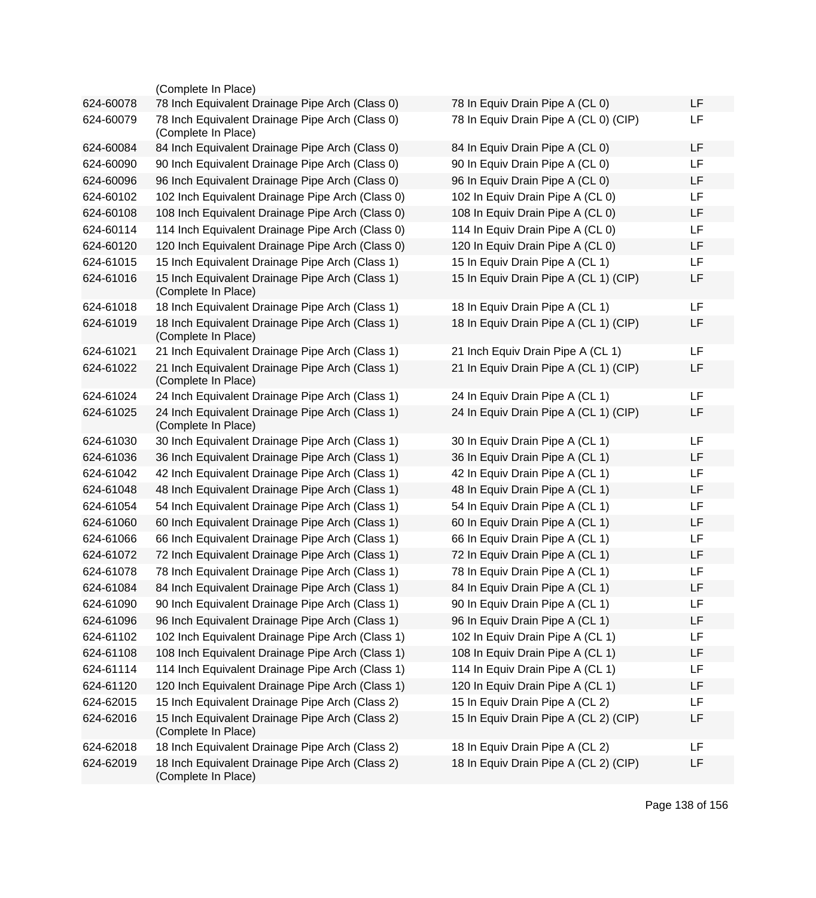|           | (Complete In Place)                                                    |                                       |    |
|-----------|------------------------------------------------------------------------|---------------------------------------|----|
| 624-60078 | 78 Inch Equivalent Drainage Pipe Arch (Class 0)                        | 78 In Equiv Drain Pipe A (CL 0)       | LF |
| 624-60079 | 78 Inch Equivalent Drainage Pipe Arch (Class 0)<br>(Complete In Place) | 78 In Equiv Drain Pipe A (CL 0) (CIP) | LF |
| 624-60084 | 84 Inch Equivalent Drainage Pipe Arch (Class 0)                        | 84 In Equiv Drain Pipe A (CL 0)       | LF |
| 624-60090 | 90 Inch Equivalent Drainage Pipe Arch (Class 0)                        | 90 In Equiv Drain Pipe A (CL 0)       | LF |
| 624-60096 | 96 Inch Equivalent Drainage Pipe Arch (Class 0)                        | 96 In Equiv Drain Pipe A (CL 0)       | LF |
| 624-60102 | 102 Inch Equivalent Drainage Pipe Arch (Class 0)                       | 102 In Equiv Drain Pipe A (CL 0)      | LF |
| 624-60108 | 108 Inch Equivalent Drainage Pipe Arch (Class 0)                       | 108 In Equiv Drain Pipe A (CL 0)      | LF |
| 624-60114 | 114 Inch Equivalent Drainage Pipe Arch (Class 0)                       | 114 In Equiv Drain Pipe A (CL 0)      | LF |
| 624-60120 | 120 Inch Equivalent Drainage Pipe Arch (Class 0)                       | 120 In Equiv Drain Pipe A (CL 0)      | LF |
| 624-61015 | 15 Inch Equivalent Drainage Pipe Arch (Class 1)                        | 15 In Equiv Drain Pipe A (CL 1)       | LF |
| 624-61016 | 15 Inch Equivalent Drainage Pipe Arch (Class 1)<br>(Complete In Place) | 15 In Equiv Drain Pipe A (CL 1) (CIP) | LF |
| 624-61018 | 18 Inch Equivalent Drainage Pipe Arch (Class 1)                        | 18 In Equiv Drain Pipe A (CL 1)       | LF |
| 624-61019 | 18 Inch Equivalent Drainage Pipe Arch (Class 1)<br>(Complete In Place) | 18 In Equiv Drain Pipe A (CL 1) (CIP) | LF |
| 624-61021 | 21 Inch Equivalent Drainage Pipe Arch (Class 1)                        | 21 Inch Equiv Drain Pipe A (CL 1)     | LF |
| 624-61022 | 21 Inch Equivalent Drainage Pipe Arch (Class 1)<br>(Complete In Place) | 21 In Equiv Drain Pipe A (CL 1) (CIP) | LF |
| 624-61024 | 24 Inch Equivalent Drainage Pipe Arch (Class 1)                        | 24 In Equiv Drain Pipe A (CL 1)       | LF |
| 624-61025 | 24 Inch Equivalent Drainage Pipe Arch (Class 1)<br>(Complete In Place) | 24 In Equiv Drain Pipe A (CL 1) (CIP) | LF |
| 624-61030 | 30 Inch Equivalent Drainage Pipe Arch (Class 1)                        | 30 In Equiv Drain Pipe A (CL 1)       | LF |
| 624-61036 | 36 Inch Equivalent Drainage Pipe Arch (Class 1)                        | 36 In Equiv Drain Pipe A (CL 1)       | LF |
| 624-61042 | 42 Inch Equivalent Drainage Pipe Arch (Class 1)                        | 42 In Equiv Drain Pipe A (CL 1)       | LF |
| 624-61048 | 48 Inch Equivalent Drainage Pipe Arch (Class 1)                        | 48 In Equiv Drain Pipe A (CL 1)       | LF |
| 624-61054 | 54 Inch Equivalent Drainage Pipe Arch (Class 1)                        | 54 In Equiv Drain Pipe A (CL 1)       | LF |
| 624-61060 | 60 Inch Equivalent Drainage Pipe Arch (Class 1)                        | 60 In Equiv Drain Pipe A (CL 1)       | LF |
| 624-61066 | 66 Inch Equivalent Drainage Pipe Arch (Class 1)                        | 66 In Equiv Drain Pipe A (CL 1)       | LF |
| 624-61072 | 72 Inch Equivalent Drainage Pipe Arch (Class 1)                        | 72 In Equiv Drain Pipe A (CL 1)       | LF |
| 624-61078 | 78 Inch Equivalent Drainage Pipe Arch (Class 1)                        | 78 In Equiv Drain Pipe A (CL 1)       | LF |
| 624-61084 | 84 Inch Equivalent Drainage Pipe Arch (Class 1)                        | 84 In Equiv Drain Pipe A (CL 1)       | LF |
| 624-61090 | 90 Inch Equivalent Drainage Pipe Arch (Class 1)                        | 90 In Equiv Drain Pipe A (CL 1)       | LF |
| 624-61096 | 96 Inch Equivalent Drainage Pipe Arch (Class 1)                        | 96 In Equiv Drain Pipe A (CL 1)       | LF |
| 624-61102 | 102 Inch Equivalent Drainage Pipe Arch (Class 1)                       | 102 In Equiv Drain Pipe A (CL 1)      | LF |
| 624-61108 | 108 Inch Equivalent Drainage Pipe Arch (Class 1)                       | 108 In Equiv Drain Pipe A (CL 1)      | LF |
| 624-61114 | 114 Inch Equivalent Drainage Pipe Arch (Class 1)                       | 114 In Equiv Drain Pipe A (CL 1)      | LF |
| 624-61120 | 120 Inch Equivalent Drainage Pipe Arch (Class 1)                       | 120 In Equiv Drain Pipe A (CL 1)      | LF |
| 624-62015 | 15 Inch Equivalent Drainage Pipe Arch (Class 2)                        | 15 In Equiv Drain Pipe A (CL 2)       | LF |
| 624-62016 | 15 Inch Equivalent Drainage Pipe Arch (Class 2)<br>(Complete In Place) | 15 In Equiv Drain Pipe A (CL 2) (CIP) | LF |
| 624-62018 | 18 Inch Equivalent Drainage Pipe Arch (Class 2)                        | 18 In Equiv Drain Pipe A (CL 2)       | LF |
| 624-62019 | 18 Inch Equivalent Drainage Pipe Arch (Class 2)<br>(Complete In Place) | 18 In Equiv Drain Pipe A (CL 2) (CIP) | LF |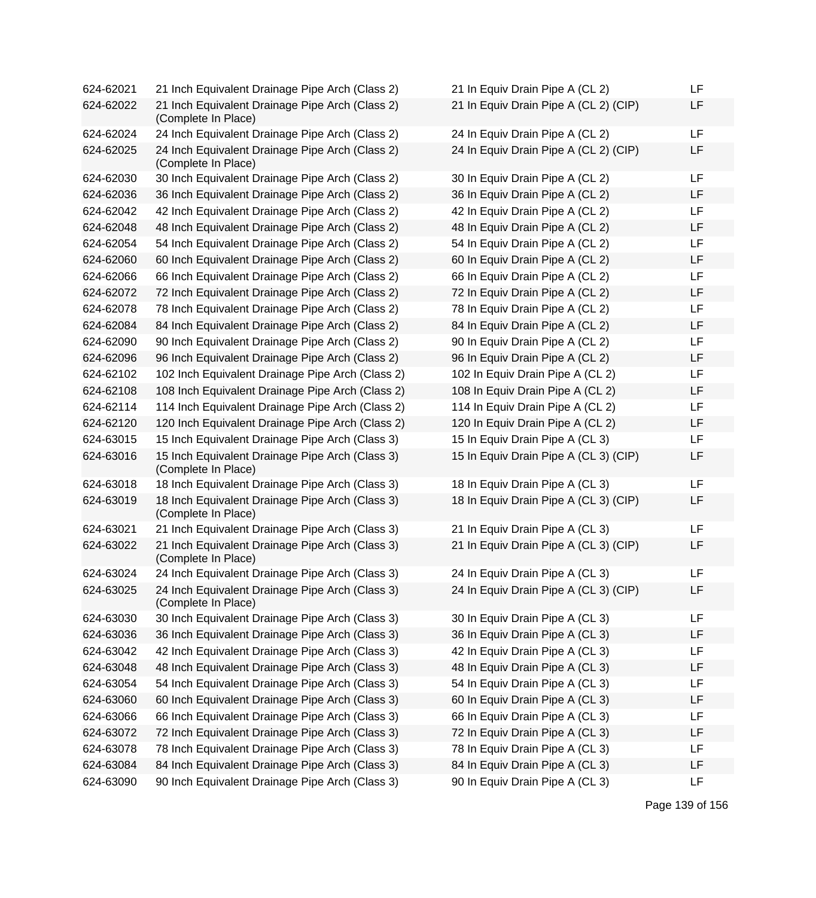| 624-62021 | 21 Inch Equivalent Drainage Pipe Arch (Class 2)                        | 21 In Equiv Drain Pipe A (CL 2)       | LF |
|-----------|------------------------------------------------------------------------|---------------------------------------|----|
| 624-62022 | 21 Inch Equivalent Drainage Pipe Arch (Class 2)<br>(Complete In Place) | 21 In Equiv Drain Pipe A (CL 2) (CIP) | LF |
| 624-62024 | 24 Inch Equivalent Drainage Pipe Arch (Class 2)                        | 24 In Equiv Drain Pipe A (CL 2)       | LF |
| 624-62025 | 24 Inch Equivalent Drainage Pipe Arch (Class 2)<br>(Complete In Place) | 24 In Equiv Drain Pipe A (CL 2) (CIP) | LF |
| 624-62030 | 30 Inch Equivalent Drainage Pipe Arch (Class 2)                        | 30 In Equiv Drain Pipe A (CL 2)       | LF |
| 624-62036 | 36 Inch Equivalent Drainage Pipe Arch (Class 2)                        | 36 In Equiv Drain Pipe A (CL 2)       | LF |
| 624-62042 | 42 Inch Equivalent Drainage Pipe Arch (Class 2)                        | 42 In Equiv Drain Pipe A (CL 2)       | LF |
| 624-62048 | 48 Inch Equivalent Drainage Pipe Arch (Class 2)                        | 48 In Equiv Drain Pipe A (CL 2)       | LF |
| 624-62054 | 54 Inch Equivalent Drainage Pipe Arch (Class 2)                        | 54 In Equiv Drain Pipe A (CL 2)       | LF |
| 624-62060 | 60 Inch Equivalent Drainage Pipe Arch (Class 2)                        | 60 In Equiv Drain Pipe A (CL 2)       | LF |
| 624-62066 | 66 Inch Equivalent Drainage Pipe Arch (Class 2)                        | 66 In Equiv Drain Pipe A (CL 2)       | LF |
| 624-62072 | 72 Inch Equivalent Drainage Pipe Arch (Class 2)                        | 72 In Equiv Drain Pipe A (CL 2)       | LF |
| 624-62078 | 78 Inch Equivalent Drainage Pipe Arch (Class 2)                        | 78 In Equiv Drain Pipe A (CL 2)       | LF |
| 624-62084 | 84 Inch Equivalent Drainage Pipe Arch (Class 2)                        | 84 In Equiv Drain Pipe A (CL 2)       | LF |
| 624-62090 | 90 Inch Equivalent Drainage Pipe Arch (Class 2)                        | 90 In Equiv Drain Pipe A (CL 2)       | LF |
| 624-62096 | 96 Inch Equivalent Drainage Pipe Arch (Class 2)                        | 96 In Equiv Drain Pipe A (CL 2)       | LF |
| 624-62102 | 102 Inch Equivalent Drainage Pipe Arch (Class 2)                       | 102 In Equiv Drain Pipe A (CL 2)      | LF |
| 624-62108 | 108 Inch Equivalent Drainage Pipe Arch (Class 2)                       | 108 In Equiv Drain Pipe A (CL 2)      | LF |
| 624-62114 | 114 Inch Equivalent Drainage Pipe Arch (Class 2)                       | 114 In Equiv Drain Pipe A (CL 2)      | LF |
| 624-62120 | 120 Inch Equivalent Drainage Pipe Arch (Class 2)                       | 120 In Equiv Drain Pipe A (CL 2)      | LF |
| 624-63015 | 15 Inch Equivalent Drainage Pipe Arch (Class 3)                        | 15 In Equiv Drain Pipe A (CL 3)       | LF |
| 624-63016 | 15 Inch Equivalent Drainage Pipe Arch (Class 3)<br>(Complete In Place) | 15 In Equiv Drain Pipe A (CL 3) (CIP) | LF |
| 624-63018 | 18 Inch Equivalent Drainage Pipe Arch (Class 3)                        | 18 In Equiv Drain Pipe A (CL 3)       | LF |
| 624-63019 | 18 Inch Equivalent Drainage Pipe Arch (Class 3)<br>(Complete In Place) | 18 In Equiv Drain Pipe A (CL 3) (CIP) | LF |
| 624-63021 | 21 Inch Equivalent Drainage Pipe Arch (Class 3)                        | 21 In Equiv Drain Pipe A (CL 3)       | LF |
| 624-63022 | 21 Inch Equivalent Drainage Pipe Arch (Class 3)<br>(Complete In Place) | 21 In Equiv Drain Pipe A (CL 3) (CIP) | LF |
| 624-63024 | 24 Inch Equivalent Drainage Pipe Arch (Class 3)                        | 24 In Equiv Drain Pipe A (CL 3)       | LF |
| 624-63025 | 24 Inch Equivalent Drainage Pipe Arch (Class 3)<br>(Complete In Place) | 24 In Equiv Drain Pipe A (CL 3) (CIP) | LF |
| 624-63030 | 30 Inch Equivalent Drainage Pipe Arch (Class 3)                        | 30 In Equiv Drain Pipe A (CL 3)       | LF |
| 624-63036 | 36 Inch Equivalent Drainage Pipe Arch (Class 3)                        | 36 In Equiv Drain Pipe A (CL 3)       | LF |
| 624-63042 | 42 Inch Equivalent Drainage Pipe Arch (Class 3)                        | 42 In Equiv Drain Pipe A (CL 3)       | LF |
| 624-63048 | 48 Inch Equivalent Drainage Pipe Arch (Class 3)                        | 48 In Equiv Drain Pipe A (CL 3)       | LF |
| 624-63054 | 54 Inch Equivalent Drainage Pipe Arch (Class 3)                        | 54 In Equiv Drain Pipe A (CL 3)       | LF |
| 624-63060 | 60 Inch Equivalent Drainage Pipe Arch (Class 3)                        | 60 In Equiv Drain Pipe A (CL 3)       | LF |
| 624-63066 | 66 Inch Equivalent Drainage Pipe Arch (Class 3)                        | 66 In Equiv Drain Pipe A (CL 3)       | LF |
| 624-63072 | 72 Inch Equivalent Drainage Pipe Arch (Class 3)                        | 72 In Equiv Drain Pipe A (CL 3)       | LF |
| 624-63078 | 78 Inch Equivalent Drainage Pipe Arch (Class 3)                        | 78 In Equiv Drain Pipe A (CL 3)       | LF |
| 624-63084 | 84 Inch Equivalent Drainage Pipe Arch (Class 3)                        | 84 In Equiv Drain Pipe A (CL 3)       | LF |
| 624-63090 | 90 Inch Equivalent Drainage Pipe Arch (Class 3)                        | 90 In Equiv Drain Pipe A (CL 3)       | LF |

| 21 In Equiv Drain Pipe A (CL 2)       | LF |
|---------------------------------------|----|
| 21 In Equiv Drain Pipe A (CL 2) (CIP) | LF |
| 24 In Equiv Drain Pipe A (CL 2)       | LF |
| 24 In Equiv Drain Pipe A (CL 2) (CIP) | LF |
| 30 In Equiv Drain Pipe A (CL 2)       | LF |
| 36 In Equiv Drain Pipe A (CL 2)       | LF |
| 42 In Equiv Drain Pipe A (CL 2)       | LF |
| 48 In Equiv Drain Pipe A (CL 2)       | LF |
| 54 In Equiv Drain Pipe A (CL 2)       | LF |
| 60 In Equiv Drain Pipe A (CL 2)       | LF |
| 66 In Equiv Drain Pipe A (CL 2)       | LF |
| 72 In Equiv Drain Pipe A (CL 2)       | LF |
| 78 In Equiv Drain Pipe A (CL 2)       | LF |
| 84 In Equiv Drain Pipe A (CL 2)       | LF |
| 90 In Equiv Drain Pipe A (CL 2)       | LF |
| 96 In Equiv Drain Pipe A (CL 2)       | LF |
| 102 In Equiv Drain Pipe A (CL 2)      | LF |
| 108 In Equiv Drain Pipe A (CL 2)      | LF |
| 114 In Equiv Drain Pipe A (CL 2)      | LF |
| 120 In Equiv Drain Pipe A (CL 2)      | LF |
| 15 In Equiv Drain Pipe A (CL 3)       | LF |
| 15 In Equiv Drain Pipe A (CL 3) (CIP) | LF |
| 18 In Equiv Drain Pipe A (CL 3)       | LF |
| 18 In Equiv Drain Pipe A (CL 3) (CIP) | LF |
| 21 In Equiv Drain Pipe A (CL 3)       | LF |
| 21 In Equiv Drain Pipe A (CL 3) (CIP) | LF |
| 24 In Equiv Drain Pipe A (CL 3)       | LF |
| 24 In Equiv Drain Pipe A (CL 3) (CIP) | LF |
| 30 In Equiv Drain Pipe A (CL 3)       | LF |
| 36 In Equiv Drain Pipe A (CL 3)       | LF |
| 42 In Equiv Drain Pipe A (CL 3)       | LF |
| 48 In Equiv Drain Pipe A (CL 3)       | LF |
| 54 In Equiv Drain Pipe A (CL 3)       | LF |
| 60 In Equiv Drain Pipe A (CL 3)       | LF |
| 66 In Equiv Drain Pipe A (CL 3)       | LF |
| 72 In Equiv Drain Pipe A (CL 3)       | LF |
| 78 In Equiv Drain Pipe A (CL 3)       | LF |
| 84 In Equiv Drain Pipe A (CL 3)       | LF |
| 90 In Equiv Drain Pipe A (CL 3)       | LF |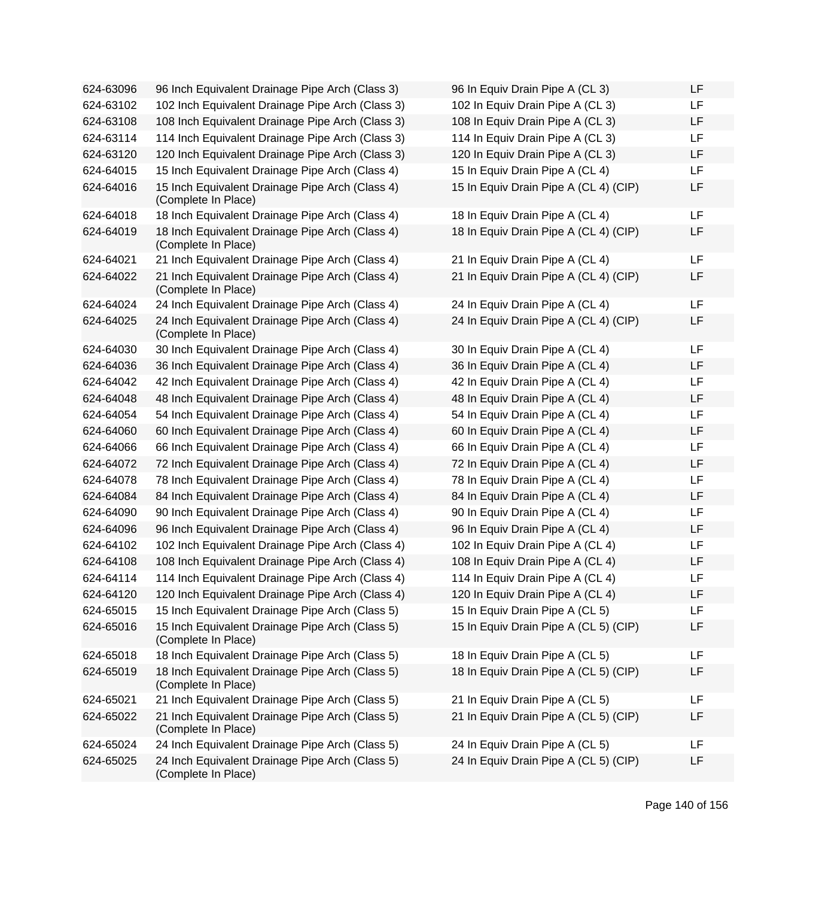| 624-63096 | 96 Inch Equivalent Drainage Pipe Arch (Class 3)                        | 96 In Equiv Drain Pipe A (CL 3)       | LF |
|-----------|------------------------------------------------------------------------|---------------------------------------|----|
| 624-63102 | 102 Inch Equivalent Drainage Pipe Arch (Class 3)                       | 102 In Equiv Drain Pipe A (CL 3)      | LF |
| 624-63108 | 108 Inch Equivalent Drainage Pipe Arch (Class 3)                       | 108 In Equiv Drain Pipe A (CL 3)      | LF |
| 624-63114 | 114 Inch Equivalent Drainage Pipe Arch (Class 3)                       | 114 In Equiv Drain Pipe A (CL 3)      | LF |
| 624-63120 | 120 Inch Equivalent Drainage Pipe Arch (Class 3)                       | 120 In Equiv Drain Pipe A (CL 3)      | LF |
| 624-64015 | 15 Inch Equivalent Drainage Pipe Arch (Class 4)                        | 15 In Equiv Drain Pipe A (CL 4)       | LF |
| 624-64016 | 15 Inch Equivalent Drainage Pipe Arch (Class 4)<br>(Complete In Place) | 15 In Equiv Drain Pipe A (CL 4) (CIP) | LF |
| 624-64018 | 18 Inch Equivalent Drainage Pipe Arch (Class 4)                        | 18 In Equiv Drain Pipe A (CL 4)       | LF |
| 624-64019 | 18 Inch Equivalent Drainage Pipe Arch (Class 4)<br>(Complete In Place) | 18 In Equiv Drain Pipe A (CL 4) (CIP) | LF |
| 624-64021 | 21 Inch Equivalent Drainage Pipe Arch (Class 4)                        | 21 In Equiv Drain Pipe A (CL 4)       | LF |
| 624-64022 | 21 Inch Equivalent Drainage Pipe Arch (Class 4)<br>(Complete In Place) | 21 In Equiv Drain Pipe A (CL 4) (CIP) | LF |
| 624-64024 | 24 Inch Equivalent Drainage Pipe Arch (Class 4)                        | 24 In Equiv Drain Pipe A (CL 4)       | LF |
| 624-64025 | 24 Inch Equivalent Drainage Pipe Arch (Class 4)<br>(Complete In Place) | 24 In Equiv Drain Pipe A (CL 4) (CIP) | LF |
| 624-64030 | 30 Inch Equivalent Drainage Pipe Arch (Class 4)                        | 30 In Equiv Drain Pipe A (CL 4)       | LF |
| 624-64036 | 36 Inch Equivalent Drainage Pipe Arch (Class 4)                        | 36 In Equiv Drain Pipe A (CL 4)       | LF |
| 624-64042 | 42 Inch Equivalent Drainage Pipe Arch (Class 4)                        | 42 In Equiv Drain Pipe A (CL 4)       | LF |
| 624-64048 | 48 Inch Equivalent Drainage Pipe Arch (Class 4)                        | 48 In Equiv Drain Pipe A (CL 4)       | LF |
| 624-64054 | 54 Inch Equivalent Drainage Pipe Arch (Class 4)                        | 54 In Equiv Drain Pipe A (CL 4)       | LF |
| 624-64060 | 60 Inch Equivalent Drainage Pipe Arch (Class 4)                        | 60 In Equiv Drain Pipe A (CL 4)       | LF |
| 624-64066 | 66 Inch Equivalent Drainage Pipe Arch (Class 4)                        | 66 In Equiv Drain Pipe A (CL 4)       | LF |
| 624-64072 | 72 Inch Equivalent Drainage Pipe Arch (Class 4)                        | 72 In Equiv Drain Pipe A (CL 4)       | LF |
| 624-64078 | 78 Inch Equivalent Drainage Pipe Arch (Class 4)                        | 78 In Equiv Drain Pipe A (CL 4)       | LF |
| 624-64084 | 84 Inch Equivalent Drainage Pipe Arch (Class 4)                        | 84 In Equiv Drain Pipe A (CL 4)       | LF |
| 624-64090 | 90 Inch Equivalent Drainage Pipe Arch (Class 4)                        | 90 In Equiv Drain Pipe A (CL 4)       | LF |
| 624-64096 | 96 Inch Equivalent Drainage Pipe Arch (Class 4)                        | 96 In Equiv Drain Pipe A (CL 4)       | LF |
| 624-64102 | 102 Inch Equivalent Drainage Pipe Arch (Class 4)                       | 102 In Equiv Drain Pipe A (CL 4)      | LF |
| 624-64108 | 108 Inch Equivalent Drainage Pipe Arch (Class 4)                       | 108 In Equiv Drain Pipe A (CL 4)      | LF |
| 624-64114 | 114 Inch Equivalent Drainage Pipe Arch (Class 4)                       | 114 In Equiv Drain Pipe A (CL 4)      | LF |
| 624-64120 | 120 Inch Equivalent Drainage Pipe Arch (Class 4)                       | 120 In Equiv Drain Pipe A (CL 4)      | LF |
| 624-65015 | 15 Inch Equivalent Drainage Pipe Arch (Class 5)                        | 15 In Equiv Drain Pipe A (CL 5)       | LF |
| 624-65016 | 15 Inch Equivalent Drainage Pipe Arch (Class 5)<br>(Complete In Place) | 15 In Equiv Drain Pipe A (CL 5) (CIP) | LF |
| 624-65018 | 18 Inch Equivalent Drainage Pipe Arch (Class 5)                        | 18 In Equiv Drain Pipe A (CL 5)       | LF |
| 624-65019 | 18 Inch Equivalent Drainage Pipe Arch (Class 5)<br>(Complete In Place) | 18 In Equiv Drain Pipe A (CL 5) (CIP) | LF |
| 624-65021 | 21 Inch Equivalent Drainage Pipe Arch (Class 5)                        | 21 In Equiv Drain Pipe A (CL 5)       | LF |
| 624-65022 | 21 Inch Equivalent Drainage Pipe Arch (Class 5)<br>(Complete In Place) | 21 In Equiv Drain Pipe A (CL 5) (CIP) | LF |
| 624-65024 | 24 Inch Equivalent Drainage Pipe Arch (Class 5)                        | 24 In Equiv Drain Pipe A (CL 5)       | LF |
| 624-65025 | 24 Inch Equivalent Drainage Pipe Arch (Class 5)<br>(Complete In Place) | 24 In Equiv Drain Pipe A (CL 5) (CIP) | LF |
|           |                                                                        |                                       |    |

| 96 In Equiv Drain Pipe A (CL 3)       | LF |
|---------------------------------------|----|
| 102 In Equiv Drain Pipe A (CL 3)      | LF |
| 108 In Equiv Drain Pipe A (CL 3)      | LF |
| 114 In Equiv Drain Pipe A (CL 3)      | LF |
| 120 In Equiv Drain Pipe A (CL 3)      | LF |
| 15 In Equiv Drain Pipe A (CL 4)       | LF |
| 15 In Equiv Drain Pipe A (CL 4) (CIP) | LF |
| 18 In Equiv Drain Pipe A (CL 4)       | LF |
| 18 In Equiv Drain Pipe A (CL 4) (CIP) | LF |
| 21 In Equiv Drain Pipe A (CL 4)       | LF |
| 21 In Equiv Drain Pipe A (CL 4) (CIP) | LF |
| 24 In Equiv Drain Pipe A (CL 4)       | LF |
| 24 In Equiv Drain Pipe A (CL 4) (CIP) | LF |
| 30 In Equiv Drain Pipe A (CL 4)       | LF |
| 36 In Equiv Drain Pipe A (CL 4)       | LF |
| 42 In Equiv Drain Pipe A (CL 4)       | LF |
| 48 In Equiv Drain Pipe A (CL 4)       | LF |
| 54 In Equiv Drain Pipe A (CL 4)       | LF |
| 60 In Equiv Drain Pipe A (CL 4)       | LF |
| 66 In Equiv Drain Pipe A (CL 4)       | LF |
| 72 In Equiv Drain Pipe A (CL 4)       | LF |
| 78 In Equiv Drain Pipe A (CL 4)       | LF |
| 84 In Equiv Drain Pipe A (CL 4)       | LF |
| 90 In Equiv Drain Pipe A (CL 4)       | LF |
| 96 In Equiv Drain Pipe A (CL 4)       | LF |
| 102 In Equiv Drain Pipe A (CL 4)      | LF |
| 108 In Equiv Drain Pipe A (CL 4)      | LF |
| 114 In Equiv Drain Pipe A (CL 4)      | LF |
| 120 In Equiv Drain Pipe A (CL 4)      | LF |
| 15 In Equiv Drain Pipe A (CL 5)       | LF |
| 15 In Equiv Drain Pipe A (CL 5) (CIP) | LF |
| 18 In Equiv Drain Pipe A (CL 5)       | LF |
| 18 In Equiv Drain Pipe A (CL 5) (CIP) | LF |
| 21 In Equiv Drain Pipe A (CL 5)       | LF |
| 21 In Equiv Drain Pipe A (CL 5) (CIP) | LF |
| 24 In Equiv Drain Pipe A (CL 5)       | LF |
| 24 In Equiv Drain Pipe A (CL 5) (CIP) | LF |
|                                       |    |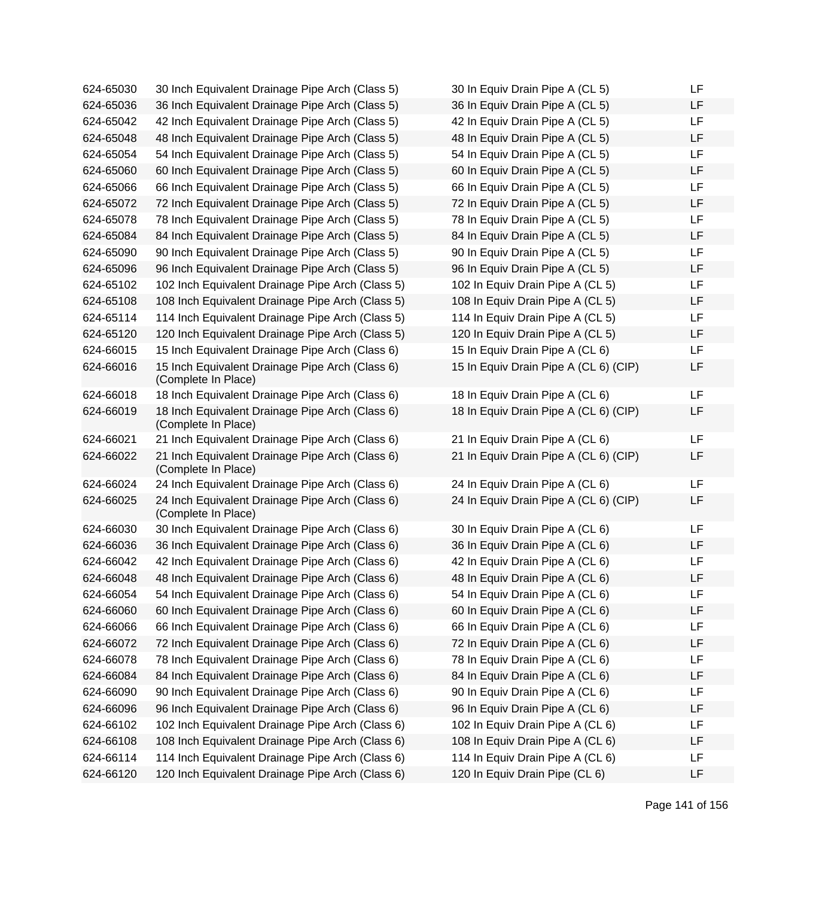| 624-65030 | 30 Inch Equivalent Drainage Pipe Arch (Class 5)                        | 30 In Equiv Drain Pipe A (CL 5)       | LF |
|-----------|------------------------------------------------------------------------|---------------------------------------|----|
| 624-65036 | 36 Inch Equivalent Drainage Pipe Arch (Class 5)                        | 36 In Equiv Drain Pipe A (CL 5)       | LF |
| 624-65042 | 42 Inch Equivalent Drainage Pipe Arch (Class 5)                        | 42 In Equiv Drain Pipe A (CL 5)       | LF |
| 624-65048 | 48 Inch Equivalent Drainage Pipe Arch (Class 5)                        | 48 In Equiv Drain Pipe A (CL 5)       | LF |
| 624-65054 | 54 Inch Equivalent Drainage Pipe Arch (Class 5)                        | 54 In Equiv Drain Pipe A (CL 5)       | LF |
| 624-65060 | 60 Inch Equivalent Drainage Pipe Arch (Class 5)                        | 60 In Equiv Drain Pipe A (CL 5)       | LF |
| 624-65066 | 66 Inch Equivalent Drainage Pipe Arch (Class 5)                        | 66 In Equiv Drain Pipe A (CL 5)       | LF |
| 624-65072 | 72 Inch Equivalent Drainage Pipe Arch (Class 5)                        | 72 In Equiv Drain Pipe A (CL 5)       | LF |
| 624-65078 | 78 Inch Equivalent Drainage Pipe Arch (Class 5)                        | 78 In Equiv Drain Pipe A (CL 5)       | LF |
| 624-65084 | 84 Inch Equivalent Drainage Pipe Arch (Class 5)                        | 84 In Equiv Drain Pipe A (CL 5)       | LF |
| 624-65090 | 90 Inch Equivalent Drainage Pipe Arch (Class 5)                        | 90 In Equiv Drain Pipe A (CL 5)       | LF |
| 624-65096 | 96 Inch Equivalent Drainage Pipe Arch (Class 5)                        | 96 In Equiv Drain Pipe A (CL 5)       | LF |
| 624-65102 | 102 Inch Equivalent Drainage Pipe Arch (Class 5)                       | 102 In Equiv Drain Pipe A (CL 5)      | LF |
| 624-65108 | 108 Inch Equivalent Drainage Pipe Arch (Class 5)                       | 108 In Equiv Drain Pipe A (CL 5)      | LF |
| 624-65114 | 114 Inch Equivalent Drainage Pipe Arch (Class 5)                       | 114 In Equiv Drain Pipe A (CL 5)      | LF |
| 624-65120 | 120 Inch Equivalent Drainage Pipe Arch (Class 5)                       | 120 In Equiv Drain Pipe A (CL 5)      | LF |
| 624-66015 | 15 Inch Equivalent Drainage Pipe Arch (Class 6)                        | 15 In Equiv Drain Pipe A (CL 6)       | LF |
| 624-66016 | 15 Inch Equivalent Drainage Pipe Arch (Class 6)<br>(Complete In Place) | 15 In Equiv Drain Pipe A (CL 6) (CIP) | LF |
| 624-66018 | 18 Inch Equivalent Drainage Pipe Arch (Class 6)                        | 18 In Equiv Drain Pipe A (CL 6)       | LF |
| 624-66019 | 18 Inch Equivalent Drainage Pipe Arch (Class 6)<br>(Complete In Place) | 18 In Equiv Drain Pipe A (CL 6) (CIP) | LF |
| 624-66021 | 21 Inch Equivalent Drainage Pipe Arch (Class 6)                        | 21 In Equiv Drain Pipe A (CL 6)       | LF |
| 624-66022 | 21 Inch Equivalent Drainage Pipe Arch (Class 6)<br>(Complete In Place) | 21 In Equiv Drain Pipe A (CL 6) (CIP) | LF |
| 624-66024 | 24 Inch Equivalent Drainage Pipe Arch (Class 6)                        | 24 In Equiv Drain Pipe A (CL 6)       | LF |
| 624-66025 | 24 Inch Equivalent Drainage Pipe Arch (Class 6)<br>(Complete In Place) | 24 In Equiv Drain Pipe A (CL 6) (CIP) | LF |
| 624-66030 | 30 Inch Equivalent Drainage Pipe Arch (Class 6)                        | 30 In Equiv Drain Pipe A (CL 6)       | LF |
| 624-66036 | 36 Inch Equivalent Drainage Pipe Arch (Class 6)                        | 36 In Equiv Drain Pipe A (CL 6)       | LF |
| 624-66042 | 42 Inch Equivalent Drainage Pipe Arch (Class 6)                        | 42 In Equiv Drain Pipe A (CL 6)       | LF |
| 624-66048 | 48 Inch Equivalent Drainage Pipe Arch (Class 6)                        | 48 In Equiv Drain Pipe A (CL 6)       | LF |
| 624-66054 | 54 Inch Equivalent Drainage Pipe Arch (Class 6)                        | 54 In Equiv Drain Pipe A (CL 6)       | LF |
| 624-66060 | 60 Inch Equivalent Drainage Pipe Arch (Class 6)                        | 60 In Equiv Drain Pipe A (CL 6)       | LF |
| 624-66066 | 66 Inch Equivalent Drainage Pipe Arch (Class 6)                        | 66 In Equiv Drain Pipe A (CL 6)       | LF |
| 624-66072 | 72 Inch Equivalent Drainage Pipe Arch (Class 6)                        | 72 In Equiv Drain Pipe A (CL 6)       | LF |
| 624-66078 | 78 Inch Equivalent Drainage Pipe Arch (Class 6)                        | 78 In Equiv Drain Pipe A (CL 6)       | LF |
| 624-66084 | 84 Inch Equivalent Drainage Pipe Arch (Class 6)                        | 84 In Equiv Drain Pipe A (CL 6)       | LF |
| 624-66090 | 90 Inch Equivalent Drainage Pipe Arch (Class 6)                        | 90 In Equiv Drain Pipe A (CL 6)       | LF |
| 624-66096 | 96 Inch Equivalent Drainage Pipe Arch (Class 6)                        | 96 In Equiv Drain Pipe A (CL 6)       | LF |
| 624-66102 | 102 Inch Equivalent Drainage Pipe Arch (Class 6)                       | 102 In Equiv Drain Pipe A (CL 6)      | LF |
| 624-66108 | 108 Inch Equivalent Drainage Pipe Arch (Class 6)                       | 108 In Equiv Drain Pipe A (CL 6)      | LF |
| 624-66114 | 114 Inch Equivalent Drainage Pipe Arch (Class 6)                       | 114 In Equiv Drain Pipe A (CL 6)      | LF |
| 624-66120 | 120 Inch Equivalent Drainage Pipe Arch (Class 6)                       | 120 In Equiv Drain Pipe (CL 6)        | LF |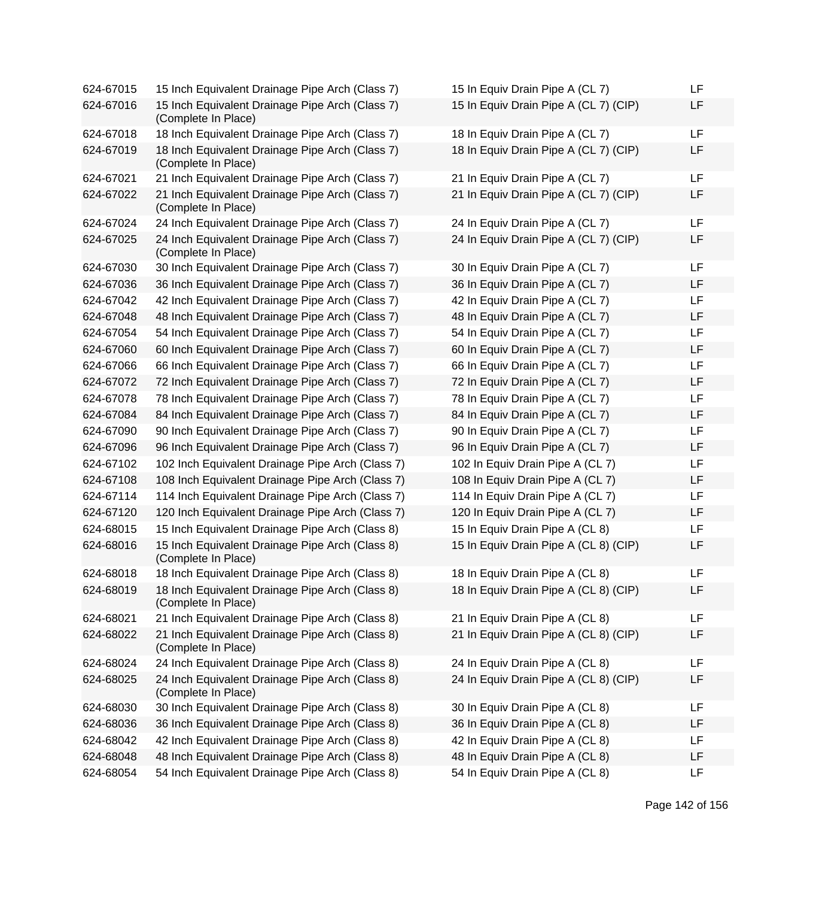624-67015 15 Inch Equivalent Drainage Pipe Arch (Class 7) 624-67016 15 Inch Equivalent Drainage Pipe Arch (Class 7) (Complete In Place) 624-67018 18 Inch Equivalent Drainage Pipe Arch (Class 7) 624-67019 18 Inch Equivalent Drainage Pipe Arch (Class 7) (Complete In Place) 624-67021 21 Inch Equivalent Drainage Pipe Arch (Class 7) 624-67022 21 Inch Equivalent Drainage Pipe Arch (Class 7) (Complete In Place) 624-67024 24 Inch Equivalent Drainage Pipe Arch (Class 7) 624-67025 24 Inch Equivalent Drainage Pipe Arch (Class 7) (Complete In Place) 624-67030 30 Inch Equivalent Drainage Pipe Arch (Class 7) 624-67036 36 Inch Equivalent Drainage Pipe Arch (Class 7) 624-67042 42 Inch Equivalent Drainage Pipe Arch (Class 7) 624-67048 48 Inch Equivalent Drainage Pipe Arch (Class 7) 624-67054 54 Inch Equivalent Drainage Pipe Arch (Class 7) 624-67060 60 Inch Equivalent Drainage Pipe Arch (Class 7) 624-67066 66 Inch Equivalent Drainage Pipe Arch (Class 7) 624-67072 72 Inch Equivalent Drainage Pipe Arch (Class 7) 624-67078 78 Inch Equivalent Drainage Pipe Arch (Class 7) 624-67084 84 Inch Equivalent Drainage Pipe Arch (Class 7) 624-67090 90 Inch Equivalent Drainage Pipe Arch (Class 7) 624-67096 96 Inch Equivalent Drainage Pipe Arch (Class 7) 624-67102 102 Inch Equivalent Drainage Pipe Arch (Class 7) 624-67108 108 Inch Equivalent Drainage Pipe Arch (Class 7) 624-67114 114 Inch Equivalent Drainage Pipe Arch (Class 7) 624-67120 120 Inch Equivalent Drainage Pipe Arch (Class 7) 624-68015 15 Inch Equivalent Drainage Pipe Arch (Class 8) 624-68016 15 Inch Equivalent Drainage Pipe Arch (Class 8) (Complete In Place) 624-68018 18 Inch Equivalent Drainage Pipe Arch (Class 8) 624-68019 18 Inch Equivalent Drainage Pipe Arch (Class 8) (Complete In Place) 624-68021 21 Inch Equivalent Drainage Pipe Arch (Class 8) 624-68022 21 Inch Equivalent Drainage Pipe Arch (Class 8) (Complete In Place) 624-68024 24 Inch Equivalent Drainage Pipe Arch (Class 8) 624-68025 24 Inch Equivalent Drainage Pipe Arch (Class 8) (Complete In Place) 624-68030 30 Inch Equivalent Drainage Pipe Arch (Class 8) 624-68036 36 Inch Equivalent Drainage Pipe Arch (Class 8) 624-68042 42 Inch Equivalent Drainage Pipe Arch (Class 8) 624-68048 48 Inch Equivalent Drainage Pipe Arch (Class 8) 624-68054 54 Inch Equivalent Drainage Pipe Arch (Class 8)

| 15 In Equiv Drain Pipe A (CL 7)       | LF |
|---------------------------------------|----|
| 15 In Equiv Drain Pipe A (CL 7) (CIP) | LF |
| 18 In Equiv Drain Pipe A (CL 7)       | LF |
| 18 In Equiv Drain Pipe A (CL 7) (CIP) | LF |
| 21 In Equiv Drain Pipe A (CL 7)       | LF |
| 21 In Equiv Drain Pipe A (CL 7) (CIP) | LF |
| 24 In Equiv Drain Pipe A (CL 7)       | LF |
| 24 In Equiv Drain Pipe A (CL 7) (CIP) | LF |
| 30 In Equiv Drain Pipe A (CL 7)       | LF |
| 36 In Equiv Drain Pipe A (CL 7)       | LF |
| 42 In Equiv Drain Pipe A (CL 7)       | LF |
| 48 In Equiv Drain Pipe A (CL 7)       | LF |
| 54 In Equiv Drain Pipe A (CL 7)       | LF |
| 60 In Equiv Drain Pipe A (CL 7)       | LF |
| 66 In Equiv Drain Pipe A (CL 7)       | LF |
| 72 In Equiv Drain Pipe A (CL 7)       | LF |
| 78 In Equiv Drain Pipe A (CL 7)       | LF |
| 84 In Equiv Drain Pipe A (CL 7)       | LF |
| 90 In Equiv Drain Pipe A (CL 7)       | LF |
| 96 In Equiv Drain Pipe A (CL 7)       | LF |
| 102 In Equiv Drain Pipe A (CL 7)      | LF |
| 108 In Equiv Drain Pipe A (CL 7)      | LF |
| 114 In Equiv Drain Pipe A (CL 7)      | LF |
| 120 In Equiv Drain Pipe A (CL 7)      | LF |
| 15 In Equiv Drain Pipe A (CL 8)       | LF |
| 15 In Equiv Drain Pipe A (CL 8) (CIP) | LF |
| 18 In Equiv Drain Pipe A (CL 8)       | LF |
| 18 In Equiv Drain Pipe A (CL 8) (CIP) | LF |
| 21 In Equiv Drain Pipe A (CL 8)       | LF |
| 21 In Equiv Drain Pipe A (CL 8) (CIP) | LF |
| 24 In Equiv Drain Pipe A (CL 8)       | LF |
| 24 In Equiv Drain Pipe A (CL 8) (CIP) | LF |
| 30 In Equiv Drain Pipe A (CL 8)       | LF |
| 36 In Equiv Drain Pipe A (CL 8)       | LF |
| 42 In Equiv Drain Pipe A (CL 8)       | LF |
| 48 In Equiv Drain Pipe A (CL 8)       | LF |
| 54 In Equiv Drain Pipe A (CL 8)       | LF |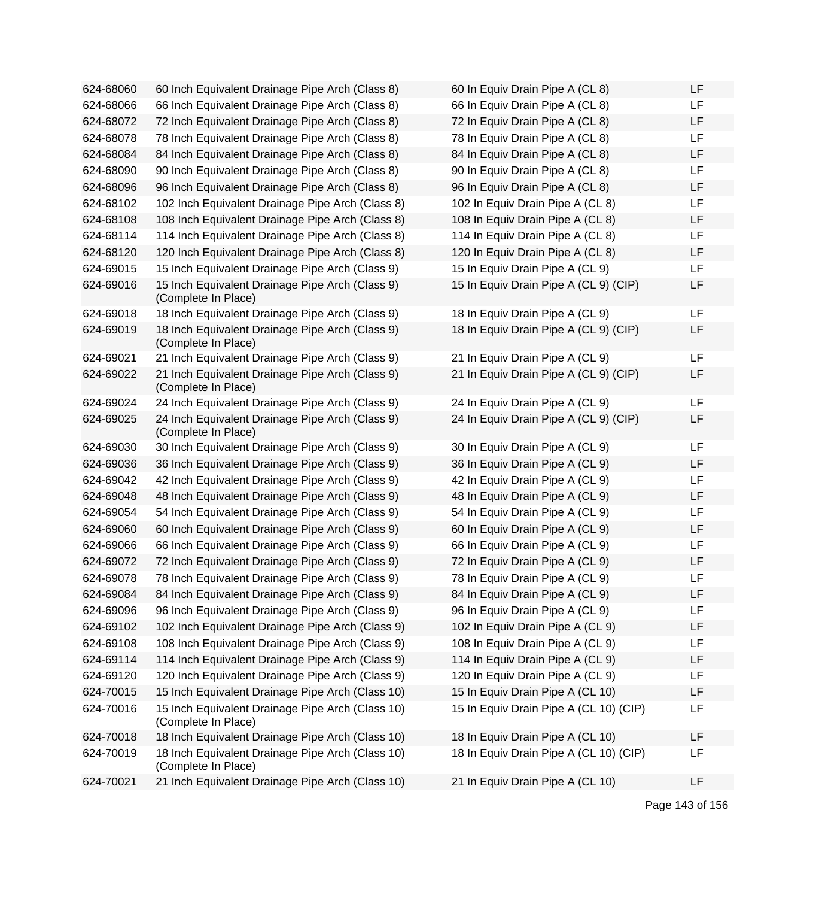| 624-68060 | 60 Inch Equivalent Drainage Pipe Arch (Class 8)                         | 60 In Equiv Drain Pipe A (CL 8)        | LF        |
|-----------|-------------------------------------------------------------------------|----------------------------------------|-----------|
| 624-68066 | 66 Inch Equivalent Drainage Pipe Arch (Class 8)                         | 66 In Equiv Drain Pipe A (CL 8)        | <b>LF</b> |
| 624-68072 | 72 Inch Equivalent Drainage Pipe Arch (Class 8)                         | 72 In Equiv Drain Pipe A (CL 8)        | LF        |
| 624-68078 | 78 Inch Equivalent Drainage Pipe Arch (Class 8)                         | 78 In Equiv Drain Pipe A (CL 8)        | LF        |
| 624-68084 | 84 Inch Equivalent Drainage Pipe Arch (Class 8)                         | 84 In Equiv Drain Pipe A (CL 8)        | LF        |
| 624-68090 | 90 Inch Equivalent Drainage Pipe Arch (Class 8)                         | 90 In Equiv Drain Pipe A (CL 8)        | LF        |
| 624-68096 | 96 Inch Equivalent Drainage Pipe Arch (Class 8)                         | 96 In Equiv Drain Pipe A (CL 8)        | LF        |
| 624-68102 | 102 Inch Equivalent Drainage Pipe Arch (Class 8)                        | 102 In Equiv Drain Pipe A (CL 8)       | LF        |
| 624-68108 | 108 Inch Equivalent Drainage Pipe Arch (Class 8)                        | 108 In Equiv Drain Pipe A (CL 8)       | LF        |
| 624-68114 | 114 Inch Equivalent Drainage Pipe Arch (Class 8)                        | 114 In Equiv Drain Pipe A (CL 8)       | LF        |
| 624-68120 | 120 Inch Equivalent Drainage Pipe Arch (Class 8)                        | 120 In Equiv Drain Pipe A (CL 8)       | LF        |
| 624-69015 | 15 Inch Equivalent Drainage Pipe Arch (Class 9)                         | 15 In Equiv Drain Pipe A (CL 9)        | <b>LF</b> |
| 624-69016 | 15 Inch Equivalent Drainage Pipe Arch (Class 9)<br>(Complete In Place)  | 15 In Equiv Drain Pipe A (CL 9) (CIP)  | LF        |
| 624-69018 | 18 Inch Equivalent Drainage Pipe Arch (Class 9)                         | 18 In Equiv Drain Pipe A (CL 9)        | LF        |
| 624-69019 | 18 Inch Equivalent Drainage Pipe Arch (Class 9)<br>(Complete In Place)  | 18 In Equiv Drain Pipe A (CL 9) (CIP)  | LF        |
| 624-69021 | 21 Inch Equivalent Drainage Pipe Arch (Class 9)                         | 21 In Equiv Drain Pipe A (CL 9)        | LF        |
| 624-69022 | 21 Inch Equivalent Drainage Pipe Arch (Class 9)<br>(Complete In Place)  | 21 In Equiv Drain Pipe A (CL 9) (CIP)  | LF        |
| 624-69024 | 24 Inch Equivalent Drainage Pipe Arch (Class 9)                         | 24 In Equiv Drain Pipe A (CL 9)        | LF        |
| 624-69025 | 24 Inch Equivalent Drainage Pipe Arch (Class 9)<br>(Complete In Place)  | 24 In Equiv Drain Pipe A (CL 9) (CIP)  | LF        |
| 624-69030 | 30 Inch Equivalent Drainage Pipe Arch (Class 9)                         | 30 In Equiv Drain Pipe A (CL 9)        | LF        |
| 624-69036 | 36 Inch Equivalent Drainage Pipe Arch (Class 9)                         | 36 In Equiv Drain Pipe A (CL 9)        | LF        |
| 624-69042 | 42 Inch Equivalent Drainage Pipe Arch (Class 9)                         | 42 In Equiv Drain Pipe A (CL 9)        | LF        |
| 624-69048 | 48 Inch Equivalent Drainage Pipe Arch (Class 9)                         | 48 In Equiv Drain Pipe A (CL 9)        | LF        |
| 624-69054 | 54 Inch Equivalent Drainage Pipe Arch (Class 9)                         | 54 In Equiv Drain Pipe A (CL 9)        | LF        |
| 624-69060 | 60 Inch Equivalent Drainage Pipe Arch (Class 9)                         | 60 In Equiv Drain Pipe A (CL 9)        | LF        |
| 624-69066 | 66 Inch Equivalent Drainage Pipe Arch (Class 9)                         | 66 In Equiv Drain Pipe A (CL 9)        | LF        |
| 624-69072 | 72 Inch Equivalent Drainage Pipe Arch (Class 9)                         | 72 In Equiv Drain Pipe A (CL 9)        | LF        |
| 624-69078 | 78 Inch Equivalent Drainage Pipe Arch (Class 9)                         | 78 In Equiv Drain Pipe A (CL 9)        | LF        |
| 624-69084 | 84 Inch Equivalent Drainage Pipe Arch (Class 9)                         | 84 In Equiv Drain Pipe A (CL 9)        | LF        |
| 624-69096 | 96 Inch Equivalent Drainage Pipe Arch (Class 9)                         | 96 In Equiv Drain Pipe A (CL 9)        | LF        |
| 624-69102 | 102 Inch Equivalent Drainage Pipe Arch (Class 9)                        | 102 In Equiv Drain Pipe A (CL 9)       | LF        |
| 624-69108 | 108 Inch Equivalent Drainage Pipe Arch (Class 9)                        | 108 In Equiv Drain Pipe A (CL 9)       | LF        |
| 624-69114 | 114 Inch Equivalent Drainage Pipe Arch (Class 9)                        | 114 In Equiv Drain Pipe A (CL 9)       | LF        |
| 624-69120 | 120 Inch Equivalent Drainage Pipe Arch (Class 9)                        | 120 In Equiv Drain Pipe A (CL 9)       | LF        |
| 624-70015 | 15 Inch Equivalent Drainage Pipe Arch (Class 10)                        | 15 In Equiv Drain Pipe A (CL 10)       | LF        |
| 624-70016 | 15 Inch Equivalent Drainage Pipe Arch (Class 10)<br>(Complete In Place) | 15 In Equiv Drain Pipe A (CL 10) (CIP) | LF        |
| 624-70018 | 18 Inch Equivalent Drainage Pipe Arch (Class 10)                        | 18 In Equiv Drain Pipe A (CL 10)       | LF        |
| 624-70019 | 18 Inch Equivalent Drainage Pipe Arch (Class 10)<br>(Complete In Place) | 18 In Equiv Drain Pipe A (CL 10) (CIP) | LF        |
| 624-70021 | 21 Inch Equivalent Drainage Pipe Arch (Class 10)                        | 21 In Equiv Drain Pipe A (CL 10)       | LF        |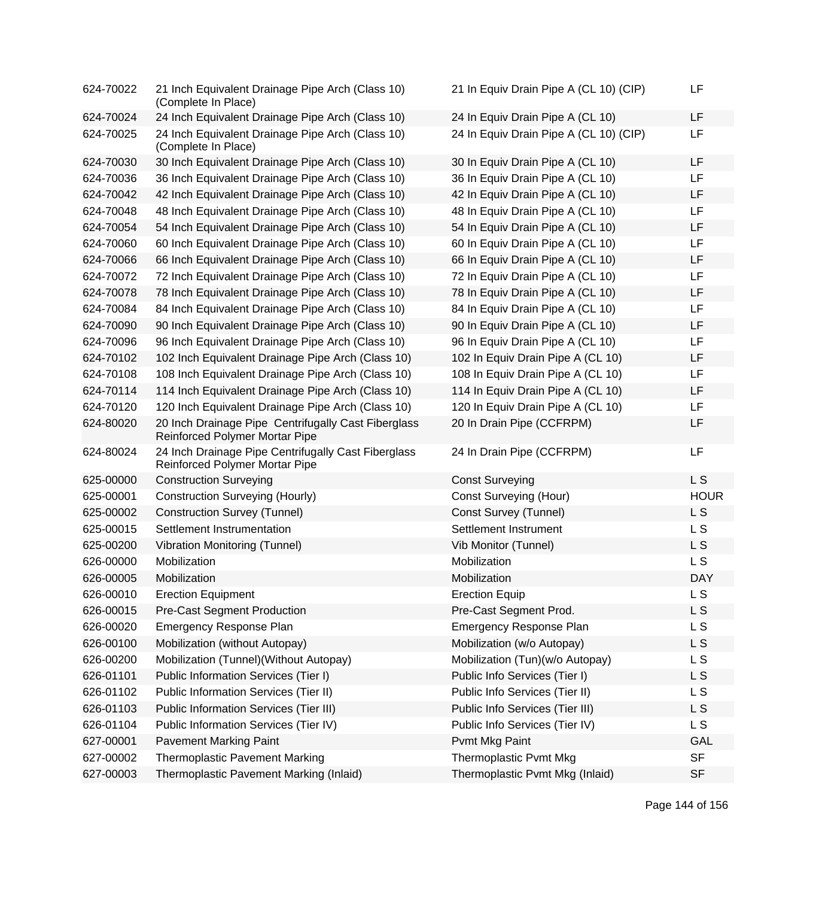| 624-70022 | 21 Inch Equivalent Drainage Pipe Arch (Class 10)<br>(Complete In Place)               | 21 In Equiv Drain Pipe A (CL 10) (CIP) | LF             |
|-----------|---------------------------------------------------------------------------------------|----------------------------------------|----------------|
| 624-70024 | 24 Inch Equivalent Drainage Pipe Arch (Class 10)                                      | 24 In Equiv Drain Pipe A (CL 10)       | <b>LF</b>      |
| 624-70025 | 24 Inch Equivalent Drainage Pipe Arch (Class 10)<br>(Complete In Place)               | 24 In Equiv Drain Pipe A (CL 10) (CIP) | <b>LF</b>      |
| 624-70030 | 30 Inch Equivalent Drainage Pipe Arch (Class 10)                                      | 30 In Equiv Drain Pipe A (CL 10)       | <b>LF</b>      |
| 624-70036 | 36 Inch Equivalent Drainage Pipe Arch (Class 10)                                      | 36 In Equiv Drain Pipe A (CL 10)       | LF             |
| 624-70042 | 42 Inch Equivalent Drainage Pipe Arch (Class 10)                                      | 42 In Equiv Drain Pipe A (CL 10)       | <b>LF</b>      |
| 624-70048 | 48 Inch Equivalent Drainage Pipe Arch (Class 10)                                      | 48 In Equiv Drain Pipe A (CL 10)       | LF             |
| 624-70054 | 54 Inch Equivalent Drainage Pipe Arch (Class 10)                                      | 54 In Equiv Drain Pipe A (CL 10)       | LF             |
| 624-70060 | 60 Inch Equivalent Drainage Pipe Arch (Class 10)                                      | 60 In Equiv Drain Pipe A (CL 10)       | <b>LF</b>      |
| 624-70066 | 66 Inch Equivalent Drainage Pipe Arch (Class 10)                                      | 66 In Equiv Drain Pipe A (CL 10)       | LF             |
| 624-70072 | 72 Inch Equivalent Drainage Pipe Arch (Class 10)                                      | 72 In Equiv Drain Pipe A (CL 10)       | <b>LF</b>      |
| 624-70078 | 78 Inch Equivalent Drainage Pipe Arch (Class 10)                                      | 78 In Equiv Drain Pipe A (CL 10)       | LF             |
| 624-70084 | 84 Inch Equivalent Drainage Pipe Arch (Class 10)                                      | 84 In Equiv Drain Pipe A (CL 10)       | <b>LF</b>      |
| 624-70090 | 90 Inch Equivalent Drainage Pipe Arch (Class 10)                                      | 90 In Equiv Drain Pipe A (CL 10)       | <b>LF</b>      |
| 624-70096 | 96 Inch Equivalent Drainage Pipe Arch (Class 10)                                      | 96 In Equiv Drain Pipe A (CL 10)       | LF             |
| 624-70102 | 102 Inch Equivalent Drainage Pipe Arch (Class 10)                                     | 102 In Equiv Drain Pipe A (CL 10)      | <b>LF</b>      |
| 624-70108 | 108 Inch Equivalent Drainage Pipe Arch (Class 10)                                     | 108 In Equiv Drain Pipe A (CL 10)      | <b>LF</b>      |
| 624-70114 | 114 Inch Equivalent Drainage Pipe Arch (Class 10)                                     | 114 In Equiv Drain Pipe A (CL 10)      | LF             |
| 624-70120 | 120 Inch Equivalent Drainage Pipe Arch (Class 10)                                     | 120 In Equiv Drain Pipe A (CL 10)      | <b>LF</b>      |
| 624-80020 | 20 Inch Drainage Pipe Centrifugally Cast Fiberglass<br>Reinforced Polymer Mortar Pipe | 20 In Drain Pipe (CCFRPM)              | LF             |
| 624-80024 | 24 Inch Drainage Pipe Centrifugally Cast Fiberglass<br>Reinforced Polymer Mortar Pipe | 24 In Drain Pipe (CCFRPM)              | LF             |
| 625-00000 | <b>Construction Surveying</b>                                                         | <b>Const Surveying</b>                 | L <sub>S</sub> |
| 625-00001 | <b>Construction Surveying (Hourly)</b>                                                | <b>Const Surveying (Hour)</b>          | <b>HOUR</b>    |
| 625-00002 | <b>Construction Survey (Tunnel)</b>                                                   | Const Survey (Tunnel)                  | L <sub>S</sub> |
| 625-00015 | Settlement Instrumentation                                                            | Settlement Instrument                  | L S            |
| 625-00200 | <b>Vibration Monitoring (Tunnel)</b>                                                  | Vib Monitor (Tunnel)                   | L S            |
| 626-00000 | Mobilization                                                                          | Mobilization                           | L S            |
| 626-00005 | Mobilization                                                                          | Mobilization                           | <b>DAY</b>     |
| 626-00010 | <b>Erection Equipment</b>                                                             | <b>Erection Equip</b>                  | L S            |
| 626-00015 | <b>Pre-Cast Segment Production</b>                                                    | Pre-Cast Segment Prod.                 | L S            |
| 626-00020 | Emergency Response Plan                                                               | <b>Emergency Response Plan</b>         | L S            |
| 626-00100 | Mobilization (without Autopay)                                                        | Mobilization (w/o Autopay)             | L S            |
| 626-00200 | Mobilization (Tunnel) (Without Autopay)                                               | Mobilization (Tun)(w/o Autopay)        | L S            |
| 626-01101 | Public Information Services (Tier I)                                                  | Public Info Services (Tier I)          | L S            |
| 626-01102 | Public Information Services (Tier II)                                                 | Public Info Services (Tier II)         | L S            |
| 626-01103 | Public Information Services (Tier III)                                                | Public Info Services (Tier III)        | L S            |
| 626-01104 | Public Information Services (Tier IV)                                                 | Public Info Services (Tier IV)         | L S            |
| 627-00001 | <b>Pavement Marking Paint</b>                                                         | Pvmt Mkg Paint                         | GAL            |
| 627-00002 | <b>Thermoplastic Pavement Marking</b>                                                 | Thermoplastic Pvmt Mkg                 | <b>SF</b>      |
| 627-00003 | Thermoplastic Pavement Marking (Inlaid)                                               | Thermoplastic Pvmt Mkg (Inlaid)        | <b>SF</b>      |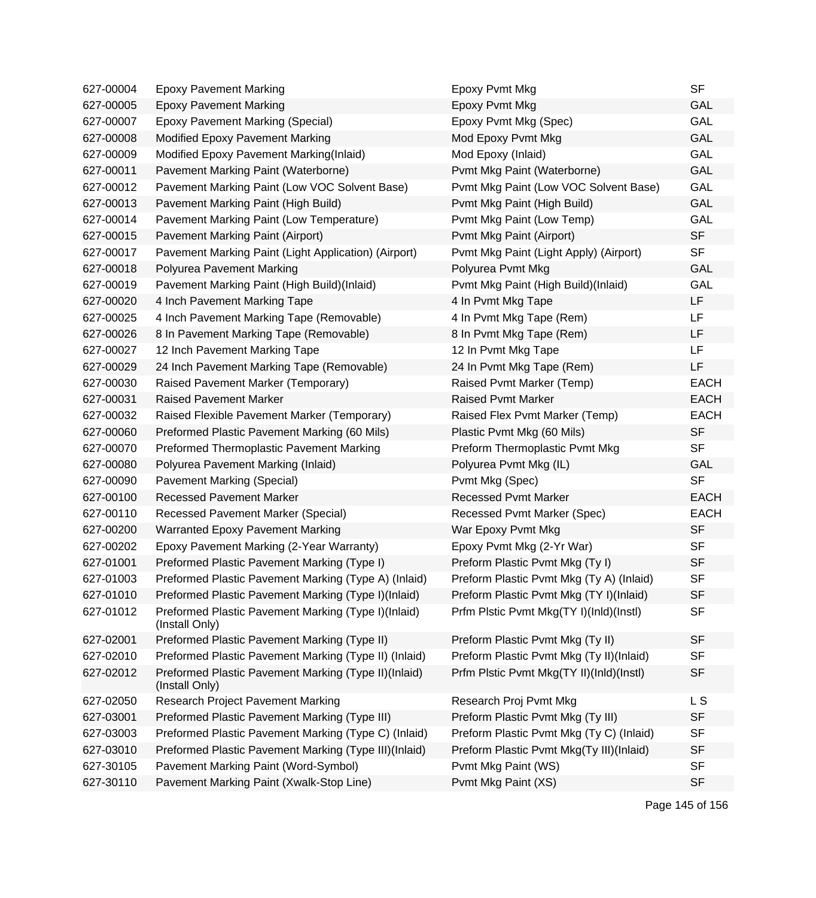| 627-00004 | <b>Epoxy Pavement Marking</b>                                          | Epoxy Pvmt Mkg                           | <b>SF</b>   |
|-----------|------------------------------------------------------------------------|------------------------------------------|-------------|
| 627-00005 | <b>Epoxy Pavement Marking</b>                                          | Epoxy Pvmt Mkg                           | GAL         |
| 627-00007 | <b>Epoxy Pavement Marking (Special)</b>                                | Epoxy Pvmt Mkg (Spec)                    | <b>GAL</b>  |
| 627-00008 | Modified Epoxy Pavement Marking                                        | Mod Epoxy Pvmt Mkg                       | <b>GAL</b>  |
| 627-00009 | Modified Epoxy Pavement Marking(Inlaid)                                | Mod Epoxy (Inlaid)                       | GAL         |
| 627-00011 | Pavement Marking Paint (Waterborne)                                    | Pvmt Mkg Paint (Waterborne)              | <b>GAL</b>  |
| 627-00012 | Pavement Marking Paint (Low VOC Solvent Base)                          | Pvmt Mkg Paint (Low VOC Solvent Base)    | GAL         |
| 627-00013 | Pavement Marking Paint (High Build)                                    | Pvmt Mkg Paint (High Build)              | GAL         |
| 627-00014 | Pavement Marking Paint (Low Temperature)                               | Pvmt Mkg Paint (Low Temp)                | <b>GAL</b>  |
| 627-00015 | Pavement Marking Paint (Airport)                                       | Pvmt Mkg Paint (Airport)                 | <b>SF</b>   |
| 627-00017 | Pavement Marking Paint (Light Application) (Airport)                   | Pvmt Mkg Paint (Light Apply) (Airport)   | <b>SF</b>   |
| 627-00018 | Polyurea Pavement Marking                                              | Polyurea Pvmt Mkg                        | <b>GAL</b>  |
| 627-00019 | Pavement Marking Paint (High Build)(Inlaid)                            | Pvmt Mkg Paint (High Build)(Inlaid)      | GAL         |
| 627-00020 | 4 Inch Pavement Marking Tape                                           | 4 In Pvmt Mkg Tape                       | LF          |
| 627-00025 | 4 Inch Pavement Marking Tape (Removable)                               | 4 In Pvmt Mkg Tape (Rem)                 | <b>LF</b>   |
| 627-00026 | 8 In Pavement Marking Tape (Removable)                                 | 8 In Pvmt Mkg Tape (Rem)                 | LF          |
| 627-00027 | 12 Inch Pavement Marking Tape                                          | 12 In Pvmt Mkg Tape                      | <b>LF</b>   |
| 627-00029 | 24 Inch Pavement Marking Tape (Removable)                              | 24 In Pvmt Mkg Tape (Rem)                | LF          |
| 627-00030 | Raised Pavement Marker (Temporary)                                     | Raised Pvmt Marker (Temp)                | <b>EACH</b> |
| 627-00031 | <b>Raised Pavement Marker</b>                                          | <b>Raised Pvmt Marker</b>                | <b>EACH</b> |
| 627-00032 | Raised Flexible Pavement Marker (Temporary)                            | Raised Flex Pvmt Marker (Temp)           | <b>EACH</b> |
| 627-00060 | Preformed Plastic Pavement Marking (60 Mils)                           | Plastic Pvmt Mkg (60 Mils)               | <b>SF</b>   |
| 627-00070 | Preformed Thermoplastic Pavement Marking                               | Preform Thermoplastic Pvmt Mkg           | <b>SF</b>   |
| 627-00080 | Polyurea Pavement Marking (Inlaid)                                     | Polyurea Pvmt Mkg (IL)                   | <b>GAL</b>  |
| 627-00090 | Pavement Marking (Special)                                             | Pvmt Mkg (Spec)                          | <b>SF</b>   |
| 627-00100 | <b>Recessed Pavement Marker</b>                                        | <b>Recessed Pvmt Marker</b>              | <b>EACH</b> |
| 627-00110 | <b>Recessed Pavement Marker (Special)</b>                              | Recessed Pvmt Marker (Spec)              | <b>EACH</b> |
| 627-00200 | <b>Warranted Epoxy Pavement Marking</b>                                | War Epoxy Pvmt Mkg                       | <b>SF</b>   |
| 627-00202 | Epoxy Pavement Marking (2-Year Warranty)                               | Epoxy Pvmt Mkg (2-Yr War)                | <b>SF</b>   |
| 627-01001 | Preformed Plastic Pavement Marking (Type I)                            | Preform Plastic Pvmt Mkg (Ty I)          | <b>SF</b>   |
| 627-01003 | Preformed Plastic Pavement Marking (Type A) (Inlaid)                   | Preform Plastic Pvmt Mkg (Ty A) (Inlaid) | <b>SF</b>   |
| 627-01010 | Preformed Plastic Pavement Marking (Type I)(Inlaid)                    | Preform Plastic Pvmt Mkg (TY I)(Inlaid)  | SF          |
| 627-01012 | Preformed Plastic Pavement Marking (Type I)(Inlaid)<br>(Install Only)  | Prfm Plstic Pvmt Mkg(TY I)(Inld)(Instl)  | <b>SF</b>   |
| 627-02001 | Preformed Plastic Pavement Marking (Type II)                           | Preform Plastic Pvmt Mkg (Ty II)         | <b>SF</b>   |
| 627-02010 | Preformed Plastic Pavement Marking (Type II) (Inlaid)                  | Preform Plastic Pvmt Mkg (Ty II)(Inlaid) | <b>SF</b>   |
| 627-02012 | Preformed Plastic Pavement Marking (Type II)(Inlaid)<br>(Install Only) | Prfm Plstic Pvmt Mkg(TY II)(Inld)(Instl) | <b>SF</b>   |
| 627-02050 | Research Project Pavement Marking                                      | Research Proj Pvmt Mkg                   | L S         |
| 627-03001 | Preformed Plastic Pavement Marking (Type III)                          | Preform Plastic Pvmt Mkg (Ty III)        | <b>SF</b>   |
| 627-03003 | Preformed Plastic Pavement Marking (Type C) (Inlaid)                   | Preform Plastic Pvmt Mkg (Ty C) (Inlaid) | <b>SF</b>   |
| 627-03010 | Preformed Plastic Pavement Marking (Type III)(Inlaid)                  | Preform Plastic Pvmt Mkg(Ty III)(Inlaid) | <b>SF</b>   |
| 627-30105 | Pavement Marking Paint (Word-Symbol)                                   | Pvmt Mkg Paint (WS)                      | <b>SF</b>   |
| 627-30110 | Pavement Marking Paint (Xwalk-Stop Line)                               | Pvmt Mkg Paint (XS)                      | <b>SF</b>   |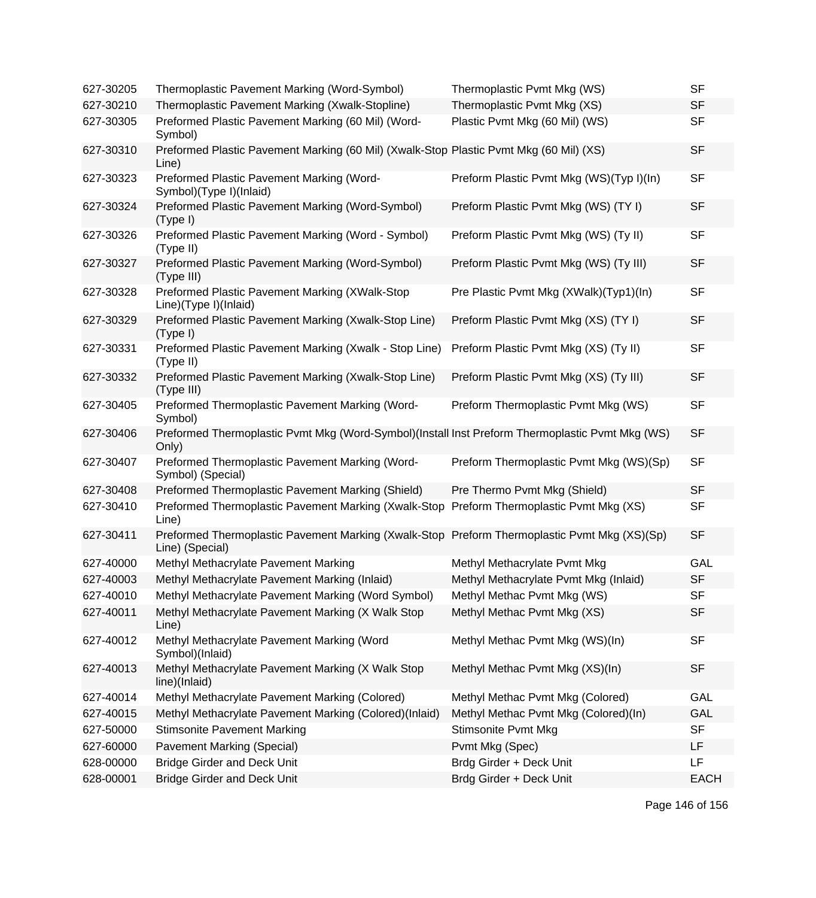| 627-30205 | Thermoplastic Pavement Marking (Word-Symbol)                                                                    | Thermoplastic Pvmt Mkg (WS)              | <b>SF</b>   |
|-----------|-----------------------------------------------------------------------------------------------------------------|------------------------------------------|-------------|
| 627-30210 | Thermoplastic Pavement Marking (Xwalk-Stopline)                                                                 | Thermoplastic Pvmt Mkg (XS)              | <b>SF</b>   |
| 627-30305 | Preformed Plastic Pavement Marking (60 Mil) (Word-<br>Symbol)                                                   | Plastic Pvmt Mkg (60 Mil) (WS)           | <b>SF</b>   |
| 627-30310 | Preformed Plastic Pavement Marking (60 Mil) (Xwalk-Stop Plastic Pvmt Mkg (60 Mil) (XS)<br>Line)                 |                                          | <b>SF</b>   |
| 627-30323 | Preformed Plastic Pavement Marking (Word-<br>Symbol)(Type I)(Inlaid)                                            | Preform Plastic Pvmt Mkg (WS)(Typ I)(In) | <b>SF</b>   |
| 627-30324 | Preformed Plastic Pavement Marking (Word-Symbol)<br>(Type I)                                                    | Preform Plastic Pvmt Mkg (WS) (TY I)     | <b>SF</b>   |
| 627-30326 | Preformed Plastic Pavement Marking (Word - Symbol)<br>(Type II)                                                 | Preform Plastic Pvmt Mkg (WS) (Ty II)    | <b>SF</b>   |
| 627-30327 | Preformed Plastic Pavement Marking (Word-Symbol)<br>(Type III)                                                  | Preform Plastic Pvmt Mkg (WS) (Ty III)   | <b>SF</b>   |
| 627-30328 | Preformed Plastic Pavement Marking (XWalk-Stop<br>Line)(Type I)(Inlaid)                                         | Pre Plastic Pvmt Mkg (XWalk)(Typ1)(In)   | <b>SF</b>   |
| 627-30329 | Preformed Plastic Pavement Marking (Xwalk-Stop Line)<br>(Type I)                                                | Preform Plastic Pvmt Mkg (XS) (TY I)     | <b>SF</b>   |
| 627-30331 | Preformed Plastic Pavement Marking (Xwalk - Stop Line)<br>(Type II)                                             | Preform Plastic Pvmt Mkg (XS) (Ty II)    | <b>SF</b>   |
| 627-30332 | Preformed Plastic Pavement Marking (Xwalk-Stop Line)<br>(Type III)                                              | Preform Plastic Pvmt Mkg (XS) (Ty III)   | <b>SF</b>   |
| 627-30405 | Preformed Thermoplastic Pavement Marking (Word-<br>Symbol)                                                      | Preform Thermoplastic Pvmt Mkg (WS)      | <b>SF</b>   |
| 627-30406 | Preformed Thermoplastic Pvmt Mkg (Word-Symbol)(Install Inst Preform Thermoplastic Pvmt Mkg (WS)<br>Only)        |                                          | <b>SF</b>   |
| 627-30407 | Preformed Thermoplastic Pavement Marking (Word-<br>Symbol) (Special)                                            | Preform Thermoplastic Pvmt Mkg (WS)(Sp)  | <b>SF</b>   |
| 627-30408 | Preformed Thermoplastic Pavement Marking (Shield)                                                               | Pre Thermo Pvmt Mkg (Shield)             | <b>SF</b>   |
| 627-30410 | Preformed Thermoplastic Pavement Marking (Xwalk-Stop<br>Line)                                                   | Preform Thermoplastic Pvmt Mkg (XS)      | <b>SF</b>   |
| 627-30411 | Preformed Thermoplastic Pavement Marking (Xwalk-Stop Preform Thermoplastic Pvmt Mkg (XS)(Sp)<br>Line) (Special) |                                          | <b>SF</b>   |
| 627-40000 | Methyl Methacrylate Pavement Marking                                                                            | Methyl Methacrylate Pvmt Mkg             | GAL         |
| 627-40003 | Methyl Methacrylate Pavement Marking (Inlaid)                                                                   | Methyl Methacrylate Pvmt Mkg (Inlaid)    | <b>SF</b>   |
| 627-40010 | Methyl Methacrylate Pavement Marking (Word Symbol)                                                              | Methyl Methac Pvmt Mkg (WS)              | <b>SF</b>   |
| 627-40011 | Methyl Methacrylate Pavement Marking (X Walk Stop<br>Line)                                                      | Methyl Methac Pvmt Mkg (XS)              | <b>SF</b>   |
| 627-40012 | Methyl Methacrylate Pavement Marking (Word<br>Symbol)(Inlaid)                                                   | Methyl Methac Pvmt Mkg (WS)(In)          | <b>SF</b>   |
| 627-40013 | Methyl Methacrylate Pavement Marking (X Walk Stop<br>line)(Inlaid)                                              | Methyl Methac Pvmt Mkg (XS)(In)          | <b>SF</b>   |
| 627-40014 | Methyl Methacrylate Pavement Marking (Colored)                                                                  | Methyl Methac Pvmt Mkg (Colored)         | GAL         |
| 627-40015 | Methyl Methacrylate Pavement Marking (Colored)(Inlaid)                                                          | Methyl Methac Pvmt Mkg (Colored)(In)     | GAL         |
| 627-50000 | <b>Stimsonite Pavement Marking</b>                                                                              | <b>Stimsonite Pvmt Mkg</b>               | <b>SF</b>   |
| 627-60000 | Pavement Marking (Special)                                                                                      | Pvmt Mkg (Spec)                          | LF          |
| 628-00000 | <b>Bridge Girder and Deck Unit</b>                                                                              | Brdg Girder + Deck Unit                  | LF          |
| 628-00001 | <b>Bridge Girder and Deck Unit</b>                                                                              | Brdg Girder + Deck Unit                  | <b>EACH</b> |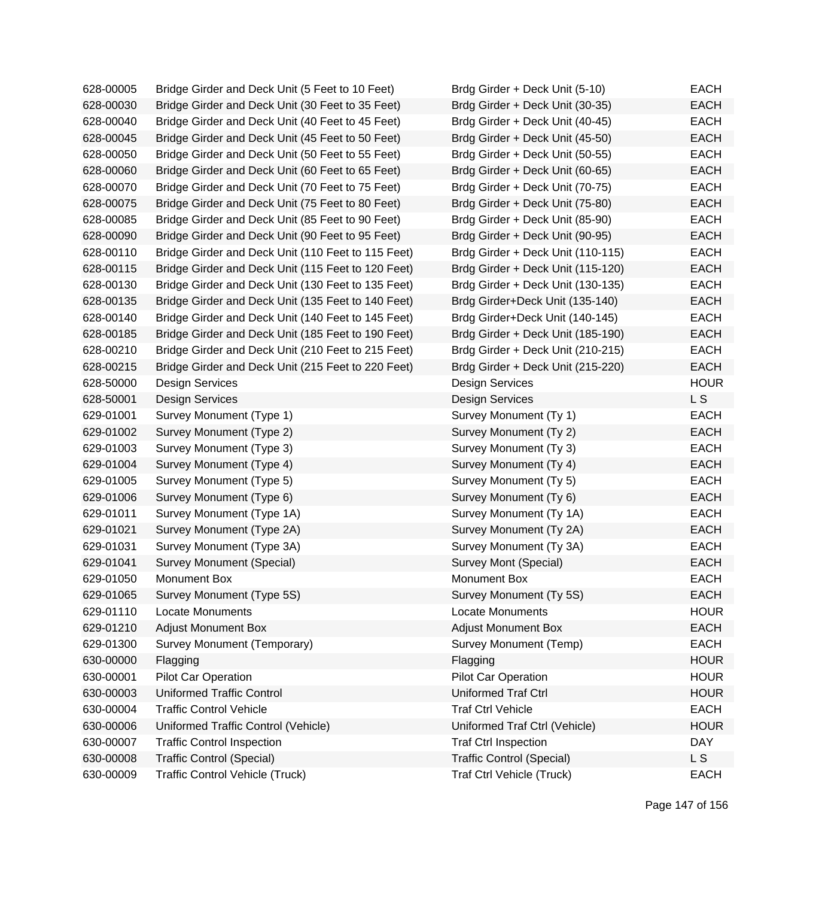| 628-00005 | Bridge Girder and Deck Unit (5 Feet to 10 Feet)    | Brdg Girder + Deck Unit (5-10)    | <b>EACH</b> |
|-----------|----------------------------------------------------|-----------------------------------|-------------|
| 628-00030 | Bridge Girder and Deck Unit (30 Feet to 35 Feet)   | Brdg Girder + Deck Unit (30-35)   | <b>EACH</b> |
| 628-00040 | Bridge Girder and Deck Unit (40 Feet to 45 Feet)   | Brdg Girder + Deck Unit (40-45)   | <b>EACH</b> |
| 628-00045 | Bridge Girder and Deck Unit (45 Feet to 50 Feet)   | Brdg Girder + Deck Unit (45-50)   | <b>EACH</b> |
| 628-00050 | Bridge Girder and Deck Unit (50 Feet to 55 Feet)   | Brdg Girder + Deck Unit (50-55)   | <b>EACH</b> |
| 628-00060 | Bridge Girder and Deck Unit (60 Feet to 65 Feet)   | Brdg Girder + Deck Unit (60-65)   | <b>EACH</b> |
| 628-00070 | Bridge Girder and Deck Unit (70 Feet to 75 Feet)   | Brdg Girder + Deck Unit (70-75)   | <b>EACH</b> |
| 628-00075 | Bridge Girder and Deck Unit (75 Feet to 80 Feet)   | Brdg Girder + Deck Unit (75-80)   | <b>EACH</b> |
| 628-00085 | Bridge Girder and Deck Unit (85 Feet to 90 Feet)   | Brdg Girder + Deck Unit (85-90)   | <b>EACH</b> |
| 628-00090 | Bridge Girder and Deck Unit (90 Feet to 95 Feet)   | Brdg Girder + Deck Unit (90-95)   | <b>EACH</b> |
| 628-00110 | Bridge Girder and Deck Unit (110 Feet to 115 Feet) | Brdg Girder + Deck Unit (110-115) | <b>EACH</b> |
| 628-00115 | Bridge Girder and Deck Unit (115 Feet to 120 Feet) | Brdg Girder + Deck Unit (115-120) | <b>EACH</b> |
| 628-00130 | Bridge Girder and Deck Unit (130 Feet to 135 Feet) | Brdg Girder + Deck Unit (130-135) | <b>EACH</b> |
| 628-00135 | Bridge Girder and Deck Unit (135 Feet to 140 Feet) | Brdg Girder+Deck Unit (135-140)   | <b>EACH</b> |
| 628-00140 | Bridge Girder and Deck Unit (140 Feet to 145 Feet) | Brdg Girder+Deck Unit (140-145)   | <b>EACH</b> |
| 628-00185 | Bridge Girder and Deck Unit (185 Feet to 190 Feet) | Brdg Girder + Deck Unit (185-190) | <b>EACH</b> |
| 628-00210 | Bridge Girder and Deck Unit (210 Feet to 215 Feet) | Brdg Girder + Deck Unit (210-215) | <b>EACH</b> |
| 628-00215 | Bridge Girder and Deck Unit (215 Feet to 220 Feet) | Brdg Girder + Deck Unit (215-220) | <b>EACH</b> |
| 628-50000 | Design Services                                    | <b>Design Services</b>            | <b>HOUR</b> |
| 628-50001 | <b>Design Services</b>                             | <b>Design Services</b>            | L S         |
| 629-01001 | Survey Monument (Type 1)                           | Survey Monument (Ty 1)            | <b>EACH</b> |
| 629-01002 | Survey Monument (Type 2)                           | Survey Monument (Ty 2)            | <b>EACH</b> |
| 629-01003 | Survey Monument (Type 3)                           | Survey Monument (Ty 3)            | <b>EACH</b> |
| 629-01004 | Survey Monument (Type 4)                           | Survey Monument (Ty 4)            | <b>EACH</b> |
| 629-01005 | Survey Monument (Type 5)                           | Survey Monument (Ty 5)            | <b>EACH</b> |
| 629-01006 | Survey Monument (Type 6)                           | Survey Monument (Ty 6)            | <b>EACH</b> |
| 629-01011 | Survey Monument (Type 1A)                          | Survey Monument (Ty 1A)           | <b>EACH</b> |
| 629-01021 | Survey Monument (Type 2A)                          | Survey Monument (Ty 2A)           | <b>EACH</b> |
| 629-01031 | Survey Monument (Type 3A)                          | Survey Monument (Ty 3A)           | <b>EACH</b> |
| 629-01041 | Survey Monument (Special)                          | Survey Mont (Special)             | <b>EACH</b> |
| 629-01050 | Monument Box                                       | Monument Box                      | <b>EACH</b> |
| 629-01065 | Survey Monument (Type 5S)                          | Survey Monument (Ty 5S)           | <b>EACH</b> |
| 629-01110 | Locate Monuments                                   | Locate Monuments                  | <b>HOUR</b> |
| 629-01210 | <b>Adjust Monument Box</b>                         | <b>Adjust Monument Box</b>        | <b>EACH</b> |
| 629-01300 | Survey Monument (Temporary)                        | Survey Monument (Temp)            | <b>EACH</b> |
| 630-00000 | Flagging                                           | Flagging                          | <b>HOUR</b> |
| 630-00001 | Pilot Car Operation                                | Pilot Car Operation               | <b>HOUR</b> |
| 630-00003 | <b>Uniformed Traffic Control</b>                   | <b>Uniformed Traf Ctrl</b>        | <b>HOUR</b> |
| 630-00004 | <b>Traffic Control Vehicle</b>                     | <b>Traf Ctrl Vehicle</b>          | <b>EACH</b> |
| 630-00006 | Uniformed Traffic Control (Vehicle)                | Uniformed Traf Ctrl (Vehicle)     | <b>HOUR</b> |
| 630-00007 | <b>Traffic Control Inspection</b>                  | <b>Traf Ctrl Inspection</b>       | <b>DAY</b>  |
| 630-00008 | <b>Traffic Control (Special)</b>                   | <b>Traffic Control (Special)</b>  | L S         |
| 630-00009 | <b>Traffic Control Vehicle (Truck)</b>             | Traf Ctrl Vehicle (Truck)         | <b>EACH</b> |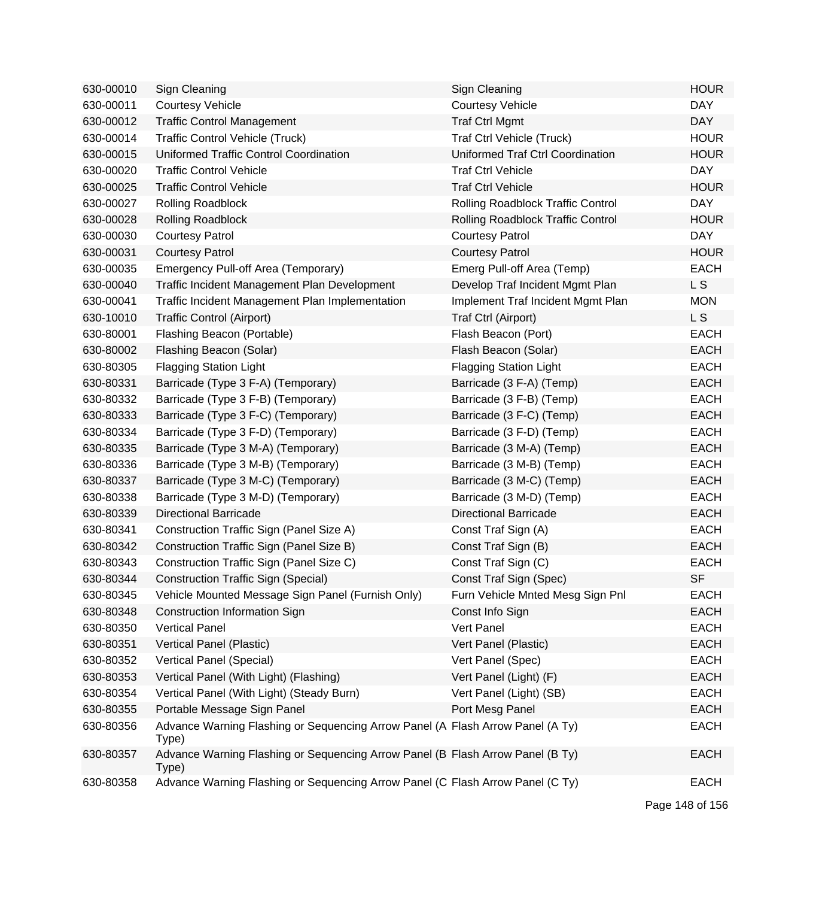| 630-00010 | Sign Cleaning                                                                           | Sign Cleaning                     | <b>HOUR</b>    |
|-----------|-----------------------------------------------------------------------------------------|-----------------------------------|----------------|
| 630-00011 | <b>Courtesy Vehicle</b>                                                                 | <b>Courtesy Vehicle</b>           | <b>DAY</b>     |
| 630-00012 | <b>Traffic Control Management</b>                                                       | <b>Traf Ctrl Mgmt</b>             | <b>DAY</b>     |
| 630-00014 | <b>Traffic Control Vehicle (Truck)</b>                                                  | Traf Ctrl Vehicle (Truck)         | <b>HOUR</b>    |
| 630-00015 | Uniformed Traffic Control Coordination                                                  | Uniformed Traf Ctrl Coordination  | <b>HOUR</b>    |
| 630-00020 | <b>Traffic Control Vehicle</b>                                                          | <b>Traf Ctrl Vehicle</b>          | <b>DAY</b>     |
| 630-00025 | <b>Traffic Control Vehicle</b>                                                          | <b>Traf Ctrl Vehicle</b>          | <b>HOUR</b>    |
| 630-00027 | Rolling Roadblock                                                                       | Rolling Roadblock Traffic Control | <b>DAY</b>     |
| 630-00028 | <b>Rolling Roadblock</b>                                                                | Rolling Roadblock Traffic Control | <b>HOUR</b>    |
| 630-00030 | <b>Courtesy Patrol</b>                                                                  | <b>Courtesy Patrol</b>            | <b>DAY</b>     |
| 630-00031 | <b>Courtesy Patrol</b>                                                                  | <b>Courtesy Patrol</b>            | <b>HOUR</b>    |
| 630-00035 | Emergency Pull-off Area (Temporary)                                                     | Emerg Pull-off Area (Temp)        | <b>EACH</b>    |
| 630-00040 | Traffic Incident Management Plan Development                                            | Develop Traf Incident Mgmt Plan   | L S            |
| 630-00041 | Traffic Incident Management Plan Implementation                                         | Implement Traf Incident Mgmt Plan | <b>MON</b>     |
| 630-10010 | <b>Traffic Control (Airport)</b>                                                        | Traf Ctrl (Airport)               | L <sub>S</sub> |
| 630-80001 | Flashing Beacon (Portable)                                                              | Flash Beacon (Port)               | <b>EACH</b>    |
| 630-80002 | Flashing Beacon (Solar)                                                                 | Flash Beacon (Solar)              | <b>EACH</b>    |
| 630-80305 | <b>Flagging Station Light</b>                                                           | <b>Flagging Station Light</b>     | <b>EACH</b>    |
| 630-80331 | Barricade (Type 3 F-A) (Temporary)                                                      | Barricade (3 F-A) (Temp)          | <b>EACH</b>    |
| 630-80332 | Barricade (Type 3 F-B) (Temporary)                                                      | Barricade (3 F-B) (Temp)          | <b>EACH</b>    |
| 630-80333 | Barricade (Type 3 F-C) (Temporary)                                                      | Barricade (3 F-C) (Temp)          | <b>EACH</b>    |
| 630-80334 | Barricade (Type 3 F-D) (Temporary)                                                      | Barricade (3 F-D) (Temp)          | <b>EACH</b>    |
| 630-80335 | Barricade (Type 3 M-A) (Temporary)                                                      | Barricade (3 M-A) (Temp)          | <b>EACH</b>    |
| 630-80336 | Barricade (Type 3 M-B) (Temporary)                                                      | Barricade (3 M-B) (Temp)          | <b>EACH</b>    |
| 630-80337 | Barricade (Type 3 M-C) (Temporary)                                                      | Barricade (3 M-C) (Temp)          | <b>EACH</b>    |
| 630-80338 | Barricade (Type 3 M-D) (Temporary)                                                      | Barricade (3 M-D) (Temp)          | <b>EACH</b>    |
| 630-80339 | <b>Directional Barricade</b>                                                            | <b>Directional Barricade</b>      | <b>EACH</b>    |
| 630-80341 | Construction Traffic Sign (Panel Size A)                                                | Const Traf Sign (A)               | <b>EACH</b>    |
| 630-80342 | Construction Traffic Sign (Panel Size B)                                                | Const Traf Sign (B)               | <b>EACH</b>    |
| 630-80343 | Construction Traffic Sign (Panel Size C)                                                | Const Traf Sign (C)               | <b>EACH</b>    |
| 630-80344 | <b>Construction Traffic Sign (Special)</b>                                              | Const Traf Sign (Spec)            | <b>SF</b>      |
| 630-80345 | Vehicle Mounted Message Sign Panel (Furnish Only)                                       | Furn Vehicle Mnted Mesg Sign Pnl  | EACH           |
| 630-80348 | <b>Construction Information Sign</b>                                                    | Const Info Sign                   | <b>EACH</b>    |
| 630-80350 | <b>Vertical Panel</b>                                                                   | Vert Panel                        | <b>EACH</b>    |
| 630-80351 | Vertical Panel (Plastic)                                                                | Vert Panel (Plastic)              | <b>EACH</b>    |
| 630-80352 | Vertical Panel (Special)                                                                | Vert Panel (Spec)                 | <b>EACH</b>    |
| 630-80353 | Vertical Panel (With Light) (Flashing)                                                  | Vert Panel (Light) (F)            | <b>EACH</b>    |
| 630-80354 | Vertical Panel (With Light) (Steady Burn)                                               | Vert Panel (Light) (SB)           | <b>EACH</b>    |
| 630-80355 | Portable Message Sign Panel                                                             | Port Mesg Panel                   | <b>EACH</b>    |
| 630-80356 | Advance Warning Flashing or Sequencing Arrow Panel (A Flash Arrow Panel (A Ty)<br>Type) |                                   | <b>EACH</b>    |
| 630-80357 | Advance Warning Flashing or Sequencing Arrow Panel (B Flash Arrow Panel (B Ty)<br>Type) |                                   | <b>EACH</b>    |
| 630-80358 | Advance Warning Flashing or Sequencing Arrow Panel (C Flash Arrow Panel (C Ty)          |                                   | <b>EACH</b>    |

Page 148 of 156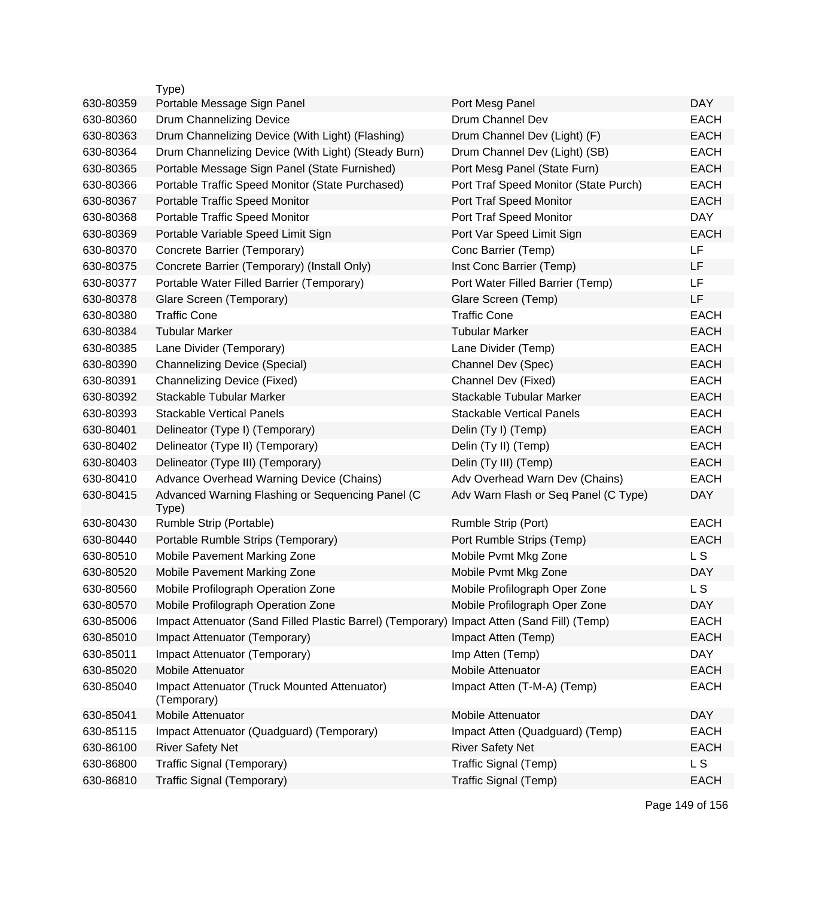|           | Type)                                                                                      |                                       |             |
|-----------|--------------------------------------------------------------------------------------------|---------------------------------------|-------------|
| 630-80359 | Portable Message Sign Panel                                                                | Port Mesg Panel                       | <b>DAY</b>  |
| 630-80360 | Drum Channelizing Device                                                                   | Drum Channel Dev                      | <b>EACH</b> |
| 630-80363 | Drum Channelizing Device (With Light) (Flashing)                                           | Drum Channel Dev (Light) (F)          | <b>EACH</b> |
| 630-80364 | Drum Channelizing Device (With Light) (Steady Burn)                                        | Drum Channel Dev (Light) (SB)         | <b>EACH</b> |
| 630-80365 | Portable Message Sign Panel (State Furnished)                                              | Port Mesg Panel (State Furn)          | <b>EACH</b> |
| 630-80366 | Portable Traffic Speed Monitor (State Purchased)                                           | Port Traf Speed Monitor (State Purch) | <b>EACH</b> |
| 630-80367 | Portable Traffic Speed Monitor                                                             | Port Traf Speed Monitor               | <b>EACH</b> |
| 630-80368 | Portable Traffic Speed Monitor                                                             | Port Traf Speed Monitor               | <b>DAY</b>  |
| 630-80369 | Portable Variable Speed Limit Sign                                                         | Port Var Speed Limit Sign             | <b>EACH</b> |
| 630-80370 | Concrete Barrier (Temporary)                                                               | Conc Barrier (Temp)                   | LF          |
| 630-80375 | Concrete Barrier (Temporary) (Install Only)                                                | Inst Conc Barrier (Temp)              | LF          |
| 630-80377 | Portable Water Filled Barrier (Temporary)                                                  | Port Water Filled Barrier (Temp)      | LF          |
| 630-80378 | Glare Screen (Temporary)                                                                   | Glare Screen (Temp)                   | <b>LF</b>   |
| 630-80380 | <b>Traffic Cone</b>                                                                        | <b>Traffic Cone</b>                   | <b>EACH</b> |
| 630-80384 | <b>Tubular Marker</b>                                                                      | <b>Tubular Marker</b>                 | <b>EACH</b> |
| 630-80385 | Lane Divider (Temporary)                                                                   | Lane Divider (Temp)                   | <b>EACH</b> |
| 630-80390 | <b>Channelizing Device (Special)</b>                                                       | Channel Dev (Spec)                    | <b>EACH</b> |
| 630-80391 | <b>Channelizing Device (Fixed)</b>                                                         | Channel Dev (Fixed)                   | <b>EACH</b> |
| 630-80392 | Stackable Tubular Marker                                                                   | Stackable Tubular Marker              | <b>EACH</b> |
| 630-80393 | <b>Stackable Vertical Panels</b>                                                           | <b>Stackable Vertical Panels</b>      | <b>EACH</b> |
| 630-80401 | Delineator (Type I) (Temporary)                                                            | Delin (Ty I) (Temp)                   | <b>EACH</b> |
| 630-80402 | Delineator (Type II) (Temporary)                                                           | Delin (Ty II) (Temp)                  | <b>EACH</b> |
| 630-80403 | Delineator (Type III) (Temporary)                                                          | Delin (Ty III) (Temp)                 | <b>EACH</b> |
| 630-80410 | Advance Overhead Warning Device (Chains)                                                   | Adv Overhead Warn Dev (Chains)        | <b>EACH</b> |
| 630-80415 | Advanced Warning Flashing or Sequencing Panel (C<br>Type)                                  | Adv Warn Flash or Seq Panel (C Type)  | <b>DAY</b>  |
| 630-80430 | Rumble Strip (Portable)                                                                    | Rumble Strip (Port)                   | <b>EACH</b> |
| 630-80440 | Portable Rumble Strips (Temporary)                                                         | Port Rumble Strips (Temp)             | <b>EACH</b> |
| 630-80510 | Mobile Pavement Marking Zone                                                               | Mobile Pvmt Mkg Zone                  | L S         |
| 630-80520 | Mobile Pavement Marking Zone                                                               | Mobile Pvmt Mkg Zone                  | <b>DAY</b>  |
| 630-80560 | Mobile Profilograph Operation Zone                                                         | Mobile Profilograph Oper Zone         | L S         |
| 630-80570 | Mobile Profilograph Operation Zone                                                         | Mobile Profilograph Oper Zone         | <b>DAY</b>  |
| 630-85006 | Impact Attenuator (Sand Filled Plastic Barrel) (Temporary) Impact Atten (Sand Fill) (Temp) |                                       | <b>EACH</b> |
| 630-85010 | Impact Attenuator (Temporary)                                                              | Impact Atten (Temp)                   | <b>EACH</b> |
| 630-85011 | Impact Attenuator (Temporary)                                                              | Imp Atten (Temp)                      | <b>DAY</b>  |
| 630-85020 | Mobile Attenuator                                                                          | Mobile Attenuator                     | <b>EACH</b> |
| 630-85040 | Impact Attenuator (Truck Mounted Attenuator)<br>(Temporary)                                | Impact Atten (T-M-A) (Temp)           | <b>EACH</b> |
| 630-85041 | Mobile Attenuator                                                                          | Mobile Attenuator                     | <b>DAY</b>  |
| 630-85115 | Impact Attenuator (Quadguard) (Temporary)                                                  | Impact Atten (Quadguard) (Temp)       | <b>EACH</b> |
| 630-86100 | <b>River Safety Net</b>                                                                    | <b>River Safety Net</b>               | <b>EACH</b> |
| 630-86800 | Traffic Signal (Temporary)                                                                 | Traffic Signal (Temp)                 | L S         |
| 630-86810 | Traffic Signal (Temporary)                                                                 | Traffic Signal (Temp)                 | <b>EACH</b> |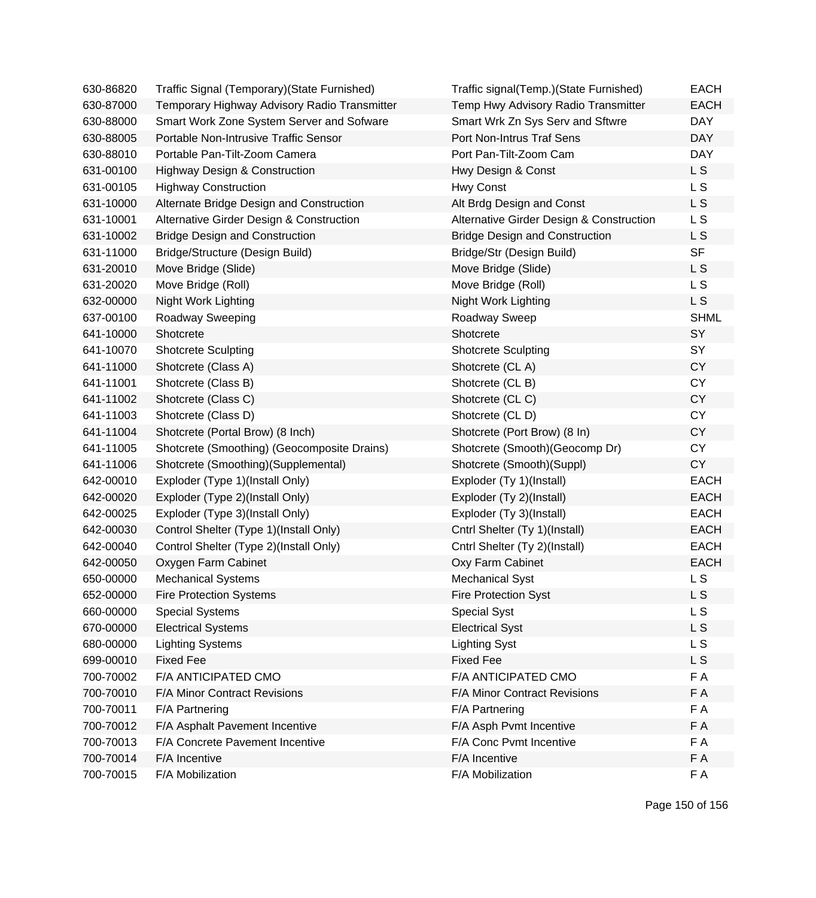| 630-86820 | Traffic Signal (Temporary) (State Furnished) | Traffic signal(Temp.)(State Furnished)   | <b>EACH</b>    |
|-----------|----------------------------------------------|------------------------------------------|----------------|
| 630-87000 | Temporary Highway Advisory Radio Transmitter | Temp Hwy Advisory Radio Transmitter      | <b>EACH</b>    |
| 630-88000 | Smart Work Zone System Server and Sofware    | Smart Wrk Zn Sys Serv and Sftwre         | <b>DAY</b>     |
| 630-88005 | Portable Non-Intrusive Traffic Sensor        | Port Non-Intrus Traf Sens                | <b>DAY</b>     |
| 630-88010 | Portable Pan-Tilt-Zoom Camera                | Port Pan-Tilt-Zoom Cam                   | <b>DAY</b>     |
| 631-00100 | <b>Highway Design &amp; Construction</b>     | Hwy Design & Const                       | L S            |
| 631-00105 | <b>Highway Construction</b>                  | Hwy Const                                | L <sub>S</sub> |
| 631-10000 | Alternate Bridge Design and Construction     | Alt Brdg Design and Const                | L S            |
| 631-10001 | Alternative Girder Design & Construction     | Alternative Girder Design & Construction | L S            |
| 631-10002 | <b>Bridge Design and Construction</b>        | <b>Bridge Design and Construction</b>    | L S            |
| 631-11000 | Bridge/Structure (Design Build)              | Bridge/Str (Design Build)                | <b>SF</b>      |
| 631-20010 | Move Bridge (Slide)                          | Move Bridge (Slide)                      | L S            |
| 631-20020 | Move Bridge (Roll)                           | Move Bridge (Roll)                       | L S            |
| 632-00000 | Night Work Lighting                          | Night Work Lighting                      | L S            |
| 637-00100 | Roadway Sweeping                             | Roadway Sweep                            | <b>SHML</b>    |
| 641-10000 | Shotcrete                                    | Shotcrete                                | SY             |
| 641-10070 | <b>Shotcrete Sculpting</b>                   | <b>Shotcrete Sculpting</b>               | SY             |
| 641-11000 | Shotcrete (Class A)                          | Shotcrete (CLA)                          | <b>CY</b>      |
| 641-11001 | Shotcrete (Class B)                          | Shotcrete (CL B)                         | <b>CY</b>      |
| 641-11002 | Shotcrete (Class C)                          | Shotcrete (CLC)                          | <b>CY</b>      |
| 641-11003 | Shotcrete (Class D)                          | Shotcrete (CLD)                          | <b>CY</b>      |
| 641-11004 | Shotcrete (Portal Brow) (8 Inch)             | Shotcrete (Port Brow) (8 In)             | CY             |
| 641-11005 | Shotcrete (Smoothing) (Geocomposite Drains)  | Shotcrete (Smooth) (Geocomp Dr)          | <b>CY</b>      |
| 641-11006 | Shotcrete (Smoothing)(Supplemental)          | Shotcrete (Smooth)(Suppl)                | <b>CY</b>      |
| 642-00010 | Exploder (Type 1)(Install Only)              | Exploder (Ty 1)(Install)                 | <b>EACH</b>    |
| 642-00020 | Exploder (Type 2)(Install Only)              | Exploder (Ty 2)(Install)                 | <b>EACH</b>    |
| 642-00025 | Exploder (Type 3)(Install Only)              | Exploder (Ty 3)(Install)                 | <b>EACH</b>    |
| 642-00030 | Control Shelter (Type 1)(Install Only)       | Cntrl Shelter (Ty 1)(Install)            | <b>EACH</b>    |
| 642-00040 | Control Shelter (Type 2)(Install Only)       | Cntrl Shelter (Ty 2)(Install)            | <b>EACH</b>    |
| 642-00050 | Oxygen Farm Cabinet                          | Oxy Farm Cabinet                         | <b>EACH</b>    |
| 650-00000 | <b>Mechanical Systems</b>                    | <b>Mechanical Syst</b>                   | L S            |
| 652-00000 | <b>Fire Protection Systems</b>               | <b>Fire Protection Syst</b>              | L S            |
| 660-00000 | <b>Special Systems</b>                       | <b>Special Syst</b>                      | L S            |
| 670-00000 | <b>Electrical Systems</b>                    | <b>Electrical Syst</b>                   | L S            |
| 680-00000 | <b>Lighting Systems</b>                      | <b>Lighting Syst</b>                     | L <sub>S</sub> |
| 699-00010 | <b>Fixed Fee</b>                             | <b>Fixed Fee</b>                         | <b>LS</b>      |
| 700-70002 | F/A ANTICIPATED CMO                          | F/A ANTICIPATED CMO                      | F A            |
| 700-70010 | F/A Minor Contract Revisions                 | F/A Minor Contract Revisions             | F A            |
| 700-70011 | F/A Partnering                               | F/A Partnering                           | F A            |
| 700-70012 | F/A Asphalt Pavement Incentive               | F/A Asph Pvmt Incentive                  | F A            |
| 700-70013 | F/A Concrete Pavement Incentive              | F/A Conc Pvmt Incentive                  | F A            |
| 700-70014 | F/A Incentive                                | F/A Incentive                            | F A            |
| 700-70015 | F/A Mobilization                             | F/A Mobilization                         | F A            |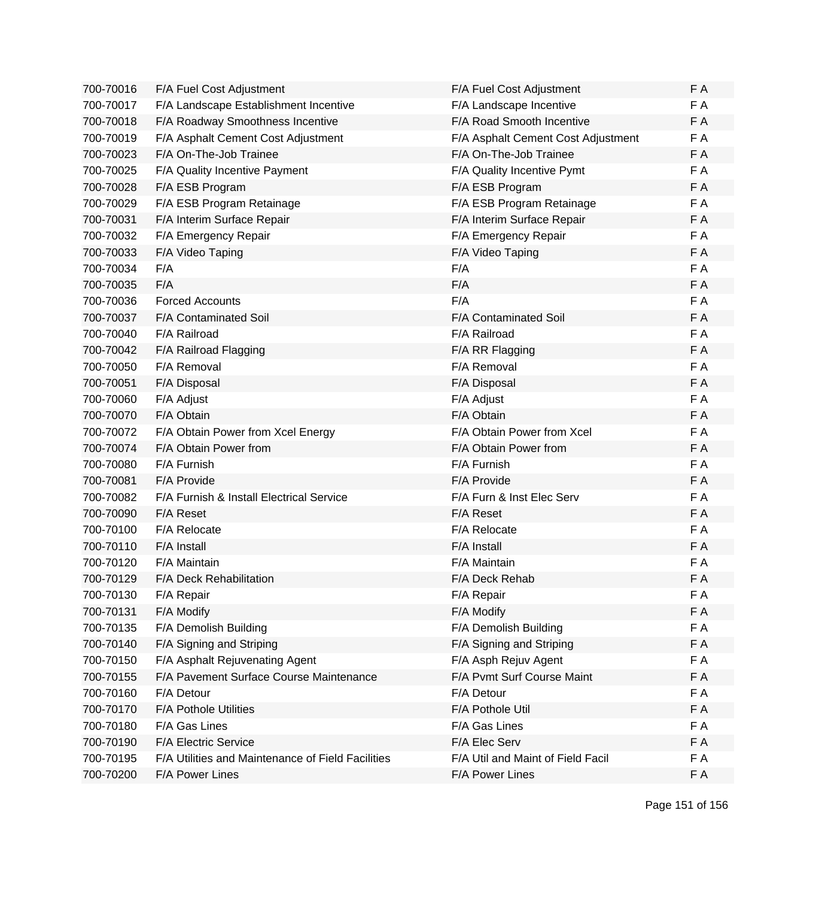| 700-70016 | F/A Fuel Cost Adjustment                          | F/A Fuel Cost Adjustment           | F A |
|-----------|---------------------------------------------------|------------------------------------|-----|
| 700-70017 | F/A Landscape Establishment Incentive             | F/A Landscape Incentive            | F A |
| 700-70018 | F/A Roadway Smoothness Incentive                  | F/A Road Smooth Incentive          | F A |
| 700-70019 | F/A Asphalt Cement Cost Adjustment                | F/A Asphalt Cement Cost Adjustment | F A |
| 700-70023 | F/A On-The-Job Trainee                            | F/A On-The-Job Trainee             | F A |
| 700-70025 | F/A Quality Incentive Payment                     | F/A Quality Incentive Pymt         | F A |
| 700-70028 | F/A ESB Program                                   | F/A ESB Program                    | F A |
| 700-70029 | F/A ESB Program Retainage                         | F/A ESB Program Retainage          | F A |
| 700-70031 | F/A Interim Surface Repair                        | F/A Interim Surface Repair         | F A |
| 700-70032 | F/A Emergency Repair                              | F/A Emergency Repair               | F A |
| 700-70033 | F/A Video Taping                                  | F/A Video Taping                   | F A |
| 700-70034 | F/A                                               | F/A                                | F A |
| 700-70035 | F/A                                               | F/A                                | F A |
| 700-70036 | <b>Forced Accounts</b>                            | F/A                                | F A |
| 700-70037 | F/A Contaminated Soil                             | F/A Contaminated Soil              | F A |
| 700-70040 | F/A Railroad                                      | F/A Railroad                       | F A |
| 700-70042 | F/A Railroad Flagging                             | F/A RR Flagging                    | F A |
| 700-70050 | F/A Removal                                       | F/A Removal                        | F A |
| 700-70051 | F/A Disposal                                      | F/A Disposal                       | F A |
| 700-70060 | F/A Adjust                                        | F/A Adjust                         | F A |
| 700-70070 | F/A Obtain                                        | F/A Obtain                         | F A |
| 700-70072 | F/A Obtain Power from Xcel Energy                 | F/A Obtain Power from Xcel         | F A |
| 700-70074 | F/A Obtain Power from                             | F/A Obtain Power from              | F A |
| 700-70080 | F/A Furnish                                       | F/A Furnish                        | F A |
| 700-70081 | F/A Provide                                       | F/A Provide                        | F A |
| 700-70082 | F/A Furnish & Install Electrical Service          | F/A Furn & Inst Elec Serv          | F A |
| 700-70090 | F/A Reset                                         | F/A Reset                          | F A |
| 700-70100 | F/A Relocate                                      | F/A Relocate                       | F A |
| 700-70110 | F/A Install                                       | F/A Install                        | F A |
| 700-70120 | F/A Maintain                                      | F/A Maintain                       | F A |
| 700-70129 | F/A Deck Rehabilitation                           | F/A Deck Rehab                     | F A |
| 700-70130 | F/A Repair                                        | F/A Repair                         | F A |
| 700-70131 | F/A Modify                                        | F/A Modify                         | F A |
| 700-70135 | F/A Demolish Building                             | F/A Demolish Building              | F A |
| 700-70140 | F/A Signing and Striping                          | F/A Signing and Striping           | F A |
| 700-70150 | F/A Asphalt Rejuvenating Agent                    | F/A Asph Rejuv Agent               | F A |
| 700-70155 | F/A Pavement Surface Course Maintenance           | F/A Pvmt Surf Course Maint         | F A |
| 700-70160 | F/A Detour                                        | F/A Detour                         | F A |
| 700-70170 | <b>F/A Pothole Utilities</b>                      | F/A Pothole Util                   | F A |
| 700-70180 | F/A Gas Lines                                     | F/A Gas Lines                      | F A |
| 700-70190 | F/A Electric Service                              | F/A Elec Serv                      | F A |
| 700-70195 | F/A Utilities and Maintenance of Field Facilities | F/A Util and Maint of Field Facil  | F A |
| 700-70200 | F/A Power Lines                                   | F/A Power Lines                    | F A |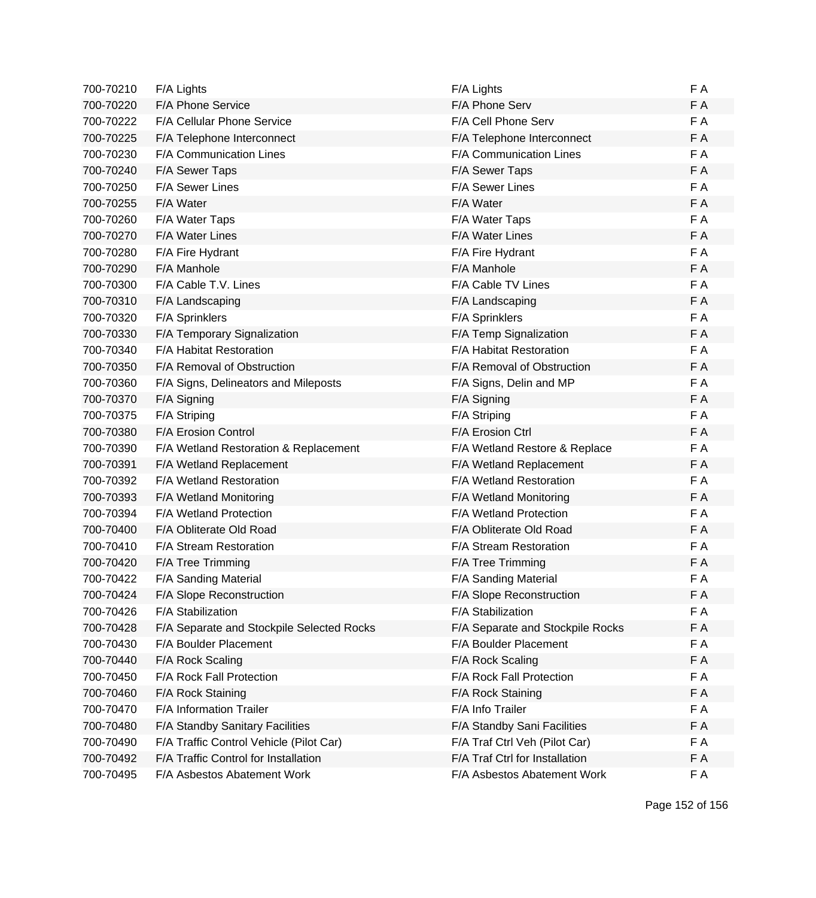| 700-70210 | F/A Lights                                | F/A Lights                       | F A |
|-----------|-------------------------------------------|----------------------------------|-----|
| 700-70220 | F/A Phone Service                         | F/A Phone Serv                   | F A |
| 700-70222 | F/A Cellular Phone Service                | F/A Cell Phone Serv              | F A |
| 700-70225 | F/A Telephone Interconnect                | F/A Telephone Interconnect       | F A |
| 700-70230 | F/A Communication Lines                   | F/A Communication Lines          | F A |
| 700-70240 | F/A Sewer Taps                            | F/A Sewer Taps                   | F A |
| 700-70250 | F/A Sewer Lines                           | F/A Sewer Lines                  | F A |
| 700-70255 | F/A Water                                 | F/A Water                        | F A |
| 700-70260 | F/A Water Taps                            | F/A Water Taps                   | F A |
| 700-70270 | F/A Water Lines                           | <b>F/A Water Lines</b>           | F A |
| 700-70280 | F/A Fire Hydrant                          | F/A Fire Hydrant                 | F A |
| 700-70290 | F/A Manhole                               | F/A Manhole                      | F A |
| 700-70300 | F/A Cable T.V. Lines                      | F/A Cable TV Lines               | F A |
| 700-70310 | F/A Landscaping                           | F/A Landscaping                  | F A |
| 700-70320 | F/A Sprinklers                            | F/A Sprinklers                   | F A |
| 700-70330 | F/A Temporary Signalization               | F/A Temp Signalization           | F A |
| 700-70340 | F/A Habitat Restoration                   | F/A Habitat Restoration          | F A |
| 700-70350 | F/A Removal of Obstruction                | F/A Removal of Obstruction       | F A |
| 700-70360 | F/A Signs, Delineators and Mileposts      | F/A Signs, Delin and MP          | F A |
| 700-70370 | F/A Signing                               | F/A Signing                      | F A |
| 700-70375 | F/A Striping                              | F/A Striping                     | F A |
| 700-70380 | F/A Erosion Control                       | F/A Erosion Ctrl                 | F A |
| 700-70390 | F/A Wetland Restoration & Replacement     | F/A Wetland Restore & Replace    | FA  |
| 700-70391 | F/A Wetland Replacement                   | F/A Wetland Replacement          | F A |
| 700-70392 | F/A Wetland Restoration                   | F/A Wetland Restoration          | F A |
| 700-70393 | F/A Wetland Monitoring                    | F/A Wetland Monitoring           | F A |
| 700-70394 | <b>F/A Wetland Protection</b>             | <b>F/A Wetland Protection</b>    | F A |
| 700-70400 | F/A Obliterate Old Road                   | F/A Obliterate Old Road          | F A |
| 700-70410 | F/A Stream Restoration                    | F/A Stream Restoration           | F A |
| 700-70420 | F/A Tree Trimming                         | F/A Tree Trimming                | F A |
| 700-70422 | F/A Sanding Material                      | F/A Sanding Material             | F A |
| 700-70424 | F/A Slope Reconstruction                  | F/A Slope Reconstruction         | FΑ  |
| 700-70426 | F/A Stabilization                         | F/A Stabilization                | F A |
| 700-70428 | F/A Separate and Stockpile Selected Rocks | F/A Separate and Stockpile Rocks | F A |
| 700-70430 | F/A Boulder Placement                     | F/A Boulder Placement            | FA  |
| 700-70440 | F/A Rock Scaling                          | F/A Rock Scaling                 | F A |
| 700-70450 | F/A Rock Fall Protection                  | F/A Rock Fall Protection         | F A |
| 700-70460 | F/A Rock Staining                         | F/A Rock Staining                | F A |
| 700-70470 | F/A Information Trailer                   | F/A Info Trailer                 | F A |
| 700-70480 | F/A Standby Sanitary Facilities           | F/A Standby Sani Facilities      | F A |
| 700-70490 | F/A Traffic Control Vehicle (Pilot Car)   | F/A Traf Ctrl Veh (Pilot Car)    | F A |
| 700-70492 | F/A Traffic Control for Installation      | F/A Traf Ctrl for Installation   | F A |
| 700-70495 | F/A Asbestos Abatement Work               | F/A Asbestos Abatement Work      | F A |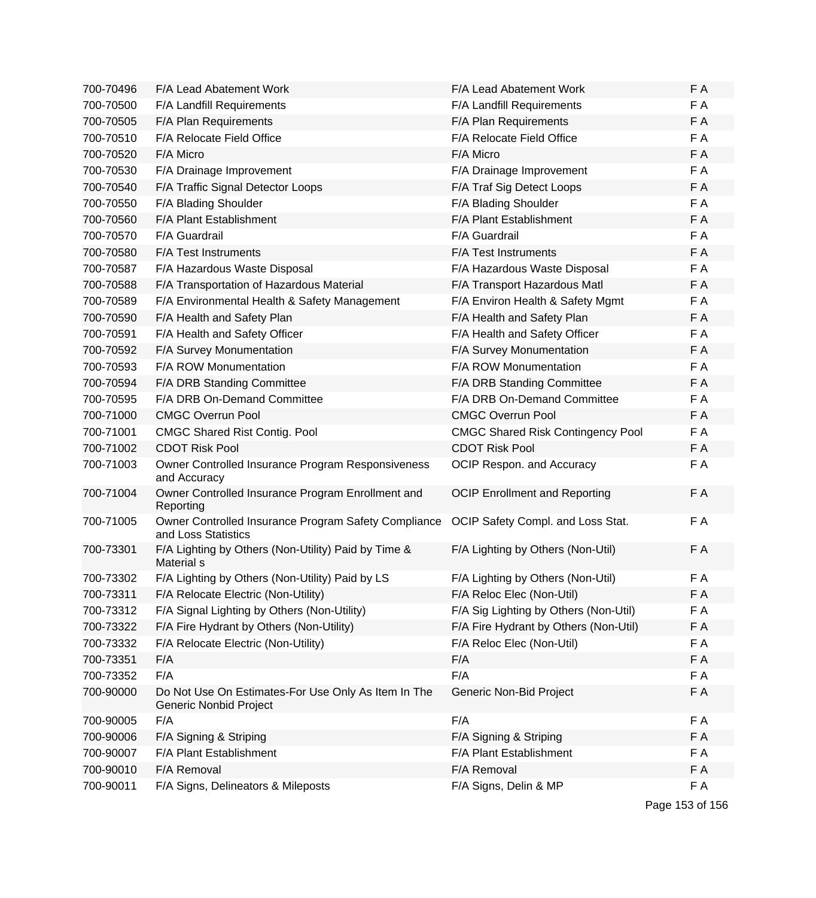| 700-70496 | F/A Lead Abatement Work                                                       | F/A Lead Abatement Work                  | F A |
|-----------|-------------------------------------------------------------------------------|------------------------------------------|-----|
| 700-70500 | F/A Landfill Requirements                                                     | F/A Landfill Requirements                | F A |
| 700-70505 | F/A Plan Requirements                                                         | F/A Plan Requirements                    | F A |
| 700-70510 | F/A Relocate Field Office                                                     | F/A Relocate Field Office                | F A |
| 700-70520 | F/A Micro                                                                     | F/A Micro                                | F A |
| 700-70530 | F/A Drainage Improvement                                                      | F/A Drainage Improvement                 | F A |
| 700-70540 | F/A Traffic Signal Detector Loops                                             | F/A Traf Sig Detect Loops                | F A |
| 700-70550 | F/A Blading Shoulder                                                          | F/A Blading Shoulder                     | F A |
| 700-70560 | F/A Plant Establishment                                                       | F/A Plant Establishment                  | F A |
| 700-70570 | F/A Guardrail                                                                 | F/A Guardrail                            | F A |
| 700-70580 | F/A Test Instruments                                                          | F/A Test Instruments                     | F A |
| 700-70587 | F/A Hazardous Waste Disposal                                                  | F/A Hazardous Waste Disposal             | F A |
| 700-70588 | F/A Transportation of Hazardous Material                                      | F/A Transport Hazardous Matl             | F A |
| 700-70589 | F/A Environmental Health & Safety Management                                  | F/A Environ Health & Safety Mgmt         | F A |
| 700-70590 | F/A Health and Safety Plan                                                    | F/A Health and Safety Plan               | F A |
| 700-70591 | F/A Health and Safety Officer                                                 | F/A Health and Safety Officer            | F A |
| 700-70592 | F/A Survey Monumentation                                                      | F/A Survey Monumentation                 | F A |
| 700-70593 | F/A ROW Monumentation                                                         | F/A ROW Monumentation                    | F A |
| 700-70594 | F/A DRB Standing Committee                                                    | F/A DRB Standing Committee               | F A |
| 700-70595 | F/A DRB On-Demand Committee                                                   | F/A DRB On-Demand Committee              | F A |
| 700-71000 | <b>CMGC Overrun Pool</b>                                                      | <b>CMGC Overrun Pool</b>                 | F A |
| 700-71001 | <b>CMGC Shared Rist Contig. Pool</b>                                          | <b>CMGC Shared Risk Contingency Pool</b> | F A |
| 700-71002 | <b>CDOT Risk Pool</b>                                                         | <b>CDOT Risk Pool</b>                    | F A |
| 700-71003 | Owner Controlled Insurance Program Responsiveness<br>and Accuracy             | OCIP Respon. and Accuracy                | F A |
| 700-71004 | Owner Controlled Insurance Program Enrollment and<br>Reporting                | <b>OCIP Enrollment and Reporting</b>     | F A |
| 700-71005 | Owner Controlled Insurance Program Safety Compliance<br>and Loss Statistics   | OCIP Safety Compl. and Loss Stat.        | F A |
| 700-73301 | F/A Lighting by Others (Non-Utility) Paid by Time &<br>Material s             | F/A Lighting by Others (Non-Util)        | F A |
| 700-73302 | F/A Lighting by Others (Non-Utility) Paid by LS                               | F/A Lighting by Others (Non-Util)        | F A |
| 700-73311 | F/A Relocate Electric (Non-Utility)                                           | F/A Reloc Elec (Non-Util)                | F A |
| 700-73312 | F/A Signal Lighting by Others (Non-Utility)                                   | F/A Sig Lighting by Others (Non-Util)    | F A |
| 700-73322 | F/A Fire Hydrant by Others (Non-Utility)                                      | F/A Fire Hydrant by Others (Non-Util)    | F A |
| 700-73332 | F/A Relocate Electric (Non-Utility)                                           | F/A Reloc Elec (Non-Util)                | F A |
| 700-73351 | F/A                                                                           | F/A                                      | F A |
| 700-73352 | F/A                                                                           | F/A                                      | F A |
| 700-90000 | Do Not Use On Estimates-For Use Only As Item In The<br>Generic Nonbid Project | Generic Non-Bid Project                  | F A |
| 700-90005 | F/A                                                                           | F/A                                      | F A |
| 700-90006 | F/A Signing & Striping                                                        | F/A Signing & Striping                   | F A |
| 700-90007 | F/A Plant Establishment                                                       | F/A Plant Establishment                  | F A |
| 700-90010 | F/A Removal                                                                   | F/A Removal                              | F A |
| 700-90011 | F/A Signs, Delineators & Mileposts                                            | F/A Signs, Delin & MP                    | F A |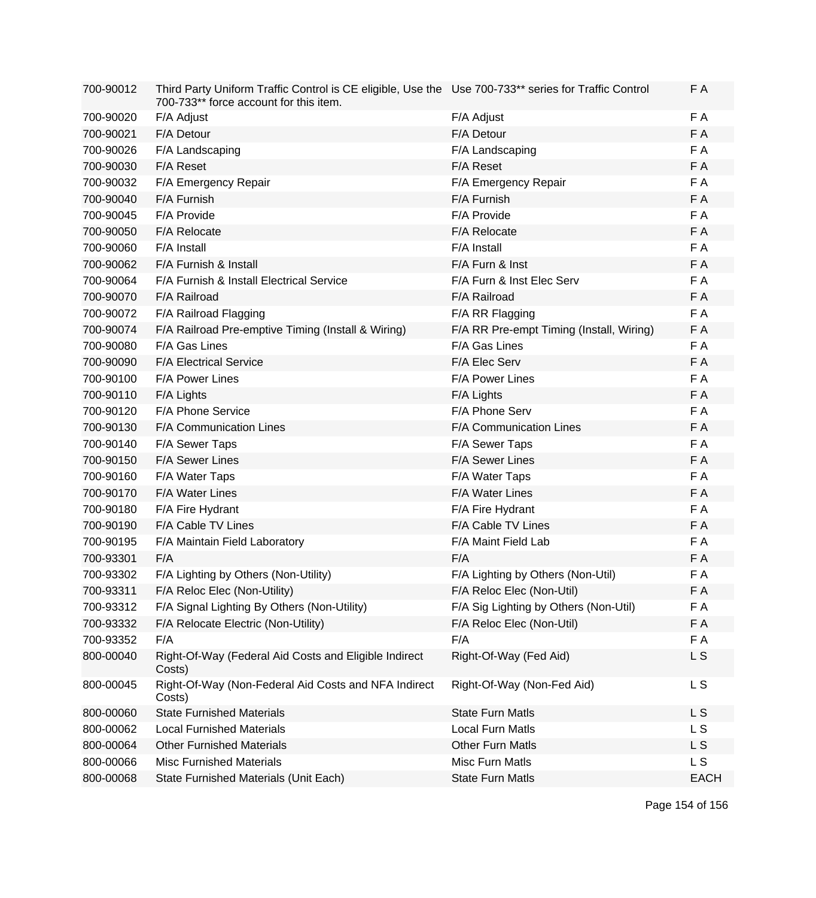| 700-90012 | Third Party Uniform Traffic Control is CE eligible, Use the Use 700-733** series for Traffic Control<br>700-733** force account for this item. |                                          | F A            |
|-----------|------------------------------------------------------------------------------------------------------------------------------------------------|------------------------------------------|----------------|
| 700-90020 | F/A Adjust                                                                                                                                     | F/A Adjust                               | F A            |
| 700-90021 | F/A Detour                                                                                                                                     | F/A Detour                               | F A            |
| 700-90026 | F/A Landscaping                                                                                                                                | F/A Landscaping                          | F A            |
| 700-90030 | F/A Reset                                                                                                                                      | F/A Reset                                | F A            |
| 700-90032 | F/A Emergency Repair                                                                                                                           | F/A Emergency Repair                     | F A            |
| 700-90040 | F/A Furnish                                                                                                                                    | F/A Furnish                              | F A            |
| 700-90045 | F/A Provide                                                                                                                                    | F/A Provide                              | F A            |
| 700-90050 | F/A Relocate                                                                                                                                   | F/A Relocate                             | F A            |
| 700-90060 | F/A Install                                                                                                                                    | F/A Install                              | F A            |
| 700-90062 | F/A Furnish & Install                                                                                                                          | F/A Furn & Inst                          | F A            |
| 700-90064 | F/A Furnish & Install Electrical Service                                                                                                       | F/A Furn & Inst Elec Serv                | F A            |
| 700-90070 | F/A Railroad                                                                                                                                   | F/A Railroad                             | F A            |
| 700-90072 | F/A Railroad Flagging                                                                                                                          | F/A RR Flagging                          | F A            |
| 700-90074 | F/A Railroad Pre-emptive Timing (Install & Wiring)                                                                                             | F/A RR Pre-empt Timing (Install, Wiring) | F A            |
| 700-90080 | F/A Gas Lines                                                                                                                                  | F/A Gas Lines                            | F A            |
| 700-90090 | <b>F/A Electrical Service</b>                                                                                                                  | F/A Elec Serv                            | F A            |
| 700-90100 | F/A Power Lines                                                                                                                                | F/A Power Lines                          | F A            |
| 700-90110 | F/A Lights                                                                                                                                     | F/A Lights                               | F A            |
| 700-90120 | F/A Phone Service                                                                                                                              | F/A Phone Serv                           | F A            |
| 700-90130 | <b>F/A Communication Lines</b>                                                                                                                 | F/A Communication Lines                  | F A            |
| 700-90140 | F/A Sewer Taps                                                                                                                                 | F/A Sewer Taps                           | F A            |
| 700-90150 | F/A Sewer Lines                                                                                                                                | F/A Sewer Lines                          | F A            |
| 700-90160 | F/A Water Taps                                                                                                                                 | F/A Water Taps                           | F A            |
| 700-90170 | F/A Water Lines                                                                                                                                | F/A Water Lines                          | F A            |
| 700-90180 | F/A Fire Hydrant                                                                                                                               | F/A Fire Hydrant                         | F A            |
| 700-90190 | <b>F/A Cable TV Lines</b>                                                                                                                      | F/A Cable TV Lines                       | F A            |
| 700-90195 | F/A Maintain Field Laboratory                                                                                                                  | F/A Maint Field Lab                      | F A            |
| 700-93301 | F/A                                                                                                                                            | F/A                                      | F A            |
| 700-93302 | F/A Lighting by Others (Non-Utility)                                                                                                           | F/A Lighting by Others (Non-Util)        | F A            |
| 700-93311 | F/A Reloc Elec (Non-Utility)                                                                                                                   | F/A Reloc Elec (Non-Util)                | F A            |
| 700-93312 | F/A Signal Lighting By Others (Non-Utility)                                                                                                    | F/A Sig Lighting by Others (Non-Util)    | F A            |
| 700-93332 | F/A Relocate Electric (Non-Utility)                                                                                                            | F/A Reloc Elec (Non-Util)                | F A            |
| 700-93352 | F/A                                                                                                                                            | F/A                                      | F A            |
| 800-00040 | Right-Of-Way (Federal Aid Costs and Eligible Indirect<br>Costs)                                                                                | Right-Of-Way (Fed Aid)                   | L S            |
| 800-00045 | Right-Of-Way (Non-Federal Aid Costs and NFA Indirect<br>Costs)                                                                                 | Right-Of-Way (Non-Fed Aid)               | L <sub>S</sub> |
| 800-00060 | <b>State Furnished Materials</b>                                                                                                               | <b>State Furn Matls</b>                  | <b>LS</b>      |
| 800-00062 | <b>Local Furnished Materials</b>                                                                                                               | <b>Local Furn Matls</b>                  | L S            |
| 800-00064 | <b>Other Furnished Materials</b>                                                                                                               | <b>Other Furn Matls</b>                  | L S            |
| 800-00066 | <b>Misc Furnished Materials</b>                                                                                                                | Misc Furn Matls                          | L S            |
| 800-00068 | State Furnished Materials (Unit Each)                                                                                                          | <b>State Furn Matls</b>                  | <b>EACH</b>    |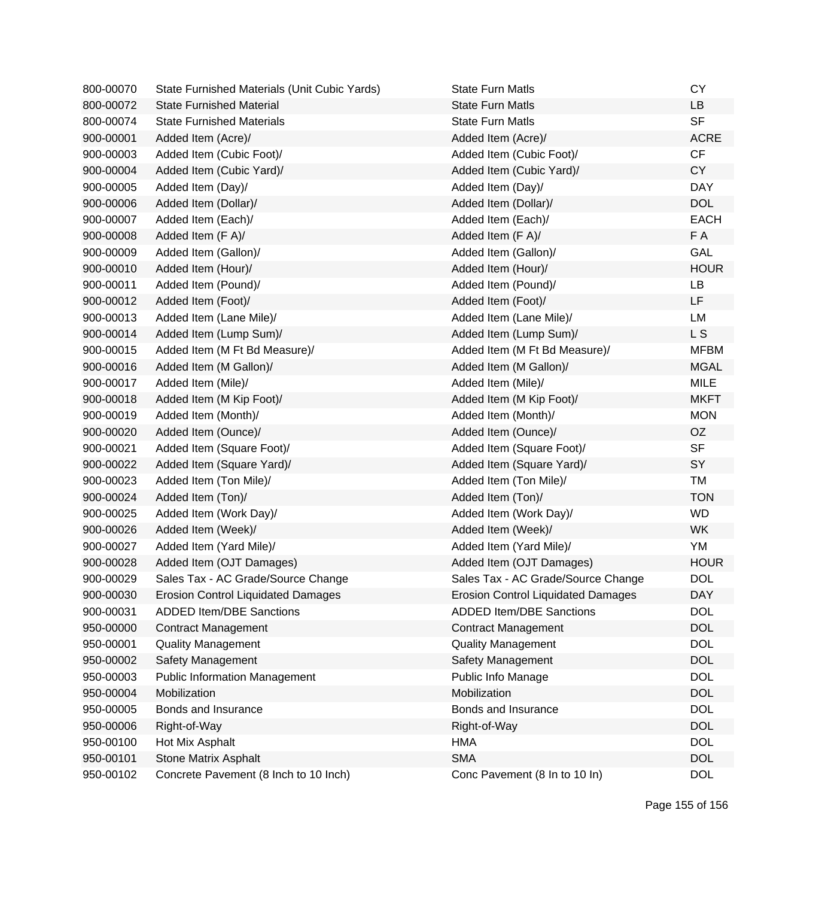| 800-00070 | State Furnished Materials (Unit Cubic Yards) | <b>State Furn Matls</b>                   | <b>CY</b>   |
|-----------|----------------------------------------------|-------------------------------------------|-------------|
| 800-00072 | <b>State Furnished Material</b>              | <b>State Furn Matls</b>                   | <b>LB</b>   |
| 800-00074 | <b>State Furnished Materials</b>             | <b>State Furn Matls</b>                   | <b>SF</b>   |
| 900-00001 | Added Item (Acre)/                           | Added Item (Acre)/                        | <b>ACRE</b> |
| 900-00003 | Added Item (Cubic Foot)/                     | Added Item (Cubic Foot)/                  | CF          |
| 900-00004 | Added Item (Cubic Yard)/                     | Added Item (Cubic Yard)/                  | <b>CY</b>   |
| 900-00005 | Added Item (Day)/                            | Added Item (Day)/                         | <b>DAY</b>  |
| 900-00006 | Added Item (Dollar)/                         | Added Item (Dollar)/                      | <b>DOL</b>  |
| 900-00007 | Added Item (Each)/                           | Added Item (Each)/                        | <b>EACH</b> |
| 900-00008 | Added Item (F A)/                            | Added Item (F A)/                         | F A         |
| 900-00009 | Added Item (Gallon)/                         | Added Item (Gallon)/                      | GAL         |
| 900-00010 | Added Item (Hour)/                           | Added Item (Hour)/                        | <b>HOUR</b> |
| 900-00011 | Added Item (Pound)/                          | Added Item (Pound)/                       | LB          |
| 900-00012 | Added Item (Foot)/                           | Added Item (Foot)/                        | LF          |
| 900-00013 | Added Item (Lane Mile)/                      | Added Item (Lane Mile)/                   | LM          |
| 900-00014 | Added Item (Lump Sum)/                       | Added Item (Lump Sum)/                    | L S         |
| 900-00015 | Added Item (M Ft Bd Measure)/                | Added Item (M Ft Bd Measure)/             | <b>MFBM</b> |
| 900-00016 | Added Item (M Gallon)/                       | Added Item (M Gallon)/                    | <b>MGAL</b> |
| 900-00017 | Added Item (Mile)/                           | Added Item (Mile)/                        | <b>MILE</b> |
| 900-00018 | Added Item (M Kip Foot)/                     | Added Item (M Kip Foot)/                  | <b>MKFT</b> |
| 900-00019 | Added Item (Month)/                          | Added Item (Month)/                       | <b>MON</b>  |
| 900-00020 | Added Item (Ounce)/                          | Added Item (Ounce)/                       | OZ          |
| 900-00021 | Added Item (Square Foot)/                    | Added Item (Square Foot)/                 | <b>SF</b>   |
| 900-00022 | Added Item (Square Yard)/                    | Added Item (Square Yard)/                 | SY          |
| 900-00023 | Added Item (Ton Mile)/                       | Added Item (Ton Mile)/                    | <b>TM</b>   |
| 900-00024 | Added Item (Ton)/                            | Added Item (Ton)/                         | <b>TON</b>  |
| 900-00025 | Added Item (Work Day)/                       | Added Item (Work Day)/                    | <b>WD</b>   |
| 900-00026 | Added Item (Week)/                           | Added Item (Week)/                        | <b>WK</b>   |
| 900-00027 | Added Item (Yard Mile)/                      | Added Item (Yard Mile)/                   | YM          |
| 900-00028 | Added Item (OJT Damages)                     | Added Item (OJT Damages)                  | <b>HOUR</b> |
| 900-00029 | Sales Tax - AC Grade/Source Change           | Sales Tax - AC Grade/Source Change        | <b>DOL</b>  |
| 900-00030 | <b>Erosion Control Liquidated Damages</b>    | <b>Erosion Control Liquidated Damages</b> | <b>DAY</b>  |
| 900-00031 | <b>ADDED Item/DBE Sanctions</b>              | <b>ADDED Item/DBE Sanctions</b>           | <b>DOL</b>  |
| 950-00000 | <b>Contract Management</b>                   | <b>Contract Management</b>                | <b>DOL</b>  |
| 950-00001 | <b>Quality Management</b>                    | <b>Quality Management</b>                 | <b>DOL</b>  |
| 950-00002 | Safety Management                            | Safety Management                         | <b>DOL</b>  |
| 950-00003 | <b>Public Information Management</b>         | Public Info Manage                        | <b>DOL</b>  |
| 950-00004 | Mobilization                                 | Mobilization                              | <b>DOL</b>  |
| 950-00005 | Bonds and Insurance                          | Bonds and Insurance                       | <b>DOL</b>  |
| 950-00006 | Right-of-Way                                 | Right-of-Way                              | <b>DOL</b>  |
| 950-00100 | Hot Mix Asphalt                              | <b>HMA</b>                                | <b>DOL</b>  |
| 950-00101 | <b>Stone Matrix Asphalt</b>                  | <b>SMA</b>                                | <b>DOL</b>  |
| 950-00102 | Concrete Pavement (8 Inch to 10 Inch)        | Conc Pavement (8 In to 10 In)             | <b>DOL</b>  |